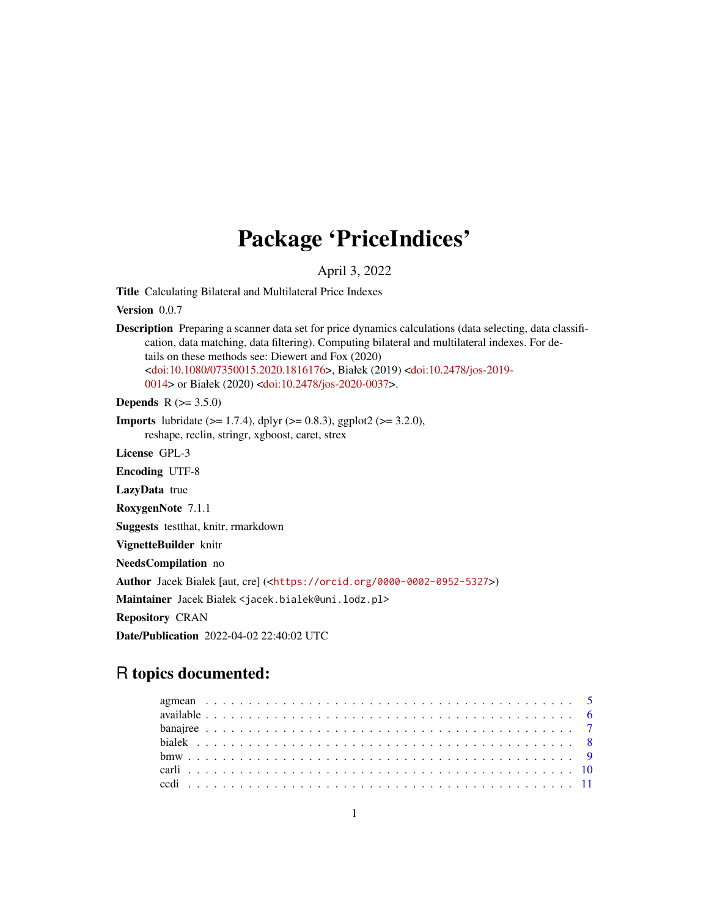# Package 'PriceIndices'

April 3, 2022

Title Calculating Bilateral and Multilateral Price Indexes

Version 0.0.7

Description Preparing a scanner data set for price dynamics calculations (data selecting, data classification, data matching, data filtering). Computing bilateral and multilateral indexes. For details on these methods see: Diewert and Fox (2020) [<doi:10.1080/07350015.2020.1816176>](https://doi.org/10.1080/07350015.2020.1816176), Białek (2019) [<doi:10.2478/jos-2019-](https://doi.org/10.2478/jos-2019-0014) [0014>](https://doi.org/10.2478/jos-2019-0014) or Białek (2020) [<doi:10.2478/jos-2020-0037>](https://doi.org/10.2478/jos-2020-0037).

**Depends**  $R (= 3.5.0)$ 

**Imports** lubridate ( $>= 1.7.4$ ), dplyr ( $>= 0.8.3$ ), ggplot2 ( $>= 3.2.0$ ), reshape, reclin, stringr, xgboost, caret, strex

License GPL-3

Encoding UTF-8

LazyData true

RoxygenNote 7.1.1

Suggests testthat, knitr, rmarkdown

VignetteBuilder knitr

NeedsCompilation no

Author Jacek Białek [aut, cre] (<<https://orcid.org/0000-0002-0952-5327>>)

Maintainer Jacek Białek <jacek.bialek@uni.lodz.pl>

Repository CRAN

Date/Publication 2022-04-02 22:40:02 UTC

## R topics documented: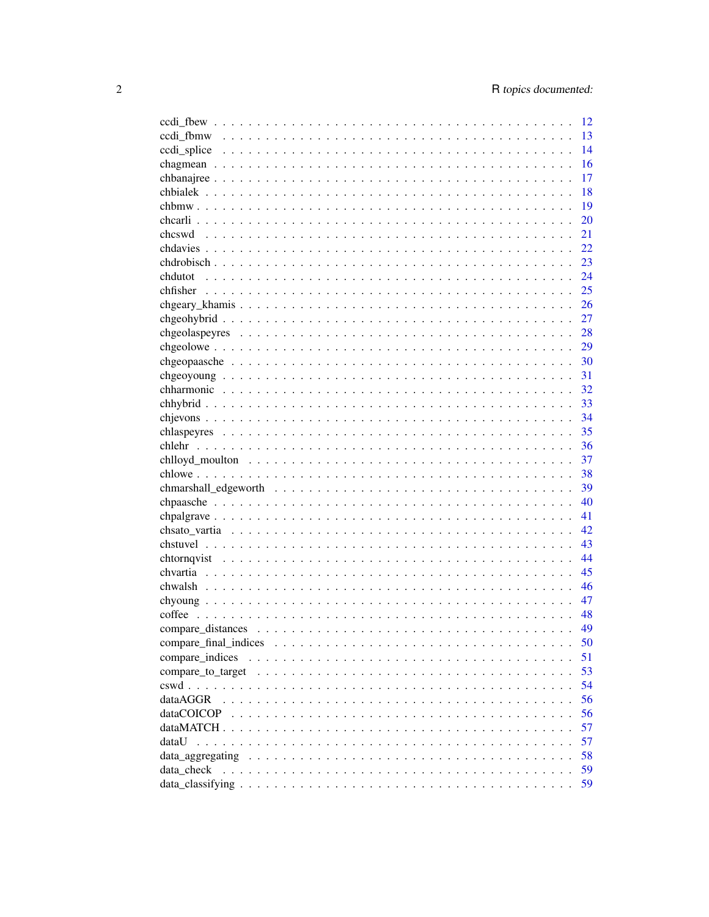|             |  |  |  |  |  |  |  |  |  |  |  | 12 |
|-------------|--|--|--|--|--|--|--|--|--|--|--|----|
|             |  |  |  |  |  |  |  |  |  |  |  | 13 |
| ccdi_splice |  |  |  |  |  |  |  |  |  |  |  | 14 |
|             |  |  |  |  |  |  |  |  |  |  |  | 16 |
|             |  |  |  |  |  |  |  |  |  |  |  | 17 |
|             |  |  |  |  |  |  |  |  |  |  |  | 18 |
|             |  |  |  |  |  |  |  |  |  |  |  | 19 |
|             |  |  |  |  |  |  |  |  |  |  |  | 20 |
|             |  |  |  |  |  |  |  |  |  |  |  | 21 |
|             |  |  |  |  |  |  |  |  |  |  |  | 22 |
|             |  |  |  |  |  |  |  |  |  |  |  | 23 |
| chdutot     |  |  |  |  |  |  |  |  |  |  |  | 24 |
| chfisher    |  |  |  |  |  |  |  |  |  |  |  | 25 |
|             |  |  |  |  |  |  |  |  |  |  |  | 26 |
|             |  |  |  |  |  |  |  |  |  |  |  | 27 |
|             |  |  |  |  |  |  |  |  |  |  |  | 28 |
|             |  |  |  |  |  |  |  |  |  |  |  | 29 |
|             |  |  |  |  |  |  |  |  |  |  |  | 30 |
|             |  |  |  |  |  |  |  |  |  |  |  | 31 |
|             |  |  |  |  |  |  |  |  |  |  |  | 32 |
|             |  |  |  |  |  |  |  |  |  |  |  | 33 |
|             |  |  |  |  |  |  |  |  |  |  |  | 34 |
|             |  |  |  |  |  |  |  |  |  |  |  | 35 |
|             |  |  |  |  |  |  |  |  |  |  |  | 36 |
|             |  |  |  |  |  |  |  |  |  |  |  |    |
|             |  |  |  |  |  |  |  |  |  |  |  | 37 |
|             |  |  |  |  |  |  |  |  |  |  |  | 38 |
|             |  |  |  |  |  |  |  |  |  |  |  | 39 |
|             |  |  |  |  |  |  |  |  |  |  |  | 40 |
|             |  |  |  |  |  |  |  |  |  |  |  | 41 |
|             |  |  |  |  |  |  |  |  |  |  |  | 42 |
|             |  |  |  |  |  |  |  |  |  |  |  | 43 |
|             |  |  |  |  |  |  |  |  |  |  |  | 44 |
|             |  |  |  |  |  |  |  |  |  |  |  | 45 |
|             |  |  |  |  |  |  |  |  |  |  |  | 46 |
|             |  |  |  |  |  |  |  |  |  |  |  | 47 |
| coffee      |  |  |  |  |  |  |  |  |  |  |  | 48 |
|             |  |  |  |  |  |  |  |  |  |  |  | 49 |
|             |  |  |  |  |  |  |  |  |  |  |  | 50 |
|             |  |  |  |  |  |  |  |  |  |  |  | 51 |
|             |  |  |  |  |  |  |  |  |  |  |  | 53 |
|             |  |  |  |  |  |  |  |  |  |  |  | 54 |
| dataAGGR    |  |  |  |  |  |  |  |  |  |  |  | 56 |
| dataCOICOP  |  |  |  |  |  |  |  |  |  |  |  | 56 |
|             |  |  |  |  |  |  |  |  |  |  |  | 57 |
|             |  |  |  |  |  |  |  |  |  |  |  | 57 |
|             |  |  |  |  |  |  |  |  |  |  |  | 58 |
| data check  |  |  |  |  |  |  |  |  |  |  |  | 59 |
|             |  |  |  |  |  |  |  |  |  |  |  | 59 |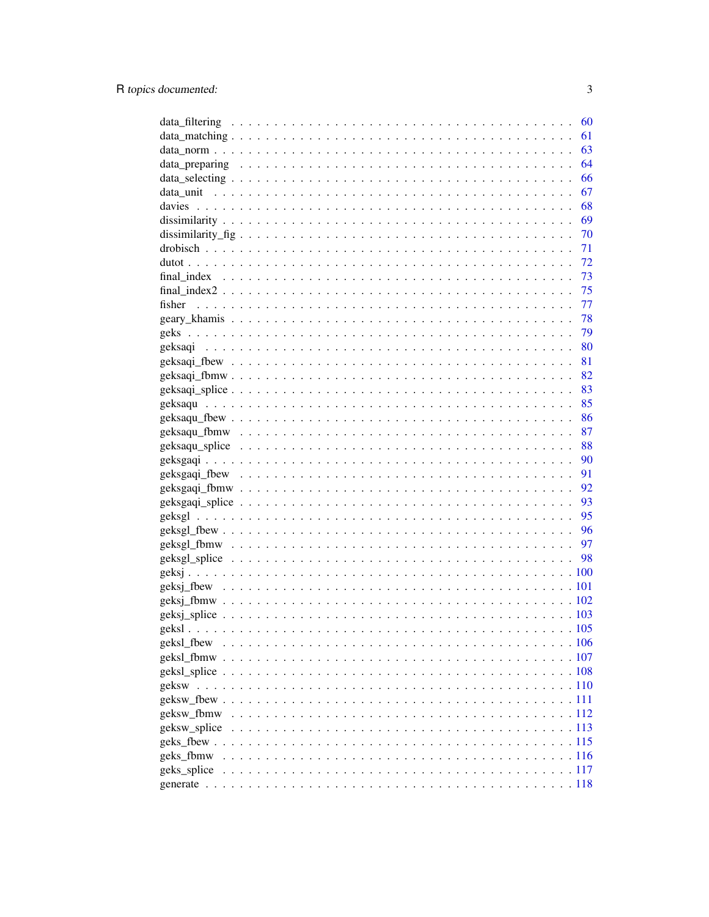|              | 60   |
|--------------|------|
|              | 61   |
|              | 63   |
|              | 64   |
|              | 66   |
|              | 67   |
|              | 68   |
|              | 69   |
|              | - 70 |
|              |      |
|              |      |
|              |      |
|              |      |
| fisher       | 77   |
|              | 78   |
|              | 79   |
|              | 80   |
|              | 81   |
|              | 82   |
|              | 83   |
|              | 85   |
|              | 86   |
|              | 87   |
|              | 88   |
|              | 90   |
|              | 91   |
|              | 92   |
|              | 93   |
|              | 95   |
|              | 96   |
|              | 97   |
|              |      |
|              |      |
|              |      |
|              |      |
|              |      |
|              |      |
|              |      |
|              |      |
|              |      |
|              |      |
|              |      |
| geksw_fbmw   |      |
| geksw_splice |      |
|              |      |
|              |      |
| geks splice  |      |
|              |      |
|              |      |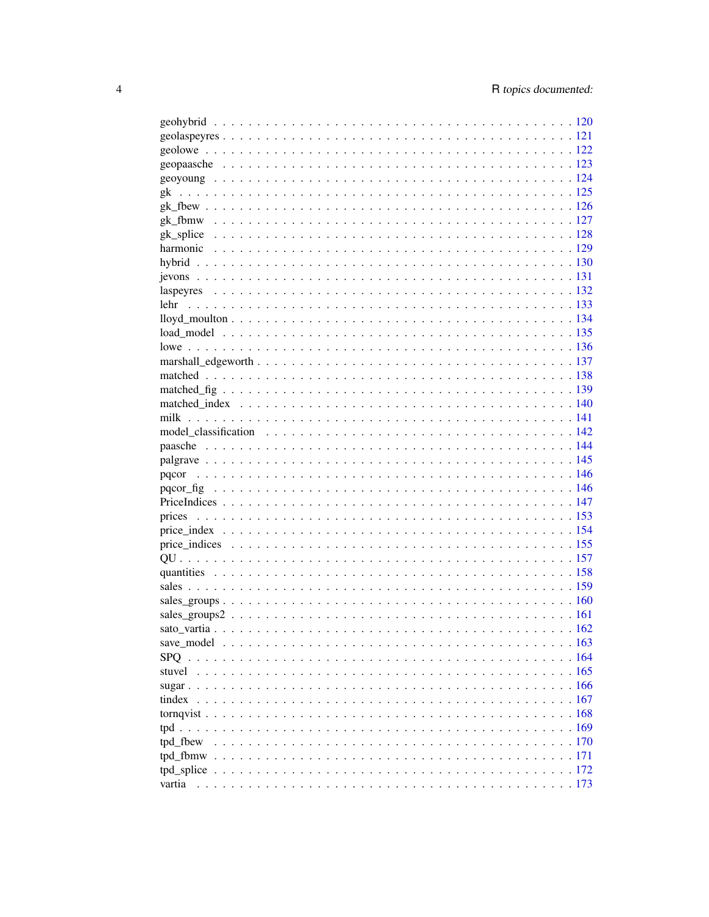| gk       |  |
|----------|--|
|          |  |
|          |  |
|          |  |
|          |  |
|          |  |
|          |  |
|          |  |
|          |  |
|          |  |
|          |  |
|          |  |
|          |  |
|          |  |
|          |  |
|          |  |
|          |  |
|          |  |
|          |  |
|          |  |
|          |  |
|          |  |
|          |  |
|          |  |
|          |  |
|          |  |
|          |  |
|          |  |
|          |  |
|          |  |
|          |  |
|          |  |
|          |  |
|          |  |
|          |  |
|          |  |
|          |  |
|          |  |
|          |  |
| tpd fbew |  |
|          |  |
|          |  |
|          |  |
|          |  |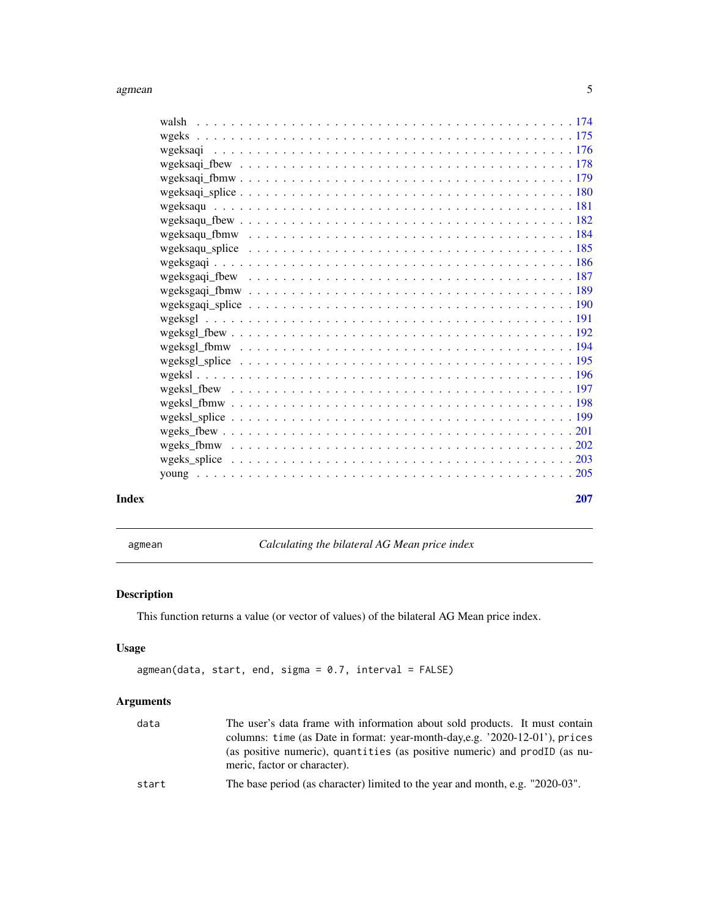#### <span id="page-4-0"></span>agmean 55 and 55 and 55 and 55 and 55 and 55 and 55 and 55 and 55 and 55 and 55 and 55 and 55 and 55 and 55 and 55 and 55 and 55 and 55 and 55 and 55 and 55 and 55 and 55 and 55 and 55 and 55 and 55 and 55 and 55 and 55 an

## **Index** [207](#page-206-0)

agmean *Calculating the bilateral AG Mean price index*

## Description

This function returns a value (or vector of values) of the bilateral AG Mean price index.

## Usage

agmean(data, start, end, sigma = 0.7, interval = FALSE)

| data  | The user's data frame with information about sold products. It must contain                                |
|-------|------------------------------------------------------------------------------------------------------------|
|       | columns: time (as Date in format: year-month-day, e.g. '2020-12-01'), prices                               |
|       | (as positive numeric), quantities (as positive numeric) and prodID (as nu-<br>meric, factor or character). |
| start | The base period (as character) limited to the year and month, e.g. "2020-03".                              |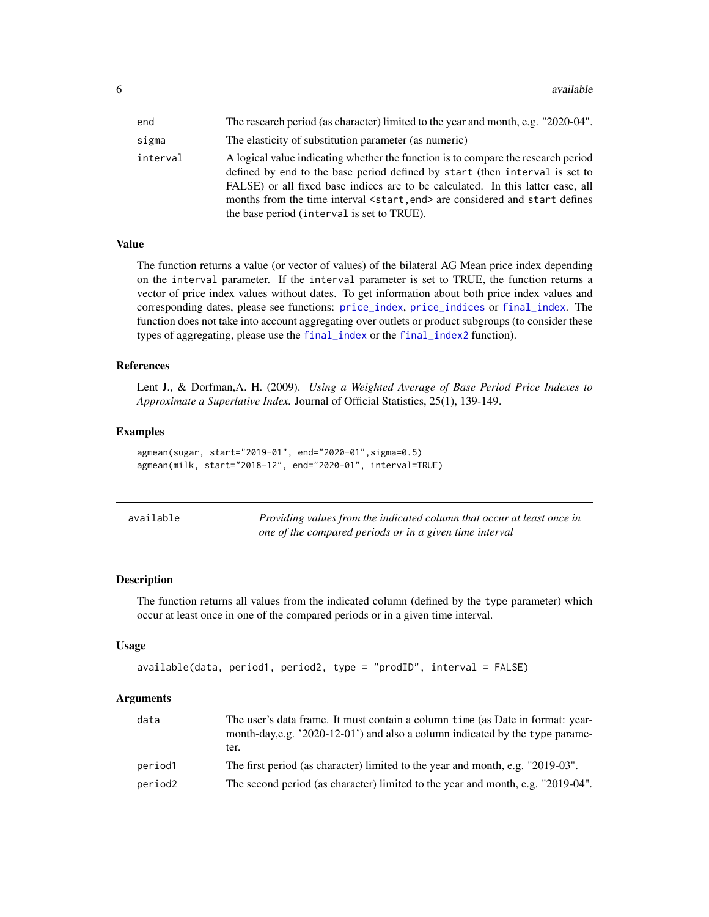<span id="page-5-0"></span>

| end      | The research period (as character) limited to the year and month, e.g. "2020-04".                                                                                                                                                                                                                                                                                                     |
|----------|---------------------------------------------------------------------------------------------------------------------------------------------------------------------------------------------------------------------------------------------------------------------------------------------------------------------------------------------------------------------------------------|
| sigma    | The elasticity of substitution parameter (as numeric)                                                                                                                                                                                                                                                                                                                                 |
| interval | A logical value indicating whether the function is to compare the research period<br>defined by end to the base period defined by start (then interval is set to<br>FALSE) or all fixed base indices are to be calculated. In this latter case, all<br>months from the time interval $\leq$ tart, end> are considered and start defines<br>the base period (interval is set to TRUE). |

## Value

The function returns a value (or vector of values) of the bilateral AG Mean price index depending on the interval parameter. If the interval parameter is set to TRUE, the function returns a vector of price index values without dates. To get information about both price index values and corresponding dates, please see functions: [price\\_index](#page-153-1), [price\\_indices](#page-154-1) or [final\\_index](#page-72-1). The function does not take into account aggregating over outlets or product subgroups (to consider these types of aggregating, please use the [final\\_index](#page-72-1) or the [final\\_index2](#page-74-1) function).

## References

Lent J., & Dorfman,A. H. (2009). *Using a Weighted Average of Base Period Price Indexes to Approximate a Superlative Index.* Journal of Official Statistics, 25(1), 139-149.

## Examples

```
agmean(sugar, start="2019-01", end="2020-01",sigma=0.5)
agmean(milk, start="2018-12", end="2020-01", interval=TRUE)
```

| available | Providing values from the indicated column that occur at least once in |
|-----------|------------------------------------------------------------------------|
|           | one of the compared periods or in a given time interval                |

## Description

The function returns all values from the indicated column (defined by the type parameter) which occur at least once in one of the compared periods or in a given time interval.

#### Usage

```
available(data, period1, period2, type = "prodID", interval = FALSE)
```

| data    | The user's data frame. It must contain a column time (as Date in format: year-<br>month-day, e.g. $2020-12-01$ , and also a column indicated by the type parame-<br>ter. |
|---------|--------------------------------------------------------------------------------------------------------------------------------------------------------------------------|
| period1 | The first period (as character) limited to the year and month, e.g. "2019-03".                                                                                           |
| period2 | The second period (as character) limited to the year and month, e.g. "2019-04".                                                                                          |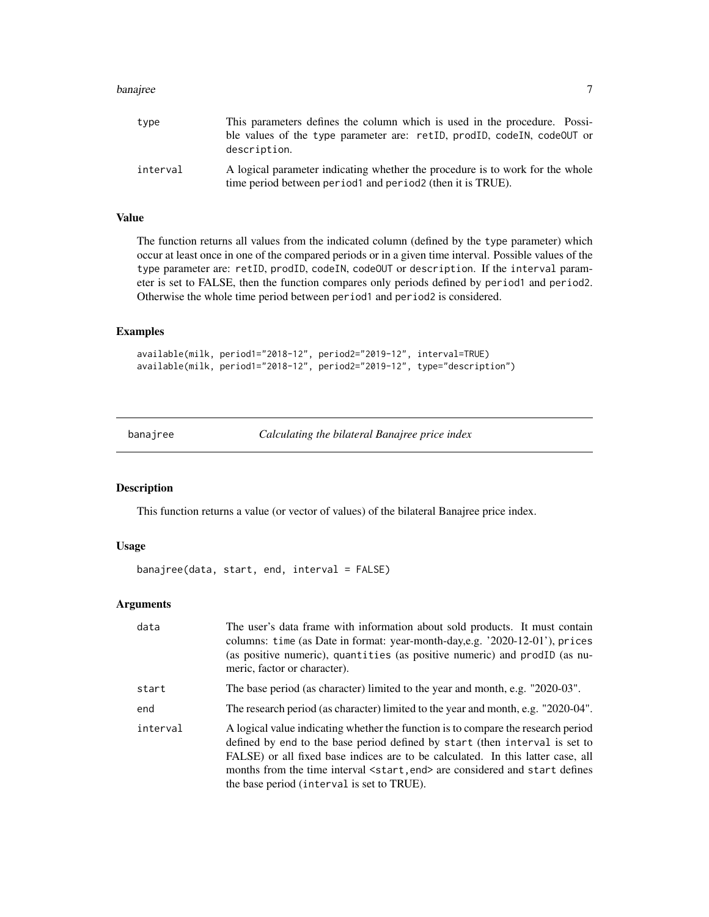#### <span id="page-6-0"></span>banajree 77 metatra. Provinsi 1980 metatra. Provinsi 1980 metatra. Provinsi 1980 metatra. Provinsi 1980 metatr

| type     | This parameters defines the column which is used in the procedure. Possi-<br>ble values of the type parameter are: retID, prodID, codeIN, codeOUT or<br>description. |
|----------|----------------------------------------------------------------------------------------------------------------------------------------------------------------------|
| interval | A logical parameter indicating whether the procedure is to work for the whole<br>time period between period and period 2 (then it is TRUE).                          |

## Value

The function returns all values from the indicated column (defined by the type parameter) which occur at least once in one of the compared periods or in a given time interval. Possible values of the type parameter are: retID, prodID, codeIN, codeOUT or description. If the interval parameter is set to FALSE, then the function compares only periods defined by period1 and period2. Otherwise the whole time period between period1 and period2 is considered.

## Examples

```
available(milk, period1="2018-12", period2="2019-12", interval=TRUE)
available(milk, period1="2018-12", period2="2019-12", type="description")
```
banajree *Calculating the bilateral Banajree price index*

## Description

This function returns a value (or vector of values) of the bilateral Banajree price index.

## Usage

```
banajree(data, start, end, interval = FALSE)
```

| data     | The user's data frame with information about sold products. It must contain<br>columns: time (as Date in format: year-month-day,e.g. '2020-12-01'), prices<br>(as positive numeric), quantities (as positive numeric) and prodID (as nu-<br>meric, factor or character).                                                                                                                      |
|----------|-----------------------------------------------------------------------------------------------------------------------------------------------------------------------------------------------------------------------------------------------------------------------------------------------------------------------------------------------------------------------------------------------|
| start    | The base period (as character) limited to the year and month, e.g. "2020-03".                                                                                                                                                                                                                                                                                                                 |
| end      | The research period (as character) limited to the year and month, e.g. "2020-04".                                                                                                                                                                                                                                                                                                             |
| interval | A logical value indicating whether the function is to compare the research period<br>defined by end to the base period defined by start (then interval is set to<br>FALSE) or all fixed base indices are to be calculated. In this latter case, all<br>months from the time interval <start, end=""> are considered and start defines<br/>the base period (interval is set to TRUE).</start,> |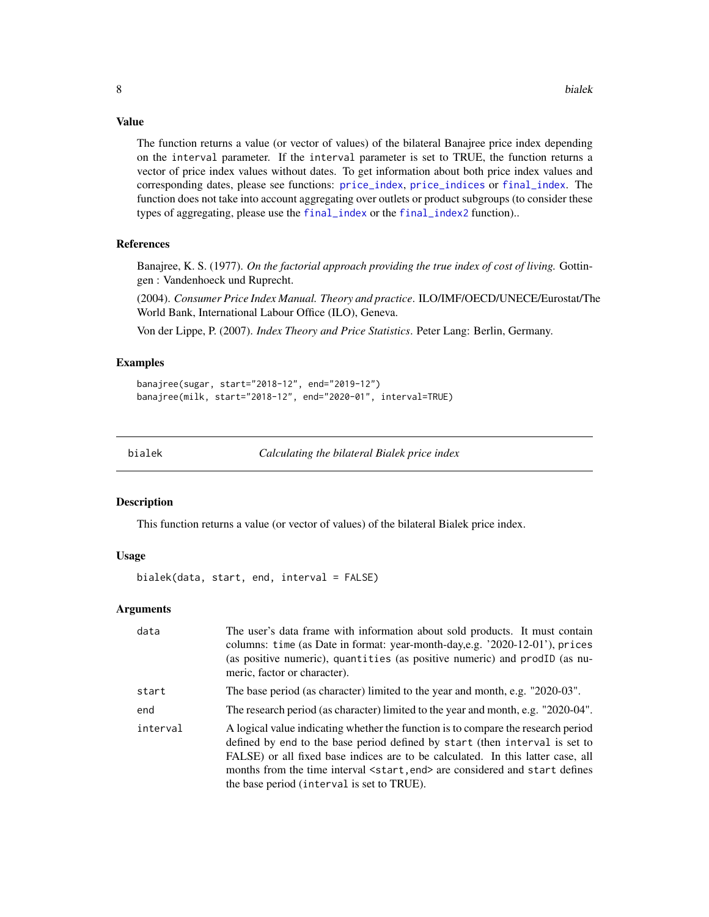## Value

The function returns a value (or vector of values) of the bilateral Banajree price index depending on the interval parameter. If the interval parameter is set to TRUE, the function returns a vector of price index values without dates. To get information about both price index values and corresponding dates, please see functions: [price\\_index](#page-153-1), [price\\_indices](#page-154-1) or [final\\_index](#page-72-1). The function does not take into account aggregating over outlets or product subgroups (to consider these types of aggregating, please use the [final\\_index](#page-72-1) or the [final\\_index2](#page-74-1) function)..

## References

Banajree, K. S. (1977). *On the factorial approach providing the true index of cost of living.* Gottingen : Vandenhoeck und Ruprecht.

(2004). *Consumer Price Index Manual. Theory and practice*. ILO/IMF/OECD/UNECE/Eurostat/The World Bank, International Labour Office (ILO), Geneva.

Von der Lippe, P. (2007). *Index Theory and Price Statistics*. Peter Lang: Berlin, Germany.

## Examples

```
banajree(sugar, start="2018-12", end="2019-12")
banajree(milk, start="2018-12", end="2020-01", interval=TRUE)
```
bialek *Calculating the bilateral Bialek price index*

## Description

This function returns a value (or vector of values) of the bilateral Bialek price index.

## Usage

bialek(data, start, end, interval = FALSE)

| data     | The user's data frame with information about sold products. It must contain<br>columns: time (as Date in format: year-month-day,e.g. '2020-12-01'), prices<br>(as positive numeric), quantities (as positive numeric) and prodID (as nu-<br>meric, factor or character).                                                                                                                      |
|----------|-----------------------------------------------------------------------------------------------------------------------------------------------------------------------------------------------------------------------------------------------------------------------------------------------------------------------------------------------------------------------------------------------|
| start    | The base period (as character) limited to the year and month, e.g. "2020-03".                                                                                                                                                                                                                                                                                                                 |
| end      | The research period (as character) limited to the year and month, e.g. "2020-04".                                                                                                                                                                                                                                                                                                             |
| interval | A logical value indicating whether the function is to compare the research period<br>defined by end to the base period defined by start (then interval is set to<br>FALSE) or all fixed base indices are to be calculated. In this latter case, all<br>months from the time interval <start, end=""> are considered and start defines<br/>the base period (interval is set to TRUE).</start,> |

<span id="page-7-0"></span>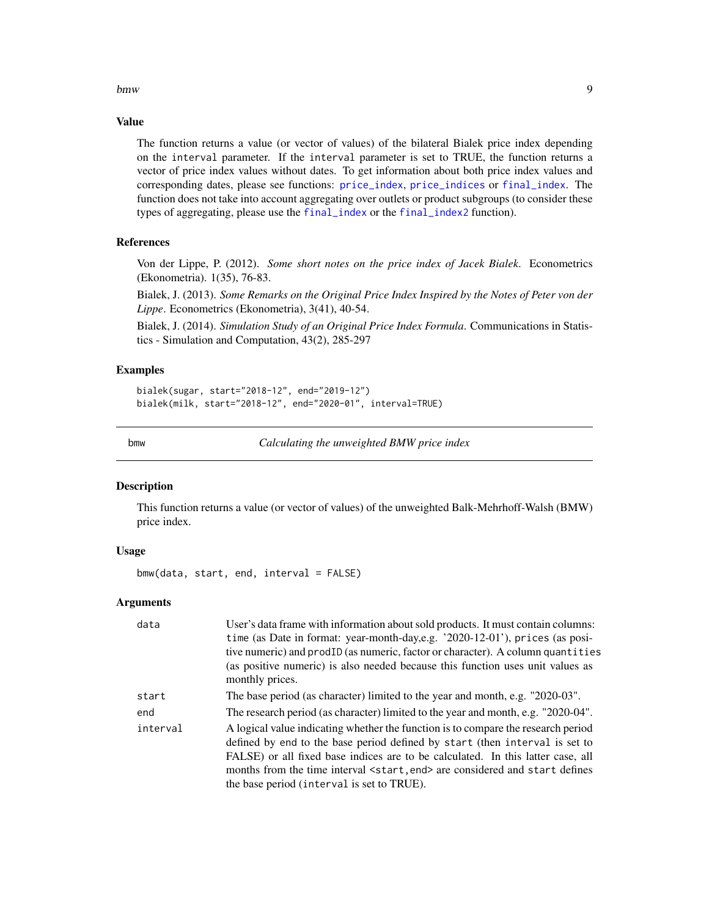#### <span id="page-8-0"></span>bmw 9

## Value

The function returns a value (or vector of values) of the bilateral Bialek price index depending on the interval parameter. If the interval parameter is set to TRUE, the function returns a vector of price index values without dates. To get information about both price index values and corresponding dates, please see functions: [price\\_index](#page-153-1), [price\\_indices](#page-154-1) or [final\\_index](#page-72-1). The function does not take into account aggregating over outlets or product subgroups (to consider these types of aggregating, please use the [final\\_index](#page-72-1) or the [final\\_index2](#page-74-1) function).

## References

Von der Lippe, P. (2012). *Some short notes on the price index of Jacek Bialek*. Econometrics (Ekonometria). 1(35), 76-83.

Bialek, J. (2013). *Some Remarks on the Original Price Index Inspired by the Notes of Peter von der Lippe*. Econometrics (Ekonometria), 3(41), 40-54.

Bialek, J. (2014). *Simulation Study of an Original Price Index Formula*. Communications in Statistics - Simulation and Computation, 43(2), 285-297

## Examples

```
bialek(sugar, start="2018-12", end="2019-12")
bialek(milk, start="2018-12", end="2020-01", interval=TRUE)
```
bmw *Calculating the unweighted BMW price index*

## **Description**

This function returns a value (or vector of values) of the unweighted Balk-Mehrhoff-Walsh (BMW) price index.

## Usage

bmw(data, start, end, interval = FALSE)

| data     | User's data frame with information about sold products. It must contain columns:<br>time (as Date in format: year-month-day, e.g. '2020-12-01'), prices (as posi-<br>tive numeric) and prodID (as numeric, factor or character). A column quantities<br>(as positive numeric) is also needed because this function uses unit values as<br>monthly prices.                                     |
|----------|-----------------------------------------------------------------------------------------------------------------------------------------------------------------------------------------------------------------------------------------------------------------------------------------------------------------------------------------------------------------------------------------------|
| start    | The base period (as character) limited to the year and month, e.g. "2020-03".                                                                                                                                                                                                                                                                                                                 |
| end      | The research period (as character) limited to the year and month, e.g. "2020-04".                                                                                                                                                                                                                                                                                                             |
| interval | A logical value indicating whether the function is to compare the research period<br>defined by end to the base period defined by start (then interval is set to<br>FALSE) or all fixed base indices are to be calculated. In this latter case, all<br>months from the time interval <start, end=""> are considered and start defines<br/>the base period (interval is set to TRUE).</start,> |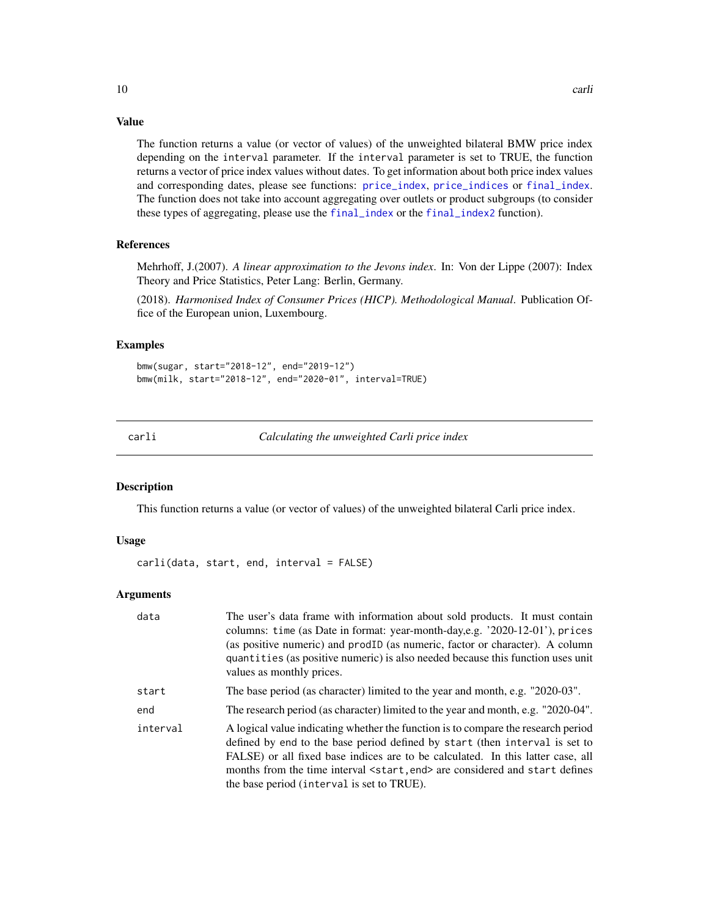<span id="page-9-0"></span>The function returns a value (or vector of values) of the unweighted bilateral BMW price index depending on the interval parameter. If the interval parameter is set to TRUE, the function returns a vector of price index values without dates. To get information about both price index values and corresponding dates, please see functions: [price\\_index](#page-153-1), [price\\_indices](#page-154-1) or [final\\_index](#page-72-1). The function does not take into account aggregating over outlets or product subgroups (to consider these types of aggregating, please use the [final\\_index](#page-72-1) or the [final\\_index2](#page-74-1) function).

#### References

Mehrhoff, J.(2007). *A linear approximation to the Jevons index*. In: Von der Lippe (2007): Index Theory and Price Statistics, Peter Lang: Berlin, Germany.

(2018). *Harmonised Index of Consumer Prices (HICP). Methodological Manual*. Publication Office of the European union, Luxembourg.

#### Examples

```
bmw(sugar, start="2018-12", end="2019-12")
bmw(milk, start="2018-12", end="2020-01", interval=TRUE)
```
carli *Calculating the unweighted Carli price index*

## Description

This function returns a value (or vector of values) of the unweighted bilateral Carli price index.

## Usage

carli(data, start, end, interval = FALSE)

| data     | The user's data frame with information about sold products. It must contain<br>columns: time (as Date in format: year-month-day,e.g. '2020-12-01'), prices<br>(as positive numeric) and prodID (as numeric, factor or character). A column<br>quantities (as positive numeric) is also needed because this function uses unit<br>values as monthly prices.                                    |
|----------|-----------------------------------------------------------------------------------------------------------------------------------------------------------------------------------------------------------------------------------------------------------------------------------------------------------------------------------------------------------------------------------------------|
| start    | The base period (as character) limited to the year and month, e.g. "2020-03".                                                                                                                                                                                                                                                                                                                 |
| end      | The research period (as character) limited to the year and month, e.g. "2020-04".                                                                                                                                                                                                                                                                                                             |
| interval | A logical value indicating whether the function is to compare the research period<br>defined by end to the base period defined by start (then interval is set to<br>FALSE) or all fixed base indices are to be calculated. In this latter case, all<br>months from the time interval <start, end=""> are considered and start defines<br/>the base period (interval is set to TRUE).</start,> |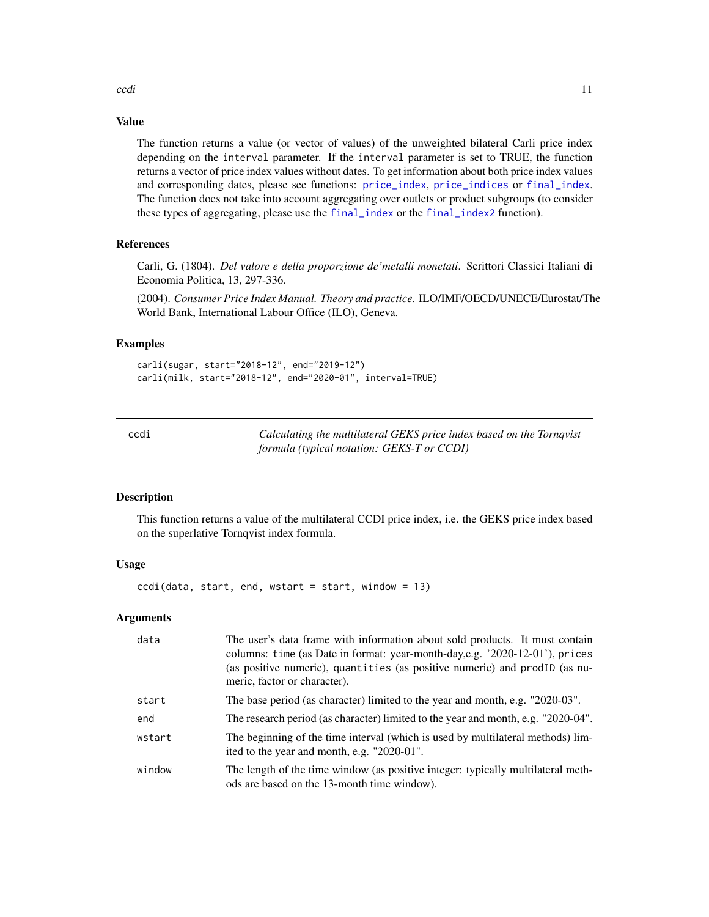#### <span id="page-10-0"></span>ccdi and the contract of the contract of the contract of the contract of the contract of the contract of the contract of the contract of the contract of the contract of the contract of the contract of the contract of the c

## Value

The function returns a value (or vector of values) of the unweighted bilateral Carli price index depending on the interval parameter. If the interval parameter is set to TRUE, the function returns a vector of price index values without dates. To get information about both price index values and corresponding dates, please see functions: [price\\_index](#page-153-1), [price\\_indices](#page-154-1) or [final\\_index](#page-72-1). The function does not take into account aggregating over outlets or product subgroups (to consider these types of aggregating, please use the [final\\_index](#page-72-1) or the [final\\_index2](#page-74-1) function).

## References

Carli, G. (1804). *Del valore e della proporzione de'metalli monetati*. Scrittori Classici Italiani di Economia Politica, 13, 297-336.

(2004). *Consumer Price Index Manual. Theory and practice*. ILO/IMF/OECD/UNECE/Eurostat/The World Bank, International Labour Office (ILO), Geneva.

## Examples

```
carli(sugar, start="2018-12", end="2019-12")
carli(milk, start="2018-12", end="2020-01", interval=TRUE)
```
ccdi *Calculating the multilateral GEKS price index based on the Tornqvist formula (typical notation: GEKS-T or CCDI)*

#### Description

This function returns a value of the multilateral CCDI price index, i.e. the GEKS price index based on the superlative Tornqvist index formula.

## Usage

 $ccdi(data, start, end, wstart = start, window = 13)$ 

| data   | The user's data frame with information about sold products. It must contain<br>columns: time (as Date in format: year-month-day,e.g. '2020-12-01'), prices<br>(as positive numeric), quantities (as positive numeric) and prodID (as nu-<br>meric, factor or character). |
|--------|--------------------------------------------------------------------------------------------------------------------------------------------------------------------------------------------------------------------------------------------------------------------------|
| start  | The base period (as character) limited to the year and month, e.g. "2020-03".                                                                                                                                                                                            |
| end    | The research period (as character) limited to the year and month, e.g. "2020-04".                                                                                                                                                                                        |
| wstart | The beginning of the time interval (which is used by multilateral methods) lim-<br>ited to the year and month, e.g. "2020-01".                                                                                                                                           |
| window | The length of the time window (as positive integer: typically multilateral meth-<br>ods are based on the 13-month time window).                                                                                                                                          |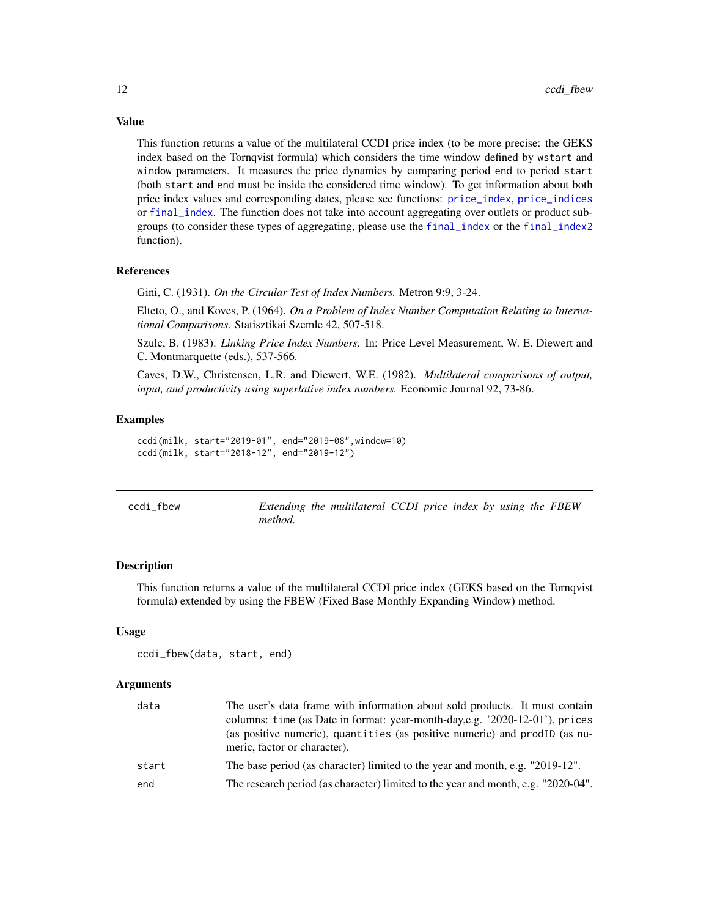This function returns a value of the multilateral CCDI price index (to be more precise: the GEKS index based on the Tornqvist formula) which considers the time window defined by wstart and window parameters. It measures the price dynamics by comparing period end to period start (both start and end must be inside the considered time window). To get information about both price index values and corresponding dates, please see functions: [price\\_index](#page-153-1), [price\\_indices](#page-154-1) or [final\\_index](#page-72-1). The function does not take into account aggregating over outlets or product subgroups (to consider these types of aggregating, please use the [final\\_index](#page-72-1) or the [final\\_index2](#page-74-1) function).

#### References

Gini, C. (1931). *On the Circular Test of Index Numbers.* Metron 9:9, 3-24.

Elteto, O., and Koves, P. (1964). *On a Problem of Index Number Computation Relating to International Comparisons.* Statisztikai Szemle 42, 507-518.

Szulc, B. (1983). *Linking Price Index Numbers.* In: Price Level Measurement, W. E. Diewert and C. Montmarquette (eds.), 537-566.

Caves, D.W., Christensen, L.R. and Diewert, W.E. (1982). *Multilateral comparisons of output, input, and productivity using superlative index numbers.* Economic Journal 92, 73-86.

## Examples

```
ccdi(milk, start="2019-01", end="2019-08",window=10)
ccdi(milk, start="2018-12", end="2019-12")
```

| ccdi fbew |         | Extending the multilateral CCDI price index by using the FBEW |  |  |  |  |
|-----------|---------|---------------------------------------------------------------|--|--|--|--|
|           | method. |                                                               |  |  |  |  |

## Description

This function returns a value of the multilateral CCDI price index (GEKS based on the Tornqvist formula) extended by using the FBEW (Fixed Base Monthly Expanding Window) method.

## Usage

```
ccdi_fbew(data, start, end)
```
## Arguments

| data  | The user's data frame with information about sold products. It must contain<br>columns: time (as Date in format: year-month-day, e.g. '2020-12-01'), prices<br>(as positive numeric), quantities (as positive numeric) and prodID (as nu-<br>meric, factor or character). |
|-------|---------------------------------------------------------------------------------------------------------------------------------------------------------------------------------------------------------------------------------------------------------------------------|
| start | The base period (as character) limited to the year and month, e.g. "2019-12".                                                                                                                                                                                             |
| end   | The research period (as character) limited to the year and month, e.g. "2020-04".                                                                                                                                                                                         |

<span id="page-11-0"></span>

## Value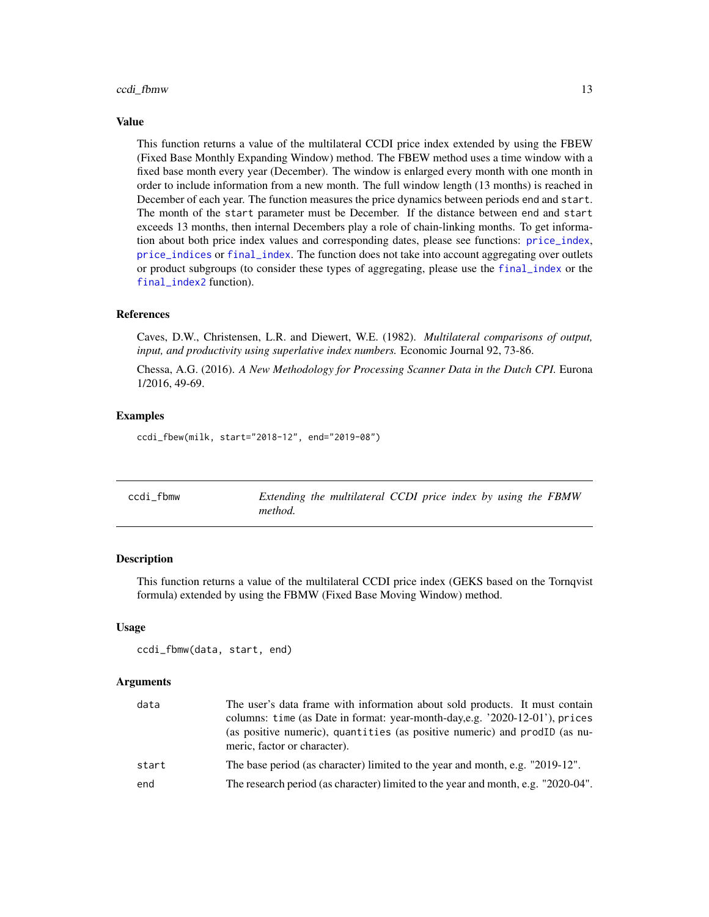#### <span id="page-12-0"></span>Value

This function returns a value of the multilateral CCDI price index extended by using the FBEW (Fixed Base Monthly Expanding Window) method. The FBEW method uses a time window with a fixed base month every year (December). The window is enlarged every month with one month in order to include information from a new month. The full window length (13 months) is reached in December of each year. The function measures the price dynamics between periods end and start. The month of the start parameter must be December. If the distance between end and start exceeds 13 months, then internal Decembers play a role of chain-linking months. To get information about both price index values and corresponding dates, please see functions: [price\\_index](#page-153-1), [price\\_indices](#page-154-1) or [final\\_index](#page-72-1). The function does not take into account aggregating over outlets or product subgroups (to consider these types of aggregating, please use the [final\\_index](#page-72-1) or the [final\\_index2](#page-74-1) function).

## References

Caves, D.W., Christensen, L.R. and Diewert, W.E. (1982). *Multilateral comparisons of output, input, and productivity using superlative index numbers.* Economic Journal 92, 73-86.

Chessa, A.G. (2016). *A New Methodology for Processing Scanner Data in the Dutch CPI.* Eurona 1/2016, 49-69.

## Examples

ccdi\_fbew(milk, start="2018-12", end="2019-08")

| ccdi fbmw | Extending the multilateral CCDI price index by using the FBMW |  |  |  |
|-----------|---------------------------------------------------------------|--|--|--|
|           | method.                                                       |  |  |  |

## Description

This function returns a value of the multilateral CCDI price index (GEKS based on the Tornqvist formula) extended by using the FBMW (Fixed Base Moving Window) method.

## Usage

```
ccdi_fbmw(data, start, end)
```

| data  | The user's data frame with information about sold products. It must contain<br>columns: time (as Date in format: year-month-day,e.g. '2020-12-01'), prices<br>(as positive numeric), quantities (as positive numeric) and prodID (as nu-<br>meric, factor or character). |
|-------|--------------------------------------------------------------------------------------------------------------------------------------------------------------------------------------------------------------------------------------------------------------------------|
| start | The base period (as character) limited to the year and month, e.g. "2019-12".                                                                                                                                                                                            |
| end   | The research period (as character) limited to the year and month, e.g. "2020-04".                                                                                                                                                                                        |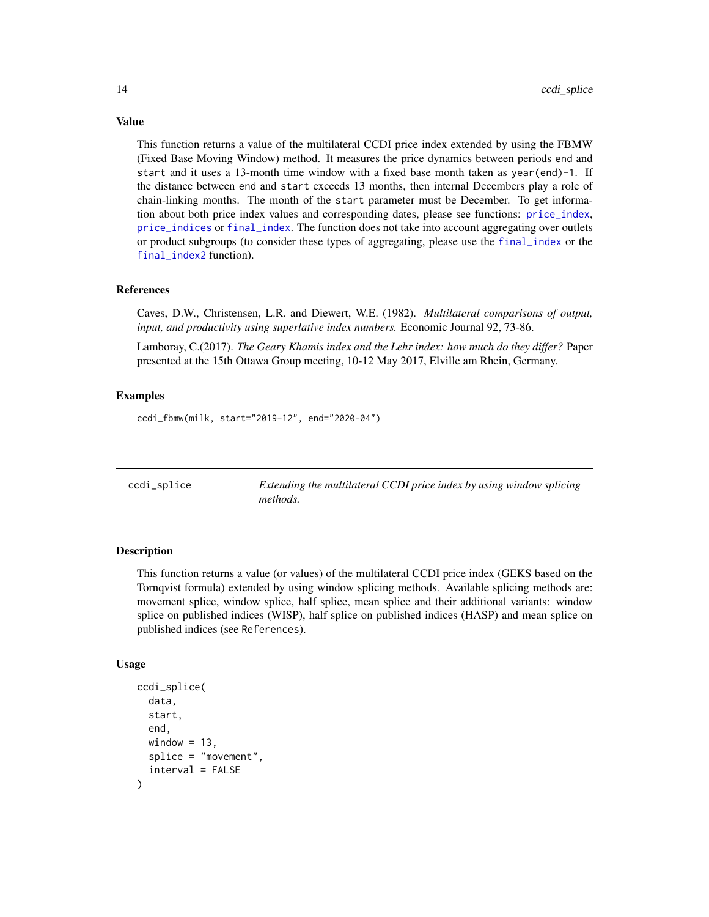This function returns a value of the multilateral CCDI price index extended by using the FBMW (Fixed Base Moving Window) method. It measures the price dynamics between periods end and start and it uses a 13-month time window with a fixed base month taken as year(end)-1. If the distance between end and start exceeds 13 months, then internal Decembers play a role of chain-linking months. The month of the start parameter must be December. To get information about both price index values and corresponding dates, please see functions: [price\\_index](#page-153-1), [price\\_indices](#page-154-1) or [final\\_index](#page-72-1). The function does not take into account aggregating over outlets or product subgroups (to consider these types of aggregating, please use the [final\\_index](#page-72-1) or the [final\\_index2](#page-74-1) function).

#### References

Caves, D.W., Christensen, L.R. and Diewert, W.E. (1982). *Multilateral comparisons of output, input, and productivity using superlative index numbers.* Economic Journal 92, 73-86.

Lamboray, C.(2017). *The Geary Khamis index and the Lehr index: how much do they differ?* Paper presented at the 15th Ottawa Group meeting, 10-12 May 2017, Elville am Rhein, Germany.

## Examples

ccdi\_fbmw(milk, start="2019-12", end="2020-04")

| ccdi_splice | Extending the multilateral CCDI price index by using window splicing |
|-------------|----------------------------------------------------------------------|
|             | <i>methods.</i>                                                      |

## Description

This function returns a value (or values) of the multilateral CCDI price index (GEKS based on the Tornqvist formula) extended by using window splicing methods. Available splicing methods are: movement splice, window splice, half splice, mean splice and their additional variants: window splice on published indices (WISP), half splice on published indices (HASP) and mean splice on published indices (see References).

## Usage

```
ccdi_splice(
  data,
  start,
  end,
  window = 13,
  splice = "movement",
  interval = FALSE
)
```
<span id="page-13-0"></span>

## Value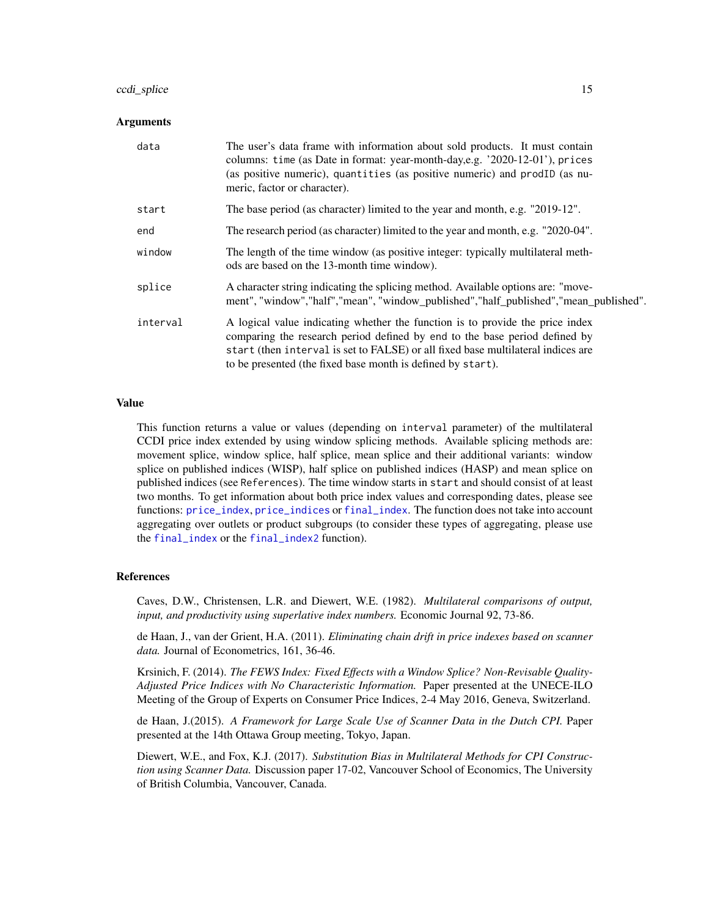#### ccdi\_splice 15

## Arguments

| data     | The user's data frame with information about sold products. It must contain<br>columns: time (as Date in format: year-month-day, e.g. '2020-12-01'), prices<br>(as positive numeric), quantities (as positive numeric) and prodID (as nu-<br>meric, factor or character).                                      |
|----------|----------------------------------------------------------------------------------------------------------------------------------------------------------------------------------------------------------------------------------------------------------------------------------------------------------------|
| start    | The base period (as character) limited to the year and month, e.g. "2019-12".                                                                                                                                                                                                                                  |
| end      | The research period (as character) limited to the year and month, e.g. "2020-04".                                                                                                                                                                                                                              |
| window   | The length of the time window (as positive integer: typically multilateral meth-<br>ods are based on the 13-month time window).                                                                                                                                                                                |
| splice   | A character string indicating the splicing method. Available options are: "move-<br>ment", "window", "half", "mean", "window_published", "half_published", "mean_published".                                                                                                                                   |
| interval | A logical value indicating whether the function is to provide the price index<br>comparing the research period defined by end to the base period defined by<br>start (then interval is set to FALSE) or all fixed base multilateral indices are<br>to be presented (the fixed base month is defined by start). |

## Value

This function returns a value or values (depending on interval parameter) of the multilateral CCDI price index extended by using window splicing methods. Available splicing methods are: movement splice, window splice, half splice, mean splice and their additional variants: window splice on published indices (WISP), half splice on published indices (HASP) and mean splice on published indices (see References). The time window starts in start and should consist of at least two months. To get information about both price index values and corresponding dates, please see functions: [price\\_index](#page-153-1), [price\\_indices](#page-154-1) or [final\\_index](#page-72-1). The function does not take into account aggregating over outlets or product subgroups (to consider these types of aggregating, please use the [final\\_index](#page-72-1) or the [final\\_index2](#page-74-1) function).

#### References

Caves, D.W., Christensen, L.R. and Diewert, W.E. (1982). *Multilateral comparisons of output, input, and productivity using superlative index numbers.* Economic Journal 92, 73-86.

de Haan, J., van der Grient, H.A. (2011). *Eliminating chain drift in price indexes based on scanner data.* Journal of Econometrics, 161, 36-46.

Krsinich, F. (2014). *The FEWS Index: Fixed Effects with a Window Splice? Non-Revisable Quality-Adjusted Price Indices with No Characteristic Information.* Paper presented at the UNECE-ILO Meeting of the Group of Experts on Consumer Price Indices, 2-4 May 2016, Geneva, Switzerland.

de Haan, J.(2015). *A Framework for Large Scale Use of Scanner Data in the Dutch CPI.* Paper presented at the 14th Ottawa Group meeting, Tokyo, Japan.

Diewert, W.E., and Fox, K.J. (2017). *Substitution Bias in Multilateral Methods for CPI Construction using Scanner Data.* Discussion paper 17-02, Vancouver School of Economics, The University of British Columbia, Vancouver, Canada.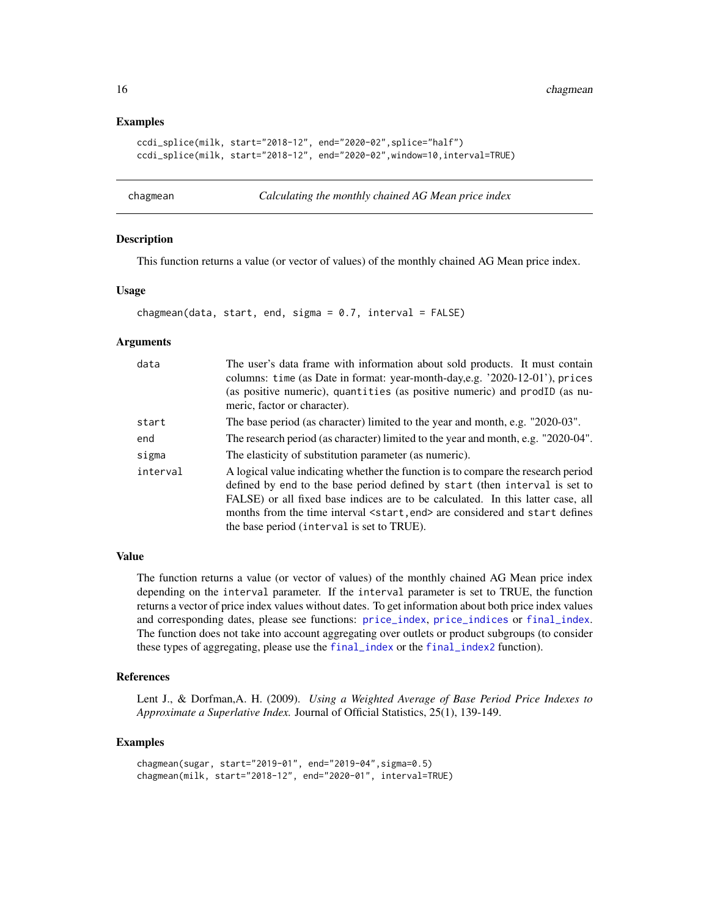<span id="page-15-0"></span>16 chagmean channels are the chagmean chagmean chagmean chagmean chagmean chagmean chagmean chagmean chagmean

## Examples

```
ccdi_splice(milk, start="2018-12", end="2020-02",splice="half")
ccdi_splice(milk, start="2018-12", end="2020-02",window=10,interval=TRUE)
```
chagmean *Calculating the monthly chained AG Mean price index*

## Description

This function returns a value (or vector of values) of the monthly chained AG Mean price index.

## Usage

```
chagmean(data, start, end, sigma = 0.7, interval = FALSE)
```
#### **Arguments**

| data     | The user's data frame with information about sold products. It must contain<br>columns: time (as Date in format: year-month-day,e.g. '2020-12-01'), prices<br>(as positive numeric), quantities (as positive numeric) and prodID (as nu-<br>meric, factor or character).                                                                                                              |
|----------|---------------------------------------------------------------------------------------------------------------------------------------------------------------------------------------------------------------------------------------------------------------------------------------------------------------------------------------------------------------------------------------|
| start    | The base period (as character) limited to the year and month, e.g. "2020-03".                                                                                                                                                                                                                                                                                                         |
| end      | The research period (as character) limited to the year and month, e.g. "2020-04".                                                                                                                                                                                                                                                                                                     |
| sigma    | The elasticity of substitution parameter (as numeric).                                                                                                                                                                                                                                                                                                                                |
| interval | A logical value indicating whether the function is to compare the research period<br>defined by end to the base period defined by start (then interval is set to<br>FALSE) or all fixed base indices are to be calculated. In this latter case, all<br>months from the time interval $\leq$ tart, end> are considered and start defines<br>the base period (interval is set to TRUE). |

## Value

The function returns a value (or vector of values) of the monthly chained AG Mean price index depending on the interval parameter. If the interval parameter is set to TRUE, the function returns a vector of price index values without dates. To get information about both price index values and corresponding dates, please see functions: [price\\_index](#page-153-1), [price\\_indices](#page-154-1) or [final\\_index](#page-72-1). The function does not take into account aggregating over outlets or product subgroups (to consider these types of aggregating, please use the [final\\_index](#page-72-1) or the [final\\_index2](#page-74-1) function).

## References

Lent J., & Dorfman,A. H. (2009). *Using a Weighted Average of Base Period Price Indexes to Approximate a Superlative Index.* Journal of Official Statistics, 25(1), 139-149.

```
chagmean(sugar, start="2019-01", end="2019-04",sigma=0.5)
chagmean(milk, start="2018-12", end="2020-01", interval=TRUE)
```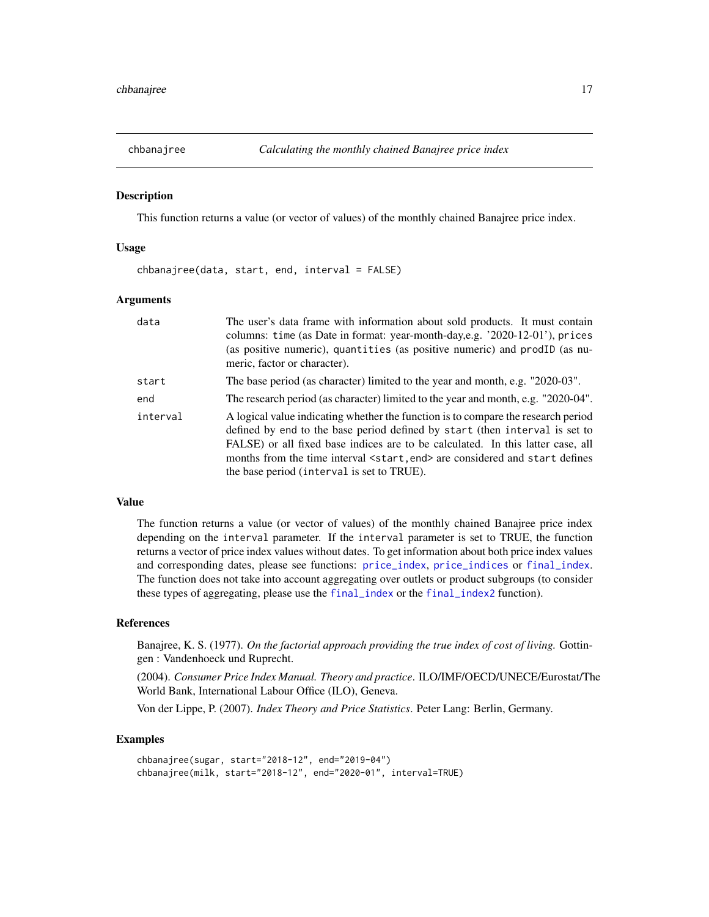<span id="page-16-0"></span>

This function returns a value (or vector of values) of the monthly chained Banajree price index.

## Usage

chbanajree(data, start, end, interval = FALSE)

## Arguments

| data     | The user's data frame with information about sold products. It must contain<br>columns: time (as Date in format: year-month-day, e.g. '2020-12-01'), prices<br>(as positive numeric), quantities (as positive numeric) and prodID (as nu-<br>meric, factor or character).                                                                                                                     |
|----------|-----------------------------------------------------------------------------------------------------------------------------------------------------------------------------------------------------------------------------------------------------------------------------------------------------------------------------------------------------------------------------------------------|
| start    | The base period (as character) limited to the year and month, e.g. "2020-03".                                                                                                                                                                                                                                                                                                                 |
| end      | The research period (as character) limited to the year and month, e.g. "2020-04".                                                                                                                                                                                                                                                                                                             |
| interval | A logical value indicating whether the function is to compare the research period<br>defined by end to the base period defined by start (then interval is set to<br>FALSE) or all fixed base indices are to be calculated. In this latter case, all<br>months from the time interval <start, end=""> are considered and start defines<br/>the base period (interval is set to TRUE).</start,> |

## Value

The function returns a value (or vector of values) of the monthly chained Banajree price index depending on the interval parameter. If the interval parameter is set to TRUE, the function returns a vector of price index values without dates. To get information about both price index values and corresponding dates, please see functions: [price\\_index](#page-153-1), [price\\_indices](#page-154-1) or [final\\_index](#page-72-1). The function does not take into account aggregating over outlets or product subgroups (to consider these types of aggregating, please use the [final\\_index](#page-72-1) or the [final\\_index2](#page-74-1) function).

## References

Banajree, K. S. (1977). *On the factorial approach providing the true index of cost of living.* Gottingen : Vandenhoeck und Ruprecht.

(2004). *Consumer Price Index Manual. Theory and practice*. ILO/IMF/OECD/UNECE/Eurostat/The World Bank, International Labour Office (ILO), Geneva.

Von der Lippe, P. (2007). *Index Theory and Price Statistics*. Peter Lang: Berlin, Germany.

```
chbanajree(sugar, start="2018-12", end="2019-04")
chbanajree(milk, start="2018-12", end="2020-01", interval=TRUE)
```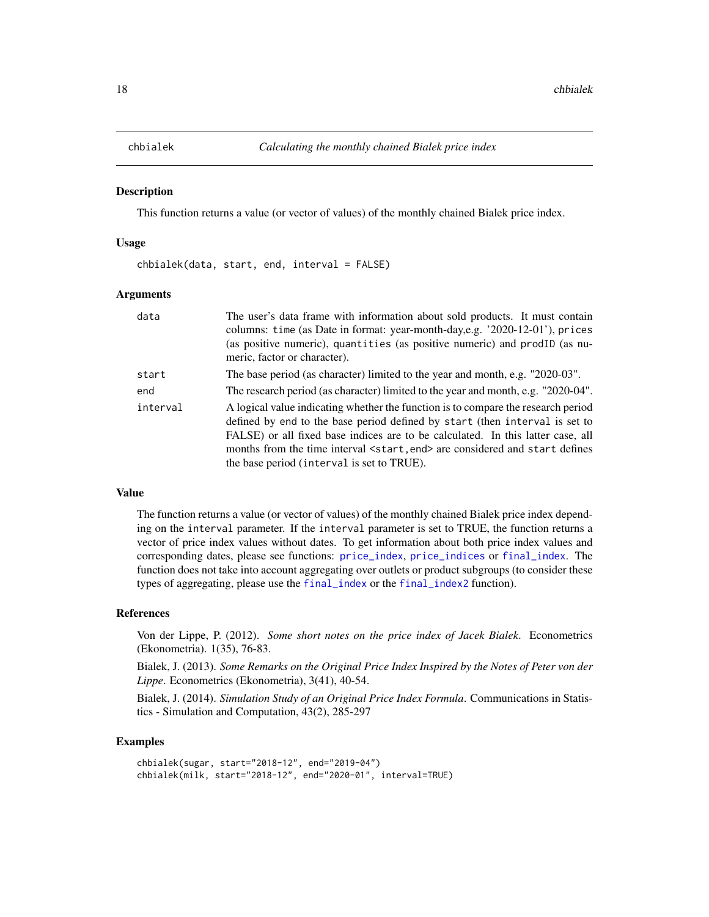<span id="page-17-0"></span>

This function returns a value (or vector of values) of the monthly chained Bialek price index.

## Usage

chbialek(data, start, end, interval = FALSE)

## **Arguments**

| data     | The user's data frame with information about sold products. It must contain<br>columns: time (as Date in format: year-month-day,e.g. '2020-12-01'), prices<br>(as positive numeric), quantities (as positive numeric) and prodID (as nu-<br>meric, factor or character).                                                                                                                      |
|----------|-----------------------------------------------------------------------------------------------------------------------------------------------------------------------------------------------------------------------------------------------------------------------------------------------------------------------------------------------------------------------------------------------|
| start    | The base period (as character) limited to the year and month, e.g. "2020-03".                                                                                                                                                                                                                                                                                                                 |
| end      | The research period (as character) limited to the year and month, e.g. "2020-04".                                                                                                                                                                                                                                                                                                             |
| interval | A logical value indicating whether the function is to compare the research period<br>defined by end to the base period defined by start (then interval is set to<br>FALSE) or all fixed base indices are to be calculated. In this latter case, all<br>months from the time interval <start, end=""> are considered and start defines<br/>the base period (interval is set to TRUE).</start,> |

## Value

The function returns a value (or vector of values) of the monthly chained Bialek price index depending on the interval parameter. If the interval parameter is set to TRUE, the function returns a vector of price index values without dates. To get information about both price index values and corresponding dates, please see functions: [price\\_index](#page-153-1), [price\\_indices](#page-154-1) or [final\\_index](#page-72-1). The function does not take into account aggregating over outlets or product subgroups (to consider these types of aggregating, please use the [final\\_index](#page-72-1) or the [final\\_index2](#page-74-1) function).

#### References

Von der Lippe, P. (2012). *Some short notes on the price index of Jacek Bialek*. Econometrics (Ekonometria). 1(35), 76-83.

Bialek, J. (2013). *Some Remarks on the Original Price Index Inspired by the Notes of Peter von der Lippe*. Econometrics (Ekonometria), 3(41), 40-54.

Bialek, J. (2014). *Simulation Study of an Original Price Index Formula*. Communications in Statistics - Simulation and Computation, 43(2), 285-297

```
chbialek(sugar, start="2018-12", end="2019-04")
chbialek(milk, start="2018-12", end="2020-01", interval=TRUE)
```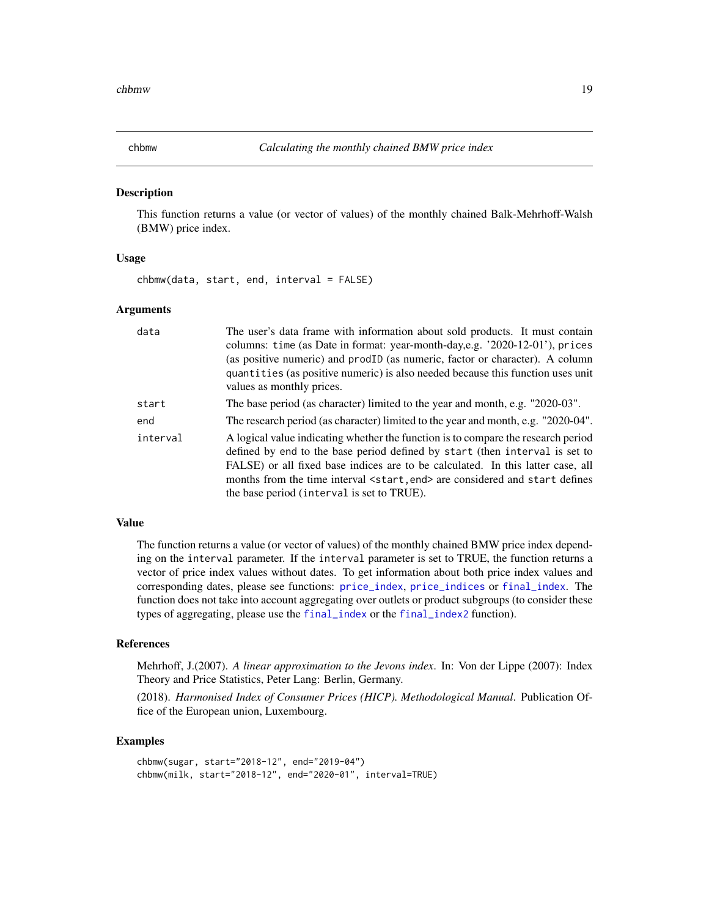<span id="page-18-0"></span>

This function returns a value (or vector of values) of the monthly chained Balk-Mehrhoff-Walsh (BMW) price index.

## Usage

chbmw(data, start, end, interval = FALSE)

## Arguments

| data     | The user's data frame with information about sold products. It must contain<br>columns: time (as Date in format: year-month-day, e.g. '2020-12-01'), prices<br>(as positive numeric) and prodID (as numeric, factor or character). A column<br>quantities (as positive numeric) is also needed because this function uses unit<br>values as monthly prices.                           |
|----------|---------------------------------------------------------------------------------------------------------------------------------------------------------------------------------------------------------------------------------------------------------------------------------------------------------------------------------------------------------------------------------------|
| start    | The base period (as character) limited to the year and month, e.g. "2020-03".                                                                                                                                                                                                                                                                                                         |
| end      | The research period (as character) limited to the year and month, e.g. "2020-04".                                                                                                                                                                                                                                                                                                     |
| interval | A logical value indicating whether the function is to compare the research period<br>defined by end to the base period defined by start (then interval is set to<br>FALSE) or all fixed base indices are to be calculated. In this latter case, all<br>months from the time interval $\leq$ tart, end> are considered and start defines<br>the base period (interval is set to TRUE). |

## Value

The function returns a value (or vector of values) of the monthly chained BMW price index depending on the interval parameter. If the interval parameter is set to TRUE, the function returns a vector of price index values without dates. To get information about both price index values and corresponding dates, please see functions: [price\\_index](#page-153-1), [price\\_indices](#page-154-1) or [final\\_index](#page-72-1). The function does not take into account aggregating over outlets or product subgroups (to consider these types of aggregating, please use the [final\\_index](#page-72-1) or the [final\\_index2](#page-74-1) function).

## References

Mehrhoff, J.(2007). *A linear approximation to the Jevons index*. In: Von der Lippe (2007): Index Theory and Price Statistics, Peter Lang: Berlin, Germany.

(2018). *Harmonised Index of Consumer Prices (HICP). Methodological Manual*. Publication Office of the European union, Luxembourg.

```
chbmw(sugar, start="2018-12", end="2019-04")
chbmw(milk, start="2018-12", end="2020-01", interval=TRUE)
```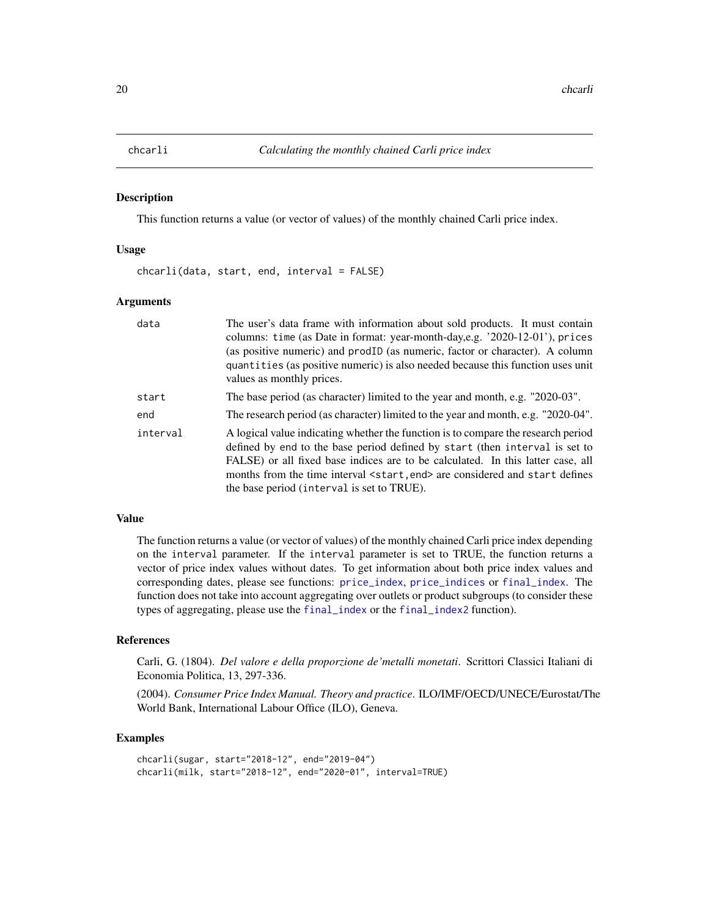<span id="page-19-0"></span>

This function returns a value (or vector of values) of the monthly chained Carli price index.

## Usage

chcarli(data, start, end, interval = FALSE)

## Arguments

| data     | The user's data frame with information about sold products. It must contain<br>columns: time (as Date in format: year-month-day,e.g. '2020-12-01'), prices<br>(as positive numeric) and prodID (as numeric, factor or character). A column<br>quantities (as positive numeric) is also needed because this function uses unit<br>values as monthly prices.                            |
|----------|---------------------------------------------------------------------------------------------------------------------------------------------------------------------------------------------------------------------------------------------------------------------------------------------------------------------------------------------------------------------------------------|
| start    | The base period (as character) limited to the year and month, e.g. "2020-03".                                                                                                                                                                                                                                                                                                         |
| end      | The research period (as character) limited to the year and month, e.g. "2020-04".                                                                                                                                                                                                                                                                                                     |
| interval | A logical value indicating whether the function is to compare the research period<br>defined by end to the base period defined by start (then interval is set to<br>FALSE) or all fixed base indices are to be calculated. In this latter case, all<br>months from the time interval $\leq$ tart, end> are considered and start defines<br>the base period (interval is set to TRUE). |

## Value

The function returns a value (or vector of values) of the monthly chained Carli price index depending on the interval parameter. If the interval parameter is set to TRUE, the function returns a vector of price index values without dates. To get information about both price index values and corresponding dates, please see functions: [price\\_index](#page-153-1), [price\\_indices](#page-154-1) or [final\\_index](#page-72-1). The function does not take into account aggregating over outlets or product subgroups (to consider these types of aggregating, please use the [final\\_index](#page-72-1) or the [final\\_index2](#page-74-1) function).

## References

Carli, G. (1804). *Del valore e della proporzione de'metalli monetati*. Scrittori Classici Italiani di Economia Politica, 13, 297-336.

(2004). *Consumer Price Index Manual. Theory and practice*. ILO/IMF/OECD/UNECE/Eurostat/The World Bank, International Labour Office (ILO), Geneva.

```
chcarli(sugar, start="2018-12", end="2019-04")
chcarli(milk, start="2018-12", end="2020-01", interval=TRUE)
```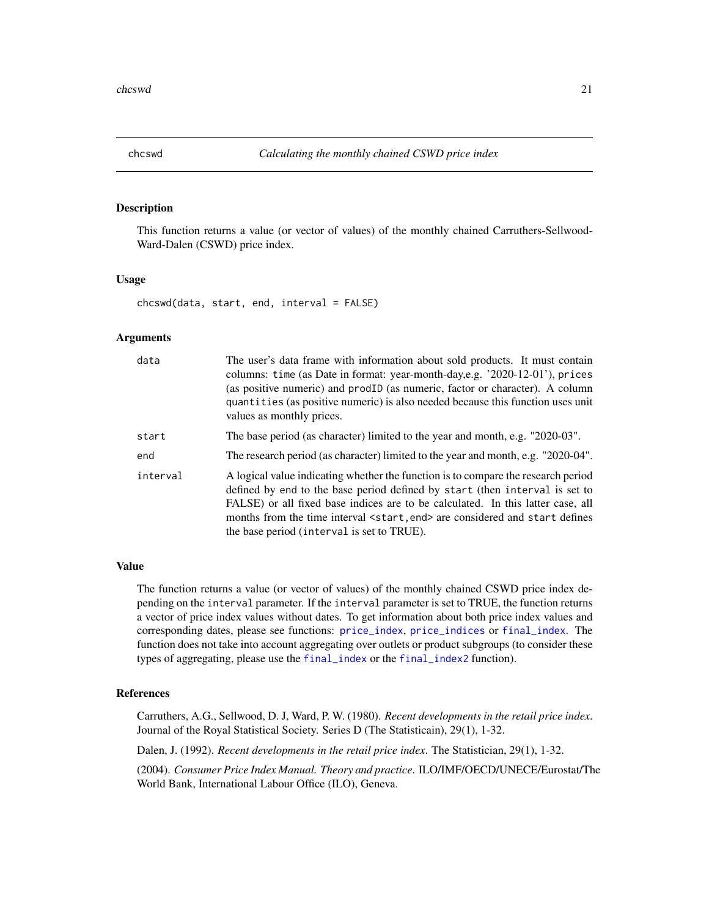<span id="page-20-0"></span>

This function returns a value (or vector of values) of the monthly chained Carruthers-Sellwood-Ward-Dalen (CSWD) price index.

## Usage

chcswd(data, start, end, interval = FALSE)

## Arguments

| data     | The user's data frame with information about sold products. It must contain<br>columns: time (as Date in format: year-month-day, e.g. '2020-12-01'), prices<br>(as positive numeric) and prodID (as numeric, factor or character). A column<br>quantities (as positive numeric) is also needed because this function uses unit<br>values as monthly prices.                           |
|----------|---------------------------------------------------------------------------------------------------------------------------------------------------------------------------------------------------------------------------------------------------------------------------------------------------------------------------------------------------------------------------------------|
| start    | The base period (as character) limited to the year and month, e.g. "2020-03".                                                                                                                                                                                                                                                                                                         |
| end      | The research period (as character) limited to the year and month, e.g. "2020-04".                                                                                                                                                                                                                                                                                                     |
| interval | A logical value indicating whether the function is to compare the research period<br>defined by end to the base period defined by start (then interval is set to<br>FALSE) or all fixed base indices are to be calculated. In this latter case, all<br>months from the time interval $\leq$ tart, end> are considered and start defines<br>the base period (interval is set to TRUE). |

## Value

The function returns a value (or vector of values) of the monthly chained CSWD price index depending on the interval parameter. If the interval parameter is set to TRUE, the function returns a vector of price index values without dates. To get information about both price index values and corresponding dates, please see functions: [price\\_index](#page-153-1), [price\\_indices](#page-154-1) or [final\\_index](#page-72-1). The function does not take into account aggregating over outlets or product subgroups (to consider these types of aggregating, please use the [final\\_index](#page-72-1) or the [final\\_index2](#page-74-1) function).

## References

Carruthers, A.G., Sellwood, D. J, Ward, P. W. (1980). *Recent developments in the retail price index*. Journal of the Royal Statistical Society. Series D (The Statisticain), 29(1), 1-32.

Dalen, J. (1992). *Recent developments in the retail price index*. The Statistician, 29(1), 1-32.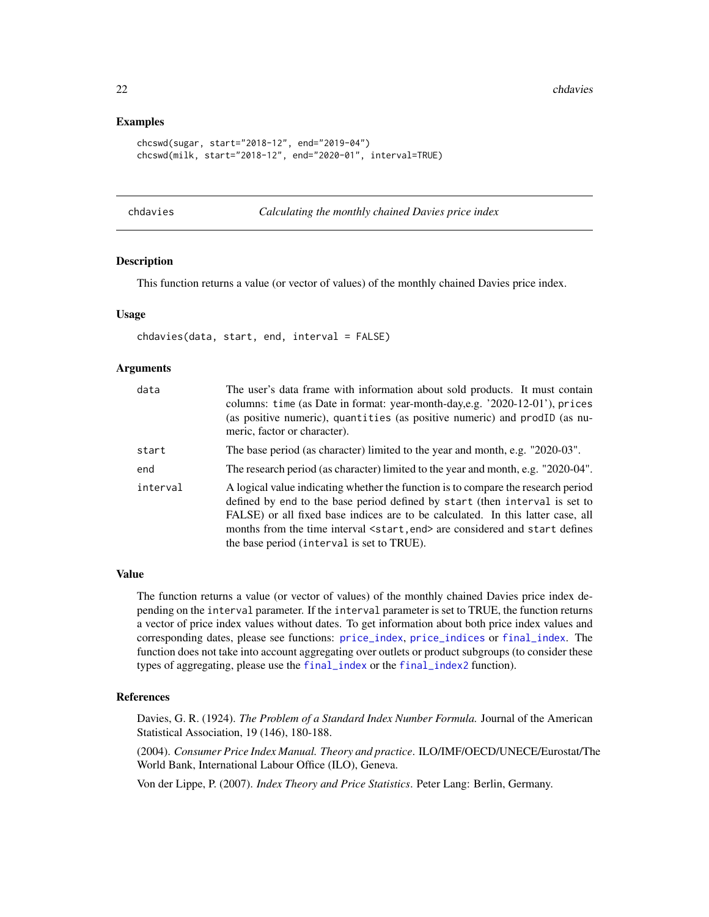## Examples

```
chcswd(sugar, start="2018-12", end="2019-04")
chcswd(milk, start="2018-12", end="2020-01", interval=TRUE)
```
chdavies *Calculating the monthly chained Davies price index*

## Description

This function returns a value (or vector of values) of the monthly chained Davies price index.

## Usage

chdavies(data, start, end, interval = FALSE)

## Arguments

| data     | The user's data frame with information about sold products. It must contain<br>columns: time (as Date in format: year-month-day, e.g. '2020-12-01'), prices<br>(as positive numeric), quantities (as positive numeric) and prodID (as nu-<br>meric, factor or character).                                                                                                                     |
|----------|-----------------------------------------------------------------------------------------------------------------------------------------------------------------------------------------------------------------------------------------------------------------------------------------------------------------------------------------------------------------------------------------------|
| start    | The base period (as character) limited to the year and month, e.g. "2020-03".                                                                                                                                                                                                                                                                                                                 |
| end      | The research period (as character) limited to the year and month, e.g. "2020-04".                                                                                                                                                                                                                                                                                                             |
| interval | A logical value indicating whether the function is to compare the research period<br>defined by end to the base period defined by start (then interval is set to<br>FALSE) or all fixed base indices are to be calculated. In this latter case, all<br>months from the time interval <start, end=""> are considered and start defines<br/>the base period (interval is set to TRUE).</start,> |

## Value

The function returns a value (or vector of values) of the monthly chained Davies price index depending on the interval parameter. If the interval parameter is set to TRUE, the function returns a vector of price index values without dates. To get information about both price index values and corresponding dates, please see functions: [price\\_index](#page-153-1), [price\\_indices](#page-154-1) or [final\\_index](#page-72-1). The function does not take into account aggregating over outlets or product subgroups (to consider these types of aggregating, please use the [final\\_index](#page-72-1) or the [final\\_index2](#page-74-1) function).

## References

Davies, G. R. (1924). *The Problem of a Standard Index Number Formula.* Journal of the American Statistical Association, 19 (146), 180-188.

(2004). *Consumer Price Index Manual. Theory and practice*. ILO/IMF/OECD/UNECE/Eurostat/The World Bank, International Labour Office (ILO), Geneva.

Von der Lippe, P. (2007). *Index Theory and Price Statistics*. Peter Lang: Berlin, Germany.

<span id="page-21-0"></span>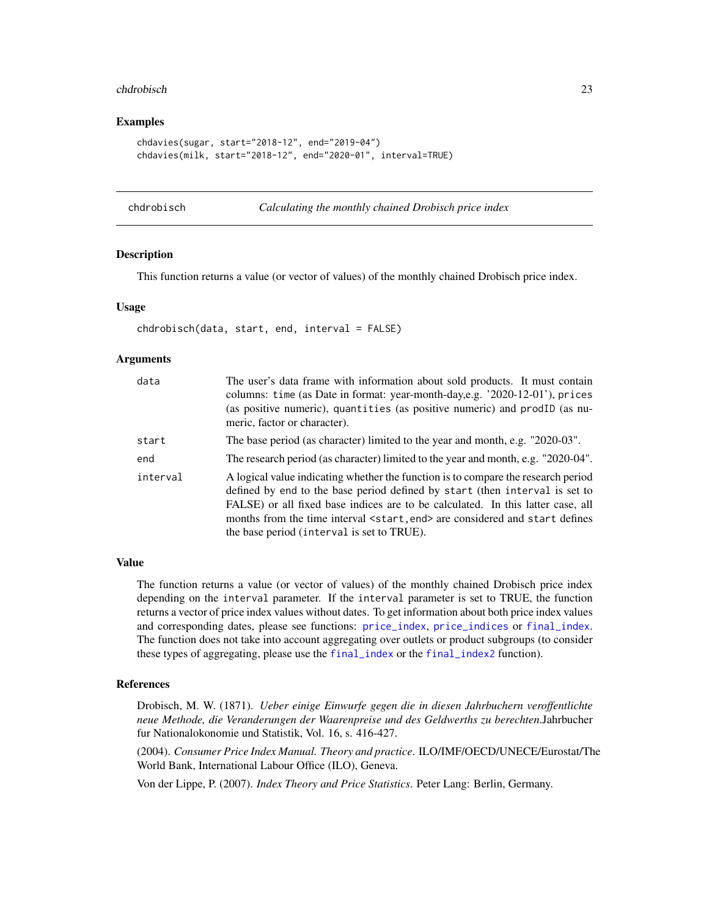#### <span id="page-22-0"></span>chdrobisch 23

## Examples

```
chdavies(sugar, start="2018-12", end="2019-04")
chdavies(milk, start="2018-12", end="2020-01", interval=TRUE)
```
chdrobisch *Calculating the monthly chained Drobisch price index*

## **Description**

This function returns a value (or vector of values) of the monthly chained Drobisch price index.

## Usage

chdrobisch(data, start, end, interval = FALSE)

#### Arguments

| data     | The user's data frame with information about sold products. It must contain<br>columns: time (as Date in format: year-month-day, e.g. '2020-12-01'), prices<br>(as positive numeric), quantities (as positive numeric) and prodID (as nu-<br>meric, factor or character).                                                                                                             |
|----------|---------------------------------------------------------------------------------------------------------------------------------------------------------------------------------------------------------------------------------------------------------------------------------------------------------------------------------------------------------------------------------------|
| start    | The base period (as character) limited to the year and month, e.g. "2020-03".                                                                                                                                                                                                                                                                                                         |
| end      | The research period (as character) limited to the year and month, e.g. "2020-04".                                                                                                                                                                                                                                                                                                     |
| interval | A logical value indicating whether the function is to compare the research period<br>defined by end to the base period defined by start (then interval is set to<br>FALSE) or all fixed base indices are to be calculated. In this latter case, all<br>months from the time interval $\leq$ tart, end> are considered and start defines<br>the base period (interval is set to TRUE). |

#### Value

The function returns a value (or vector of values) of the monthly chained Drobisch price index depending on the interval parameter. If the interval parameter is set to TRUE, the function returns a vector of price index values without dates. To get information about both price index values and corresponding dates, please see functions: [price\\_index](#page-153-1), [price\\_indices](#page-154-1) or [final\\_index](#page-72-1). The function does not take into account aggregating over outlets or product subgroups (to consider these types of aggregating, please use the [final\\_index](#page-72-1) or the [final\\_index2](#page-74-1) function).

## References

Drobisch, M. W. (1871). *Ueber einige Einwurfe gegen die in diesen Jahrbuchern veroffentlichte neue Methode, die Veranderungen der Waarenpreise und des Geldwerths zu berechten*.Jahrbucher fur Nationalokonomie und Statistik, Vol. 16, s. 416-427.

(2004). *Consumer Price Index Manual. Theory and practice*. ILO/IMF/OECD/UNECE/Eurostat/The World Bank, International Labour Office (ILO), Geneva.

Von der Lippe, P. (2007). *Index Theory and Price Statistics*. Peter Lang: Berlin, Germany.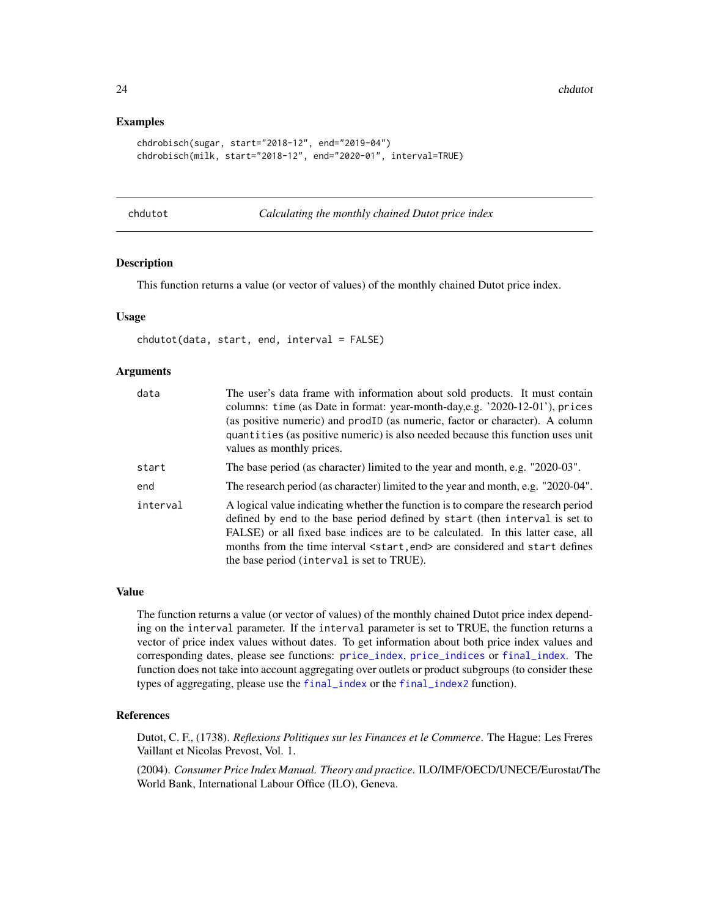<span id="page-23-0"></span>24 chdutotta a channol ann an t-an-channol ann an t-an-channol ann an t-an-channol ann an t-an-channol ann an t-an-channol ann an t-an-channol ann an t-an-channol ann an t-an-channol ann an t-an-channol ann an t-an-channol

## Examples

```
chdrobisch(sugar, start="2018-12", end="2019-04")
chdrobisch(milk, start="2018-12", end="2020-01", interval=TRUE)
```
chdutot *Calculating the monthly chained Dutot price index*

## Description

This function returns a value (or vector of values) of the monthly chained Dutot price index.

## Usage

```
chdutot(data, start, end, interval = FALSE)
```
## Arguments

| data     | The user's data frame with information about sold products. It must contain<br>columns: time (as Date in format: year-month-day, e.g. '2020-12-01'), prices<br>(as positive numeric) and prodID (as numeric, factor or character). A column<br>quantities (as positive numeric) is also needed because this function uses unit<br>values as monthly prices.                                   |
|----------|-----------------------------------------------------------------------------------------------------------------------------------------------------------------------------------------------------------------------------------------------------------------------------------------------------------------------------------------------------------------------------------------------|
| start    | The base period (as character) limited to the year and month, e.g. "2020-03".                                                                                                                                                                                                                                                                                                                 |
| end      | The research period (as character) limited to the year and month, e.g. "2020-04".                                                                                                                                                                                                                                                                                                             |
| interval | A logical value indicating whether the function is to compare the research period<br>defined by end to the base period defined by start (then interval is set to<br>FALSE) or all fixed base indices are to be calculated. In this latter case, all<br>months from the time interval <start, end=""> are considered and start defines<br/>the base period (interval is set to TRUE).</start,> |

## Value

The function returns a value (or vector of values) of the monthly chained Dutot price index depending on the interval parameter. If the interval parameter is set to TRUE, the function returns a vector of price index values without dates. To get information about both price index values and corresponding dates, please see functions: [price\\_index](#page-153-1), [price\\_indices](#page-154-1) or [final\\_index](#page-72-1). The function does not take into account aggregating over outlets or product subgroups (to consider these types of aggregating, please use the [final\\_index](#page-72-1) or the [final\\_index2](#page-74-1) function).

## References

Dutot, C. F., (1738). *Reflexions Politiques sur les Finances et le Commerce*. The Hague: Les Freres Vaillant et Nicolas Prevost, Vol. 1.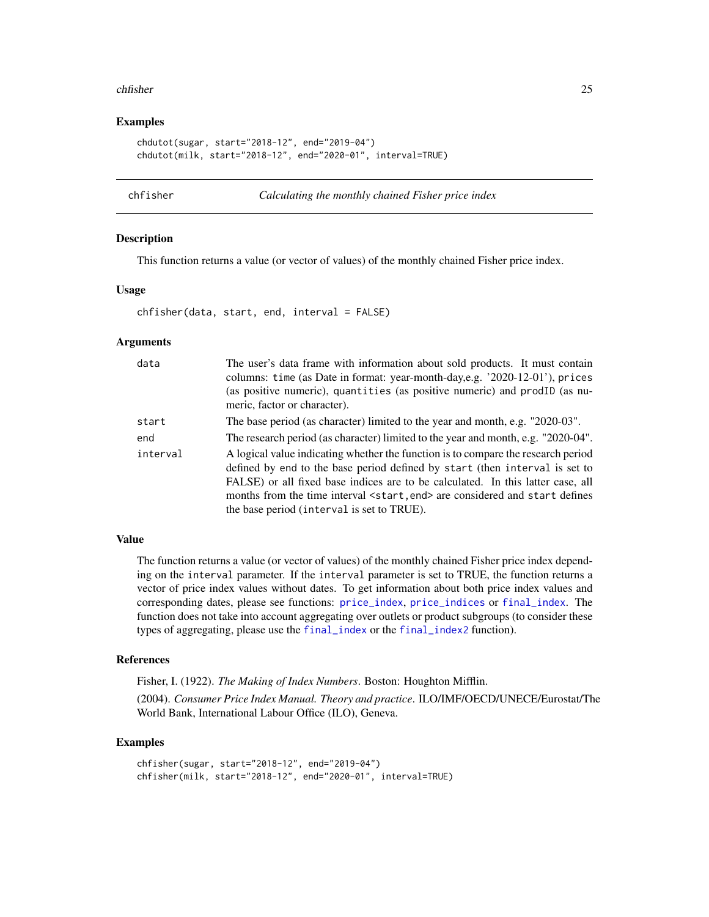#### <span id="page-24-0"></span>chfisher 25

## Examples

```
chdutot(sugar, start="2018-12", end="2019-04")
chdutot(milk, start="2018-12", end="2020-01", interval=TRUE)
```

```
chfisher Calculating the monthly chained Fisher price index
```
## **Description**

This function returns a value (or vector of values) of the monthly chained Fisher price index.

## Usage

```
chfisher(data, start, end, interval = FALSE)
```
#### Arguments

| data     | The user's data frame with information about sold products. It must contain<br>columns: time (as Date in format: year-month-day, e.g. '2020-12-01'), prices<br>(as positive numeric), quantities (as positive numeric) and prodID (as nu-<br>meric, factor or character).                                                                                                                     |
|----------|-----------------------------------------------------------------------------------------------------------------------------------------------------------------------------------------------------------------------------------------------------------------------------------------------------------------------------------------------------------------------------------------------|
| start    | The base period (as character) limited to the year and month, e.g. "2020-03".                                                                                                                                                                                                                                                                                                                 |
| end      | The research period (as character) limited to the year and month, e.g. "2020-04".                                                                                                                                                                                                                                                                                                             |
| interval | A logical value indicating whether the function is to compare the research period<br>defined by end to the base period defined by start (then interval is set to<br>FALSE) or all fixed base indices are to be calculated. In this latter case, all<br>months from the time interval <start, end=""> are considered and start defines<br/>the base period (interval is set to TRUE).</start,> |

## Value

The function returns a value (or vector of values) of the monthly chained Fisher price index depending on the interval parameter. If the interval parameter is set to TRUE, the function returns a vector of price index values without dates. To get information about both price index values and corresponding dates, please see functions: [price\\_index](#page-153-1), [price\\_indices](#page-154-1) or [final\\_index](#page-72-1). The function does not take into account aggregating over outlets or product subgroups (to consider these types of aggregating, please use the [final\\_index](#page-72-1) or the [final\\_index2](#page-74-1) function).

#### References

Fisher, I. (1922). *The Making of Index Numbers*. Boston: Houghton Mifflin.

(2004). *Consumer Price Index Manual. Theory and practice*. ILO/IMF/OECD/UNECE/Eurostat/The World Bank, International Labour Office (ILO), Geneva.

```
chfisher(sugar, start="2018-12", end="2019-04")
chfisher(milk, start="2018-12", end="2020-01", interval=TRUE)
```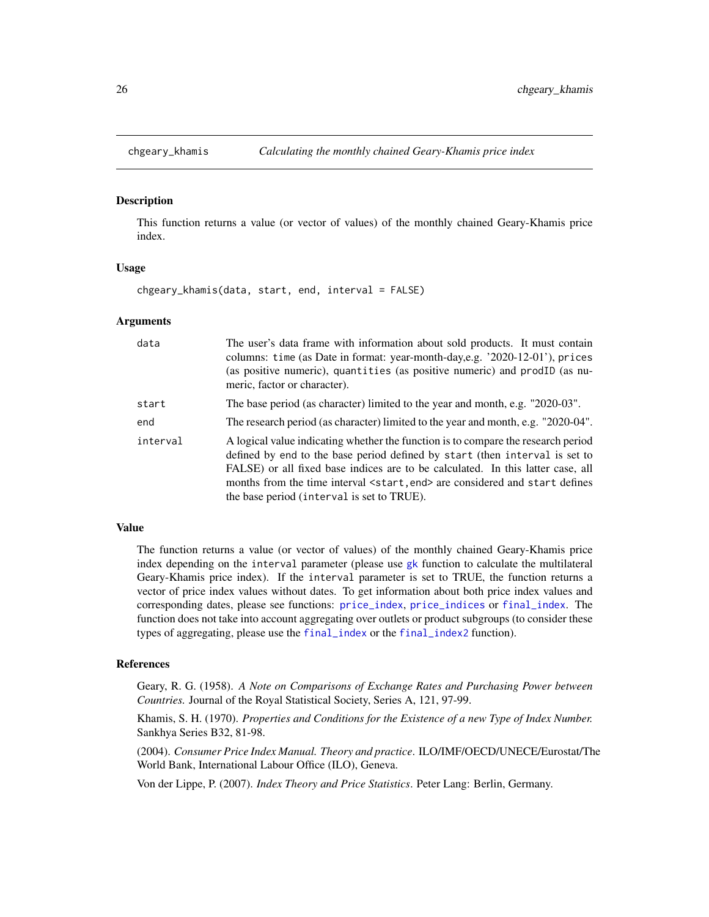<span id="page-25-0"></span>

This function returns a value (or vector of values) of the monthly chained Geary-Khamis price index.

## Usage

 $chgeary_khamis(data, start, end, interval = FALSE)$ 

## Arguments

| data     | The user's data frame with information about sold products. It must contain<br>columns: time (as Date in format: year-month-day, e.g. '2020-12-01'), prices<br>(as positive numeric), quantities (as positive numeric) and prodID (as nu-<br>meric, factor or character).                                                                                                             |
|----------|---------------------------------------------------------------------------------------------------------------------------------------------------------------------------------------------------------------------------------------------------------------------------------------------------------------------------------------------------------------------------------------|
| start    | The base period (as character) limited to the year and month, e.g. "2020-03".                                                                                                                                                                                                                                                                                                         |
| end      | The research period (as character) limited to the year and month, e.g. "2020-04".                                                                                                                                                                                                                                                                                                     |
| interval | A logical value indicating whether the function is to compare the research period<br>defined by end to the base period defined by start (then interval is set to<br>FALSE) or all fixed base indices are to be calculated. In this latter case, all<br>months from the time interval $\leq$ tart, end> are considered and start defines<br>the base period (interval is set to TRUE). |

#### Value

The function returns a value (or vector of values) of the monthly chained Geary-Khamis price index depending on the interval parameter (please use [gk](#page-124-1) function to calculate the multilateral Geary-Khamis price index). If the interval parameter is set to TRUE, the function returns a vector of price index values without dates. To get information about both price index values and corresponding dates, please see functions: [price\\_index](#page-153-1), [price\\_indices](#page-154-1) or [final\\_index](#page-72-1). The function does not take into account aggregating over outlets or product subgroups (to consider these types of aggregating, please use the [final\\_index](#page-72-1) or the [final\\_index2](#page-74-1) function).

## References

Geary, R. G. (1958). *A Note on Comparisons of Exchange Rates and Purchasing Power between Countries.* Journal of the Royal Statistical Society, Series A, 121, 97-99.

Khamis, S. H. (1970). *Properties and Conditions for the Existence of a new Type of Index Number.* Sankhya Series B32, 81-98.

(2004). *Consumer Price Index Manual. Theory and practice*. ILO/IMF/OECD/UNECE/Eurostat/The World Bank, International Labour Office (ILO), Geneva.

Von der Lippe, P. (2007). *Index Theory and Price Statistics*. Peter Lang: Berlin, Germany.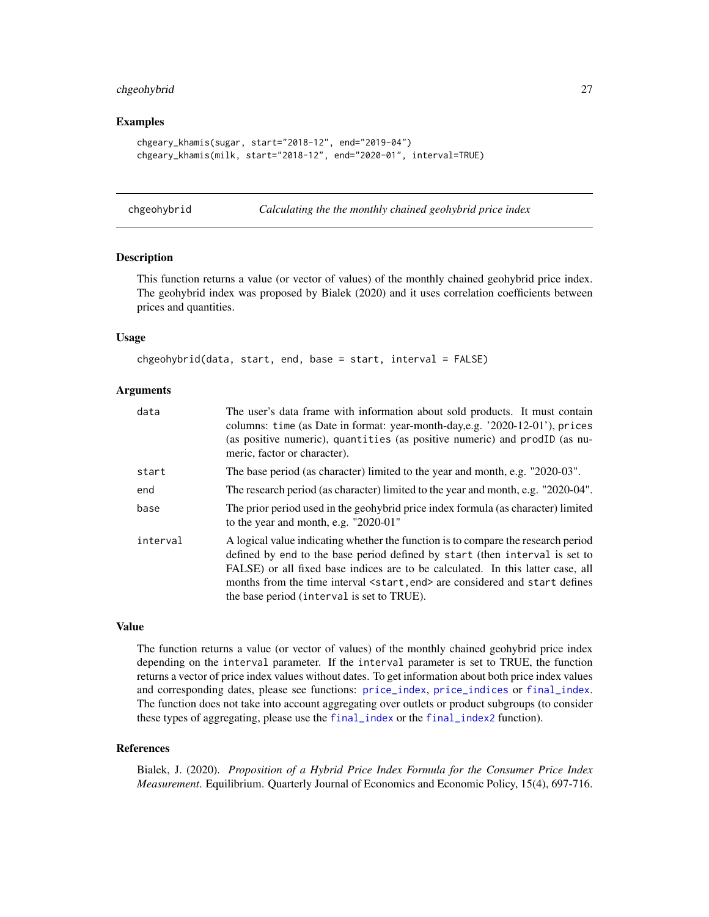## <span id="page-26-0"></span>chgeohybrid 27

## Examples

```
chgeary_khamis(sugar, start="2018-12", end="2019-04")
chgeary_khamis(milk, start="2018-12", end="2020-01", interval=TRUE)
```
chgeohybrid *Calculating the the monthly chained geohybrid price index*

## Description

This function returns a value (or vector of values) of the monthly chained geohybrid price index. The geohybrid index was proposed by Bialek (2020) and it uses correlation coefficients between prices and quantities.

## Usage

```
chgeohybrid(data, start, end, base = start, interval = FALSE)
```
## **Arguments**

| data     | The user's data frame with information about sold products. It must contain<br>columns: time (as Date in format: year-month-day,e.g. '2020-12-01'), prices<br>(as positive numeric), quantities (as positive numeric) and prodID (as nu-<br>meric, factor or character).                                                                                                              |
|----------|---------------------------------------------------------------------------------------------------------------------------------------------------------------------------------------------------------------------------------------------------------------------------------------------------------------------------------------------------------------------------------------|
| start    | The base period (as character) limited to the year and month, e.g. "2020-03".                                                                                                                                                                                                                                                                                                         |
| end      | The research period (as character) limited to the year and month, e.g. "2020-04".                                                                                                                                                                                                                                                                                                     |
| base     | The prior period used in the geohybrid price index formula (as character) limited<br>to the year and month, e.g. "2020-01"                                                                                                                                                                                                                                                            |
| interval | A logical value indicating whether the function is to compare the research period<br>defined by end to the base period defined by start (then interval is set to<br>FALSE) or all fixed base indices are to be calculated. In this latter case, all<br>months from the time interval $\leq$ tart, end> are considered and start defines<br>the base period (interval is set to TRUE). |

#### Value

The function returns a value (or vector of values) of the monthly chained geohybrid price index depending on the interval parameter. If the interval parameter is set to TRUE, the function returns a vector of price index values without dates. To get information about both price index values and corresponding dates, please see functions: [price\\_index](#page-153-1), [price\\_indices](#page-154-1) or [final\\_index](#page-72-1). The function does not take into account aggregating over outlets or product subgroups (to consider these types of aggregating, please use the [final\\_index](#page-72-1) or the [final\\_index2](#page-74-1) function).

#### References

Bialek, J. (2020). *Proposition of a Hybrid Price Index Formula for the Consumer Price Index Measurement*. Equilibrium. Quarterly Journal of Economics and Economic Policy, 15(4), 697-716.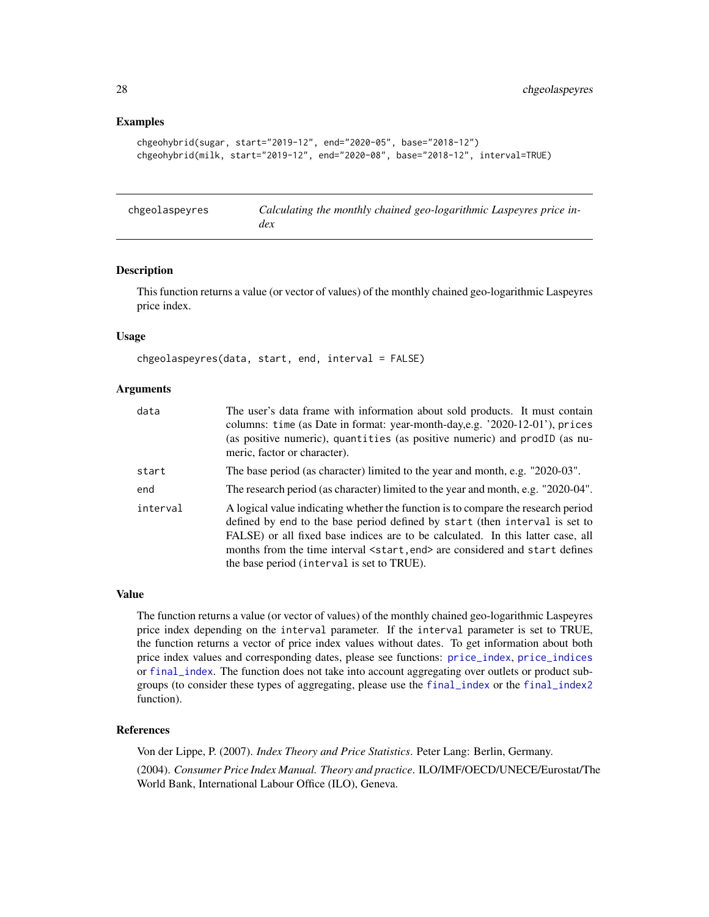## <span id="page-27-0"></span>Examples

```
chgeohybrid(sugar, start="2019-12", end="2020-05", base="2018-12")
chgeohybrid(milk, start="2019-12", end="2020-08", base="2018-12", interval=TRUE)
```
chgeolaspeyres *Calculating the monthly chained geo-logarithmic Laspeyres price index*

#### Description

This function returns a value (or vector of values) of the monthly chained geo-logarithmic Laspeyres price index.

## Usage

chgeolaspeyres(data, start, end, interval = FALSE)

## Arguments

| data     | The user's data frame with information about sold products. It must contain<br>columns: time (as Date in format: year-month-day,e.g. '2020-12-01'), prices<br>(as positive numeric), quantities (as positive numeric) and prodID (as nu-<br>meric, factor or character).                                                                                                              |
|----------|---------------------------------------------------------------------------------------------------------------------------------------------------------------------------------------------------------------------------------------------------------------------------------------------------------------------------------------------------------------------------------------|
| start    | The base period (as character) limited to the year and month, e.g. "2020-03".                                                                                                                                                                                                                                                                                                         |
| end      | The research period (as character) limited to the year and month, e.g. "2020-04".                                                                                                                                                                                                                                                                                                     |
| interval | A logical value indicating whether the function is to compare the research period<br>defined by end to the base period defined by start (then interval is set to<br>FALSE) or all fixed base indices are to be calculated. In this latter case, all<br>months from the time interval $\leq$ tart, end> are considered and start defines<br>the base period (interval is set to TRUE). |

## Value

The function returns a value (or vector of values) of the monthly chained geo-logarithmic Laspeyres price index depending on the interval parameter. If the interval parameter is set to TRUE, the function returns a vector of price index values without dates. To get information about both price index values and corresponding dates, please see functions: [price\\_index](#page-153-1), [price\\_indices](#page-154-1) or [final\\_index](#page-72-1). The function does not take into account aggregating over outlets or product subgroups (to consider these types of aggregating, please use the [final\\_index](#page-72-1) or the [final\\_index2](#page-74-1) function).

#### References

Von der Lippe, P. (2007). *Index Theory and Price Statistics*. Peter Lang: Berlin, Germany. (2004). *Consumer Price Index Manual. Theory and practice*. ILO/IMF/OECD/UNECE/Eurostat/The World Bank, International Labour Office (ILO), Geneva.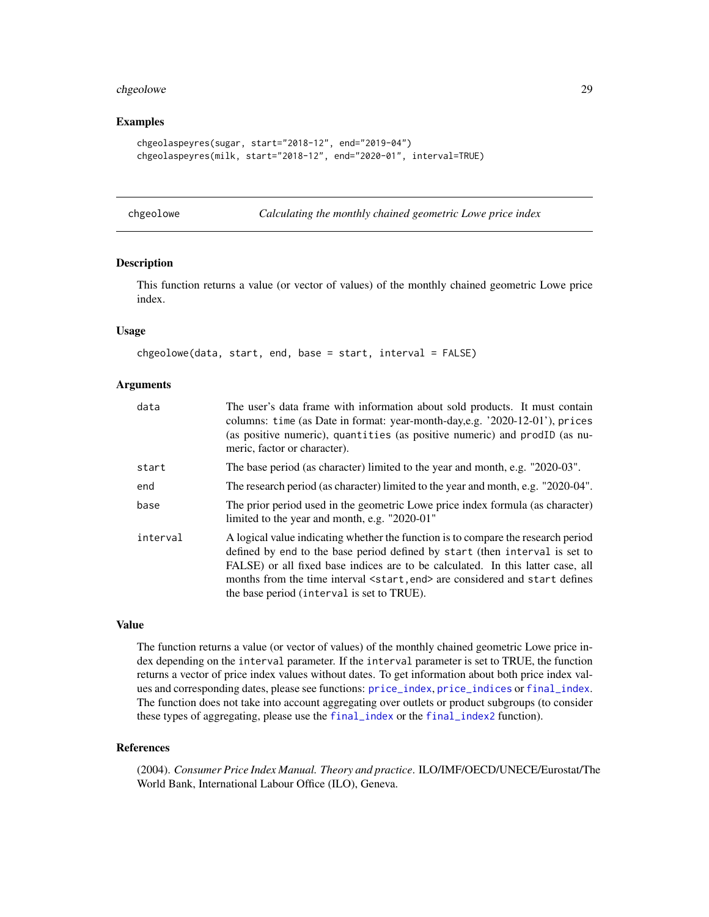#### <span id="page-28-0"></span>chgeolowe 29

## Examples

```
chgeolaspeyres(sugar, start="2018-12", end="2019-04")
chgeolaspeyres(milk, start="2018-12", end="2020-01", interval=TRUE)
```
chgeolowe *Calculating the monthly chained geometric Lowe price index*

## Description

This function returns a value (or vector of values) of the monthly chained geometric Lowe price index.

## Usage

```
chgeolowe(data, start, end, base = start, interval = FALSE)
```
#### Arguments

| data     | The user's data frame with information about sold products. It must contain<br>columns: time (as Date in format: year-month-day,e.g. '2020-12-01'), prices<br>(as positive numeric), quantities (as positive numeric) and prodID (as nu-<br>meric, factor or character).                                                                                                                      |
|----------|-----------------------------------------------------------------------------------------------------------------------------------------------------------------------------------------------------------------------------------------------------------------------------------------------------------------------------------------------------------------------------------------------|
| start    | The base period (as character) limited to the year and month, e.g. "2020-03".                                                                                                                                                                                                                                                                                                                 |
| end      | The research period (as character) limited to the year and month, e.g. "2020-04".                                                                                                                                                                                                                                                                                                             |
| base     | The prior period used in the geometric Lowe price index formula (as character)<br>limited to the year and month, e.g. "2020-01"                                                                                                                                                                                                                                                               |
| interval | A logical value indicating whether the function is to compare the research period<br>defined by end to the base period defined by start (then interval is set to<br>FALSE) or all fixed base indices are to be calculated. In this latter case, all<br>months from the time interval <start, end=""> are considered and start defines<br/>the base period (interval is set to TRUE).</start,> |

## Value

The function returns a value (or vector of values) of the monthly chained geometric Lowe price index depending on the interval parameter. If the interval parameter is set to TRUE, the function returns a vector of price index values without dates. To get information about both price index values and corresponding dates, please see functions: [price\\_index](#page-153-1), [price\\_indices](#page-154-1) or [final\\_index](#page-72-1). The function does not take into account aggregating over outlets or product subgroups (to consider these types of aggregating, please use the [final\\_index](#page-72-1) or the [final\\_index2](#page-74-1) function).

#### References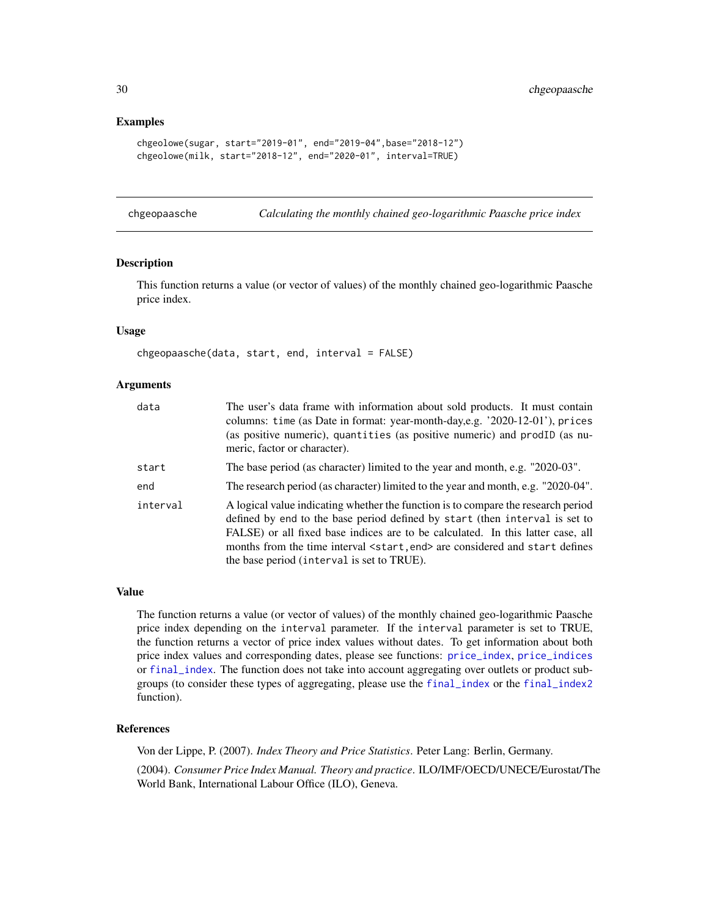## <span id="page-29-0"></span>Examples

```
chgeolowe(sugar, start="2019-01", end="2019-04",base="2018-12")
chgeolowe(milk, start="2018-12", end="2020-01", interval=TRUE)
```
chgeopaasche *Calculating the monthly chained geo-logarithmic Paasche price index*

## Description

This function returns a value (or vector of values) of the monthly chained geo-logarithmic Paasche price index.

## Usage

chgeopaasche(data, start, end, interval = FALSE)

#### Arguments

| data     | The user's data frame with information about sold products. It must contain<br>columns: time (as Date in format: year-month-day,e.g. '2020-12-01'), prices<br>(as positive numeric), quantities (as positive numeric) and prodID (as nu-<br>meric, factor or character).                                                                                                                      |
|----------|-----------------------------------------------------------------------------------------------------------------------------------------------------------------------------------------------------------------------------------------------------------------------------------------------------------------------------------------------------------------------------------------------|
| start    | The base period (as character) limited to the year and month, e.g. "2020-03".                                                                                                                                                                                                                                                                                                                 |
| end      | The research period (as character) limited to the year and month, e.g. "2020-04".                                                                                                                                                                                                                                                                                                             |
| interval | A logical value indicating whether the function is to compare the research period<br>defined by end to the base period defined by start (then interval is set to<br>FALSE) or all fixed base indices are to be calculated. In this latter case, all<br>months from the time interval <start, end=""> are considered and start defines<br/>the base period (interval is set to TRUE).</start,> |

## Value

The function returns a value (or vector of values) of the monthly chained geo-logarithmic Paasche price index depending on the interval parameter. If the interval parameter is set to TRUE, the function returns a vector of price index values without dates. To get information about both price index values and corresponding dates, please see functions: [price\\_index](#page-153-1), [price\\_indices](#page-154-1) or [final\\_index](#page-72-1). The function does not take into account aggregating over outlets or product subgroups (to consider these types of aggregating, please use the [final\\_index](#page-72-1) or the [final\\_index2](#page-74-1) function).

## References

Von der Lippe, P. (2007). *Index Theory and Price Statistics*. Peter Lang: Berlin, Germany.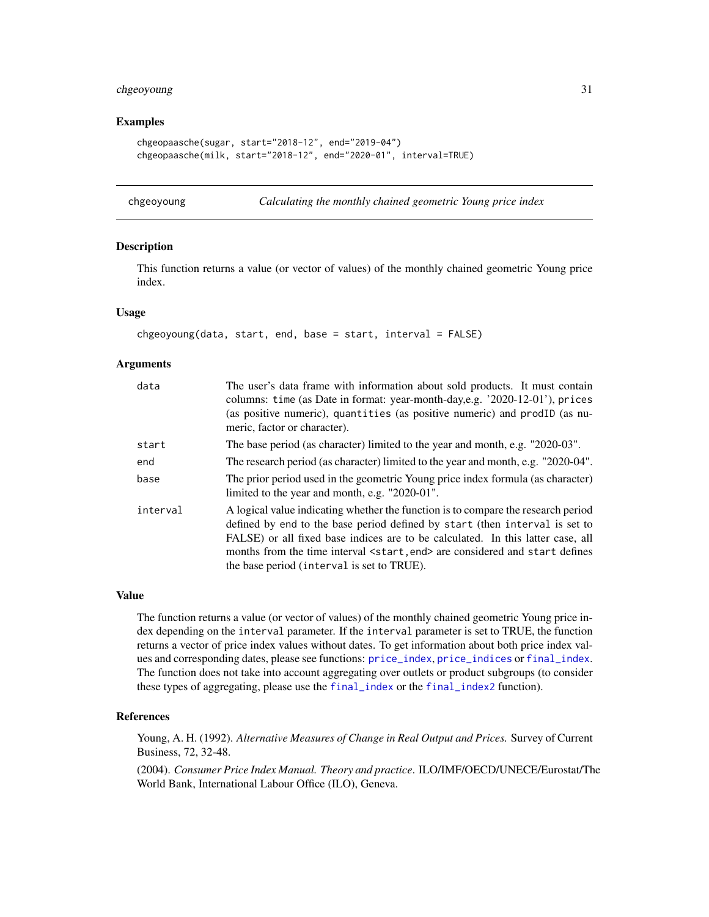## <span id="page-30-0"></span>chgeoyoung 31

## Examples

```
chgeopaasche(sugar, start="2018-12", end="2019-04")
chgeopaasche(milk, start="2018-12", end="2020-01", interval=TRUE)
```
chgeoyoung *Calculating the monthly chained geometric Young price index*

## Description

This function returns a value (or vector of values) of the monthly chained geometric Young price index.

## Usage

```
chgeoyoung(data, start, end, base = start, interval = FALSE)
```
## Arguments

| data     | The user's data frame with information about sold products. It must contain<br>columns: time (as Date in format: year-month-day,e.g. '2020-12-01'), prices<br>(as positive numeric), quantities (as positive numeric) and prodID (as nu-<br>meric, factor or character).                                                                                                              |
|----------|---------------------------------------------------------------------------------------------------------------------------------------------------------------------------------------------------------------------------------------------------------------------------------------------------------------------------------------------------------------------------------------|
| start    | The base period (as character) limited to the year and month, e.g. "2020-03".                                                                                                                                                                                                                                                                                                         |
| end      | The research period (as character) limited to the year and month, e.g. "2020-04".                                                                                                                                                                                                                                                                                                     |
| base     | The prior period used in the geometric Young price index formula (as character)<br>limited to the year and month, e.g. "2020-01".                                                                                                                                                                                                                                                     |
| interval | A logical value indicating whether the function is to compare the research period<br>defined by end to the base period defined by start (then interval is set to<br>FALSE) or all fixed base indices are to be calculated. In this latter case, all<br>months from the time interval $\leq$ tart, end> are considered and start defines<br>the base period (interval is set to TRUE). |

## Value

The function returns a value (or vector of values) of the monthly chained geometric Young price index depending on the interval parameter. If the interval parameter is set to TRUE, the function returns a vector of price index values without dates. To get information about both price index values and corresponding dates, please see functions: [price\\_index](#page-153-1), [price\\_indices](#page-154-1) or [final\\_index](#page-72-1). The function does not take into account aggregating over outlets or product subgroups (to consider these types of aggregating, please use the [final\\_index](#page-72-1) or the [final\\_index2](#page-74-1) function).

## References

Young, A. H. (1992). *Alternative Measures of Change in Real Output and Prices.* Survey of Current Business, 72, 32-48.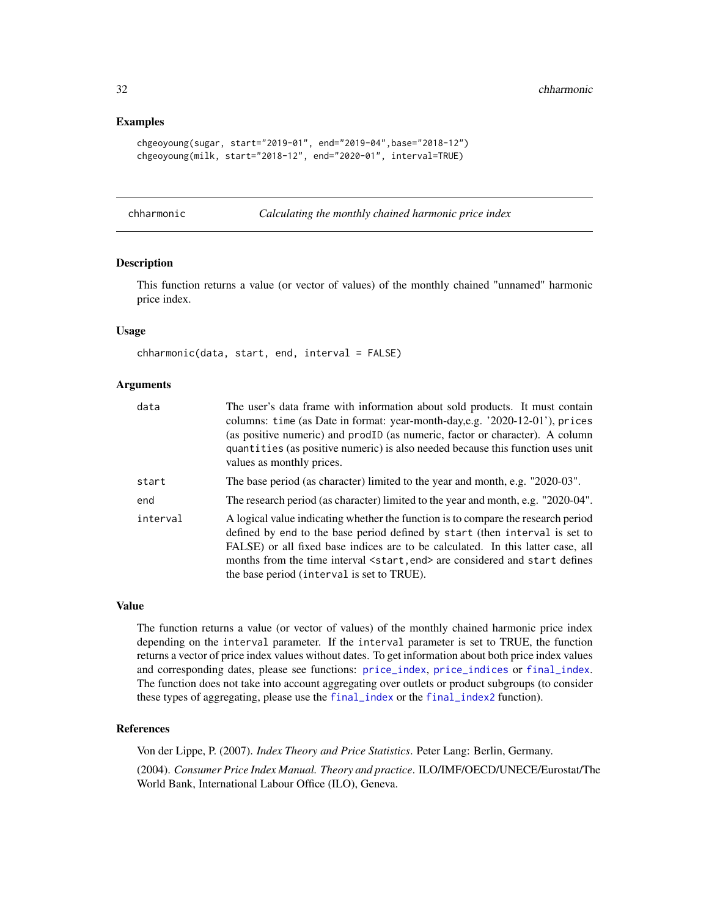## <span id="page-31-0"></span>Examples

```
chgeoyoung(sugar, start="2019-01", end="2019-04",base="2018-12")
chgeoyoung(milk, start="2018-12", end="2020-01", interval=TRUE)
```
chharmonic *Calculating the monthly chained harmonic price index*

## Description

This function returns a value (or vector of values) of the monthly chained "unnamed" harmonic price index.

## Usage

chharmonic(data, start, end, interval = FALSE)

## Arguments

| data     | The user's data frame with information about sold products. It must contain<br>columns: time (as Date in format: year-month-day,e.g. '2020-12-01'), prices<br>(as positive numeric) and prodID (as numeric, factor or character). A column<br>quantities (as positive numeric) is also needed because this function uses unit<br>values as monthly prices.                                    |
|----------|-----------------------------------------------------------------------------------------------------------------------------------------------------------------------------------------------------------------------------------------------------------------------------------------------------------------------------------------------------------------------------------------------|
| start    | The base period (as character) limited to the year and month, e.g. "2020-03".                                                                                                                                                                                                                                                                                                                 |
| end      | The research period (as character) limited to the year and month, e.g. "2020-04".                                                                                                                                                                                                                                                                                                             |
| interval | A logical value indicating whether the function is to compare the research period<br>defined by end to the base period defined by start (then interval is set to<br>FALSE) or all fixed base indices are to be calculated. In this latter case, all<br>months from the time interval <start, end=""> are considered and start defines<br/>the base period (interval is set to TRUE).</start,> |

## Value

The function returns a value (or vector of values) of the monthly chained harmonic price index depending on the interval parameter. If the interval parameter is set to TRUE, the function returns a vector of price index values without dates. To get information about both price index values and corresponding dates, please see functions: [price\\_index](#page-153-1), [price\\_indices](#page-154-1) or [final\\_index](#page-72-1). The function does not take into account aggregating over outlets or product subgroups (to consider these types of aggregating, please use the [final\\_index](#page-72-1) or the [final\\_index2](#page-74-1) function).

#### References

Von der Lippe, P. (2007). *Index Theory and Price Statistics*. Peter Lang: Berlin, Germany.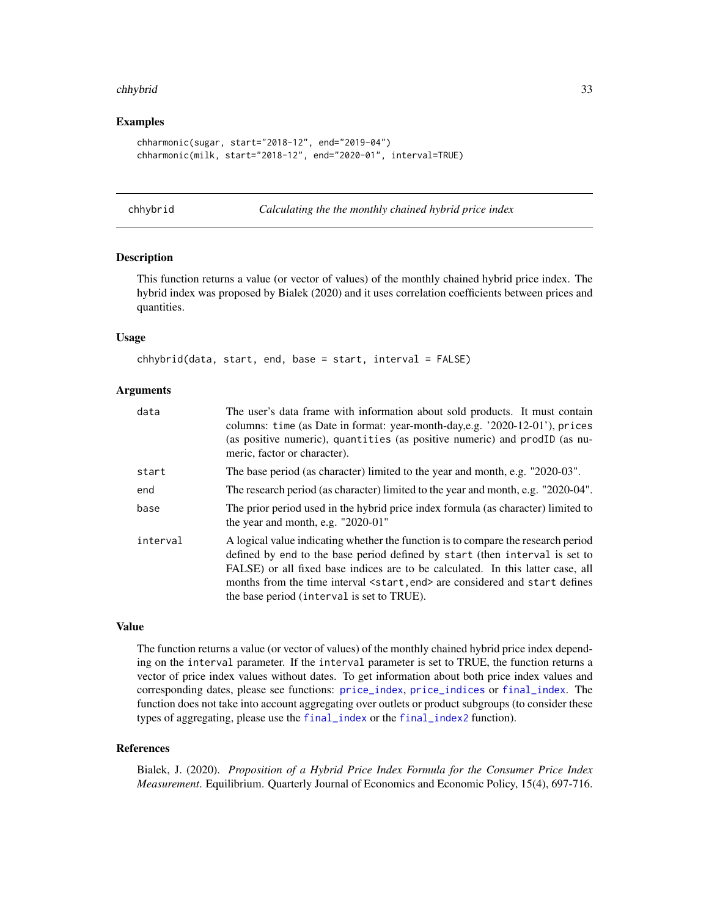#### <span id="page-32-0"></span>chhybrid 33

## Examples

```
chharmonic(sugar, start="2018-12", end="2019-04")
chharmonic(milk, start="2018-12", end="2020-01", interval=TRUE)
```
chhybrid *Calculating the the monthly chained hybrid price index*

## Description

This function returns a value (or vector of values) of the monthly chained hybrid price index. The hybrid index was proposed by Bialek (2020) and it uses correlation coefficients between prices and quantities.

## Usage

```
chhybrid(data, start, end, base = start, interval = FALSE)
```
## **Arguments**

| data     | The user's data frame with information about sold products. It must contain<br>columns: time (as Date in format: year-month-day, e.g. '2020-12-01'), prices<br>(as positive numeric), quantities (as positive numeric) and prodID (as nu-<br>meric, factor or character).                                                                                                                     |
|----------|-----------------------------------------------------------------------------------------------------------------------------------------------------------------------------------------------------------------------------------------------------------------------------------------------------------------------------------------------------------------------------------------------|
| start    | The base period (as character) limited to the year and month, e.g. "2020-03".                                                                                                                                                                                                                                                                                                                 |
| end      | The research period (as character) limited to the year and month, e.g. "2020-04".                                                                                                                                                                                                                                                                                                             |
| base     | The prior period used in the hybrid price index formula (as character) limited to<br>the year and month, e.g. "2020-01"                                                                                                                                                                                                                                                                       |
| interval | A logical value indicating whether the function is to compare the research period<br>defined by end to the base period defined by start (then interval is set to<br>FALSE) or all fixed base indices are to be calculated. In this latter case, all<br>months from the time interval <start, end=""> are considered and start defines<br/>the base period (interval is set to TRUE).</start,> |

## Value

The function returns a value (or vector of values) of the monthly chained hybrid price index depending on the interval parameter. If the interval parameter is set to TRUE, the function returns a vector of price index values without dates. To get information about both price index values and corresponding dates, please see functions: [price\\_index](#page-153-1), [price\\_indices](#page-154-1) or [final\\_index](#page-72-1). The function does not take into account aggregating over outlets or product subgroups (to consider these types of aggregating, please use the [final\\_index](#page-72-1) or the [final\\_index2](#page-74-1) function).

#### References

Bialek, J. (2020). *Proposition of a Hybrid Price Index Formula for the Consumer Price Index Measurement*. Equilibrium. Quarterly Journal of Economics and Economic Policy, 15(4), 697-716.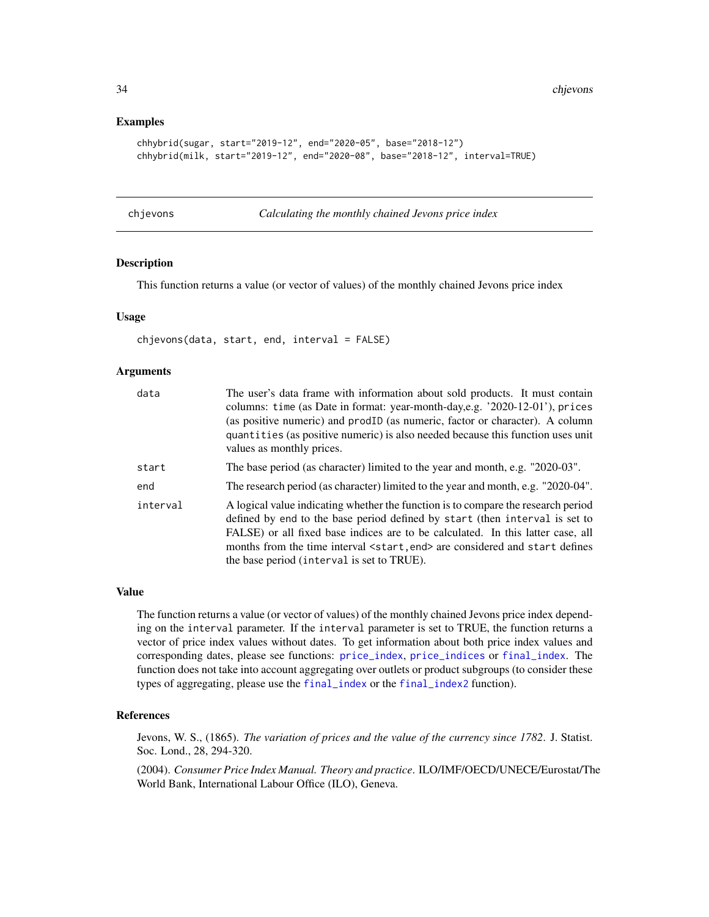34 chjevons

## Examples

```
chhybrid(sugar, start="2019-12", end="2020-05", base="2018-12")
chhybrid(milk, start="2019-12", end="2020-08", base="2018-12", interval=TRUE)
```
chjevons *Calculating the monthly chained Jevons price index*

#### Description

This function returns a value (or vector of values) of the monthly chained Jevons price index

## Usage

```
chjevons(data, start, end, interval = FALSE)
```
## Arguments

| data     | The user's data frame with information about sold products. It must contain<br>columns: time (as Date in format: year-month-day, e.g. '2020-12-01'), prices<br>(as positive numeric) and prodID (as numeric, factor or character). A column<br>quantities (as positive numeric) is also needed because this function uses unit<br>values as monthly prices.                                   |
|----------|-----------------------------------------------------------------------------------------------------------------------------------------------------------------------------------------------------------------------------------------------------------------------------------------------------------------------------------------------------------------------------------------------|
| start    | The base period (as character) limited to the year and month, e.g. "2020-03".                                                                                                                                                                                                                                                                                                                 |
| end      | The research period (as character) limited to the year and month, e.g. "2020-04".                                                                                                                                                                                                                                                                                                             |
| interval | A logical value indicating whether the function is to compare the research period<br>defined by end to the base period defined by start (then interval is set to<br>FALSE) or all fixed base indices are to be calculated. In this latter case, all<br>months from the time interval <start, end=""> are considered and start defines<br/>the base period (interval is set to TRUE).</start,> |

## Value

The function returns a value (or vector of values) of the monthly chained Jevons price index depending on the interval parameter. If the interval parameter is set to TRUE, the function returns a vector of price index values without dates. To get information about both price index values and corresponding dates, please see functions: [price\\_index](#page-153-1), [price\\_indices](#page-154-1) or [final\\_index](#page-72-1). The function does not take into account aggregating over outlets or product subgroups (to consider these types of aggregating, please use the [final\\_index](#page-72-1) or the [final\\_index2](#page-74-1) function).

## References

Jevons, W. S., (1865). *The variation of prices and the value of the currency since 1782*. J. Statist. Soc. Lond., 28, 294-320.

<span id="page-33-0"></span>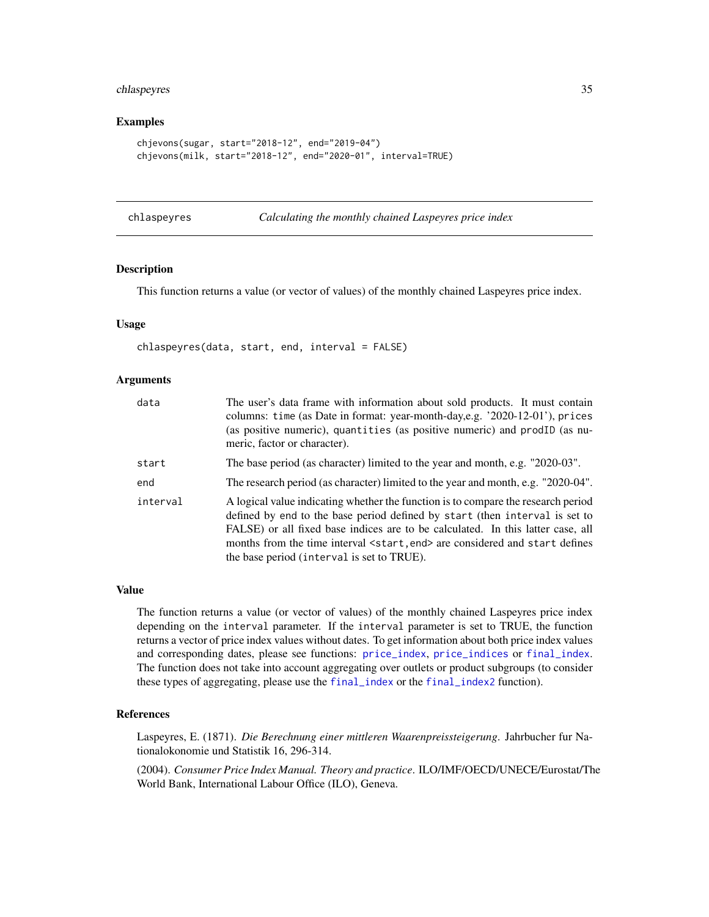## <span id="page-34-0"></span>chlaspeyres 35

## Examples

```
chjevons(sugar, start="2018-12", end="2019-04")
chjevons(milk, start="2018-12", end="2020-01", interval=TRUE)
```
chlaspeyres *Calculating the monthly chained Laspeyres price index*

## **Description**

This function returns a value (or vector of values) of the monthly chained Laspeyres price index.

## Usage

chlaspeyres(data, start, end, interval = FALSE)

## Arguments

| data     | The user's data frame with information about sold products. It must contain<br>columns: time (as Date in format: year-month-day, e.g. '2020-12-01'), prices<br>(as positive numeric), quantities (as positive numeric) and prodID (as nu-<br>meric, factor or character).                                                                                                                     |
|----------|-----------------------------------------------------------------------------------------------------------------------------------------------------------------------------------------------------------------------------------------------------------------------------------------------------------------------------------------------------------------------------------------------|
| start    | The base period (as character) limited to the year and month, e.g. "2020-03".                                                                                                                                                                                                                                                                                                                 |
| end      | The research period (as character) limited to the year and month, e.g. "2020-04".                                                                                                                                                                                                                                                                                                             |
| interval | A logical value indicating whether the function is to compare the research period<br>defined by end to the base period defined by start (then interval is set to<br>FALSE) or all fixed base indices are to be calculated. In this latter case, all<br>months from the time interval <start, end=""> are considered and start defines<br/>the base period (interval is set to TRUE).</start,> |

## Value

The function returns a value (or vector of values) of the monthly chained Laspeyres price index depending on the interval parameter. If the interval parameter is set to TRUE, the function returns a vector of price index values without dates. To get information about both price index values and corresponding dates, please see functions: [price\\_index](#page-153-1), [price\\_indices](#page-154-1) or [final\\_index](#page-72-1). The function does not take into account aggregating over outlets or product subgroups (to consider these types of aggregating, please use the [final\\_index](#page-72-1) or the [final\\_index2](#page-74-1) function).

## References

Laspeyres, E. (1871). *Die Berechnung einer mittleren Waarenpreissteigerung*. Jahrbucher fur Nationalokonomie und Statistik 16, 296-314.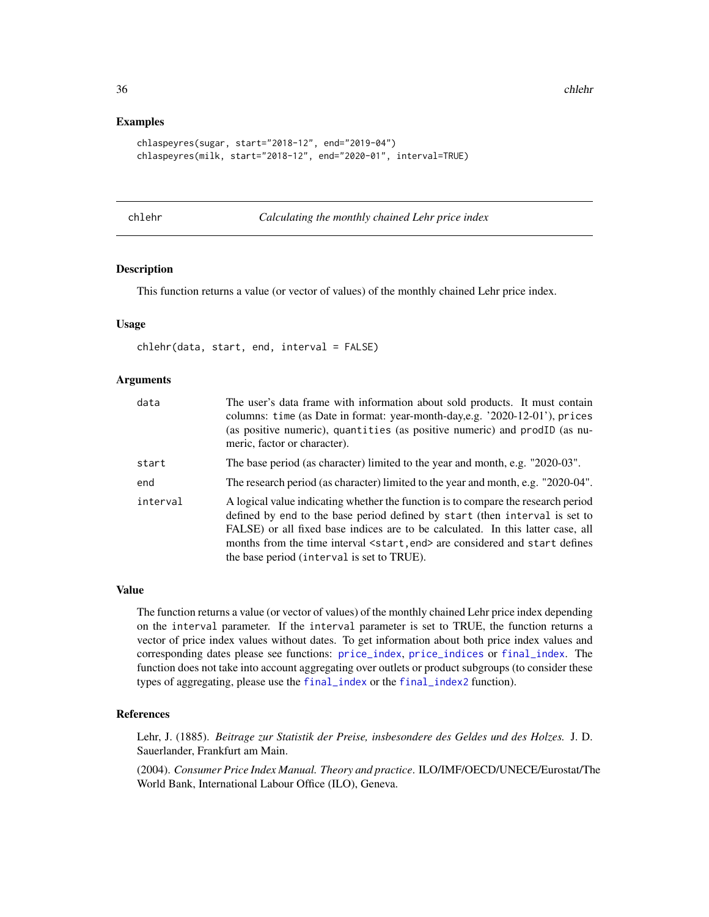## Examples

```
chlaspeyres(sugar, start="2018-12", end="2019-04")
chlaspeyres(milk, start="2018-12", end="2020-01", interval=TRUE)
```
chlehr *Calculating the monthly chained Lehr price index*

## **Description**

This function returns a value (or vector of values) of the monthly chained Lehr price index.

## Usage

chlehr(data, start, end, interval = FALSE)

## Arguments

| data     | The user's data frame with information about sold products. It must contain<br>columns: time (as Date in format: year-month-day, e.g. '2020-12-01'), prices<br>(as positive numeric), quantities (as positive numeric) and prodID (as nu-<br>meric, factor or character).                                                                                                             |
|----------|---------------------------------------------------------------------------------------------------------------------------------------------------------------------------------------------------------------------------------------------------------------------------------------------------------------------------------------------------------------------------------------|
| start    | The base period (as character) limited to the year and month, e.g. "2020-03".                                                                                                                                                                                                                                                                                                         |
| end      | The research period (as character) limited to the year and month, e.g. "2020-04".                                                                                                                                                                                                                                                                                                     |
| interval | A logical value indicating whether the function is to compare the research period<br>defined by end to the base period defined by start (then interval is set to<br>FALSE) or all fixed base indices are to be calculated. In this latter case, all<br>months from the time interval $\leq$ tart, end> are considered and start defines<br>the base period (interval is set to TRUE). |

## Value

The function returns a value (or vector of values) of the monthly chained Lehr price index depending on the interval parameter. If the interval parameter is set to TRUE, the function returns a vector of price index values without dates. To get information about both price index values and corresponding dates please see functions: [price\\_index](#page-153-1), [price\\_indices](#page-154-1) or [final\\_index](#page-72-1). The function does not take into account aggregating over outlets or product subgroups (to consider these types of aggregating, please use the [final\\_index](#page-72-1) or the [final\\_index2](#page-74-1) function).

## References

Lehr, J. (1885). *Beitrage zur Statistik der Preise, insbesondere des Geldes und des Holzes.* J. D. Sauerlander, Frankfurt am Main.

<span id="page-35-0"></span>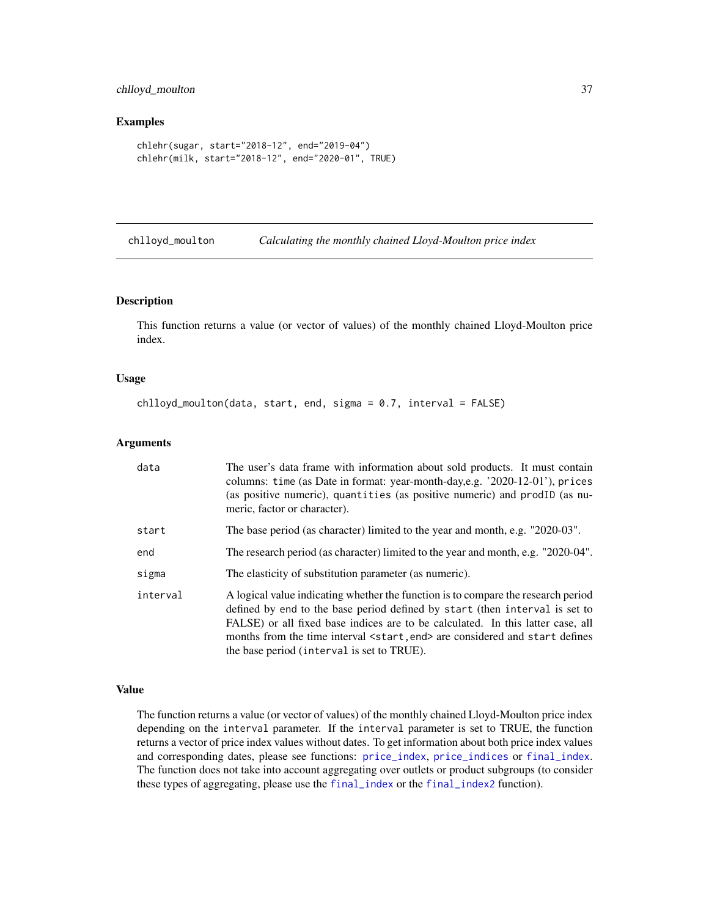# chlloyd\_moulton 37

## Examples

```
chlehr(sugar, start="2018-12", end="2019-04")
chlehr(milk, start="2018-12", end="2020-01", TRUE)
```
chlloyd\_moulton *Calculating the monthly chained Lloyd-Moulton price index*

# Description

This function returns a value (or vector of values) of the monthly chained Lloyd-Moulton price index.

#### Usage

chlloyd\_moulton(data, start, end, sigma = 0.7, interval = FALSE)

#### Arguments

| data     | The user's data frame with information about sold products. It must contain<br>columns: time (as Date in format: year-month-day, e.g. '2020-12-01'), prices<br>(as positive numeric), quantities (as positive numeric) and prodID (as nu-<br>meric, factor or character).                                                                                                                     |
|----------|-----------------------------------------------------------------------------------------------------------------------------------------------------------------------------------------------------------------------------------------------------------------------------------------------------------------------------------------------------------------------------------------------|
| start    | The base period (as character) limited to the year and month, e.g. "2020-03".                                                                                                                                                                                                                                                                                                                 |
| end      | The research period (as character) limited to the year and month, e.g. "2020-04".                                                                                                                                                                                                                                                                                                             |
| sigma    | The elasticity of substitution parameter (as numeric).                                                                                                                                                                                                                                                                                                                                        |
| interval | A logical value indicating whether the function is to compare the research period<br>defined by end to the base period defined by start (then interval is set to<br>FALSE) or all fixed base indices are to be calculated. In this latter case, all<br>months from the time interval <start, end=""> are considered and start defines<br/>the base period (interval is set to TRUE).</start,> |

#### Value

The function returns a value (or vector of values) of the monthly chained Lloyd-Moulton price index depending on the interval parameter. If the interval parameter is set to TRUE, the function returns a vector of price index values without dates. To get information about both price index values and corresponding dates, please see functions: [price\\_index](#page-153-0), [price\\_indices](#page-154-0) or [final\\_index](#page-72-0). The function does not take into account aggregating over outlets or product subgroups (to consider these types of aggregating, please use the [final\\_index](#page-72-0) or the [final\\_index2](#page-74-0) function).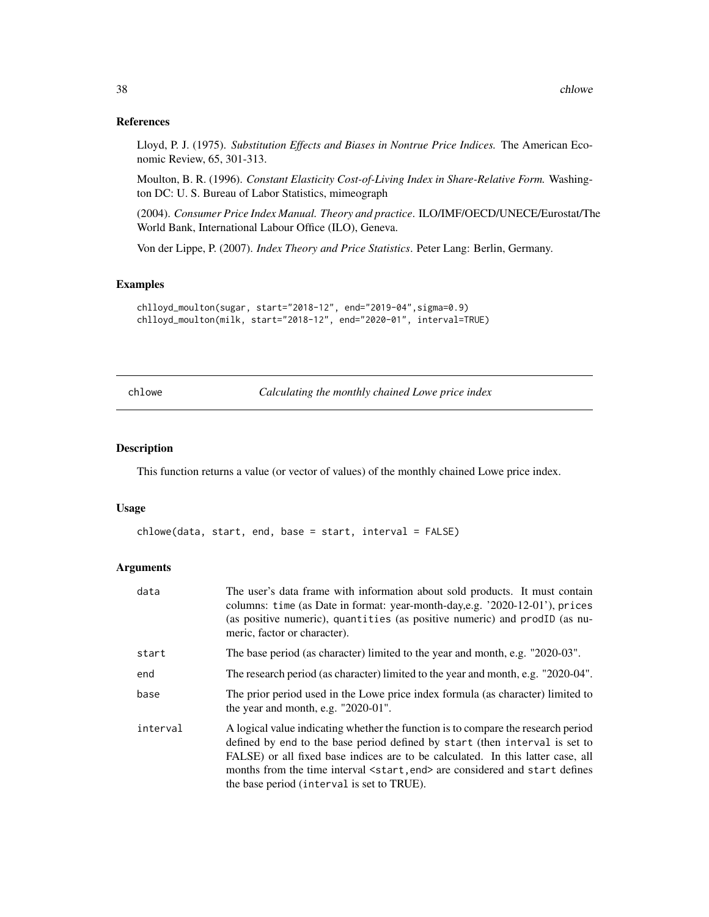## References

Lloyd, P. J. (1975). *Substitution Effects and Biases in Nontrue Price Indices.* The American Economic Review, 65, 301-313.

Moulton, B. R. (1996). *Constant Elasticity Cost-of-Living Index in Share-Relative Form.* Washington DC: U. S. Bureau of Labor Statistics, mimeograph

(2004). *Consumer Price Index Manual. Theory and practice*. ILO/IMF/OECD/UNECE/Eurostat/The World Bank, International Labour Office (ILO), Geneva.

Von der Lippe, P. (2007). *Index Theory and Price Statistics*. Peter Lang: Berlin, Germany.

## Examples

```
chlloyd_moulton(sugar, start="2018-12", end="2019-04",sigma=0.9)
chlloyd_moulton(milk, start="2018-12", end="2020-01", interval=TRUE)
```
chlowe *Calculating the monthly chained Lowe price index*

# Description

This function returns a value (or vector of values) of the monthly chained Lowe price index.

#### Usage

```
chlowe(data, start, end, base = start, interval = FALSE)
```

| data     | The user's data frame with information about sold products. It must contain<br>columns: time (as Date in format: year-month-day, e.g. '2020-12-01'), prices<br>(as positive numeric), quantities (as positive numeric) and prodID (as nu-<br>meric, factor or character).                                                                                                                     |
|----------|-----------------------------------------------------------------------------------------------------------------------------------------------------------------------------------------------------------------------------------------------------------------------------------------------------------------------------------------------------------------------------------------------|
| start    | The base period (as character) limited to the year and month, e.g. "2020-03".                                                                                                                                                                                                                                                                                                                 |
| end      | The research period (as character) limited to the year and month, e.g. "2020-04".                                                                                                                                                                                                                                                                                                             |
| base     | The prior period used in the Lowe price index formula (as character) limited to<br>the year and month, e.g. $"2020-01"$ .                                                                                                                                                                                                                                                                     |
| interval | A logical value indicating whether the function is to compare the research period<br>defined by end to the base period defined by start (then interval is set to<br>FALSE) or all fixed base indices are to be calculated. In this latter case, all<br>months from the time interval <start, end=""> are considered and start defines<br/>the base period (interval is set to TRUE).</start,> |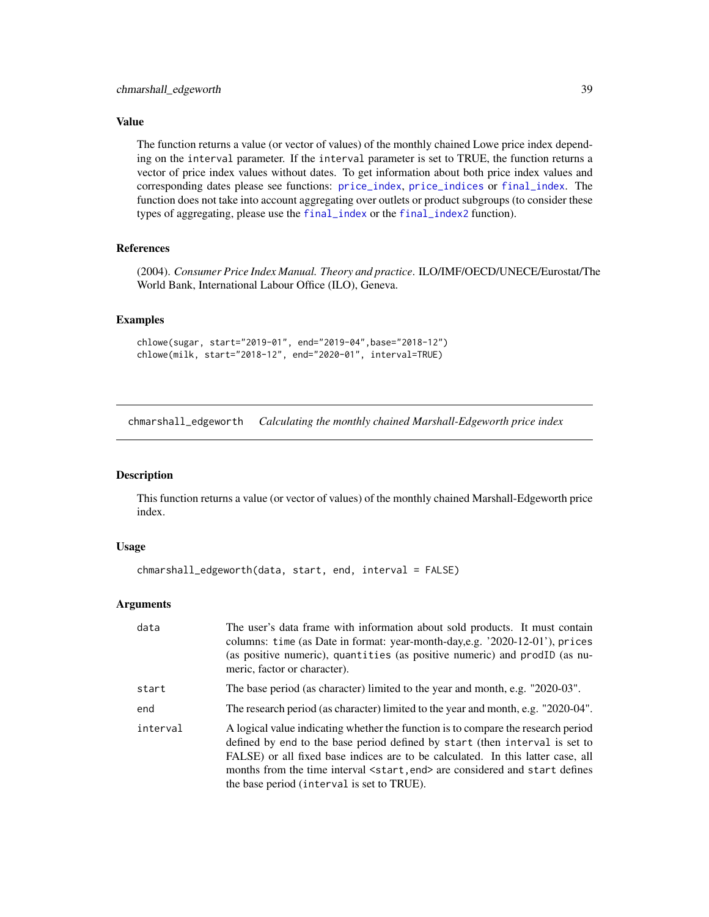# Value

The function returns a value (or vector of values) of the monthly chained Lowe price index depending on the interval parameter. If the interval parameter is set to TRUE, the function returns a vector of price index values without dates. To get information about both price index values and corresponding dates please see functions: [price\\_index](#page-153-0), [price\\_indices](#page-154-0) or [final\\_index](#page-72-0). The function does not take into account aggregating over outlets or product subgroups (to consider these types of aggregating, please use the [final\\_index](#page-72-0) or the [final\\_index2](#page-74-0) function).

# References

(2004). *Consumer Price Index Manual. Theory and practice*. ILO/IMF/OECD/UNECE/Eurostat/The World Bank, International Labour Office (ILO), Geneva.

### Examples

```
chlowe(sugar, start="2019-01", end="2019-04",base="2018-12")
chlowe(milk, start="2018-12", end="2020-01", interval=TRUE)
```
chmarshall\_edgeworth *Calculating the monthly chained Marshall-Edgeworth price index*

# Description

This function returns a value (or vector of values) of the monthly chained Marshall-Edgeworth price index.

## Usage

```
chmarshall_edgeworth(data, start, end, interval = FALSE)
```

| data     | The user's data frame with information about sold products. It must contain<br>columns: time (as Date in format: year-month-day, e.g. '2020-12-01'), prices                                                                                                                                                                                                                                   |
|----------|-----------------------------------------------------------------------------------------------------------------------------------------------------------------------------------------------------------------------------------------------------------------------------------------------------------------------------------------------------------------------------------------------|
|          | (as positive numeric), quantities (as positive numeric) and prodID (as nu-<br>meric, factor or character).                                                                                                                                                                                                                                                                                    |
| start    | The base period (as character) limited to the year and month, e.g. "2020-03".                                                                                                                                                                                                                                                                                                                 |
| end      | The research period (as character) limited to the year and month, e.g. "2020-04".                                                                                                                                                                                                                                                                                                             |
| interval | A logical value indicating whether the function is to compare the research period<br>defined by end to the base period defined by start (then interval is set to<br>FALSE) or all fixed base indices are to be calculated. In this latter case, all<br>months from the time interval <start, end=""> are considered and start defines<br/>the base period (interval is set to TRUE).</start,> |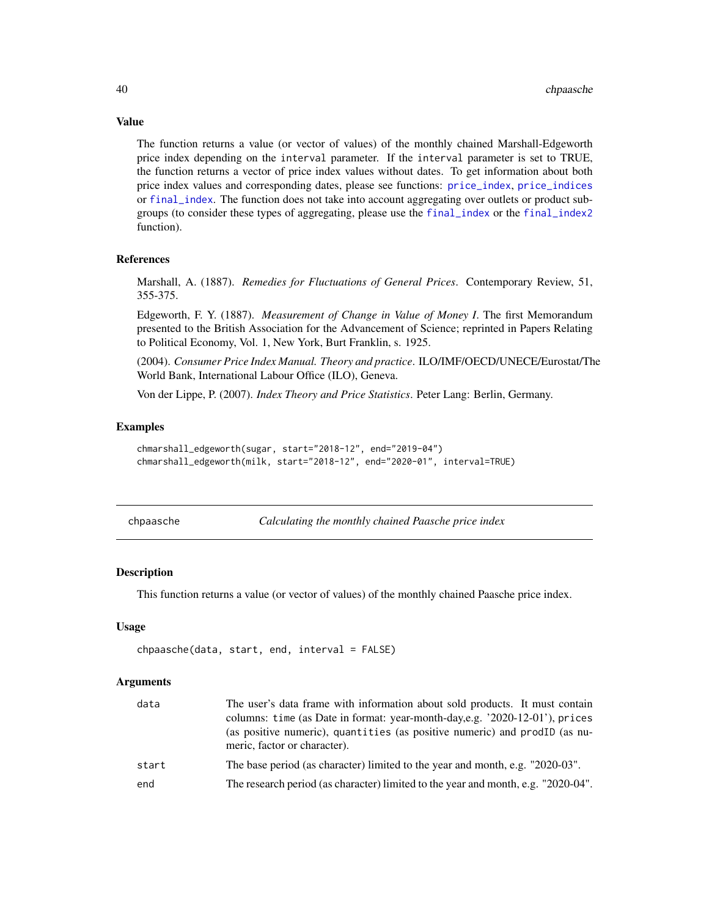Value

The function returns a value (or vector of values) of the monthly chained Marshall-Edgeworth price index depending on the interval parameter. If the interval parameter is set to TRUE, the function returns a vector of price index values without dates. To get information about both price index values and corresponding dates, please see functions: [price\\_index](#page-153-0), [price\\_indices](#page-154-0) or [final\\_index](#page-72-0). The function does not take into account aggregating over outlets or product subgroups (to consider these types of aggregating, please use the [final\\_index](#page-72-0) or the [final\\_index2](#page-74-0) function).

## References

Marshall, A. (1887). *Remedies for Fluctuations of General Prices*. Contemporary Review, 51, 355-375.

Edgeworth, F. Y. (1887). *Measurement of Change in Value of Money I*. The first Memorandum presented to the British Association for the Advancement of Science; reprinted in Papers Relating to Political Economy, Vol. 1, New York, Burt Franklin, s. 1925.

(2004). *Consumer Price Index Manual. Theory and practice*. ILO/IMF/OECD/UNECE/Eurostat/The World Bank, International Labour Office (ILO), Geneva.

Von der Lippe, P. (2007). *Index Theory and Price Statistics*. Peter Lang: Berlin, Germany.

## Examples

```
chmarshall_edgeworth(sugar, start="2018-12", end="2019-04")
chmarshall_edgeworth(milk, start="2018-12", end="2020-01", interval=TRUE)
```
chpaasche *Calculating the monthly chained Paasche price index*

# **Description**

This function returns a value (or vector of values) of the monthly chained Paasche price index.

## Usage

```
chpaasche(data, start, end, interval = FALSE)
```

| data  | The user's data frame with information about sold products. It must contain<br>columns: time (as Date in format: year-month-day,e.g. '2020-12-01'), prices<br>(as positive numeric), quantities (as positive numeric) and prodID (as nu-<br>meric, factor or character). |
|-------|--------------------------------------------------------------------------------------------------------------------------------------------------------------------------------------------------------------------------------------------------------------------------|
| start | The base period (as character) limited to the year and month, e.g. "2020-03".                                                                                                                                                                                            |
| end   | The research period (as character) limited to the year and month, e.g. "2020-04".                                                                                                                                                                                        |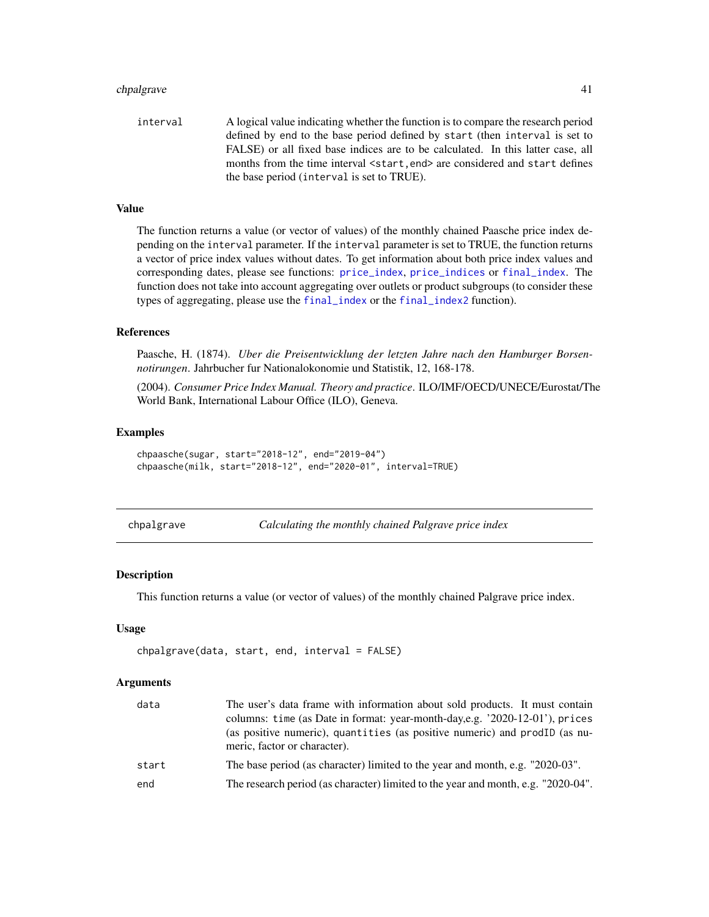#### chpalgrave 41

interval A logical value indicating whether the function is to compare the research period defined by end to the base period defined by start (then interval is set to FALSE) or all fixed base indices are to be calculated. In this latter case, all months from the time interval <start, end> are considered and start defines the base period (interval is set to TRUE).

# Value

The function returns a value (or vector of values) of the monthly chained Paasche price index depending on the interval parameter. If the interval parameter is set to TRUE, the function returns a vector of price index values without dates. To get information about both price index values and corresponding dates, please see functions: [price\\_index](#page-153-0), [price\\_indices](#page-154-0) or [final\\_index](#page-72-0). The function does not take into account aggregating over outlets or product subgroups (to consider these types of aggregating, please use the [final\\_index](#page-72-0) or the [final\\_index2](#page-74-0) function).

## References

Paasche, H. (1874). *Uber die Preisentwicklung der letzten Jahre nach den Hamburger Borsennotirungen*. Jahrbucher fur Nationalokonomie und Statistik, 12, 168-178.

(2004). *Consumer Price Index Manual. Theory and practice*. ILO/IMF/OECD/UNECE/Eurostat/The World Bank, International Labour Office (ILO), Geneva.

#### Examples

```
chpaasche(sugar, start="2018-12", end="2019-04")
chpaasche(milk, start="2018-12", end="2020-01", interval=TRUE)
```
chpalgrave *Calculating the monthly chained Palgrave price index*

#### **Description**

This function returns a value (or vector of values) of the monthly chained Palgrave price index.

### Usage

```
chpalgrave(data, start, end, interval = FALSE)
```

| data  | The user's data frame with information about sold products. It must contain<br>columns: time (as Date in format: year-month-day, e.g. '2020-12-01'), prices<br>(as positive numeric), quantities (as positive numeric) and prodID (as nu-<br>meric, factor or character). |
|-------|---------------------------------------------------------------------------------------------------------------------------------------------------------------------------------------------------------------------------------------------------------------------------|
| start | The base period (as character) limited to the year and month, e.g. "2020-03".                                                                                                                                                                                             |
| end   | The research period (as character) limited to the year and month, e.g. "2020-04".                                                                                                                                                                                         |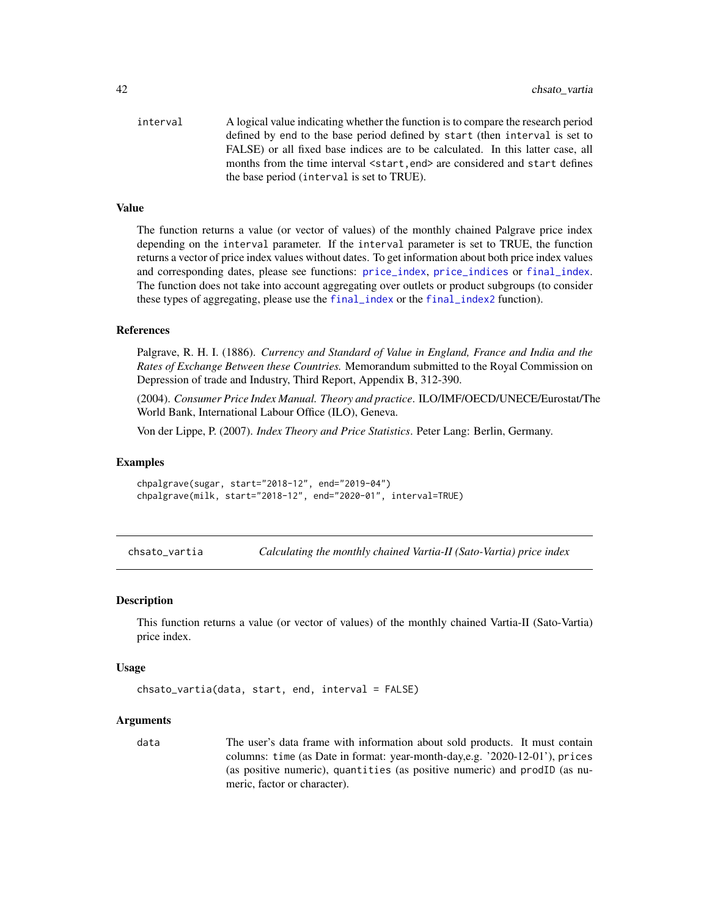interval A logical value indicating whether the function is to compare the research period defined by end to the base period defined by start (then interval is set to FALSE) or all fixed base indices are to be calculated. In this latter case, all months from the time interval <start, end> are considered and start defines the base period (interval is set to TRUE).

## Value

The function returns a value (or vector of values) of the monthly chained Palgrave price index depending on the interval parameter. If the interval parameter is set to TRUE, the function returns a vector of price index values without dates. To get information about both price index values and corresponding dates, please see functions: [price\\_index](#page-153-0), [price\\_indices](#page-154-0) or [final\\_index](#page-72-0). The function does not take into account aggregating over outlets or product subgroups (to consider these types of aggregating, please use the [final\\_index](#page-72-0) or the [final\\_index2](#page-74-0) function).

# References

Palgrave, R. H. I. (1886). *Currency and Standard of Value in England, France and India and the Rates of Exchange Between these Countries.* Memorandum submitted to the Royal Commission on Depression of trade and Industry, Third Report, Appendix B, 312-390.

(2004). *Consumer Price Index Manual. Theory and practice*. ILO/IMF/OECD/UNECE/Eurostat/The World Bank, International Labour Office (ILO), Geneva.

Von der Lippe, P. (2007). *Index Theory and Price Statistics*. Peter Lang: Berlin, Germany.

#### Examples

```
chpalgrave(sugar, start="2018-12", end="2019-04")
chpalgrave(milk, start="2018-12", end="2020-01", interval=TRUE)
```
chsato\_vartia *Calculating the monthly chained Vartia-II (Sato-Vartia) price index*

#### **Description**

This function returns a value (or vector of values) of the monthly chained Vartia-II (Sato-Vartia) price index.

#### Usage

```
chsato_vartia(data, start, end, interval = FALSE)
```
#### Arguments

data The user's data frame with information about sold products. It must contain columns: time (as Date in format: year-month-day,e.g. '2020-12-01'), prices (as positive numeric), quantities (as positive numeric) and prodID (as numeric, factor or character).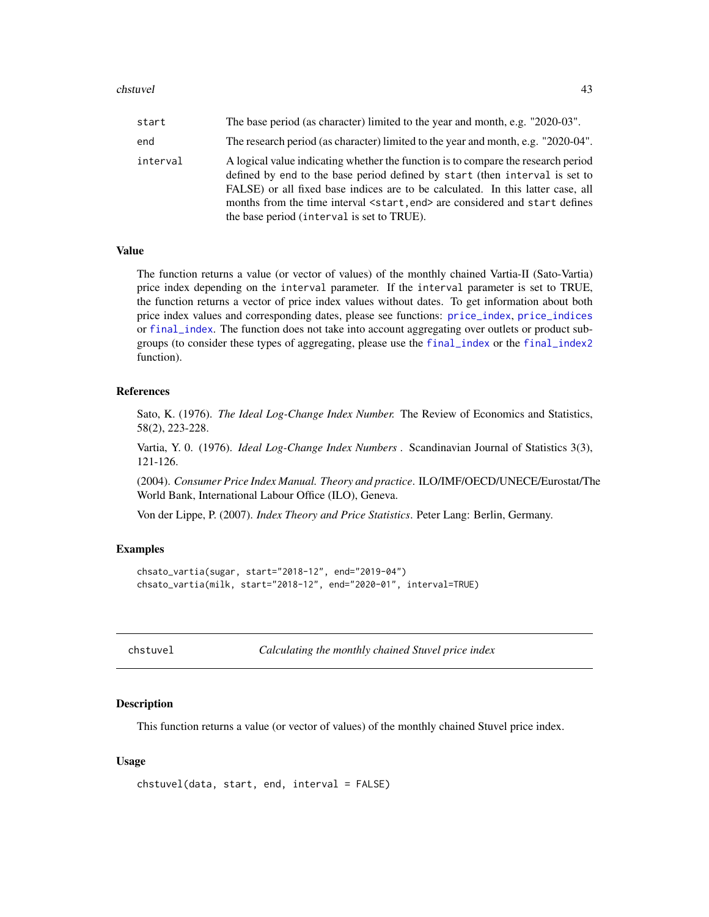#### chstuvel **43**

| start    | The base period (as character) limited to the year and month, e.g. "2020-03".                                                                                                                                                                                                                                                                                                         |
|----------|---------------------------------------------------------------------------------------------------------------------------------------------------------------------------------------------------------------------------------------------------------------------------------------------------------------------------------------------------------------------------------------|
| end      | The research period (as character) limited to the year and month, e.g. "2020-04".                                                                                                                                                                                                                                                                                                     |
| interval | A logical value indicating whether the function is to compare the research period<br>defined by end to the base period defined by start (then interval is set to<br>FALSE) or all fixed base indices are to be calculated. In this latter case, all<br>months from the time interval $\leq$ tart, end> are considered and start defines<br>the base period (interval is set to TRUE). |

#### Value

The function returns a value (or vector of values) of the monthly chained Vartia-II (Sato-Vartia) price index depending on the interval parameter. If the interval parameter is set to TRUE, the function returns a vector of price index values without dates. To get information about both price index values and corresponding dates, please see functions: [price\\_index](#page-153-0), [price\\_indices](#page-154-0) or [final\\_index](#page-72-0). The function does not take into account aggregating over outlets or product subgroups (to consider these types of aggregating, please use the [final\\_index](#page-72-0) or the [final\\_index2](#page-74-0) function).

## References

Sato, K. (1976). *The Ideal Log-Change Index Number.* The Review of Economics and Statistics, 58(2), 223-228.

Vartia, Y. 0. (1976). *Ideal Log-Change Index Numbers .* Scandinavian Journal of Statistics 3(3), 121-126.

(2004). *Consumer Price Index Manual. Theory and practice*. ILO/IMF/OECD/UNECE/Eurostat/The World Bank, International Labour Office (ILO), Geneva.

Von der Lippe, P. (2007). *Index Theory and Price Statistics*. Peter Lang: Berlin, Germany.

## Examples

```
chsato_vartia(sugar, start="2018-12", end="2019-04")
chsato_vartia(milk, start="2018-12", end="2020-01", interval=TRUE)
```
chstuvel *Calculating the monthly chained Stuvel price index*

## Description

This function returns a value (or vector of values) of the monthly chained Stuvel price index.

```
chstuvel(data, start, end, interval = FALSE)
```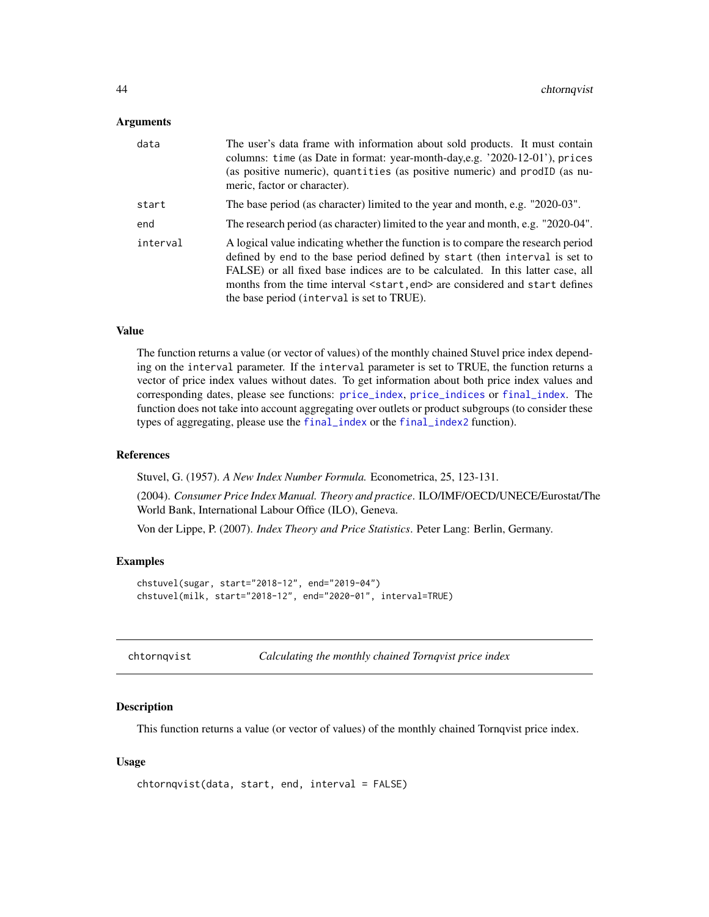## **Arguments**

| data     | The user's data frame with information about sold products. It must contain<br>columns: time (as Date in format: year-month-day, e.g. '2020-12-01'), prices<br>(as positive numeric), quantities (as positive numeric) and prodID (as nu-<br>meric, factor or character).                                                                                                                     |
|----------|-----------------------------------------------------------------------------------------------------------------------------------------------------------------------------------------------------------------------------------------------------------------------------------------------------------------------------------------------------------------------------------------------|
| start    | The base period (as character) limited to the year and month, e.g. "2020-03".                                                                                                                                                                                                                                                                                                                 |
| end      | The research period (as character) limited to the year and month, e.g. "2020-04".                                                                                                                                                                                                                                                                                                             |
| interval | A logical value indicating whether the function is to compare the research period<br>defined by end to the base period defined by start (then interval is set to<br>FALSE) or all fixed base indices are to be calculated. In this latter case, all<br>months from the time interval <start, end=""> are considered and start defines<br/>the base period (interval is set to TRUE).</start,> |

# Value

The function returns a value (or vector of values) of the monthly chained Stuvel price index depending on the interval parameter. If the interval parameter is set to TRUE, the function returns a vector of price index values without dates. To get information about both price index values and corresponding dates, please see functions: [price\\_index](#page-153-0), [price\\_indices](#page-154-0) or [final\\_index](#page-72-0). The function does not take into account aggregating over outlets or product subgroups (to consider these types of aggregating, please use the [final\\_index](#page-72-0) or the [final\\_index2](#page-74-0) function).

## References

Stuvel, G. (1957). *A New Index Number Formula.* Econometrica, 25, 123-131.

(2004). *Consumer Price Index Manual. Theory and practice*. ILO/IMF/OECD/UNECE/Eurostat/The World Bank, International Labour Office (ILO), Geneva.

Von der Lippe, P. (2007). *Index Theory and Price Statistics*. Peter Lang: Berlin, Germany.

## Examples

```
chstuvel(sugar, start="2018-12", end="2019-04")
chstuvel(milk, start="2018-12", end="2020-01", interval=TRUE)
```

| chtorngvist | Calculating the monthly chained Tornqvist price index |  |
|-------------|-------------------------------------------------------|--|
|-------------|-------------------------------------------------------|--|

# Description

This function returns a value (or vector of values) of the monthly chained Tornqvist price index.

```
chtornqvist(data, start, end, interval = FALSE)
```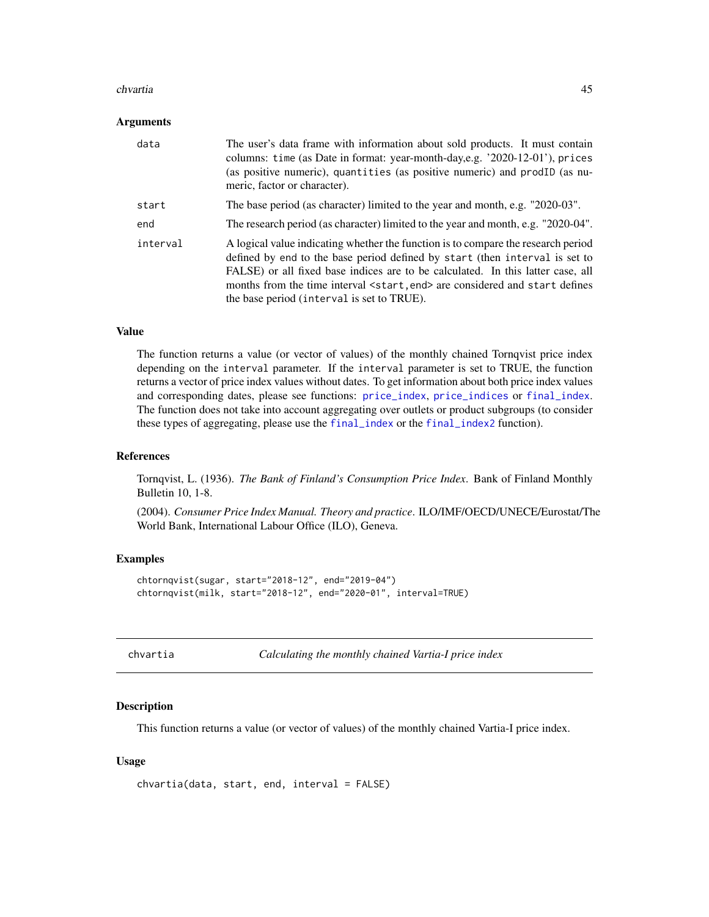#### chvartia and the control of the control of the control of the control of the control of the control of the control of the control of the control of the control of the control of the control of the control of the control of

## **Arguments**

| data     | The user's data frame with information about sold products. It must contain<br>columns: time (as Date in format: year-month-day,e.g. '2020-12-01'), prices<br>(as positive numeric), quantities (as positive numeric) and prodID (as nu-<br>meric, factor or character).                                                                                                                      |
|----------|-----------------------------------------------------------------------------------------------------------------------------------------------------------------------------------------------------------------------------------------------------------------------------------------------------------------------------------------------------------------------------------------------|
| start    | The base period (as character) limited to the year and month, e.g. "2020-03".                                                                                                                                                                                                                                                                                                                 |
| end      | The research period (as character) limited to the year and month, e.g. "2020-04".                                                                                                                                                                                                                                                                                                             |
| interval | A logical value indicating whether the function is to compare the research period<br>defined by end to the base period defined by start (then interval is set to<br>FALSE) or all fixed base indices are to be calculated. In this latter case, all<br>months from the time interval <start, end=""> are considered and start defines<br/>the base period (interval is set to TRUE).</start,> |

# Value

The function returns a value (or vector of values) of the monthly chained Tornqvist price index depending on the interval parameter. If the interval parameter is set to TRUE, the function returns a vector of price index values without dates. To get information about both price index values and corresponding dates, please see functions: [price\\_index](#page-153-0), [price\\_indices](#page-154-0) or [final\\_index](#page-72-0). The function does not take into account aggregating over outlets or product subgroups (to consider these types of aggregating, please use the [final\\_index](#page-72-0) or the [final\\_index2](#page-74-0) function).

## References

Tornqvist, L. (1936). *The Bank of Finland's Consumption Price Index*. Bank of Finland Monthly Bulletin 10, 1-8.

(2004). *Consumer Price Index Manual. Theory and practice*. ILO/IMF/OECD/UNECE/Eurostat/The World Bank, International Labour Office (ILO), Geneva.

## Examples

```
chtornqvist(sugar, start="2018-12", end="2019-04")
chtornqvist(milk, start="2018-12", end="2020-01", interval=TRUE)
```

| chvartia |  |  |  |
|----------|--|--|--|
|          |  |  |  |
|          |  |  |  |

```
Calculating the monthly chained Vartia-I price index
```
## Description

This function returns a value (or vector of values) of the monthly chained Vartia-I price index.

```
chvartia(data, start, end, interval = FALSE)
```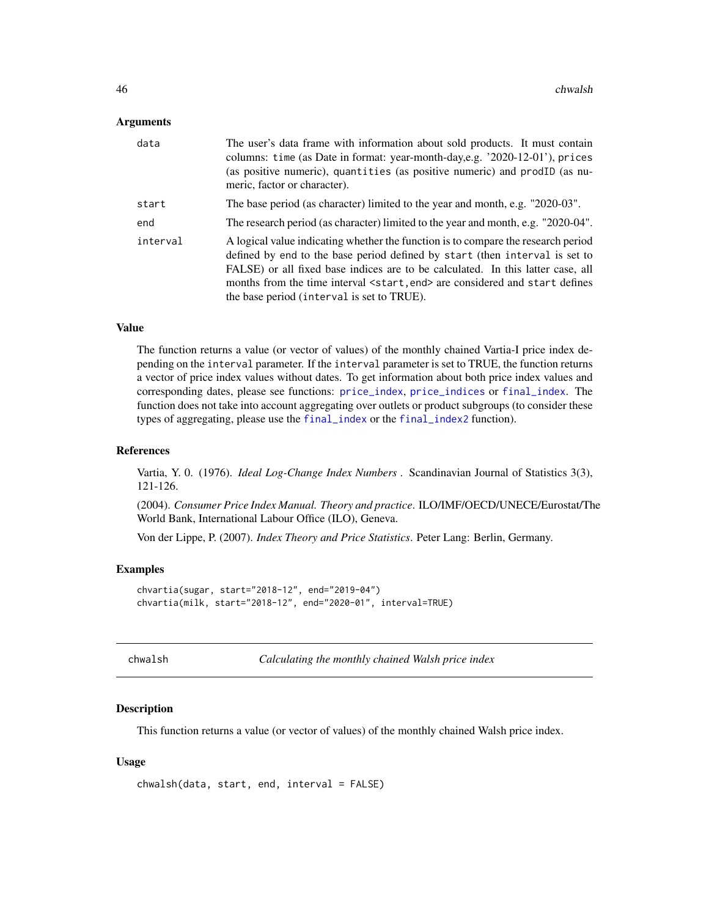## Arguments

| data     | The user's data frame with information about sold products. It must contain<br>columns: time (as Date in format: year-month-day, e.g. '2020-12-01'), prices<br>(as positive numeric), quantities (as positive numeric) and prodID (as nu-<br>meric, factor or character).                                                                                                                     |
|----------|-----------------------------------------------------------------------------------------------------------------------------------------------------------------------------------------------------------------------------------------------------------------------------------------------------------------------------------------------------------------------------------------------|
| start    | The base period (as character) limited to the year and month, e.g. "2020-03".                                                                                                                                                                                                                                                                                                                 |
| end      | The research period (as character) limited to the year and month, e.g. "2020-04".                                                                                                                                                                                                                                                                                                             |
| interval | A logical value indicating whether the function is to compare the research period<br>defined by end to the base period defined by start (then interval is set to<br>FALSE) or all fixed base indices are to be calculated. In this latter case, all<br>months from the time interval <start, end=""> are considered and start defines<br/>the base period (interval is set to TRUE).</start,> |

# Value

The function returns a value (or vector of values) of the monthly chained Vartia-I price index depending on the interval parameter. If the interval parameter is set to TRUE, the function returns a vector of price index values without dates. To get information about both price index values and corresponding dates, please see functions: [price\\_index](#page-153-0), [price\\_indices](#page-154-0) or [final\\_index](#page-72-0). The function does not take into account aggregating over outlets or product subgroups (to consider these types of aggregating, please use the [final\\_index](#page-72-0) or the [final\\_index2](#page-74-0) function).

## References

Vartia, Y. 0. (1976). *Ideal Log-Change Index Numbers .* Scandinavian Journal of Statistics 3(3), 121-126.

(2004). *Consumer Price Index Manual. Theory and practice*. ILO/IMF/OECD/UNECE/Eurostat/The World Bank, International Labour Office (ILO), Geneva.

Von der Lippe, P. (2007). *Index Theory and Price Statistics*. Peter Lang: Berlin, Germany.

#### Examples

```
chvartia(sugar, start="2018-12", end="2019-04")
chvartia(milk, start="2018-12", end="2020-01", interval=TRUE)
```
chwalsh *Calculating the monthly chained Walsh price index*

## **Description**

This function returns a value (or vector of values) of the monthly chained Walsh price index.

```
chwalsh(data, start, end, interval = FALSE)
```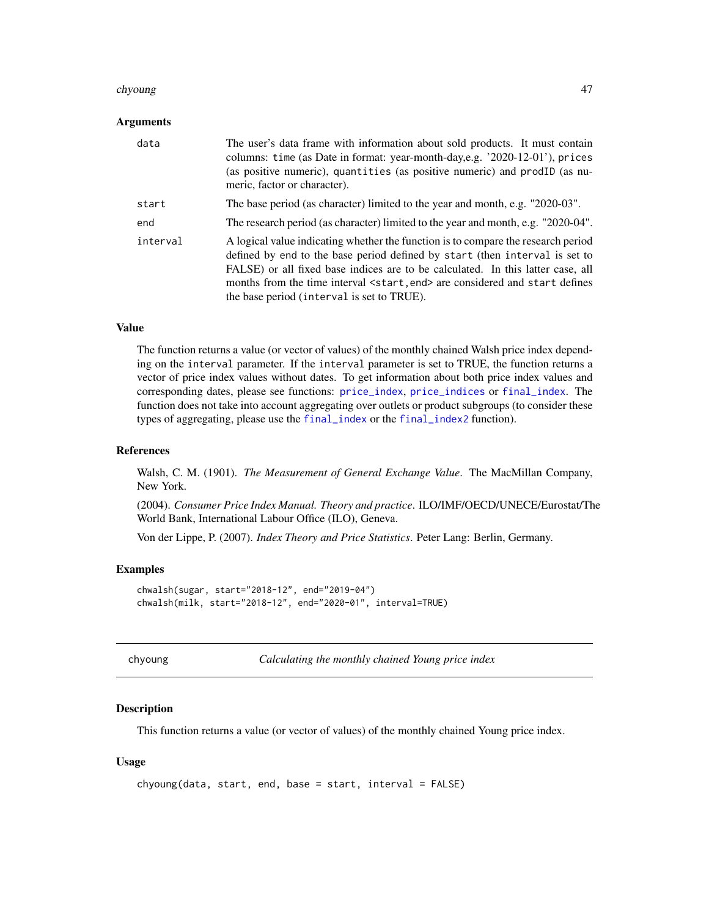#### chyoung the children of the contract of the children of the children of the children of the children of the children of the children of the children of the children of the children of the children of the children of the ch

#### Arguments

| data     | The user's data frame with information about sold products. It must contain<br>columns: time (as Date in format: year-month-day,e.g. '2020-12-01'), prices<br>(as positive numeric), quantities (as positive numeric) and prodID (as nu-<br>meric, factor or character).                                                                                                                      |
|----------|-----------------------------------------------------------------------------------------------------------------------------------------------------------------------------------------------------------------------------------------------------------------------------------------------------------------------------------------------------------------------------------------------|
| start    | The base period (as character) limited to the year and month, e.g. "2020-03".                                                                                                                                                                                                                                                                                                                 |
| end      | The research period (as character) limited to the year and month, e.g. "2020-04".                                                                                                                                                                                                                                                                                                             |
| interval | A logical value indicating whether the function is to compare the research period<br>defined by end to the base period defined by start (then interval is set to<br>FALSE) or all fixed base indices are to be calculated. In this latter case, all<br>months from the time interval <start, end=""> are considered and start defines<br/>the base period (interval is set to TRUE).</start,> |

# Value

The function returns a value (or vector of values) of the monthly chained Walsh price index depending on the interval parameter. If the interval parameter is set to TRUE, the function returns a vector of price index values without dates. To get information about both price index values and corresponding dates, please see functions: [price\\_index](#page-153-0), [price\\_indices](#page-154-0) or [final\\_index](#page-72-0). The function does not take into account aggregating over outlets or product subgroups (to consider these types of aggregating, please use the [final\\_index](#page-72-0) or the [final\\_index2](#page-74-0) function).

## References

Walsh, C. M. (1901). *The Measurement of General Exchange Value*. The MacMillan Company, New York.

(2004). *Consumer Price Index Manual. Theory and practice*. ILO/IMF/OECD/UNECE/Eurostat/The World Bank, International Labour Office (ILO), Geneva.

Von der Lippe, P. (2007). *Index Theory and Price Statistics*. Peter Lang: Berlin, Germany.

## Examples

```
chwalsh(sugar, start="2018-12", end="2019-04")
chwalsh(milk, start="2018-12", end="2020-01", interval=TRUE)
```
chyoung *Calculating the monthly chained Young price index*

# Description

This function returns a value (or vector of values) of the monthly chained Young price index.

```
chyoung(data, start, end, base = start, interval = FALSE)
```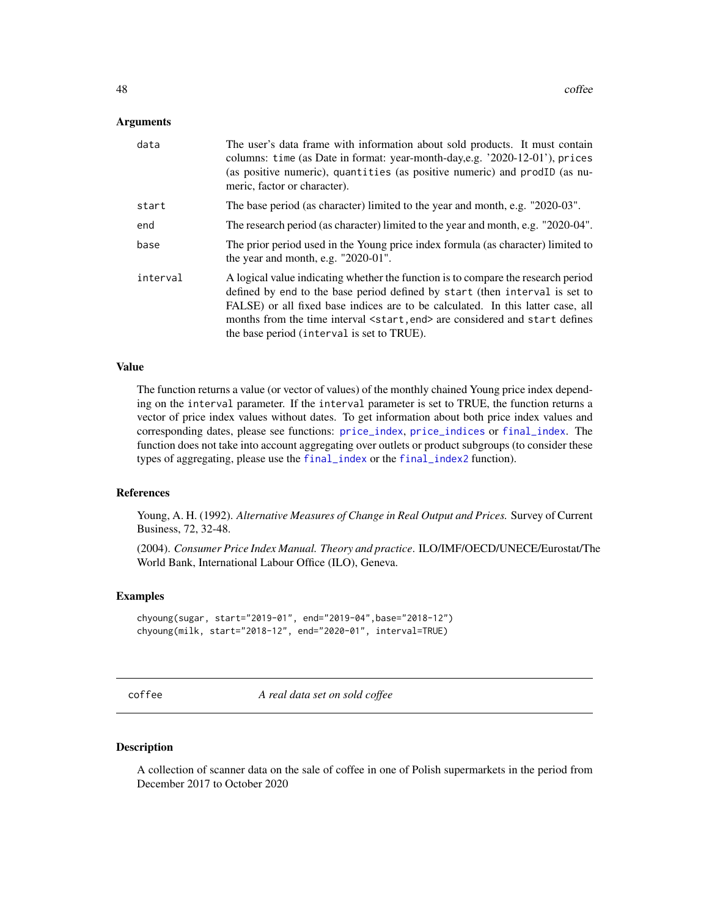## **Arguments**

| data     | The user's data frame with information about sold products. It must contain<br>columns: time (as Date in format: year-month-day,e.g. '2020-12-01'), prices<br>(as positive numeric), quantities (as positive numeric) and prodID (as nu-<br>meric, factor or character).                                                                                                                      |
|----------|-----------------------------------------------------------------------------------------------------------------------------------------------------------------------------------------------------------------------------------------------------------------------------------------------------------------------------------------------------------------------------------------------|
| start    | The base period (as character) limited to the year and month, e.g. "2020-03".                                                                                                                                                                                                                                                                                                                 |
| end      | The research period (as character) limited to the year and month, e.g. "2020-04".                                                                                                                                                                                                                                                                                                             |
| base     | The prior period used in the Young price index formula (as character) limited to<br>the year and month, e.g. $"2020-01"$ .                                                                                                                                                                                                                                                                    |
| interval | A logical value indicating whether the function is to compare the research period<br>defined by end to the base period defined by start (then interval is set to<br>FALSE) or all fixed base indices are to be calculated. In this latter case, all<br>months from the time interval <start, end=""> are considered and start defines<br/>the base period (interval is set to TRUE).</start,> |

#### Value

The function returns a value (or vector of values) of the monthly chained Young price index depending on the interval parameter. If the interval parameter is set to TRUE, the function returns a vector of price index values without dates. To get information about both price index values and corresponding dates, please see functions: [price\\_index](#page-153-0), [price\\_indices](#page-154-0) or [final\\_index](#page-72-0). The function does not take into account aggregating over outlets or product subgroups (to consider these types of aggregating, please use the [final\\_index](#page-72-0) or the [final\\_index2](#page-74-0) function).

# References

Young, A. H. (1992). *Alternative Measures of Change in Real Output and Prices.* Survey of Current Business, 72, 32-48.

(2004). *Consumer Price Index Manual. Theory and practice*. ILO/IMF/OECD/UNECE/Eurostat/The World Bank, International Labour Office (ILO), Geneva.

#### Examples

```
chyoung(sugar, start="2019-01", end="2019-04",base="2018-12")
chyoung(milk, start="2018-12", end="2020-01", interval=TRUE)
```
coffee *A real data set on sold coffee*

## Description

A collection of scanner data on the sale of coffee in one of Polish supermarkets in the period from December 2017 to October 2020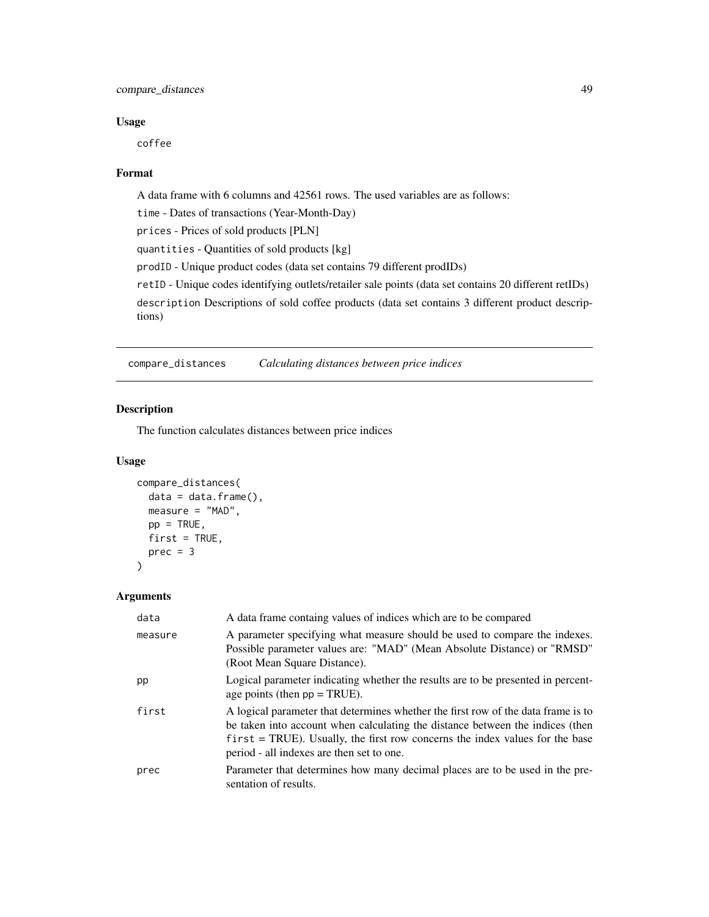# Usage

coffee

# Format

A data frame with 6 columns and 42561 rows. The used variables are as follows:

time - Dates of transactions (Year-Month-Day)

prices - Prices of sold products [PLN]

quantities - Quantities of sold products [kg]

prodID - Unique product codes (data set contains 79 different prodIDs)

retID - Unique codes identifying outlets/retailer sale points (data set contains 20 different retIDs)

description Descriptions of sold coffee products (data set contains 3 different product descriptions)

compare\_distances *Calculating distances between price indices*

# Description

The function calculates distances between price indices

#### Usage

```
compare_distances(
  data = data.frame(),measure = "MAD",
 pp = TRUE,first = TRUE,prec = 3\mathcal{L}
```

| data    | A data frame containg values of indices which are to be compared                                                                                                                                                                                                                                |
|---------|-------------------------------------------------------------------------------------------------------------------------------------------------------------------------------------------------------------------------------------------------------------------------------------------------|
| measure | A parameter specifying what measure should be used to compare the indexes.<br>Possible parameter values are: "MAD" (Mean Absolute Distance) or "RMSD"<br>(Root Mean Square Distance).                                                                                                           |
| pp      | Logical parameter indicating whether the results are to be presented in percent-<br>age points (then $pp = TRUE$ ).                                                                                                                                                                             |
| first   | A logical parameter that determines whether the first row of the data frame is to<br>be taken into account when calculating the distance between the indices (then<br>first = TRUE). Usually, the first row concerns the index values for the base<br>period - all indexes are then set to one. |
| prec    | Parameter that determines how many decimal places are to be used in the pre-<br>sentation of results.                                                                                                                                                                                           |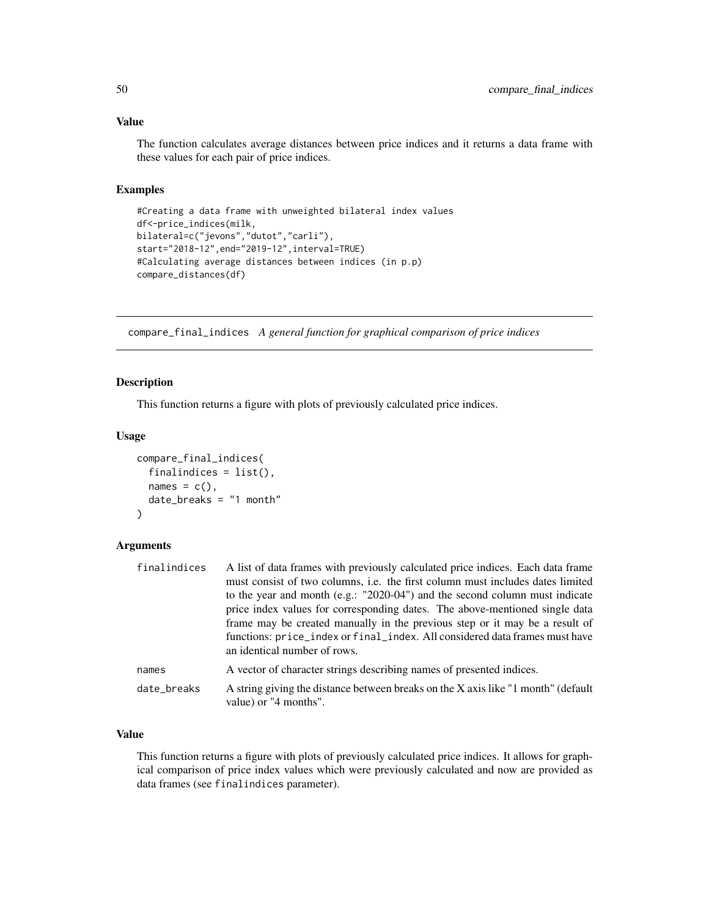# Value

The function calculates average distances between price indices and it returns a data frame with these values for each pair of price indices.

# Examples

```
#Creating a data frame with unweighted bilateral index values
df<-price_indices(milk,
bilateral=c("jevons","dutot","carli"),
start="2018-12",end="2019-12",interval=TRUE)
#Calculating average distances between indices (in p.p)
compare_distances(df)
```
<span id="page-49-0"></span>compare\_final\_indices *A general function for graphical comparison of price indices*

# Description

This function returns a figure with plots of previously calculated price indices.

## Usage

```
compare_final_indices(
  finalindices = list(),
  names = c(),
  date_breaks = "1 month"
)
```
## Arguments

| finalindices | A list of data frames with previously calculated price indices. Each data frame<br>must consist of two columns, i.e. the first column must includes dates limited<br>to the year and month (e.g.: $"2020-04"$ ) and the second column must indicate<br>price index values for corresponding dates. The above-mentioned single data<br>frame may be created manually in the previous step or it may be a result of<br>functions: price_index or final_index. All considered data frames must have |
|--------------|--------------------------------------------------------------------------------------------------------------------------------------------------------------------------------------------------------------------------------------------------------------------------------------------------------------------------------------------------------------------------------------------------------------------------------------------------------------------------------------------------|
| names        | an identical number of rows.<br>A vector of character strings describing names of presented indices.                                                                                                                                                                                                                                                                                                                                                                                             |
| date breaks  | A string giving the distance between breaks on the X axis like "1 month" (default<br>value) or "4 months".                                                                                                                                                                                                                                                                                                                                                                                       |

# Value

This function returns a figure with plots of previously calculated price indices. It allows for graphical comparison of price index values which were previously calculated and now are provided as data frames (see finalindices parameter).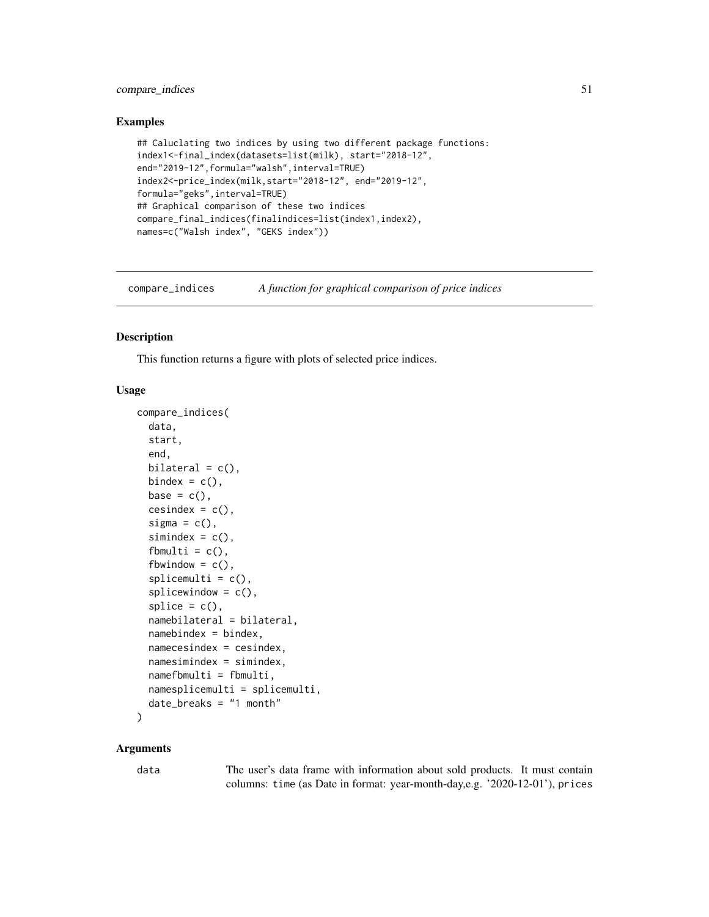# compare\_indices 51

## Examples

```
## Caluclating two indices by using two different package functions:
index1<-final_index(datasets=list(milk), start="2018-12",
end="2019-12",formula="walsh",interval=TRUE)
index2<-price_index(milk,start="2018-12", end="2019-12",
formula="geks",interval=TRUE)
## Graphical comparison of these two indices
compare_final_indices(finalindices=list(index1,index2),
names=c("Walsh index", "GEKS index"))
```
compare\_indices *A function for graphical comparison of price indices*

# Description

This function returns a figure with plots of selected price indices.

#### Usage

```
compare_indices(
  data,
  start,
  end,
  bilateral = c(),
  bindex = c(),
  base = c(),
  cesindex = c(),
  sigma = c(),
  simindex = c(),
  fbmulti = c(),
  fbwindow = c(),
  split = c(),
  splitcewindow = c(),
  splitce = c(),
  namebilateral = bilateral,
  namebindex = bindex,
  namecesindex = cesindex,
  namesimindex = simindex,
  namefbmulti = fbmulti,
  namesplicemulti = splicemulti,
  date_breaks = "1 month"
)
```
## Arguments

data The user's data frame with information about sold products. It must contain columns: time (as Date in format: year-month-day,e.g. '2020-12-01'), prices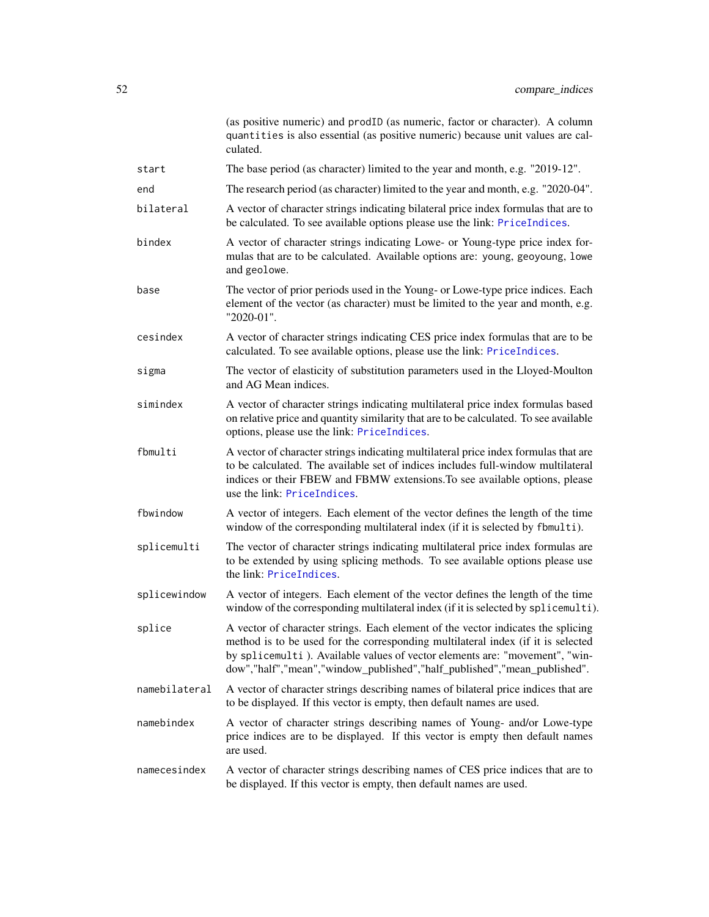|               | (as positive numeric) and prodID (as numeric, factor or character). A column<br>quantities is also essential (as positive numeric) because unit values are cal-<br>culated.                                                                                                                                                     |
|---------------|---------------------------------------------------------------------------------------------------------------------------------------------------------------------------------------------------------------------------------------------------------------------------------------------------------------------------------|
| start         | The base period (as character) limited to the year and month, e.g. "2019-12".                                                                                                                                                                                                                                                   |
| end           | The research period (as character) limited to the year and month, e.g. "2020-04".                                                                                                                                                                                                                                               |
| bilateral     | A vector of character strings indicating bilateral price index formulas that are to<br>be calculated. To see available options please use the link: PriceIndices.                                                                                                                                                               |
| bindex        | A vector of character strings indicating Lowe- or Young-type price index for-<br>mulas that are to be calculated. Available options are: young, geoyoung, lowe<br>and geolowe.                                                                                                                                                  |
| base          | The vector of prior periods used in the Young- or Lowe-type price indices. Each<br>element of the vector (as character) must be limited to the year and month, e.g.<br>"2020-01".                                                                                                                                               |
| cesindex      | A vector of character strings indicating CES price index formulas that are to be<br>calculated. To see available options, please use the link: PriceIndices.                                                                                                                                                                    |
| sigma         | The vector of elasticity of substitution parameters used in the Lloyed-Moulton<br>and AG Mean indices.                                                                                                                                                                                                                          |
| simindex      | A vector of character strings indicating multilateral price index formulas based<br>on relative price and quantity similarity that are to be calculated. To see available<br>options, please use the link: PriceIndices.                                                                                                        |
| fbmulti       | A vector of character strings indicating multilateral price index formulas that are<br>to be calculated. The available set of indices includes full-window multilateral<br>indices or their FBEW and FBMW extensions. To see available options, please<br>use the link: PriceIndices.                                           |
| fbwindow      | A vector of integers. Each element of the vector defines the length of the time<br>window of the corresponding multilateral index (if it is selected by fbmulti).                                                                                                                                                               |
| splicemulti   | The vector of character strings indicating multilateral price index formulas are<br>to be extended by using splicing methods. To see available options please use<br>the link: PriceIndices.                                                                                                                                    |
| splicewindow  | A vector of integers. Each element of the vector defines the length of the time<br>window of the corresponding multilateral index (if it is selected by splicemulti).                                                                                                                                                           |
| splice        | A vector of character strings. Each element of the vector indicates the splicing<br>method is to be used for the corresponding multilateral index (if it is selected<br>by splicemulti). Available values of vector elements are: "movement", "win-<br>dow","half","mean","window_published","half_published","mean_published". |
| namebilateral | A vector of character strings describing names of bilateral price indices that are<br>to be displayed. If this vector is empty, then default names are used.                                                                                                                                                                    |
| namebindex    | A vector of character strings describing names of Young- and/or Lowe-type<br>price indices are to be displayed. If this vector is empty then default names<br>are used.                                                                                                                                                         |
| namecesindex  | A vector of character strings describing names of CES price indices that are to<br>be displayed. If this vector is empty, then default names are used.                                                                                                                                                                          |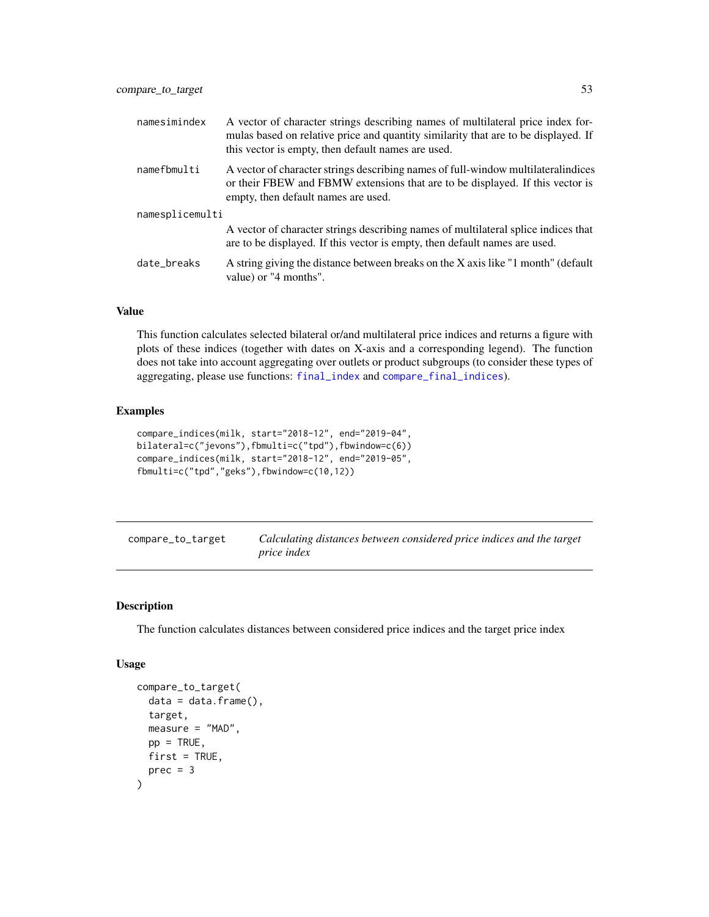| namesimindex    | A vector of character strings describing names of multilateral price index for-<br>mulas based on relative price and quantity similarity that are to be displayed. If<br>this vector is empty, then default names are used. |
|-----------------|-----------------------------------------------------------------------------------------------------------------------------------------------------------------------------------------------------------------------------|
| namefbmulti     | A vector of character strings describing names of full-window multilateral indices<br>or their FBEW and FBMW extensions that are to be displayed. If this vector is<br>empty, then default names are used.                  |
| namesplicemulti |                                                                                                                                                                                                                             |
|                 | A vector of character strings describing names of multilateral splice indices that<br>are to be displayed. If this vector is empty, then default names are used.                                                            |
| date_breaks     | A string giving the distance between breaks on the X axis like "1 month" (default<br>value) or "4 months".                                                                                                                  |

# Value

This function calculates selected bilateral or/and multilateral price indices and returns a figure with plots of these indices (together with dates on X-axis and a corresponding legend). The function does not take into account aggregating over outlets or product subgroups (to consider these types of aggregating, please use functions: [final\\_index](#page-72-0) and [compare\\_final\\_indices](#page-49-0)).

# Examples

```
compare_indices(milk, start="2018-12", end="2019-04",
bilateral=c("jevons"),fbmulti=c("tpd"),fbwindow=c(6))
compare_indices(milk, start="2018-12", end="2019-05",
fbmulti=c("tpd","geks"),fbwindow=c(10,12))
```

| compare_to_target | Calculating distances between considered price indices and the target |
|-------------------|-----------------------------------------------------------------------|
|                   | <i>price index</i>                                                    |

# Description

The function calculates distances between considered price indices and the target price index

```
compare_to_target(
 data = data.frame(),target,
 measure = "MAD",
 pp = TRUE,first = TRUE,
 prec = 3)
```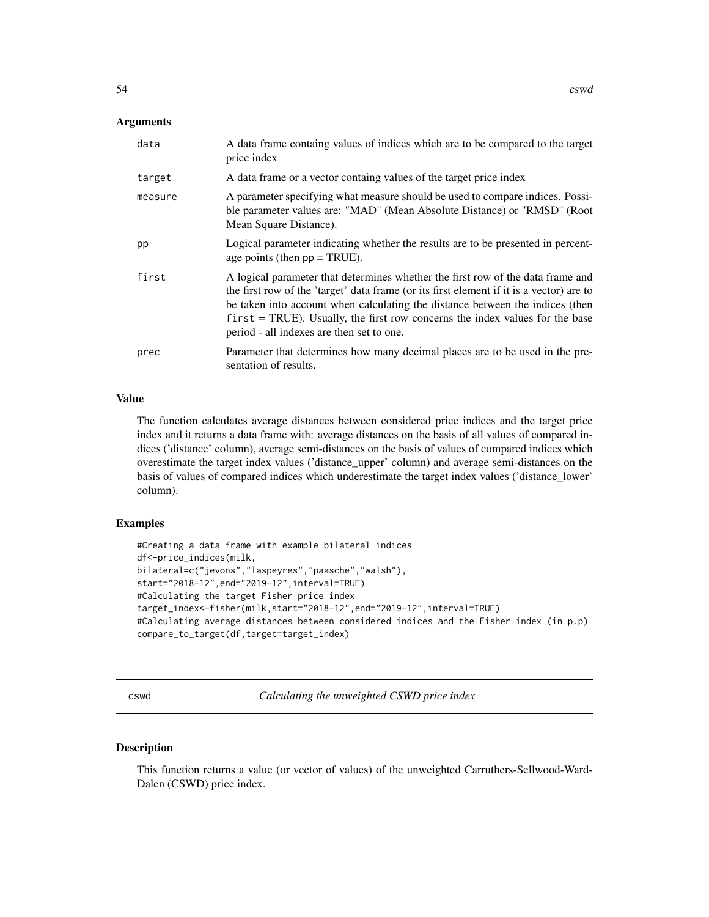## **Arguments**

| data    | A data frame containg values of indices which are to be compared to the target<br>price index                                                                                                                                                                                                                                                                                                |
|---------|----------------------------------------------------------------------------------------------------------------------------------------------------------------------------------------------------------------------------------------------------------------------------------------------------------------------------------------------------------------------------------------------|
| target  | A data frame or a vector containg values of the target price index                                                                                                                                                                                                                                                                                                                           |
| measure | A parameter specifying what measure should be used to compare indices. Possi-<br>ble parameter values are: "MAD" (Mean Absolute Distance) or "RMSD" (Root<br>Mean Square Distance).                                                                                                                                                                                                          |
| pp      | Logical parameter indicating whether the results are to be presented in percent-<br>age points (then $pp = TRUE$ ).                                                                                                                                                                                                                                                                          |
| first   | A logical parameter that determines whether the first row of the data frame and<br>the first row of the 'target' data frame (or its first element if it is a vector) are to<br>be taken into account when calculating the distance between the indices (then<br>$first = TRUE$ ). Usually, the first row concerns the index values for the base<br>period - all indexes are then set to one. |
| prec    | Parameter that determines how many decimal places are to be used in the pre-<br>sentation of results.                                                                                                                                                                                                                                                                                        |

# Value

The function calculates average distances between considered price indices and the target price index and it returns a data frame with: average distances on the basis of all values of compared indices ('distance' column), average semi-distances on the basis of values of compared indices which overestimate the target index values ('distance\_upper' column) and average semi-distances on the basis of values of compared indices which underestimate the target index values ('distance\_lower' column).

# Examples

```
#Creating a data frame with example bilateral indices
df<-price_indices(milk,
bilateral=c("jevons","laspeyres","paasche","walsh"),
start="2018-12",end="2019-12",interval=TRUE)
#Calculating the target Fisher price index
target_index<-fisher(milk,start="2018-12",end="2019-12",interval=TRUE)
#Calculating average distances between considered indices and the Fisher index (in p.p)
compare_to_target(df,target=target_index)
```
cswd *Calculating the unweighted CSWD price index*

## Description

This function returns a value (or vector of values) of the unweighted Carruthers-Sellwood-Ward-Dalen (CSWD) price index.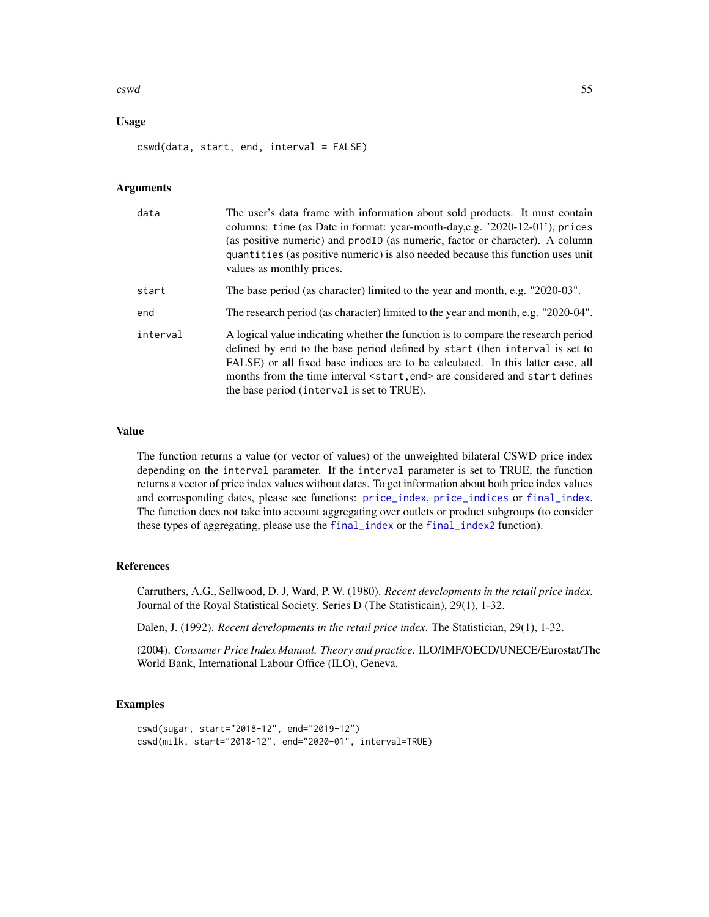#### $\sim$  cswd  $\sim$  55

## Usage

cswd(data, start, end, interval = FALSE)

#### Arguments

| data     | The user's data frame with information about sold products. It must contain<br>columns: time (as Date in format: year-month-day, e.g. '2020-12-01'), prices<br>(as positive numeric) and prodID (as numeric, factor or character). A column<br>quantities (as positive numeric) is also needed because this function uses unit<br>values as monthly prices.                                   |
|----------|-----------------------------------------------------------------------------------------------------------------------------------------------------------------------------------------------------------------------------------------------------------------------------------------------------------------------------------------------------------------------------------------------|
| start    | The base period (as character) limited to the year and month, e.g. "2020-03".                                                                                                                                                                                                                                                                                                                 |
| end      | The research period (as character) limited to the year and month, e.g. "2020-04".                                                                                                                                                                                                                                                                                                             |
| interval | A logical value indicating whether the function is to compare the research period<br>defined by end to the base period defined by start (then interval is set to<br>FALSE) or all fixed base indices are to be calculated. In this latter case, all<br>months from the time interval <start, end=""> are considered and start defines<br/>the base period (interval is set to TRUE).</start,> |

#### Value

The function returns a value (or vector of values) of the unweighted bilateral CSWD price index depending on the interval parameter. If the interval parameter is set to TRUE, the function returns a vector of price index values without dates. To get information about both price index values and corresponding dates, please see functions: [price\\_index](#page-153-0), [price\\_indices](#page-154-0) or [final\\_index](#page-72-0). The function does not take into account aggregating over outlets or product subgroups (to consider these types of aggregating, please use the [final\\_index](#page-72-0) or the [final\\_index2](#page-74-0) function).

# References

Carruthers, A.G., Sellwood, D. J, Ward, P. W. (1980). *Recent developments in the retail price index*. Journal of the Royal Statistical Society. Series D (The Statisticain), 29(1), 1-32.

Dalen, J. (1992). *Recent developments in the retail price index*. The Statistician, 29(1), 1-32.

(2004). *Consumer Price Index Manual. Theory and practice*. ILO/IMF/OECD/UNECE/Eurostat/The World Bank, International Labour Office (ILO), Geneva.

```
cswd(sugar, start="2018-12", end="2019-12")
cswd(milk, start="2018-12", end="2020-01", interval=TRUE)
```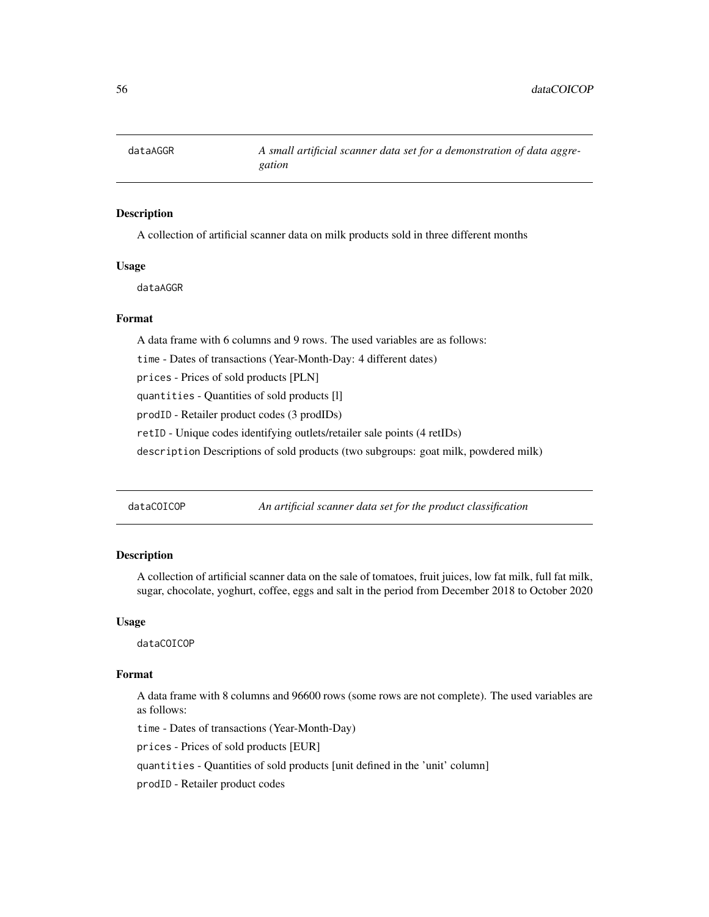## Description

A collection of artificial scanner data on milk products sold in three different months

# Usage

dataAGGR

# Format

A data frame with 6 columns and 9 rows. The used variables are as follows:

time - Dates of transactions (Year-Month-Day: 4 different dates)

prices - Prices of sold products [PLN]

quantities - Quantities of sold products [l]

prodID - Retailer product codes (3 prodIDs)

retID - Unique codes identifying outlets/retailer sale points (4 retIDs)

description Descriptions of sold products (two subgroups: goat milk, powdered milk)

dataCOICOP *An artificial scanner data set for the product classification*

## Description

A collection of artificial scanner data on the sale of tomatoes, fruit juices, low fat milk, full fat milk, sugar, chocolate, yoghurt, coffee, eggs and salt in the period from December 2018 to October 2020

## Usage

dataCOICOP

#### Format

A data frame with 8 columns and 96600 rows (some rows are not complete). The used variables are as follows:

time - Dates of transactions (Year-Month-Day)

prices - Prices of sold products [EUR]

quantities - Quantities of sold products [unit defined in the 'unit' column]

prodID - Retailer product codes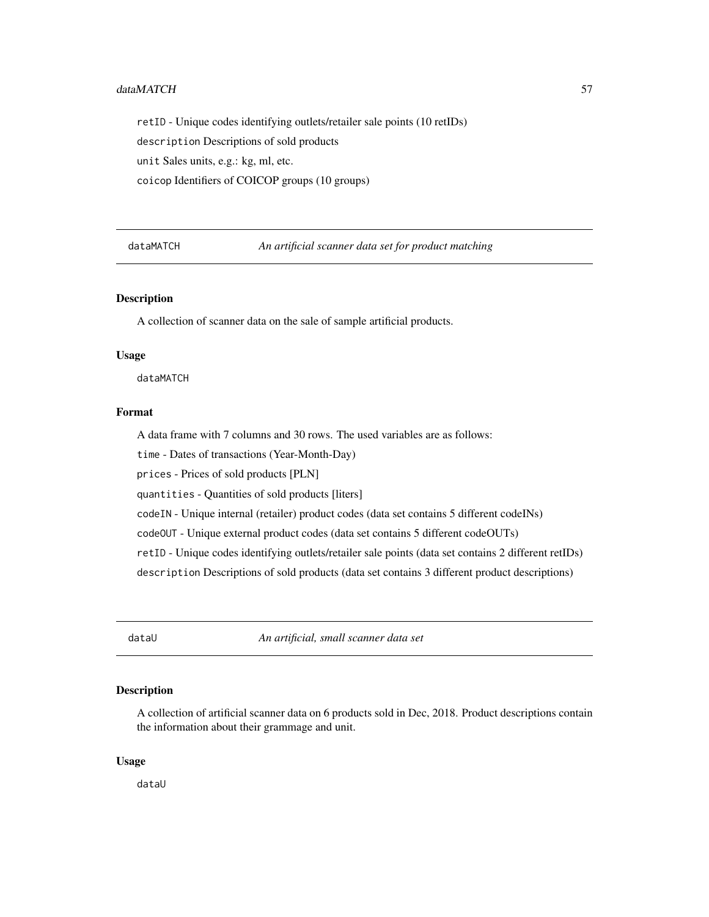#### dataMATCH 57

retID - Unique codes identifying outlets/retailer sale points (10 retIDs) description Descriptions of sold products unit Sales units, e.g.: kg, ml, etc. coicop Identifiers of COICOP groups (10 groups)

dataMATCH *An artificial scanner data set for product matching*

# Description

A collection of scanner data on the sale of sample artificial products.

## Usage

dataMATCH

#### Format

A data frame with 7 columns and 30 rows. The used variables are as follows:

time - Dates of transactions (Year-Month-Day)

prices - Prices of sold products [PLN]

quantities - Quantities of sold products [liters]

codeIN - Unique internal (retailer) product codes (data set contains 5 different codeINs)

codeOUT - Unique external product codes (data set contains 5 different codeOUTs)

retID - Unique codes identifying outlets/retailer sale points (data set contains 2 different retIDs)

description Descriptions of sold products (data set contains 3 different product descriptions)

dataU *An artificial, small scanner data set*

# Description

A collection of artificial scanner data on 6 products sold in Dec, 2018. Product descriptions contain the information about their grammage and unit.

## Usage

dataU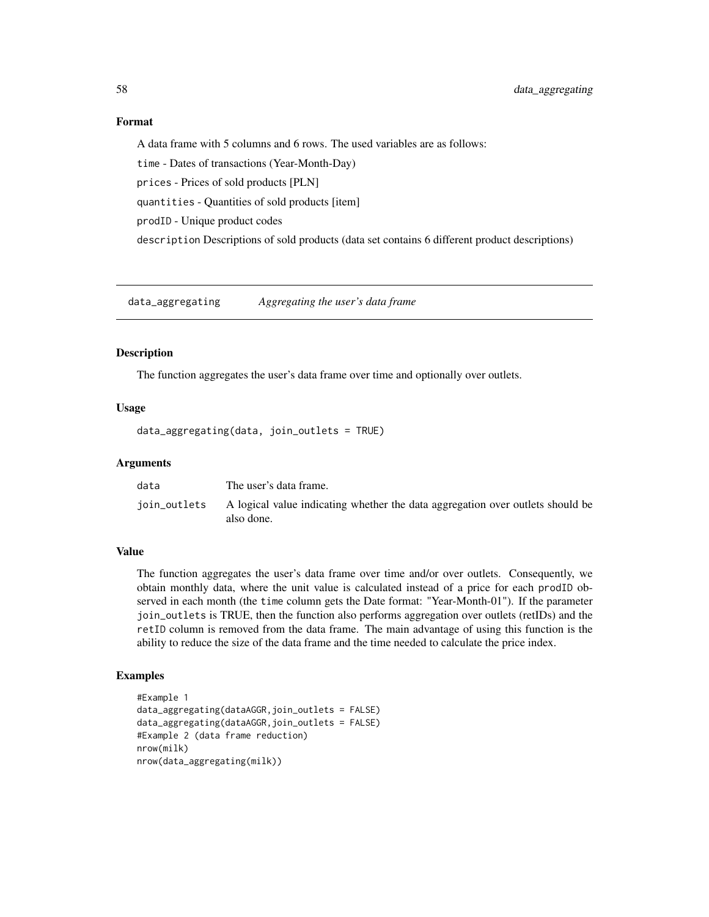# Format

A data frame with 5 columns and 6 rows. The used variables are as follows:

time - Dates of transactions (Year-Month-Day)

prices - Prices of sold products [PLN]

quantities - Quantities of sold products [item]

prodID - Unique product codes

description Descriptions of sold products (data set contains 6 different product descriptions)

data\_aggregating *Aggregating the user's data frame*

## Description

The function aggregates the user's data frame over time and optionally over outlets.

# Usage

data\_aggregating(data, join\_outlets = TRUE)

## Arguments

| data         | The user's data frame.                                                                       |
|--------------|----------------------------------------------------------------------------------------------|
| join_outlets | A logical value indicating whether the data aggregation over outlets should be<br>also done. |

# Value

The function aggregates the user's data frame over time and/or over outlets. Consequently, we obtain monthly data, where the unit value is calculated instead of a price for each prodID observed in each month (the time column gets the Date format: "Year-Month-01"). If the parameter join\_outlets is TRUE, then the function also performs aggregation over outlets (retIDs) and the retID column is removed from the data frame. The main advantage of using this function is the ability to reduce the size of the data frame and the time needed to calculate the price index.

```
#Example 1
data_aggregating(dataAGGR,join_outlets = FALSE)
data_aggregating(dataAGGR,join_outlets = FALSE)
#Example 2 (data frame reduction)
nrow(milk)
nrow(data_aggregating(milk))
```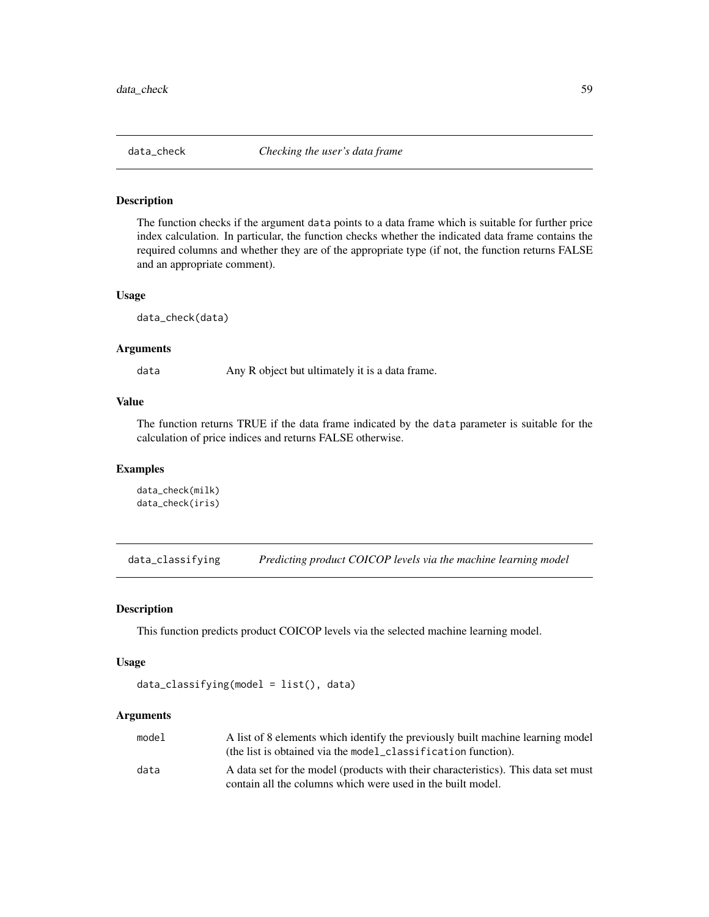## Description

The function checks if the argument data points to a data frame which is suitable for further price index calculation. In particular, the function checks whether the indicated data frame contains the required columns and whether they are of the appropriate type (if not, the function returns FALSE and an appropriate comment).

#### Usage

data\_check(data)

### Arguments

data Any R object but ultimately it is a data frame.

# Value

The function returns TRUE if the data frame indicated by the data parameter is suitable for the calculation of price indices and returns FALSE otherwise.

#### Examples

```
data_check(milk)
data_check(iris)
```
data\_classifying *Predicting product COICOP levels via the machine learning model*

#### Description

This function predicts product COICOP levels via the selected machine learning model.

#### Usage

```
data_classifying(model = list(), data)
```

| model | A list of 8 elements which identify the previously built machine learning model<br>(the list is obtained via the model_classification function).  |
|-------|---------------------------------------------------------------------------------------------------------------------------------------------------|
| data  | A data set for the model (products with their characteristics). This data set must<br>contain all the columns which were used in the built model. |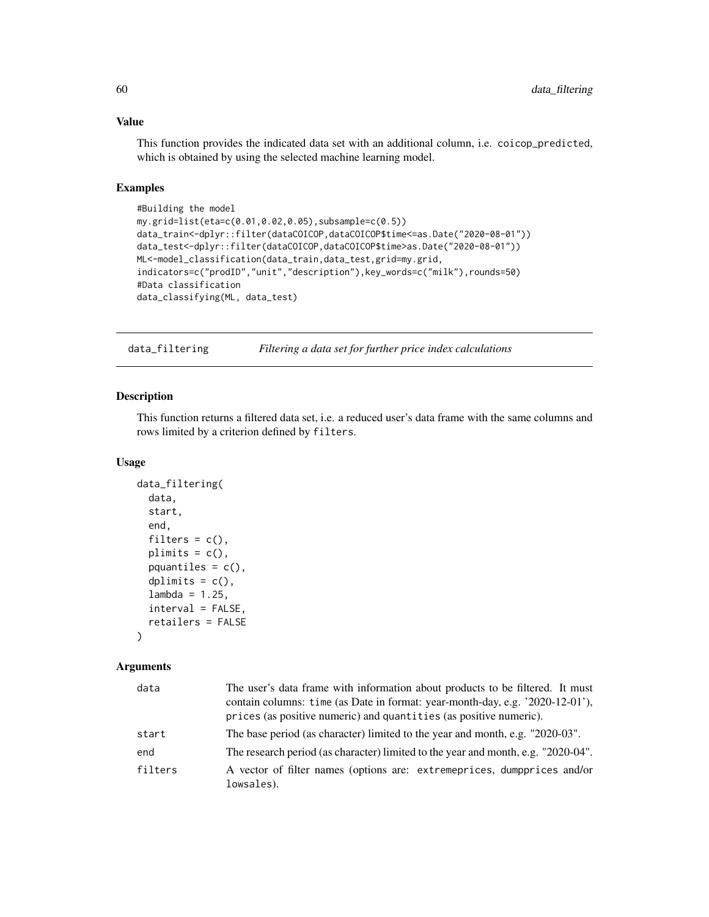# Value

This function provides the indicated data set with an additional column, i.e. coicop\_predicted, which is obtained by using the selected machine learning model.

## Examples

```
#Building the model
my.grid=list(eta=c(0.01,0.02,0.05),subsample=c(0.5))
data_train<-dplyr::filter(dataCOICOP,dataCOICOP$time<=as.Date("2020-08-01"))
data_test<-dplyr::filter(dataCOICOP,dataCOICOP$time>as.Date("2020-08-01"))
ML<-model_classification(data_train,data_test,grid=my.grid,
indicators=c("prodID","unit","description"),key_words=c("milk"),rounds=50)
#Data classification
data_classifying(ML, data_test)
```
data\_filtering *Filtering a data set for further price index calculations*

#### Description

This function returns a filtered data set, i.e. a reduced user's data frame with the same columns and rows limited by a criterion defined by filters.

#### Usage

```
data_filtering(
  data,
  start,
  end,
  filters = c(),
 plimits = c(),
  pquantiles = c(),
  dplimits = c(),
  lambda = 1.25,
  interval = FALSE,
  retailers = FALSE
)
```

| data    | The user's data frame with information about products to be filtered. It must         |
|---------|---------------------------------------------------------------------------------------|
|         | contain columns: time (as Date in format: year-month-day, e.g. '2020-12-01'),         |
|         | prices (as positive numeric) and quantities (as positive numeric).                    |
| start   | The base period (as character) limited to the year and month, e.g. "2020-03".         |
| end     | The research period (as character) limited to the year and month, e.g. "2020-04".     |
| filters | A vector of filter names (options are: extremeprices, dumpprices and/or<br>lowsales). |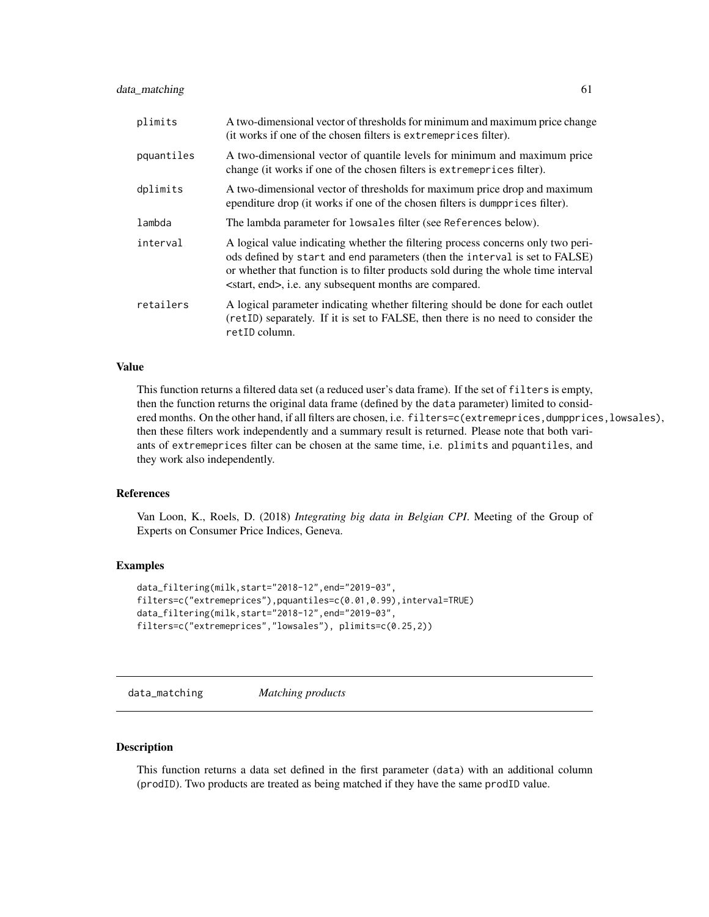# data\_matching 61

| plimits    | A two-dimensional vector of thresholds for minimum and maximum price change<br>(it works if one of the chosen filters is extremeprices filter).                                                                                                                                                                             |
|------------|-----------------------------------------------------------------------------------------------------------------------------------------------------------------------------------------------------------------------------------------------------------------------------------------------------------------------------|
| pquantiles | A two-dimensional vector of quantile levels for minimum and maximum price<br>change (it works if one of the chosen filters is extremeprices filter).                                                                                                                                                                        |
| dplimits   | A two-dimensional vector of thresholds for maximum price drop and maximum<br>ependiture drop (it works if one of the chosen filters is dumpprices filter).                                                                                                                                                                  |
| lambda     | The lambda parameter for lowsales filter (see References below).                                                                                                                                                                                                                                                            |
| interval   | A logical value indicating whether the filtering process concerns only two peri-<br>ods defined by start and end parameters (then the interval is set to FALSE)<br>or whether that function is to filter products sold during the whole time interval<br><start, end="">, i.e. any subsequent months are compared.</start,> |
| retailers  | A logical parameter indicating whether filtering should be done for each outlet<br>(retID) separately. If it is set to FALSE, then there is no need to consider the<br>retID column.                                                                                                                                        |

#### Value

This function returns a filtered data set (a reduced user's data frame). If the set of filters is empty, then the function returns the original data frame (defined by the data parameter) limited to considered months. On the other hand, if all filters are chosen, i.e. filters=c(extremeprices,dumpprices,lowsales), then these filters work independently and a summary result is returned. Please note that both variants of extremeprices filter can be chosen at the same time, i.e. plimits and pquantiles, and they work also independently.

#### References

Van Loon, K., Roels, D. (2018) *Integrating big data in Belgian CPI*. Meeting of the Group of Experts on Consumer Price Indices, Geneva.

# Examples

```
data_filtering(milk,start="2018-12",end="2019-03",
filters=c("extremeprices"),pquantiles=c(0.01,0.99),interval=TRUE)
data_filtering(milk,start="2018-12",end="2019-03",
filters=c("extremeprices","lowsales"), plimits=c(0.25,2))
```
<span id="page-60-0"></span>data\_matching *Matching products*

## Description

This function returns a data set defined in the first parameter (data) with an additional column (prodID). Two products are treated as being matched if they have the same prodID value.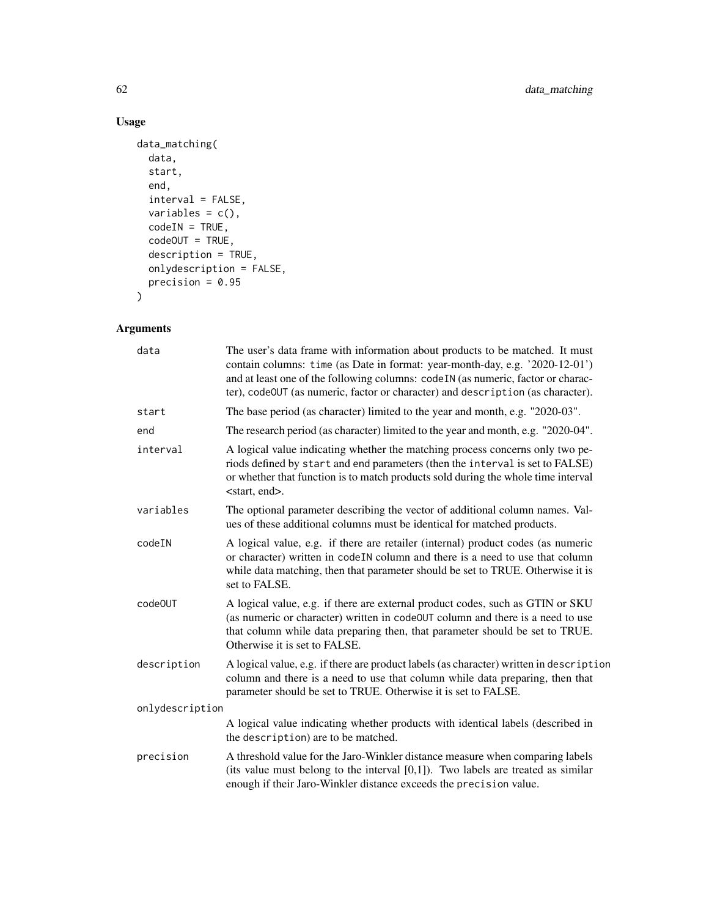# Usage

```
data_matching(
  data,
 start,
 end,
 interval = FALSE,
 variables = c(),
 codeIN = TRUE,codeOUT = TRUE,description = TRUE,
 onlydescription = FALSE,
 precision = 0.95\mathcal{L}
```

| data            | The user's data frame with information about products to be matched. It must<br>contain columns: time (as Date in format: year-month-day, e.g. '2020-12-01')<br>and at least one of the following columns: codeIN (as numeric, factor or charac-<br>ter), codeOUT (as numeric, factor or character) and description (as character). |
|-----------------|-------------------------------------------------------------------------------------------------------------------------------------------------------------------------------------------------------------------------------------------------------------------------------------------------------------------------------------|
| start           | The base period (as character) limited to the year and month, e.g. "2020-03".                                                                                                                                                                                                                                                       |
| end             | The research period (as character) limited to the year and month, e.g. "2020-04".                                                                                                                                                                                                                                                   |
| interval        | A logical value indicating whether the matching process concerns only two pe-<br>riods defined by start and end parameters (then the interval is set to FALSE)<br>or whether that function is to match products sold during the whole time interval<br><start, end="">.</start,>                                                    |
| variables       | The optional parameter describing the vector of additional column names. Val-<br>ues of these additional columns must be identical for matched products.                                                                                                                                                                            |
| codeIN          | A logical value, e.g. if there are retailer (internal) product codes (as numeric<br>or character) written in codeIN column and there is a need to use that column<br>while data matching, then that parameter should be set to TRUE. Otherwise it is<br>set to FALSE.                                                               |
| code0UT         | A logical value, e.g. if there are external product codes, such as GTIN or SKU<br>(as numeric or character) written in code0UT column and there is a need to use<br>that column while data preparing then, that parameter should be set to TRUE.<br>Otherwise it is set to FALSE.                                                   |
| description     | A logical value, e.g. if there are product labels (as character) written in description<br>column and there is a need to use that column while data preparing, then that<br>parameter should be set to TRUE. Otherwise it is set to FALSE.                                                                                          |
| onlydescription |                                                                                                                                                                                                                                                                                                                                     |
|                 | A logical value indicating whether products with identical labels (described in<br>the description) are to be matched.                                                                                                                                                                                                              |
| precision       | A threshold value for the Jaro-Winkler distance measure when comparing labels<br>(its value must belong to the interval $[0,1]$ ). Two labels are treated as similar<br>enough if their Jaro-Winkler distance exceeds the precision value.                                                                                          |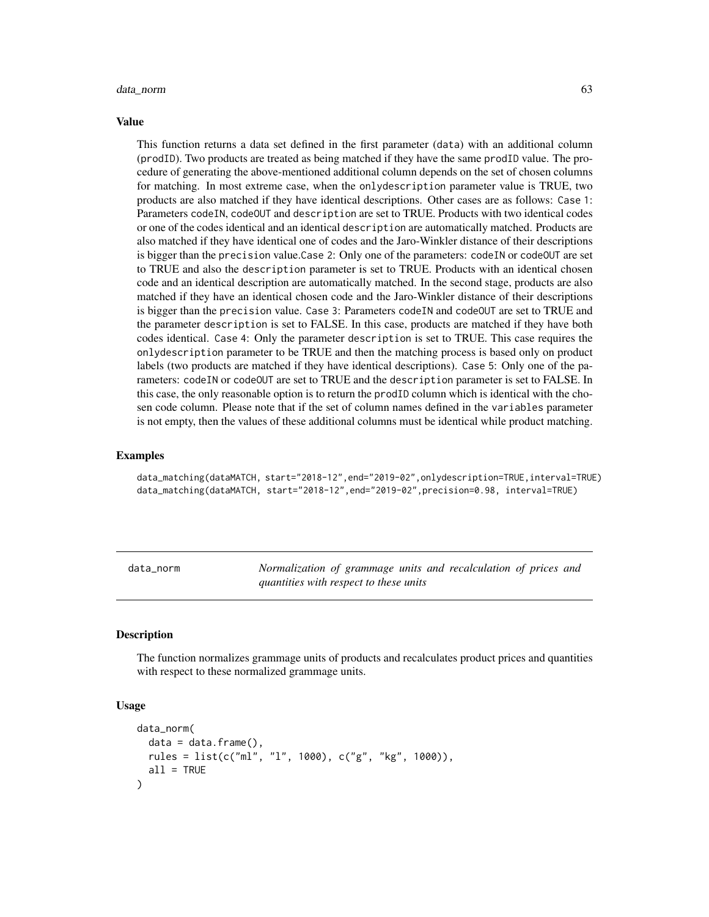#### data\_norm 63

#### Value

This function returns a data set defined in the first parameter (data) with an additional column (prodID). Two products are treated as being matched if they have the same prodID value. The procedure of generating the above-mentioned additional column depends on the set of chosen columns for matching. In most extreme case, when the onlydescription parameter value is TRUE, two products are also matched if they have identical descriptions. Other cases are as follows: Case 1: Parameters codeIN, codeOUT and description are set to TRUE. Products with two identical codes or one of the codes identical and an identical description are automatically matched. Products are also matched if they have identical one of codes and the Jaro-Winkler distance of their descriptions is bigger than the precision value.Case 2: Only one of the parameters: codeIN or codeOUT are set to TRUE and also the description parameter is set to TRUE. Products with an identical chosen code and an identical description are automatically matched. In the second stage, products are also matched if they have an identical chosen code and the Jaro-Winkler distance of their descriptions is bigger than the precision value. Case 3: Parameters codeIN and codeOUT are set to TRUE and the parameter description is set to FALSE. In this case, products are matched if they have both codes identical. Case 4: Only the parameter description is set to TRUE. This case requires the onlydescription parameter to be TRUE and then the matching process is based only on product labels (two products are matched if they have identical descriptions). Case 5: Only one of the parameters: codeIN or codeOUT are set to TRUE and the description parameter is set to FALSE. In this case, the only reasonable option is to return the prodID column which is identical with the chosen code column. Please note that if the set of column names defined in the variables parameter is not empty, then the values of these additional columns must be identical while product matching.

## Examples

data\_matching(dataMATCH, start="2018-12",end="2019-02",onlydescription=TRUE,interval=TRUE) data\_matching(dataMATCH, start="2018-12",end="2019-02",precision=0.98, interval=TRUE)

data\_norm *Normalization of grammage units and recalculation of prices and quantities with respect to these units*

#### Description

The function normalizes grammage units of products and recalculates product prices and quantities with respect to these normalized grammage units.

```
data_norm(
  data = data.frame(),
  rules = list(c("ml", "l", 1000), c("g", "kg", 1000)),
  all = TRUE)
```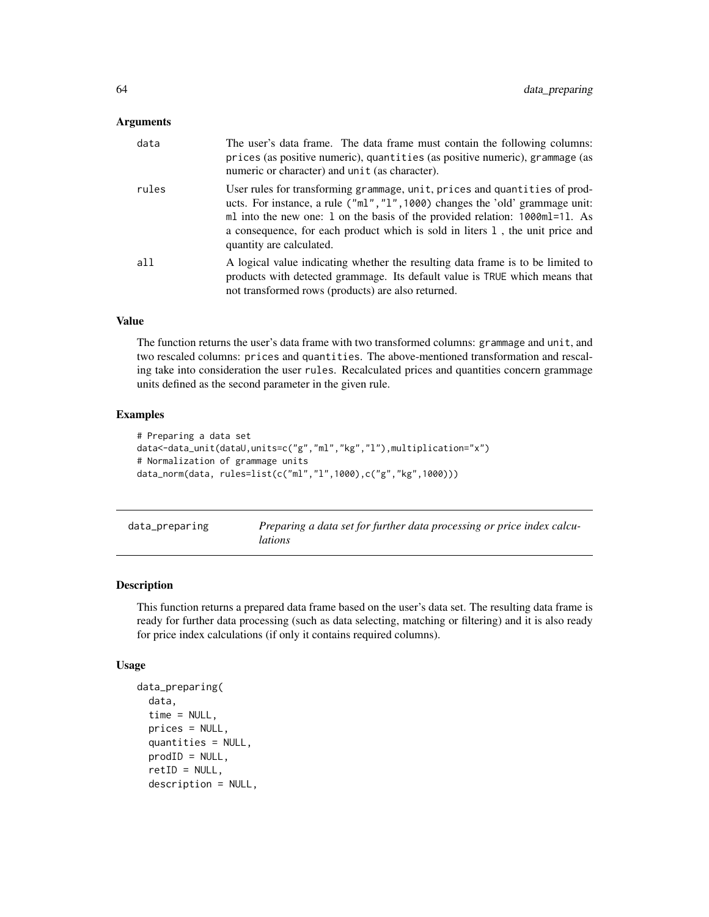## **Arguments**

| data  | The user's data frame. The data frame must contain the following columns:<br>prices (as positive numeric), quantities (as positive numeric), grammage (as<br>numeric or character) and unit (as character).                                                                                                                                             |
|-------|---------------------------------------------------------------------------------------------------------------------------------------------------------------------------------------------------------------------------------------------------------------------------------------------------------------------------------------------------------|
| rules | User rules for transforming grammage, unit, prices and quantities of prod-<br>ucts. For instance, a rule ("ml", "l", 1000) changes the 'old' grammage unit:<br>ml into the new one: 1 on the basis of the provided relation: 1000ml=11. As<br>a consequence, for each product which is sold in liters 1, the unit price and<br>quantity are calculated. |
| all   | A logical value indicating whether the resulting data frame is to be limited to<br>products with detected grammage. Its default value is TRUE which means that<br>not transformed rows (products) are also returned.                                                                                                                                    |

## Value

The function returns the user's data frame with two transformed columns: grammage and unit, and two rescaled columns: prices and quantities. The above-mentioned transformation and rescaling take into consideration the user rules. Recalculated prices and quantities concern grammage units defined as the second parameter in the given rule.

## Examples

```
# Preparing a data set
data<-data_unit(dataU,units=c("g","ml","kg","l"),multiplication="x")
# Normalization of grammage units
data_norm(data, rules=list(c("ml","l",1000),c("g","kg",1000)))
```

| data_preparing | Preparing a data set for further data processing or price index calcu- |
|----------------|------------------------------------------------------------------------|
|                | <i>lations</i>                                                         |

## Description

This function returns a prepared data frame based on the user's data set. The resulting data frame is ready for further data processing (such as data selecting, matching or filtering) and it is also ready for price index calculations (if only it contains required columns).

```
data_preparing(
  data,
  time = NULL,
 prices = NULL,
  quantities = NULL,
 prodID = NULL,
  retID = NULL,description = NULL,
```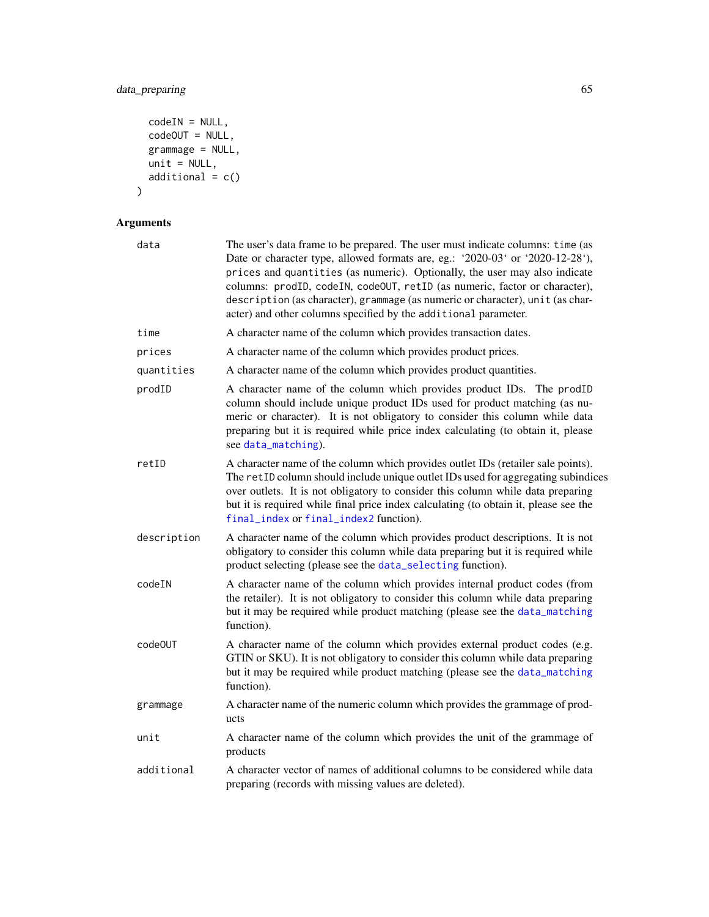# data\_preparing 65

```
codeIN = NULL,codeOUT = NULL,
 grammage = NULL,unit = NULL,additional = c()\mathcal{L}
```

| data        | The user's data frame to be prepared. The user must indicate columns: time (as<br>Date or character type, allowed formats are, eg.: '2020-03' or '2020-12-28'),<br>prices and quantities (as numeric). Optionally, the user may also indicate<br>columns: prodID, codeIN, codeOUT, retID (as numeric, factor or character),<br>description (as character), grammage (as numeric or character), unit (as char-<br>acter) and other columns specified by the additional parameter. |
|-------------|----------------------------------------------------------------------------------------------------------------------------------------------------------------------------------------------------------------------------------------------------------------------------------------------------------------------------------------------------------------------------------------------------------------------------------------------------------------------------------|
| time        | A character name of the column which provides transaction dates.                                                                                                                                                                                                                                                                                                                                                                                                                 |
| prices      | A character name of the column which provides product prices.                                                                                                                                                                                                                                                                                                                                                                                                                    |
| quantities  | A character name of the column which provides product quantities.                                                                                                                                                                                                                                                                                                                                                                                                                |
| prodID      | A character name of the column which provides product IDs. The prodID<br>column should include unique product IDs used for product matching (as nu-<br>meric or character). It is not obligatory to consider this column while data<br>preparing but it is required while price index calculating (to obtain it, please<br>see data_matching).                                                                                                                                   |
| retID       | A character name of the column which provides outlet IDs (retailer sale points).<br>The retID column should include unique outlet IDs used for aggregating subindices<br>over outlets. It is not obligatory to consider this column while data preparing<br>but it is required while final price index calculating (to obtain it, please see the<br>final_index or final_index2 function).                                                                                       |
| description | A character name of the column which provides product descriptions. It is not<br>obligatory to consider this column while data preparing but it is required while<br>product selecting (please see the data_selecting function).                                                                                                                                                                                                                                                 |
| codeIN      | A character name of the column which provides internal product codes (from<br>the retailer). It is not obligatory to consider this column while data preparing<br>but it may be required while product matching (please see the data_matching<br>function).                                                                                                                                                                                                                      |
| code0UT     | A character name of the column which provides external product codes (e.g.<br>GTIN or SKU). It is not obligatory to consider this column while data preparing<br>but it may be required while product matching (please see the data_matching<br>function).                                                                                                                                                                                                                       |
| grammage    | A character name of the numeric column which provides the grammage of prod-<br>ucts                                                                                                                                                                                                                                                                                                                                                                                              |
| unit        | A character name of the column which provides the unit of the grammage of<br>products                                                                                                                                                                                                                                                                                                                                                                                            |
| additional  | A character vector of names of additional columns to be considered while data<br>preparing (records with missing values are deleted).                                                                                                                                                                                                                                                                                                                                            |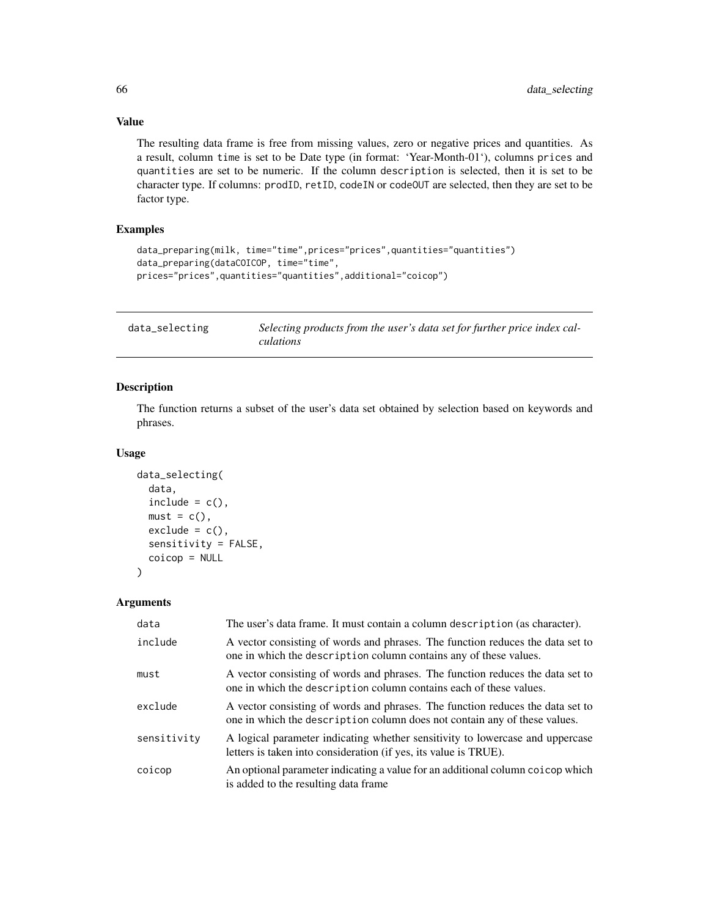The resulting data frame is free from missing values, zero or negative prices and quantities. As a result, column time is set to be Date type (in format: 'Year-Month-01'), columns prices and quantities are set to be numeric. If the column description is selected, then it is set to be character type. If columns: prodID, retID, codeIN or codeOUT are selected, then they are set to be factor type.

# Examples

```
data_preparing(milk, time="time",prices="prices",quantities="quantities")
data_preparing(dataCOICOP, time="time",
prices="prices",quantities="quantities",additional="coicop")
```
<span id="page-65-0"></span>

| data_selecting | Selecting products from the user's data set for further price index cal- |
|----------------|--------------------------------------------------------------------------|
|                | culations                                                                |

#### Description

The function returns a subset of the user's data set obtained by selection based on keywords and phrases.

# Usage

```
data_selecting(
  data,
  include = c(),
  must = c(),
  \text{exclude} = c(),
  sensitivity = FALSE,
  coicop = NULL
)
```
# Arguments

| data        | The user's data frame. It must contain a column description (as character).                                                                                 |
|-------------|-------------------------------------------------------------------------------------------------------------------------------------------------------------|
| include     | A vector consisting of words and phrases. The function reduces the data set to<br>one in which the description column contains any of these values.         |
| must        | A vector consisting of words and phrases. The function reduces the data set to<br>one in which the description column contains each of these values.        |
| exclude     | A vector consisting of words and phrases. The function reduces the data set to<br>one in which the description column does not contain any of these values. |
| sensitivity | A logical parameter indicating whether sensitivity to lowercase and uppercase<br>letters is taken into consideration (if yes, its value is TRUE).           |
| coicop      | An optional parameter indicating a value for an additional column coicop which<br>is added to the resulting data frame                                      |

# Value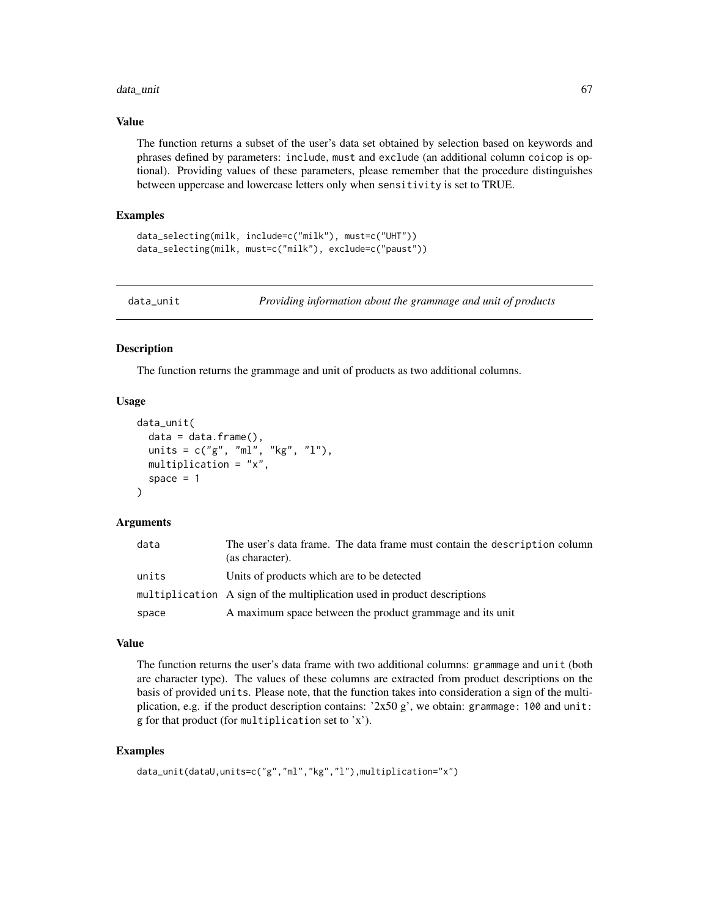#### data\_unit 67

#### Value

The function returns a subset of the user's data set obtained by selection based on keywords and phrases defined by parameters: include, must and exclude (an additional column coicop is optional). Providing values of these parameters, please remember that the procedure distinguishes between uppercase and lowercase letters only when sensitivity is set to TRUE.

# Examples

```
data_selecting(milk, include=c("milk"), must=c("UHT"))
data_selecting(milk, must=c("milk"), exclude=c("paust"))
```
#### Description

The function returns the grammage and unit of products as two additional columns.

# Usage

```
data_unit(
  data = data.frame(),units = c("g", "m1", "kg", "1"),
 multiplication = "x",
  space = 1)
```
#### Arguments

| data  | The user's data frame. The data frame must contain the description column<br>(as character). |
|-------|----------------------------------------------------------------------------------------------|
| units | Units of products which are to be detected                                                   |
|       | multiplication A sign of the multiplication used in product descriptions                     |
| space | A maximum space between the product grammage and its unit                                    |

# Value

The function returns the user's data frame with two additional columns: grammage and unit (both are character type). The values of these columns are extracted from product descriptions on the basis of provided units. Please note, that the function takes into consideration a sign of the multiplication, e.g. if the product description contains:  $2x50 g'$ , we obtain: grammage: 100 and unit: g for that product (for multiplication set to 'x').

```
data_unit(dataU,units=c("g","ml","kg","l"),multiplication="x")
```
data\_unit *Providing information about the grammage and unit of products*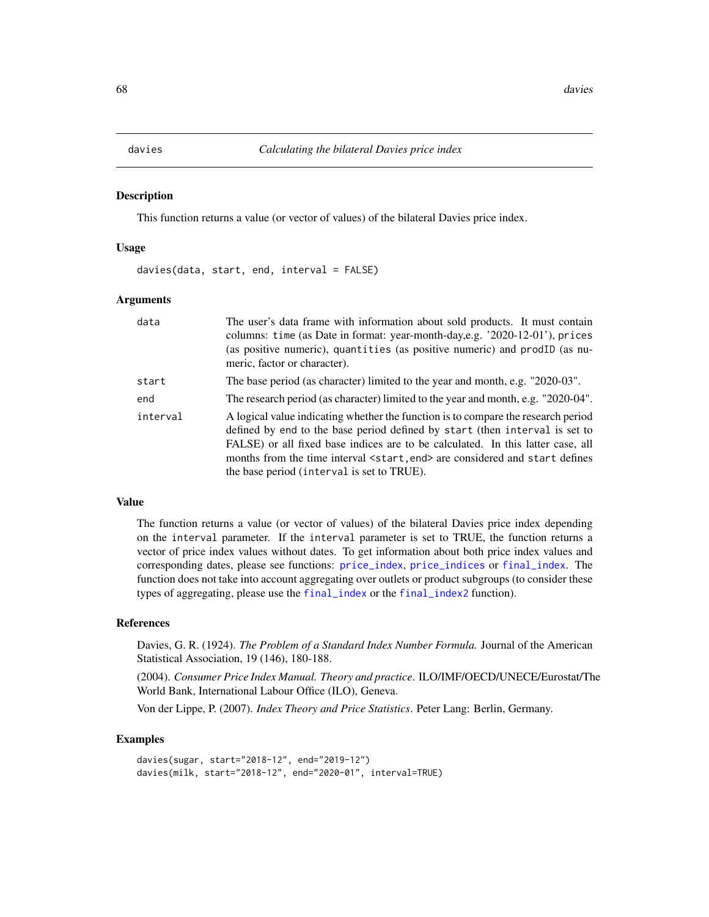#### Description

This function returns a value (or vector of values) of the bilateral Davies price index.

## Usage

davies(data, start, end, interval = FALSE)

## Arguments

| data     | The user's data frame with information about sold products. It must contain<br>columns: time (as Date in format: year-month-day, e.g. '2020-12-01'), prices<br>(as positive numeric), quantities (as positive numeric) and prodID (as nu-<br>meric, factor or character).                                                                                                                     |
|----------|-----------------------------------------------------------------------------------------------------------------------------------------------------------------------------------------------------------------------------------------------------------------------------------------------------------------------------------------------------------------------------------------------|
| start    | The base period (as character) limited to the year and month, e.g. "2020-03".                                                                                                                                                                                                                                                                                                                 |
| end      | The research period (as character) limited to the year and month, e.g. "2020-04".                                                                                                                                                                                                                                                                                                             |
| interval | A logical value indicating whether the function is to compare the research period<br>defined by end to the base period defined by start (then interval is set to<br>FALSE) or all fixed base indices are to be calculated. In this latter case, all<br>months from the time interval <start, end=""> are considered and start defines<br/>the base period (interval is set to TRUE).</start,> |

# Value

The function returns a value (or vector of values) of the bilateral Davies price index depending on the interval parameter. If the interval parameter is set to TRUE, the function returns a vector of price index values without dates. To get information about both price index values and corresponding dates, please see functions: [price\\_index](#page-153-0), [price\\_indices](#page-154-0) or [final\\_index](#page-72-0). The function does not take into account aggregating over outlets or product subgroups (to consider these types of aggregating, please use the [final\\_index](#page-72-0) or the [final\\_index2](#page-74-0) function).

#### References

Davies, G. R. (1924). *The Problem of a Standard Index Number Formula.* Journal of the American Statistical Association, 19 (146), 180-188.

(2004). *Consumer Price Index Manual. Theory and practice*. ILO/IMF/OECD/UNECE/Eurostat/The World Bank, International Labour Office (ILO), Geneva.

Von der Lippe, P. (2007). *Index Theory and Price Statistics*. Peter Lang: Berlin, Germany.

```
davies(sugar, start="2018-12", end="2019-12")
davies(milk, start="2018-12", end="2020-01", interval=TRUE)
```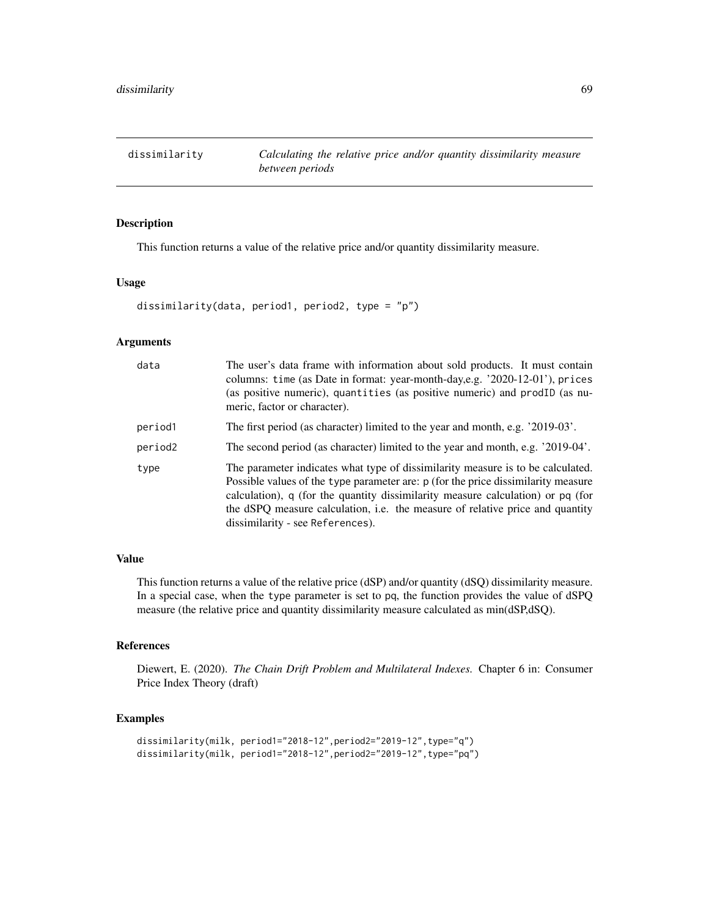dissimilarity *Calculating the relative price and/or quantity dissimilarity measure between periods*

# Description

This function returns a value of the relative price and/or quantity dissimilarity measure.

## Usage

```
dissimilarity(data, period1, period2, type = "p")
```
#### Arguments

| data    | The user's data frame with information about sold products. It must contain<br>columns: time (as Date in format: year-month-day,e.g. '2020-12-01'), prices<br>(as positive numeric), quantities (as positive numeric) and prodID (as nu-<br>meric, factor or character).                                                                                                     |
|---------|------------------------------------------------------------------------------------------------------------------------------------------------------------------------------------------------------------------------------------------------------------------------------------------------------------------------------------------------------------------------------|
| period1 | The first period (as character) limited to the year and month, e.g. '2019-03'.                                                                                                                                                                                                                                                                                               |
| period2 | The second period (as character) limited to the year and month, e.g. '2019-04'.                                                                                                                                                                                                                                                                                              |
| type    | The parameter indicates what type of dissimilarity measure is to be calculated.<br>Possible values of the type parameter are: p (for the price dissimilarity measure<br>calculation), q (for the quantity dissimilarity measure calculation) or pq (for<br>the dSPQ measure calculation, i.e. the measure of relative price and quantity<br>dissimilarity - see References). |

# Value

This function returns a value of the relative price (dSP) and/or quantity (dSQ) dissimilarity measure. In a special case, when the type parameter is set to pq, the function provides the value of dSPQ measure (the relative price and quantity dissimilarity measure calculated as min(dSP,dSQ).

# References

Diewert, E. (2020). *The Chain Drift Problem and Multilateral Indexes.* Chapter 6 in: Consumer Price Index Theory (draft)

```
dissimilarity(milk, period1="2018-12",period2="2019-12",type="q")
dissimilarity(milk, period1="2018-12",period2="2019-12",type="pq")
```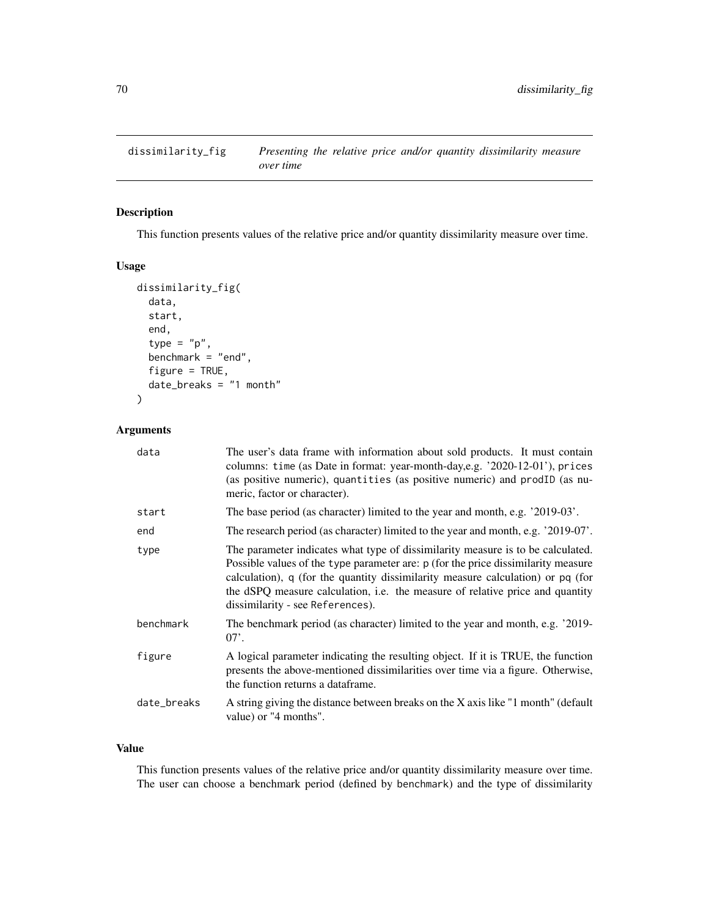# Description

This function presents values of the relative price and/or quantity dissimilarity measure over time.

## Usage

```
dissimilarity_fig(
 data,
  start,
  end,
  type = "p",benchmark = "end",
  figure = TRUE,
  date_breaks = "1 month"
)
```
## Arguments

| data        | The user's data frame with information about sold products. It must contain<br>columns: time (as Date in format: year-month-day, e.g. '2020-12-01'), prices<br>(as positive numeric), quantities (as positive numeric) and prodID (as nu-<br>meric, factor or character).                                                                                                    |
|-------------|------------------------------------------------------------------------------------------------------------------------------------------------------------------------------------------------------------------------------------------------------------------------------------------------------------------------------------------------------------------------------|
| start       | The base period (as character) limited to the year and month, e.g. '2019-03'.                                                                                                                                                                                                                                                                                                |
| end         | The research period (as character) limited to the year and month, e.g. '2019-07'.                                                                                                                                                                                                                                                                                            |
| type        | The parameter indicates what type of dissimilarity measure is to be calculated.<br>Possible values of the type parameter are: p (for the price dissimilarity measure<br>calculation), q (for the quantity dissimilarity measure calculation) or pq (for<br>the dSPQ measure calculation, i.e. the measure of relative price and quantity<br>dissimilarity - see References). |
| benchmark   | The benchmark period (as character) limited to the year and month, e.g. '2019-<br>$07^\circ$ .                                                                                                                                                                                                                                                                               |
| figure      | A logical parameter indicating the resulting object. If it is TRUE, the function<br>presents the above-mentioned dissimilarities over time via a figure. Otherwise,<br>the function returns a dataframe.                                                                                                                                                                     |
| date_breaks | A string giving the distance between breaks on the X axis like "1 month" (default<br>value) or "4 months".                                                                                                                                                                                                                                                                   |
|             |                                                                                                                                                                                                                                                                                                                                                                              |

# Value

This function presents values of the relative price and/or quantity dissimilarity measure over time. The user can choose a benchmark period (defined by benchmark) and the type of dissimilarity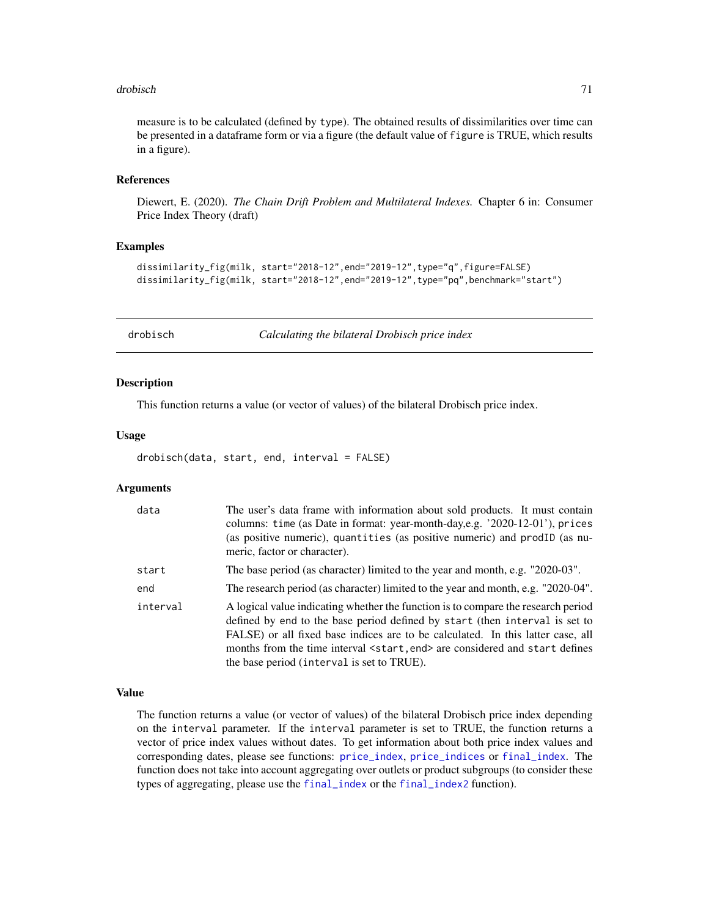#### drobisch 71

measure is to be calculated (defined by type). The obtained results of dissimilarities over time can be presented in a dataframe form or via a figure (the default value of figure is TRUE, which results in a figure).

## References

Diewert, E. (2020). *The Chain Drift Problem and Multilateral Indexes.* Chapter 6 in: Consumer Price Index Theory (draft)

#### Examples

```
dissimilarity_fig(milk, start="2018-12",end="2019-12",type="q",figure=FALSE)
dissimilarity_fig(milk, start="2018-12",end="2019-12",type="pq",benchmark="start")
```
drobisch *Calculating the bilateral Drobisch price index*

## Description

This function returns a value (or vector of values) of the bilateral Drobisch price index.

#### Usage

drobisch(data, start, end, interval = FALSE)

#### Arguments

| data     | The user's data frame with information about sold products. It must contain<br>columns: time (as Date in format: year-month-day,e.g. '2020-12-01'), prices<br>(as positive numeric), quantities (as positive numeric) and prodID (as nu-<br>meric, factor or character).                                                                                                                      |
|----------|-----------------------------------------------------------------------------------------------------------------------------------------------------------------------------------------------------------------------------------------------------------------------------------------------------------------------------------------------------------------------------------------------|
| start    | The base period (as character) limited to the year and month, e.g. "2020-03".                                                                                                                                                                                                                                                                                                                 |
| end      | The research period (as character) limited to the year and month, e.g. "2020-04".                                                                                                                                                                                                                                                                                                             |
| interval | A logical value indicating whether the function is to compare the research period<br>defined by end to the base period defined by start (then interval is set to<br>FALSE) or all fixed base indices are to be calculated. In this latter case, all<br>months from the time interval <start, end=""> are considered and start defines<br/>the base period (interval is set to TRUE).</start,> |

#### Value

The function returns a value (or vector of values) of the bilateral Drobisch price index depending on the interval parameter. If the interval parameter is set to TRUE, the function returns a vector of price index values without dates. To get information about both price index values and corresponding dates, please see functions: [price\\_index](#page-153-0), [price\\_indices](#page-154-0) or [final\\_index](#page-72-0). The function does not take into account aggregating over outlets or product subgroups (to consider these types of aggregating, please use the [final\\_index](#page-72-0) or the [final\\_index2](#page-74-0) function).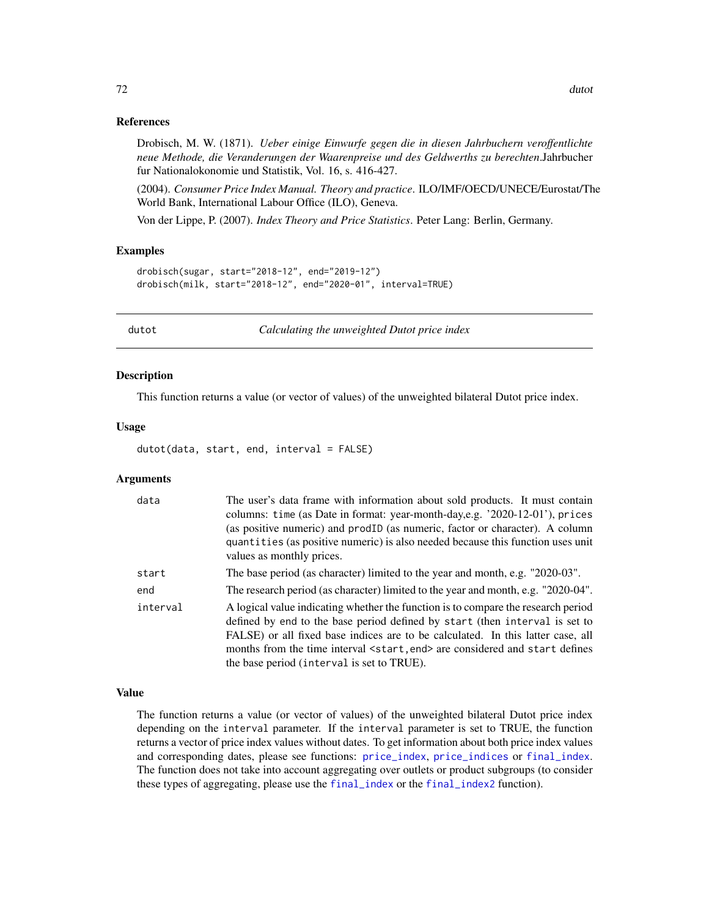## References

Drobisch, M. W. (1871). *Ueber einige Einwurfe gegen die in diesen Jahrbuchern veroffentlichte neue Methode, die Veranderungen der Waarenpreise und des Geldwerths zu berechten*.Jahrbucher fur Nationalokonomie und Statistik, Vol. 16, s. 416-427.

(2004). *Consumer Price Index Manual. Theory and practice*. ILO/IMF/OECD/UNECE/Eurostat/The World Bank, International Labour Office (ILO), Geneva.

Von der Lippe, P. (2007). *Index Theory and Price Statistics*. Peter Lang: Berlin, Germany.

#### Examples

```
drobisch(sugar, start="2018-12", end="2019-12")
drobisch(milk, start="2018-12", end="2020-01", interval=TRUE)
```
dutot *Calculating the unweighted Dutot price index*

#### Description

This function returns a value (or vector of values) of the unweighted bilateral Dutot price index.

# Usage

 $dutoff(data, start, end, interval = FALSE)$ 

#### Arguments

| data     | The user's data frame with information about sold products. It must contain<br>columns: time (as Date in format: year-month-day, e.g. '2020-12-01'), prices<br>(as positive numeric) and prodID (as numeric, factor or character). A column                                                                                                                                                   |
|----------|-----------------------------------------------------------------------------------------------------------------------------------------------------------------------------------------------------------------------------------------------------------------------------------------------------------------------------------------------------------------------------------------------|
|          | quantities (as positive numeric) is also needed because this function uses unit<br>values as monthly prices.                                                                                                                                                                                                                                                                                  |
| start    | The base period (as character) limited to the year and month, e.g. "2020-03".                                                                                                                                                                                                                                                                                                                 |
| end      | The research period (as character) limited to the year and month, e.g. "2020-04".                                                                                                                                                                                                                                                                                                             |
| interval | A logical value indicating whether the function is to compare the research period<br>defined by end to the base period defined by start (then interval is set to<br>FALSE) or all fixed base indices are to be calculated. In this latter case, all<br>months from the time interval <start, end=""> are considered and start defines<br/>the base period (interval is set to TRUE).</start,> |

#### Value

The function returns a value (or vector of values) of the unweighted bilateral Dutot price index depending on the interval parameter. If the interval parameter is set to TRUE, the function returns a vector of price index values without dates. To get information about both price index values and corresponding dates, please see functions: [price\\_index](#page-153-0), [price\\_indices](#page-154-0) or [final\\_index](#page-72-0). The function does not take into account aggregating over outlets or product subgroups (to consider these types of aggregating, please use the [final\\_index](#page-72-0) or the [final\\_index2](#page-74-0) function).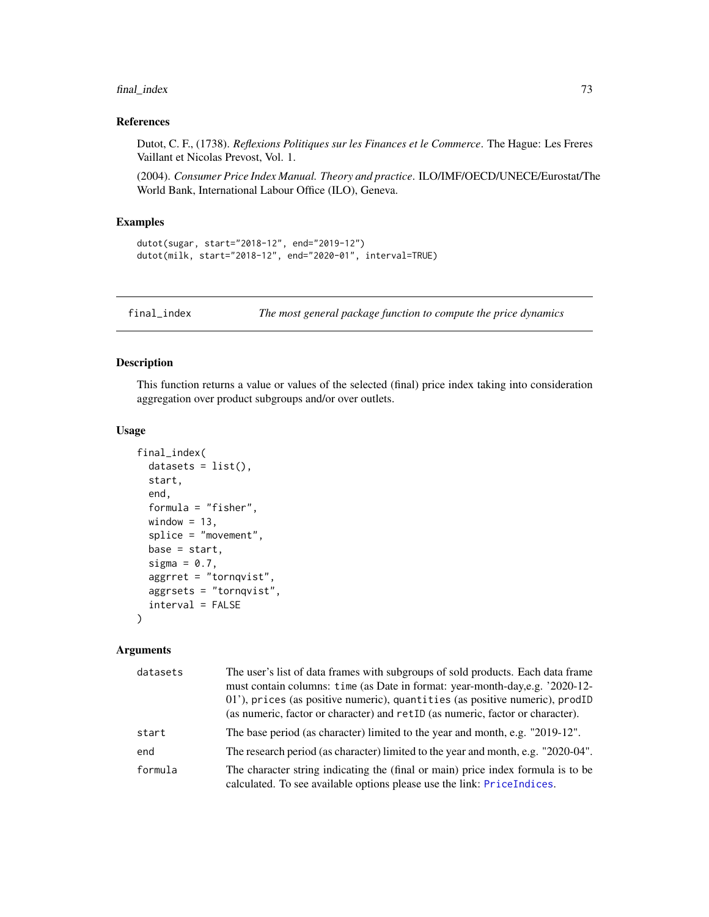# final\_index 73

# References

Dutot, C. F., (1738). *Reflexions Politiques sur les Finances et le Commerce*. The Hague: Les Freres Vaillant et Nicolas Prevost, Vol. 1.

(2004). *Consumer Price Index Manual. Theory and practice*. ILO/IMF/OECD/UNECE/Eurostat/The World Bank, International Labour Office (ILO), Geneva.

# Examples

```
dutot(sugar, start="2018-12", end="2019-12")
dutot(milk, start="2018-12", end="2020-01", interval=TRUE)
```
<span id="page-72-0"></span>

final\_index *The most general package function to compute the price dynamics*

# Description

This function returns a value or values of the selected (final) price index taking into consideration aggregation over product subgroups and/or over outlets.

#### Usage

```
final_index(
  datasets = list(),start,
  end,
  formula = "fisher",
 window = 13,
  splice = "movement",
  base = start,
  sigma = 0.7,
  aggrret = "tornqvist",
  aggrsets = "tornqvist",
  interval = FALSE
)
```

| datasets | The user's list of data frames with subgroups of sold products. Each data frame<br>must contain columns: time (as Date in format: year-month-day, e.g. '2020-12-<br>01'), prices (as positive numeric), quantities (as positive numeric), prodID<br>(as numeric, factor or character) and retID (as numeric, factor or character). |
|----------|------------------------------------------------------------------------------------------------------------------------------------------------------------------------------------------------------------------------------------------------------------------------------------------------------------------------------------|
| start    | The base period (as character) limited to the year and month, e.g. "2019-12".                                                                                                                                                                                                                                                      |
| end      | The research period (as character) limited to the year and month, e.g. "2020-04".                                                                                                                                                                                                                                                  |
| formula  | The character string indicating the (final or main) price index formula is to be<br>calculated. To see available options please use the link: PriceIndices.                                                                                                                                                                        |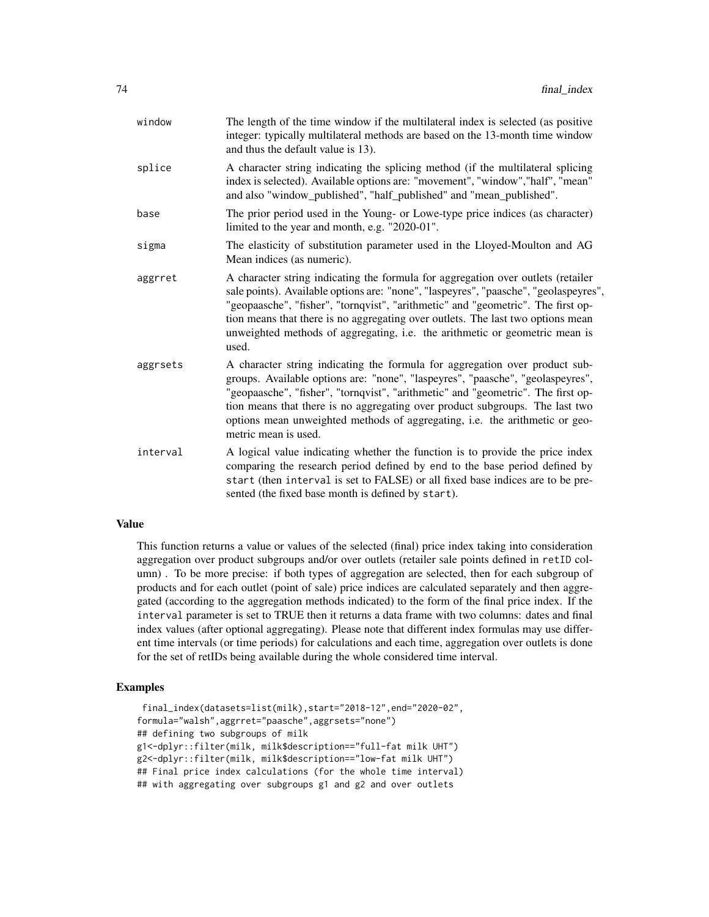| window   | The length of the time window if the multilateral index is selected (as positive<br>integer: typically multilateral methods are based on the 13-month time window<br>and thus the default value is 13).                                                                                                                                                                                                                                  |
|----------|------------------------------------------------------------------------------------------------------------------------------------------------------------------------------------------------------------------------------------------------------------------------------------------------------------------------------------------------------------------------------------------------------------------------------------------|
| splice   | A character string indicating the splicing method (if the multilateral splicing<br>index is selected). Available options are: "movement", "window", "half", "mean"<br>and also "window_published", "half_published" and "mean_published".                                                                                                                                                                                                |
| base     | The prior period used in the Young- or Lowe-type price indices (as character)<br>limited to the year and month, e.g. "2020-01".                                                                                                                                                                                                                                                                                                          |
| sigma    | The elasticity of substitution parameter used in the Lloyed-Moulton and AG<br>Mean indices (as numeric).                                                                                                                                                                                                                                                                                                                                 |
| aggrret  | A character string indicating the formula for aggregation over outlets (retailer<br>sale points). Available options are: "none", "laspeyres", "paasche", "geolaspeyres",<br>"geopaasche", "fisher", "tornqvist", "arithmetic" and "geometric". The first op-<br>tion means that there is no aggregating over outlets. The last two options mean<br>unweighted methods of aggregating, i.e. the arithmetic or geometric mean is<br>used.  |
| aggrsets | A character string indicating the formula for aggregation over product sub-<br>groups. Available options are: "none", "laspeyres", "paasche", "geolaspeyres",<br>"geopaasche", "fisher", "tornqvist", "arithmetic" and "geometric". The first op-<br>tion means that there is no aggregating over product subgroups. The last two<br>options mean unweighted methods of aggregating, i.e. the arithmetic or geo-<br>metric mean is used. |
| interval | A logical value indicating whether the function is to provide the price index<br>comparing the research period defined by end to the base period defined by<br>start (then interval is set to FALSE) or all fixed base indices are to be pre-<br>sented (the fixed base month is defined by start).                                                                                                                                      |

### Value

This function returns a value or values of the selected (final) price index taking into consideration aggregation over product subgroups and/or over outlets (retailer sale points defined in retID column) . To be more precise: if both types of aggregation are selected, then for each subgroup of products and for each outlet (point of sale) price indices are calculated separately and then aggregated (according to the aggregation methods indicated) to the form of the final price index. If the interval parameter is set to TRUE then it returns a data frame with two columns: dates and final index values (after optional aggregating). Please note that different index formulas may use different time intervals (or time periods) for calculations and each time, aggregation over outlets is done for the set of retIDs being available during the whole considered time interval.

# Examples

```
final_index(datasets=list(milk),start="2018-12",end="2020-02",
formula="walsh",aggrret="paasche",aggrsets="none")
## defining two subgroups of milk
g1<-dplyr::filter(milk, milk$description=="full-fat milk UHT")
g2<-dplyr::filter(milk, milk$description=="low-fat milk UHT")
## Final price index calculations (for the whole time interval)
## with aggregating over subgroups g1 and g2 and over outlets
```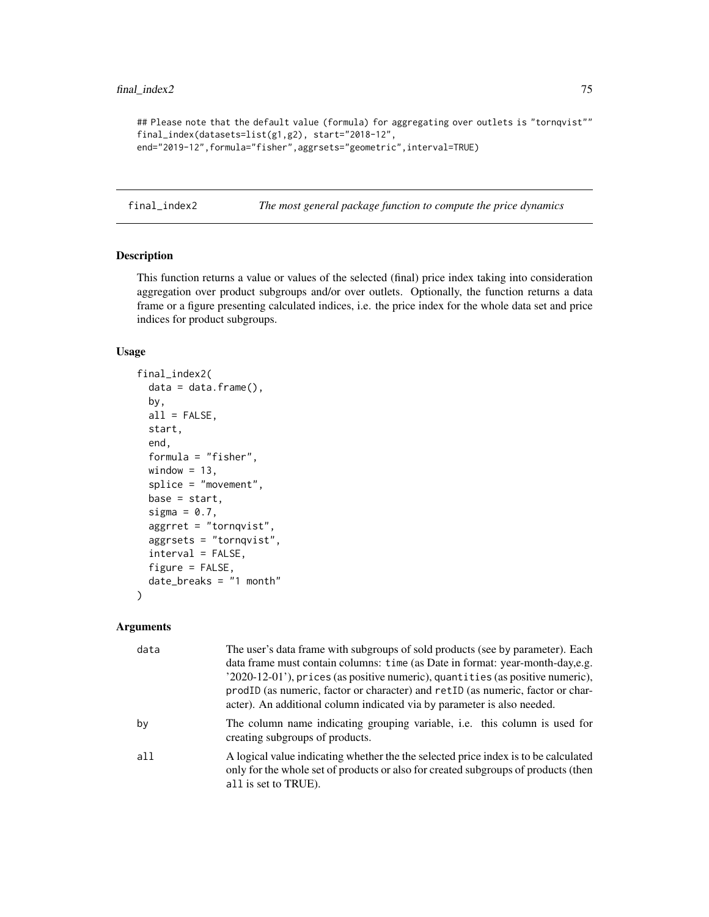```
## Please note that the default value (formula) for aggregating over outlets is "tornqvist""
final_index(datasets=list(g1,g2), start="2018-12",
end="2019-12",formula="fisher",aggrsets="geometric",interval=TRUE)
```
<span id="page-74-0"></span>final\_index2 *The most general package function to compute the price dynamics*

# Description

This function returns a value or values of the selected (final) price index taking into consideration aggregation over product subgroups and/or over outlets. Optionally, the function returns a data frame or a figure presenting calculated indices, i.e. the price index for the whole data set and price indices for product subgroups.

### Usage

```
final_index2(
  data = data.frame(),by,
  all = FALSE,start,
  end,
  formula = "fisher",
  window = 13,
  splice = "movement",
  base = start,
  sigma = 0.7,
  aggrret = "tornqvist",
  aggrsets = "tornqvist",
  interval = FALSE,figure = FALSE,date_breaks = "1 month"
)
```

| data | The user's data frame with subgroups of sold products (see by parameter). Each<br>data frame must contain columns: time (as Date in format: year-month-day,e.g.<br>'2020-12-01'), prices (as positive numeric), quantities (as positive numeric),<br>prodID (as numeric, factor or character) and retID (as numeric, factor or char-<br>acter). An additional column indicated via by parameter is also needed. |
|------|-----------------------------------------------------------------------------------------------------------------------------------------------------------------------------------------------------------------------------------------------------------------------------------------------------------------------------------------------------------------------------------------------------------------|
| by   | The column name indicating grouping variable, i.e. this column is used for<br>creating subgroups of products.                                                                                                                                                                                                                                                                                                   |
| all  | A logical value indicating whether the the selected price index is to be calculated<br>only for the whole set of products or also for created subgroups of products (then<br>all is set to TRUE).                                                                                                                                                                                                               |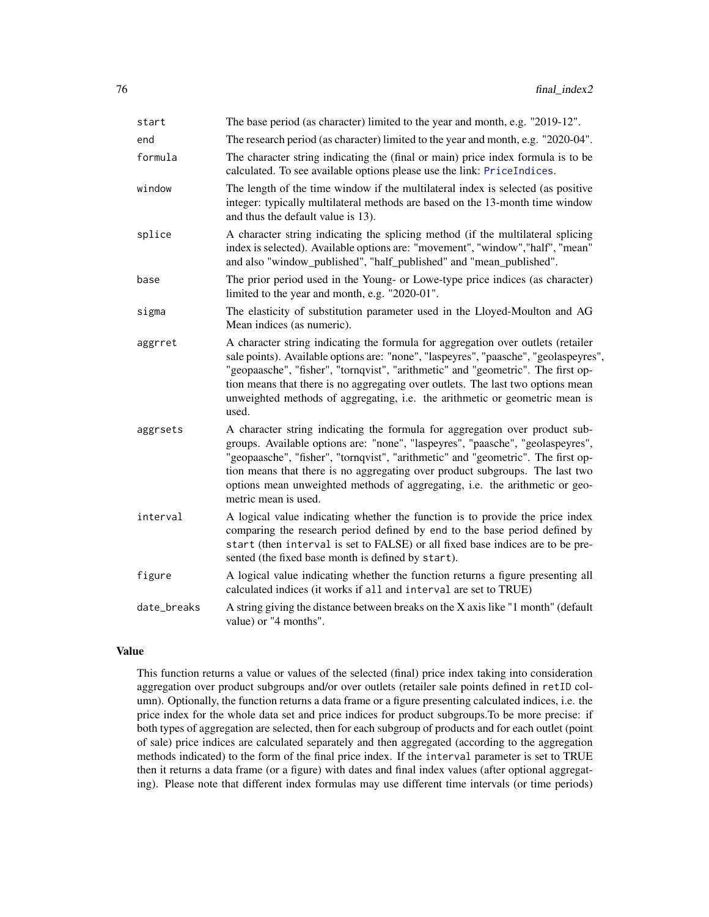| start       | The base period (as character) limited to the year and month, e.g. "2019-12".                                                                                                                                                                                                                                                                                                                                                            |  |
|-------------|------------------------------------------------------------------------------------------------------------------------------------------------------------------------------------------------------------------------------------------------------------------------------------------------------------------------------------------------------------------------------------------------------------------------------------------|--|
| end         | The research period (as character) limited to the year and month, e.g. "2020-04".                                                                                                                                                                                                                                                                                                                                                        |  |
| formula     | The character string indicating the (final or main) price index formula is to be<br>calculated. To see available options please use the link: PriceIndices.                                                                                                                                                                                                                                                                              |  |
| window      | The length of the time window if the multilateral index is selected (as positive<br>integer: typically multilateral methods are based on the 13-month time window<br>and thus the default value is 13).                                                                                                                                                                                                                                  |  |
| splice      | A character string indicating the splicing method (if the multilateral splicing<br>index is selected). Available options are: "movement", "window", "half", "mean"<br>and also "window_published", "half_published" and "mean_published".                                                                                                                                                                                                |  |
| base        | The prior period used in the Young- or Lowe-type price indices (as character)<br>limited to the year and month, e.g. "2020-01".                                                                                                                                                                                                                                                                                                          |  |
| sigma       | The elasticity of substitution parameter used in the Lloyed-Moulton and AG<br>Mean indices (as numeric).                                                                                                                                                                                                                                                                                                                                 |  |
| aggrret     | A character string indicating the formula for aggregation over outlets (retailer<br>sale points). Available options are: "none", "laspeyres", "paasche", "geolaspeyres",<br>"geopaasche", "fisher", "tornqvist", "arithmetic" and "geometric". The first op-<br>tion means that there is no aggregating over outlets. The last two options mean<br>unweighted methods of aggregating, i.e. the arithmetic or geometric mean is<br>used.  |  |
| aggrsets    | A character string indicating the formula for aggregation over product sub-<br>groups. Available options are: "none", "laspeyres", "paasche", "geolaspeyres",<br>"geopaasche", "fisher", "tornqvist", "arithmetic" and "geometric". The first op-<br>tion means that there is no aggregating over product subgroups. The last two<br>options mean unweighted methods of aggregating, i.e. the arithmetic or geo-<br>metric mean is used. |  |
| interval    | A logical value indicating whether the function is to provide the price index<br>comparing the research period defined by end to the base period defined by<br>start (then interval is set to FALSE) or all fixed base indices are to be pre-<br>sented (the fixed base month is defined by start).                                                                                                                                      |  |
| figure      | A logical value indicating whether the function returns a figure presenting all<br>calculated indices (it works if all and interval are set to TRUE)                                                                                                                                                                                                                                                                                     |  |
| date_breaks | A string giving the distance between breaks on the X axis like "1 month" (default<br>value) or "4 months".                                                                                                                                                                                                                                                                                                                               |  |

### Value

This function returns a value or values of the selected (final) price index taking into consideration aggregation over product subgroups and/or over outlets (retailer sale points defined in retID column). Optionally, the function returns a data frame or a figure presenting calculated indices, i.e. the price index for the whole data set and price indices for product subgroups.To be more precise: if both types of aggregation are selected, then for each subgroup of products and for each outlet (point of sale) price indices are calculated separately and then aggregated (according to the aggregation methods indicated) to the form of the final price index. If the interval parameter is set to TRUE then it returns a data frame (or a figure) with dates and final index values (after optional aggregating). Please note that different index formulas may use different time intervals (or time periods)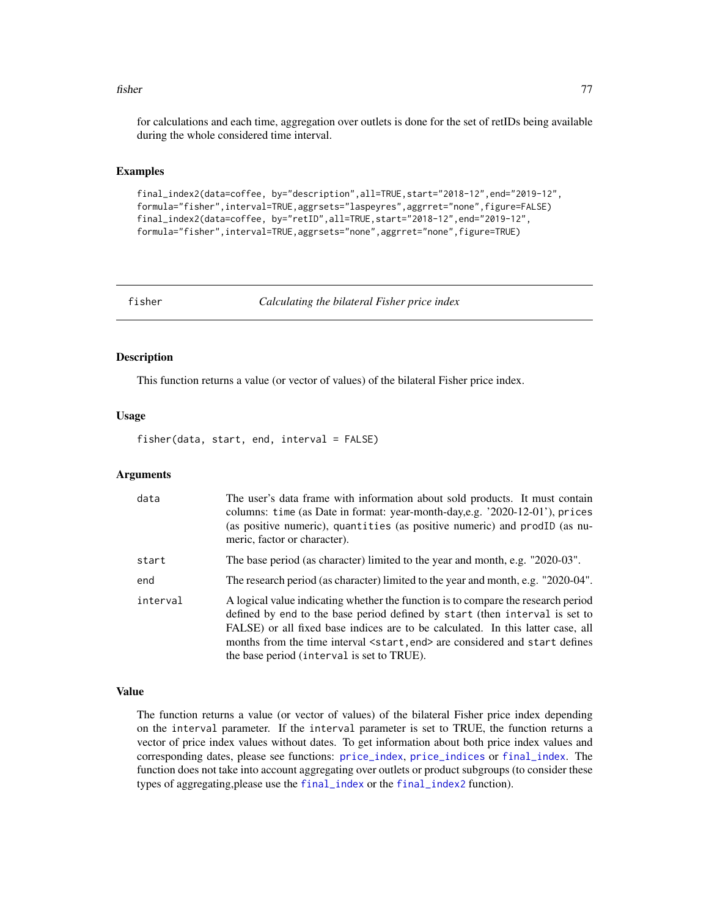#### fisher 77

for calculations and each time, aggregation over outlets is done for the set of retIDs being available during the whole considered time interval.

#### Examples

```
final_index2(data=coffee, by="description",all=TRUE,start="2018-12",end="2019-12",
formula="fisher",interval=TRUE,aggrsets="laspeyres",aggrret="none",figure=FALSE)
final_index2(data=coffee, by="retID",all=TRUE,start="2018-12",end="2019-12",
formula="fisher",interval=TRUE,aggrsets="none",aggrret="none",figure=TRUE)
```
fisher *Calculating the bilateral Fisher price index*

# Description

This function returns a value (or vector of values) of the bilateral Fisher price index.

#### Usage

fisher(data, start, end, interval = FALSE)

### Arguments

| data     | The user's data frame with information about sold products. It must contain<br>columns: time (as Date in format: year-month-day,e.g. '2020-12-01'), prices<br>(as positive numeric), quantities (as positive numeric) and prodID (as nu-<br>meric, factor or character).                                                                                                              |
|----------|---------------------------------------------------------------------------------------------------------------------------------------------------------------------------------------------------------------------------------------------------------------------------------------------------------------------------------------------------------------------------------------|
| start    | The base period (as character) limited to the year and month, e.g. "2020-03".                                                                                                                                                                                                                                                                                                         |
| end      | The research period (as character) limited to the year and month, e.g. "2020-04".                                                                                                                                                                                                                                                                                                     |
| interval | A logical value indicating whether the function is to compare the research period<br>defined by end to the base period defined by start (then interval is set to<br>FALSE) or all fixed base indices are to be calculated. In this latter case, all<br>months from the time interval $\leq$ tart, end> are considered and start defines<br>the base period (interval is set to TRUE). |

### Value

The function returns a value (or vector of values) of the bilateral Fisher price index depending on the interval parameter. If the interval parameter is set to TRUE, the function returns a vector of price index values without dates. To get information about both price index values and corresponding dates, please see functions: [price\\_index](#page-153-0), [price\\_indices](#page-154-0) or [final\\_index](#page-72-0). The function does not take into account aggregating over outlets or product subgroups (to consider these types of aggregating,please use the [final\\_index](#page-72-0) or the [final\\_index2](#page-74-0) function).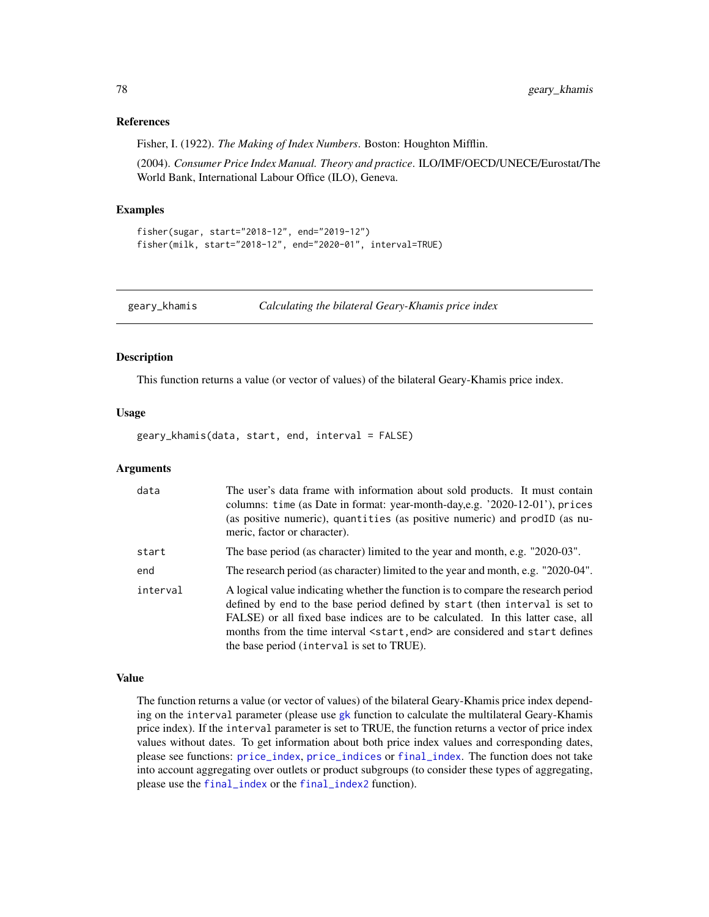#### References

Fisher, I. (1922). *The Making of Index Numbers*. Boston: Houghton Mifflin.

(2004). *Consumer Price Index Manual. Theory and practice*. ILO/IMF/OECD/UNECE/Eurostat/The World Bank, International Labour Office (ILO), Geneva.

# Examples

```
fisher(sugar, start="2018-12", end="2019-12")
fisher(milk, start="2018-12", end="2020-01", interval=TRUE)
```
geary\_khamis *Calculating the bilateral Geary-Khamis price index*

### Description

This function returns a value (or vector of values) of the bilateral Geary-Khamis price index.

### Usage

geary\_khamis(data, start, end, interval = FALSE)

### Arguments

| data     | The user's data frame with information about sold products. It must contain<br>columns: time (as Date in format: year-month-day, e.g. '2020-12-01'), prices<br>(as positive numeric), quantities (as positive numeric) and prodID (as nu-<br>meric, factor or character).                                                                                                                     |
|----------|-----------------------------------------------------------------------------------------------------------------------------------------------------------------------------------------------------------------------------------------------------------------------------------------------------------------------------------------------------------------------------------------------|
| start    | The base period (as character) limited to the year and month, e.g. "2020-03".                                                                                                                                                                                                                                                                                                                 |
| end      | The research period (as character) limited to the year and month, e.g. "2020-04".                                                                                                                                                                                                                                                                                                             |
| interval | A logical value indicating whether the function is to compare the research period<br>defined by end to the base period defined by start (then interval is set to<br>FALSE) or all fixed base indices are to be calculated. In this latter case, all<br>months from the time interval <start, end=""> are considered and start defines<br/>the base period (interval is set to TRUE).</start,> |

#### Value

The function returns a value (or vector of values) of the bilateral Geary-Khamis price index depending on the interval parameter (please use [gk](#page-124-0) function to calculate the multilateral Geary-Khamis price index). If the interval parameter is set to TRUE, the function returns a vector of price index values without dates. To get information about both price index values and corresponding dates, please see functions: [price\\_index](#page-153-0), [price\\_indices](#page-154-0) or [final\\_index](#page-72-0). The function does not take into account aggregating over outlets or product subgroups (to consider these types of aggregating, please use the [final\\_index](#page-72-0) or the [final\\_index2](#page-74-0) function).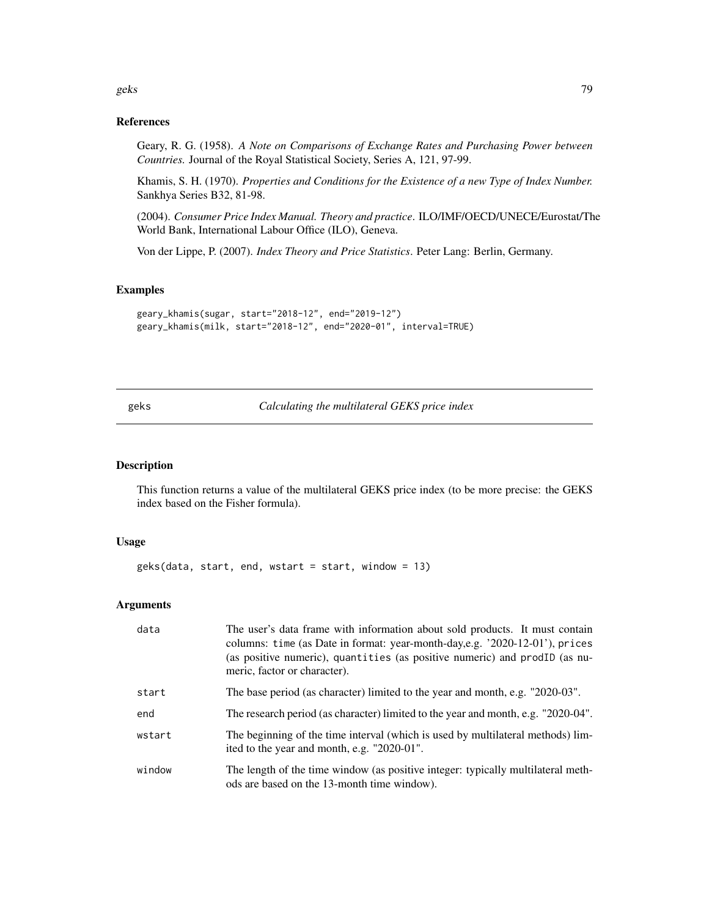#### References

Geary, R. G. (1958). *A Note on Comparisons of Exchange Rates and Purchasing Power between Countries.* Journal of the Royal Statistical Society, Series A, 121, 97-99.

Khamis, S. H. (1970). *Properties and Conditions for the Existence of a new Type of Index Number.* Sankhya Series B32, 81-98.

(2004). *Consumer Price Index Manual. Theory and practice*. ILO/IMF/OECD/UNECE/Eurostat/The World Bank, International Labour Office (ILO), Geneva.

Von der Lippe, P. (2007). *Index Theory and Price Statistics*. Peter Lang: Berlin, Germany.

### Examples

```
geary_khamis(sugar, start="2018-12", end="2019-12")
geary_khamis(milk, start="2018-12", end="2020-01", interval=TRUE)
```
geks *Calculating the multilateral GEKS price index*

### Description

This function returns a value of the multilateral GEKS price index (to be more precise: the GEKS index based on the Fisher formula).

# Usage

geks(data, start, end, wstart = start, window = 13)

# Arguments

| data   | The user's data frame with information about sold products. It must contain<br>columns: time (as Date in format: year-month-day, e.g. '2020-12-01'), prices<br>(as positive numeric), quantities (as positive numeric) and prodID (as nu-<br>meric, factor or character). |
|--------|---------------------------------------------------------------------------------------------------------------------------------------------------------------------------------------------------------------------------------------------------------------------------|
| start  | The base period (as character) limited to the year and month, e.g. "2020-03".                                                                                                                                                                                             |
| end    | The research period (as character) limited to the year and month, e.g. "2020-04".                                                                                                                                                                                         |
| wstart | The beginning of the time interval (which is used by multilateral methods) lim-<br>ited to the year and month, e.g. "2020-01".                                                                                                                                            |
| window | The length of the time window (as positive integer: typically multilateral meth-<br>ods are based on the 13-month time window).                                                                                                                                           |

geks to the control of the control of the control of the control of the control of the control of the control of the control of the control of the control of the control of the control of the control of the control of the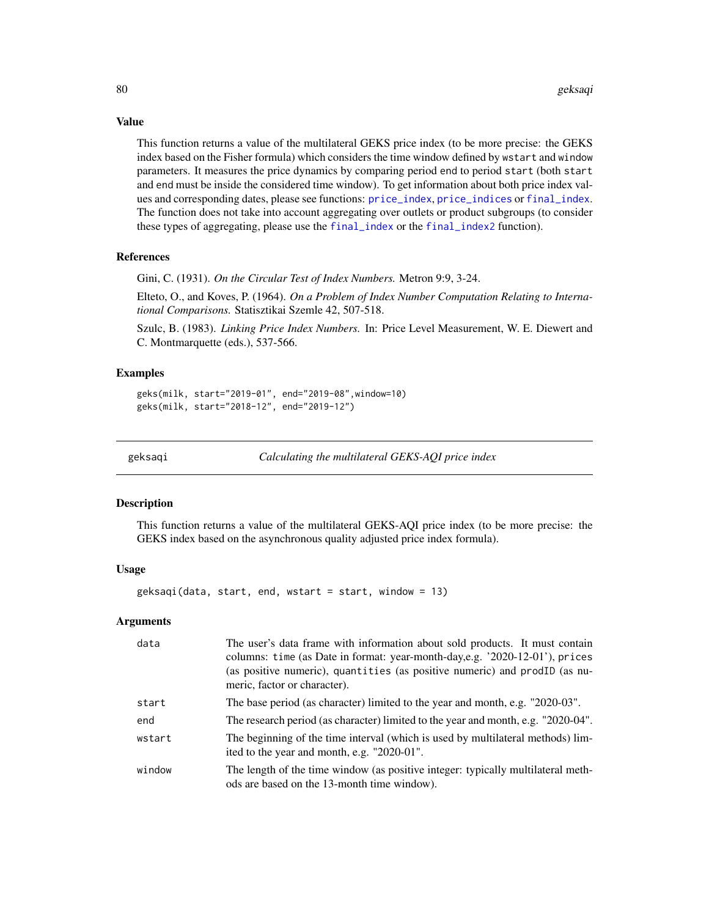This function returns a value of the multilateral GEKS price index (to be more precise: the GEKS index based on the Fisher formula) which considers the time window defined by wstart and window parameters. It measures the price dynamics by comparing period end to period start (both start and end must be inside the considered time window). To get information about both price index values and corresponding dates, please see functions: [price\\_index](#page-153-0), [price\\_indices](#page-154-0) or [final\\_index](#page-72-0). The function does not take into account aggregating over outlets or product subgroups (to consider these types of aggregating, please use the [final\\_index](#page-72-0) or the [final\\_index2](#page-74-0) function).

#### References

Gini, C. (1931). *On the Circular Test of Index Numbers.* Metron 9:9, 3-24.

Elteto, O., and Koves, P. (1964). *On a Problem of Index Number Computation Relating to International Comparisons.* Statisztikai Szemle 42, 507-518.

Szulc, B. (1983). *Linking Price Index Numbers.* In: Price Level Measurement, W. E. Diewert and C. Montmarquette (eds.), 537-566.

### Examples

```
geks(milk, start="2019-01", end="2019-08",window=10)
geks(milk, start="2018-12", end="2019-12")
```
geksaqi *Calculating the multilateral GEKS-AQI price index*

### Description

This function returns a value of the multilateral GEKS-AQI price index (to be more precise: the GEKS index based on the asynchronous quality adjusted price index formula).

### Usage

geksaqi(data, start, end, wstart = start, window = 13)

### Arguments

| data   | The user's data frame with information about sold products. It must contain<br>columns: time (as Date in format: year-month-day, e.g. '2020-12-01'), prices<br>(as positive numeric), quantities (as positive numeric) and prodID (as nu-<br>meric, factor or character). |
|--------|---------------------------------------------------------------------------------------------------------------------------------------------------------------------------------------------------------------------------------------------------------------------------|
| start  | The base period (as character) limited to the year and month, e.g. "2020-03".                                                                                                                                                                                             |
| end    | The research period (as character) limited to the year and month, e.g. "2020-04".                                                                                                                                                                                         |
| wstart | The beginning of the time interval (which is used by multilateral methods) lim-<br>ited to the year and month, e.g. "2020-01".                                                                                                                                            |
| window | The length of the time window (as positive integer: typically multilateral meth-<br>ods are based on the 13-month time window).                                                                                                                                           |

# Value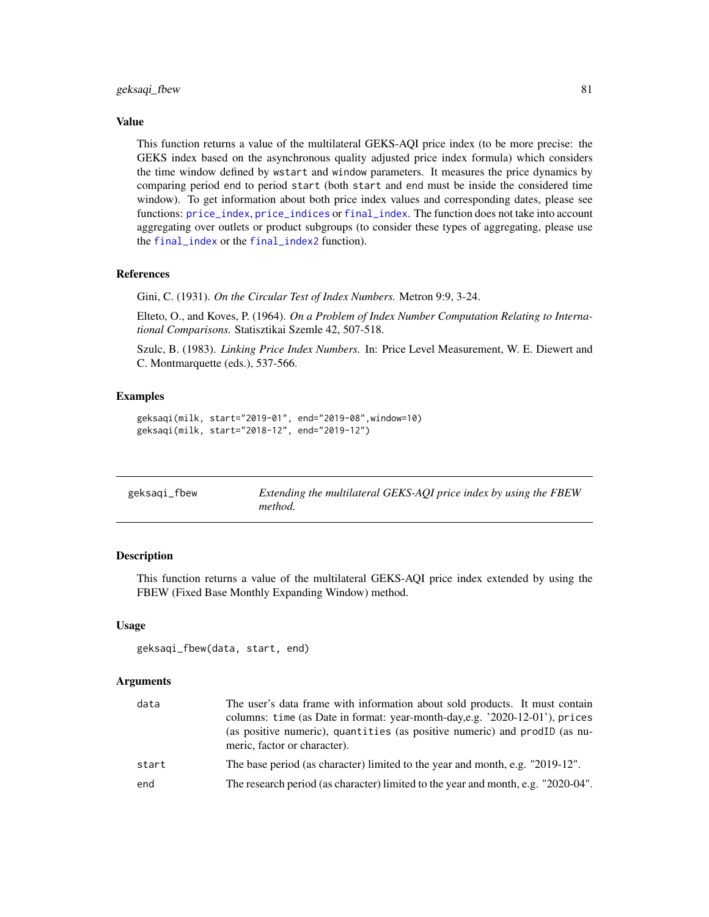### Value

This function returns a value of the multilateral GEKS-AQI price index (to be more precise: the GEKS index based on the asynchronous quality adjusted price index formula) which considers the time window defined by wstart and window parameters. It measures the price dynamics by comparing period end to period start (both start and end must be inside the considered time window). To get information about both price index values and corresponding dates, please see functions: [price\\_index](#page-153-0), [price\\_indices](#page-154-0) or [final\\_index](#page-72-0). The function does not take into account aggregating over outlets or product subgroups (to consider these types of aggregating, please use the [final\\_index](#page-72-0) or the [final\\_index2](#page-74-0) function).

#### References

Gini, C. (1931). *On the Circular Test of Index Numbers.* Metron 9:9, 3-24.

Elteto, O., and Koves, P. (1964). *On a Problem of Index Number Computation Relating to International Comparisons.* Statisztikai Szemle 42, 507-518.

Szulc, B. (1983). *Linking Price Index Numbers.* In: Price Level Measurement, W. E. Diewert and C. Montmarquette (eds.), 537-566.

### Examples

```
geksaqi(milk, start="2019-01", end="2019-08",window=10)
geksaqi(milk, start="2018-12", end="2019-12")
```

| geksaqi_fbew | Extending the multilateral GEKS-AQI price index by using the FBEW |
|--------------|-------------------------------------------------------------------|
|              | method.                                                           |

### Description

This function returns a value of the multilateral GEKS-AQI price index extended by using the FBEW (Fixed Base Monthly Expanding Window) method.

### Usage

```
geksaqi_fbew(data, start, end)
```

| data  | The user's data frame with information about sold products. It must contain                                |
|-------|------------------------------------------------------------------------------------------------------------|
|       | columns: time (as Date in format: year-month-day, e.g. '2020-12-01'), prices                               |
|       | (as positive numeric), quantities (as positive numeric) and prodID (as nu-<br>meric, factor or character). |
| start | The base period (as character) limited to the year and month, e.g. "2019-12".                              |
| end   | The research period (as character) limited to the year and month, e.g. "2020-04".                          |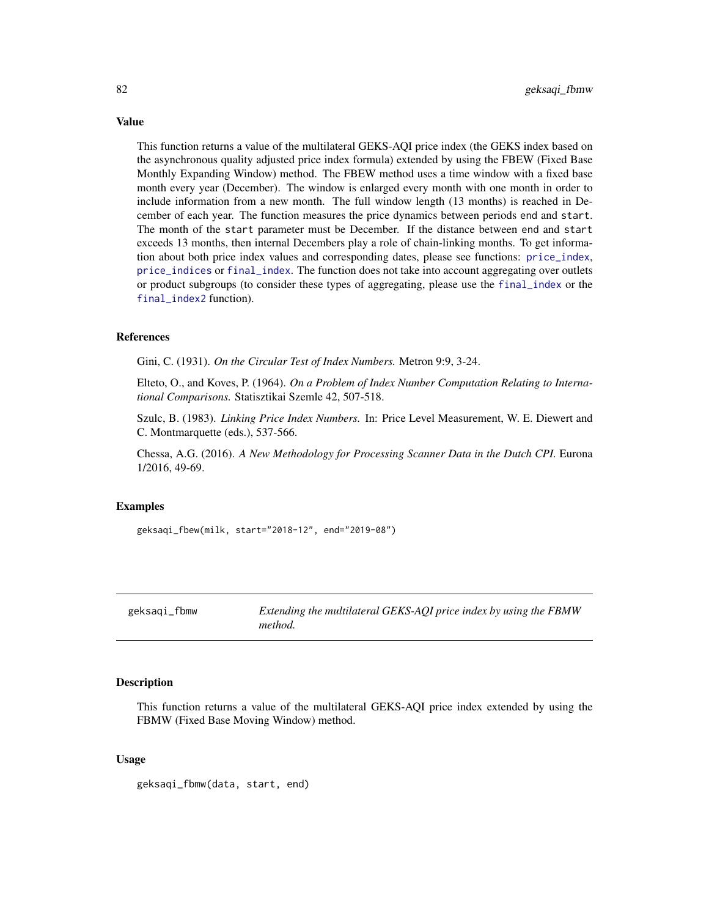This function returns a value of the multilateral GEKS-AQI price index (the GEKS index based on the asynchronous quality adjusted price index formula) extended by using the FBEW (Fixed Base Monthly Expanding Window) method. The FBEW method uses a time window with a fixed base month every year (December). The window is enlarged every month with one month in order to include information from a new month. The full window length (13 months) is reached in December of each year. The function measures the price dynamics between periods end and start. The month of the start parameter must be December. If the distance between end and start exceeds 13 months, then internal Decembers play a role of chain-linking months. To get information about both price index values and corresponding dates, please see functions: [price\\_index](#page-153-0), [price\\_indices](#page-154-0) or [final\\_index](#page-72-0). The function does not take into account aggregating over outlets or product subgroups (to consider these types of aggregating, please use the [final\\_index](#page-72-0) or the [final\\_index2](#page-74-0) function).

### References

Gini, C. (1931). *On the Circular Test of Index Numbers.* Metron 9:9, 3-24.

Elteto, O., and Koves, P. (1964). *On a Problem of Index Number Computation Relating to International Comparisons.* Statisztikai Szemle 42, 507-518.

Szulc, B. (1983). *Linking Price Index Numbers.* In: Price Level Measurement, W. E. Diewert and C. Montmarquette (eds.), 537-566.

Chessa, A.G. (2016). *A New Methodology for Processing Scanner Data in the Dutch CPI.* Eurona 1/2016, 49-69.

#### Examples

geksaqi\_fbew(milk, start="2018-12", end="2019-08")

geksaqi\_fbmw *Extending the multilateral GEKS-AQI price index by using the FBMW method.*

#### Description

This function returns a value of the multilateral GEKS-AQI price index extended by using the FBMW (Fixed Base Moving Window) method.

#### Usage

geksaqi\_fbmw(data, start, end)

# Value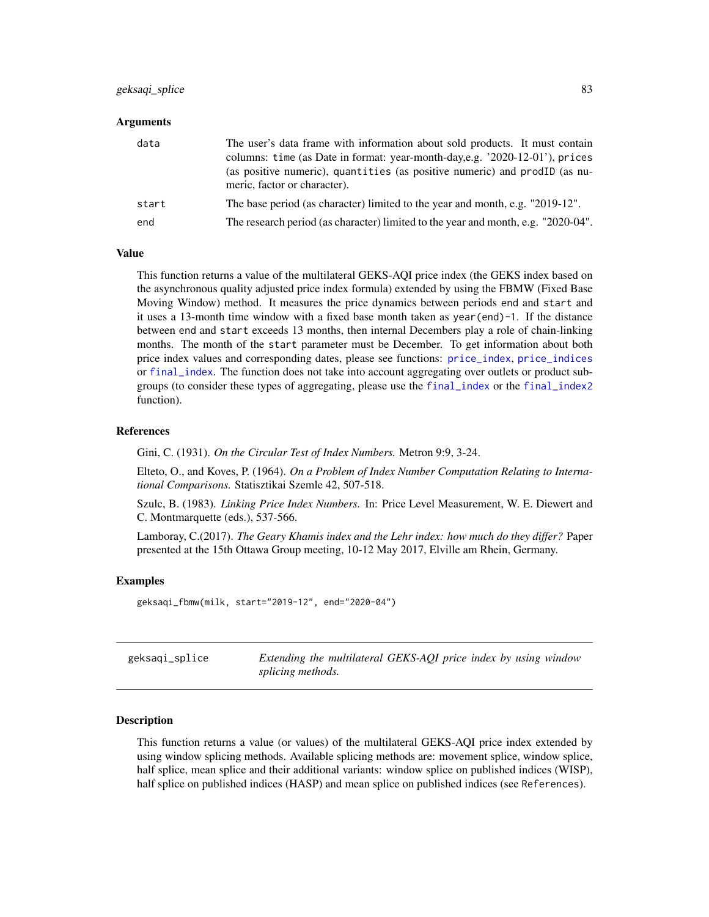### geksaqi\_splice 83

#### **Arguments**

| data  | The user's data frame with information about sold products. It must contain<br>columns: time (as Date in format: year-month-day, e.g. '2020-12-01'), prices<br>(as positive numeric), quantities (as positive numeric) and prodID (as nu-<br>meric, factor or character). |
|-------|---------------------------------------------------------------------------------------------------------------------------------------------------------------------------------------------------------------------------------------------------------------------------|
| start | The base period (as character) limited to the year and month, e.g. "2019-12".                                                                                                                                                                                             |
| end   | The research period (as character) limited to the year and month, e.g. "2020-04".                                                                                                                                                                                         |

### Value

This function returns a value of the multilateral GEKS-AQI price index (the GEKS index based on the asynchronous quality adjusted price index formula) extended by using the FBMW (Fixed Base Moving Window) method. It measures the price dynamics between periods end and start and it uses a 13-month time window with a fixed base month taken as year(end)-1. If the distance between end and start exceeds 13 months, then internal Decembers play a role of chain-linking months. The month of the start parameter must be December. To get information about both price index values and corresponding dates, please see functions: [price\\_index](#page-153-0), [price\\_indices](#page-154-0) or [final\\_index](#page-72-0). The function does not take into account aggregating over outlets or product subgroups (to consider these types of aggregating, please use the [final\\_index](#page-72-0) or the [final\\_index2](#page-74-0) function).

#### References

Gini, C. (1931). *On the Circular Test of Index Numbers.* Metron 9:9, 3-24.

Elteto, O., and Koves, P. (1964). *On a Problem of Index Number Computation Relating to International Comparisons.* Statisztikai Szemle 42, 507-518.

Szulc, B. (1983). *Linking Price Index Numbers.* In: Price Level Measurement, W. E. Diewert and C. Montmarquette (eds.), 537-566.

Lamboray, C.(2017). *The Geary Khamis index and the Lehr index: how much do they differ?* Paper presented at the 15th Ottawa Group meeting, 10-12 May 2017, Elville am Rhein, Germany.

#### Examples

geksaqi\_fbmw(milk, start="2019-12", end="2020-04")

| geksaqi_splice | Extending the multilateral GEKS-AQI price index by using window |  |
|----------------|-----------------------------------------------------------------|--|
|                | splicing methods.                                               |  |

#### Description

This function returns a value (or values) of the multilateral GEKS-AQI price index extended by using window splicing methods. Available splicing methods are: movement splice, window splice, half splice, mean splice and their additional variants: window splice on published indices (WISP), half splice on published indices (HASP) and mean splice on published indices (see References).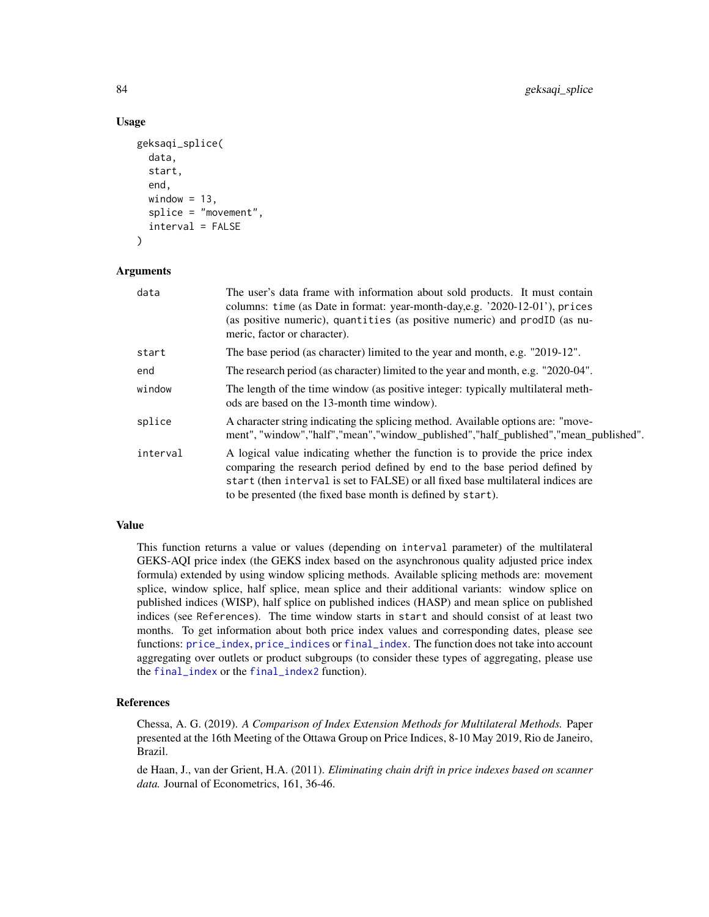### Usage

```
geksaqi_splice(
  data,
  start,
  end,
  window = 13,
  splice = "movement",
  interval = FALSE
)
```
#### Arguments

| data     | The user's data frame with information about sold products. It must contain<br>columns: time (as Date in format: year-month-day, e.g. '2020-12-01'), prices<br>(as positive numeric), quantities (as positive numeric) and prodID (as nu-<br>meric, factor or character).                                      |
|----------|----------------------------------------------------------------------------------------------------------------------------------------------------------------------------------------------------------------------------------------------------------------------------------------------------------------|
| start    | The base period (as character) limited to the year and month, e.g. "2019-12".                                                                                                                                                                                                                                  |
| end      | The research period (as character) limited to the year and month, e.g. "2020-04".                                                                                                                                                                                                                              |
| window   | The length of the time window (as positive integer: typically multilateral meth-<br>ods are based on the 13-month time window).                                                                                                                                                                                |
| splice   | A character string indicating the splicing method. Available options are: "move-<br>ment", "window","half","mean","window_published","half_published","mean_published".                                                                                                                                        |
| interval | A logical value indicating whether the function is to provide the price index<br>comparing the research period defined by end to the base period defined by<br>start (then interval is set to FALSE) or all fixed base multilateral indices are<br>to be presented (the fixed base month is defined by start). |

### Value

This function returns a value or values (depending on interval parameter) of the multilateral GEKS-AQI price index (the GEKS index based on the asynchronous quality adjusted price index formula) extended by using window splicing methods. Available splicing methods are: movement splice, window splice, half splice, mean splice and their additional variants: window splice on published indices (WISP), half splice on published indices (HASP) and mean splice on published indices (see References). The time window starts in start and should consist of at least two months. To get information about both price index values and corresponding dates, please see functions: [price\\_index](#page-153-0), [price\\_indices](#page-154-0) or [final\\_index](#page-72-0). The function does not take into account aggregating over outlets or product subgroups (to consider these types of aggregating, please use the [final\\_index](#page-72-0) or the [final\\_index2](#page-74-0) function).

#### References

Chessa, A. G. (2019). *A Comparison of Index Extension Methods for Multilateral Methods.* Paper presented at the 16th Meeting of the Ottawa Group on Price Indices, 8-10 May 2019, Rio de Janeiro, Brazil.

de Haan, J., van der Grient, H.A. (2011). *Eliminating chain drift in price indexes based on scanner data.* Journal of Econometrics, 161, 36-46.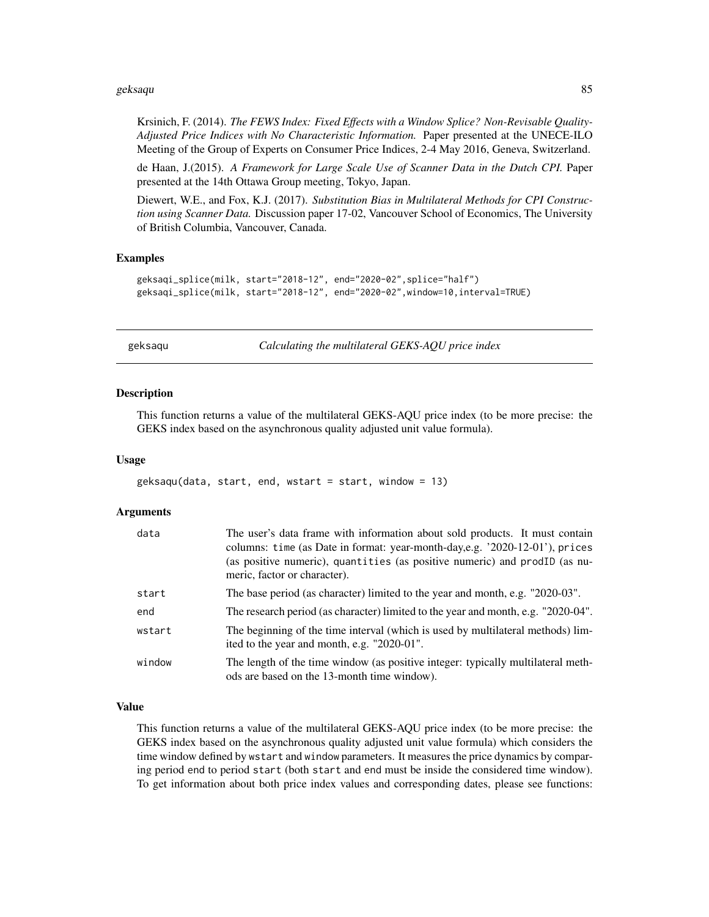#### geksaqu 85

Krsinich, F. (2014). *The FEWS Index: Fixed Effects with a Window Splice? Non-Revisable Quality-Adjusted Price Indices with No Characteristic Information.* Paper presented at the UNECE-ILO Meeting of the Group of Experts on Consumer Price Indices, 2-4 May 2016, Geneva, Switzerland.

de Haan, J.(2015). *A Framework for Large Scale Use of Scanner Data in the Dutch CPI.* Paper presented at the 14th Ottawa Group meeting, Tokyo, Japan.

Diewert, W.E., and Fox, K.J. (2017). *Substitution Bias in Multilateral Methods for CPI Construction using Scanner Data.* Discussion paper 17-02, Vancouver School of Economics, The University of British Columbia, Vancouver, Canada.

#### Examples

```
geksaqi_splice(milk, start="2018-12", end="2020-02",splice="half")
geksaqi_splice(milk, start="2018-12", end="2020-02",window=10,interval=TRUE)
```
geksaqu *Calculating the multilateral GEKS-AQU price index*

### Description

This function returns a value of the multilateral GEKS-AQU price index (to be more precise: the GEKS index based on the asynchronous quality adjusted unit value formula).

#### Usage

```
geksaqu(data, start, end, wstart = start, window = 13)
```
### Arguments

| data   | The user's data frame with information about sold products. It must contain<br>columns: time (as Date in format: year-month-day, e.g. '2020-12-01'), prices<br>(as positive numeric), quantities (as positive numeric) and prodID (as nu-<br>meric, factor or character). |
|--------|---------------------------------------------------------------------------------------------------------------------------------------------------------------------------------------------------------------------------------------------------------------------------|
| start  | The base period (as character) limited to the year and month, e.g. "2020-03".                                                                                                                                                                                             |
| end    | The research period (as character) limited to the year and month, e.g. "2020-04".                                                                                                                                                                                         |
| wstart | The beginning of the time interval (which is used by multilateral methods) lim-<br>ited to the year and month, e.g. "2020-01".                                                                                                                                            |
| window | The length of the time window (as positive integer: typically multilateral meth-<br>ods are based on the 13-month time window).                                                                                                                                           |

### Value

This function returns a value of the multilateral GEKS-AQU price index (to be more precise: the GEKS index based on the asynchronous quality adjusted unit value formula) which considers the time window defined by wstart and window parameters. It measures the price dynamics by comparing period end to period start (both start and end must be inside the considered time window). To get information about both price index values and corresponding dates, please see functions: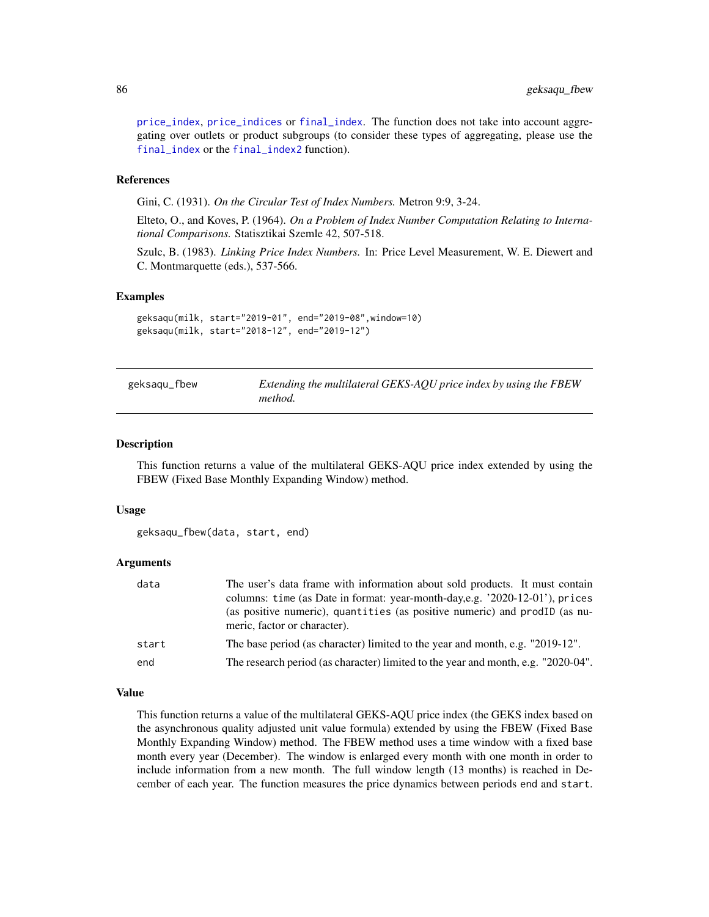[price\\_index](#page-153-0), [price\\_indices](#page-154-0) or [final\\_index](#page-72-0). The function does not take into account aggregating over outlets or product subgroups (to consider these types of aggregating, please use the [final\\_index](#page-72-0) or the [final\\_index2](#page-74-0) function).

### References

Gini, C. (1931). *On the Circular Test of Index Numbers.* Metron 9:9, 3-24.

Elteto, O., and Koves, P. (1964). *On a Problem of Index Number Computation Relating to International Comparisons.* Statisztikai Szemle 42, 507-518.

Szulc, B. (1983). *Linking Price Index Numbers.* In: Price Level Measurement, W. E. Diewert and C. Montmarquette (eds.), 537-566.

### Examples

```
geksaqu(milk, start="2019-01", end="2019-08",window=10)
geksaqu(milk, start="2018-12", end="2019-12")
```

| geksaqu_fbew | Extending the multilateral GEKS-AQU price index by using the FBEW |
|--------------|-------------------------------------------------------------------|
|              | method.                                                           |

#### Description

This function returns a value of the multilateral GEKS-AQU price index extended by using the FBEW (Fixed Base Monthly Expanding Window) method.

#### Usage

```
geksaqu_fbew(data, start, end)
```
### Arguments

| data  | The user's data frame with information about sold products. It must contain                                |
|-------|------------------------------------------------------------------------------------------------------------|
|       | columns: time (as Date in format: year-month-day, e.g. '2020-12-01'), prices                               |
|       | (as positive numeric), quantities (as positive numeric) and prodID (as nu-<br>meric, factor or character). |
| start | The base period (as character) limited to the year and month, e.g. "2019-12".                              |
| end   | The research period (as character) limited to the year and month, e.g. "2020-04".                          |

#### Value

This function returns a value of the multilateral GEKS-AQU price index (the GEKS index based on the asynchronous quality adjusted unit value formula) extended by using the FBEW (Fixed Base Monthly Expanding Window) method. The FBEW method uses a time window with a fixed base month every year (December). The window is enlarged every month with one month in order to include information from a new month. The full window length (13 months) is reached in December of each year. The function measures the price dynamics between periods end and start.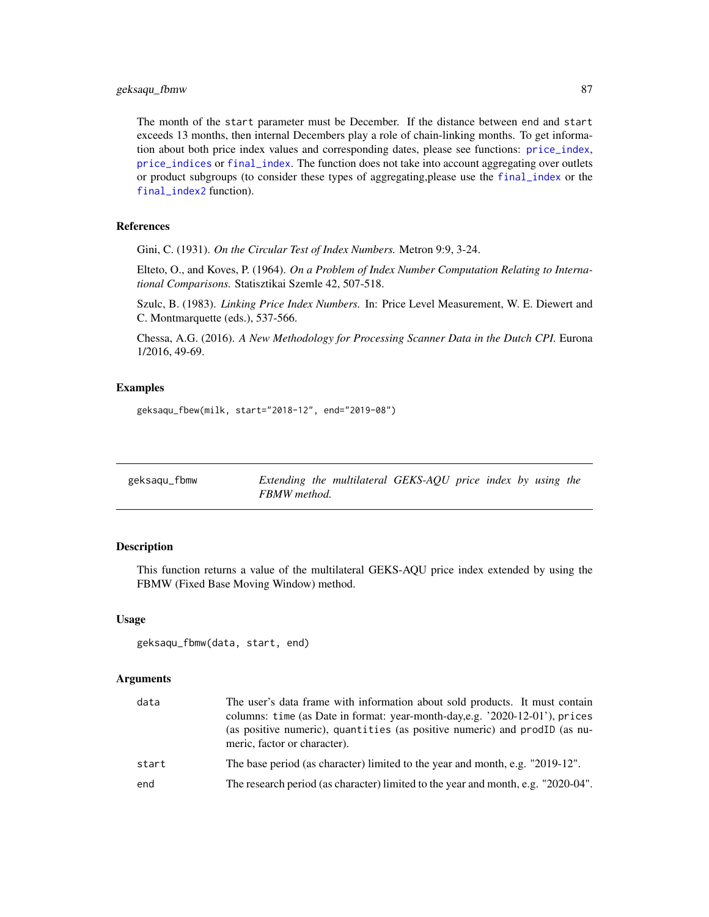# geksaqu\_fbmw 87

The month of the start parameter must be December. If the distance between end and start exceeds 13 months, then internal Decembers play a role of chain-linking months. To get information about both price index values and corresponding dates, please see functions: [price\\_index](#page-153-0), [price\\_indices](#page-154-0) or [final\\_index](#page-72-0). The function does not take into account aggregating over outlets or product subgroups (to consider these types of aggregating,please use the [final\\_index](#page-72-0) or the [final\\_index2](#page-74-0) function).

### References

Gini, C. (1931). *On the Circular Test of Index Numbers.* Metron 9:9, 3-24.

Elteto, O., and Koves, P. (1964). *On a Problem of Index Number Computation Relating to International Comparisons.* Statisztikai Szemle 42, 507-518.

Szulc, B. (1983). *Linking Price Index Numbers.* In: Price Level Measurement, W. E. Diewert and C. Montmarquette (eds.), 537-566.

Chessa, A.G. (2016). *A New Methodology for Processing Scanner Data in the Dutch CPI.* Eurona 1/2016, 49-69.

### Examples

geksaqu\_fbew(milk, start="2018-12", end="2019-08")

| geksaqu_fbmw |              |  | Extending the multilateral GEKS-AQU price index by using the |  |  |  |
|--------------|--------------|--|--------------------------------------------------------------|--|--|--|
|              | FBMW method. |  |                                                              |  |  |  |

# **Description**

This function returns a value of the multilateral GEKS-AQU price index extended by using the FBMW (Fixed Base Moving Window) method.

#### Usage

```
geksaqu_fbmw(data, start, end)
```

| data  | The user's data frame with information about sold products. It must contain                                |
|-------|------------------------------------------------------------------------------------------------------------|
|       | columns: time (as Date in format: year-month-day, e.g. '2020-12-01'), prices                               |
|       | (as positive numeric), quantities (as positive numeric) and prodID (as nu-<br>meric, factor or character). |
| start | The base period (as character) limited to the year and month, e.g. "2019-12".                              |
| end   | The research period (as character) limited to the year and month, e.g. "2020-04".                          |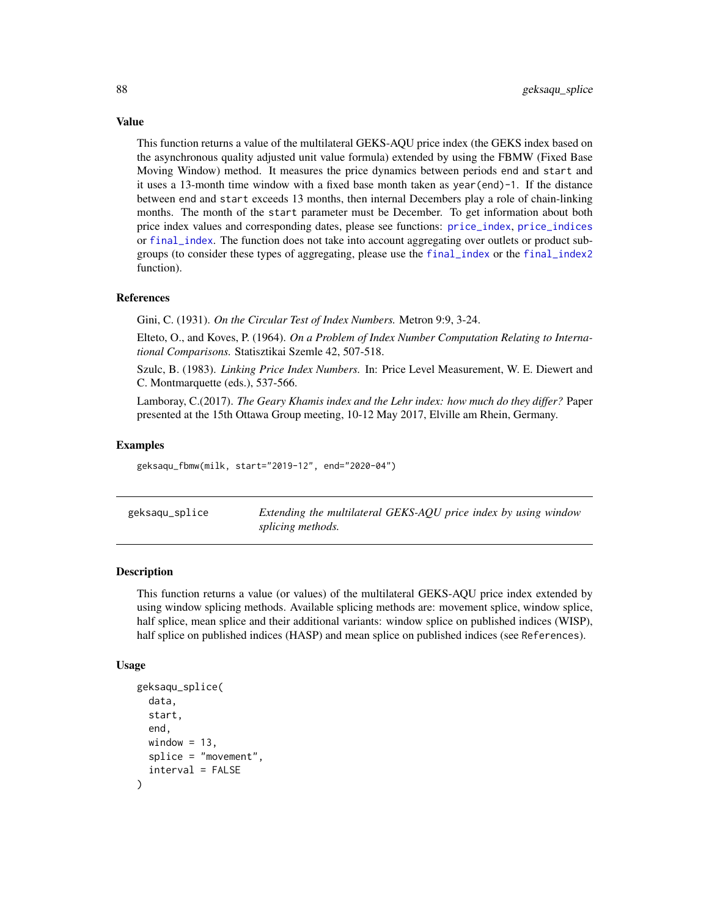This function returns a value of the multilateral GEKS-AQU price index (the GEKS index based on the asynchronous quality adjusted unit value formula) extended by using the FBMW (Fixed Base Moving Window) method. It measures the price dynamics between periods end and start and it uses a 13-month time window with a fixed base month taken as year(end)-1. If the distance between end and start exceeds 13 months, then internal Decembers play a role of chain-linking months. The month of the start parameter must be December. To get information about both price index values and corresponding dates, please see functions: [price\\_index](#page-153-0), [price\\_indices](#page-154-0) or [final\\_index](#page-72-0). The function does not take into account aggregating over outlets or product subgroups (to consider these types of aggregating, please use the [final\\_index](#page-72-0) or the [final\\_index2](#page-74-0) function).

#### References

Gini, C. (1931). *On the Circular Test of Index Numbers.* Metron 9:9, 3-24.

Elteto, O., and Koves, P. (1964). *On a Problem of Index Number Computation Relating to International Comparisons.* Statisztikai Szemle 42, 507-518.

Szulc, B. (1983). *Linking Price Index Numbers.* In: Price Level Measurement, W. E. Diewert and C. Montmarquette (eds.), 537-566.

Lamboray, C.(2017). *The Geary Khamis index and the Lehr index: how much do they differ?* Paper presented at the 15th Ottawa Group meeting, 10-12 May 2017, Elville am Rhein, Germany.

### Examples

geksaqu\_fbmw(milk, start="2019-12", end="2020-04")

| geksaqu_splice | Extending the multilateral GEKS-AQU price index by using window |
|----------------|-----------------------------------------------------------------|
|                | splicing methods.                                               |

# **Description**

This function returns a value (or values) of the multilateral GEKS-AQU price index extended by using window splicing methods. Available splicing methods are: movement splice, window splice, half splice, mean splice and their additional variants: window splice on published indices (WISP), half splice on published indices (HASP) and mean splice on published indices (see References).

#### Usage

```
geksaqu_splice(
  data,
  start,
  end,
  window = 13,
  splice = "movement",
  interval = FALSE
)
```
# Value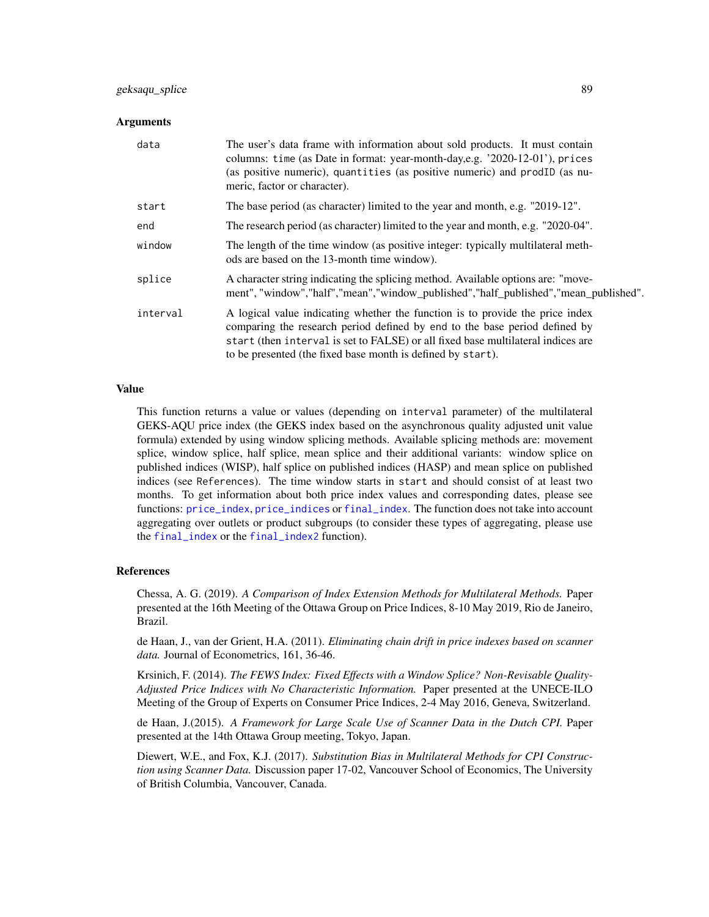# geksaqu\_splice 89

### **Arguments**

| data     | The user's data frame with information about sold products. It must contain<br>columns: time (as Date in format: year-month-day, e.g. '2020-12-01'), prices<br>(as positive numeric), quantities (as positive numeric) and prodID (as nu-<br>meric, factor or character).                                      |
|----------|----------------------------------------------------------------------------------------------------------------------------------------------------------------------------------------------------------------------------------------------------------------------------------------------------------------|
| start    | The base period (as character) limited to the year and month, e.g. "2019-12".                                                                                                                                                                                                                                  |
| end      | The research period (as character) limited to the year and month, e.g. "2020-04".                                                                                                                                                                                                                              |
| window   | The length of the time window (as positive integer: typically multilateral meth-<br>ods are based on the 13-month time window).                                                                                                                                                                                |
| splice   | A character string indicating the splicing method. Available options are: "move-<br>ment", "window", "half", "mean", "window_published", "half_published", "mean_published".                                                                                                                                   |
| interval | A logical value indicating whether the function is to provide the price index<br>comparing the research period defined by end to the base period defined by<br>start (then interval is set to FALSE) or all fixed base multilateral indices are<br>to be presented (the fixed base month is defined by start). |

# Value

This function returns a value or values (depending on interval parameter) of the multilateral GEKS-AQU price index (the GEKS index based on the asynchronous quality adjusted unit value formula) extended by using window splicing methods. Available splicing methods are: movement splice, window splice, half splice, mean splice and their additional variants: window splice on published indices (WISP), half splice on published indices (HASP) and mean splice on published indices (see References). The time window starts in start and should consist of at least two months. To get information about both price index values and corresponding dates, please see functions: [price\\_index](#page-153-0), [price\\_indices](#page-154-0) or [final\\_index](#page-72-0). The function does not take into account aggregating over outlets or product subgroups (to consider these types of aggregating, please use the [final\\_index](#page-72-0) or the [final\\_index2](#page-74-0) function).

### References

Chessa, A. G. (2019). *A Comparison of Index Extension Methods for Multilateral Methods.* Paper presented at the 16th Meeting of the Ottawa Group on Price Indices, 8-10 May 2019, Rio de Janeiro, Brazil.

de Haan, J., van der Grient, H.A. (2011). *Eliminating chain drift in price indexes based on scanner data.* Journal of Econometrics, 161, 36-46.

Krsinich, F. (2014). *The FEWS Index: Fixed Effects with a Window Splice? Non-Revisable Quality-Adjusted Price Indices with No Characteristic Information.* Paper presented at the UNECE-ILO Meeting of the Group of Experts on Consumer Price Indices, 2-4 May 2016, Geneva, Switzerland.

de Haan, J.(2015). *A Framework for Large Scale Use of Scanner Data in the Dutch CPI.* Paper presented at the 14th Ottawa Group meeting, Tokyo, Japan.

Diewert, W.E., and Fox, K.J. (2017). *Substitution Bias in Multilateral Methods for CPI Construction using Scanner Data.* Discussion paper 17-02, Vancouver School of Economics, The University of British Columbia, Vancouver, Canada.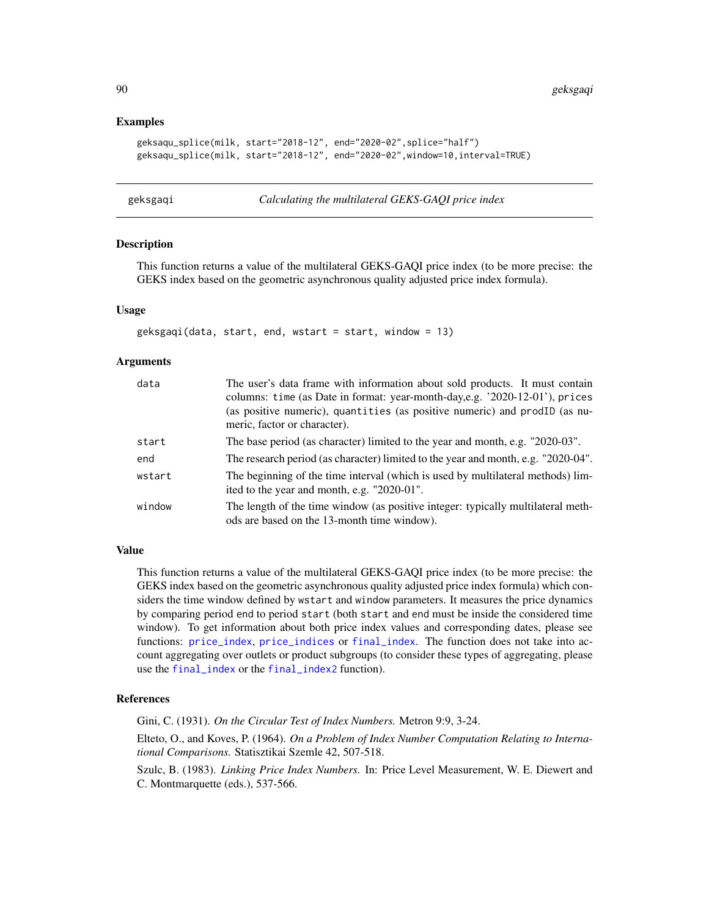90 geksgaqi

### Examples

```
geksaqu_splice(milk, start="2018-12", end="2020-02",splice="half")
geksaqu_splice(milk, start="2018-12", end="2020-02",window=10,interval=TRUE)
```
geksgaqi *Calculating the multilateral GEKS-GAQI price index*

#### **Description**

This function returns a value of the multilateral GEKS-GAQI price index (to be more precise: the GEKS index based on the geometric asynchronous quality adjusted price index formula).

### Usage

geksgaqi(data, start, end, wstart = start, window = 13)

#### Arguments

| data   | The user's data frame with information about sold products. It must contain<br>columns: time (as Date in format: year-month-day, e.g. '2020-12-01'), prices<br>(as positive numeric), quantities (as positive numeric) and prodID (as nu-<br>meric, factor or character). |
|--------|---------------------------------------------------------------------------------------------------------------------------------------------------------------------------------------------------------------------------------------------------------------------------|
| start  | The base period (as character) limited to the year and month, e.g. "2020-03".                                                                                                                                                                                             |
| end    | The research period (as character) limited to the year and month, e.g. "2020-04".                                                                                                                                                                                         |
| wstart | The beginning of the time interval (which is used by multilateral methods) lim-<br>ited to the year and month, e.g. "2020-01".                                                                                                                                            |
| window | The length of the time window (as positive integer: typically multilateral meth-<br>ods are based on the 13-month time window).                                                                                                                                           |

#### Value

This function returns a value of the multilateral GEKS-GAQI price index (to be more precise: the GEKS index based on the geometric asynchronous quality adjusted price index formula) which considers the time window defined by wstart and window parameters. It measures the price dynamics by comparing period end to period start (both start and end must be inside the considered time window). To get information about both price index values and corresponding dates, please see functions: [price\\_index](#page-153-0), [price\\_indices](#page-154-0) or [final\\_index](#page-72-0). The function does not take into account aggregating over outlets or product subgroups (to consider these types of aggregating, please use the [final\\_index](#page-72-0) or the [final\\_index2](#page-74-0) function).

### References

Gini, C. (1931). *On the Circular Test of Index Numbers.* Metron 9:9, 3-24.

Elteto, O., and Koves, P. (1964). *On a Problem of Index Number Computation Relating to International Comparisons.* Statisztikai Szemle 42, 507-518.

Szulc, B. (1983). *Linking Price Index Numbers.* In: Price Level Measurement, W. E. Diewert and C. Montmarquette (eds.), 537-566.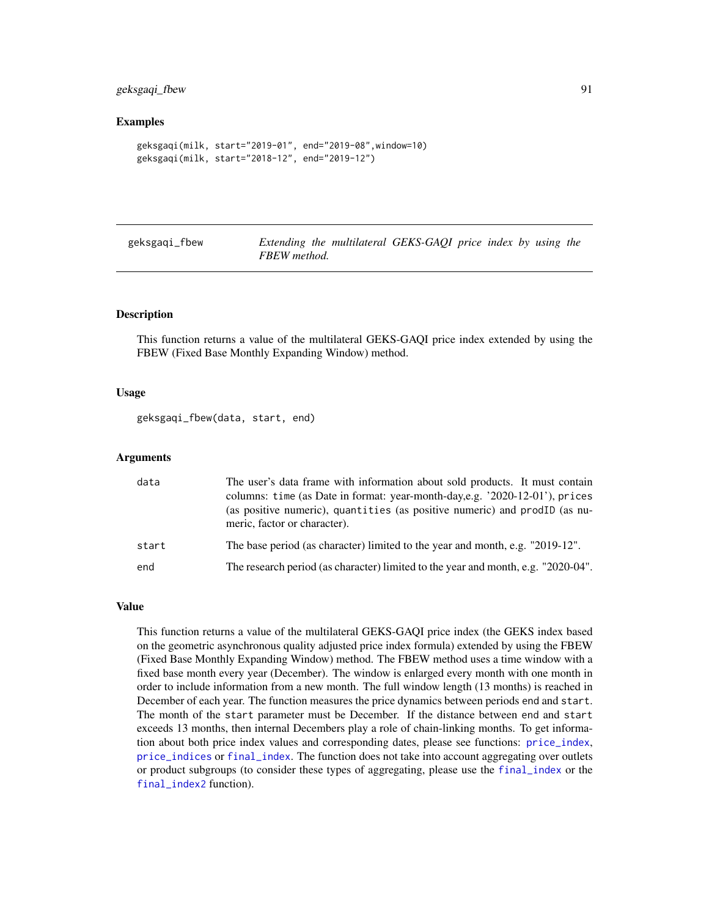# geksgaqi\_fbew 91

### Examples

```
geksgaqi(milk, start="2019-01", end="2019-08",window=10)
geksgaqi(milk, start="2018-12", end="2019-12")
```

| geksgaqi_fbew |
|---------------|
|---------------|

Extending the multilateral GEKS-GAQI price index by using the *FBEW method.*

### **Description**

This function returns a value of the multilateral GEKS-GAQI price index extended by using the FBEW (Fixed Base Monthly Expanding Window) method.

### Usage

geksgaqi\_fbew(data, start, end)

### Arguments

| data  | The user's data frame with information about sold products. It must contain<br>columns: time (as Date in format: year-month-day, e.g. '2020-12-01'), prices<br>(as positive numeric), quantities (as positive numeric) and prodID (as nu-<br>meric, factor or character). |
|-------|---------------------------------------------------------------------------------------------------------------------------------------------------------------------------------------------------------------------------------------------------------------------------|
| start | The base period (as character) limited to the year and month, e.g. "2019-12".                                                                                                                                                                                             |
| end   | The research period (as character) limited to the year and month, e.g. "2020-04".                                                                                                                                                                                         |

#### Value

This function returns a value of the multilateral GEKS-GAQI price index (the GEKS index based on the geometric asynchronous quality adjusted price index formula) extended by using the FBEW (Fixed Base Monthly Expanding Window) method. The FBEW method uses a time window with a fixed base month every year (December). The window is enlarged every month with one month in order to include information from a new month. The full window length (13 months) is reached in December of each year. The function measures the price dynamics between periods end and start. The month of the start parameter must be December. If the distance between end and start exceeds 13 months, then internal Decembers play a role of chain-linking months. To get information about both price index values and corresponding dates, please see functions: [price\\_index](#page-153-0), [price\\_indices](#page-154-0) or [final\\_index](#page-72-0). The function does not take into account aggregating over outlets or product subgroups (to consider these types of aggregating, please use the [final\\_index](#page-72-0) or the [final\\_index2](#page-74-0) function).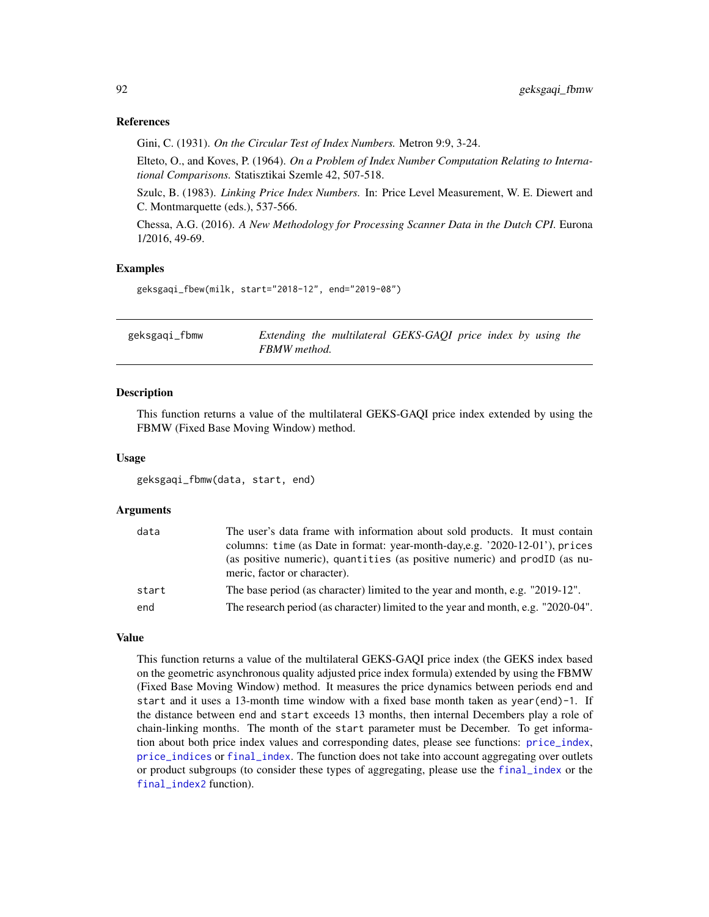### References

Gini, C. (1931). *On the Circular Test of Index Numbers.* Metron 9:9, 3-24.

Elteto, O., and Koves, P. (1964). *On a Problem of Index Number Computation Relating to International Comparisons.* Statisztikai Szemle 42, 507-518.

Szulc, B. (1983). *Linking Price Index Numbers.* In: Price Level Measurement, W. E. Diewert and C. Montmarquette (eds.), 537-566.

Chessa, A.G. (2016). *A New Methodology for Processing Scanner Data in the Dutch CPI.* Eurona 1/2016, 49-69.

### Examples

geksgaqi\_fbew(milk, start="2018-12", end="2019-08")

| geksgaqi_fbmw | Extending the multilateral GEKS-GAQI price index by using the |  |  |  |
|---------------|---------------------------------------------------------------|--|--|--|
|               | FBMW method.                                                  |  |  |  |

### **Description**

This function returns a value of the multilateral GEKS-GAQI price index extended by using the FBMW (Fixed Base Moving Window) method.

### Usage

geksgaqi\_fbmw(data, start, end)

### Arguments

| data  | The user's data frame with information about sold products. It must contain                                |
|-------|------------------------------------------------------------------------------------------------------------|
|       | columns: time (as Date in format: year-month-day, e.g. '2020-12-01'), prices                               |
|       | (as positive numeric), quantities (as positive numeric) and prodID (as nu-<br>meric, factor or character). |
| start | The base period (as character) limited to the year and month, e.g. "2019-12".                              |
| end   | The research period (as character) limited to the year and month, e.g. "2020-04".                          |

### Value

This function returns a value of the multilateral GEKS-GAQI price index (the GEKS index based on the geometric asynchronous quality adjusted price index formula) extended by using the FBMW (Fixed Base Moving Window) method. It measures the price dynamics between periods end and start and it uses a 13-month time window with a fixed base month taken as year(end)-1. If the distance between end and start exceeds 13 months, then internal Decembers play a role of chain-linking months. The month of the start parameter must be December. To get information about both price index values and corresponding dates, please see functions: [price\\_index](#page-153-0), [price\\_indices](#page-154-0) or [final\\_index](#page-72-0). The function does not take into account aggregating over outlets or product subgroups (to consider these types of aggregating, please use the [final\\_index](#page-72-0) or the [final\\_index2](#page-74-0) function).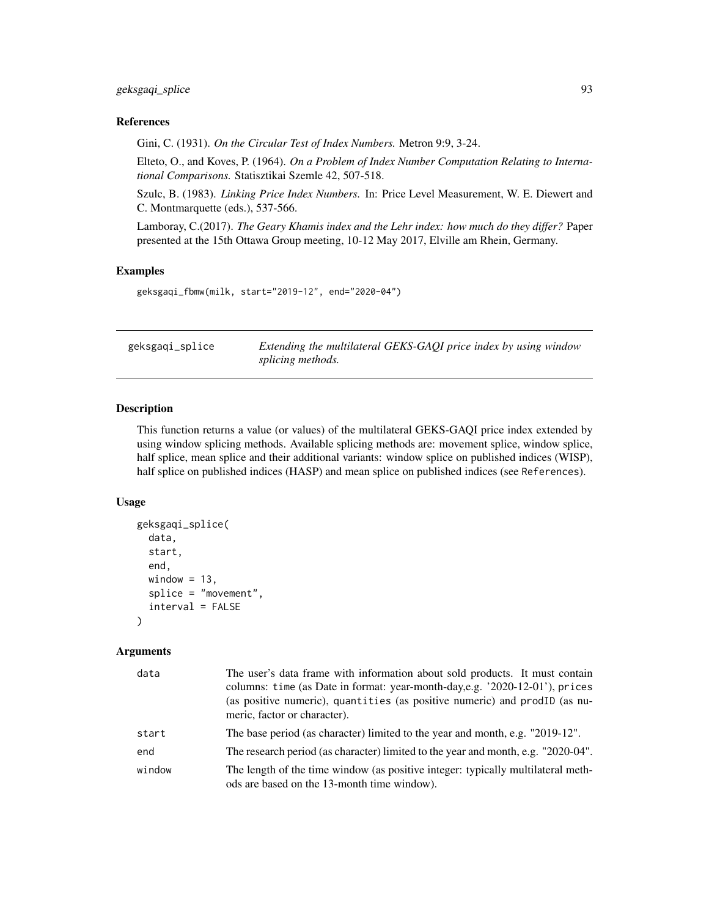# geksgaqi\_splice 93

### References

Gini, C. (1931). *On the Circular Test of Index Numbers.* Metron 9:9, 3-24.

Elteto, O., and Koves, P. (1964). *On a Problem of Index Number Computation Relating to International Comparisons.* Statisztikai Szemle 42, 507-518.

Szulc, B. (1983). *Linking Price Index Numbers.* In: Price Level Measurement, W. E. Diewert and C. Montmarquette (eds.), 537-566.

Lamboray, C.(2017). *The Geary Khamis index and the Lehr index: how much do they differ?* Paper presented at the 15th Ottawa Group meeting, 10-12 May 2017, Elville am Rhein, Germany.

### Examples

geksgaqi\_fbmw(milk, start="2019-12", end="2020-04")

geksgaqi\_splice *Extending the multilateral GEKS-GAQI price index by using window splicing methods.*

# **Description**

This function returns a value (or values) of the multilateral GEKS-GAQI price index extended by using window splicing methods. Available splicing methods are: movement splice, window splice, half splice, mean splice and their additional variants: window splice on published indices (WISP), half splice on published indices (HASP) and mean splice on published indices (see References).

# Usage

```
geksgaqi_splice(
  data,
  start,
  end,
 window = 13,
  splice = "movement",
  interval = FALSE
)
```

| data   | The user's data frame with information about sold products. It must contain<br>columns: time (as Date in format: year-month-day, e.g. '2020-12-01'), prices<br>(as positive numeric), quantities (as positive numeric) and prodID (as nu-<br>meric, factor or character). |
|--------|---------------------------------------------------------------------------------------------------------------------------------------------------------------------------------------------------------------------------------------------------------------------------|
| start  | The base period (as character) limited to the year and month, e.g. "2019-12".                                                                                                                                                                                             |
| end    | The research period (as character) limited to the year and month, e.g. "2020-04".                                                                                                                                                                                         |
| window | The length of the time window (as positive integer: typically multilateral meth-<br>ods are based on the 13-month time window).                                                                                                                                           |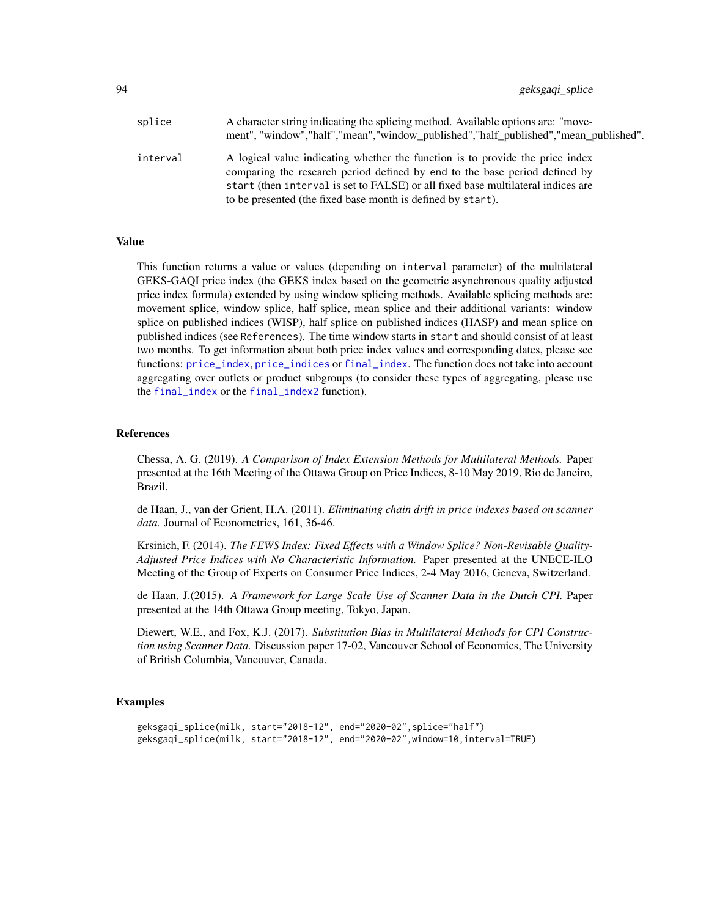| splice   | A character string indicating the splicing method. Available options are: "move-<br>ment", "window", "half", "mean", "window_published", "half_published", "mean_published".                                                                                                                                   |
|----------|----------------------------------------------------------------------------------------------------------------------------------------------------------------------------------------------------------------------------------------------------------------------------------------------------------------|
| interval | A logical value indicating whether the function is to provide the price index<br>comparing the research period defined by end to the base period defined by<br>start (then interval is set to FALSE) or all fixed base multilateral indices are<br>to be presented (the fixed base month is defined by start). |

### Value

This function returns a value or values (depending on interval parameter) of the multilateral GEKS-GAQI price index (the GEKS index based on the geometric asynchronous quality adjusted price index formula) extended by using window splicing methods. Available splicing methods are: movement splice, window splice, half splice, mean splice and their additional variants: window splice on published indices (WISP), half splice on published indices (HASP) and mean splice on published indices (see References). The time window starts in start and should consist of at least two months. To get information about both price index values and corresponding dates, please see functions: [price\\_index](#page-153-0), [price\\_indices](#page-154-0) or [final\\_index](#page-72-0). The function does not take into account aggregating over outlets or product subgroups (to consider these types of aggregating, please use the [final\\_index](#page-72-0) or the [final\\_index2](#page-74-0) function).

#### References

Chessa, A. G. (2019). *A Comparison of Index Extension Methods for Multilateral Methods.* Paper presented at the 16th Meeting of the Ottawa Group on Price Indices, 8-10 May 2019, Rio de Janeiro, Brazil.

de Haan, J., van der Grient, H.A. (2011). *Eliminating chain drift in price indexes based on scanner data.* Journal of Econometrics, 161, 36-46.

Krsinich, F. (2014). *The FEWS Index: Fixed Effects with a Window Splice? Non-Revisable Quality-Adjusted Price Indices with No Characteristic Information.* Paper presented at the UNECE-ILO Meeting of the Group of Experts on Consumer Price Indices, 2-4 May 2016, Geneva, Switzerland.

de Haan, J.(2015). *A Framework for Large Scale Use of Scanner Data in the Dutch CPI.* Paper presented at the 14th Ottawa Group meeting, Tokyo, Japan.

Diewert, W.E., and Fox, K.J. (2017). *Substitution Bias in Multilateral Methods for CPI Construction using Scanner Data.* Discussion paper 17-02, Vancouver School of Economics, The University of British Columbia, Vancouver, Canada.

### Examples

```
geksgaqi_splice(milk, start="2018-12", end="2020-02",splice="half")
geksgaqi_splice(milk, start="2018-12", end="2020-02",window=10,interval=TRUE)
```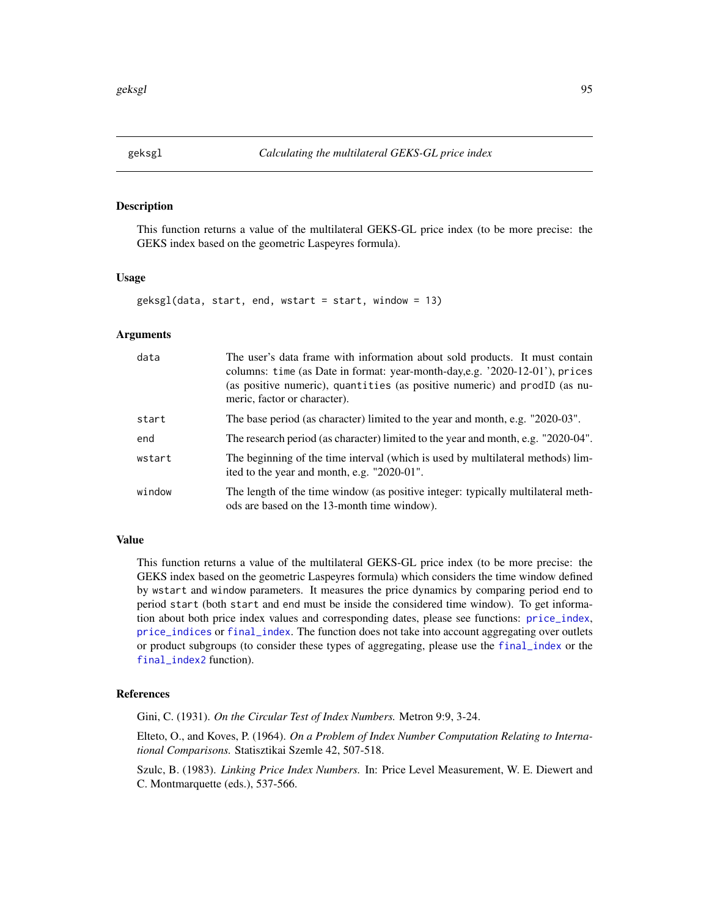### **Description**

This function returns a value of the multilateral GEKS-GL price index (to be more precise: the GEKS index based on the geometric Laspeyres formula).

### Usage

 $geksgl(data, start, end, wstart = start, window = 13)$ 

### Arguments

| data   | The user's data frame with information about sold products. It must contain<br>columns: time (as Date in format: year-month-day,e.g. '2020-12-01'), prices<br>(as positive numeric), quantities (as positive numeric) and prodID (as nu-<br>meric, factor or character). |
|--------|--------------------------------------------------------------------------------------------------------------------------------------------------------------------------------------------------------------------------------------------------------------------------|
| start  | The base period (as character) limited to the year and month, e.g. "2020-03".                                                                                                                                                                                            |
| end    | The research period (as character) limited to the year and month, e.g. "2020-04".                                                                                                                                                                                        |
| wstart | The beginning of the time interval (which is used by multilateral methods) lim-<br>ited to the year and month, e.g. "2020-01".                                                                                                                                           |
| window | The length of the time window (as positive integer: typically multilateral meth-<br>ods are based on the 13-month time window).                                                                                                                                          |

### Value

This function returns a value of the multilateral GEKS-GL price index (to be more precise: the GEKS index based on the geometric Laspeyres formula) which considers the time window defined by wstart and window parameters. It measures the price dynamics by comparing period end to period start (both start and end must be inside the considered time window). To get information about both price index values and corresponding dates, please see functions: [price\\_index](#page-153-0), [price\\_indices](#page-154-0) or [final\\_index](#page-72-0). The function does not take into account aggregating over outlets or product subgroups (to consider these types of aggregating, please use the [final\\_index](#page-72-0) or the [final\\_index2](#page-74-0) function).

#### References

Gini, C. (1931). *On the Circular Test of Index Numbers.* Metron 9:9, 3-24.

Elteto, O., and Koves, P. (1964). *On a Problem of Index Number Computation Relating to International Comparisons.* Statisztikai Szemle 42, 507-518.

Szulc, B. (1983). *Linking Price Index Numbers.* In: Price Level Measurement, W. E. Diewert and C. Montmarquette (eds.), 537-566.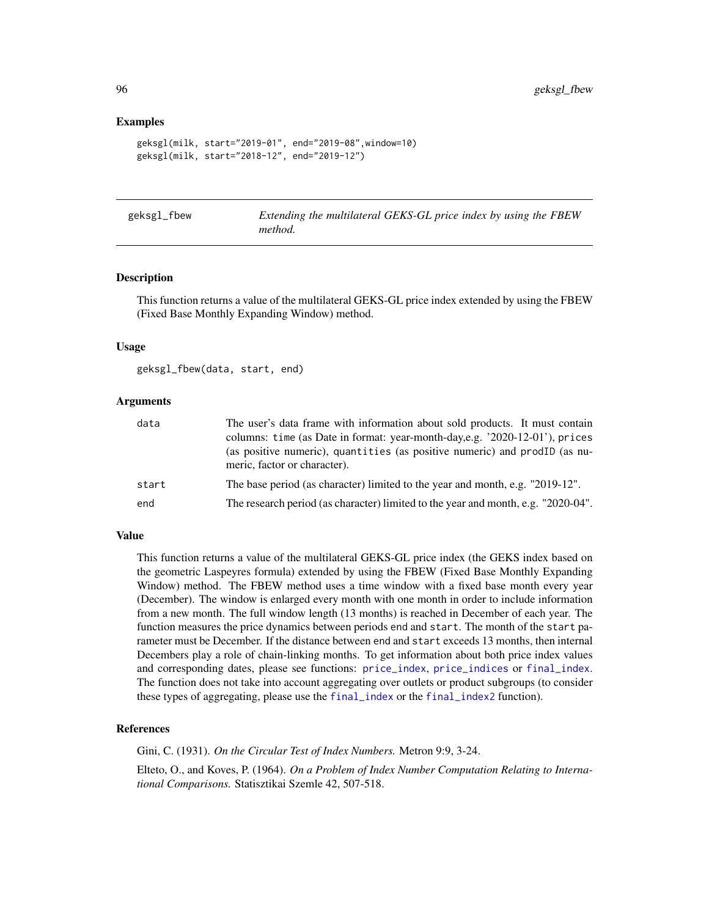### Examples

```
geksgl(milk, start="2019-01", end="2019-08",window=10)
geksgl(milk, start="2018-12", end="2019-12")
```

| geksgl_fbew | Extending the multilateral GEKS-GL price index by using the FBEW |
|-------------|------------------------------------------------------------------|
|             | method.                                                          |

#### Description

This function returns a value of the multilateral GEKS-GL price index extended by using the FBEW (Fixed Base Monthly Expanding Window) method.

### Usage

geksgl\_fbew(data, start, end)

### Arguments

| data  | The user's data frame with information about sold products. It must contain                                |
|-------|------------------------------------------------------------------------------------------------------------|
|       | columns: time (as Date in format: year-month-day, e.g. '2020-12-01'), prices                               |
|       | (as positive numeric), quantities (as positive numeric) and prodID (as nu-<br>meric, factor or character). |
| start | The base period (as character) limited to the year and month, e.g. "2019-12".                              |
| end   | The research period (as character) limited to the year and month, e.g. "2020-04".                          |

# Value

This function returns a value of the multilateral GEKS-GL price index (the GEKS index based on the geometric Laspeyres formula) extended by using the FBEW (Fixed Base Monthly Expanding Window) method. The FBEW method uses a time window with a fixed base month every year (December). The window is enlarged every month with one month in order to include information from a new month. The full window length (13 months) is reached in December of each year. The function measures the price dynamics between periods end and start. The month of the start parameter must be December. If the distance between end and start exceeds 13 months, then internal Decembers play a role of chain-linking months. To get information about both price index values and corresponding dates, please see functions: [price\\_index](#page-153-0), [price\\_indices](#page-154-0) or [final\\_index](#page-72-0). The function does not take into account aggregating over outlets or product subgroups (to consider these types of aggregating, please use the [final\\_index](#page-72-0) or the [final\\_index2](#page-74-0) function).

### References

Gini, C. (1931). *On the Circular Test of Index Numbers.* Metron 9:9, 3-24.

Elteto, O., and Koves, P. (1964). *On a Problem of Index Number Computation Relating to International Comparisons.* Statisztikai Szemle 42, 507-518.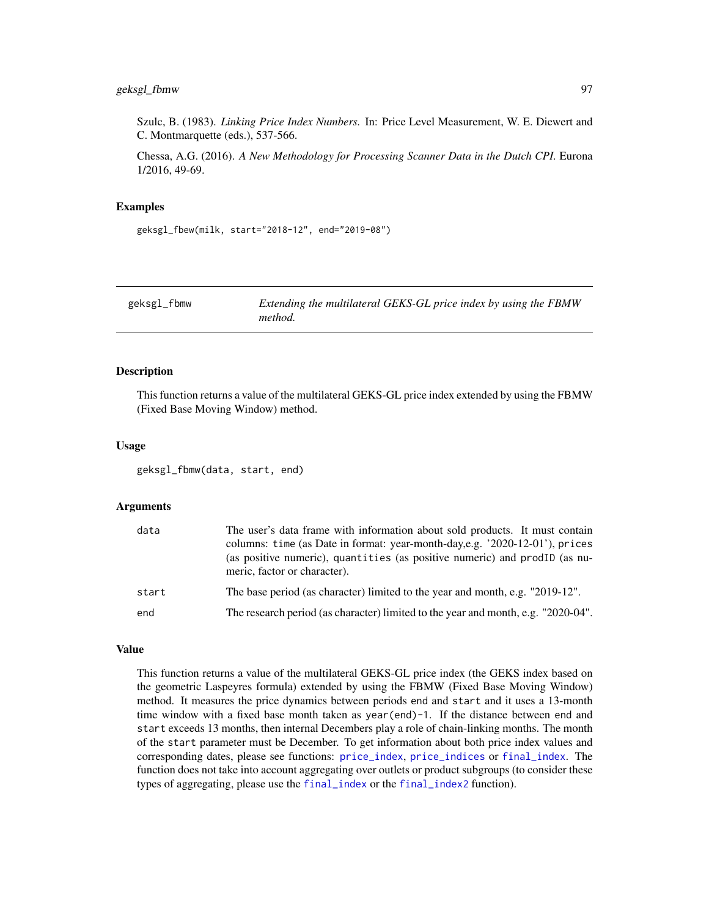# geksgl\_fbmw 97

Szulc, B. (1983). *Linking Price Index Numbers.* In: Price Level Measurement, W. E. Diewert and C. Montmarquette (eds.), 537-566.

Chessa, A.G. (2016). *A New Methodology for Processing Scanner Data in the Dutch CPI.* Eurona 1/2016, 49-69.

#### Examples

geksgl\_fbew(milk, start="2018-12", end="2019-08")

| geksgl_fbmw | Extending the multilateral GEKS-GL price index by using the FBMW |
|-------------|------------------------------------------------------------------|
|             | method.                                                          |

#### Description

This function returns a value of the multilateral GEKS-GL price index extended by using the FBMW (Fixed Base Moving Window) method.

#### Usage

geksgl\_fbmw(data, start, end)

#### Arguments

| data  | The user's data frame with information about sold products. It must contain<br>columns: time (as Date in format: year-month-day, e.g. '2020-12-01'), prices<br>(as positive numeric), quantities (as positive numeric) and prodID (as nu-<br>meric, factor or character). |
|-------|---------------------------------------------------------------------------------------------------------------------------------------------------------------------------------------------------------------------------------------------------------------------------|
| start | The base period (as character) limited to the year and month, e.g. "2019-12".                                                                                                                                                                                             |
| end   | The research period (as character) limited to the year and month, e.g. "2020-04".                                                                                                                                                                                         |

### Value

This function returns a value of the multilateral GEKS-GL price index (the GEKS index based on the geometric Laspeyres formula) extended by using the FBMW (Fixed Base Moving Window) method. It measures the price dynamics between periods end and start and it uses a 13-month time window with a fixed base month taken as year(end)-1. If the distance between end and start exceeds 13 months, then internal Decembers play a role of chain-linking months. The month of the start parameter must be December. To get information about both price index values and corresponding dates, please see functions: [price\\_index](#page-153-0), [price\\_indices](#page-154-0) or [final\\_index](#page-72-0). The function does not take into account aggregating over outlets or product subgroups (to consider these types of aggregating, please use the [final\\_index](#page-72-0) or the [final\\_index2](#page-74-0) function).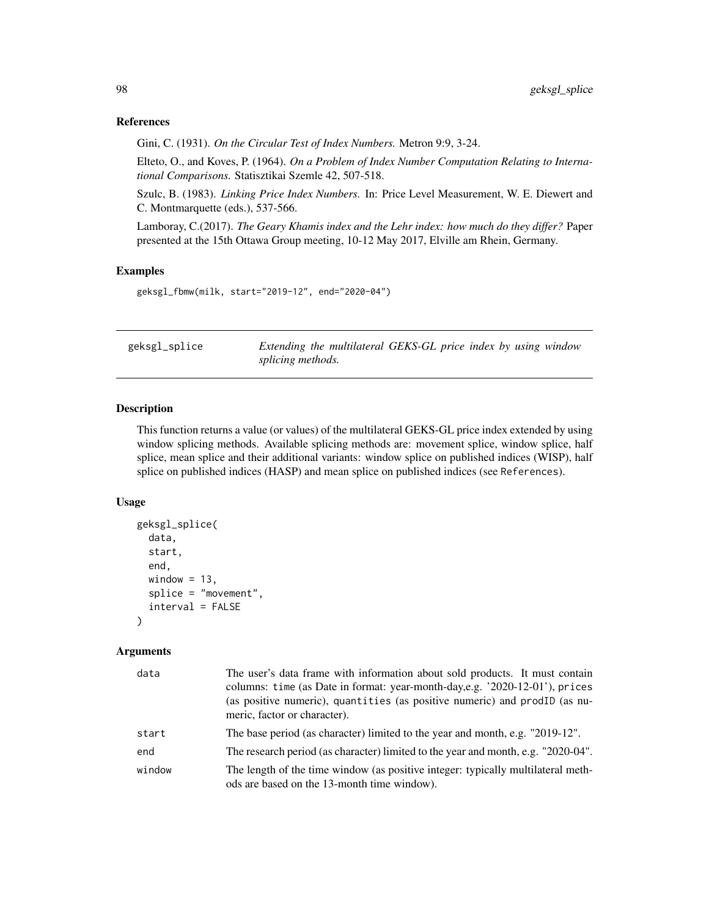### References

Gini, C. (1931). *On the Circular Test of Index Numbers.* Metron 9:9, 3-24.

Elteto, O., and Koves, P. (1964). *On a Problem of Index Number Computation Relating to International Comparisons.* Statisztikai Szemle 42, 507-518.

Szulc, B. (1983). *Linking Price Index Numbers.* In: Price Level Measurement, W. E. Diewert and C. Montmarquette (eds.), 537-566.

Lamboray, C.(2017). *The Geary Khamis index and the Lehr index: how much do they differ?* Paper presented at the 15th Ottawa Group meeting, 10-12 May 2017, Elville am Rhein, Germany.

#### Examples

geksgl\_fbmw(milk, start="2019-12", end="2020-04")

geksgl\_splice *Extending the multilateral GEKS-GL price index by using window splicing methods.*

### Description

This function returns a value (or values) of the multilateral GEKS-GL price index extended by using window splicing methods. Available splicing methods are: movement splice, window splice, half splice, mean splice and their additional variants: window splice on published indices (WISP), half splice on published indices (HASP) and mean splice on published indices (see References).

# Usage

```
geksgl_splice(
  data,
  start,
  end,
 window = 13,
  splice = "movement",
  interval = FALSE
)
```

| data   | The user's data frame with information about sold products. It must contain<br>columns: time (as Date in format: year-month-day, e.g. '2020-12-01'), prices<br>(as positive numeric), quantities (as positive numeric) and prodID (as nu-<br>meric, factor or character). |
|--------|---------------------------------------------------------------------------------------------------------------------------------------------------------------------------------------------------------------------------------------------------------------------------|
| start  | The base period (as character) limited to the year and month, e.g. "2019-12".                                                                                                                                                                                             |
| end    | The research period (as character) limited to the year and month, e.g. "2020-04".                                                                                                                                                                                         |
| window | The length of the time window (as positive integer: typically multilateral meth-<br>ods are based on the 13-month time window).                                                                                                                                           |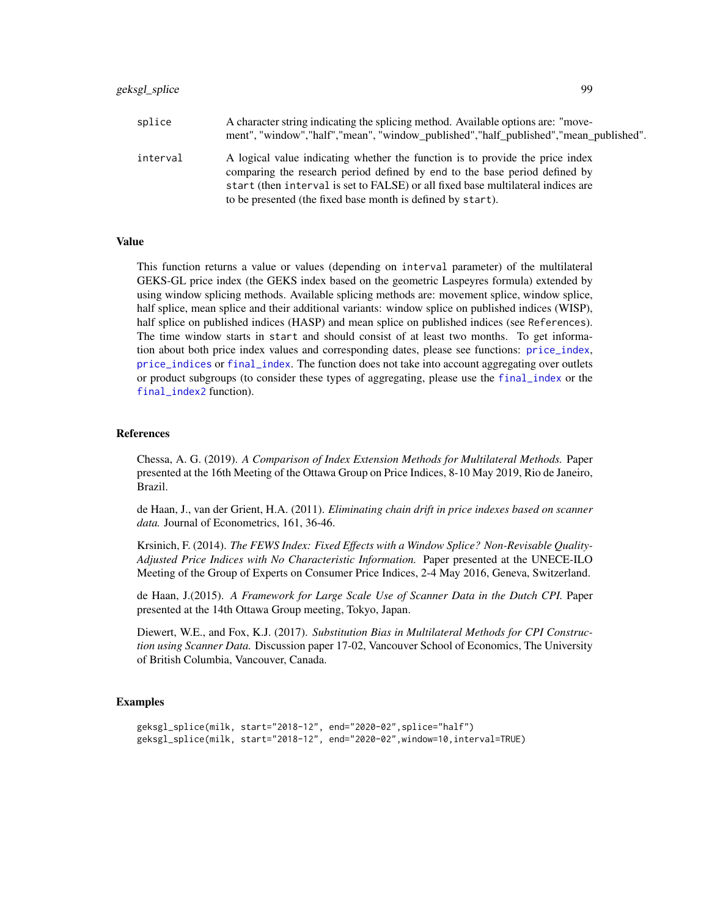# geksgl\_splice 99

| splice   | A character string indicating the splicing method. Available options are: "move-<br>ment", "window","half","mean", "window_published","half_published","mean_published".                                                                                                                                       |
|----------|----------------------------------------------------------------------------------------------------------------------------------------------------------------------------------------------------------------------------------------------------------------------------------------------------------------|
| interval | A logical value indicating whether the function is to provide the price index<br>comparing the research period defined by end to the base period defined by<br>start (then interval is set to FALSE) or all fixed base multilateral indices are<br>to be presented (the fixed base month is defined by start). |

### Value

This function returns a value or values (depending on interval parameter) of the multilateral GEKS-GL price index (the GEKS index based on the geometric Laspeyres formula) extended by using window splicing methods. Available splicing methods are: movement splice, window splice, half splice, mean splice and their additional variants: window splice on published indices (WISP), half splice on published indices (HASP) and mean splice on published indices (see References). The time window starts in start and should consist of at least two months. To get information about both price index values and corresponding dates, please see functions: [price\\_index](#page-153-0), [price\\_indices](#page-154-0) or [final\\_index](#page-72-0). The function does not take into account aggregating over outlets or product subgroups (to consider these types of aggregating, please use the [final\\_index](#page-72-0) or the [final\\_index2](#page-74-0) function).

### References

Chessa, A. G. (2019). *A Comparison of Index Extension Methods for Multilateral Methods.* Paper presented at the 16th Meeting of the Ottawa Group on Price Indices, 8-10 May 2019, Rio de Janeiro, Brazil.

de Haan, J., van der Grient, H.A. (2011). *Eliminating chain drift in price indexes based on scanner data.* Journal of Econometrics, 161, 36-46.

Krsinich, F. (2014). *The FEWS Index: Fixed Effects with a Window Splice? Non-Revisable Quality-Adjusted Price Indices with No Characteristic Information.* Paper presented at the UNECE-ILO Meeting of the Group of Experts on Consumer Price Indices, 2-4 May 2016, Geneva, Switzerland.

de Haan, J.(2015). *A Framework for Large Scale Use of Scanner Data in the Dutch CPI.* Paper presented at the 14th Ottawa Group meeting, Tokyo, Japan.

Diewert, W.E., and Fox, K.J. (2017). *Substitution Bias in Multilateral Methods for CPI Construction using Scanner Data.* Discussion paper 17-02, Vancouver School of Economics, The University of British Columbia, Vancouver, Canada.

### Examples

```
geksgl_splice(milk, start="2018-12", end="2020-02",splice="half")
geksgl_splice(milk, start="2018-12", end="2020-02",window=10,interval=TRUE)
```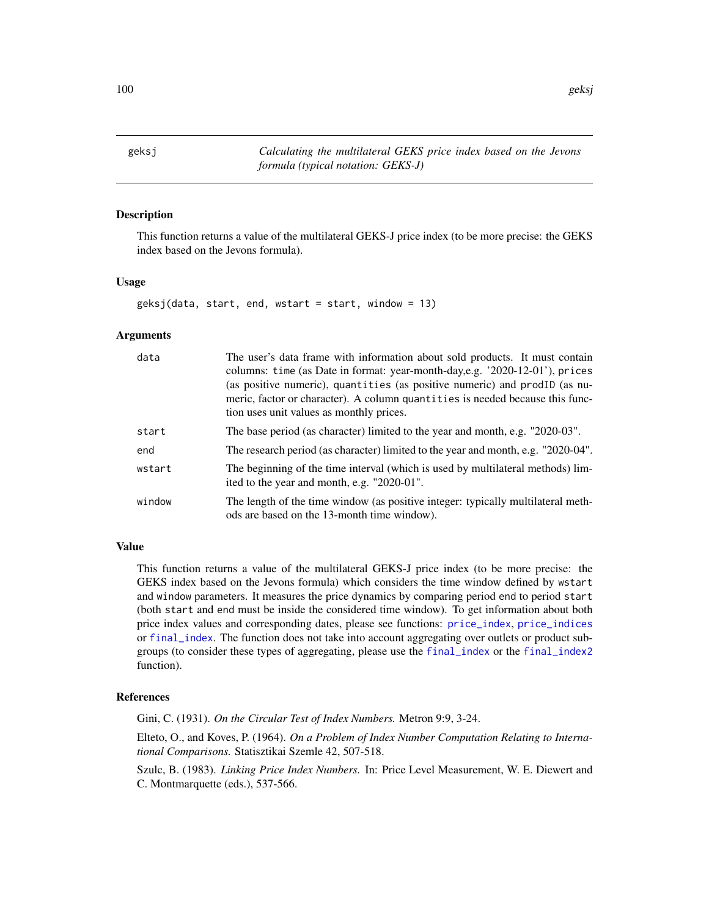geksj *Calculating the multilateral GEKS price index based on the Jevons formula (typical notation: GEKS-J)*

### **Description**

This function returns a value of the multilateral GEKS-J price index (to be more precise: the GEKS index based on the Jevons formula).

### Usage

 $geksj(data, start, end, wstart = start, window = 13)$ 

### **Arguments**

| data   | The user's data frame with information about sold products. It must contain<br>columns: time (as Date in format: year-month-day, e.g. '2020-12-01'), prices<br>(as positive numeric), quantities (as positive numeric) and prodID (as nu-<br>meric, factor or character). A column quantities is needed because this func-<br>tion uses unit values as monthly prices. |
|--------|------------------------------------------------------------------------------------------------------------------------------------------------------------------------------------------------------------------------------------------------------------------------------------------------------------------------------------------------------------------------|
| start  | The base period (as character) limited to the year and month, e.g. "2020-03".                                                                                                                                                                                                                                                                                          |
| end    | The research period (as character) limited to the year and month, e.g. "2020-04".                                                                                                                                                                                                                                                                                      |
| wstart | The beginning of the time interval (which is used by multilateral methods) lim-<br>ited to the year and month, e.g. "2020-01".                                                                                                                                                                                                                                         |
| window | The length of the time window (as positive integer: typically multilateral meth-<br>ods are based on the 13-month time window).                                                                                                                                                                                                                                        |

### Value

This function returns a value of the multilateral GEKS-J price index (to be more precise: the GEKS index based on the Jevons formula) which considers the time window defined by wstart and window parameters. It measures the price dynamics by comparing period end to period start (both start and end must be inside the considered time window). To get information about both price index values and corresponding dates, please see functions: [price\\_index](#page-153-0), [price\\_indices](#page-154-0) or [final\\_index](#page-72-0). The function does not take into account aggregating over outlets or product subgroups (to consider these types of aggregating, please use the [final\\_index](#page-72-0) or the [final\\_index2](#page-74-0) function).

### References

Gini, C. (1931). *On the Circular Test of Index Numbers.* Metron 9:9, 3-24.

Elteto, O., and Koves, P. (1964). *On a Problem of Index Number Computation Relating to International Comparisons.* Statisztikai Szemle 42, 507-518.

Szulc, B. (1983). *Linking Price Index Numbers.* In: Price Level Measurement, W. E. Diewert and C. Montmarquette (eds.), 537-566.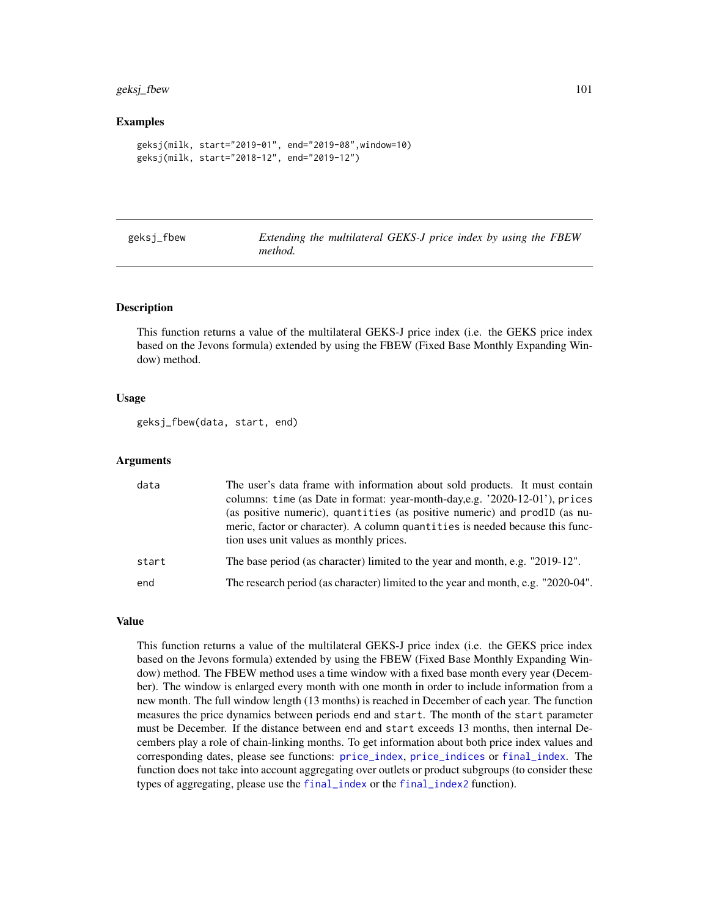# geksj\_fbew 101

### Examples

```
geksj(milk, start="2019-01", end="2019-08",window=10)
geksj(milk, start="2018-12", end="2019-12")
```

| geksj_fbew |  |
|------------|--|
|            |  |
|            |  |
|            |  |

Extending the multilateral GEKS-J price index by using the FBEW *method.*

#### Description

This function returns a value of the multilateral GEKS-J price index (i.e. the GEKS price index based on the Jevons formula) extended by using the FBEW (Fixed Base Monthly Expanding Window) method.

### Usage

geksj\_fbew(data, start, end)

#### Arguments

| data  | The user's data frame with information about sold products. It must contain<br>columns: time (as Date in format: year-month-day, e.g. '2020-12-01'), prices<br>(as positive numeric), quantities (as positive numeric) and prodID (as nu-<br>meric, factor or character). A column quantities is needed because this func-<br>tion uses unit values as monthly prices. |
|-------|------------------------------------------------------------------------------------------------------------------------------------------------------------------------------------------------------------------------------------------------------------------------------------------------------------------------------------------------------------------------|
| start | The base period (as character) limited to the year and month, e.g. "2019-12".                                                                                                                                                                                                                                                                                          |
| end   | The research period (as character) limited to the year and month, e.g. "2020-04".                                                                                                                                                                                                                                                                                      |

### Value

This function returns a value of the multilateral GEKS-J price index (i.e. the GEKS price index based on the Jevons formula) extended by using the FBEW (Fixed Base Monthly Expanding Window) method. The FBEW method uses a time window with a fixed base month every year (December). The window is enlarged every month with one month in order to include information from a new month. The full window length (13 months) is reached in December of each year. The function measures the price dynamics between periods end and start. The month of the start parameter must be December. If the distance between end and start exceeds 13 months, then internal Decembers play a role of chain-linking months. To get information about both price index values and corresponding dates, please see functions: [price\\_index](#page-153-0), [price\\_indices](#page-154-0) or [final\\_index](#page-72-0). The function does not take into account aggregating over outlets or product subgroups (to consider these types of aggregating, please use the [final\\_index](#page-72-0) or the [final\\_index2](#page-74-0) function).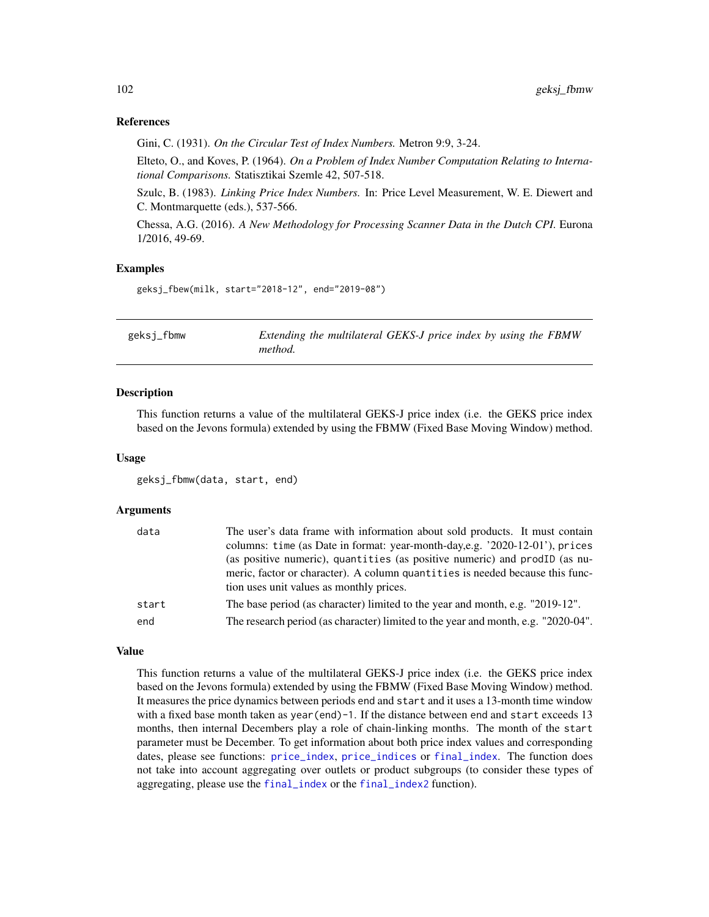### References

Gini, C. (1931). *On the Circular Test of Index Numbers.* Metron 9:9, 3-24.

Elteto, O., and Koves, P. (1964). *On a Problem of Index Number Computation Relating to International Comparisons.* Statisztikai Szemle 42, 507-518.

Szulc, B. (1983). *Linking Price Index Numbers.* In: Price Level Measurement, W. E. Diewert and C. Montmarquette (eds.), 537-566.

Chessa, A.G. (2016). *A New Methodology for Processing Scanner Data in the Dutch CPI.* Eurona 1/2016, 49-69.

### Examples

geksj\_fbew(milk, start="2018-12", end="2019-08")

| geksj_fbmw | Extending the multilateral GEKS-J price index by using the FBMW |
|------------|-----------------------------------------------------------------|
|            | method.                                                         |

### **Description**

This function returns a value of the multilateral GEKS-J price index (i.e. the GEKS price index based on the Jevons formula) extended by using the FBMW (Fixed Base Moving Window) method.

#### Usage

geksj\_fbmw(data, start, end)

#### Arguments

| data  | The user's data frame with information about sold products. It must contain       |
|-------|-----------------------------------------------------------------------------------|
|       | columns: time (as Date in format: year-month-day, e.g. '2020-12-01'), prices      |
|       | (as positive numeric), quantities (as positive numeric) and prodID (as nu-        |
|       | meric, factor or character). A column quantities is needed because this func-     |
|       | tion uses unit values as monthly prices.                                          |
| start | The base period (as character) limited to the year and month, e.g. "2019-12".     |
| end   | The research period (as character) limited to the year and month, e.g. "2020-04". |

#### Value

This function returns a value of the multilateral GEKS-J price index (i.e. the GEKS price index based on the Jevons formula) extended by using the FBMW (Fixed Base Moving Window) method. It measures the price dynamics between periods end and start and it uses a 13-month time window with a fixed base month taken as year(end)-1. If the distance between end and start exceeds 13 months, then internal Decembers play a role of chain-linking months. The month of the start parameter must be December. To get information about both price index values and corresponding dates, please see functions: [price\\_index](#page-153-0), [price\\_indices](#page-154-0) or [final\\_index](#page-72-0). The function does not take into account aggregating over outlets or product subgroups (to consider these types of aggregating, please use the [final\\_index](#page-72-0) or the [final\\_index2](#page-74-0) function).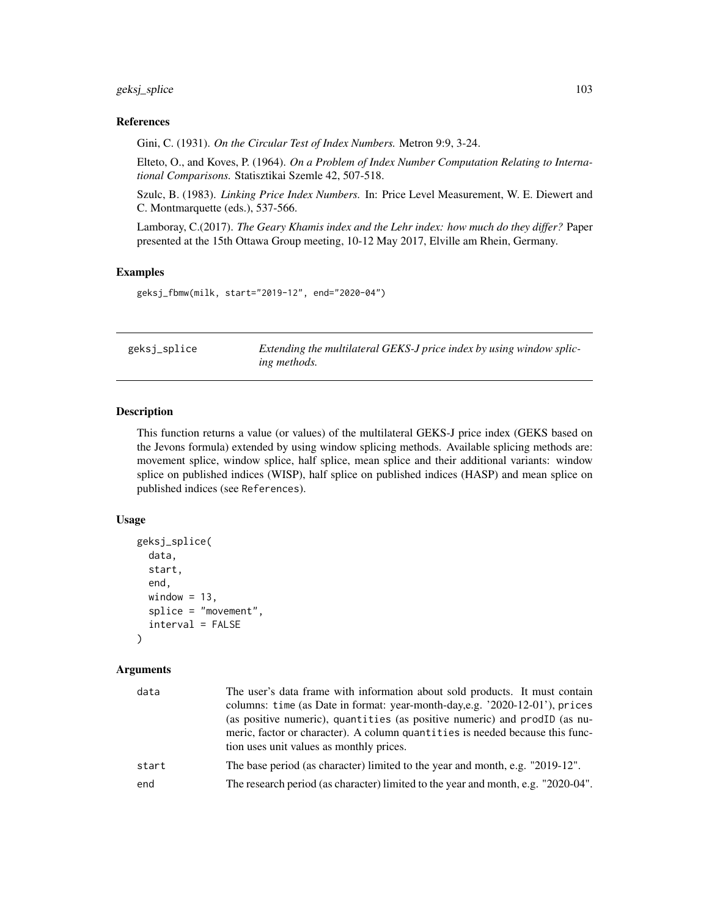# geksj\_splice 103

### References

Gini, C. (1931). *On the Circular Test of Index Numbers.* Metron 9:9, 3-24.

Elteto, O., and Koves, P. (1964). *On a Problem of Index Number Computation Relating to International Comparisons.* Statisztikai Szemle 42, 507-518.

Szulc, B. (1983). *Linking Price Index Numbers.* In: Price Level Measurement, W. E. Diewert and C. Montmarquette (eds.), 537-566.

Lamboray, C.(2017). *The Geary Khamis index and the Lehr index: how much do they differ?* Paper presented at the 15th Ottawa Group meeting, 10-12 May 2017, Elville am Rhein, Germany.

### Examples

geksj\_fbmw(milk, start="2019-12", end="2020-04")

geksj\_splice *Extending the multilateral GEKS-J price index by using window splicing methods.*

### Description

This function returns a value (or values) of the multilateral GEKS-J price index (GEKS based on the Jevons formula) extended by using window splicing methods. Available splicing methods are: movement splice, window splice, half splice, mean splice and their additional variants: window splice on published indices (WISP), half splice on published indices (HASP) and mean splice on published indices (see References).

### Usage

```
geksj_splice(
  data,
  start,
  end,
 window = 13,
  splice = "movement",
  interval = FALSE
```
# )

| data  | The user's data frame with information about sold products. It must contain<br>columns: time (as Date in format: year-month-day, e.g. $2020-12-01$ ), prices<br>(as positive numeric), quantities (as positive numeric) and prodID (as nu-<br>meric, factor or character). A column quantities is needed because this func-<br>tion uses unit values as monthly prices. |
|-------|-------------------------------------------------------------------------------------------------------------------------------------------------------------------------------------------------------------------------------------------------------------------------------------------------------------------------------------------------------------------------|
| start | The base period (as character) limited to the year and month, e.g. "2019-12".                                                                                                                                                                                                                                                                                           |
| end   | The research period (as character) limited to the year and month, e.g. "2020-04".                                                                                                                                                                                                                                                                                       |
|       |                                                                                                                                                                                                                                                                                                                                                                         |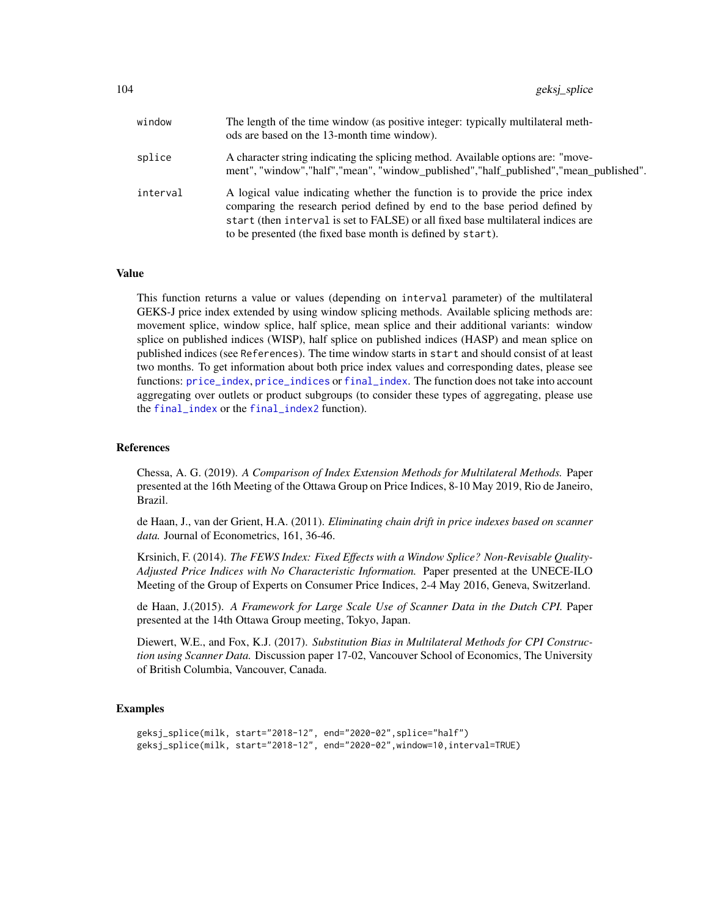| window   | The length of the time window (as positive integer: typically multilateral meth-<br>ods are based on the 13-month time window).                                                                                                                                                                                |
|----------|----------------------------------------------------------------------------------------------------------------------------------------------------------------------------------------------------------------------------------------------------------------------------------------------------------------|
| splice   | A character string indicating the splicing method. Available options are: "move-<br>ment", "window", "half", "mean", "window_published", "half_published", "mean_published".                                                                                                                                   |
| interval | A logical value indicating whether the function is to provide the price index<br>comparing the research period defined by end to the base period defined by<br>start (then interval is set to FALSE) or all fixed base multilateral indices are<br>to be presented (the fixed base month is defined by start). |

# Value

This function returns a value or values (depending on interval parameter) of the multilateral GEKS-J price index extended by using window splicing methods. Available splicing methods are: movement splice, window splice, half splice, mean splice and their additional variants: window splice on published indices (WISP), half splice on published indices (HASP) and mean splice on published indices (see References). The time window starts in start and should consist of at least two months. To get information about both price index values and corresponding dates, please see functions: [price\\_index](#page-153-0), [price\\_indices](#page-154-0) or [final\\_index](#page-72-0). The function does not take into account aggregating over outlets or product subgroups (to consider these types of aggregating, please use the [final\\_index](#page-72-0) or the [final\\_index2](#page-74-0) function).

#### References

Chessa, A. G. (2019). *A Comparison of Index Extension Methods for Multilateral Methods.* Paper presented at the 16th Meeting of the Ottawa Group on Price Indices, 8-10 May 2019, Rio de Janeiro, Brazil.

de Haan, J., van der Grient, H.A. (2011). *Eliminating chain drift in price indexes based on scanner data.* Journal of Econometrics, 161, 36-46.

Krsinich, F. (2014). *The FEWS Index: Fixed Effects with a Window Splice? Non-Revisable Quality-Adjusted Price Indices with No Characteristic Information.* Paper presented at the UNECE-ILO Meeting of the Group of Experts on Consumer Price Indices, 2-4 May 2016, Geneva, Switzerland.

de Haan, J.(2015). *A Framework for Large Scale Use of Scanner Data in the Dutch CPI.* Paper presented at the 14th Ottawa Group meeting, Tokyo, Japan.

Diewert, W.E., and Fox, K.J. (2017). *Substitution Bias in Multilateral Methods for CPI Construction using Scanner Data.* Discussion paper 17-02, Vancouver School of Economics, The University of British Columbia, Vancouver, Canada.

### Examples

```
geksj_splice(milk, start="2018-12", end="2020-02",splice="half")
geksj_splice(milk, start="2018-12", end="2020-02",window=10,interval=TRUE)
```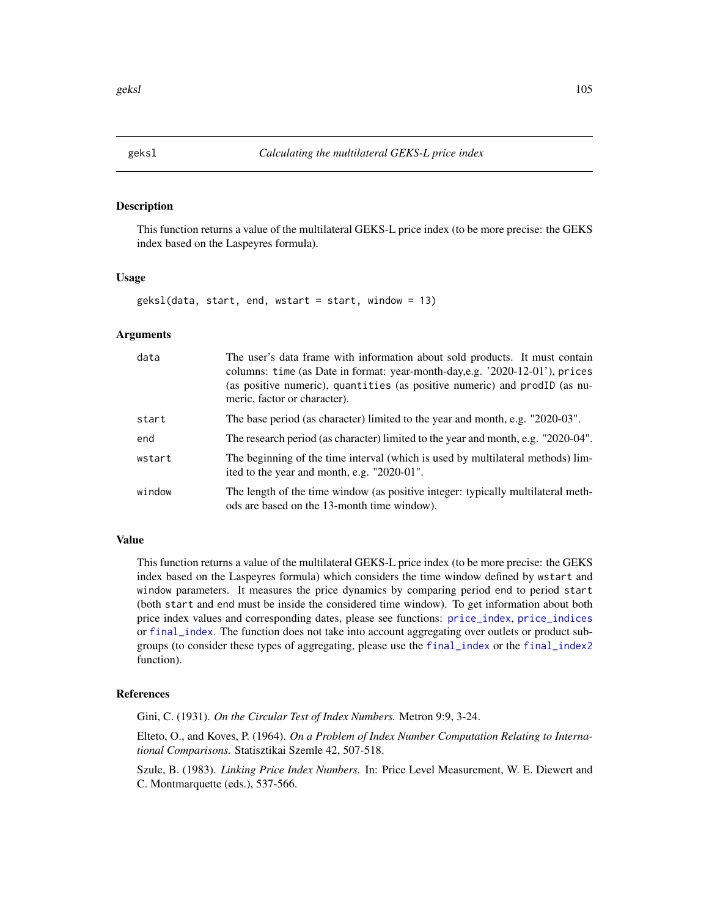### **Description**

This function returns a value of the multilateral GEKS-L price index (to be more precise: the GEKS index based on the Laspeyres formula).

### Usage

geksl(data, start, end, wstart = start, window = 13)

### Arguments

| data   | The user's data frame with information about sold products. It must contain<br>columns: time (as Date in format: year-month-day,e.g. '2020-12-01'), prices<br>(as positive numeric), quantities (as positive numeric) and prodID (as nu-<br>meric, factor or character). |
|--------|--------------------------------------------------------------------------------------------------------------------------------------------------------------------------------------------------------------------------------------------------------------------------|
| start  | The base period (as character) limited to the year and month, e.g. "2020-03".                                                                                                                                                                                            |
| end    | The research period (as character) limited to the year and month, e.g. "2020-04".                                                                                                                                                                                        |
| wstart | The beginning of the time interval (which is used by multilateral methods) lim-<br>ited to the year and month, e.g. "2020-01".                                                                                                                                           |
| window | The length of the time window (as positive integer: typically multilateral meth-<br>ods are based on the 13-month time window).                                                                                                                                          |

### Value

This function returns a value of the multilateral GEKS-L price index (to be more precise: the GEKS index based on the Laspeyres formula) which considers the time window defined by wstart and window parameters. It measures the price dynamics by comparing period end to period start (both start and end must be inside the considered time window). To get information about both price index values and corresponding dates, please see functions: [price\\_index](#page-153-0), [price\\_indices](#page-154-0) or [final\\_index](#page-72-0). The function does not take into account aggregating over outlets or product subgroups (to consider these types of aggregating, please use the [final\\_index](#page-72-0) or the [final\\_index2](#page-74-0) function).

### References

Gini, C. (1931). *On the Circular Test of Index Numbers.* Metron 9:9, 3-24.

Elteto, O., and Koves, P. (1964). *On a Problem of Index Number Computation Relating to International Comparisons.* Statisztikai Szemle 42, 507-518.

Szulc, B. (1983). *Linking Price Index Numbers.* In: Price Level Measurement, W. E. Diewert and C. Montmarquette (eds.), 537-566.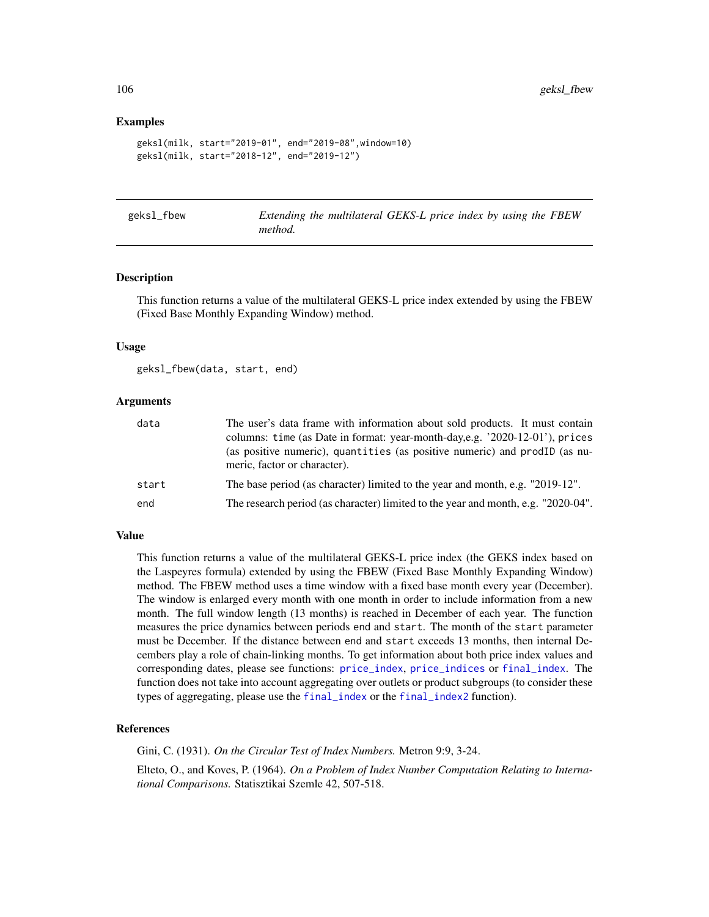### Examples

```
geksl(milk, start="2019-01", end="2019-08",window=10)
geksl(milk, start="2018-12", end="2019-12")
```

| geksl_ | fbew |
|--------|------|
|--------|------|

*Extending the multilateral GEKS-L price index by using the FBEW method.*

### Description

This function returns a value of the multilateral GEKS-L price index extended by using the FBEW (Fixed Base Monthly Expanding Window) method.

#### Usage

geksl\_fbew(data, start, end)

### Arguments

| data  | The user's data frame with information about sold products. It must contain                                |
|-------|------------------------------------------------------------------------------------------------------------|
|       | columns: time (as Date in format: year-month-day, e.g. '2020-12-01'), prices                               |
|       | (as positive numeric), quantities (as positive numeric) and prodID (as nu-<br>meric, factor or character). |
| start | The base period (as character) limited to the year and month, e.g. "2019-12".                              |
| end   | The research period (as character) limited to the year and month, e.g. "2020-04".                          |
|       |                                                                                                            |

# Value

This function returns a value of the multilateral GEKS-L price index (the GEKS index based on the Laspeyres formula) extended by using the FBEW (Fixed Base Monthly Expanding Window) method. The FBEW method uses a time window with a fixed base month every year (December). The window is enlarged every month with one month in order to include information from a new month. The full window length (13 months) is reached in December of each year. The function measures the price dynamics between periods end and start. The month of the start parameter must be December. If the distance between end and start exceeds 13 months, then internal Decembers play a role of chain-linking months. To get information about both price index values and corresponding dates, please see functions: [price\\_index](#page-153-0), [price\\_indices](#page-154-0) or [final\\_index](#page-72-0). The function does not take into account aggregating over outlets or product subgroups (to consider these types of aggregating, please use the [final\\_index](#page-72-0) or the [final\\_index2](#page-74-0) function).

### References

Gini, C. (1931). *On the Circular Test of Index Numbers.* Metron 9:9, 3-24.

Elteto, O., and Koves, P. (1964). *On a Problem of Index Number Computation Relating to International Comparisons.* Statisztikai Szemle 42, 507-518.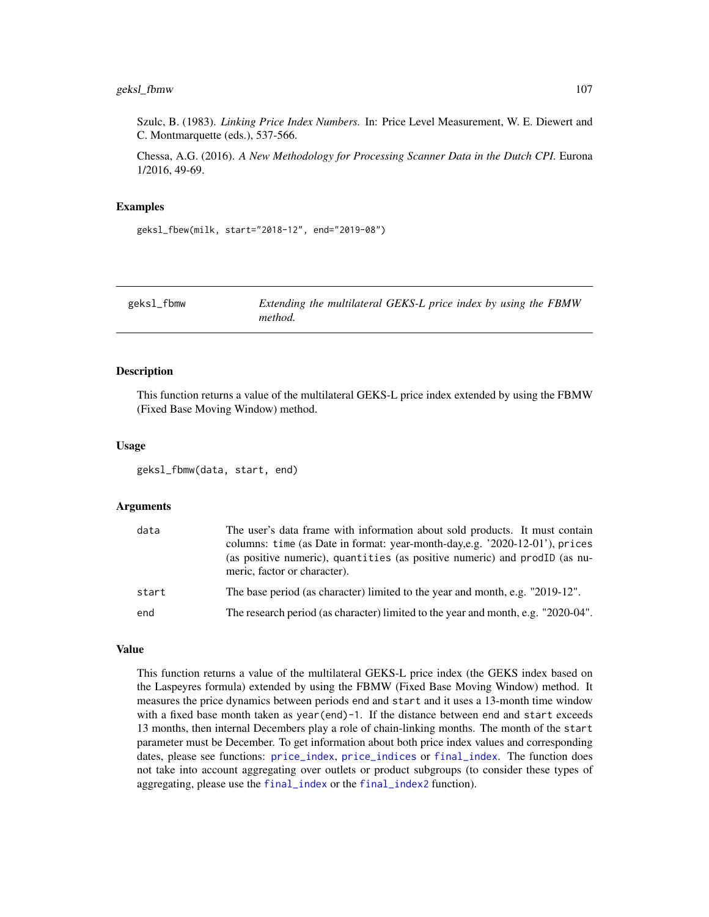Szulc, B. (1983). *Linking Price Index Numbers.* In: Price Level Measurement, W. E. Diewert and C. Montmarquette (eds.), 537-566.

Chessa, A.G. (2016). *A New Methodology for Processing Scanner Data in the Dutch CPI.* Eurona 1/2016, 49-69.

# Examples

geksl\_fbew(milk, start="2018-12", end="2019-08")

| geksl_fbmw | Extending the multilateral GEKS-L price index by using the FBMW |
|------------|-----------------------------------------------------------------|
|            | method.                                                         |

#### Description

This function returns a value of the multilateral GEKS-L price index extended by using the FBMW (Fixed Base Moving Window) method.

#### Usage

geksl\_fbmw(data, start, end)

#### Arguments

| data  | The user's data frame with information about sold products. It must contain<br>columns: time (as Date in format: year-month-day, e.g. '2020-12-01'), prices<br>(as positive numeric), quantities (as positive numeric) and prodID (as nu-<br>meric, factor or character). |
|-------|---------------------------------------------------------------------------------------------------------------------------------------------------------------------------------------------------------------------------------------------------------------------------|
| start | The base period (as character) limited to the year and month, e.g. "2019-12".                                                                                                                                                                                             |
| end   | The research period (as character) limited to the year and month, e.g. "2020-04".                                                                                                                                                                                         |

### Value

This function returns a value of the multilateral GEKS-L price index (the GEKS index based on the Laspeyres formula) extended by using the FBMW (Fixed Base Moving Window) method. It measures the price dynamics between periods end and start and it uses a 13-month time window with a fixed base month taken as year(end)-1. If the distance between end and start exceeds 13 months, then internal Decembers play a role of chain-linking months. The month of the start parameter must be December. To get information about both price index values and corresponding dates, please see functions: [price\\_index](#page-153-0), [price\\_indices](#page-154-0) or [final\\_index](#page-72-0). The function does not take into account aggregating over outlets or product subgroups (to consider these types of aggregating, please use the [final\\_index](#page-72-0) or the [final\\_index2](#page-74-0) function).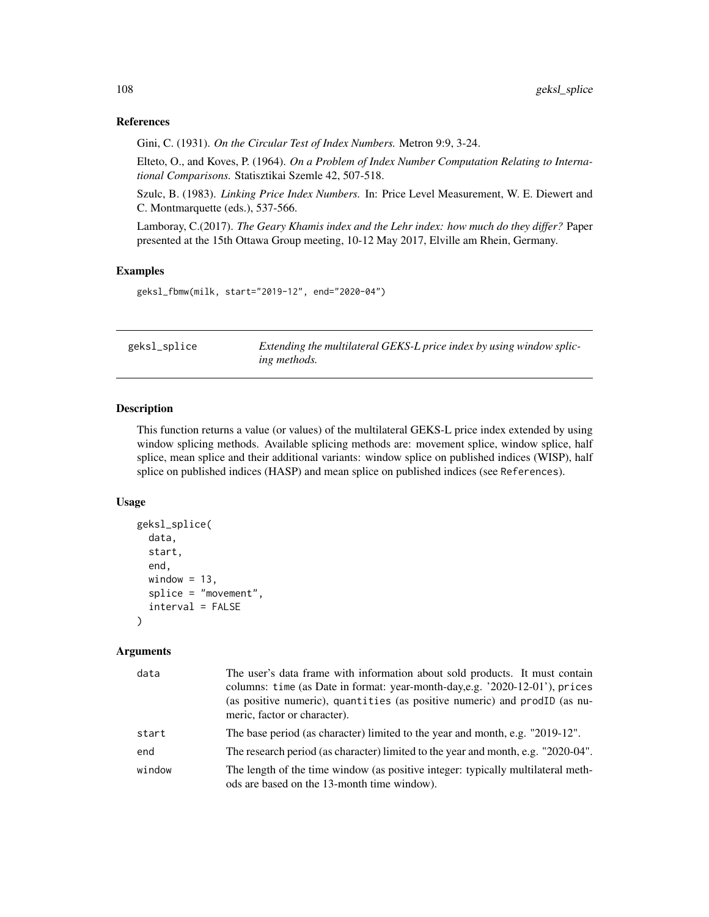### References

Gini, C. (1931). *On the Circular Test of Index Numbers.* Metron 9:9, 3-24.

Elteto, O., and Koves, P. (1964). *On a Problem of Index Number Computation Relating to International Comparisons.* Statisztikai Szemle 42, 507-518.

Szulc, B. (1983). *Linking Price Index Numbers.* In: Price Level Measurement, W. E. Diewert and C. Montmarquette (eds.), 537-566.

Lamboray, C.(2017). *The Geary Khamis index and the Lehr index: how much do they differ?* Paper presented at the 15th Ottawa Group meeting, 10-12 May 2017, Elville am Rhein, Germany.

### Examples

geksl\_fbmw(milk, start="2019-12", end="2020-04")

geksl\_splice *Extending the multilateral GEKS-L price index by using window splicing methods.*

### Description

This function returns a value (or values) of the multilateral GEKS-L price index extended by using window splicing methods. Available splicing methods are: movement splice, window splice, half splice, mean splice and their additional variants: window splice on published indices (WISP), half splice on published indices (HASP) and mean splice on published indices (see References).

# Usage

```
geksl_splice(
  data,
  start,
  end,
 window = 13,
  splice = "movement",
  interval = FALSE
)
```

| data   | The user's data frame with information about sold products. It must contain<br>columns: time (as Date in format: year-month-day, e.g. '2020-12-01'), prices<br>(as positive numeric), quantities (as positive numeric) and prodID (as nu-<br>meric, factor or character). |
|--------|---------------------------------------------------------------------------------------------------------------------------------------------------------------------------------------------------------------------------------------------------------------------------|
| start  | The base period (as character) limited to the year and month, e.g. "2019-12".                                                                                                                                                                                             |
| end    | The research period (as character) limited to the year and month, e.g. "2020-04".                                                                                                                                                                                         |
| window | The length of the time window (as positive integer: typically multilateral meth-<br>ods are based on the 13-month time window).                                                                                                                                           |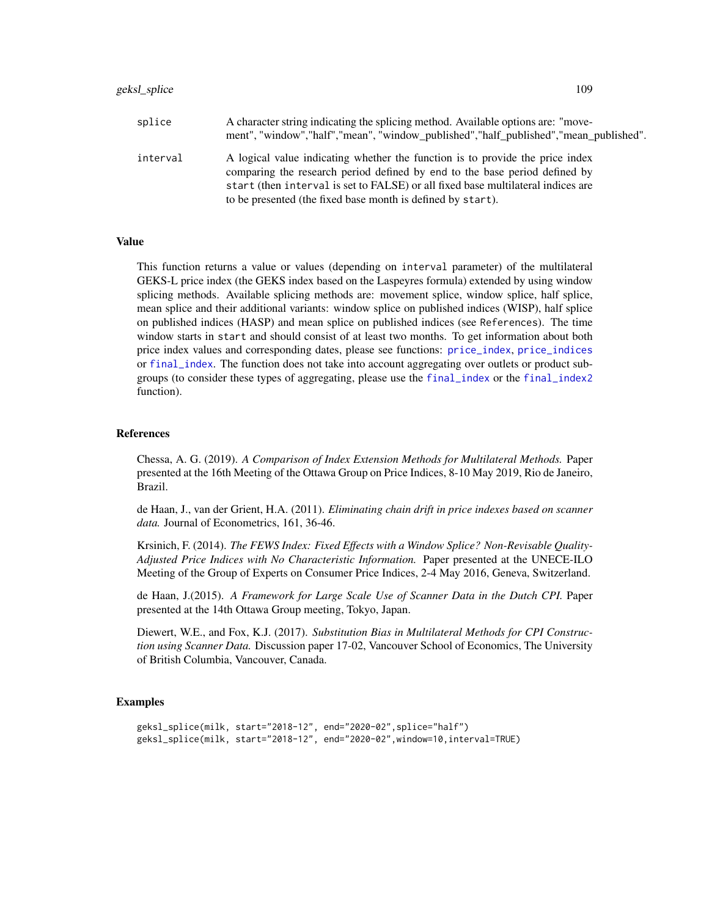| splice   | A character string indicating the splicing method. Available options are: "move-<br>ment", "window", "half", "mean", "window_published", "half_published", "mean_published".                                                                                                                                   |
|----------|----------------------------------------------------------------------------------------------------------------------------------------------------------------------------------------------------------------------------------------------------------------------------------------------------------------|
| interval | A logical value indicating whether the function is to provide the price index<br>comparing the research period defined by end to the base period defined by<br>start (then interval is set to FALSE) or all fixed base multilateral indices are<br>to be presented (the fixed base month is defined by start). |

This function returns a value or values (depending on interval parameter) of the multilateral GEKS-L price index (the GEKS index based on the Laspeyres formula) extended by using window splicing methods. Available splicing methods are: movement splice, window splice, half splice, mean splice and their additional variants: window splice on published indices (WISP), half splice on published indices (HASP) and mean splice on published indices (see References). The time window starts in start and should consist of at least two months. To get information about both price index values and corresponding dates, please see functions: [price\\_index](#page-153-0), [price\\_indices](#page-154-0) or [final\\_index](#page-72-0). The function does not take into account aggregating over outlets or product subgroups (to consider these types of aggregating, please use the [final\\_index](#page-72-0) or the [final\\_index2](#page-74-0) function).

#### References

Chessa, A. G. (2019). *A Comparison of Index Extension Methods for Multilateral Methods.* Paper presented at the 16th Meeting of the Ottawa Group on Price Indices, 8-10 May 2019, Rio de Janeiro, Brazil.

de Haan, J., van der Grient, H.A. (2011). *Eliminating chain drift in price indexes based on scanner data.* Journal of Econometrics, 161, 36-46.

Krsinich, F. (2014). *The FEWS Index: Fixed Effects with a Window Splice? Non-Revisable Quality-Adjusted Price Indices with No Characteristic Information.* Paper presented at the UNECE-ILO Meeting of the Group of Experts on Consumer Price Indices, 2-4 May 2016, Geneva, Switzerland.

de Haan, J.(2015). *A Framework for Large Scale Use of Scanner Data in the Dutch CPI.* Paper presented at the 14th Ottawa Group meeting, Tokyo, Japan.

Diewert, W.E., and Fox, K.J. (2017). *Substitution Bias in Multilateral Methods for CPI Construction using Scanner Data.* Discussion paper 17-02, Vancouver School of Economics, The University of British Columbia, Vancouver, Canada.

```
geksl_splice(milk, start="2018-12", end="2020-02",splice="half")
geksl_splice(milk, start="2018-12", end="2020-02",window=10,interval=TRUE)
```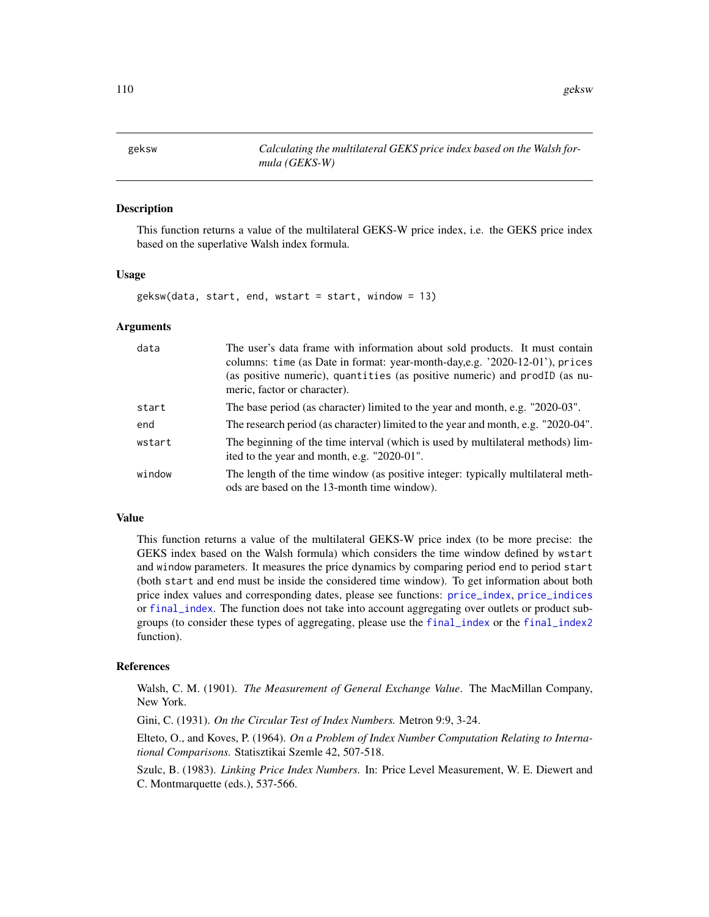geksw *Calculating the multilateral GEKS price index based on the Walsh formula (GEKS-W)*

# Description

This function returns a value of the multilateral GEKS-W price index, i.e. the GEKS price index based on the superlative Walsh index formula.

## Usage

geksw(data, start, end, wstart = start, window =  $13$ )

#### Arguments

| data   | The user's data frame with information about sold products. It must contain<br>columns: time (as Date in format: year-month-day, e.g. '2020-12-01'), prices<br>(as positive numeric), quantities (as positive numeric) and prodID (as nu-<br>meric, factor or character). |
|--------|---------------------------------------------------------------------------------------------------------------------------------------------------------------------------------------------------------------------------------------------------------------------------|
| start  | The base period (as character) limited to the year and month, e.g. "2020-03".                                                                                                                                                                                             |
| end    | The research period (as character) limited to the year and month, e.g. "2020-04".                                                                                                                                                                                         |
| wstart | The beginning of the time interval (which is used by multilateral methods) lim-<br>ited to the year and month, e.g. "2020-01".                                                                                                                                            |
| window | The length of the time window (as positive integer: typically multilateral meth-<br>ods are based on the 13-month time window).                                                                                                                                           |

## Value

This function returns a value of the multilateral GEKS-W price index (to be more precise: the GEKS index based on the Walsh formula) which considers the time window defined by wstart and window parameters. It measures the price dynamics by comparing period end to period start (both start and end must be inside the considered time window). To get information about both price index values and corresponding dates, please see functions: [price\\_index](#page-153-0), [price\\_indices](#page-154-0) or [final\\_index](#page-72-0). The function does not take into account aggregating over outlets or product subgroups (to consider these types of aggregating, please use the [final\\_index](#page-72-0) or the [final\\_index2](#page-74-0) function).

# References

Walsh, C. M. (1901). *The Measurement of General Exchange Value*. The MacMillan Company, New York.

Gini, C. (1931). *On the Circular Test of Index Numbers.* Metron 9:9, 3-24.

Elteto, O., and Koves, P. (1964). *On a Problem of Index Number Computation Relating to International Comparisons.* Statisztikai Szemle 42, 507-518.

Szulc, B. (1983). *Linking Price Index Numbers.* In: Price Level Measurement, W. E. Diewert and C. Montmarquette (eds.), 537-566.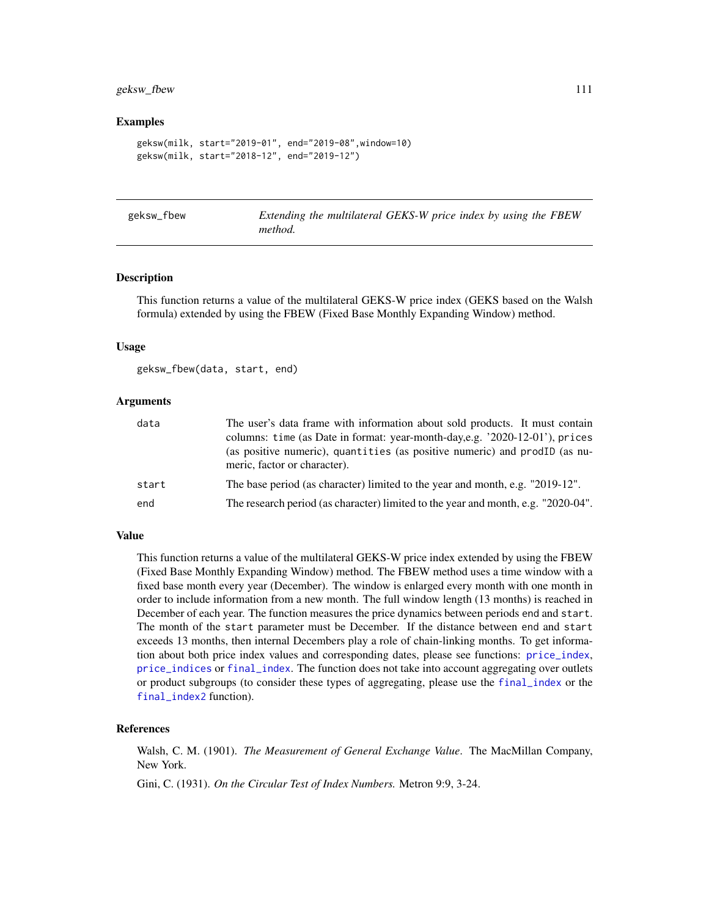# geksw\_fbew 111

## Examples

```
geksw(milk, start="2019-01", end="2019-08",window=10)
geksw(milk, start="2018-12", end="2019-12")
```

| geksw_fbew | Extending the multilateral GEKS-W price index by using the FBEW |  |
|------------|-----------------------------------------------------------------|--|
|            | method.                                                         |  |

#### Description

This function returns a value of the multilateral GEKS-W price index (GEKS based on the Walsh formula) extended by using the FBEW (Fixed Base Monthly Expanding Window) method.

#### Usage

```
geksw_fbew(data, start, end)
```
# Arguments

| data  | The user's data frame with information about sold products. It must contain                                |
|-------|------------------------------------------------------------------------------------------------------------|
|       | columns: time (as Date in format: year-month-day, e.g. '2020-12-01'), prices                               |
|       | (as positive numeric), quantities (as positive numeric) and prodID (as nu-<br>meric, factor or character). |
| start | The base period (as character) limited to the year and month, e.g. "2019-12".                              |
| end   | The research period (as character) limited to the year and month, e.g. "2020-04".                          |

# Value

This function returns a value of the multilateral GEKS-W price index extended by using the FBEW (Fixed Base Monthly Expanding Window) method. The FBEW method uses a time window with a fixed base month every year (December). The window is enlarged every month with one month in order to include information from a new month. The full window length (13 months) is reached in December of each year. The function measures the price dynamics between periods end and start. The month of the start parameter must be December. If the distance between end and start exceeds 13 months, then internal Decembers play a role of chain-linking months. To get information about both price index values and corresponding dates, please see functions: [price\\_index](#page-153-0), [price\\_indices](#page-154-0) or [final\\_index](#page-72-0). The function does not take into account aggregating over outlets or product subgroups (to consider these types of aggregating, please use the [final\\_index](#page-72-0) or the [final\\_index2](#page-74-0) function).

#### References

Walsh, C. M. (1901). *The Measurement of General Exchange Value*. The MacMillan Company, New York.

Gini, C. (1931). *On the Circular Test of Index Numbers.* Metron 9:9, 3-24.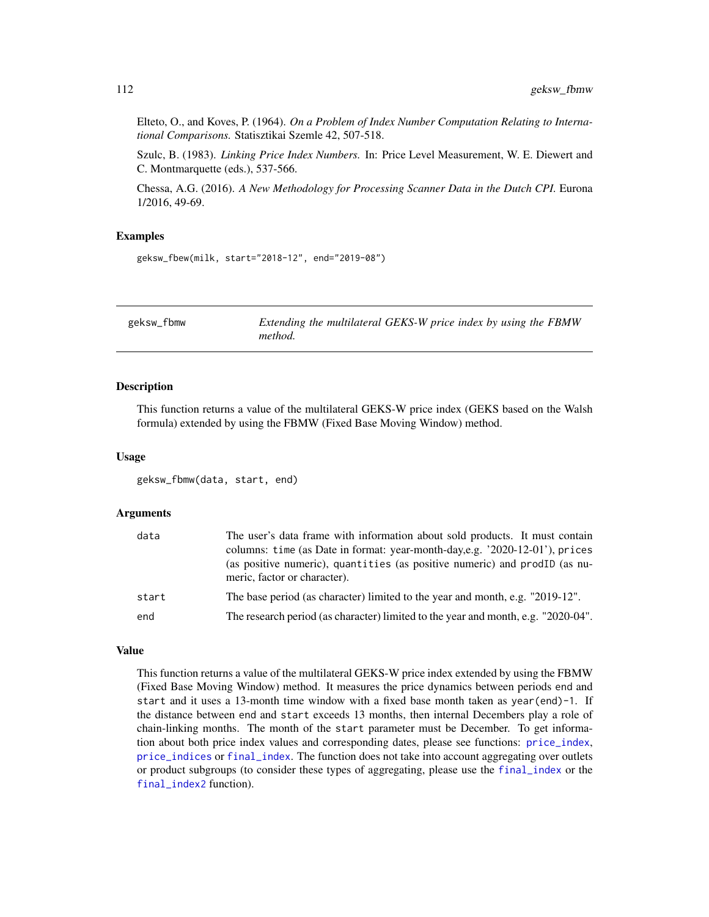Elteto, O., and Koves, P. (1964). *On a Problem of Index Number Computation Relating to International Comparisons.* Statisztikai Szemle 42, 507-518.

Szulc, B. (1983). *Linking Price Index Numbers.* In: Price Level Measurement, W. E. Diewert and C. Montmarquette (eds.), 537-566.

Chessa, A.G. (2016). *A New Methodology for Processing Scanner Data in the Dutch CPI.* Eurona 1/2016, 49-69.

# Examples

geksw\_fbew(milk, start="2018-12", end="2019-08")

| geksw_fbmw | Extending the multilateral GEKS-W price index by using the FBMW |
|------------|-----------------------------------------------------------------|
|            | method.                                                         |

## Description

This function returns a value of the multilateral GEKS-W price index (GEKS based on the Walsh formula) extended by using the FBMW (Fixed Base Moving Window) method.

#### Usage

geksw\_fbmw(data, start, end)

#### Arguments

| data  | The user's data frame with information about sold products. It must contain<br>columns: time (as Date in format: year-month-day, e.g. '2020-12-01'), prices<br>(as positive numeric), quantities (as positive numeric) and prodID (as nu-<br>meric, factor or character). |
|-------|---------------------------------------------------------------------------------------------------------------------------------------------------------------------------------------------------------------------------------------------------------------------------|
| start | The base period (as character) limited to the year and month, e.g. "2019-12".                                                                                                                                                                                             |
| end   | The research period (as character) limited to the year and month, e.g. "2020-04".                                                                                                                                                                                         |

#### Value

This function returns a value of the multilateral GEKS-W price index extended by using the FBMW (Fixed Base Moving Window) method. It measures the price dynamics between periods end and start and it uses a 13-month time window with a fixed base month taken as year(end)-1. If the distance between end and start exceeds 13 months, then internal Decembers play a role of chain-linking months. The month of the start parameter must be December. To get information about both price index values and corresponding dates, please see functions: [price\\_index](#page-153-0), [price\\_indices](#page-154-0) or [final\\_index](#page-72-0). The function does not take into account aggregating over outlets or product subgroups (to consider these types of aggregating, please use the [final\\_index](#page-72-0) or the [final\\_index2](#page-74-0) function).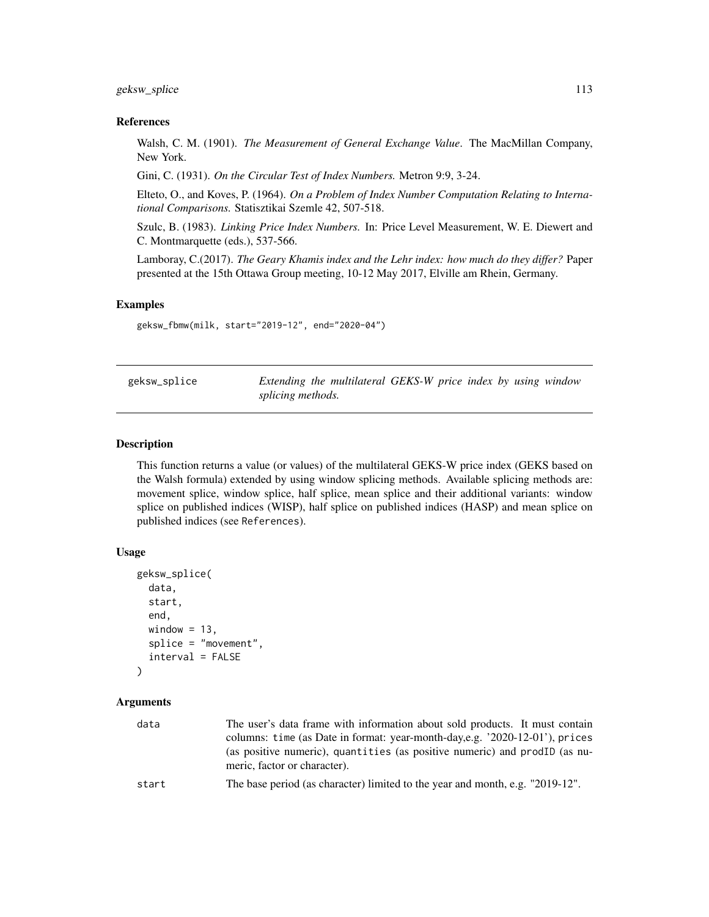# geksw\_splice 113

## References

Walsh, C. M. (1901). *The Measurement of General Exchange Value*. The MacMillan Company, New York.

Gini, C. (1931). *On the Circular Test of Index Numbers.* Metron 9:9, 3-24.

Elteto, O., and Koves, P. (1964). *On a Problem of Index Number Computation Relating to International Comparisons.* Statisztikai Szemle 42, 507-518.

Szulc, B. (1983). *Linking Price Index Numbers.* In: Price Level Measurement, W. E. Diewert and C. Montmarquette (eds.), 537-566.

Lamboray, C.(2017). *The Geary Khamis index and the Lehr index: how much do they differ?* Paper presented at the 15th Ottawa Group meeting, 10-12 May 2017, Elville am Rhein, Germany.

# Examples

geksw\_fbmw(milk, start="2019-12", end="2020-04")

| geksw_splice | Extending the multilateral GEKS-W price index by using window |  |  |  |
|--------------|---------------------------------------------------------------|--|--|--|
|              | splicing methods.                                             |  |  |  |

## Description

This function returns a value (or values) of the multilateral GEKS-W price index (GEKS based on the Walsh formula) extended by using window splicing methods. Available splicing methods are: movement splice, window splice, half splice, mean splice and their additional variants: window splice on published indices (WISP), half splice on published indices (HASP) and mean splice on published indices (see References).

## Usage

```
geksw_splice(
  data,
  start,
  end,
  window = 13,
  splice = "movement",
  interval = FALSE
\lambda
```

| data  | The user's data frame with information about sold products. It must contain                                |
|-------|------------------------------------------------------------------------------------------------------------|
|       | columns: time (as Date in format: year-month-day, e.g. '2020-12-01'), prices                               |
|       | (as positive numeric), quantities (as positive numeric) and prodID (as nu-<br>meric, factor or character). |
| start | The base period (as character) limited to the year and month, e.g. "2019-12".                              |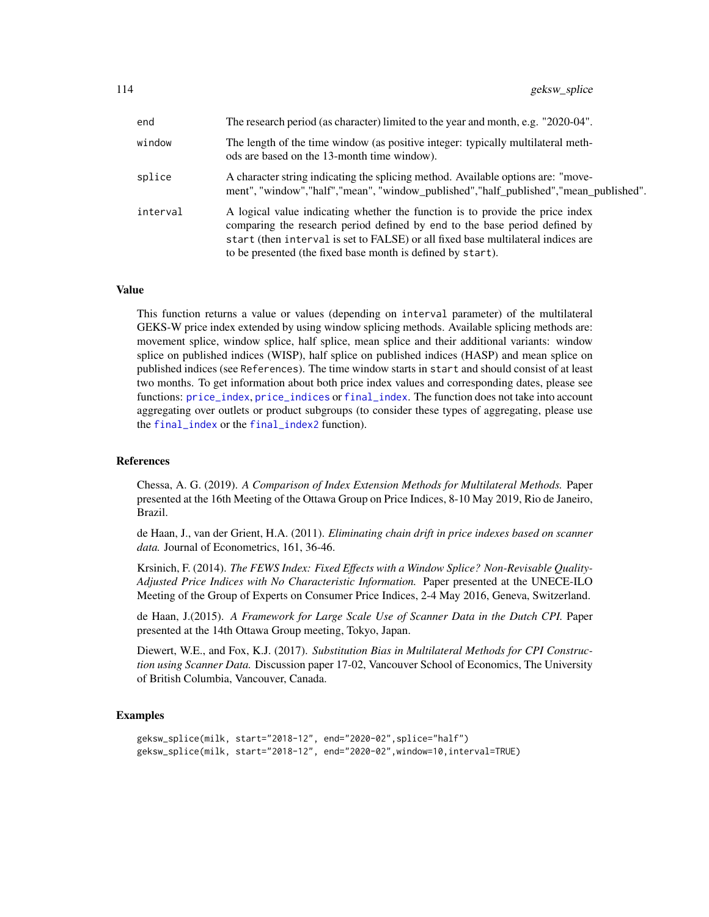| end      | The research period (as character) limited to the year and month, e.g. "2020-04".                                                                                                                                                                                                                              |
|----------|----------------------------------------------------------------------------------------------------------------------------------------------------------------------------------------------------------------------------------------------------------------------------------------------------------------|
| window   | The length of the time window (as positive integer: typically multilateral meth-<br>ods are based on the 13-month time window).                                                                                                                                                                                |
| splice   | A character string indicating the splicing method. Available options are: "move-<br>ment", "window", "half", "mean", "window_published", "half_published", "mean_published".                                                                                                                                   |
| interval | A logical value indicating whether the function is to provide the price index<br>comparing the research period defined by end to the base period defined by<br>start (then interval is set to FALSE) or all fixed base multilateral indices are<br>to be presented (the fixed base month is defined by start). |

This function returns a value or values (depending on interval parameter) of the multilateral GEKS-W price index extended by using window splicing methods. Available splicing methods are: movement splice, window splice, half splice, mean splice and their additional variants: window splice on published indices (WISP), half splice on published indices (HASP) and mean splice on published indices (see References). The time window starts in start and should consist of at least two months. To get information about both price index values and corresponding dates, please see functions: [price\\_index](#page-153-0), [price\\_indices](#page-154-0) or [final\\_index](#page-72-0). The function does not take into account aggregating over outlets or product subgroups (to consider these types of aggregating, please use the [final\\_index](#page-72-0) or the [final\\_index2](#page-74-0) function).

## References

Chessa, A. G. (2019). *A Comparison of Index Extension Methods for Multilateral Methods.* Paper presented at the 16th Meeting of the Ottawa Group on Price Indices, 8-10 May 2019, Rio de Janeiro, Brazil.

de Haan, J., van der Grient, H.A. (2011). *Eliminating chain drift in price indexes based on scanner data.* Journal of Econometrics, 161, 36-46.

Krsinich, F. (2014). *The FEWS Index: Fixed Effects with a Window Splice? Non-Revisable Quality-Adjusted Price Indices with No Characteristic Information.* Paper presented at the UNECE-ILO Meeting of the Group of Experts on Consumer Price Indices, 2-4 May 2016, Geneva, Switzerland.

de Haan, J.(2015). *A Framework for Large Scale Use of Scanner Data in the Dutch CPI.* Paper presented at the 14th Ottawa Group meeting, Tokyo, Japan.

Diewert, W.E., and Fox, K.J. (2017). *Substitution Bias in Multilateral Methods for CPI Construction using Scanner Data.* Discussion paper 17-02, Vancouver School of Economics, The University of British Columbia, Vancouver, Canada.

```
geksw_splice(milk, start="2018-12", end="2020-02",splice="half")
geksw_splice(milk, start="2018-12", end="2020-02",window=10,interval=TRUE)
```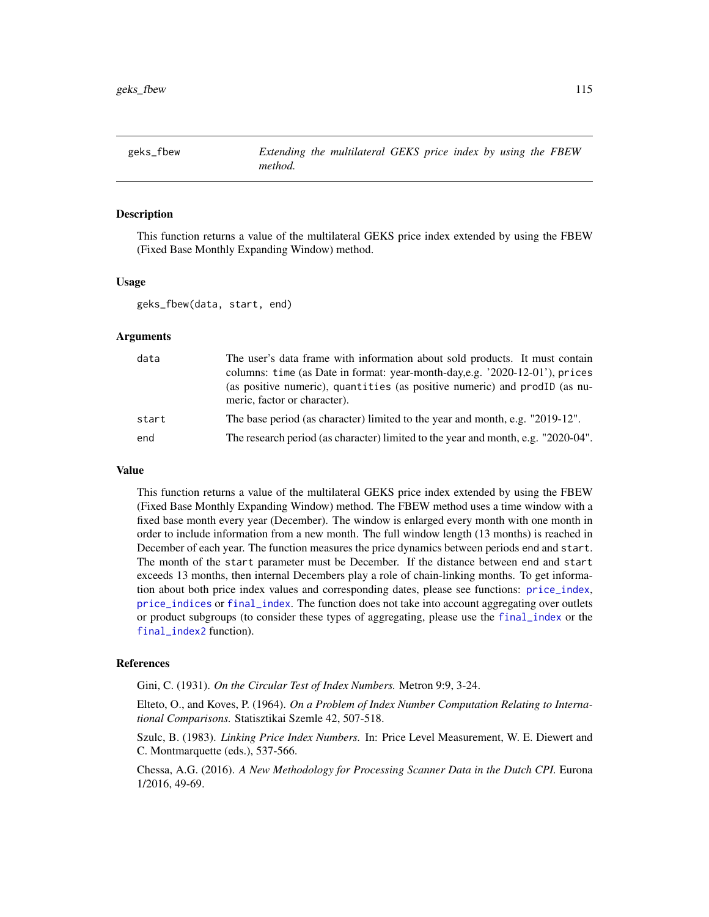This function returns a value of the multilateral GEKS price index extended by using the FBEW (Fixed Base Monthly Expanding Window) method.

## Usage

geks\_fbew(data, start, end)

# **Arguments**

| data  | The user's data frame with information about sold products. It must contain                                |
|-------|------------------------------------------------------------------------------------------------------------|
|       | columns: time (as Date in format: year-month-day, e.g. '2020-12-01'), prices                               |
|       | (as positive numeric), quantities (as positive numeric) and prodID (as nu-<br>meric, factor or character). |
| start | The base period (as character) limited to the year and month, e.g. "2019-12".                              |
| end   | The research period (as character) limited to the year and month, e.g. "2020-04".                          |

#### Value

This function returns a value of the multilateral GEKS price index extended by using the FBEW (Fixed Base Monthly Expanding Window) method. The FBEW method uses a time window with a fixed base month every year (December). The window is enlarged every month with one month in order to include information from a new month. The full window length (13 months) is reached in December of each year. The function measures the price dynamics between periods end and start. The month of the start parameter must be December. If the distance between end and start exceeds 13 months, then internal Decembers play a role of chain-linking months. To get information about both price index values and corresponding dates, please see functions: [price\\_index](#page-153-0), [price\\_indices](#page-154-0) or [final\\_index](#page-72-0). The function does not take into account aggregating over outlets or product subgroups (to consider these types of aggregating, please use the [final\\_index](#page-72-0) or the [final\\_index2](#page-74-0) function).

#### References

Gini, C. (1931). *On the Circular Test of Index Numbers.* Metron 9:9, 3-24.

Elteto, O., and Koves, P. (1964). *On a Problem of Index Number Computation Relating to International Comparisons.* Statisztikai Szemle 42, 507-518.

Szulc, B. (1983). *Linking Price Index Numbers.* In: Price Level Measurement, W. E. Diewert and C. Montmarquette (eds.), 537-566.

Chessa, A.G. (2016). *A New Methodology for Processing Scanner Data in the Dutch CPI.* Eurona 1/2016, 49-69.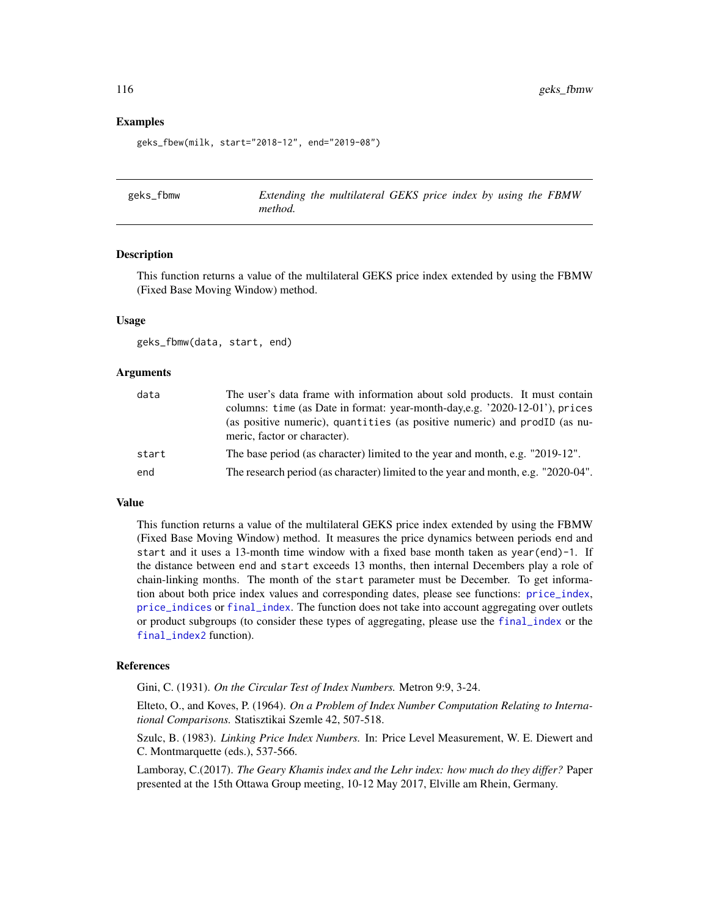#### Examples

```
geks_fbew(milk, start="2018-12", end="2019-08")
```
geks\_fbmw *Extending the multilateral GEKS price index by using the FBMW method.*

# Description

This function returns a value of the multilateral GEKS price index extended by using the FBMW (Fixed Base Moving Window) method.

#### Usage

geks\_fbmw(data, start, end)

#### Arguments

| data  | The user's data frame with information about sold products. It must contain                                |
|-------|------------------------------------------------------------------------------------------------------------|
|       | columns: time (as Date in format: year-month-day, e.g. '2020-12-01'), prices                               |
|       | (as positive numeric), quantities (as positive numeric) and prodID (as nu-<br>meric, factor or character). |
| start | The base period (as character) limited to the year and month, e.g. "2019-12".                              |
| end   | The research period (as character) limited to the year and month, e.g. "2020-04".                          |

# Value

This function returns a value of the multilateral GEKS price index extended by using the FBMW (Fixed Base Moving Window) method. It measures the price dynamics between periods end and start and it uses a 13-month time window with a fixed base month taken as year(end)-1. If the distance between end and start exceeds 13 months, then internal Decembers play a role of chain-linking months. The month of the start parameter must be December. To get information about both price index values and corresponding dates, please see functions: [price\\_index](#page-153-0), [price\\_indices](#page-154-0) or [final\\_index](#page-72-0). The function does not take into account aggregating over outlets or product subgroups (to consider these types of aggregating, please use the [final\\_index](#page-72-0) or the [final\\_index2](#page-74-0) function).

#### References

Gini, C. (1931). *On the Circular Test of Index Numbers.* Metron 9:9, 3-24.

Elteto, O., and Koves, P. (1964). *On a Problem of Index Number Computation Relating to International Comparisons.* Statisztikai Szemle 42, 507-518.

Szulc, B. (1983). *Linking Price Index Numbers.* In: Price Level Measurement, W. E. Diewert and C. Montmarquette (eds.), 537-566.

Lamboray, C.(2017). *The Geary Khamis index and the Lehr index: how much do they differ?* Paper presented at the 15th Ottawa Group meeting, 10-12 May 2017, Elville am Rhein, Germany.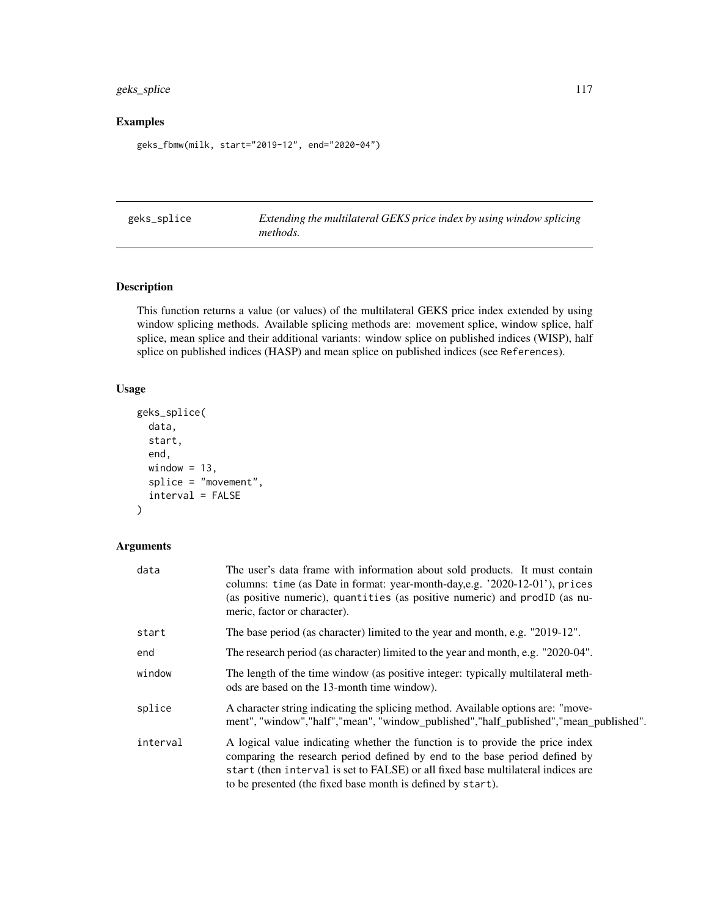# geks\_splice 117

# Examples

geks\_fbmw(milk, start="2019-12", end="2020-04")

geks\_splice *Extending the multilateral GEKS price index by using window splicing methods.*

# Description

This function returns a value (or values) of the multilateral GEKS price index extended by using window splicing methods. Available splicing methods are: movement splice, window splice, half splice, mean splice and their additional variants: window splice on published indices (WISP), half splice on published indices (HASP) and mean splice on published indices (see References).

# Usage

```
geks_splice(
  data,
  start,
  end,
  window = 13,
  splice = "movement",
  interval = FALSE
)
```

| data     | The user's data frame with information about sold products. It must contain<br>columns: time (as Date in format: year-month-day, e.g. '2020-12-01'), prices<br>(as positive numeric), quantities (as positive numeric) and prodID (as nu-<br>meric, factor or character).                                      |
|----------|----------------------------------------------------------------------------------------------------------------------------------------------------------------------------------------------------------------------------------------------------------------------------------------------------------------|
| start    | The base period (as character) limited to the year and month, e.g. "2019-12".                                                                                                                                                                                                                                  |
| end      | The research period (as character) limited to the year and month, e.g. "2020-04".                                                                                                                                                                                                                              |
| window   | The length of the time window (as positive integer: typically multilateral meth-<br>ods are based on the 13-month time window).                                                                                                                                                                                |
| splice   | A character string indicating the splicing method. Available options are: "move-<br>ment", "window", "half", "mean", "window_published", "half_published", "mean_published".                                                                                                                                   |
| interval | A logical value indicating whether the function is to provide the price index<br>comparing the research period defined by end to the base period defined by<br>start (then interval is set to FALSE) or all fixed base multilateral indices are<br>to be presented (the fixed base month is defined by start). |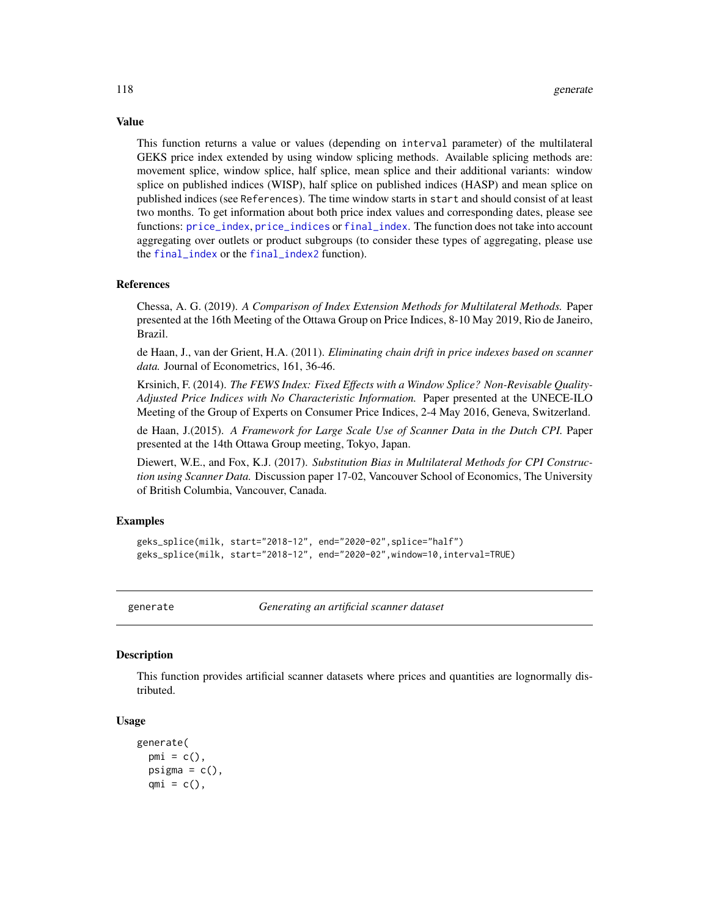This function returns a value or values (depending on interval parameter) of the multilateral GEKS price index extended by using window splicing methods. Available splicing methods are: movement splice, window splice, half splice, mean splice and their additional variants: window splice on published indices (WISP), half splice on published indices (HASP) and mean splice on published indices (see References). The time window starts in start and should consist of at least two months. To get information about both price index values and corresponding dates, please see functions: [price\\_index](#page-153-0), [price\\_indices](#page-154-0) or [final\\_index](#page-72-0). The function does not take into account aggregating over outlets or product subgroups (to consider these types of aggregating, please use the [final\\_index](#page-72-0) or the [final\\_index2](#page-74-0) function).

#### References

Chessa, A. G. (2019). *A Comparison of Index Extension Methods for Multilateral Methods.* Paper presented at the 16th Meeting of the Ottawa Group on Price Indices, 8-10 May 2019, Rio de Janeiro, Brazil.

de Haan, J., van der Grient, H.A. (2011). *Eliminating chain drift in price indexes based on scanner data.* Journal of Econometrics, 161, 36-46.

Krsinich, F. (2014). *The FEWS Index: Fixed Effects with a Window Splice? Non-Revisable Quality-Adjusted Price Indices with No Characteristic Information.* Paper presented at the UNECE-ILO Meeting of the Group of Experts on Consumer Price Indices, 2-4 May 2016, Geneva, Switzerland.

de Haan, J.(2015). *A Framework for Large Scale Use of Scanner Data in the Dutch CPI.* Paper presented at the 14th Ottawa Group meeting, Tokyo, Japan.

Diewert, W.E., and Fox, K.J. (2017). *Substitution Bias in Multilateral Methods for CPI Construction using Scanner Data.* Discussion paper 17-02, Vancouver School of Economics, The University of British Columbia, Vancouver, Canada.

## Examples

```
geks_splice(milk, start="2018-12", end="2020-02",splice="half")
geks_splice(milk, start="2018-12", end="2020-02",window=10,interval=TRUE)
```
generate *Generating an artificial scanner dataset*

## **Description**

This function provides artificial scanner datasets where prices and quantities are lognormally distributed.

#### Usage

```
generate(
  pmi = c(),
  psigma = c(),
  qmi = c(),
```
## Value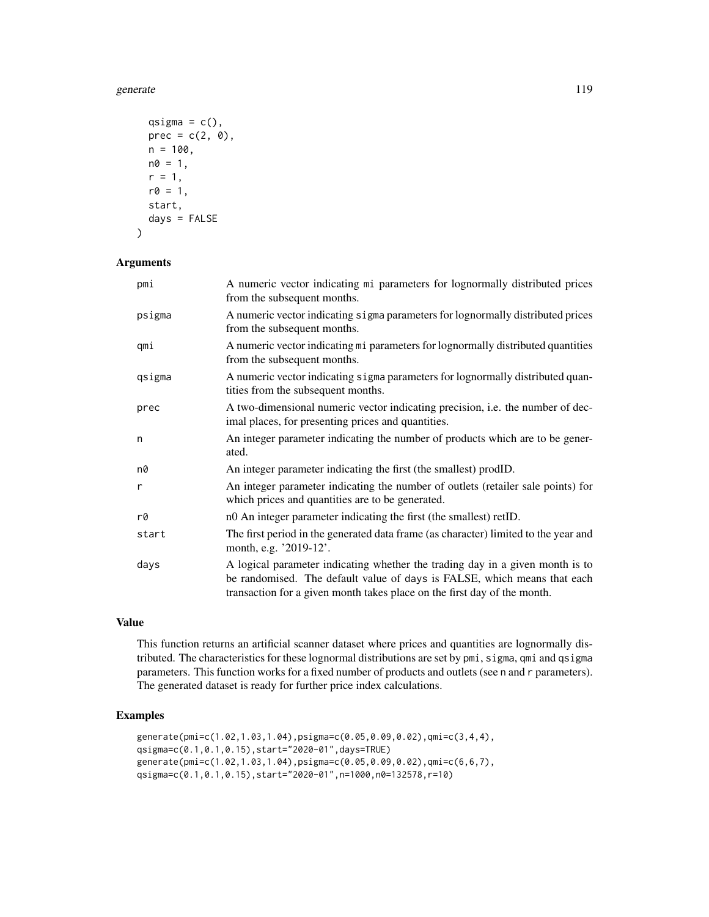generate the contract of the contract of the contract of the contract of the contract of the contract of the contract of the contract of the contract of the contract of the contract of the contract of the contract of the c

```
qsigma = c(),
prec = c(2, 0),
n = 100.
n0 = 1,
r = 1,
r0 = 1,
start,
days = FALSE
```

```
\lambda
```
## Arguments

| pmi    | A numeric vector indicating mi parameters for lognormally distributed prices                                                                                                                                                          |
|--------|---------------------------------------------------------------------------------------------------------------------------------------------------------------------------------------------------------------------------------------|
|        | from the subsequent months.                                                                                                                                                                                                           |
| psigma | A numeric vector indicating sigma parameters for lognormally distributed prices<br>from the subsequent months.                                                                                                                        |
| qmi    | A numeric vector indicating mi parameters for lognormally distributed quantities<br>from the subsequent months.                                                                                                                       |
| qsigma | A numeric vector indicating sigma parameters for lognormally distributed quan-<br>tities from the subsequent months.                                                                                                                  |
| prec   | A two-dimensional numeric vector indicating precision, i.e. the number of dec-<br>imal places, for presenting prices and quantities.                                                                                                  |
| n      | An integer parameter indicating the number of products which are to be gener-<br>ated.                                                                                                                                                |
| n0     | An integer parameter indicating the first (the smallest) prodID.                                                                                                                                                                      |
| r      | An integer parameter indicating the number of outlets (retailer sale points) for<br>which prices and quantities are to be generated.                                                                                                  |
| r0     | n0 An integer parameter indicating the first (the smallest) retID.                                                                                                                                                                    |
| start  | The first period in the generated data frame (as character) limited to the year and<br>month, e.g. '2019-12'.                                                                                                                         |
| days   | A logical parameter indicating whether the trading day in a given month is to<br>be randomised. The default value of days is FALSE, which means that each<br>transaction for a given month takes place on the first day of the month. |

# Value

This function returns an artificial scanner dataset where prices and quantities are lognormally distributed. The characteristics for these lognormal distributions are set by pmi, sigma, qmi and qsigma parameters. This function works for a fixed number of products and outlets (see n and r parameters). The generated dataset is ready for further price index calculations.

```
generate(pmi=c(1.02,1.03,1.04),psigma=c(0.05,0.09,0.02),qmi=c(3,4,4),
qsigma=c(0.1,0.1,0.15),start="2020-01",days=TRUE)
generate(pmi=c(1.02,1.03,1.04),psigma=c(0.05,0.09,0.02),qmi=c(6,6,7),
qsigma=c(0.1,0.1,0.15),start="2020-01",n=1000,n0=132578,r=10)
```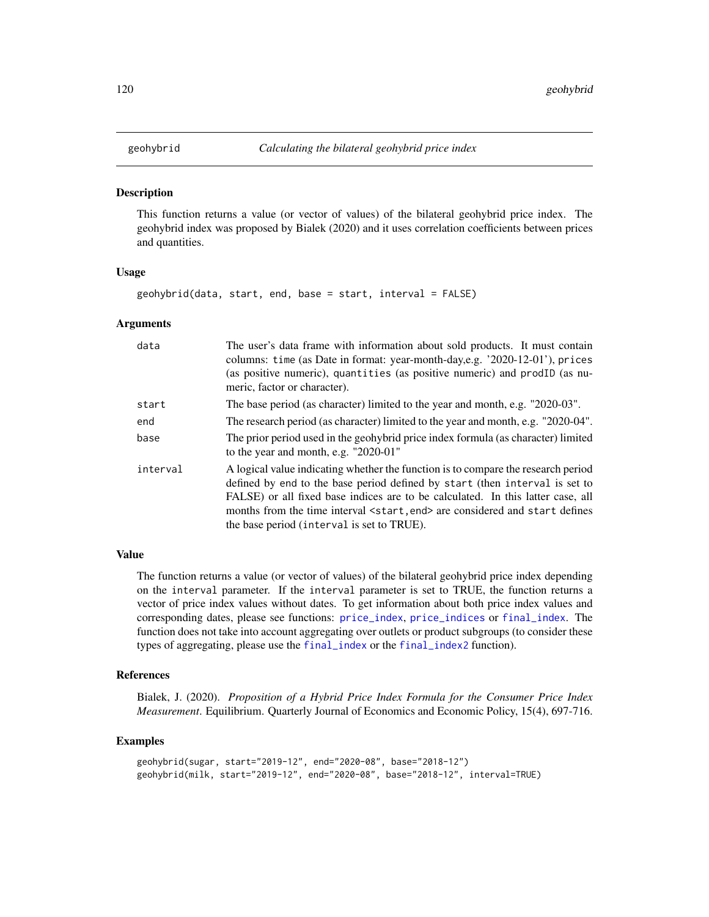This function returns a value (or vector of values) of the bilateral geohybrid price index. The geohybrid index was proposed by Bialek (2020) and it uses correlation coefficients between prices and quantities.

#### Usage

```
geohybrid(data, start, end, base = start, interval = FALSE)
```
#### Arguments

| data     | The user's data frame with information about sold products. It must contain<br>columns: time (as Date in format: year-month-day,e.g. '2020-12-01'), prices                                                                                                                                                                                                                            |  |
|----------|---------------------------------------------------------------------------------------------------------------------------------------------------------------------------------------------------------------------------------------------------------------------------------------------------------------------------------------------------------------------------------------|--|
|          | (as positive numeric), quantities (as positive numeric) and prodID (as nu-<br>meric, factor or character).                                                                                                                                                                                                                                                                            |  |
| start    | The base period (as character) limited to the year and month, e.g. "2020-03".                                                                                                                                                                                                                                                                                                         |  |
| end      | The research period (as character) limited to the year and month, e.g. "2020-04".                                                                                                                                                                                                                                                                                                     |  |
| base     | The prior period used in the geohybrid price index formula (as character) limited<br>to the year and month, e.g. "2020-01"                                                                                                                                                                                                                                                            |  |
| interval | A logical value indicating whether the function is to compare the research period<br>defined by end to the base period defined by start (then interval is set to<br>FALSE) or all fixed base indices are to be calculated. In this latter case, all<br>months from the time interval $\leq$ tart, end> are considered and start defines<br>the base period (interval is set to TRUE). |  |

# Value

The function returns a value (or vector of values) of the bilateral geohybrid price index depending on the interval parameter. If the interval parameter is set to TRUE, the function returns a vector of price index values without dates. To get information about both price index values and corresponding dates, please see functions: [price\\_index](#page-153-0), [price\\_indices](#page-154-0) or [final\\_index](#page-72-0). The function does not take into account aggregating over outlets or product subgroups (to consider these types of aggregating, please use the [final\\_index](#page-72-0) or the [final\\_index2](#page-74-0) function).

## References

Bialek, J. (2020). *Proposition of a Hybrid Price Index Formula for the Consumer Price Index Measurement*. Equilibrium. Quarterly Journal of Economics and Economic Policy, 15(4), 697-716.

```
geohybrid(sugar, start="2019-12", end="2020-08", base="2018-12")
geohybrid(milk, start="2019-12", end="2020-08", base="2018-12", interval=TRUE)
```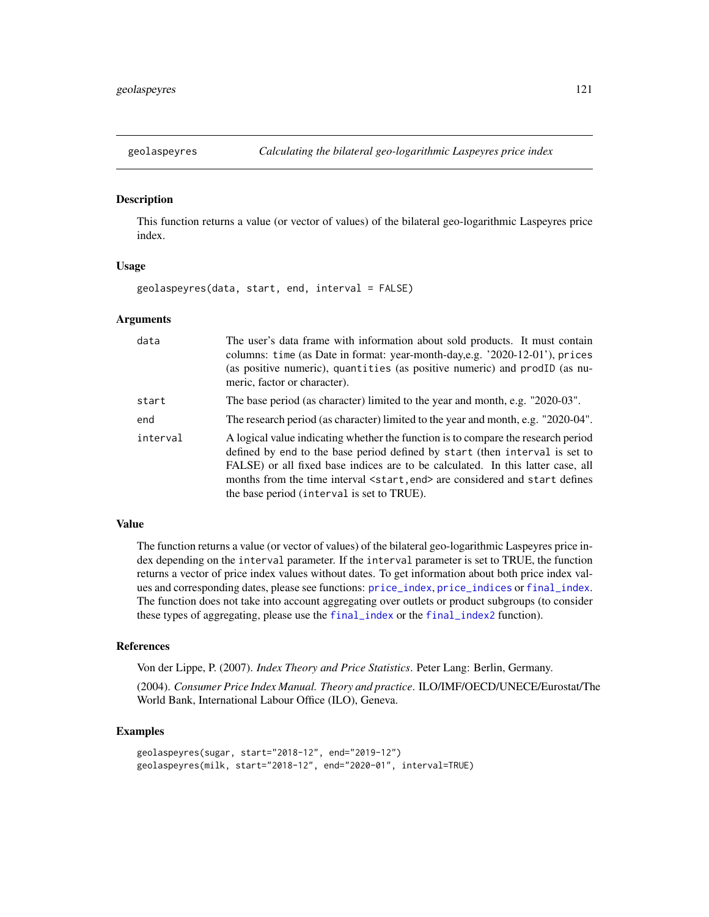This function returns a value (or vector of values) of the bilateral geo-logarithmic Laspeyres price index.

# Usage

geolaspeyres(data, start, end, interval = FALSE)

#### Arguments

| data     | The user's data frame with information about sold products. It must contain<br>columns: time (as Date in format: year-month-day, e.g. '2020-12-01'), prices<br>(as positive numeric), quantities (as positive numeric) and prodID (as nu-<br>meric, factor or character).                                                                                                             |  |
|----------|---------------------------------------------------------------------------------------------------------------------------------------------------------------------------------------------------------------------------------------------------------------------------------------------------------------------------------------------------------------------------------------|--|
| start    | The base period (as character) limited to the year and month, e.g. "2020-03".                                                                                                                                                                                                                                                                                                         |  |
| end      | The research period (as character) limited to the year and month, e.g. "2020-04".                                                                                                                                                                                                                                                                                                     |  |
| interval | A logical value indicating whether the function is to compare the research period<br>defined by end to the base period defined by start (then interval is set to<br>FALSE) or all fixed base indices are to be calculated. In this latter case, all<br>months from the time interval $\leq$ tart, end> are considered and start defines<br>the base period (interval is set to TRUE). |  |

# Value

The function returns a value (or vector of values) of the bilateral geo-logarithmic Laspeyres price index depending on the interval parameter. If the interval parameter is set to TRUE, the function returns a vector of price index values without dates. To get information about both price index values and corresponding dates, please see functions: [price\\_index](#page-153-0), [price\\_indices](#page-154-0) or [final\\_index](#page-72-0). The function does not take into account aggregating over outlets or product subgroups (to consider these types of aggregating, please use the [final\\_index](#page-72-0) or the [final\\_index2](#page-74-0) function).

## References

Von der Lippe, P. (2007). *Index Theory and Price Statistics*. Peter Lang: Berlin, Germany.

(2004). *Consumer Price Index Manual. Theory and practice*. ILO/IMF/OECD/UNECE/Eurostat/The World Bank, International Labour Office (ILO), Geneva.

```
geolaspeyres(sugar, start="2018-12", end="2019-12")
geolaspeyres(milk, start="2018-12", end="2020-01", interval=TRUE)
```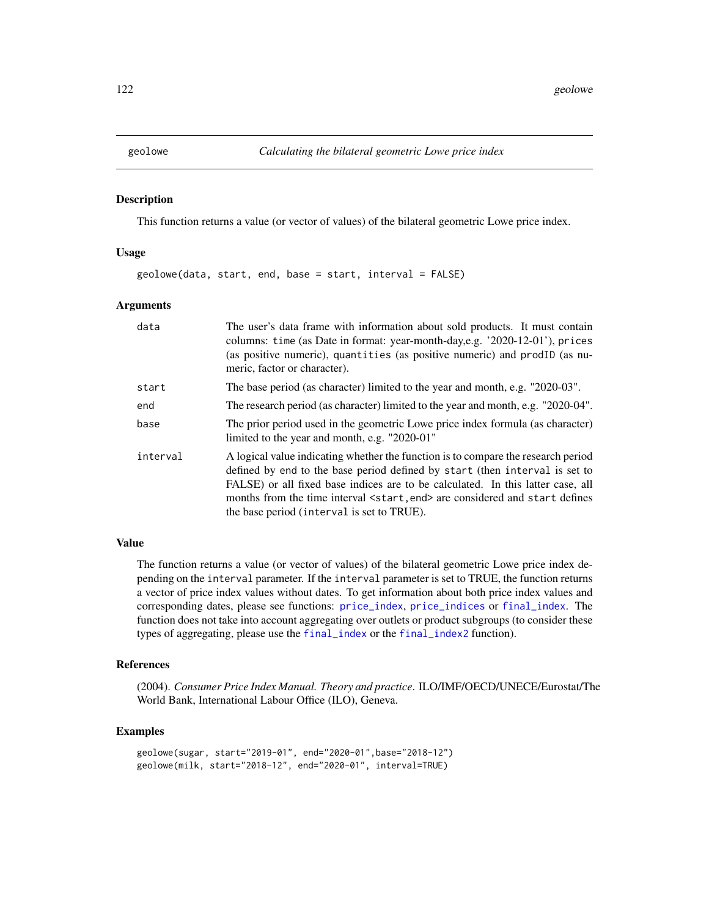This function returns a value (or vector of values) of the bilateral geometric Lowe price index.

## Usage

geolowe(data, start, end, base = start, interval = FALSE)

## Arguments

| data     | The user's data frame with information about sold products. It must contain<br>columns: time (as Date in format: year-month-day,e.g. '2020-12-01'), prices<br>(as positive numeric), quantities (as positive numeric) and prodID (as nu-<br>meric, factor or character).                                                                                                                      |
|----------|-----------------------------------------------------------------------------------------------------------------------------------------------------------------------------------------------------------------------------------------------------------------------------------------------------------------------------------------------------------------------------------------------|
| start    | The base period (as character) limited to the year and month, e.g. "2020-03".                                                                                                                                                                                                                                                                                                                 |
| end      | The research period (as character) limited to the year and month, e.g. "2020-04".                                                                                                                                                                                                                                                                                                             |
| base     | The prior period used in the geometric Lowe price index formula (as character)<br>limited to the year and month, e.g. "2020-01"                                                                                                                                                                                                                                                               |
| interval | A logical value indicating whether the function is to compare the research period<br>defined by end to the base period defined by start (then interval is set to<br>FALSE) or all fixed base indices are to be calculated. In this latter case, all<br>months from the time interval <start, end=""> are considered and start defines<br/>the base period (interval is set to TRUE).</start,> |

### Value

The function returns a value (or vector of values) of the bilateral geometric Lowe price index depending on the interval parameter. If the interval parameter is set to TRUE, the function returns a vector of price index values without dates. To get information about both price index values and corresponding dates, please see functions: [price\\_index](#page-153-0), [price\\_indices](#page-154-0) or [final\\_index](#page-72-0). The function does not take into account aggregating over outlets or product subgroups (to consider these types of aggregating, please use the [final\\_index](#page-72-0) or the [final\\_index2](#page-74-0) function).

## References

(2004). *Consumer Price Index Manual. Theory and practice*. ILO/IMF/OECD/UNECE/Eurostat/The World Bank, International Labour Office (ILO), Geneva.

```
geolowe(sugar, start="2019-01", end="2020-01",base="2018-12")
geolowe(milk, start="2018-12", end="2020-01", interval=TRUE)
```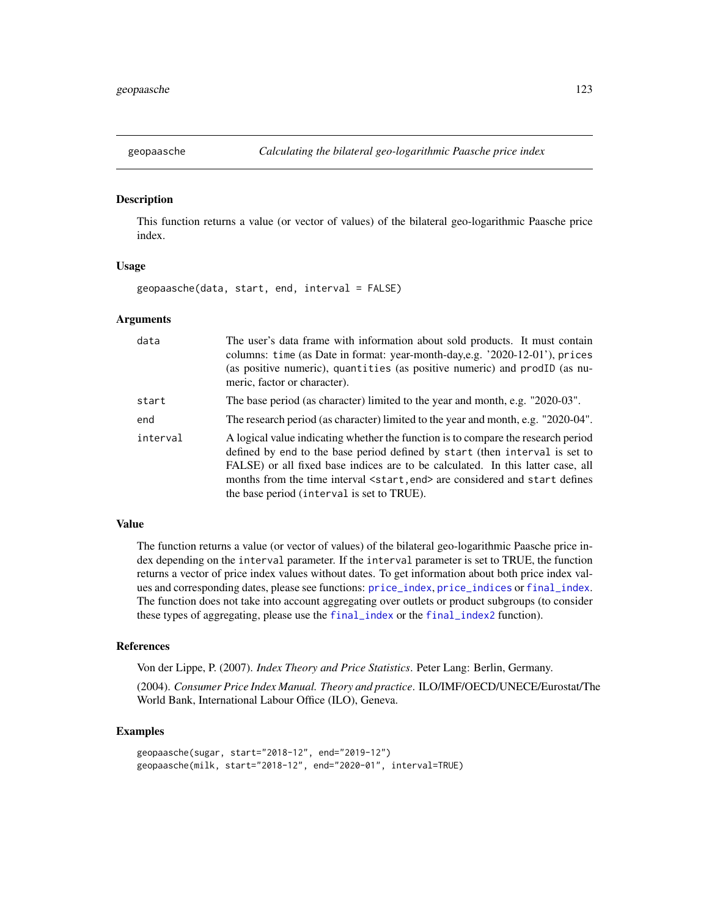This function returns a value (or vector of values) of the bilateral geo-logarithmic Paasche price index.

# Usage

geopaasche(data, start, end, interval = FALSE)

#### Arguments

| data     | The user's data frame with information about sold products. It must contain<br>columns: time (as Date in format: year-month-day,e.g. '2020-12-01'), prices<br>(as positive numeric), quantities (as positive numeric) and prodID (as nu-<br>meric, factor or character).                                                                                                                      |  |
|----------|-----------------------------------------------------------------------------------------------------------------------------------------------------------------------------------------------------------------------------------------------------------------------------------------------------------------------------------------------------------------------------------------------|--|
| start    | The base period (as character) limited to the year and month, e.g. "2020-03".                                                                                                                                                                                                                                                                                                                 |  |
| end      | The research period (as character) limited to the year and month, e.g. "2020-04".                                                                                                                                                                                                                                                                                                             |  |
| interval | A logical value indicating whether the function is to compare the research period<br>defined by end to the base period defined by start (then interval is set to<br>FALSE) or all fixed base indices are to be calculated. In this latter case, all<br>months from the time interval <start, end=""> are considered and start defines<br/>the base period (interval is set to TRUE).</start,> |  |

## Value

The function returns a value (or vector of values) of the bilateral geo-logarithmic Paasche price index depending on the interval parameter. If the interval parameter is set to TRUE, the function returns a vector of price index values without dates. To get information about both price index values and corresponding dates, please see functions: [price\\_index](#page-153-0), [price\\_indices](#page-154-0) or [final\\_index](#page-72-0). The function does not take into account aggregating over outlets or product subgroups (to consider these types of aggregating, please use the [final\\_index](#page-72-0) or the [final\\_index2](#page-74-0) function).

#### References

Von der Lippe, P. (2007). *Index Theory and Price Statistics*. Peter Lang: Berlin, Germany.

(2004). *Consumer Price Index Manual. Theory and practice*. ILO/IMF/OECD/UNECE/Eurostat/The World Bank, International Labour Office (ILO), Geneva.

```
geopaasche(sugar, start="2018-12", end="2019-12")
geopaasche(milk, start="2018-12", end="2020-01", interval=TRUE)
```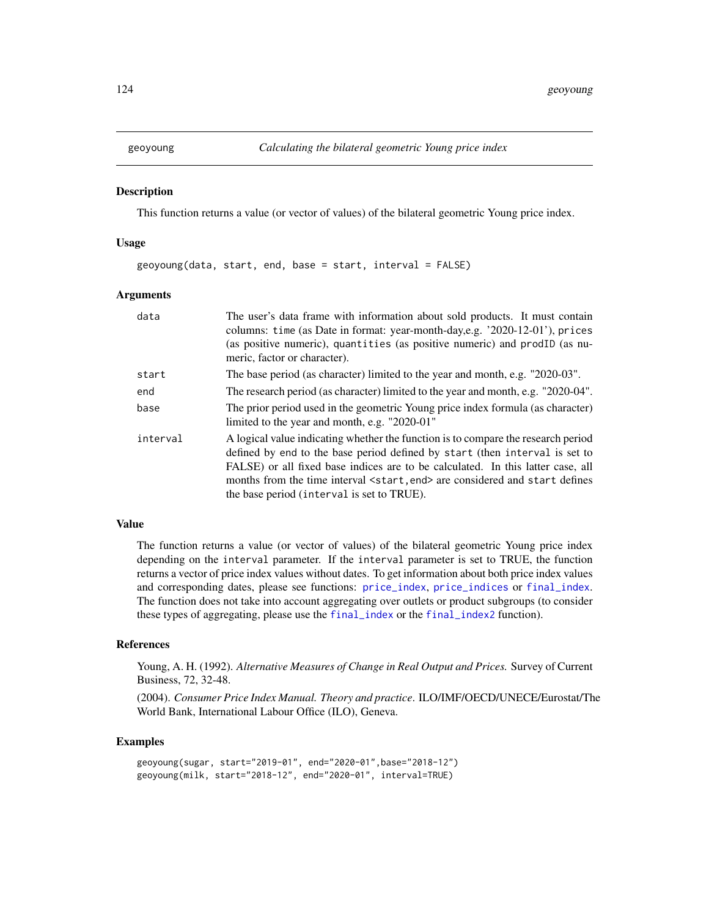This function returns a value (or vector of values) of the bilateral geometric Young price index.

## Usage

geoyoung(data, start, end, base = start, interval = FALSE)

#### Arguments

| data     | The user's data frame with information about sold products. It must contain<br>columns: time (as Date in format: year-month-day, e.g. '2020-12-01'), prices<br>(as positive numeric), quantities (as positive numeric) and prodID (as nu-<br>meric, factor or character).                                                                                                                     |  |
|----------|-----------------------------------------------------------------------------------------------------------------------------------------------------------------------------------------------------------------------------------------------------------------------------------------------------------------------------------------------------------------------------------------------|--|
| start    | The base period (as character) limited to the year and month, e.g. "2020-03".                                                                                                                                                                                                                                                                                                                 |  |
| end      | The research period (as character) limited to the year and month, e.g. "2020-04".                                                                                                                                                                                                                                                                                                             |  |
| base     | The prior period used in the geometric Young price index formula (as character)<br>limited to the year and month, e.g. "2020-01"                                                                                                                                                                                                                                                              |  |
| interval | A logical value indicating whether the function is to compare the research period<br>defined by end to the base period defined by start (then interval is set to<br>FALSE) or all fixed base indices are to be calculated. In this latter case, all<br>months from the time interval <start, end=""> are considered and start defines<br/>the base period (interval is set to TRUE).</start,> |  |

# Value

The function returns a value (or vector of values) of the bilateral geometric Young price index depending on the interval parameter. If the interval parameter is set to TRUE, the function returns a vector of price index values without dates. To get information about both price index values and corresponding dates, please see functions: [price\\_index](#page-153-0), [price\\_indices](#page-154-0) or [final\\_index](#page-72-0). The function does not take into account aggregating over outlets or product subgroups (to consider these types of aggregating, please use the [final\\_index](#page-72-0) or the [final\\_index2](#page-74-0) function).

## References

Young, A. H. (1992). *Alternative Measures of Change in Real Output and Prices.* Survey of Current Business, 72, 32-48.

(2004). *Consumer Price Index Manual. Theory and practice*. ILO/IMF/OECD/UNECE/Eurostat/The World Bank, International Labour Office (ILO), Geneva.

```
geoyoung(sugar, start="2019-01", end="2020-01",base="2018-12")
geoyoung(milk, start="2018-12", end="2020-01", interval=TRUE)
```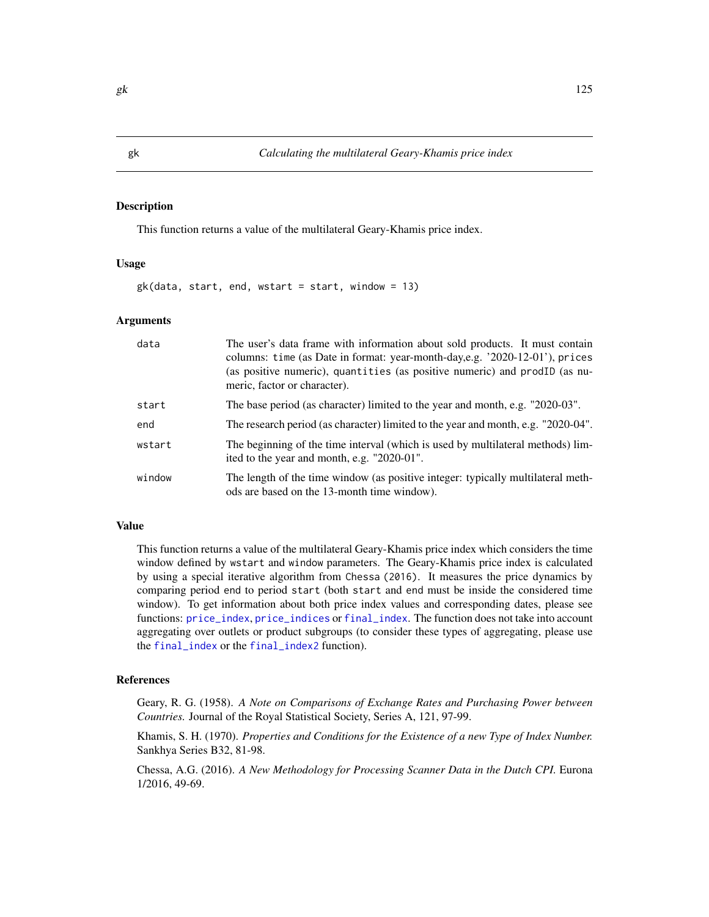This function returns a value of the multilateral Geary-Khamis price index.

## Usage

 $gk(data, start, end, wstart = start, window = 13)$ 

## Arguments

| data   | The user's data frame with information about sold products. It must contain<br>columns: time (as Date in format: year-month-day, e.g. '2020-12-01'), prices<br>(as positive numeric), quantities (as positive numeric) and prodID (as nu-<br>meric, factor or character). |
|--------|---------------------------------------------------------------------------------------------------------------------------------------------------------------------------------------------------------------------------------------------------------------------------|
| start  | The base period (as character) limited to the year and month, e.g. "2020-03".                                                                                                                                                                                             |
| end    | The research period (as character) limited to the year and month, e.g. "2020-04".                                                                                                                                                                                         |
| wstart | The beginning of the time interval (which is used by multilateral methods) lim-<br>ited to the year and month, e.g. "2020-01".                                                                                                                                            |
| window | The length of the time window (as positive integer: typically multilateral meth-<br>ods are based on the 13-month time window).                                                                                                                                           |

#### Value

This function returns a value of the multilateral Geary-Khamis price index which considers the time window defined by wstart and window parameters. The Geary-Khamis price index is calculated by using a special iterative algorithm from Chessa (2016). It measures the price dynamics by comparing period end to period start (both start and end must be inside the considered time window). To get information about both price index values and corresponding dates, please see functions: [price\\_index](#page-153-0), [price\\_indices](#page-154-0) or [final\\_index](#page-72-0). The function does not take into account aggregating over outlets or product subgroups (to consider these types of aggregating, please use the [final\\_index](#page-72-0) or the [final\\_index2](#page-74-0) function).

## References

Geary, R. G. (1958). *A Note on Comparisons of Exchange Rates and Purchasing Power between Countries.* Journal of the Royal Statistical Society, Series A, 121, 97-99.

Khamis, S. H. (1970). *Properties and Conditions for the Existence of a new Type of Index Number.* Sankhya Series B32, 81-98.

Chessa, A.G. (2016). *A New Methodology for Processing Scanner Data in the Dutch CPI.* Eurona 1/2016, 49-69.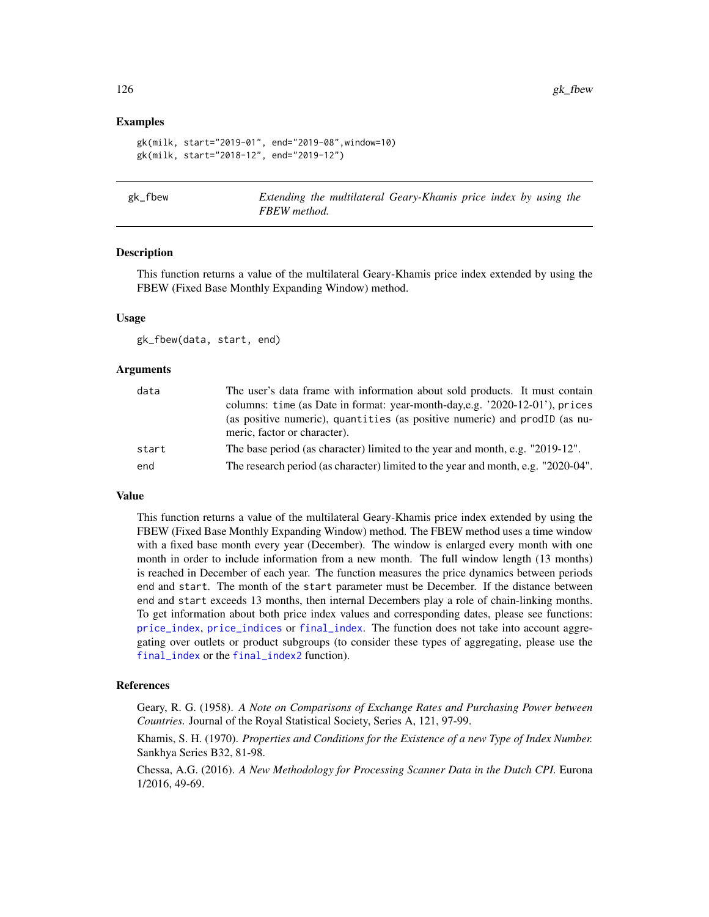#### Examples

```
gk(milk, start="2019-01", end="2019-08",window=10)
gk(milk, start="2018-12", end="2019-12")
```
gk\_fbew *Extending the multilateral Geary-Khamis price index by using the FBEW method.*

## **Description**

This function returns a value of the multilateral Geary-Khamis price index extended by using the FBEW (Fixed Base Monthly Expanding Window) method.

## Usage

gk\_fbew(data, start, end)

#### Arguments

| data  | The user's data frame with information about sold products. It must contain                                |
|-------|------------------------------------------------------------------------------------------------------------|
|       | columns: time (as Date in format: year-month-day, e.g. '2020-12-01'), prices                               |
|       | (as positive numeric), quantities (as positive numeric) and prodID (as nu-<br>meric, factor or character). |
| start | The base period (as character) limited to the year and month, e.g. "2019-12".                              |
| end   | The research period (as character) limited to the year and month, e.g. "2020-04".                          |

## Value

This function returns a value of the multilateral Geary-Khamis price index extended by using the FBEW (Fixed Base Monthly Expanding Window) method. The FBEW method uses a time window with a fixed base month every year (December). The window is enlarged every month with one month in order to include information from a new month. The full window length (13 months) is reached in December of each year. The function measures the price dynamics between periods end and start. The month of the start parameter must be December. If the distance between end and start exceeds 13 months, then internal Decembers play a role of chain-linking months. To get information about both price index values and corresponding dates, please see functions: [price\\_index](#page-153-0), [price\\_indices](#page-154-0) or [final\\_index](#page-72-0). The function does not take into account aggregating over outlets or product subgroups (to consider these types of aggregating, please use the [final\\_index](#page-72-0) or the [final\\_index2](#page-74-0) function).

## References

Geary, R. G. (1958). *A Note on Comparisons of Exchange Rates and Purchasing Power between Countries.* Journal of the Royal Statistical Society, Series A, 121, 97-99.

Khamis, S. H. (1970). *Properties and Conditions for the Existence of a new Type of Index Number.* Sankhya Series B32, 81-98.

Chessa, A.G. (2016). *A New Methodology for Processing Scanner Data in the Dutch CPI.* Eurona 1/2016, 49-69.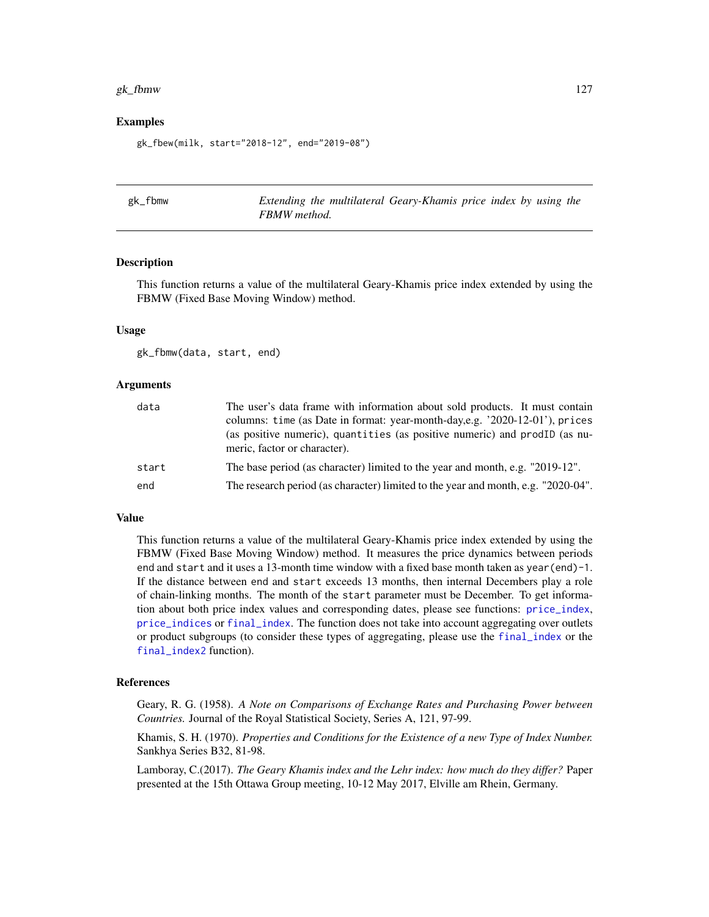#### gk\_fbmw  $127$

## Examples

gk\_fbew(milk, start="2018-12", end="2019-08")

gk\_fbmw *Extending the multilateral Geary-Khamis price index by using the FBMW method.*

#### **Description**

This function returns a value of the multilateral Geary-Khamis price index extended by using the FBMW (Fixed Base Moving Window) method.

# Usage

gk\_fbmw(data, start, end)

#### Arguments

| data  | The user's data frame with information about sold products. It must contain                                |  |
|-------|------------------------------------------------------------------------------------------------------------|--|
|       | columns: time (as Date in format: year-month-day, e.g. '2020-12-01'), prices                               |  |
|       | (as positive numeric), quantities (as positive numeric) and prodID (as nu-<br>meric, factor or character). |  |
| start | The base period (as character) limited to the year and month, e.g. "2019-12".                              |  |
| end   | The research period (as character) limited to the year and month, e.g. "2020-04".                          |  |

#### Value

This function returns a value of the multilateral Geary-Khamis price index extended by using the FBMW (Fixed Base Moving Window) method. It measures the price dynamics between periods end and start and it uses a 13-month time window with a fixed base month taken as year (end)-1. If the distance between end and start exceeds 13 months, then internal Decembers play a role of chain-linking months. The month of the start parameter must be December. To get information about both price index values and corresponding dates, please see functions: [price\\_index](#page-153-0), [price\\_indices](#page-154-0) or [final\\_index](#page-72-0). The function does not take into account aggregating over outlets or product subgroups (to consider these types of aggregating, please use the [final\\_index](#page-72-0) or the [final\\_index2](#page-74-0) function).

# References

Geary, R. G. (1958). *A Note on Comparisons of Exchange Rates and Purchasing Power between Countries.* Journal of the Royal Statistical Society, Series A, 121, 97-99.

Khamis, S. H. (1970). *Properties and Conditions for the Existence of a new Type of Index Number.* Sankhya Series B32, 81-98.

Lamboray, C.(2017). *The Geary Khamis index and the Lehr index: how much do they differ?* Paper presented at the 15th Ottawa Group meeting, 10-12 May 2017, Elville am Rhein, Germany.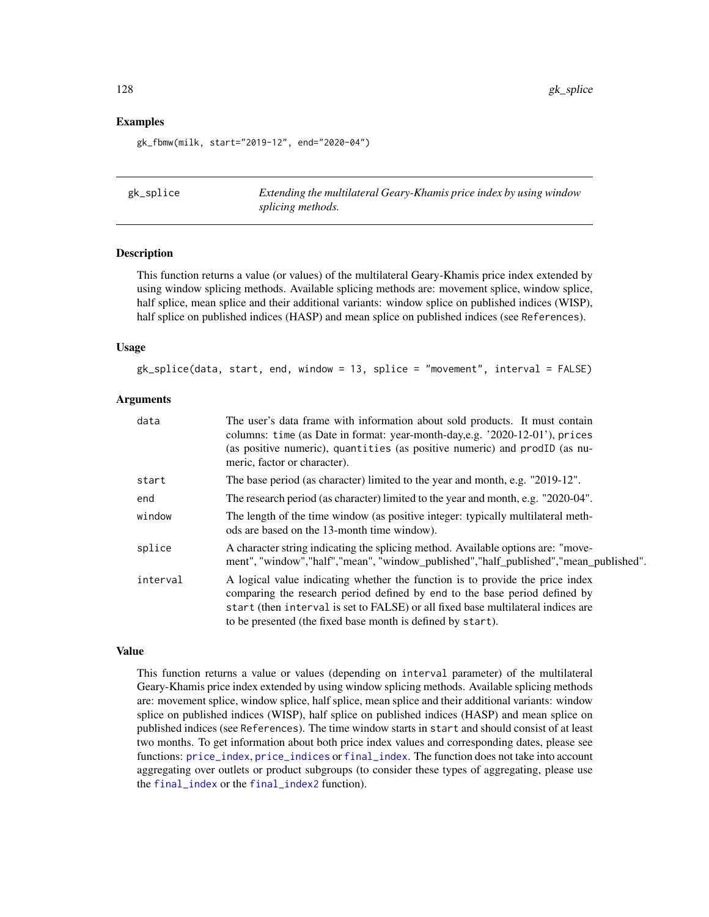## Examples

gk\_fbmw(milk, start="2019-12", end="2020-04")

gk\_splice *Extending the multilateral Geary-Khamis price index by using window splicing methods.*

## Description

This function returns a value (or values) of the multilateral Geary-Khamis price index extended by using window splicing methods. Available splicing methods are: movement splice, window splice, half splice, mean splice and their additional variants: window splice on published indices (WISP), half splice on published indices (HASP) and mean splice on published indices (see References).

#### Usage

gk\_splice(data, start, end, window = 13, splice = "movement", interval = FALSE)

## Arguments

| data     | The user's data frame with information about sold products. It must contain<br>columns: time (as Date in format: year-month-day, e.g. '2020-12-01'), prices<br>(as positive numeric), quantities (as positive numeric) and prodID (as nu-<br>meric, factor or character).                                      |  |
|----------|----------------------------------------------------------------------------------------------------------------------------------------------------------------------------------------------------------------------------------------------------------------------------------------------------------------|--|
| start    | The base period (as character) limited to the year and month, e.g. "2019-12".                                                                                                                                                                                                                                  |  |
| end      | The research period (as character) limited to the year and month, e.g. "2020-04".                                                                                                                                                                                                                              |  |
| window   | The length of the time window (as positive integer: typically multilateral meth-<br>ods are based on the 13-month time window).                                                                                                                                                                                |  |
| splice   | A character string indicating the splicing method. Available options are: "move-<br>ment", "window", "half", "mean", "window_published", "half_published", "mean_published".                                                                                                                                   |  |
| interval | A logical value indicating whether the function is to provide the price index<br>comparing the research period defined by end to the base period defined by<br>start (then interval is set to FALSE) or all fixed base multilateral indices are<br>to be presented (the fixed base month is defined by start). |  |

#### Value

This function returns a value or values (depending on interval parameter) of the multilateral Geary-Khamis price index extended by using window splicing methods. Available splicing methods are: movement splice, window splice, half splice, mean splice and their additional variants: window splice on published indices (WISP), half splice on published indices (HASP) and mean splice on published indices (see References). The time window starts in start and should consist of at least two months. To get information about both price index values and corresponding dates, please see functions: [price\\_index](#page-153-0), [price\\_indices](#page-154-0) or [final\\_index](#page-72-0). The function does not take into account aggregating over outlets or product subgroups (to consider these types of aggregating, please use the [final\\_index](#page-72-0) or the [final\\_index2](#page-74-0) function).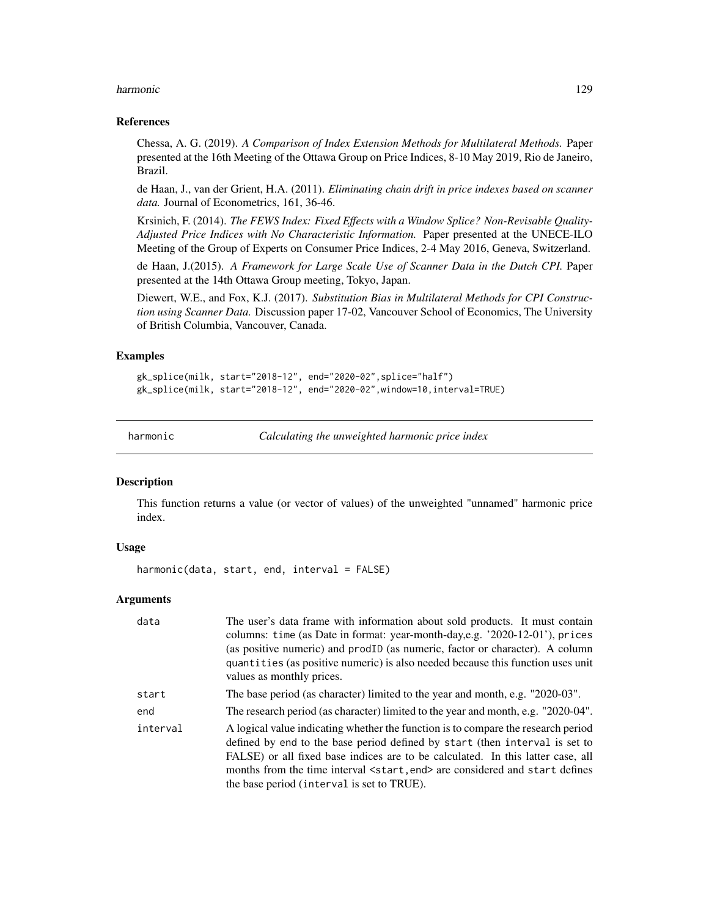#### harmonic that the contract of the contract of the contract of the contract of the contract of the contract of the contract of the contract of the contract of the contract of the contract of the contract of the contract of

#### References

Chessa, A. G. (2019). *A Comparison of Index Extension Methods for Multilateral Methods.* Paper presented at the 16th Meeting of the Ottawa Group on Price Indices, 8-10 May 2019, Rio de Janeiro, Brazil.

de Haan, J., van der Grient, H.A. (2011). *Eliminating chain drift in price indexes based on scanner data.* Journal of Econometrics, 161, 36-46.

Krsinich, F. (2014). *The FEWS Index: Fixed Effects with a Window Splice? Non-Revisable Quality-Adjusted Price Indices with No Characteristic Information.* Paper presented at the UNECE-ILO Meeting of the Group of Experts on Consumer Price Indices, 2-4 May 2016, Geneva, Switzerland.

de Haan, J.(2015). *A Framework for Large Scale Use of Scanner Data in the Dutch CPI.* Paper presented at the 14th Ottawa Group meeting, Tokyo, Japan.

Diewert, W.E., and Fox, K.J. (2017). *Substitution Bias in Multilateral Methods for CPI Construction using Scanner Data.* Discussion paper 17-02, Vancouver School of Economics, The University of British Columbia, Vancouver, Canada.

# Examples

gk\_splice(milk, start="2018-12", end="2020-02",splice="half") gk\_splice(milk, start="2018-12", end="2020-02",window=10,interval=TRUE)

harmonic *Calculating the unweighted harmonic price index*

#### Description

This function returns a value (or vector of values) of the unweighted "unnamed" harmonic price index.

# Usage

harmonic(data, start, end, interval = FALSE)

| data     | The user's data frame with information about sold products. It must contain<br>columns: time (as Date in format: year-month-day,e.g. '2020-12-01'), prices<br>(as positive numeric) and prodID (as numeric, factor or character). A column<br>quantities (as positive numeric) is also needed because this function uses unit<br>values as monthly prices.                                    |  |
|----------|-----------------------------------------------------------------------------------------------------------------------------------------------------------------------------------------------------------------------------------------------------------------------------------------------------------------------------------------------------------------------------------------------|--|
| start    | The base period (as character) limited to the year and month, e.g. "2020-03".                                                                                                                                                                                                                                                                                                                 |  |
| end      | The research period (as character) limited to the year and month, e.g. "2020-04".                                                                                                                                                                                                                                                                                                             |  |
| interval | A logical value indicating whether the function is to compare the research period<br>defined by end to the base period defined by start (then interval is set to<br>FALSE) or all fixed base indices are to be calculated. In this latter case, all<br>months from the time interval <start, end=""> are considered and start defines<br/>the base period (interval is set to TRUE).</start,> |  |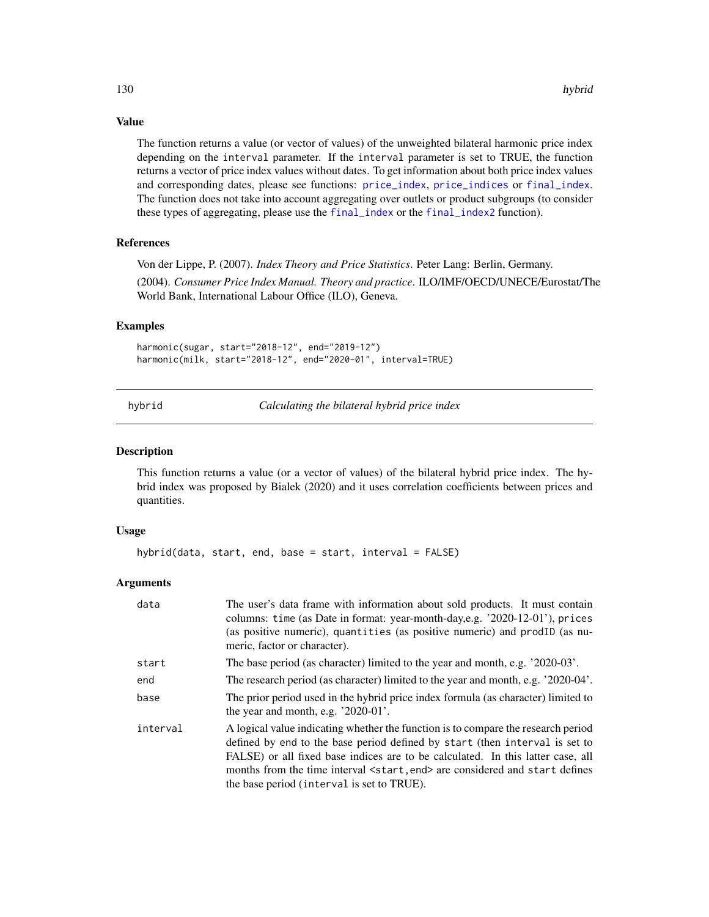The function returns a value (or vector of values) of the unweighted bilateral harmonic price index depending on the interval parameter. If the interval parameter is set to TRUE, the function returns a vector of price index values without dates. To get information about both price index values and corresponding dates, please see functions: [price\\_index](#page-153-0), [price\\_indices](#page-154-0) or [final\\_index](#page-72-0). The function does not take into account aggregating over outlets or product subgroups (to consider these types of aggregating, please use the [final\\_index](#page-72-0) or the [final\\_index2](#page-74-0) function).

# References

Von der Lippe, P. (2007). *Index Theory and Price Statistics*. Peter Lang: Berlin, Germany. (2004). *Consumer Price Index Manual. Theory and practice*. ILO/IMF/OECD/UNECE/Eurostat/The World Bank, International Labour Office (ILO), Geneva.

## Examples

```
harmonic(sugar, start="2018-12", end="2019-12")
harmonic(milk, start="2018-12", end="2020-01", interval=TRUE)
```

| vnr |  |
|-----|--|
|     |  |

hybrid *Calculating the bilateral hybrid price index*

## **Description**

This function returns a value (or a vector of values) of the bilateral hybrid price index. The hybrid index was proposed by Bialek (2020) and it uses correlation coefficients between prices and quantities.

## Usage

```
hybrid(data, start, end, base = start, interval = FALSE)
```

| data     | The user's data frame with information about sold products. It must contain<br>columns: time (as Date in format: year-month-day, e.g. '2020-12-01'), prices<br>(as positive numeric), quantities (as positive numeric) and prodID (as nu-<br>meric, factor or character).                                                                                                             |
|----------|---------------------------------------------------------------------------------------------------------------------------------------------------------------------------------------------------------------------------------------------------------------------------------------------------------------------------------------------------------------------------------------|
| start    | The base period (as character) limited to the year and month, e.g. '2020-03'.                                                                                                                                                                                                                                                                                                         |
| end      | The research period (as character) limited to the year and month, e.g. '2020-04'.                                                                                                                                                                                                                                                                                                     |
| base     | The prior period used in the hybrid price index formula (as character) limited to<br>the year and month, e.g. $2020-01$ .                                                                                                                                                                                                                                                             |
| interval | A logical value indicating whether the function is to compare the research period<br>defined by end to the base period defined by start (then interval is set to<br>FALSE) or all fixed base indices are to be calculated. In this latter case, all<br>months from the time interval $\leq$ tart, end> are considered and start defines<br>the base period (interval is set to TRUE). |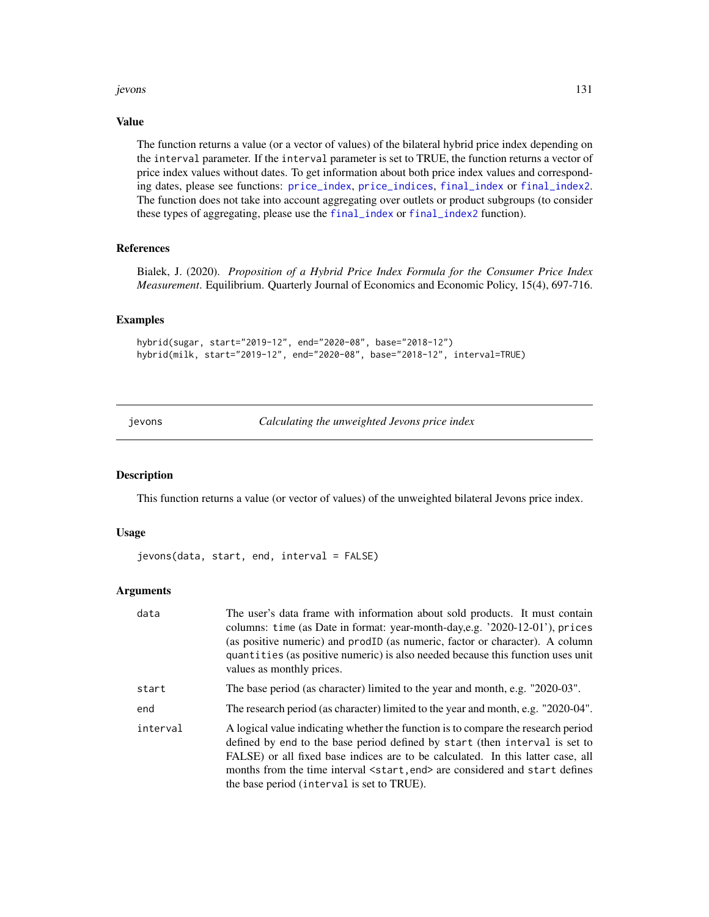#### jevons 131

## Value

The function returns a value (or a vector of values) of the bilateral hybrid price index depending on the interval parameter. If the interval parameter is set to TRUE, the function returns a vector of price index values without dates. To get information about both price index values and corresponding dates, please see functions: [price\\_index](#page-153-0), [price\\_indices](#page-154-0), [final\\_index](#page-72-0) or [final\\_index2](#page-74-0). The function does not take into account aggregating over outlets or product subgroups (to consider these types of aggregating, please use the [final\\_index](#page-72-0) or [final\\_index2](#page-74-0) function).

## References

Bialek, J. (2020). *Proposition of a Hybrid Price Index Formula for the Consumer Price Index Measurement*. Equilibrium. Quarterly Journal of Economics and Economic Policy, 15(4), 697-716.

#### Examples

```
hybrid(sugar, start="2019-12", end="2020-08", base="2018-12")
hybrid(milk, start="2019-12", end="2020-08", base="2018-12", interval=TRUE)
```
jevons *Calculating the unweighted Jevons price index*

## Description

This function returns a value (or vector of values) of the unweighted bilateral Jevons price index.

## Usage

```
jevons(data, start, end, interval = FALSE)
```

| data     | The user's data frame with information about sold products. It must contain<br>columns: time (as Date in format: year-month-day, e.g. '2020-12-01'), prices<br>(as positive numeric) and prodID (as numeric, factor or character). A column<br>quantities (as positive numeric) is also needed because this function uses unit<br>values as monthly prices.                           |
|----------|---------------------------------------------------------------------------------------------------------------------------------------------------------------------------------------------------------------------------------------------------------------------------------------------------------------------------------------------------------------------------------------|
| start    | The base period (as character) limited to the year and month, e.g. "2020-03".                                                                                                                                                                                                                                                                                                         |
| end      | The research period (as character) limited to the year and month, e.g. "2020-04".                                                                                                                                                                                                                                                                                                     |
| interval | A logical value indicating whether the function is to compare the research period<br>defined by end to the base period defined by start (then interval is set to<br>FALSE) or all fixed base indices are to be calculated. In this latter case, all<br>months from the time interval $\leq$ tart, end> are considered and start defines<br>the base period (interval is set to TRUE). |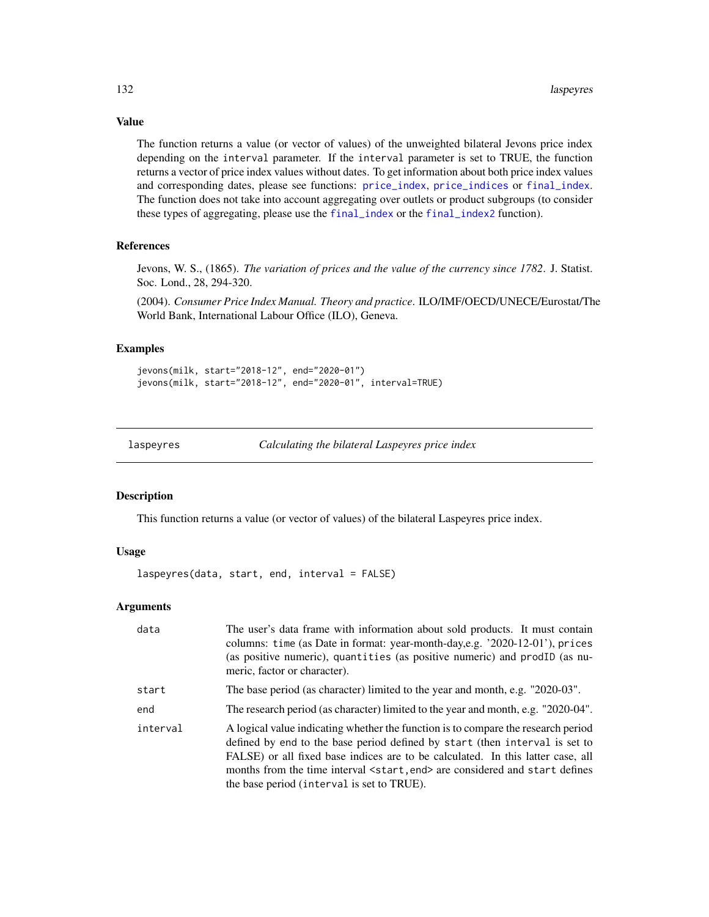The function returns a value (or vector of values) of the unweighted bilateral Jevons price index depending on the interval parameter. If the interval parameter is set to TRUE, the function returns a vector of price index values without dates. To get information about both price index values and corresponding dates, please see functions: [price\\_index](#page-153-0), [price\\_indices](#page-154-0) or [final\\_index](#page-72-0). The function does not take into account aggregating over outlets or product subgroups (to consider these types of aggregating, please use the [final\\_index](#page-72-0) or the [final\\_index2](#page-74-0) function).

## References

Jevons, W. S., (1865). *The variation of prices and the value of the currency since 1782*. J. Statist. Soc. Lond., 28, 294-320.

(2004). *Consumer Price Index Manual. Theory and practice*. ILO/IMF/OECD/UNECE/Eurostat/The World Bank, International Labour Office (ILO), Geneva.

## Examples

jevons(milk, start="2018-12", end="2020-01") jevons(milk, start="2018-12", end="2020-01", interval=TRUE)

laspeyres *Calculating the bilateral Laspeyres price index*

# Description

This function returns a value (or vector of values) of the bilateral Laspeyres price index.

## Usage

laspeyres(data, start, end, interval = FALSE)

| data     | The user's data frame with information about sold products. It must contain<br>columns: time (as Date in format: year-month-day, e.g. '2020-12-01'), prices<br>(as positive numeric), quantities (as positive numeric) and prodID (as nu-<br>meric, factor or character).                                                                                                                     |
|----------|-----------------------------------------------------------------------------------------------------------------------------------------------------------------------------------------------------------------------------------------------------------------------------------------------------------------------------------------------------------------------------------------------|
| start    | The base period (as character) limited to the year and month, e.g. "2020-03".                                                                                                                                                                                                                                                                                                                 |
| end      | The research period (as character) limited to the year and month, e.g. "2020-04".                                                                                                                                                                                                                                                                                                             |
| interval | A logical value indicating whether the function is to compare the research period<br>defined by end to the base period defined by start (then interval is set to<br>FALSE) or all fixed base indices are to be calculated. In this latter case, all<br>months from the time interval <start, end=""> are considered and start defines<br/>the base period (interval is set to TRUE).</start,> |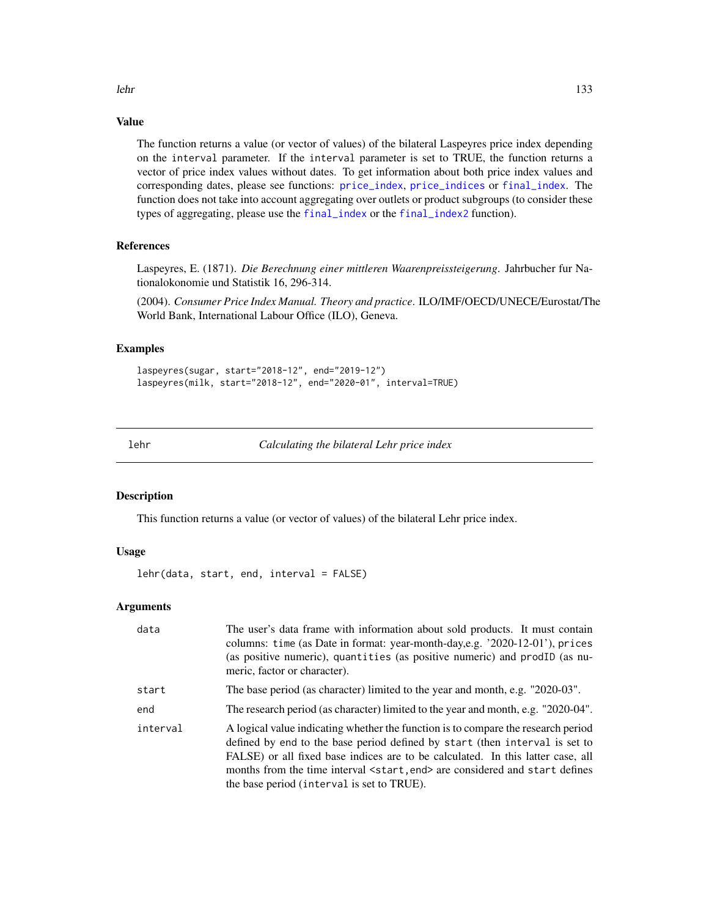#### lehr 133

# Value

The function returns a value (or vector of values) of the bilateral Laspeyres price index depending on the interval parameter. If the interval parameter is set to TRUE, the function returns a vector of price index values without dates. To get information about both price index values and corresponding dates, please see functions: [price\\_index](#page-153-0), [price\\_indices](#page-154-0) or [final\\_index](#page-72-0). The function does not take into account aggregating over outlets or product subgroups (to consider these types of aggregating, please use the [final\\_index](#page-72-0) or the [final\\_index2](#page-74-0) function).

## References

Laspeyres, E. (1871). *Die Berechnung einer mittleren Waarenpreissteigerung*. Jahrbucher fur Nationalokonomie und Statistik 16, 296-314.

(2004). *Consumer Price Index Manual. Theory and practice*. ILO/IMF/OECD/UNECE/Eurostat/The World Bank, International Labour Office (ILO), Geneva.

## Examples

```
laspeyres(sugar, start="2018-12", end="2019-12")
laspeyres(milk, start="2018-12", end="2020-01", interval=TRUE)
```
lehr *Calculating the bilateral Lehr price index*

# Description

This function returns a value (or vector of values) of the bilateral Lehr price index.

## Usage

lehr(data, start, end, interval = FALSE)

| data     | The user's data frame with information about sold products. It must contain<br>columns: time (as Date in format: year-month-day,e.g. '2020-12-01'), prices<br>(as positive numeric), quantities (as positive numeric) and prodID (as nu-<br>meric, factor or character).                                                                                                              |
|----------|---------------------------------------------------------------------------------------------------------------------------------------------------------------------------------------------------------------------------------------------------------------------------------------------------------------------------------------------------------------------------------------|
| start    | The base period (as character) limited to the year and month, e.g. "2020-03".                                                                                                                                                                                                                                                                                                         |
| end      | The research period (as character) limited to the year and month, e.g. "2020-04".                                                                                                                                                                                                                                                                                                     |
| interval | A logical value indicating whether the function is to compare the research period<br>defined by end to the base period defined by start (then interval is set to<br>FALSE) or all fixed base indices are to be calculated. In this latter case, all<br>months from the time interval $\leq$ tart, end> are considered and start defines<br>the base period (interval is set to TRUE). |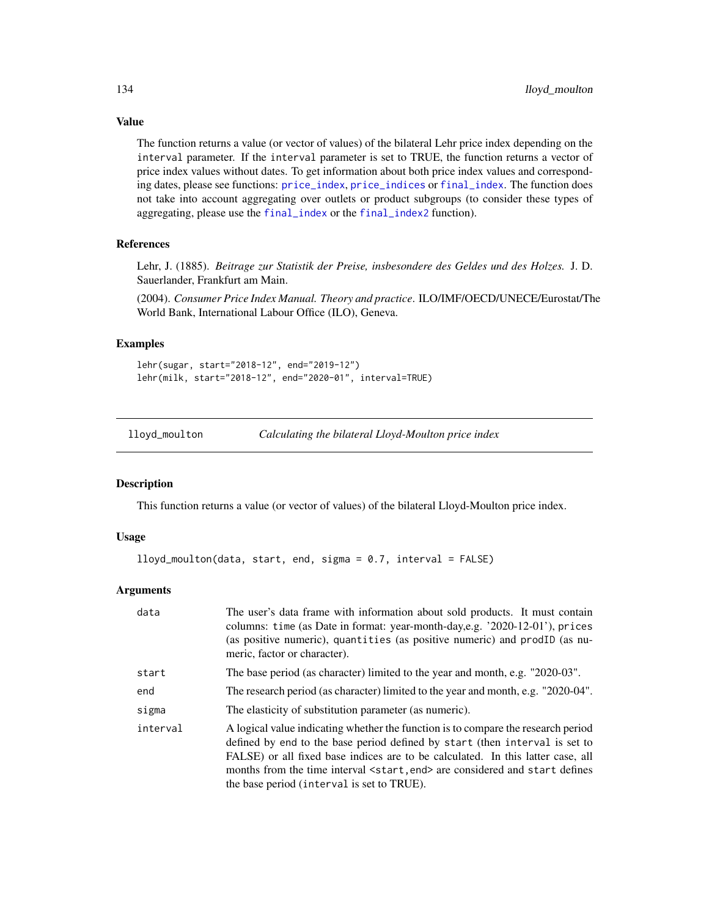The function returns a value (or vector of values) of the bilateral Lehr price index depending on the interval parameter. If the interval parameter is set to TRUE, the function returns a vector of price index values without dates. To get information about both price index values and corresponding dates, please see functions: [price\\_index](#page-153-0), [price\\_indices](#page-154-0) or [final\\_index](#page-72-0). The function does not take into account aggregating over outlets or product subgroups (to consider these types of aggregating, please use the [final\\_index](#page-72-0) or the [final\\_index2](#page-74-0) function).

## References

Lehr, J. (1885). *Beitrage zur Statistik der Preise, insbesondere des Geldes und des Holzes.* J. D. Sauerlander, Frankfurt am Main.

(2004). *Consumer Price Index Manual. Theory and practice*. ILO/IMF/OECD/UNECE/Eurostat/The World Bank, International Labour Office (ILO), Geneva.

# Examples

```
lehr(sugar, start="2018-12", end="2019-12")
lehr(milk, start="2018-12", end="2020-01", interval=TRUE)
```
lloyd\_moulton *Calculating the bilateral Lloyd-Moulton price index*

# Description

This function returns a value (or vector of values) of the bilateral Lloyd-Moulton price index.

#### Usage

```
lloyd_moulton(data, start, end, sigma = 0.7, interval = FALSE)
```

| data     | The user's data frame with information about sold products. It must contain<br>columns: time (as Date in format: year-month-day,e.g. '2020-12-01'), prices<br>(as positive numeric), quantities (as positive numeric) and prodID (as nu-<br>meric, factor or character).                                                                                                                      |
|----------|-----------------------------------------------------------------------------------------------------------------------------------------------------------------------------------------------------------------------------------------------------------------------------------------------------------------------------------------------------------------------------------------------|
| start    | The base period (as character) limited to the year and month, e.g. "2020-03".                                                                                                                                                                                                                                                                                                                 |
| end      | The research period (as character) limited to the year and month, e.g. "2020-04".                                                                                                                                                                                                                                                                                                             |
| sigma    | The elasticity of substitution parameter (as numeric).                                                                                                                                                                                                                                                                                                                                        |
| interval | A logical value indicating whether the function is to compare the research period<br>defined by end to the base period defined by start (then interval is set to<br>FALSE) or all fixed base indices are to be calculated. In this latter case, all<br>months from the time interval <start, end=""> are considered and start defines<br/>the base period (interval is set to TRUE).</start,> |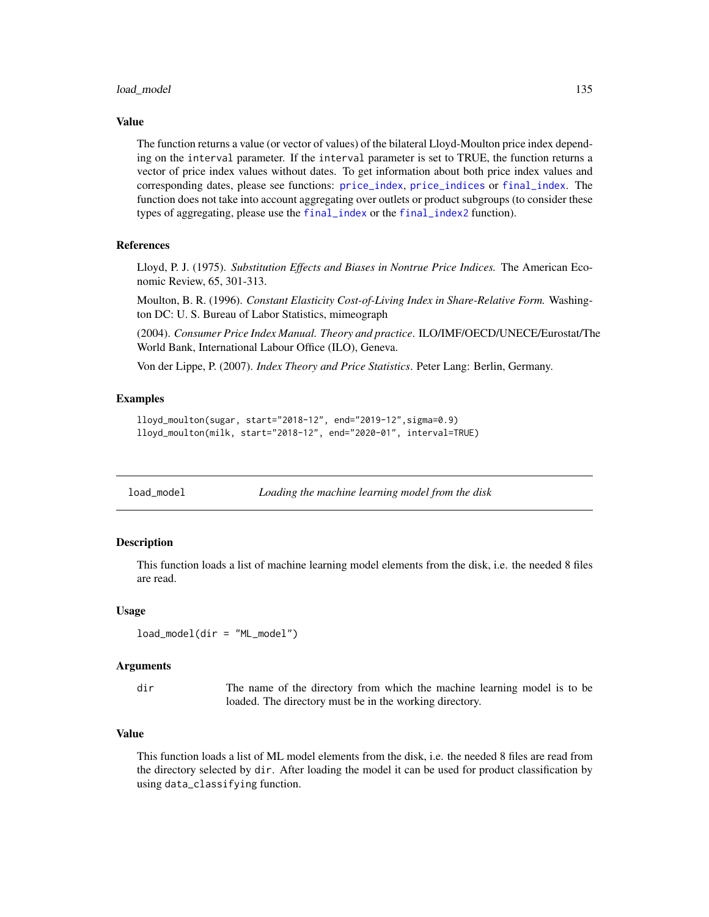#### load\_model 135

## Value

The function returns a value (or vector of values) of the bilateral Lloyd-Moulton price index depending on the interval parameter. If the interval parameter is set to TRUE, the function returns a vector of price index values without dates. To get information about both price index values and corresponding dates, please see functions: [price\\_index](#page-153-0), [price\\_indices](#page-154-0) or [final\\_index](#page-72-0). The function does not take into account aggregating over outlets or product subgroups (to consider these types of aggregating, please use the [final\\_index](#page-72-0) or the [final\\_index2](#page-74-0) function).

## References

Lloyd, P. J. (1975). *Substitution Effects and Biases in Nontrue Price Indices.* The American Economic Review, 65, 301-313.

Moulton, B. R. (1996). *Constant Elasticity Cost-of-Living Index in Share-Relative Form.* Washington DC: U. S. Bureau of Labor Statistics, mimeograph

(2004). *Consumer Price Index Manual. Theory and practice*. ILO/IMF/OECD/UNECE/Eurostat/The World Bank, International Labour Office (ILO), Geneva.

Von der Lippe, P. (2007). *Index Theory and Price Statistics*. Peter Lang: Berlin, Germany.

## Examples

```
lloyd_moulton(sugar, start="2018-12", end="2019-12",sigma=0.9)
lloyd_moulton(milk, start="2018-12", end="2020-01", interval=TRUE)
```
load\_model *Loading the machine learning model from the disk*

## Description

This function loads a list of machine learning model elements from the disk, i.e. the needed 8 files are read.

# Usage

```
load_model(dir = "ML_model")
```
#### Arguments

dir The name of the directory from which the machine learning model is to be loaded. The directory must be in the working directory.

## Value

This function loads a list of ML model elements from the disk, i.e. the needed 8 files are read from the directory selected by dir. After loading the model it can be used for product classification by using data\_classifying function.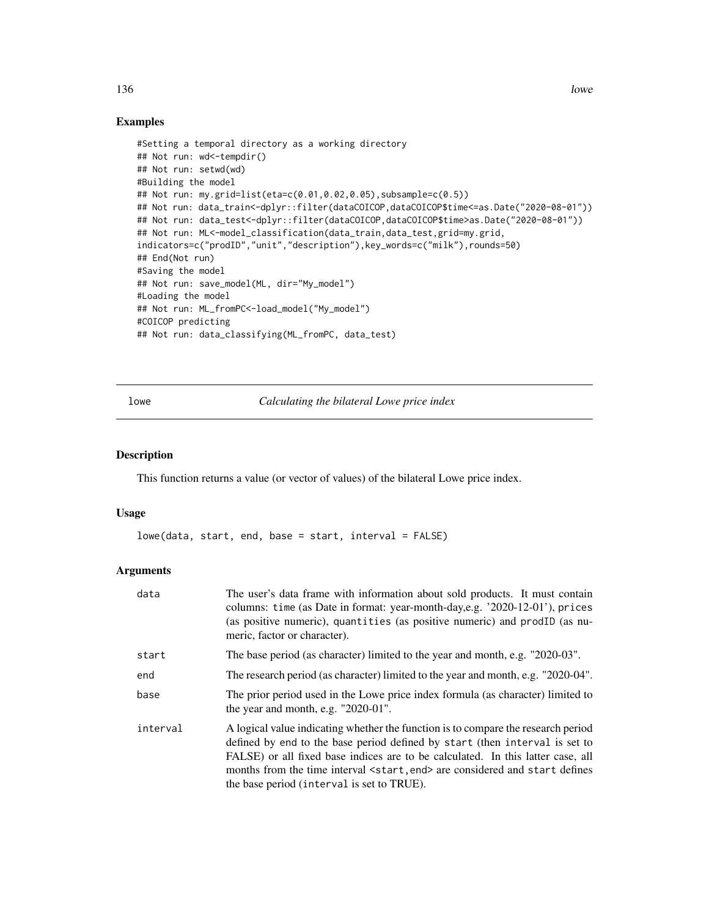#### 136 lower and the set of the set of the set of the set of the set of the set of the set of the set of the set of the set of the set of the set of the set of the set of the set of the set of the set of the set of the set of

## Examples

```
#Setting a temporal directory as a working directory
## Not run: wd<-tempdir()
## Not run: setwd(wd)
#Building the model
## Not run: my.grid=list(eta=c(0.01,0.02,0.05),subsample=c(0.5))
## Not run: data_train<-dplyr::filter(dataCOICOP,dataCOICOP$time<=as.Date("2020-08-01"))
## Not run: data_test<-dplyr::filter(dataCOICOP,dataCOICOP$time>as.Date("2020-08-01"))
## Not run: ML<-model_classification(data_train,data_test,grid=my.grid,
indicators=c("prodID","unit","description"),key_words=c("milk"),rounds=50)
## End(Not run)
#Saving the model
## Not run: save_model(ML, dir="My_model")
#Loading the model
## Not run: ML_fromPC<-load_model("My_model")
#COICOP predicting
## Not run: data_classifying(ML_fromPC, data_test)
```
lowe *Calculating the bilateral Lowe price index*

#### Description

This function returns a value (or vector of values) of the bilateral Lowe price index.

#### Usage

 $lowe(data, start, end, base = start, interval = FALSE)$ 

| data     | The user's data frame with information about sold products. It must contain<br>columns: time (as Date in format: year-month-day,e.g. '2020-12-01'), prices<br>(as positive numeric), quantities (as positive numeric) and prodID (as nu-<br>meric, factor or character).                                                                                                                      |
|----------|-----------------------------------------------------------------------------------------------------------------------------------------------------------------------------------------------------------------------------------------------------------------------------------------------------------------------------------------------------------------------------------------------|
| start    | The base period (as character) limited to the year and month, e.g. "2020-03".                                                                                                                                                                                                                                                                                                                 |
| end      | The research period (as character) limited to the year and month, e.g. "2020-04".                                                                                                                                                                                                                                                                                                             |
| base     | The prior period used in the Lowe price index formula (as character) limited to<br>the year and month, e.g. $"2020-01"$ .                                                                                                                                                                                                                                                                     |
| interval | A logical value indicating whether the function is to compare the research period<br>defined by end to the base period defined by start (then interval is set to<br>FALSE) or all fixed base indices are to be calculated. In this latter case, all<br>months from the time interval <start, end=""> are considered and start defines<br/>the base period (interval is set to TRUE).</start,> |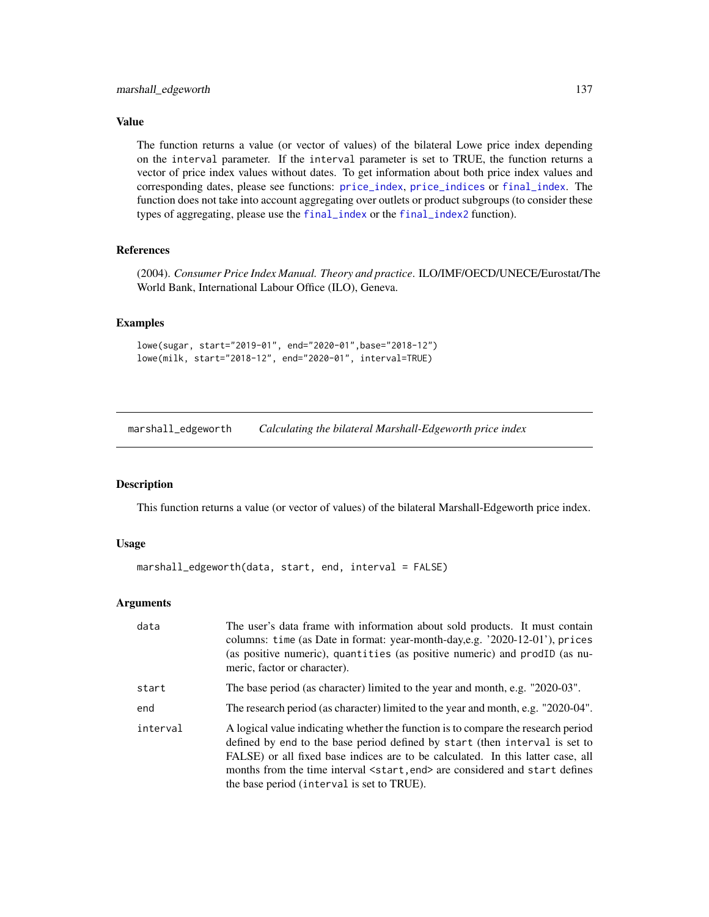The function returns a value (or vector of values) of the bilateral Lowe price index depending on the interval parameter. If the interval parameter is set to TRUE, the function returns a vector of price index values without dates. To get information about both price index values and corresponding dates, please see functions: [price\\_index](#page-153-0), [price\\_indices](#page-154-0) or [final\\_index](#page-72-0). The function does not take into account aggregating over outlets or product subgroups (to consider these types of aggregating, please use the [final\\_index](#page-72-0) or the [final\\_index2](#page-74-0) function).

## References

(2004). *Consumer Price Index Manual. Theory and practice*. ILO/IMF/OECD/UNECE/Eurostat/The World Bank, International Labour Office (ILO), Geneva.

#### Examples

```
lowe(sugar, start="2019-01", end="2020-01",base="2018-12")
lowe(milk, start="2018-12", end="2020-01", interval=TRUE)
```
marshall\_edgeworth *Calculating the bilateral Marshall-Edgeworth price index*

# Description

This function returns a value (or vector of values) of the bilateral Marshall-Edgeworth price index.

### Usage

```
marshall_edgeworth(data, start, end, interval = FALSE)
```

| data     | The user's data frame with information about sold products. It must contain<br>columns: time (as Date in format: year-month-day, e.g. '2020-12-01'), prices<br>(as positive numeric), quantities (as positive numeric) and prodID (as nu-<br>meric, factor or character).                                                                                                                     |
|----------|-----------------------------------------------------------------------------------------------------------------------------------------------------------------------------------------------------------------------------------------------------------------------------------------------------------------------------------------------------------------------------------------------|
| start    | The base period (as character) limited to the year and month, e.g. "2020-03".                                                                                                                                                                                                                                                                                                                 |
| end      | The research period (as character) limited to the year and month, e.g. "2020-04".                                                                                                                                                                                                                                                                                                             |
| interval | A logical value indicating whether the function is to compare the research period<br>defined by end to the base period defined by start (then interval is set to<br>FALSE) or all fixed base indices are to be calculated. In this latter case, all<br>months from the time interval <start, end=""> are considered and start defines<br/>the base period (interval is set to TRUE).</start,> |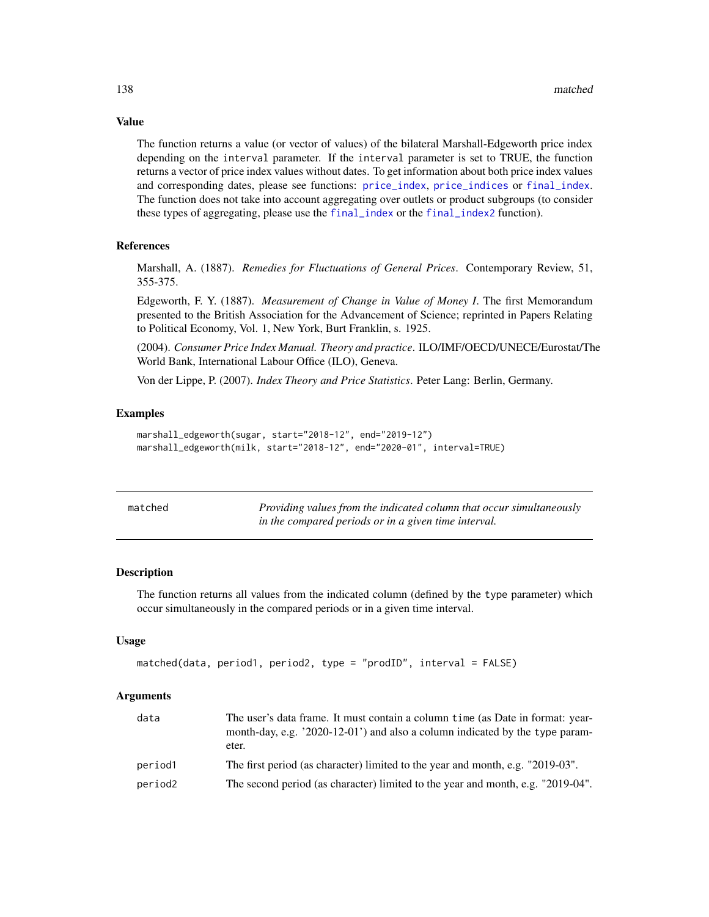The function returns a value (or vector of values) of the bilateral Marshall-Edgeworth price index depending on the interval parameter. If the interval parameter is set to TRUE, the function returns a vector of price index values without dates. To get information about both price index values and corresponding dates, please see functions: [price\\_index](#page-153-0), [price\\_indices](#page-154-0) or [final\\_index](#page-72-0). The function does not take into account aggregating over outlets or product subgroups (to consider these types of aggregating, please use the [final\\_index](#page-72-0) or the [final\\_index2](#page-74-0) function).

## **References**

Marshall, A. (1887). *Remedies for Fluctuations of General Prices*. Contemporary Review, 51, 355-375.

Edgeworth, F. Y. (1887). *Measurement of Change in Value of Money I*. The first Memorandum presented to the British Association for the Advancement of Science; reprinted in Papers Relating to Political Economy, Vol. 1, New York, Burt Franklin, s. 1925.

(2004). *Consumer Price Index Manual. Theory and practice*. ILO/IMF/OECD/UNECE/Eurostat/The World Bank, International Labour Office (ILO), Geneva.

Von der Lippe, P. (2007). *Index Theory and Price Statistics*. Peter Lang: Berlin, Germany.

## Examples

```
marshall_edgeworth(sugar, start="2018-12", end="2019-12")
marshall_edgeworth(milk, start="2018-12", end="2020-01", interval=TRUE)
```

| matched | Providing values from the indicated column that occur simultaneously |
|---------|----------------------------------------------------------------------|
|         | in the compared periods or in a given time interval.                 |

# Description

The function returns all values from the indicated column (defined by the type parameter) which occur simultaneously in the compared periods or in a given time interval.

## Usage

```
matched(data, period1, period2, type = "prodID", interval = FALSE)
```

| data    | The user's data frame. It must contain a column time (as Date in format: year-<br>month-day, e.g. '2020-12-01') and also a column indicated by the type param-<br>eter. |
|---------|-------------------------------------------------------------------------------------------------------------------------------------------------------------------------|
| period1 | The first period (as character) limited to the year and month, e.g. "2019-03".                                                                                          |
| period2 | The second period (as character) limited to the year and month, e.g. "2019-04".                                                                                         |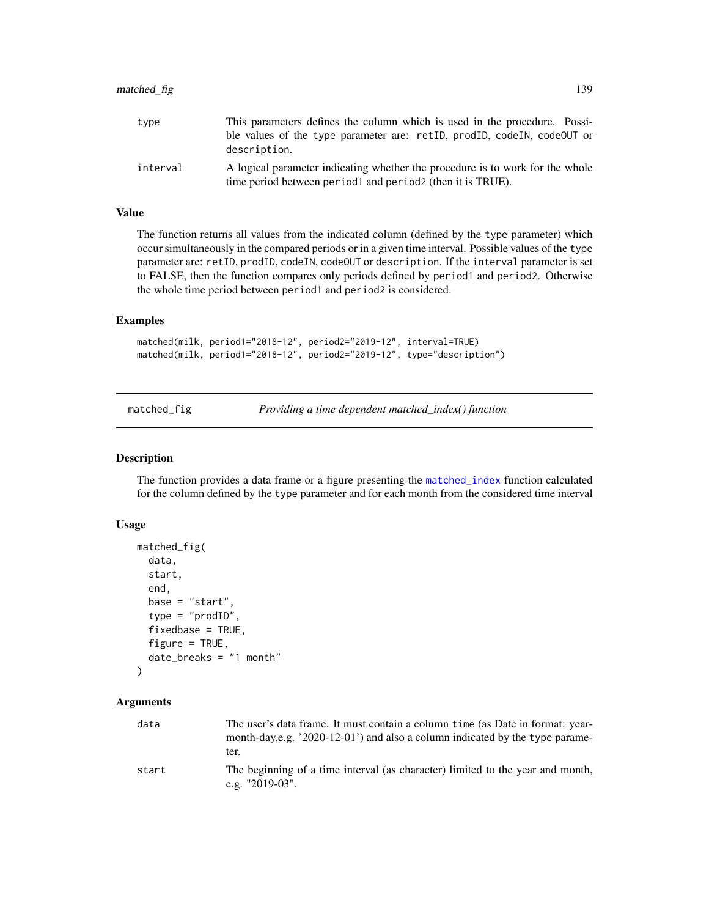| type     | This parameters defines the column which is used in the procedure. Possi-                                                                   |
|----------|---------------------------------------------------------------------------------------------------------------------------------------------|
|          | ble values of the type parameter are: retID, prodID, codeIN, codeOUT or<br>description.                                                     |
| interval | A logical parameter indicating whether the procedure is to work for the whole<br>time period between period and period 2 (then it is TRUE). |

The function returns all values from the indicated column (defined by the type parameter) which occur simultaneously in the compared periods or in a given time interval. Possible values of the type parameter are: retID, prodID, codeIN, codeOUT or description. If the interval parameter is set to FALSE, then the function compares only periods defined by period1 and period2. Otherwise the whole time period between period1 and period2 is considered.

### Examples

```
matched(milk, period1="2018-12", period2="2019-12", interval=TRUE)
matched(milk, period1="2018-12", period2="2019-12", type="description")
```
matched\_fig *Providing a time dependent matched\_index() function*

# **Description**

The function provides a data frame or a figure presenting the [matched\\_index](#page-139-0) function calculated for the column defined by the type parameter and for each month from the considered time interval

#### Usage

```
matched_fig(
  data,
  start,
  end,
  base = "start".
  type = "prodD",fixedbase = TRUE,
  figure = TRUE,
  date_breaks = "1 month"\lambda
```

| data  | The user's data frame. It must contain a column time (as Date in format: year-<br>month-day, e.g. '2020-12-01' and also a column indicated by the type parame- |
|-------|----------------------------------------------------------------------------------------------------------------------------------------------------------------|
|       | ter.                                                                                                                                                           |
| start | The beginning of a time interval (as character) limited to the year and month,<br>e.g. $"2019-03"$ .                                                           |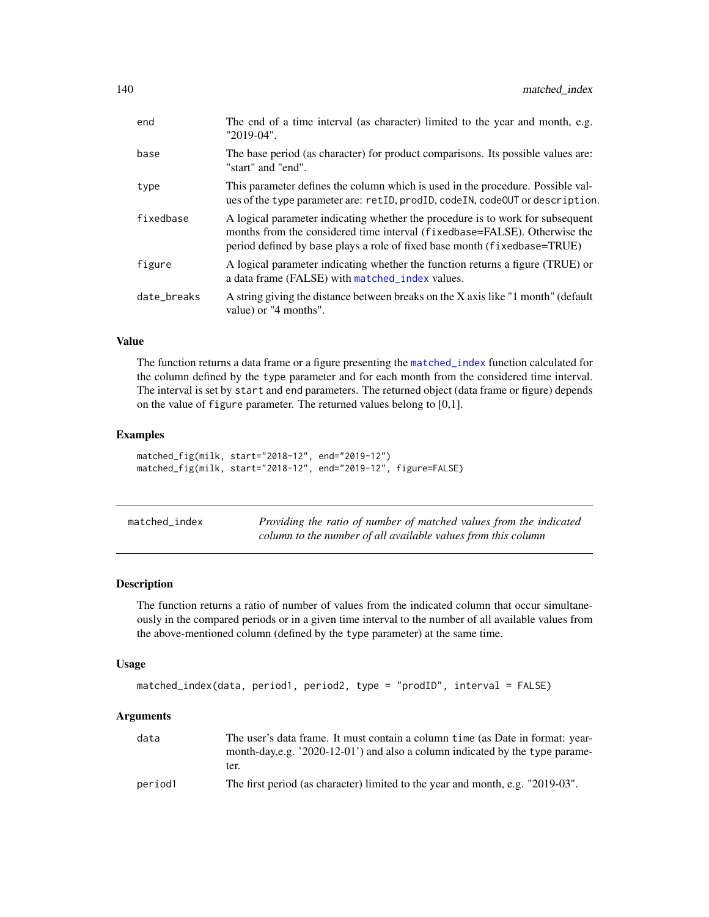| end         | The end of a time interval (as character) limited to the year and month, e.g.<br>"2019-04".                                                                                                                                             |
|-------------|-----------------------------------------------------------------------------------------------------------------------------------------------------------------------------------------------------------------------------------------|
| base        | The base period (as character) for product comparisons. Its possible values are:<br>"start" and "end".                                                                                                                                  |
| type        | This parameter defines the column which is used in the procedure. Possible val-<br>ues of the type parameter are: retID, prodID, codeIN, codeOUT or description.                                                                        |
| fixedbase   | A logical parameter indicating whether the procedure is to work for subsequent<br>months from the considered time interval (fixedbase=FALSE). Otherwise the<br>period defined by base plays a role of fixed base month (fixedbase=TRUE) |
| figure      | A logical parameter indicating whether the function returns a figure (TRUE) or<br>a data frame (FALSE) with matched_index values.                                                                                                       |
| date_breaks | A string giving the distance between breaks on the X axis like "1 month" (default<br>value) or "4 months".                                                                                                                              |

The function returns a data frame or a figure presenting the [matched\\_index](#page-139-0) function calculated for the column defined by the type parameter and for each month from the considered time interval. The interval is set by start and end parameters. The returned object (data frame or figure) depends on the value of figure parameter. The returned values belong to [0,1].

## Examples

```
matched_fig(milk, start="2018-12", end="2019-12")
matched_fig(milk, start="2018-12", end="2019-12", figure=FALSE)
```
<span id="page-139-0"></span>

| matched_index | Providing the ratio of number of matched values from the indicated |
|---------------|--------------------------------------------------------------------|
|               | column to the number of all available values from this column      |

#### Description

The function returns a ratio of number of values from the indicated column that occur simultaneously in the compared periods or in a given time interval to the number of all available values from the above-mentioned column (defined by the type parameter) at the same time.

#### Usage

```
matched_index(data, period1, period2, type = "prodID", interval = FALSE)
```

| data    | The user's data frame. It must contain a column time (as Date in format: year-<br>month-day, e.g. '2020-12-01') and also a column indicated by the type parame-<br>ter. |
|---------|-------------------------------------------------------------------------------------------------------------------------------------------------------------------------|
| period1 | The first period (as character) limited to the year and month, e.g. "2019-03".                                                                                          |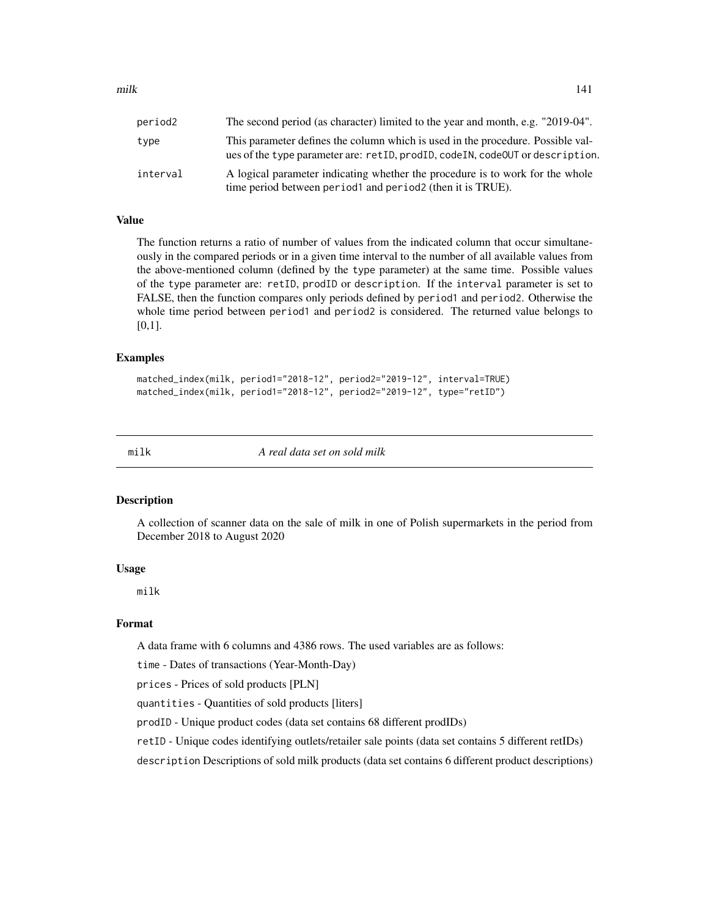| milk |  | 141 |
|------|--|-----|
|      |  |     |

| period2  | The second period (as character) limited to the year and month, e.g. "2019-04".                                                                                  |
|----------|------------------------------------------------------------------------------------------------------------------------------------------------------------------|
| type     | This parameter defines the column which is used in the procedure. Possible val-<br>ues of the type parameter are: retID, prodID, codeIN, codeOUT or description. |
| interval | A logical parameter indicating whether the procedure is to work for the whole<br>time period between period and period 2 (then it is TRUE).                      |

The function returns a ratio of number of values from the indicated column that occur simultaneously in the compared periods or in a given time interval to the number of all available values from the above-mentioned column (defined by the type parameter) at the same time. Possible values of the type parameter are: retID, prodID or description. If the interval parameter is set to FALSE, then the function compares only periods defined by period1 and period2. Otherwise the whole time period between period1 and period2 is considered. The returned value belongs to [0,1].

## Examples

matched\_index(milk, period1="2018-12", period2="2019-12", interval=TRUE) matched\_index(milk, period1="2018-12", period2="2019-12", type="retID")

milk *A real data set on sold milk*

## Description

A collection of scanner data on the sale of milk in one of Polish supermarkets in the period from December 2018 to August 2020

## Usage

milk

# Format

A data frame with 6 columns and 4386 rows. The used variables are as follows:

time - Dates of transactions (Year-Month-Day)

prices - Prices of sold products [PLN]

quantities - Quantities of sold products [liters]

prodID - Unique product codes (data set contains 68 different prodIDs)

retID - Unique codes identifying outlets/retailer sale points (data set contains 5 different retIDs)

description Descriptions of sold milk products (data set contains 6 different product descriptions)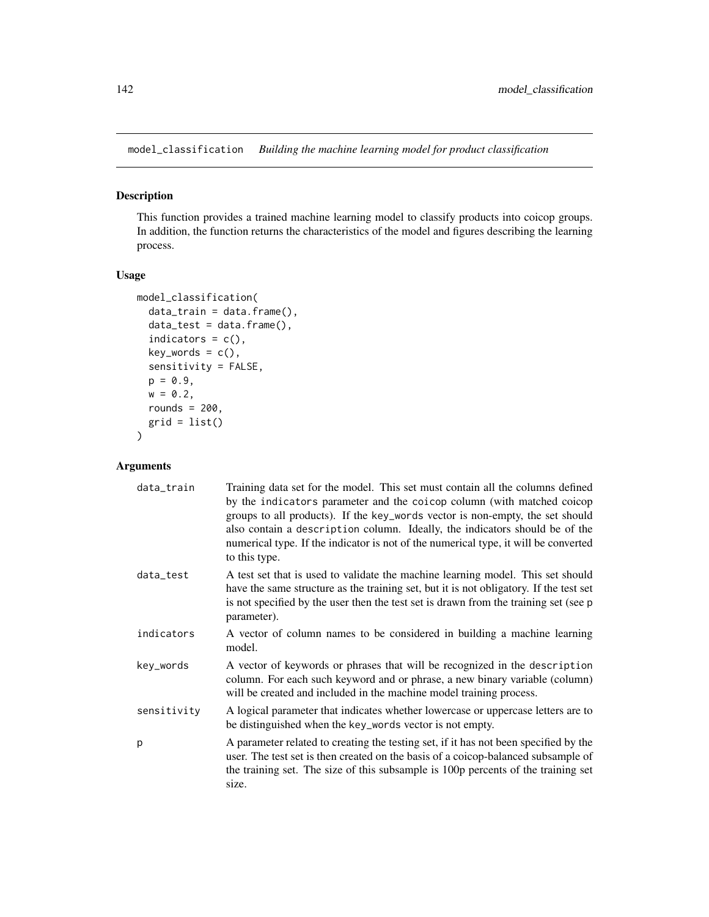model\_classification *Building the machine learning model for product classification*

# Description

This function provides a trained machine learning model to classify products into coicop groups. In addition, the function returns the characteristics of the model and figures describing the learning process.

## Usage

```
model_classification(
  data_train = data.frame(),
  data_test = data.frame(),indicators = c(),
  key\_words = c(),
  sensitivity = FALSE,
 p = 0.9,
 w = 0.2,
  rounds = 200,
  grid = list()\mathcal{E}
```

| data_train  | Training data set for the model. This set must contain all the columns defined<br>by the indicators parameter and the coicop column (with matched coicop<br>groups to all products). If the key_words vector is non-empty, the set should<br>also contain a description column. Ideally, the indicators should be of the<br>numerical type. If the indicator is not of the numerical type, it will be converted<br>to this type. |
|-------------|----------------------------------------------------------------------------------------------------------------------------------------------------------------------------------------------------------------------------------------------------------------------------------------------------------------------------------------------------------------------------------------------------------------------------------|
| data_test   | A test set that is used to validate the machine learning model. This set should<br>have the same structure as the training set, but it is not obligatory. If the test set<br>is not specified by the user then the test set is drawn from the training set (see p<br>parameter).                                                                                                                                                 |
| indicators  | A vector of column names to be considered in building a machine learning<br>model.                                                                                                                                                                                                                                                                                                                                               |
| key_words   | A vector of keywords or phrases that will be recognized in the description<br>column. For each such keyword and or phrase, a new binary variable (column)<br>will be created and included in the machine model training process.                                                                                                                                                                                                 |
| sensitivity | A logical parameter that indicates whether lowercase or uppercase letters are to<br>be distinguished when the key_words vector is not empty.                                                                                                                                                                                                                                                                                     |
| р           | A parameter related to creating the testing set, if it has not been specified by the<br>user. The test set is then created on the basis of a coicop-balanced subsample of<br>the training set. The size of this subsample is 100p percents of the training set<br>size.                                                                                                                                                          |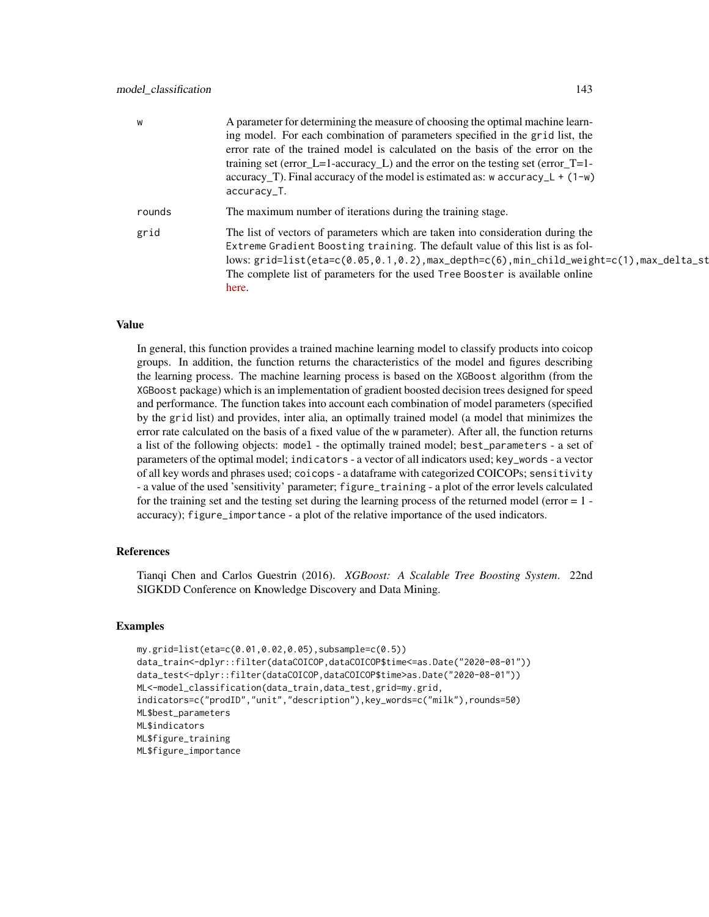| W      | A parameter for determining the measure of choosing the optimal machine learn-<br>ing model. For each combination of parameters specified in the grid list, the<br>error rate of the trained model is calculated on the basis of the error on the<br>training set (error_L=1-accuracy_L) and the error on the testing set (error_T=1-<br>$accuracy_T$ ). Final accuracy of the model is estimated as: w accuracy_L + (1-w)<br>accuracy_T. |
|--------|-------------------------------------------------------------------------------------------------------------------------------------------------------------------------------------------------------------------------------------------------------------------------------------------------------------------------------------------------------------------------------------------------------------------------------------------|
| rounds | The maximum number of iterations during the training stage.                                                                                                                                                                                                                                                                                                                                                                               |
| grid   | The list of vectors of parameters which are taken into consideration during the<br>Extreme Gradient Boosting training. The default value of this list is as fol-<br>lows: grid=list(eta=c(0.05,0.1,0.2),max_depth=c(6),min_child_weight=c(1),max_delta_st<br>The complete list of parameters for the used Tree Booster is available online<br>here.                                                                                       |

In general, this function provides a trained machine learning model to classify products into coicop groups. In addition, the function returns the characteristics of the model and figures describing the learning process. The machine learning process is based on the XGBoost algorithm (from the XGBoost package) which is an implementation of gradient boosted decision trees designed for speed and performance. The function takes into account each combination of model parameters (specified by the grid list) and provides, inter alia, an optimally trained model (a model that minimizes the error rate calculated on the basis of a fixed value of the w parameter). After all, the function returns a list of the following objects: model - the optimally trained model; best\_parameters - a set of parameters of the optimal model; indicators - a vector of all indicators used; key\_words - a vector of all key words and phrases used; coicops - a dataframe with categorized COICOPs; sensitivity - a value of the used 'sensitivity' parameter; figure\_training - a plot of the error levels calculated for the training set and the testing set during the learning process of the returned model (error  $= 1$  accuracy); figure\_importance - a plot of the relative importance of the used indicators.

## References

Tianqi Chen and Carlos Guestrin (2016). *XGBoost: A Scalable Tree Boosting System*. 22nd SIGKDD Conference on Knowledge Discovery and Data Mining.

```
my.grid=list(eta=c(0.01,0.02,0.05),subsample=c(0.5))
data_train<-dplyr::filter(dataCOICOP,dataCOICOP$time<=as.Date("2020-08-01"))
data_test<-dplyr::filter(dataCOICOP,dataCOICOP$time>as.Date("2020-08-01"))
ML<-model_classification(data_train,data_test,grid=my.grid,
indicators=c("prodID","unit","description"),key_words=c("milk"),rounds=50)
ML$best_parameters
ML$indicators
ML$figure_training
ML$figure_importance
```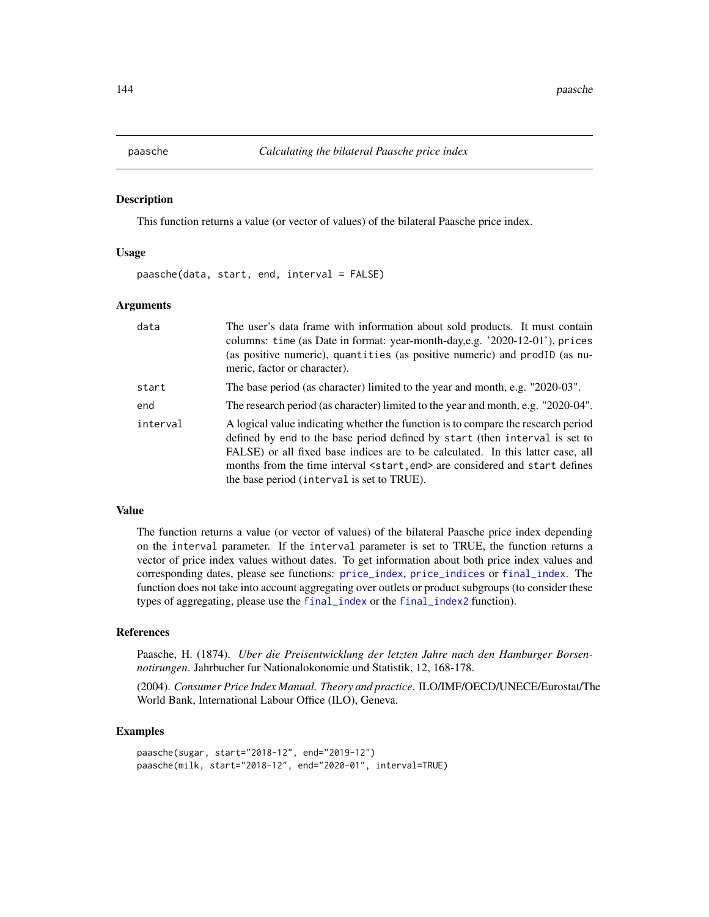This function returns a value (or vector of values) of the bilateral Paasche price index.

#### Usage

paasche(data, start, end, interval = FALSE)

#### Arguments

| data     | The user's data frame with information about sold products. It must contain<br>columns: time (as Date in format: year-month-day, e.g. '2020-12-01'), prices<br>(as positive numeric), quantities (as positive numeric) and prodID (as nu-<br>meric, factor or character).                                                                                                                     |
|----------|-----------------------------------------------------------------------------------------------------------------------------------------------------------------------------------------------------------------------------------------------------------------------------------------------------------------------------------------------------------------------------------------------|
| start    | The base period (as character) limited to the year and month, e.g. "2020-03".                                                                                                                                                                                                                                                                                                                 |
| end      | The research period (as character) limited to the year and month, e.g. "2020-04".                                                                                                                                                                                                                                                                                                             |
| interval | A logical value indicating whether the function is to compare the research period<br>defined by end to the base period defined by start (then interval is set to<br>FALSE) or all fixed base indices are to be calculated. In this latter case, all<br>months from the time interval <start, end=""> are considered and start defines<br/>the base period (interval is set to TRUE).</start,> |

## Value

The function returns a value (or vector of values) of the bilateral Paasche price index depending on the interval parameter. If the interval parameter is set to TRUE, the function returns a vector of price index values without dates. To get information about both price index values and corresponding dates, please see functions: [price\\_index](#page-153-0), [price\\_indices](#page-154-0) or [final\\_index](#page-72-0). The function does not take into account aggregating over outlets or product subgroups (to consider these types of aggregating, please use the [final\\_index](#page-72-0) or the [final\\_index2](#page-74-0) function).

#### References

Paasche, H. (1874). *Uber die Preisentwicklung der letzten Jahre nach den Hamburger Borsennotirungen*. Jahrbucher fur Nationalokonomie und Statistik, 12, 168-178.

(2004). *Consumer Price Index Manual. Theory and practice*. ILO/IMF/OECD/UNECE/Eurostat/The World Bank, International Labour Office (ILO), Geneva.

```
paasche(sugar, start="2018-12", end="2019-12")
paasche(milk, start="2018-12", end="2020-01", interval=TRUE)
```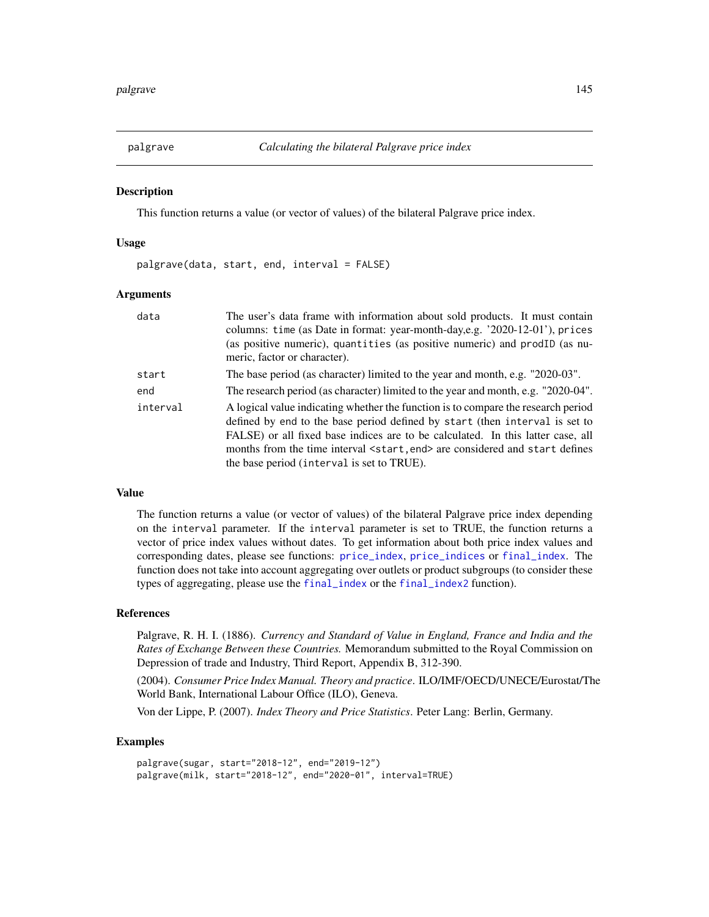<span id="page-144-0"></span>

This function returns a value (or vector of values) of the bilateral Palgrave price index.

## Usage

palgrave(data, start, end, interval = FALSE)

## **Arguments**

| data     | The user's data frame with information about sold products. It must contain<br>columns: time (as Date in format: year-month-day,e.g. '2020-12-01'), prices<br>(as positive numeric), quantities (as positive numeric) and prodID (as nu-<br>meric, factor or character).                                                                                                                      |
|----------|-----------------------------------------------------------------------------------------------------------------------------------------------------------------------------------------------------------------------------------------------------------------------------------------------------------------------------------------------------------------------------------------------|
| start    | The base period (as character) limited to the year and month, e.g. "2020-03".                                                                                                                                                                                                                                                                                                                 |
| end      | The research period (as character) limited to the year and month, e.g. "2020-04".                                                                                                                                                                                                                                                                                                             |
| interval | A logical value indicating whether the function is to compare the research period<br>defined by end to the base period defined by start (then interval is set to<br>FALSE) or all fixed base indices are to be calculated. In this latter case, all<br>months from the time interval <start, end=""> are considered and start defines<br/>the base period (interval is set to TRUE).</start,> |

## Value

The function returns a value (or vector of values) of the bilateral Palgrave price index depending on the interval parameter. If the interval parameter is set to TRUE, the function returns a vector of price index values without dates. To get information about both price index values and corresponding dates, please see functions: [price\\_index](#page-153-0), [price\\_indices](#page-154-0) or [final\\_index](#page-72-0). The function does not take into account aggregating over outlets or product subgroups (to consider these types of aggregating, please use the [final\\_index](#page-72-0) or the [final\\_index2](#page-74-0) function).

#### References

Palgrave, R. H. I. (1886). *Currency and Standard of Value in England, France and India and the Rates of Exchange Between these Countries.* Memorandum submitted to the Royal Commission on Depression of trade and Industry, Third Report, Appendix B, 312-390.

(2004). *Consumer Price Index Manual. Theory and practice*. ILO/IMF/OECD/UNECE/Eurostat/The World Bank, International Labour Office (ILO), Geneva.

Von der Lippe, P. (2007). *Index Theory and Price Statistics*. Peter Lang: Berlin, Germany.

```
palgrave(sugar, start="2018-12", end="2019-12")
palgrave(milk, start="2018-12", end="2020-01", interval=TRUE)
```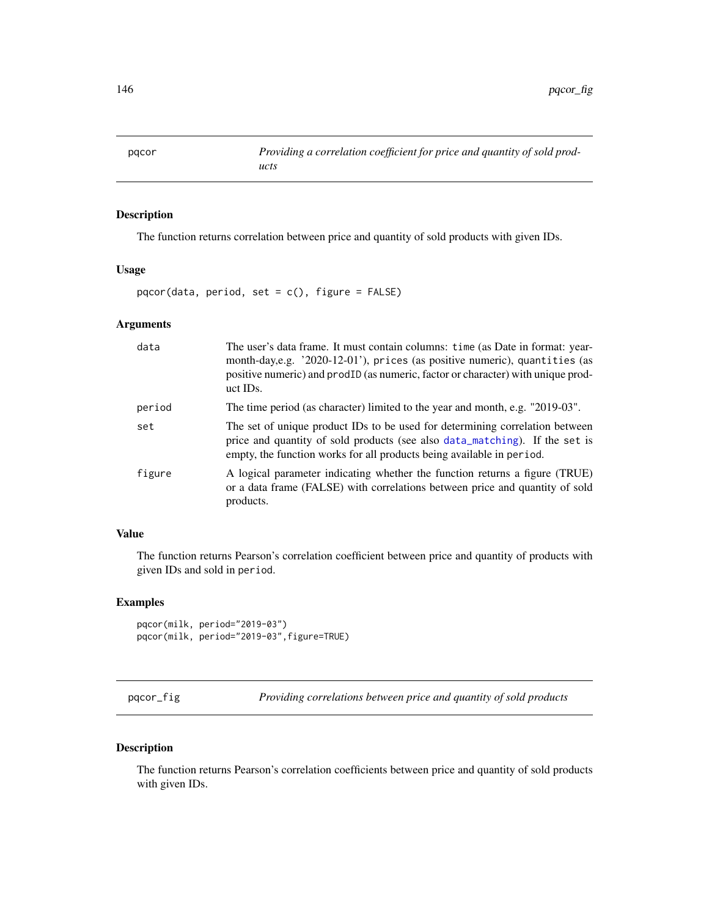<span id="page-145-0"></span>

The function returns correlation between price and quantity of sold products with given IDs.

## Usage

 $pqcor(data, period, set = c(), figure = FALSE)$ 

# Arguments

| data   | The user's data frame. It must contain columns: time (as Date in format: year-<br>month-day, e.g. '2020-12-01'), prices (as positive numeric), quantities (as<br>positive numeric) and prodID (as numeric, factor or character) with unique prod-<br>uct IDs. |
|--------|---------------------------------------------------------------------------------------------------------------------------------------------------------------------------------------------------------------------------------------------------------------|
| period | The time period (as character) limited to the year and month, e.g. "2019-03".                                                                                                                                                                                 |
| set    | The set of unique product IDs to be used for determining correlation between<br>price and quantity of sold products (see also data_matching). If the set is<br>empty, the function works for all products being available in period.                          |
| figure | A logical parameter indicating whether the function returns a figure (TRUE)<br>or a data frame (FALSE) with correlations between price and quantity of sold<br>products.                                                                                      |

## Value

The function returns Pearson's correlation coefficient between price and quantity of products with given IDs and sold in period.

# Examples

pqcor(milk, period="2019-03") pqcor(milk, period="2019-03",figure=TRUE)

<span id="page-145-1"></span>pqcor\_fig *Providing correlations between price and quantity of sold products*

## Description

The function returns Pearson's correlation coefficients between price and quantity of sold products with given IDs.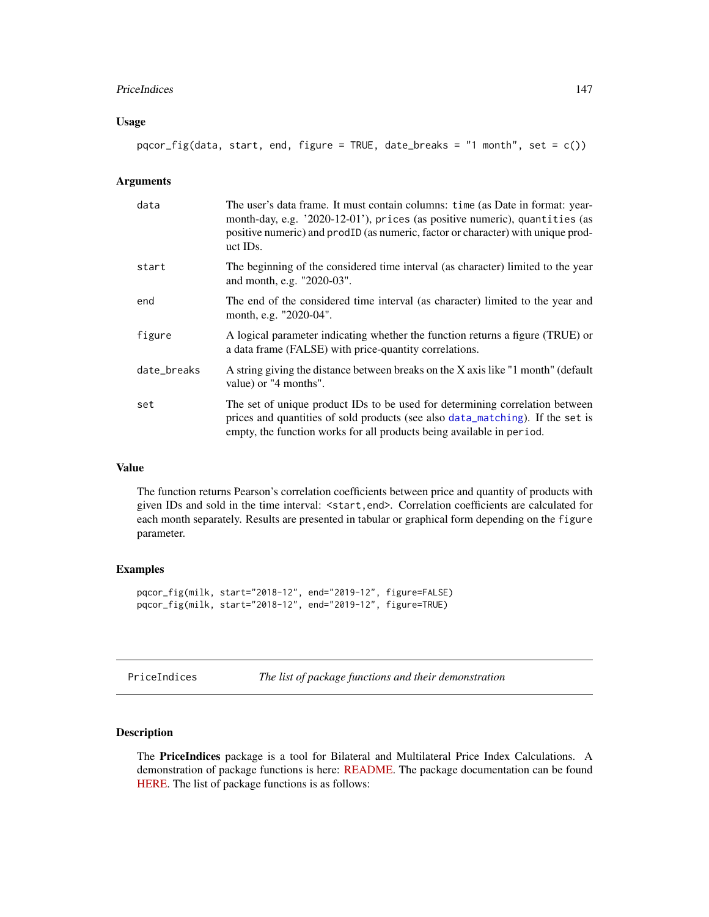#### PriceIndices 2002 2012 2022 2023 2024 2022 2022 2023 2024 2022 2023 2024 2022 2023 2024 2022 2023 2024 2022 20

# Usage

pqcor\_fig(data, start, end, figure = TRUE, date\_breaks = "1 month", set = c())

# Arguments

| data        | The user's data frame. It must contain columns: time (as Date in format: year-<br>month-day, e.g. '2020-12-01'), prices (as positive numeric), quantities (as<br>positive numeric) and prodID (as numeric, factor or character) with unique prod-<br>uct IDs. |
|-------------|---------------------------------------------------------------------------------------------------------------------------------------------------------------------------------------------------------------------------------------------------------------|
| start       | The beginning of the considered time interval (as character) limited to the year<br>and month, e.g. "2020-03".                                                                                                                                                |
| end         | The end of the considered time interval (as character) limited to the year and<br>month, e.g. "2020-04".                                                                                                                                                      |
| figure      | A logical parameter indicating whether the function returns a figure (TRUE) or<br>a data frame (FALSE) with price-quantity correlations.                                                                                                                      |
| date_breaks | A string giving the distance between breaks on the X axis like "1 month" (default<br>value) or "4 months".                                                                                                                                                    |
| set         | The set of unique product IDs to be used for determining correlation between<br>prices and quantities of sold products (see also data_matching). If the set is<br>empty, the function works for all products being available in period.                       |

#### Value

The function returns Pearson's correlation coefficients between price and quantity of products with given IDs and sold in the time interval: <start,end>. Correlation coefficients are calculated for each month separately. Results are presented in tabular or graphical form depending on the figure parameter.

## Examples

```
pqcor_fig(milk, start="2018-12", end="2019-12", figure=FALSE)
pqcor_fig(milk, start="2018-12", end="2019-12", figure=TRUE)
```
<span id="page-146-0"></span>PriceIndices *The list of package functions and their demonstration*

# Description

The PriceIndices package is a tool for Bilateral and Multilateral Price Index Calculations. A demonstration of package functions is here: [README.](https://github.com/JacekBialek/important_documents/blob/main/README.pdf) The package documentation can be found [HERE.](https://github.com/JacekBialek/important_documents/blob/main/PriceIndices_manual.pdf) The list of package functions is as follows: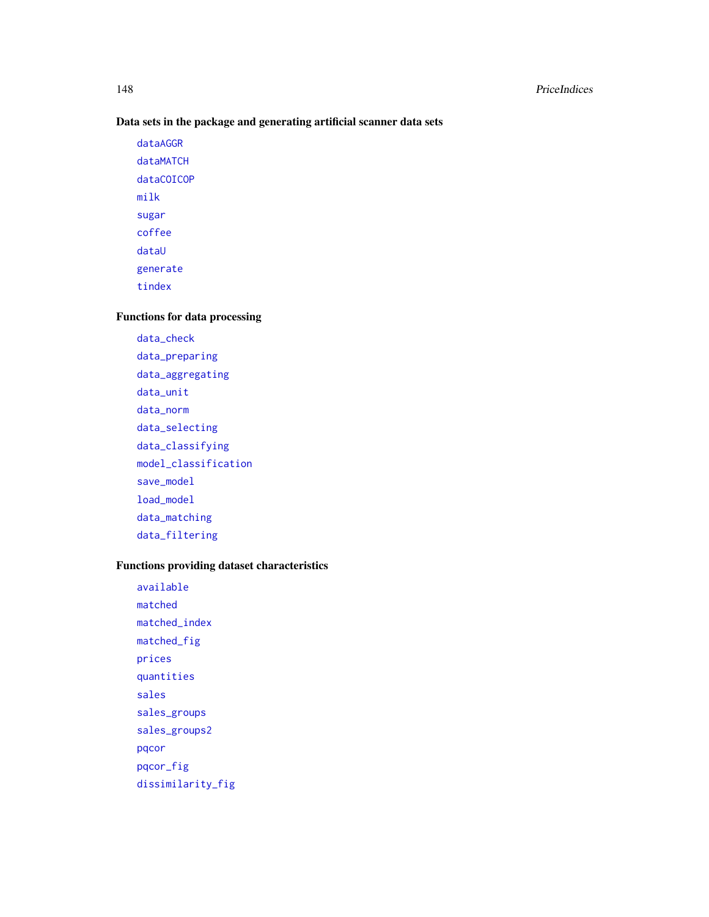# Data sets in the package and generating artificial scanner data sets

[dataAGGR](#page-55-0) [dataMATCH](#page-56-0) [dataCOICOP](#page-55-1) [milk](#page-140-0) [sugar](#page-165-0) [coffee](#page-47-0) [dataU](#page-56-1) [generate](#page-117-0) [tindex](#page-166-0)

# Functions for data processing

[data\\_check](#page-58-0) [data\\_preparing](#page-63-0) [data\\_aggregating](#page-57-0) [data\\_unit](#page-66-0) [data\\_norm](#page-62-0) [data\\_selecting](#page-65-0) [data\\_classifying](#page-58-1) [model\\_classification](#page-141-0) [save\\_model](#page-162-0) [load\\_model](#page-134-0) [data\\_matching](#page-60-0) [data\\_filtering](#page-59-0)

# Functions providing dataset characteristics

[available](#page-5-0) [matched](#page-137-0) [matched\\_index](#page-139-0) [matched\\_fig](#page-138-0) [prices](#page-152-0) [quantities](#page-157-0) [sales](#page-158-0) [sales\\_groups](#page-159-0) [sales\\_groups2](#page-160-0) [pqcor](#page-145-0) [pqcor\\_fig](#page-145-1)

[dissimilarity\\_fig](#page-69-0)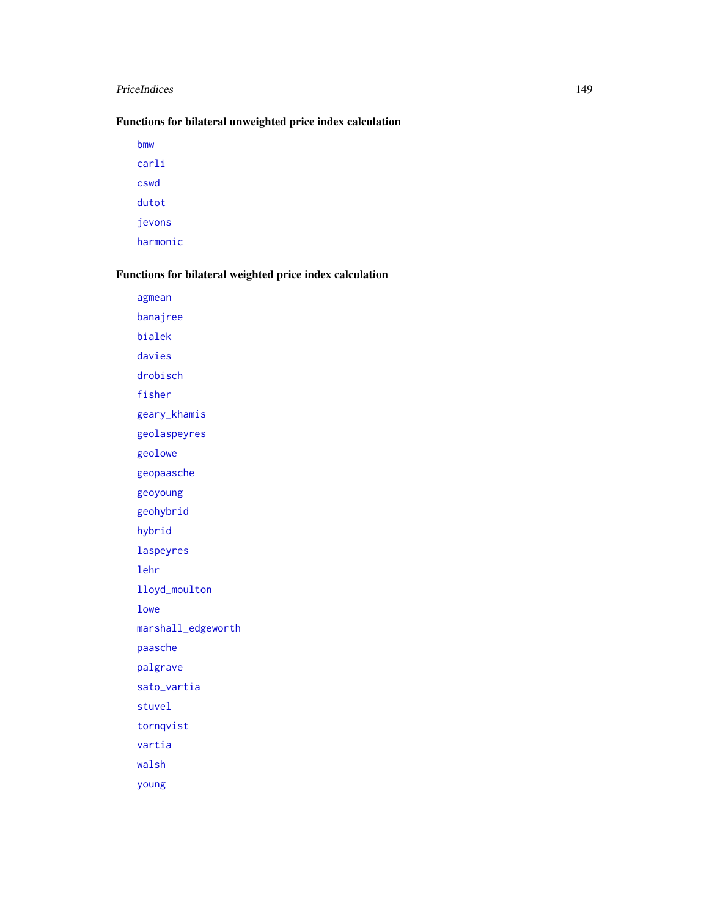# PriceIndices 2008 149

# Functions for bilateral unweighted price index calculation

[bmw](#page-8-0) [carli](#page-9-0) [cswd](#page-53-0) [dutot](#page-71-0) [jevons](#page-130-0) [harmonic](#page-128-0)

# Functions for bilateral weighted price index calculation

[agmean](#page-4-0) [banajree](#page-6-0) [bialek](#page-7-0) [davies](#page-67-0) [drobisch](#page-70-0) [fisher](#page-76-0) [geary\\_khamis](#page-77-0) [geolaspeyres](#page-120-0) [geolowe](#page-121-0) [geopaasche](#page-122-0) [geoyoung](#page-123-0) [geohybrid](#page-119-0) [hybrid](#page-129-0) [laspeyres](#page-131-0) [lehr](#page-132-0) [lloyd\\_moulton](#page-133-0) [lowe](#page-135-0) [marshall\\_edgeworth](#page-136-0) [paasche](#page-143-0) [palgrave](#page-144-0) [sato\\_vartia](#page-161-0) [stuvel](#page-164-0) [tornqvist](#page-167-0) [vartia](#page-172-0) [walsh](#page-173-0) [young](#page-204-0)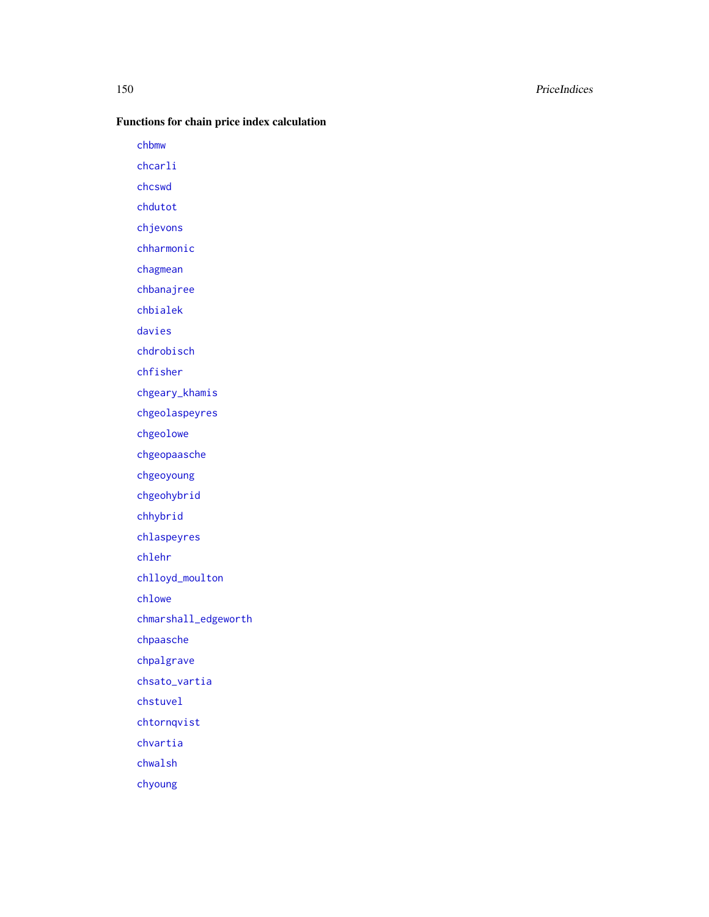# Functions for chain price index calculation

[chbmw](#page-18-0)

[chcarli](#page-19-0)

[chcswd](#page-20-0)

[chdutot](#page-23-0)

[chjevons](#page-33-0)

[chharmonic](#page-31-0)

[chagmean](#page-15-0)

[chbanajree](#page-16-0)

[chbialek](#page-17-0)

[davies](#page-67-0)

[chdrobisch](#page-22-0)

[chfisher](#page-24-0)

[chgeary\\_khamis](#page-25-0)

[chgeolaspeyres](#page-27-0)

[chgeolowe](#page-28-0)

[chgeopaasche](#page-29-0)

[chgeoyoung](#page-30-0)

[chgeohybrid](#page-26-0)

[chhybrid](#page-32-0)

[chlaspeyres](#page-34-0)

[chlehr](#page-35-0)

[chlloyd\\_moulton](#page-36-0)

[chlowe](#page-37-0)

[chmarshall\\_edgeworth](#page-38-0)

[chpaasche](#page-39-0)

[chpalgrave](#page-40-0)

[chsato\\_vartia](#page-41-0)

[chstuvel](#page-42-0)

[chtornqvist](#page-43-0)

[chvartia](#page-44-0)

[chwalsh](#page-45-0)

[chyoung](#page-46-0)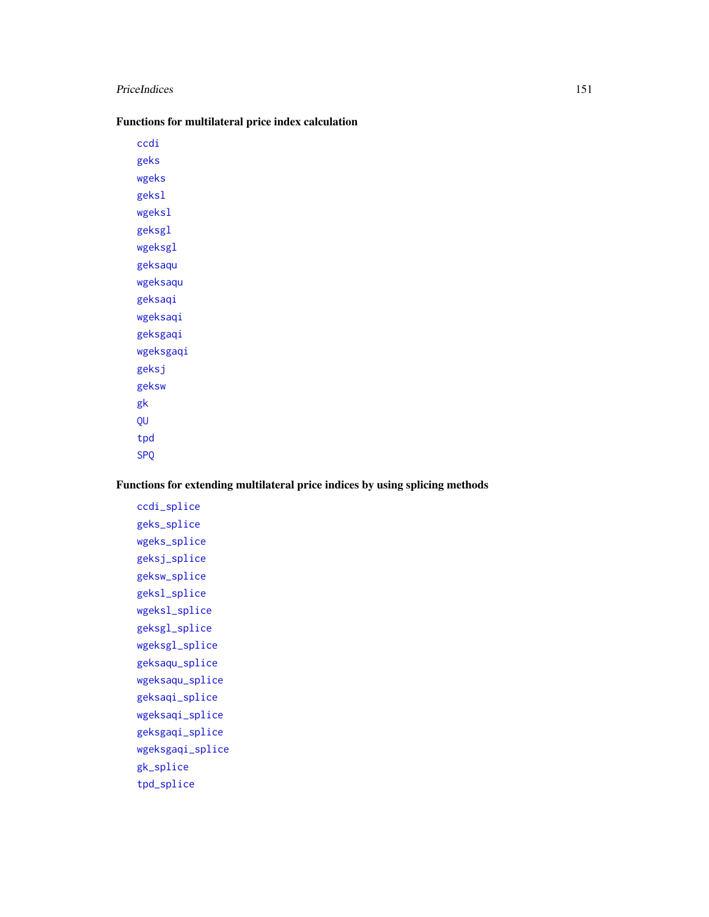#### PriceIndices 151

# Functions for multilateral price index calculation

[ccdi](#page-10-0) [geks](#page-78-0) [wgeks](#page-174-0) [geksl](#page-104-0) [wgeksl](#page-195-0) [geksgl](#page-94-0) [wgeksgl](#page-190-0) [geksaqu](#page-84-0) [wgeksaqu](#page-180-0) [geksaqi](#page-79-0) [wgeksaqi](#page-175-0) [geksgaqi](#page-89-0) [wgeksgaqi](#page-185-0) [geksj](#page-99-0) [geksw](#page-109-0) [gk](#page-124-0) [QU](#page-156-0) [tpd](#page-168-0) [SPQ](#page-163-0)

# Functions for extending multilateral price indices by using splicing methods

[ccdi\\_splice](#page-13-0) [geks\\_splice](#page-116-0) [wgeks\\_splice](#page-202-0) [geksj\\_splice](#page-102-0) [geksw\\_splice](#page-112-0) [geksl\\_splice](#page-107-0) [wgeksl\\_splice](#page-198-0) [geksgl\\_splice](#page-97-0) [wgeksgl\\_splice](#page-194-0) [geksaqu\\_splice](#page-87-0) [wgeksaqu\\_splice](#page-184-0) [geksaqi\\_splice](#page-82-0) [wgeksaqi\\_splice](#page-179-0) [geksgaqi\\_splice](#page-92-0) [wgeksgaqi\\_splice](#page-189-0) [gk\\_splice](#page-127-0) [tpd\\_splice](#page-171-0)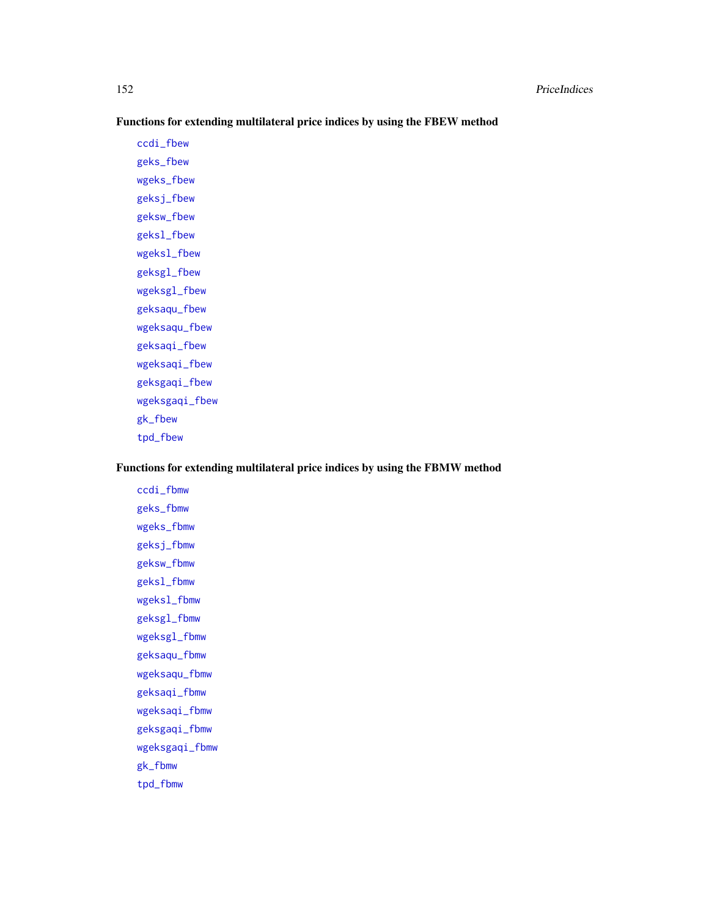# Functions for extending multilateral price indices by using the FBEW method

[ccdi\\_fbew](#page-11-0) [geks\\_fbew](#page-114-0) [wgeks\\_fbew](#page-200-0) [geksj\\_fbew](#page-100-0) [geksw\\_fbew](#page-110-0) [geksl\\_fbew](#page-105-0) [wgeksl\\_fbew](#page-196-0) [geksgl\\_fbew](#page-95-0) [wgeksgl\\_fbew](#page-191-0) [geksaqu\\_fbew](#page-85-0) [wgeksaqu\\_fbew](#page-181-0) [geksaqi\\_fbew](#page-80-0) [wgeksaqi\\_fbew](#page-177-0) [geksgaqi\\_fbew](#page-90-0) [wgeksgaqi\\_fbew](#page-186-0) [gk\\_fbew](#page-125-0) [tpd\\_fbew](#page-169-0)

## Functions for extending multilateral price indices by using the FBMW method

[ccdi\\_fbmw](#page-12-0) [geks\\_fbmw](#page-115-0) [wgeks\\_fbmw](#page-201-0) [geksj\\_fbmw](#page-101-0) [geksw\\_fbmw](#page-111-0) [geksl\\_fbmw](#page-106-0) [wgeksl\\_fbmw](#page-197-0) [geksgl\\_fbmw](#page-96-0) [wgeksgl\\_fbmw](#page-193-0) [geksaqu\\_fbmw](#page-86-0) [wgeksaqu\\_fbmw](#page-183-0) [geksaqi\\_fbmw](#page-81-0) [wgeksaqi\\_fbmw](#page-178-0) [geksgaqi\\_fbmw](#page-91-0) [wgeksgaqi\\_fbmw](#page-188-0) [gk\\_fbmw](#page-126-0) [tpd\\_fbmw](#page-170-0)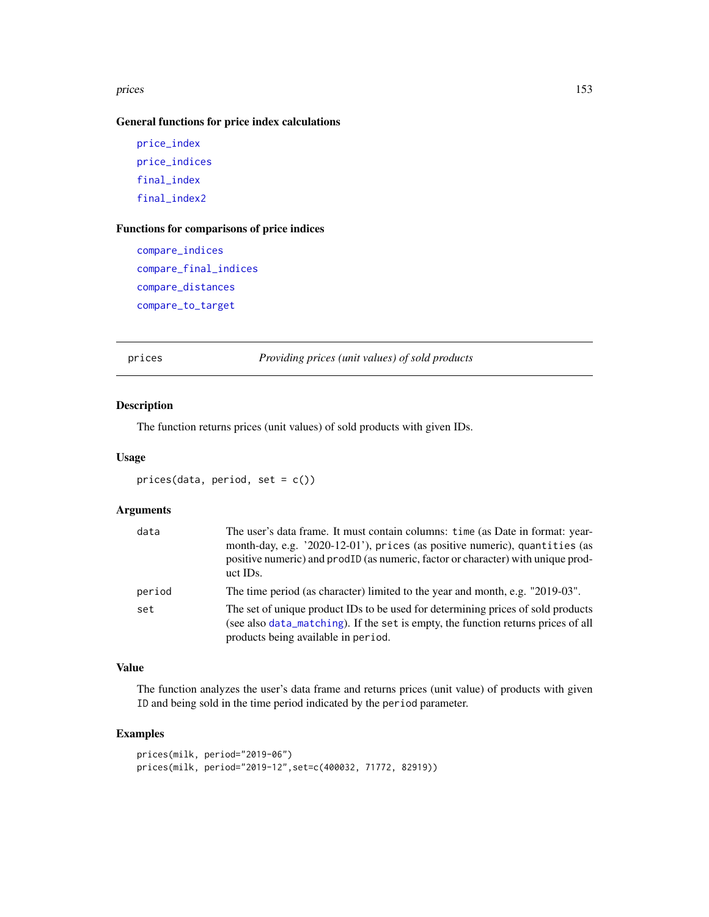#### prices and the state of the state of the state of the state of the state of the state of the state of the state of the state of the state of the state of the state of the state of the state of the state of the state of the

## General functions for price index calculations

[price\\_index](#page-153-0) [price\\_indices](#page-154-0) [final\\_index](#page-72-0) [final\\_index2](#page-74-0)

# Functions for comparisons of price indices

```
compare_indices
compare_final_indices
compare_distances
compare_to_target
```
<span id="page-152-0"></span>prices *Providing prices (unit values) of sold products*

# Description

The function returns prices (unit values) of sold products with given IDs.

## Usage

prices(data, period, set =  $c()$ )

## Arguments

| data   | The user's data frame. It must contain columns: time (as Date in format: year-<br>month-day, e.g. '2020-12-01'), prices (as positive numeric), quantities (as<br>positive numeric) and prodID (as numeric, factor or character) with unique prod-<br>uct IDs. |
|--------|---------------------------------------------------------------------------------------------------------------------------------------------------------------------------------------------------------------------------------------------------------------|
| period | The time period (as character) limited to the year and month, e.g. "2019-03".                                                                                                                                                                                 |
| set    | The set of unique product IDs to be used for determining prices of sold products<br>(see also data_matching). If the set is empty, the function returns prices of all<br>products being available in period.                                                  |

## Value

The function analyzes the user's data frame and returns prices (unit value) of products with given ID and being sold in the time period indicated by the period parameter.

```
prices(milk, period="2019-06")
prices(milk, period="2019-12",set=c(400032, 71772, 82919))
```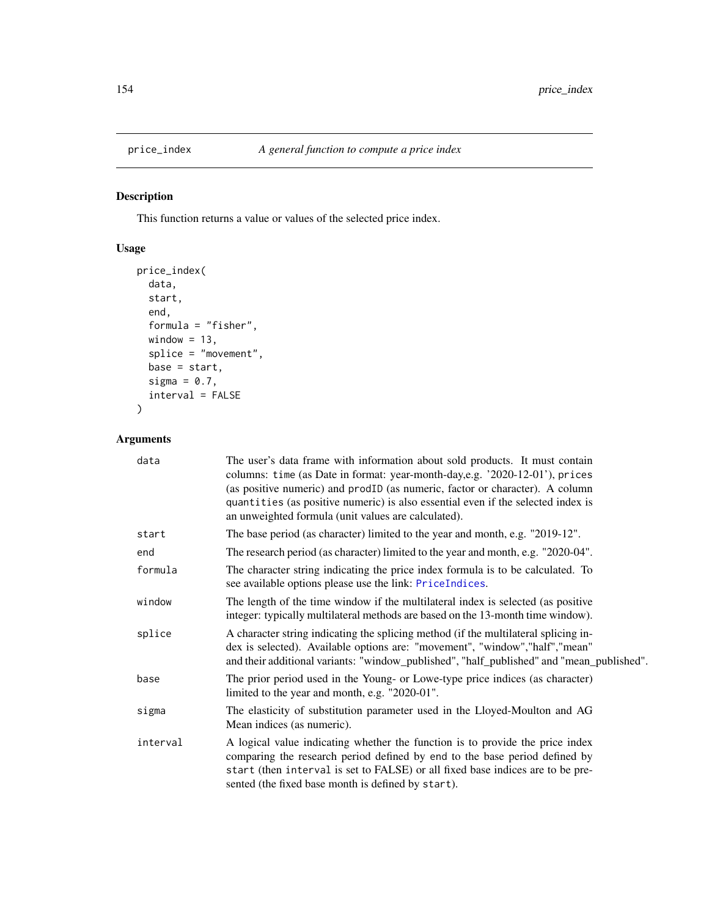<span id="page-153-0"></span>

This function returns a value or values of the selected price index.

# Usage

```
price_index(
 data,
  start,
  end,
  formula = "fisher",
 window = 13,
  splice = "movement",
 base = start,
  sigma = 0.7,
  interval = FALSE
\mathcal{L}
```

| data     | The user's data frame with information about sold products. It must contain<br>columns: time (as Date in format: year-month-day,e.g. '2020-12-01'), prices<br>(as positive numeric) and prodID (as numeric, factor or character). A column<br>quantities (as positive numeric) is also essential even if the selected index is<br>an unweighted formula (unit values are calculated). |
|----------|---------------------------------------------------------------------------------------------------------------------------------------------------------------------------------------------------------------------------------------------------------------------------------------------------------------------------------------------------------------------------------------|
| start    | The base period (as character) limited to the year and month, e.g. "2019-12".                                                                                                                                                                                                                                                                                                         |
| end      | The research period (as character) limited to the year and month, e.g. "2020-04".                                                                                                                                                                                                                                                                                                     |
| formula  | The character string indicating the price index formula is to be calculated. To<br>see available options please use the link: PriceIndices.                                                                                                                                                                                                                                           |
| window   | The length of the time window if the multilateral index is selected (as positive<br>integer: typically multilateral methods are based on the 13-month time window).                                                                                                                                                                                                                   |
| splice   | A character string indicating the splicing method (if the multilateral splicing in-<br>dex is selected). Available options are: "movement", "window","half","mean"<br>and their additional variants: "window_published", "half_published" and "mean_published".                                                                                                                       |
| base     | The prior period used in the Young- or Lowe-type price indices (as character)<br>limited to the year and month, e.g. "2020-01".                                                                                                                                                                                                                                                       |
| sigma    | The elasticity of substitution parameter used in the Lloyed-Moulton and AG<br>Mean indices (as numeric).                                                                                                                                                                                                                                                                              |
| interval | A logical value indicating whether the function is to provide the price index<br>comparing the research period defined by end to the base period defined by<br>start (then interval is set to FALSE) or all fixed base indices are to be pre-<br>sented (the fixed base month is defined by start).                                                                                   |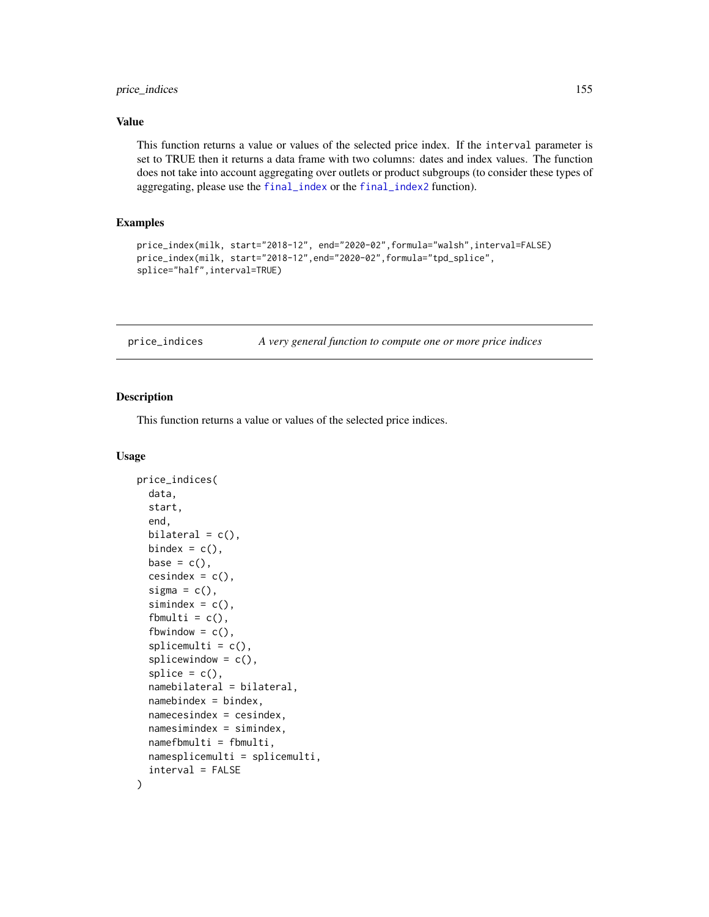# price\_indices 155

## Value

This function returns a value or values of the selected price index. If the interval parameter is set to TRUE then it returns a data frame with two columns: dates and index values. The function does not take into account aggregating over outlets or product subgroups (to consider these types of aggregating, please use the [final\\_index](#page-72-0) or the [final\\_index2](#page-74-0) function).

#### Examples

```
price_index(milk, start="2018-12", end="2020-02",formula="walsh",interval=FALSE)
price_index(milk, start="2018-12",end="2020-02",formula="tpd_splice",
splice="half",interval=TRUE)
```
<span id="page-154-0"></span>price\_indices *A very general function to compute one or more price indices*

#### Description

This function returns a value or values of the selected price indices.

```
price_indices(
  data,
  start,
  end,
  bilateral = c(),
  bindex = c(),
  base = c(),
  cesindex = c(),
  sigma = c(),
  simindex = c(),
  fbmulti = c(),
  fbwindow = c(),
  splitcemulti = c(),
  splitcewindow = c(),
  splitce = c(),
  namebilateral = bilateral,
  namebindex = bindex,
  namecesindex = cesindex,
  namesimindex = simindex,
  namefbmulti = fbmulti,
  namesplicemulti = splicemulti,
  interval = FALSE
```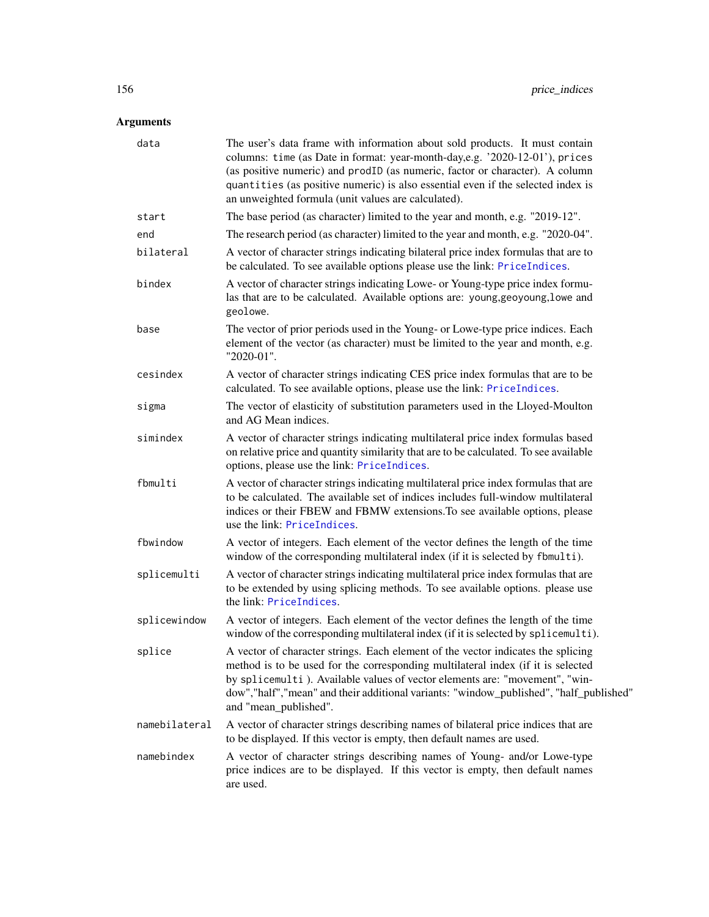| data          | The user's data frame with information about sold products. It must contain<br>columns: time (as Date in format: year-month-day,e.g. '2020-12-01'), prices<br>(as positive numeric) and prodID (as numeric, factor or character). A column<br>quantities (as positive numeric) is also essential even if the selected index is<br>an unweighted formula (unit values are calculated). |
|---------------|---------------------------------------------------------------------------------------------------------------------------------------------------------------------------------------------------------------------------------------------------------------------------------------------------------------------------------------------------------------------------------------|
| start         | The base period (as character) limited to the year and month, e.g. "2019-12".                                                                                                                                                                                                                                                                                                         |
| end           | The research period (as character) limited to the year and month, e.g. "2020-04".                                                                                                                                                                                                                                                                                                     |
| bilateral     | A vector of character strings indicating bilateral price index formulas that are to<br>be calculated. To see available options please use the link: PriceIndices.                                                                                                                                                                                                                     |
| bindex        | A vector of character strings indicating Lowe- or Young-type price index formu-<br>las that are to be calculated. Available options are: young, geoyoung, lowe and<br>geolowe.                                                                                                                                                                                                        |
| base          | The vector of prior periods used in the Young- or Lowe-type price indices. Each<br>element of the vector (as character) must be limited to the year and month, e.g.<br>"2020-01".                                                                                                                                                                                                     |
| cesindex      | A vector of character strings indicating CES price index formulas that are to be<br>calculated. To see available options, please use the link: PriceIndices.                                                                                                                                                                                                                          |
| sigma         | The vector of elasticity of substitution parameters used in the Lloyed-Moulton<br>and AG Mean indices.                                                                                                                                                                                                                                                                                |
| simindex      | A vector of character strings indicating multilateral price index formulas based<br>on relative price and quantity similarity that are to be calculated. To see available<br>options, please use the link: PriceIndices.                                                                                                                                                              |
| fbmulti       | A vector of character strings indicating multilateral price index formulas that are<br>to be calculated. The available set of indices includes full-window multilateral<br>indices or their FBEW and FBMW extensions. To see available options, please<br>use the link: PriceIndices.                                                                                                 |
| fbwindow      | A vector of integers. Each element of the vector defines the length of the time<br>window of the corresponding multilateral index (if it is selected by fbmulti).                                                                                                                                                                                                                     |
| splicemulti   | A vector of character strings indicating multilateral price index formulas that are<br>to be extended by using splicing methods. To see available options. please use<br>the link: PriceIndices.                                                                                                                                                                                      |
| splicewindow  | A vector of integers. Each element of the vector defines the length of the time<br>window of the corresponding multilateral index (if it is selected by splicemulti).                                                                                                                                                                                                                 |
| splice        | A vector of character strings. Each element of the vector indicates the splicing<br>method is to be used for the corresponding multilateral index (if it is selected<br>by splicemulti). Available values of vector elements are: "movement", "win-<br>dow","half","mean" and their additional variants: "window_published", "half_published"<br>and "mean_published".                |
| namebilateral | A vector of character strings describing names of bilateral price indices that are<br>to be displayed. If this vector is empty, then default names are used.                                                                                                                                                                                                                          |
| namebindex    | A vector of character strings describing names of Young- and/or Lowe-type<br>price indices are to be displayed. If this vector is empty, then default names<br>are used.                                                                                                                                                                                                              |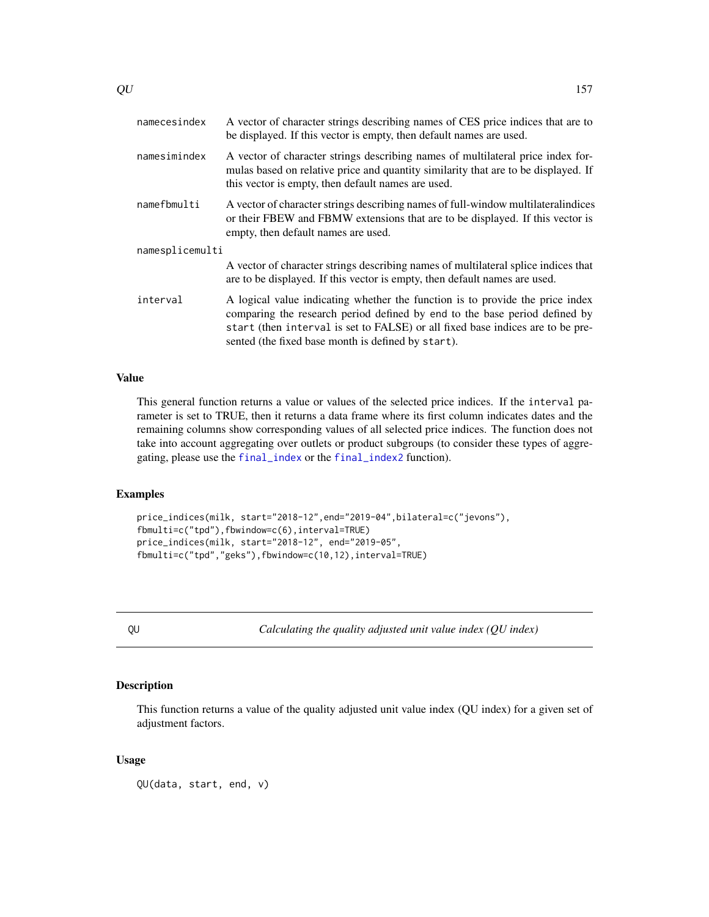| namecesindex    | A vector of character strings describing names of CES price indices that are to<br>be displayed. If this vector is empty, then default names are used.                                                                                                                                              |
|-----------------|-----------------------------------------------------------------------------------------------------------------------------------------------------------------------------------------------------------------------------------------------------------------------------------------------------|
| namesimindex    | A vector of character strings describing names of multilateral price index for-<br>mulas based on relative price and quantity similarity that are to be displayed. If<br>this vector is empty, then default names are used.                                                                         |
| namefbmulti     | A vector of character strings describing names of full-window multilateral indices<br>or their FBEW and FBMW extensions that are to be displayed. If this vector is<br>empty, then default names are used.                                                                                          |
| namesplicemulti |                                                                                                                                                                                                                                                                                                     |
|                 | A vector of character strings describing names of multilateral splice indices that<br>are to be displayed. If this vector is empty, then default names are used.                                                                                                                                    |
| interval        | A logical value indicating whether the function is to provide the price index<br>comparing the research period defined by end to the base period defined by<br>start (then interval is set to FALSE) or all fixed base indices are to be pre-<br>sented (the fixed base month is defined by start). |

## Value

This general function returns a value or values of the selected price indices. If the interval parameter is set to TRUE, then it returns a data frame where its first column indicates dates and the remaining columns show corresponding values of all selected price indices. The function does not take into account aggregating over outlets or product subgroups (to consider these types of aggregating, please use the [final\\_index](#page-72-0) or the [final\\_index2](#page-74-0) function).

## Examples

```
price_indices(milk, start="2018-12",end="2019-04",bilateral=c("jevons"),
fbmulti=c("tpd"),fbwindow=c(6),interval=TRUE)
price_indices(milk, start="2018-12", end="2019-05",
fbmulti=c("tpd","geks"),fbwindow=c(10,12),interval=TRUE)
```
<span id="page-156-0"></span>QU *Calculating the quality adjusted unit value index (QU index)*

## Description

This function returns a value of the quality adjusted unit value index (QU index) for a given set of adjustment factors.

#### Usage

QU(data, start, end, v)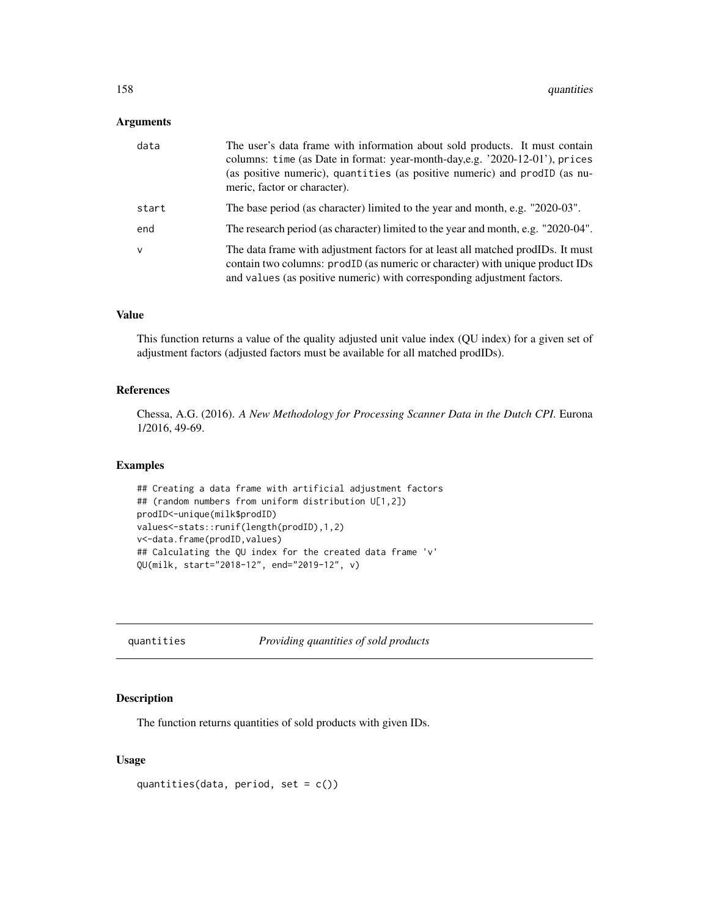## Arguments

| data  | The user's data frame with information about sold products. It must contain<br>columns: time (as Date in format: year-month-day, e.g. '2020-12-01'), prices<br>(as positive numeric), quantities (as positive numeric) and prodID (as nu-<br>meric, factor or character). |
|-------|---------------------------------------------------------------------------------------------------------------------------------------------------------------------------------------------------------------------------------------------------------------------------|
| start | The base period (as character) limited to the year and month, e.g. "2020-03".                                                                                                                                                                                             |
| end   | The research period (as character) limited to the year and month, e.g. "2020-04".                                                                                                                                                                                         |
| v     | The data frame with adjustment factors for at least all matched prodIDs. It must<br>contain two columns: prodID (as numeric or character) with unique product IDs<br>and values (as positive numeric) with corresponding adjustment factors.                              |

# Value

This function returns a value of the quality adjusted unit value index (QU index) for a given set of adjustment factors (adjusted factors must be available for all matched prodIDs).

#### References

Chessa, A.G. (2016). *A New Methodology for Processing Scanner Data in the Dutch CPI.* Eurona 1/2016, 49-69.

# Examples

```
## Creating a data frame with artificial adjustment factors
## (random numbers from uniform distribution U[1,2])
prodID<-unique(milk$prodID)
values<-stats::runif(length(prodID),1,2)
v<-data.frame(prodID,values)
## Calculating the QU index for the created data frame 'v'
QU(milk, start="2018-12", end="2019-12", v)
```
<span id="page-157-0"></span>quantities *Providing quantities of sold products*

#### Description

The function returns quantities of sold products with given IDs.

```
quantities(data, period, set = c())
```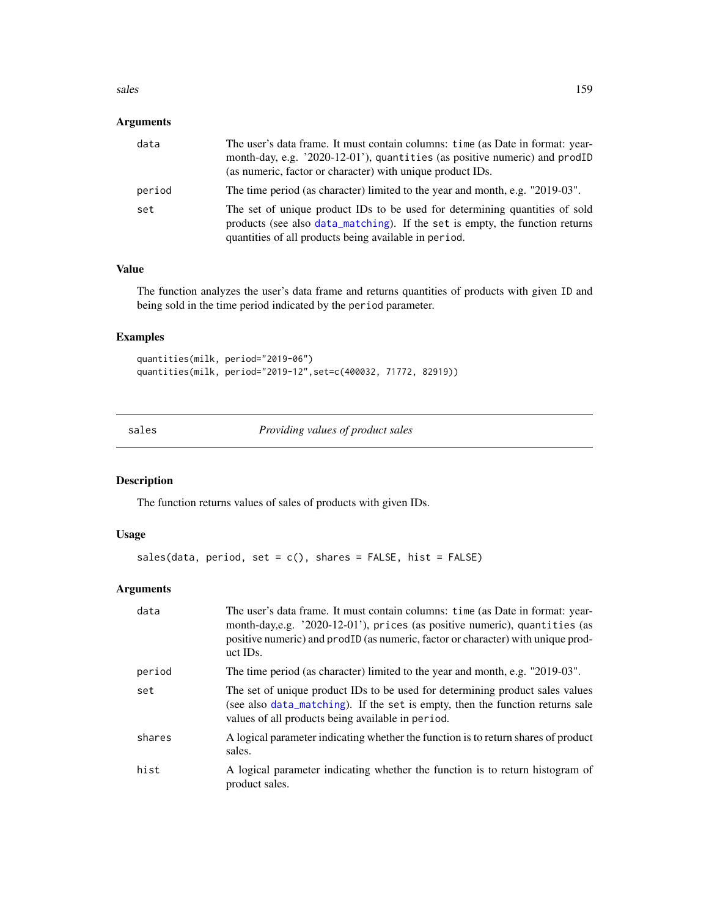#### sales and the same of the same of the same of the same of the same of the same of the same of the same of the same of the same of the same of the same of the same of the same of the same of the same of the same of the same

# Arguments

| data   | The user's data frame. It must contain columns: time (as Date in format: year-<br>month-day, e.g. '2020-12-01'), quantities (as positive numeric) and prodID<br>(as numeric, factor or character) with unique product IDs. |
|--------|----------------------------------------------------------------------------------------------------------------------------------------------------------------------------------------------------------------------------|
| period | The time period (as character) limited to the year and month, e.g. "2019-03".                                                                                                                                              |
| set    | The set of unique product IDs to be used for determining quantities of sold<br>products (see also data_matching). If the set is empty, the function returns<br>quantities of all products being available in period.       |

# Value

The function analyzes the user's data frame and returns quantities of products with given ID and being sold in the time period indicated by the period parameter.

# Examples

```
quantities(milk, period="2019-06")
quantities(milk, period="2019-12",set=c(400032, 71772, 82919))
```
<span id="page-158-0"></span>sales *Providing values of product sales*

# Description

The function returns values of sales of products with given IDs.

# Usage

```
sales(data, period, set = c(), shares = FALSE, hist = FALSE)
```

| data   | The user's data frame. It must contain columns: time (as Date in format: year-<br>month-day, e.g. '2020-12-01'), prices (as positive numeric), quantities (as<br>positive numeric) and prodID (as numeric, factor or character) with unique prod-<br>uct IDs. |
|--------|---------------------------------------------------------------------------------------------------------------------------------------------------------------------------------------------------------------------------------------------------------------|
| period | The time period (as character) limited to the year and month, e.g. "2019-03".                                                                                                                                                                                 |
| set    | The set of unique product IDs to be used for determining product sales values<br>(see also data_matching). If the set is empty, then the function returns sale<br>values of all products being available in period.                                           |
| shares | A logical parameter indicating whether the function is to return shares of product<br>sales.                                                                                                                                                                  |
| hist   | A logical parameter indicating whether the function is to return histogram of<br>product sales.                                                                                                                                                               |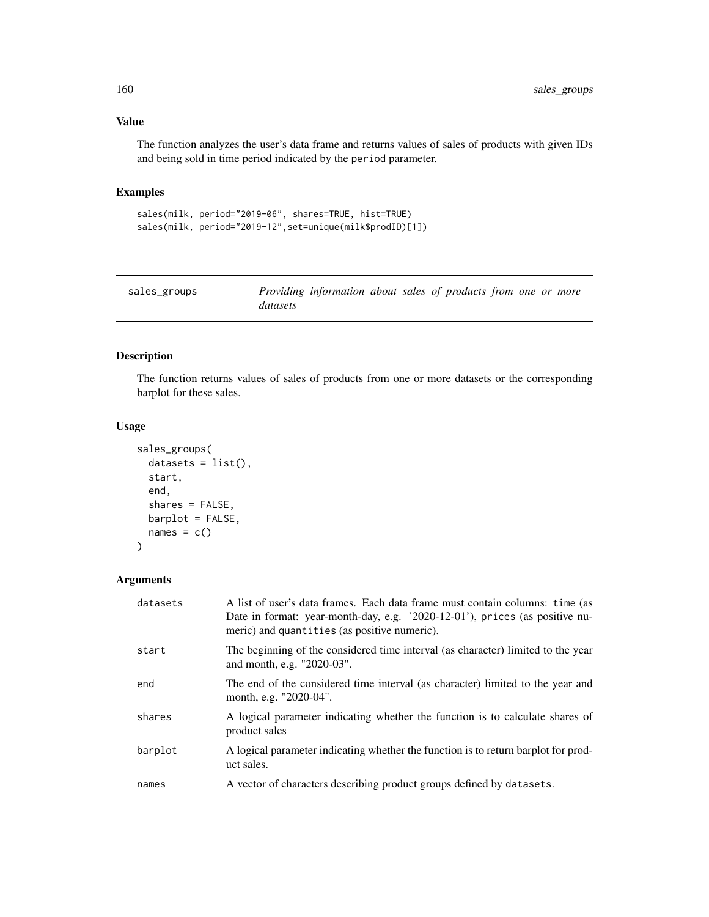# Value

The function analyzes the user's data frame and returns values of sales of products with given IDs and being sold in time period indicated by the period parameter.

## Examples

```
sales(milk, period="2019-06", shares=TRUE, hist=TRUE)
sales(milk, period="2019-12",set=unique(milk$prodID)[1])
```
<span id="page-159-0"></span>

| sales_groups |          | Providing information about sales of products from one or more |  |  |  |  |
|--------------|----------|----------------------------------------------------------------|--|--|--|--|
|              | datasets |                                                                |  |  |  |  |

# Description

The function returns values of sales of products from one or more datasets or the corresponding barplot for these sales.

# Usage

```
sales_groups(
  datasets = list(),
  start,
  end,
  shares = FALSE,
 barparplot = FALSE,
  names = c())
```

| datasets | A list of user's data frames. Each data frame must contain columns: time (as<br>Date in format: year-month-day, e.g. '2020-12-01'), prices (as positive nu-<br>meric) and quantities (as positive numeric). |
|----------|-------------------------------------------------------------------------------------------------------------------------------------------------------------------------------------------------------------|
| start    | The beginning of the considered time interval (as character) limited to the year<br>and month, e.g. "2020-03".                                                                                              |
| end      | The end of the considered time interval (as character) limited to the year and<br>month, e.g. "2020-04".                                                                                                    |
| shares   | A logical parameter indicating whether the function is to calculate shares of<br>product sales                                                                                                              |
| barplot  | A logical parameter indicating whether the function is to return barplot for prod-<br>uct sales.                                                                                                            |
| names    | A vector of characters describing product groups defined by datasets.                                                                                                                                       |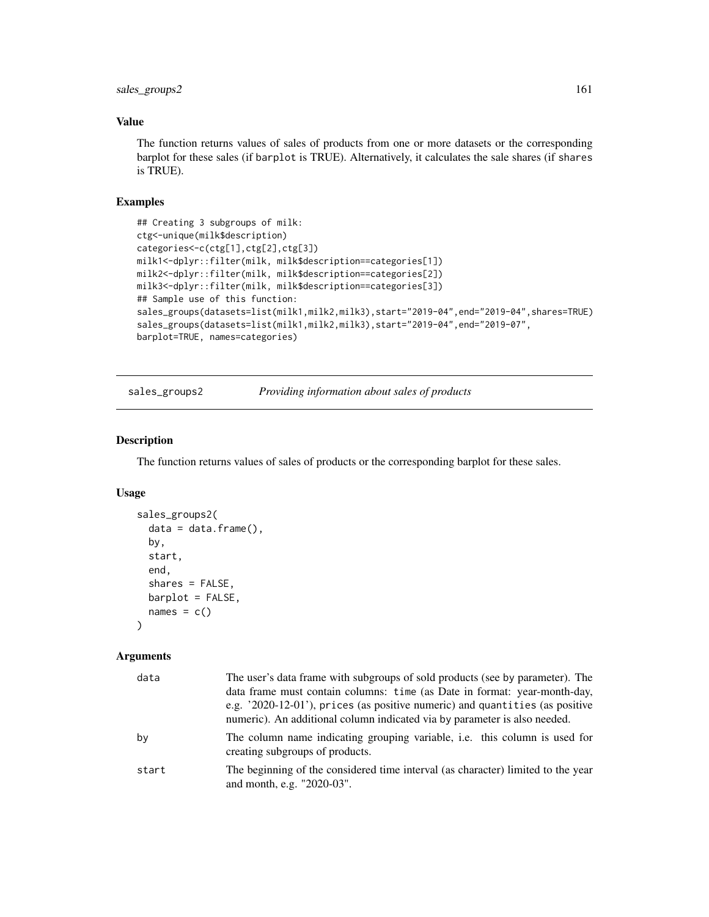# sales\_groups2 161

## Value

The function returns values of sales of products from one or more datasets or the corresponding barplot for these sales (if barplot is TRUE). Alternatively, it calculates the sale shares (if shares is TRUE).

## Examples

```
## Creating 3 subgroups of milk:
ctg<-unique(milk$description)
categories<-c(ctg[1],ctg[2],ctg[3])
milk1<-dplyr::filter(milk, milk$description==categories[1])
milk2<-dplyr::filter(milk, milk$description==categories[2])
milk3<-dplyr::filter(milk, milk$description==categories[3])
## Sample use of this function:
sales_groups(datasets=list(milk1,milk2,milk3),start="2019-04",end="2019-04",shares=TRUE)
sales_groups(datasets=list(milk1,milk2,milk3),start="2019-04",end="2019-07",
barplot=TRUE, names=categories)
```
#### <span id="page-160-0"></span>sales\_groups2 *Providing information about sales of products*

#### Description

The function returns values of sales of products or the corresponding barplot for these sales.

## Usage

```
sales_groups2(
  data = data.frame(),by,
  start,
 end,
  shares = FALSE,
 barplot = FALSE,
  names = c())
```

| data  | The user's data frame with subgroups of sold products (see by parameter). The<br>data frame must contain columns: time (as Date in format: year-month-day,<br>e.g. '2020-12-01'), prices (as positive numeric) and quantities (as positive<br>numeric). An additional column indicated via by parameter is also needed. |
|-------|-------------------------------------------------------------------------------------------------------------------------------------------------------------------------------------------------------------------------------------------------------------------------------------------------------------------------|
| by    | The column name indicating grouping variable, i.e. this column is used for<br>creating subgroups of products.                                                                                                                                                                                                           |
| start | The beginning of the considered time interval (as character) limited to the year<br>and month, e.g. "2020-03".                                                                                                                                                                                                          |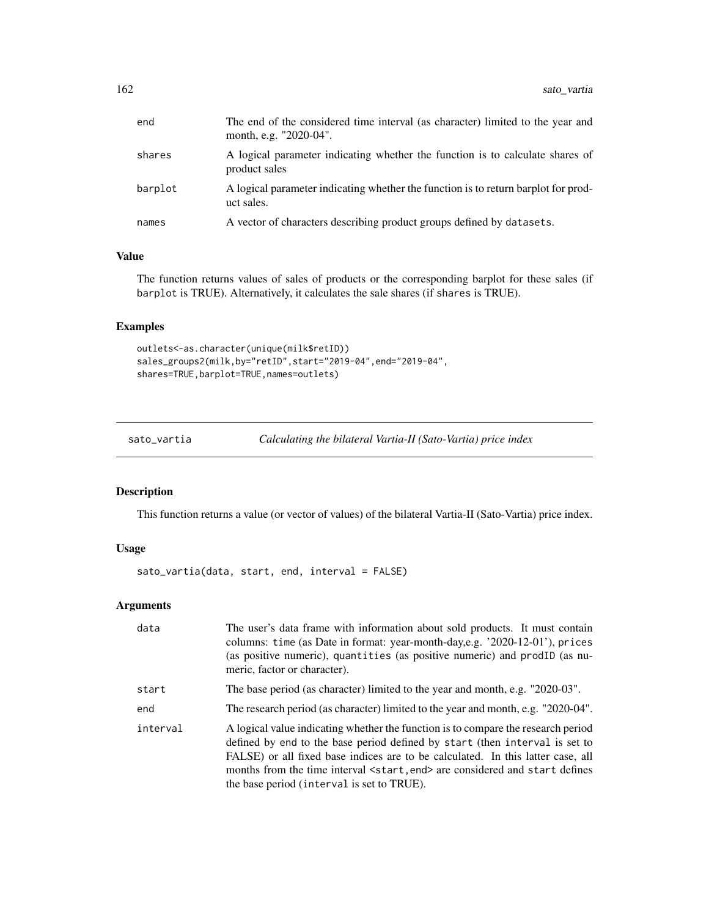| end     | The end of the considered time interval (as character) limited to the year and<br>month, e.g. "2020-04". |
|---------|----------------------------------------------------------------------------------------------------------|
| shares  | A logical parameter indicating whether the function is to calculate shares of<br>product sales           |
| barplot | A logical parameter indicating whether the function is to return barplot for prod-<br>uct sales.         |
| names   | A vector of characters describing product groups defined by datasets.                                    |

# Value

The function returns values of sales of products or the corresponding barplot for these sales (if barplot is TRUE). Alternatively, it calculates the sale shares (if shares is TRUE).

## Examples

```
outlets<-as.character(unique(milk$retID))
sales_groups2(milk,by="retID",start="2019-04",end="2019-04",
shares=TRUE,barplot=TRUE,names=outlets)
```
<span id="page-161-0"></span>sato\_vartia *Calculating the bilateral Vartia-II (Sato-Vartia) price index*

# Description

This function returns a value (or vector of values) of the bilateral Vartia-II (Sato-Vartia) price index.

# Usage

sato\_vartia(data, start, end, interval = FALSE)

| data     | The user's data frame with information about sold products. It must contain<br>columns: time (as Date in format: year-month-day, e.g. '2020-12-01'), prices<br>(as positive numeric), quantities (as positive numeric) and prodID (as nu-<br>meric, factor or character).                                                                                                                     |
|----------|-----------------------------------------------------------------------------------------------------------------------------------------------------------------------------------------------------------------------------------------------------------------------------------------------------------------------------------------------------------------------------------------------|
| start    | The base period (as character) limited to the year and month, e.g. "2020-03".                                                                                                                                                                                                                                                                                                                 |
| end      | The research period (as character) limited to the year and month, e.g. "2020-04".                                                                                                                                                                                                                                                                                                             |
| interval | A logical value indicating whether the function is to compare the research period<br>defined by end to the base period defined by start (then interval is set to<br>FALSE) or all fixed base indices are to be calculated. In this latter case, all<br>months from the time interval <start, end=""> are considered and start defines<br/>the base period (interval is set to TRUE).</start,> |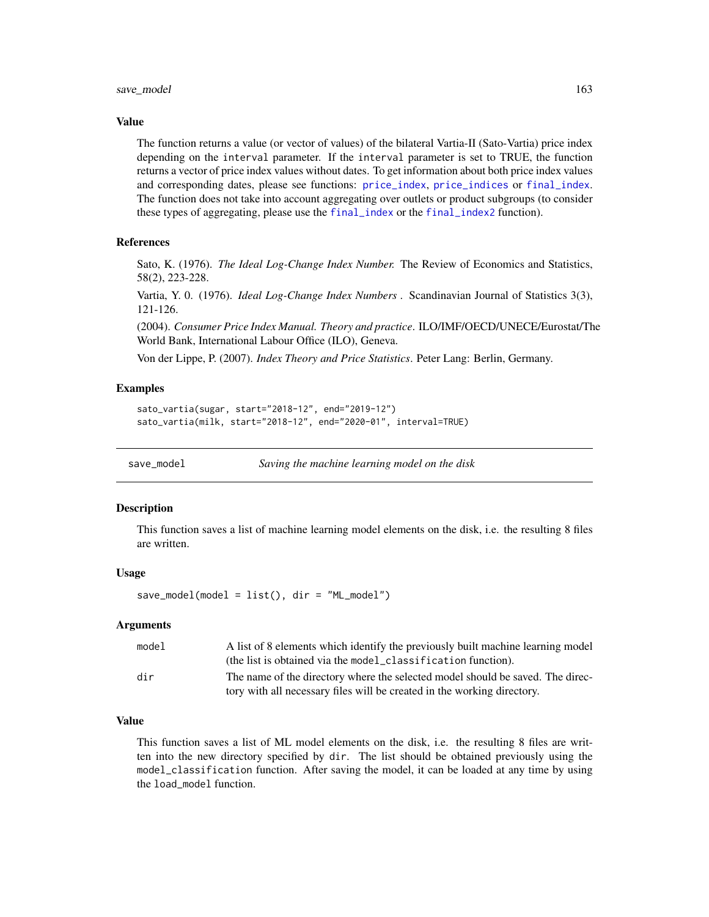#### save\_model 163

#### Value

The function returns a value (or vector of values) of the bilateral Vartia-II (Sato-Vartia) price index depending on the interval parameter. If the interval parameter is set to TRUE, the function returns a vector of price index values without dates. To get information about both price index values and corresponding dates, please see functions: [price\\_index](#page-153-0), [price\\_indices](#page-154-0) or [final\\_index](#page-72-0). The function does not take into account aggregating over outlets or product subgroups (to consider these types of aggregating, please use the [final\\_index](#page-72-0) or the [final\\_index2](#page-74-0) function).

## References

Sato, K. (1976). *The Ideal Log-Change Index Number.* The Review of Economics and Statistics, 58(2), 223-228.

Vartia, Y. 0. (1976). *Ideal Log-Change Index Numbers .* Scandinavian Journal of Statistics 3(3), 121-126.

(2004). *Consumer Price Index Manual. Theory and practice*. ILO/IMF/OECD/UNECE/Eurostat/The World Bank, International Labour Office (ILO), Geneva.

Von der Lippe, P. (2007). *Index Theory and Price Statistics*. Peter Lang: Berlin, Germany.

## Examples

```
sato_vartia(sugar, start="2018-12", end="2019-12")
sato_vartia(milk, start="2018-12", end="2020-01", interval=TRUE)
```
<span id="page-162-0"></span>save\_model *Saving the machine learning model on the disk*

## **Description**

This function saves a list of machine learning model elements on the disk, i.e. the resulting 8 files are written.

## Usage

 $save_model(model = list(), dir = "ML_model")$ 

## Arguments

| model | A list of 8 elements which identify the previously built machine learning model |
|-------|---------------------------------------------------------------------------------|
|       | (the list is obtained via the model_classification function).                   |
| dir   | The name of the directory where the selected model should be saved. The direc-  |
|       | tory with all necessary files will be created in the working directory.         |

#### Value

This function saves a list of ML model elements on the disk, i.e. the resulting 8 files are written into the new directory specified by dir. The list should be obtained previously using the model\_classification function. After saving the model, it can be loaded at any time by using the load\_model function.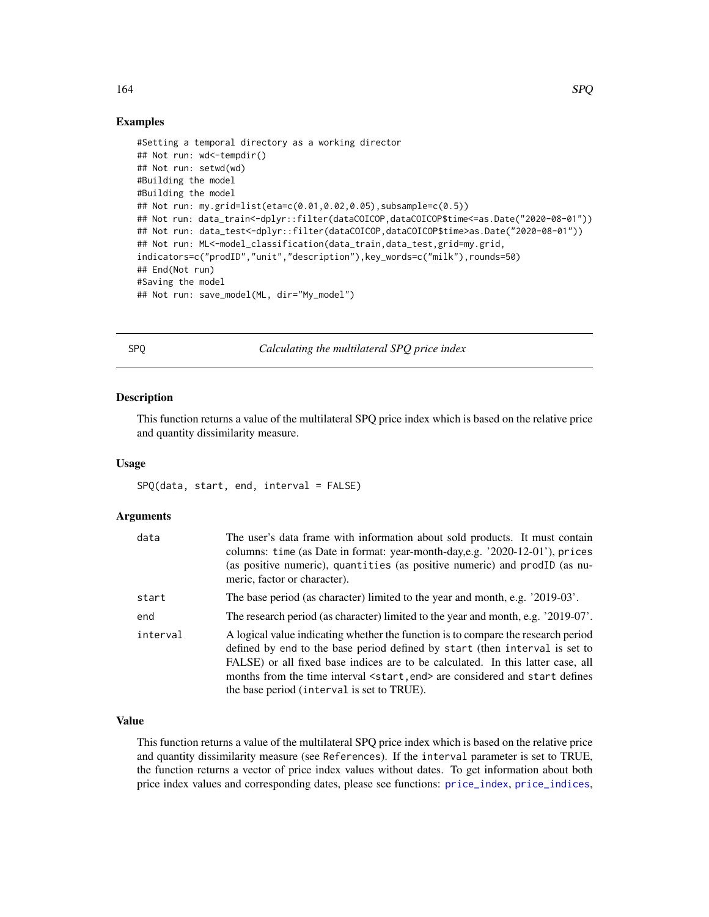#### Examples

```
#Setting a temporal directory as a working director
## Not run: wd<-tempdir()
## Not run: setwd(wd)
#Building the model
#Building the model
## Not run: my.grid=list(eta=c(0.01,0.02,0.05),subsample=c(0.5))
## Not run: data_train<-dplyr::filter(dataCOICOP,dataCOICOP$time<=as.Date("2020-08-01"))
## Not run: data_test<-dplyr::filter(dataCOICOP,dataCOICOP$time>as.Date("2020-08-01"))
## Not run: ML<-model_classification(data_train,data_test,grid=my.grid,
indicators=c("prodID","unit","description"),key_words=c("milk"),rounds=50)
## End(Not run)
#Saving the model
## Not run: save_model(ML, dir="My_model")
```
<span id="page-163-0"></span>SPQ *Calculating the multilateral SPQ price index*

#### Description

This function returns a value of the multilateral SPQ price index which is based on the relative price and quantity dissimilarity measure.

#### Usage

 $SPQ(data, start, end, interval = FALSE)$ 

## Arguments

| data     | The user's data frame with information about sold products. It must contain<br>columns: time (as Date in format: year-month-day, e.g. '2020-12-01'), prices<br>(as positive numeric), quantities (as positive numeric) and prodID (as nu-<br>meric, factor or character).                                                                                                                     |
|----------|-----------------------------------------------------------------------------------------------------------------------------------------------------------------------------------------------------------------------------------------------------------------------------------------------------------------------------------------------------------------------------------------------|
| start    | The base period (as character) limited to the year and month, e.g. '2019-03'.                                                                                                                                                                                                                                                                                                                 |
| end      | The research period (as character) limited to the year and month, e.g. '2019-07'.                                                                                                                                                                                                                                                                                                             |
| interval | A logical value indicating whether the function is to compare the research period<br>defined by end to the base period defined by start (then interval is set to<br>FALSE) or all fixed base indices are to be calculated. In this latter case, all<br>months from the time interval <start, end=""> are considered and start defines<br/>the base period (interval is set to TRUE).</start,> |

## Value

This function returns a value of the multilateral SPQ price index which is based on the relative price and quantity dissimilarity measure (see References). If the interval parameter is set to TRUE, the function returns a vector of price index values without dates. To get information about both price index values and corresponding dates, please see functions: [price\\_index](#page-153-0), [price\\_indices](#page-154-0),

164 SPQ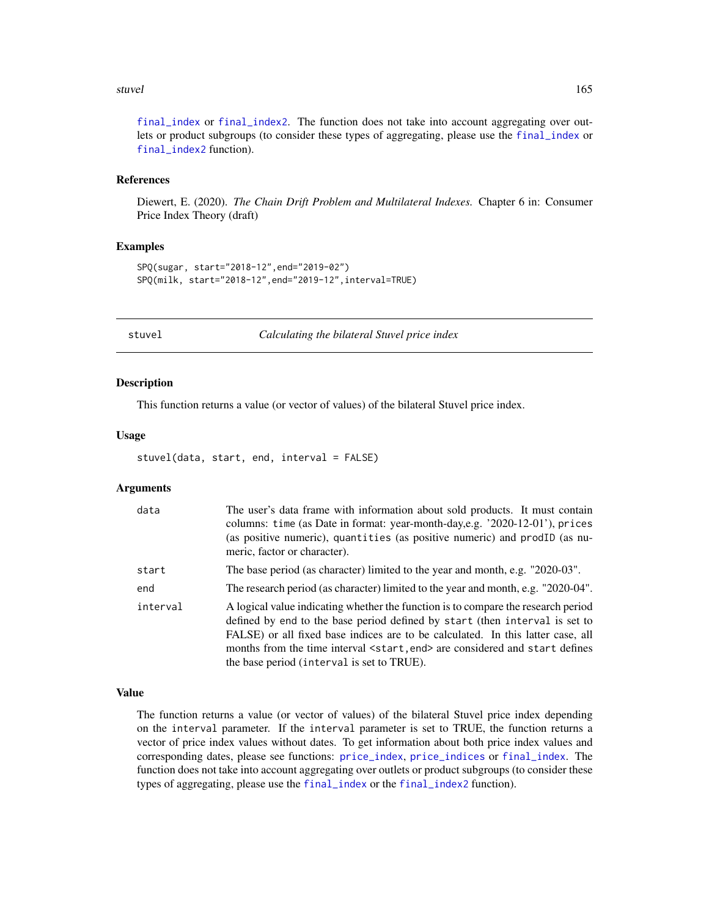#### stuvel the state of the state of the state of the state of the state of the state of the state of the state of the state of the state of the state of the state of the state of the state of the state of the state of the sta

[final\\_index](#page-72-0) or [final\\_index2](#page-74-0). The function does not take into account aggregating over outlets or product subgroups (to consider these types of aggregating, please use the [final\\_index](#page-72-0) or [final\\_index2](#page-74-0) function).

## References

Diewert, E. (2020). *The Chain Drift Problem and Multilateral Indexes.* Chapter 6 in: Consumer Price Index Theory (draft)

#### Examples

```
SPQ(sugar, start="2018-12",end="2019-02")
SPQ(milk, start="2018-12",end="2019-12",interval=TRUE)
```
<span id="page-164-0"></span>

stuvel *Calculating the bilateral Stuvel price index*

#### Description

This function returns a value (or vector of values) of the bilateral Stuvel price index.

#### Usage

stuvel(data, start, end, interval = FALSE)

## Arguments

| data     | The user's data frame with information about sold products. It must contain<br>columns: time (as Date in format: year-month-day,e.g. '2020-12-01'), prices<br>(as positive numeric), quantities (as positive numeric) and prodID (as nu-<br>meric, factor or character).                                                                                                                      |
|----------|-----------------------------------------------------------------------------------------------------------------------------------------------------------------------------------------------------------------------------------------------------------------------------------------------------------------------------------------------------------------------------------------------|
| start    | The base period (as character) limited to the year and month, e.g. "2020-03".                                                                                                                                                                                                                                                                                                                 |
| end      | The research period (as character) limited to the year and month, e.g. "2020-04".                                                                                                                                                                                                                                                                                                             |
| interval | A logical value indicating whether the function is to compare the research period<br>defined by end to the base period defined by start (then interval is set to<br>FALSE) or all fixed base indices are to be calculated. In this latter case, all<br>months from the time interval <start, end=""> are considered and start defines<br/>the base period (interval is set to TRUE).</start,> |

#### Value

The function returns a value (or vector of values) of the bilateral Stuvel price index depending on the interval parameter. If the interval parameter is set to TRUE, the function returns a vector of price index values without dates. To get information about both price index values and corresponding dates, please see functions: [price\\_index](#page-153-0), [price\\_indices](#page-154-0) or [final\\_index](#page-72-0). The function does not take into account aggregating over outlets or product subgroups (to consider these types of aggregating, please use the [final\\_index](#page-72-0) or the [final\\_index2](#page-74-0) function).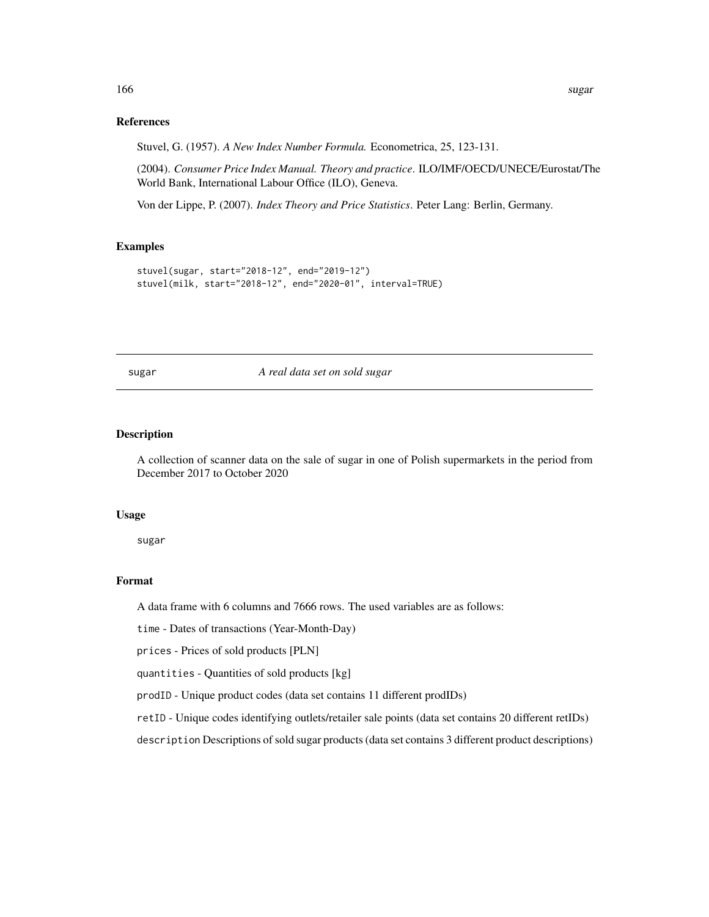## References

Stuvel, G. (1957). *A New Index Number Formula.* Econometrica, 25, 123-131.

(2004). *Consumer Price Index Manual. Theory and practice*. ILO/IMF/OECD/UNECE/Eurostat/The World Bank, International Labour Office (ILO), Geneva.

Von der Lippe, P. (2007). *Index Theory and Price Statistics*. Peter Lang: Berlin, Germany.

#### Examples

```
stuvel(sugar, start="2018-12", end="2019-12")
stuvel(milk, start="2018-12", end="2020-01", interval=TRUE)
```
<span id="page-165-0"></span>sugar *A real data set on sold sugar*

## Description

A collection of scanner data on the sale of sugar in one of Polish supermarkets in the period from December 2017 to October 2020

## Usage

sugar

## Format

A data frame with 6 columns and 7666 rows. The used variables are as follows:

time - Dates of transactions (Year-Month-Day)

prices - Prices of sold products [PLN]

quantities - Quantities of sold products [kg]

prodID - Unique product codes (data set contains 11 different prodIDs)

retID - Unique codes identifying outlets/retailer sale points (data set contains 20 different retIDs)

description Descriptions of sold sugar products (data set contains 3 different product descriptions)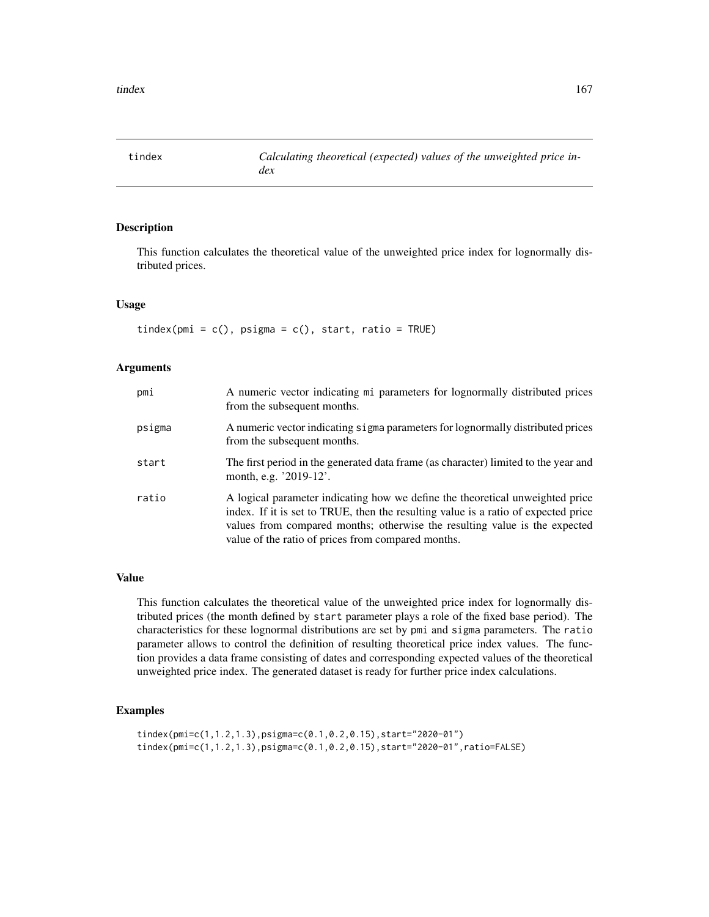<span id="page-166-0"></span>

This function calculates the theoretical value of the unweighted price index for lognormally distributed prices.

## Usage

tindex(pmi =  $c()$ , psigma =  $c()$ , start, ratio = TRUE)

## Arguments

| pmi    | A numeric vector indicating mi parameters for lognormally distributed prices<br>from the subsequent months.                                                                                                                                                                                             |
|--------|---------------------------------------------------------------------------------------------------------------------------------------------------------------------------------------------------------------------------------------------------------------------------------------------------------|
| psigma | A numeric vector indicating sigma parameters for lognormally distributed prices<br>from the subsequent months.                                                                                                                                                                                          |
| start  | The first period in the generated data frame (as character) limited to the year and<br>month, e.g. '2019-12'.                                                                                                                                                                                           |
| ratio  | A logical parameter indicating how we define the theoretical unweighted price<br>index. If it is set to TRUE, then the resulting value is a ratio of expected price<br>values from compared months; otherwise the resulting value is the expected<br>value of the ratio of prices from compared months. |

## Value

This function calculates the theoretical value of the unweighted price index for lognormally distributed prices (the month defined by start parameter plays a role of the fixed base period). The characteristics for these lognormal distributions are set by pmi and sigma parameters. The ratio parameter allows to control the definition of resulting theoretical price index values. The function provides a data frame consisting of dates and corresponding expected values of the theoretical unweighted price index. The generated dataset is ready for further price index calculations.

```
tindex(pmi=c(1,1.2,1.3),psigma=c(0.1,0.2,0.15),start="2020-01")
tindex(pmi=c(1,1.2,1.3),psigma=c(0.1,0.2,0.15),start="2020-01",ratio=FALSE)
```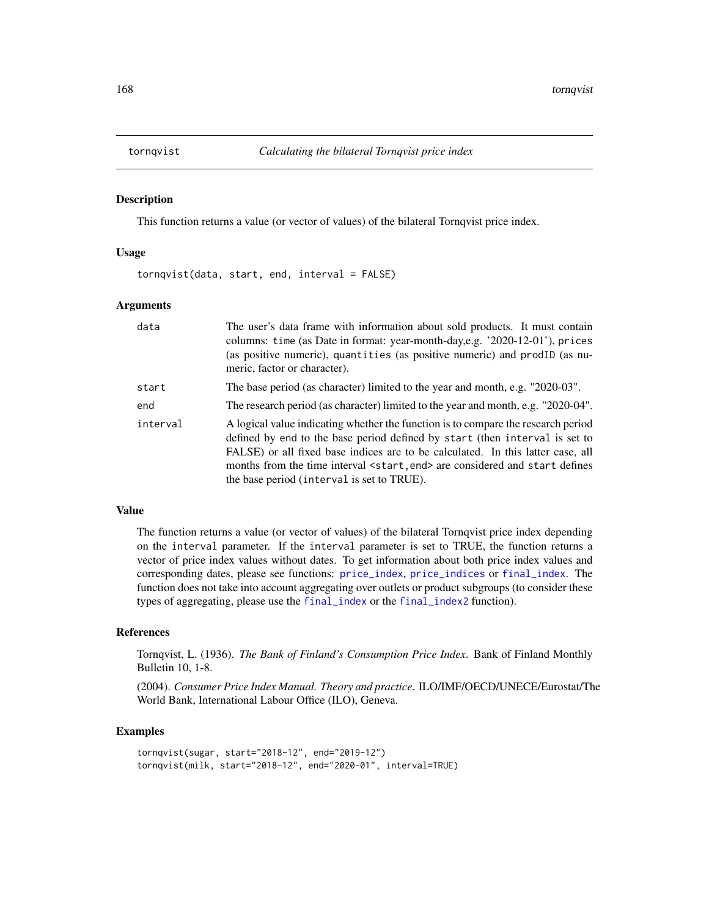<span id="page-167-0"></span>

This function returns a value (or vector of values) of the bilateral Tornqvist price index.

#### Usage

tornqvist(data, start, end, interval = FALSE)

# Arguments

| data     | The user's data frame with information about sold products. It must contain<br>columns: time (as Date in format: year-month-day,e.g. '2020-12-01'), prices<br>(as positive numeric), quantities (as positive numeric) and prodID (as nu-<br>meric, factor or character).                                                                                                                      |
|----------|-----------------------------------------------------------------------------------------------------------------------------------------------------------------------------------------------------------------------------------------------------------------------------------------------------------------------------------------------------------------------------------------------|
| start    | The base period (as character) limited to the year and month, e.g. "2020-03".                                                                                                                                                                                                                                                                                                                 |
| end      | The research period (as character) limited to the year and month, e.g. "2020-04".                                                                                                                                                                                                                                                                                                             |
| interval | A logical value indicating whether the function is to compare the research period<br>defined by end to the base period defined by start (then interval is set to<br>FALSE) or all fixed base indices are to be calculated. In this latter case, all<br>months from the time interval <start, end=""> are considered and start defines<br/>the base period (interval is set to TRUE).</start,> |

## Value

The function returns a value (or vector of values) of the bilateral Tornqvist price index depending on the interval parameter. If the interval parameter is set to TRUE, the function returns a vector of price index values without dates. To get information about both price index values and corresponding dates, please see functions: [price\\_index](#page-153-0), [price\\_indices](#page-154-0) or [final\\_index](#page-72-0). The function does not take into account aggregating over outlets or product subgroups (to consider these types of aggregating, please use the [final\\_index](#page-72-0) or the [final\\_index2](#page-74-0) function).

#### References

Tornqvist, L. (1936). *The Bank of Finland's Consumption Price Index*. Bank of Finland Monthly Bulletin 10, 1-8.

(2004). *Consumer Price Index Manual. Theory and practice*. ILO/IMF/OECD/UNECE/Eurostat/The World Bank, International Labour Office (ILO), Geneva.

```
tornqvist(sugar, start="2018-12", end="2019-12")
tornqvist(milk, start="2018-12", end="2020-01", interval=TRUE)
```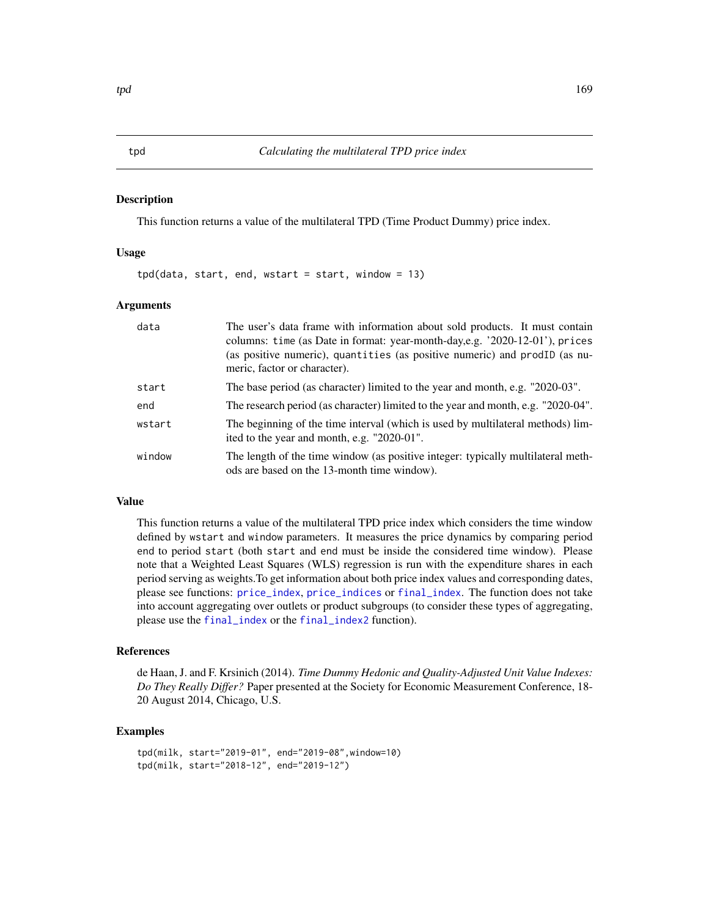<span id="page-168-0"></span>This function returns a value of the multilateral TPD (Time Product Dummy) price index.

#### Usage

 $tpd(data, start, end, wstart = start, window = 13)$ 

#### Arguments

| data   | The user's data frame with information about sold products. It must contain<br>columns: time (as Date in format: year-month-day,e.g. '2020-12-01'), prices<br>(as positive numeric), quantities (as positive numeric) and prodID (as nu-<br>meric, factor or character). |
|--------|--------------------------------------------------------------------------------------------------------------------------------------------------------------------------------------------------------------------------------------------------------------------------|
| start  | The base period (as character) limited to the year and month, e.g. "2020-03".                                                                                                                                                                                            |
| end    | The research period (as character) limited to the year and month, e.g. "2020-04".                                                                                                                                                                                        |
| wstart | The beginning of the time interval (which is used by multilateral methods) lim-<br>ited to the year and month, e.g. "2020-01".                                                                                                                                           |
| window | The length of the time window (as positive integer: typically multilateral meth-<br>ods are based on the 13-month time window).                                                                                                                                          |

#### Value

This function returns a value of the multilateral TPD price index which considers the time window defined by wstart and window parameters. It measures the price dynamics by comparing period end to period start (both start and end must be inside the considered time window). Please note that a Weighted Least Squares (WLS) regression is run with the expenditure shares in each period serving as weights.To get information about both price index values and corresponding dates, please see functions: [price\\_index](#page-153-0), [price\\_indices](#page-154-0) or [final\\_index](#page-72-0). The function does not take into account aggregating over outlets or product subgroups (to consider these types of aggregating, please use the [final\\_index](#page-72-0) or the [final\\_index2](#page-74-0) function).

#### References

de Haan, J. and F. Krsinich (2014). *Time Dummy Hedonic and Quality-Adjusted Unit Value Indexes: Do They Really Differ?* Paper presented at the Society for Economic Measurement Conference, 18- 20 August 2014, Chicago, U.S.

```
tpd(milk, start="2019-01", end="2019-08",window=10)
tpd(milk, start="2018-12", end="2019-12")
```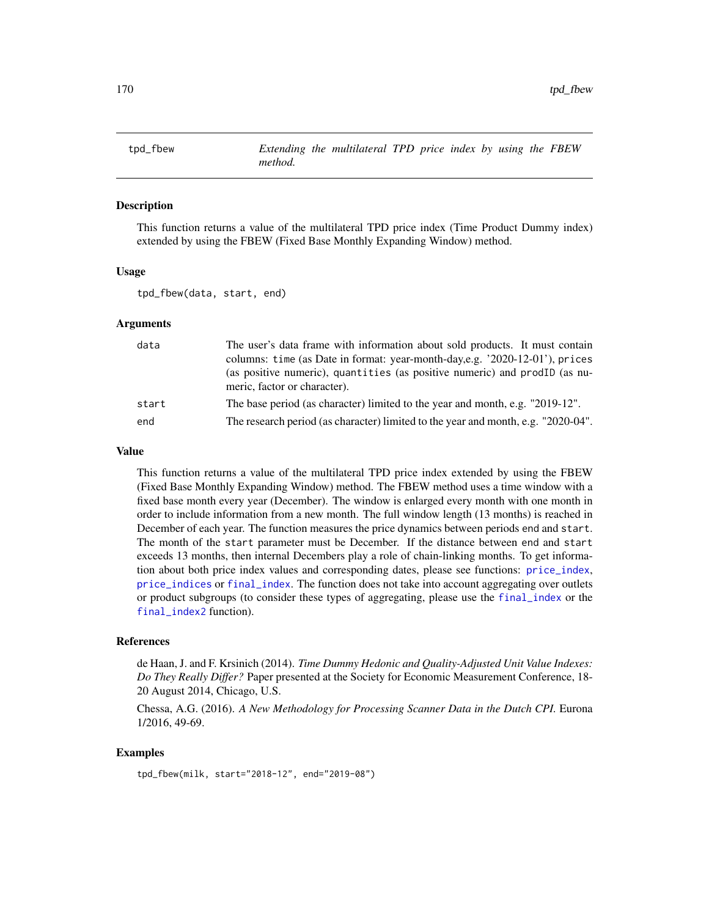<span id="page-169-0"></span>

This function returns a value of the multilateral TPD price index (Time Product Dummy index) extended by using the FBEW (Fixed Base Monthly Expanding Window) method.

#### Usage

tpd\_fbew(data, start, end)

## Arguments

| data  | The user's data frame with information about sold products. It must contain                                |
|-------|------------------------------------------------------------------------------------------------------------|
|       | columns: time (as Date in format: year-month-day, e.g. '2020-12-01'), prices                               |
|       | (as positive numeric), quantities (as positive numeric) and prodID (as nu-<br>meric, factor or character). |
| start | The base period (as character) limited to the year and month, e.g. "2019-12".                              |
|       |                                                                                                            |
| end   | The research period (as character) limited to the year and month, e.g. "2020-04".                          |

## Value

This function returns a value of the multilateral TPD price index extended by using the FBEW (Fixed Base Monthly Expanding Window) method. The FBEW method uses a time window with a fixed base month every year (December). The window is enlarged every month with one month in order to include information from a new month. The full window length (13 months) is reached in December of each year. The function measures the price dynamics between periods end and start. The month of the start parameter must be December. If the distance between end and start exceeds 13 months, then internal Decembers play a role of chain-linking months. To get information about both price index values and corresponding dates, please see functions: [price\\_index](#page-153-0), [price\\_indices](#page-154-0) or [final\\_index](#page-72-0). The function does not take into account aggregating over outlets or product subgroups (to consider these types of aggregating, please use the [final\\_index](#page-72-0) or the [final\\_index2](#page-74-0) function).

## References

de Haan, J. and F. Krsinich (2014). *Time Dummy Hedonic and Quality-Adjusted Unit Value Indexes: Do They Really Differ?* Paper presented at the Society for Economic Measurement Conference, 18- 20 August 2014, Chicago, U.S.

Chessa, A.G. (2016). *A New Methodology for Processing Scanner Data in the Dutch CPI.* Eurona 1/2016, 49-69.

```
tpd_fbew(milk, start="2018-12", end="2019-08")
```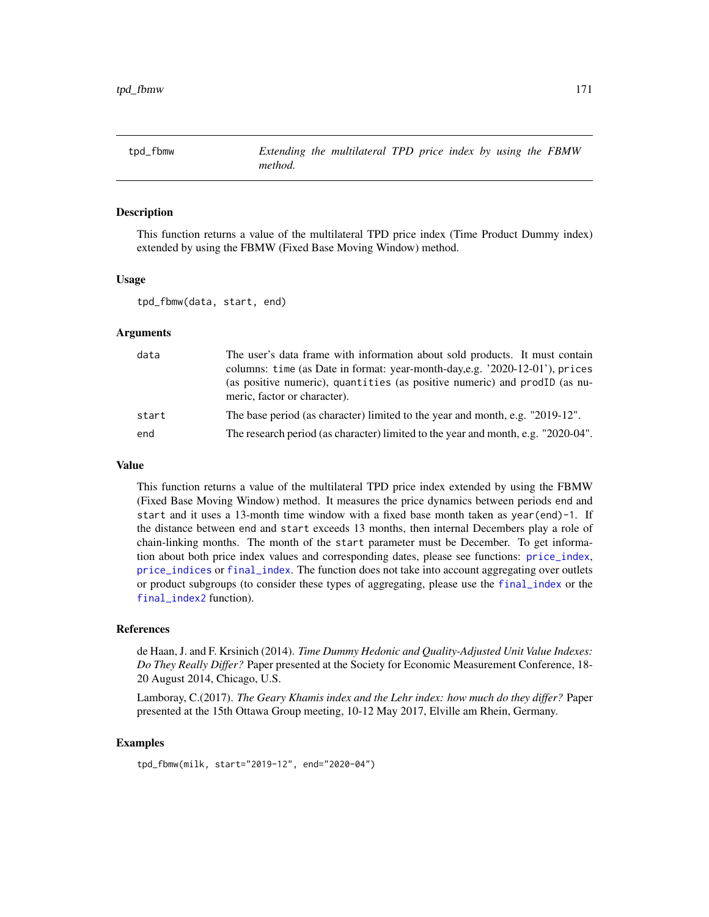<span id="page-170-0"></span>

This function returns a value of the multilateral TPD price index (Time Product Dummy index) extended by using the FBMW (Fixed Base Moving Window) method.

## Usage

tpd\_fbmw(data, start, end)

## Arguments

| data  | The user's data frame with information about sold products. It must contain                                |
|-------|------------------------------------------------------------------------------------------------------------|
|       | columns: time (as Date in format: year-month-day, e.g. '2020-12-01'), prices                               |
|       | (as positive numeric), quantities (as positive numeric) and prodID (as nu-<br>meric, factor or character). |
| start | The base period (as character) limited to the year and month, e.g. "2019-12".                              |
| end   | The research period (as character) limited to the year and month, e.g. "2020-04".                          |

# Value

This function returns a value of the multilateral TPD price index extended by using the FBMW (Fixed Base Moving Window) method. It measures the price dynamics between periods end and start and it uses a 13-month time window with a fixed base month taken as year(end)-1. If the distance between end and start exceeds 13 months, then internal Decembers play a role of chain-linking months. The month of the start parameter must be December. To get information about both price index values and corresponding dates, please see functions: [price\\_index](#page-153-0), [price\\_indices](#page-154-0) or [final\\_index](#page-72-0). The function does not take into account aggregating over outlets or product subgroups (to consider these types of aggregating, please use the [final\\_index](#page-72-0) or the [final\\_index2](#page-74-0) function).

## References

de Haan, J. and F. Krsinich (2014). *Time Dummy Hedonic and Quality-Adjusted Unit Value Indexes: Do They Really Differ?* Paper presented at the Society for Economic Measurement Conference, 18- 20 August 2014, Chicago, U.S.

Lamboray, C.(2017). *The Geary Khamis index and the Lehr index: how much do they differ?* Paper presented at the 15th Ottawa Group meeting, 10-12 May 2017, Elville am Rhein, Germany.

## Examples

tpd\_fbmw(milk, start="2019-12", end="2020-04")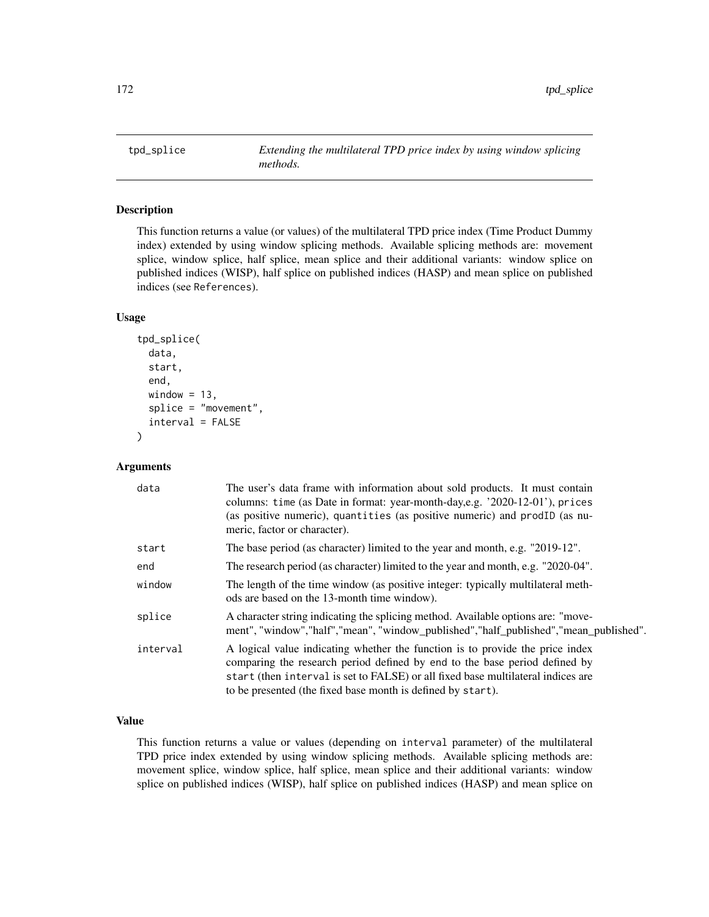<span id="page-171-0"></span>tpd\_splice *Extending the multilateral TPD price index by using window splicing methods.*

# Description

This function returns a value (or values) of the multilateral TPD price index (Time Product Dummy index) extended by using window splicing methods. Available splicing methods are: movement splice, window splice, half splice, mean splice and their additional variants: window splice on published indices (WISP), half splice on published indices (HASP) and mean splice on published indices (see References).

## Usage

```
tpd_splice(
  data,
  start,
  end,
 window = 13,
  splice = "movement",
  interval = FALSE
)
```
## Arguments

| data     | The user's data frame with information about sold products. It must contain<br>columns: time (as Date in format: year-month-day, e.g. '2020-12-01'), prices<br>(as positive numeric), quantities (as positive numeric) and prodID (as nu-<br>meric, factor or character).                                      |
|----------|----------------------------------------------------------------------------------------------------------------------------------------------------------------------------------------------------------------------------------------------------------------------------------------------------------------|
| start    | The base period (as character) limited to the year and month, e.g. "2019-12".                                                                                                                                                                                                                                  |
| end      | The research period (as character) limited to the year and month, e.g. "2020-04".                                                                                                                                                                                                                              |
| window   | The length of the time window (as positive integer: typically multilateral meth-<br>ods are based on the 13-month time window).                                                                                                                                                                                |
| splice   | A character string indicating the splicing method. Available options are: "move-<br>ment", "window", "half", "mean", "window_published", "half_published", "mean_published".                                                                                                                                   |
| interval | A logical value indicating whether the function is to provide the price index<br>comparing the research period defined by end to the base period defined by<br>start (then interval is set to FALSE) or all fixed base multilateral indices are<br>to be presented (the fixed base month is defined by start). |

# Value

This function returns a value or values (depending on interval parameter) of the multilateral TPD price index extended by using window splicing methods. Available splicing methods are: movement splice, window splice, half splice, mean splice and their additional variants: window splice on published indices (WISP), half splice on published indices (HASP) and mean splice on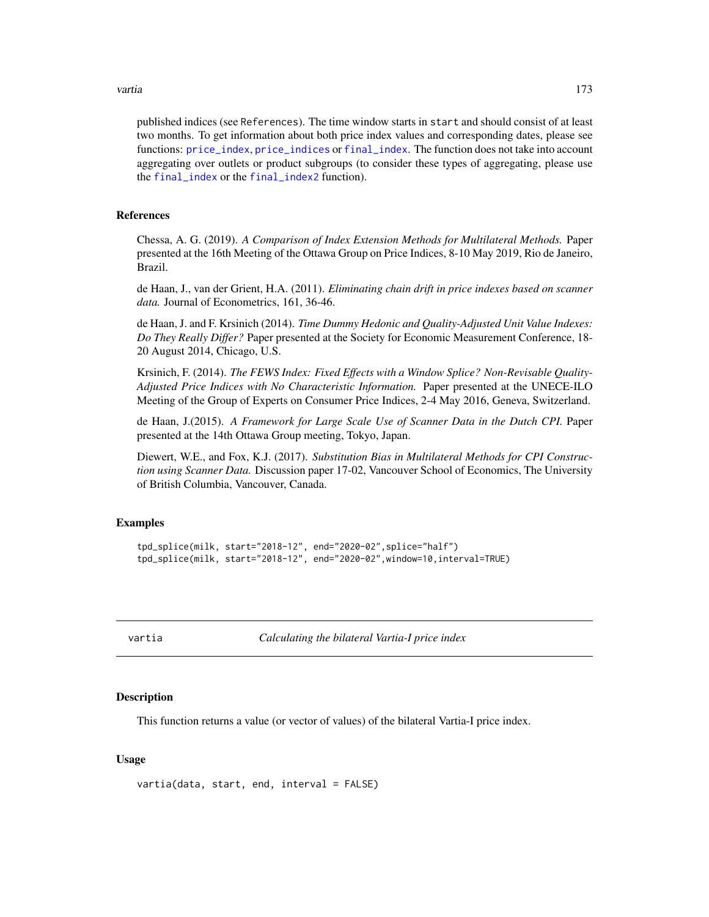#### vartia 173

published indices (see References). The time window starts in start and should consist of at least two months. To get information about both price index values and corresponding dates, please see functions: [price\\_index](#page-153-0), [price\\_indices](#page-154-0) or [final\\_index](#page-72-0). The function does not take into account aggregating over outlets or product subgroups (to consider these types of aggregating, please use the [final\\_index](#page-72-0) or the [final\\_index2](#page-74-0) function).

## References

Chessa, A. G. (2019). *A Comparison of Index Extension Methods for Multilateral Methods.* Paper presented at the 16th Meeting of the Ottawa Group on Price Indices, 8-10 May 2019, Rio de Janeiro, Brazil.

de Haan, J., van der Grient, H.A. (2011). *Eliminating chain drift in price indexes based on scanner data.* Journal of Econometrics, 161, 36-46.

de Haan, J. and F. Krsinich (2014). *Time Dummy Hedonic and Quality-Adjusted Unit Value Indexes: Do They Really Differ?* Paper presented at the Society for Economic Measurement Conference, 18- 20 August 2014, Chicago, U.S.

Krsinich, F. (2014). *The FEWS Index: Fixed Effects with a Window Splice? Non-Revisable Quality-Adjusted Price Indices with No Characteristic Information.* Paper presented at the UNECE-ILO Meeting of the Group of Experts on Consumer Price Indices, 2-4 May 2016, Geneva, Switzerland.

de Haan, J.(2015). *A Framework for Large Scale Use of Scanner Data in the Dutch CPI.* Paper presented at the 14th Ottawa Group meeting, Tokyo, Japan.

Diewert, W.E., and Fox, K.J. (2017). *Substitution Bias in Multilateral Methods for CPI Construction using Scanner Data.* Discussion paper 17-02, Vancouver School of Economics, The University of British Columbia, Vancouver, Canada.

## Examples

```
tpd_splice(milk, start="2018-12", end="2020-02",splice="half")
tpd_splice(milk, start="2018-12", end="2020-02",window=10,interval=TRUE)
```
<span id="page-172-0"></span>

vartia *Calculating the bilateral Vartia-I price index*

## **Description**

This function returns a value (or vector of values) of the bilateral Vartia-I price index.

```
vartia(data, start, end, interval = FALSE)
```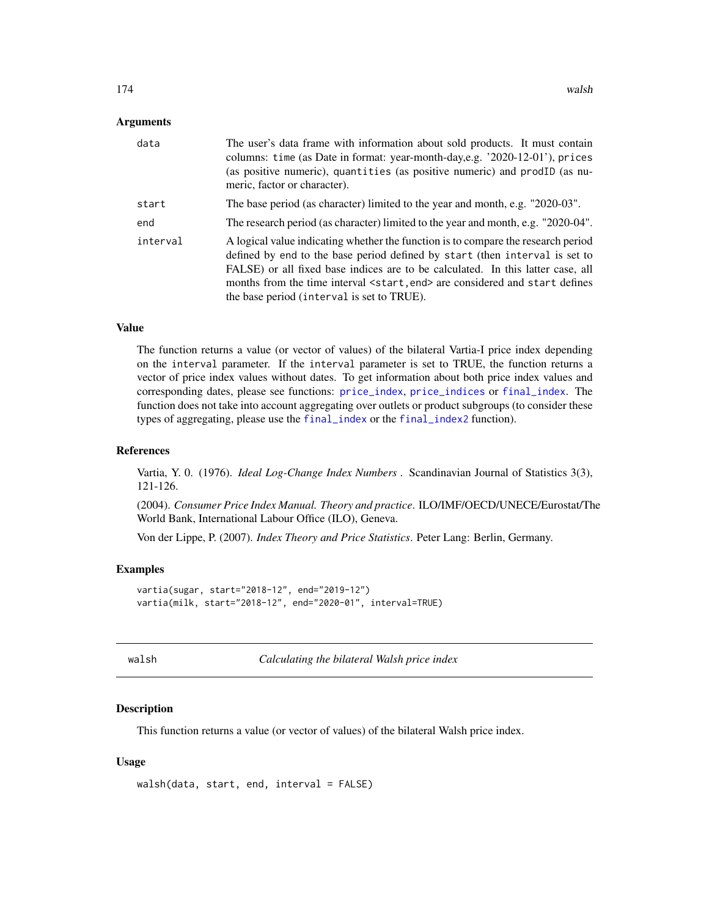## Arguments

| data     | The user's data frame with information about sold products. It must contain<br>columns: time (as Date in format: year-month-day, e.g. '2020-12-01'), prices<br>(as positive numeric), quantities (as positive numeric) and prodID (as nu-<br>meric, factor or character).                                                                                                                     |
|----------|-----------------------------------------------------------------------------------------------------------------------------------------------------------------------------------------------------------------------------------------------------------------------------------------------------------------------------------------------------------------------------------------------|
| start    | The base period (as character) limited to the year and month, e.g. "2020-03".                                                                                                                                                                                                                                                                                                                 |
| end      | The research period (as character) limited to the year and month, e.g. "2020-04".                                                                                                                                                                                                                                                                                                             |
| interval | A logical value indicating whether the function is to compare the research period<br>defined by end to the base period defined by start (then interval is set to<br>FALSE) or all fixed base indices are to be calculated. In this latter case, all<br>months from the time interval <start, end=""> are considered and start defines<br/>the base period (interval is set to TRUE).</start,> |

# Value

The function returns a value (or vector of values) of the bilateral Vartia-I price index depending on the interval parameter. If the interval parameter is set to TRUE, the function returns a vector of price index values without dates. To get information about both price index values and corresponding dates, please see functions: [price\\_index](#page-153-0), [price\\_indices](#page-154-0) or [final\\_index](#page-72-0). The function does not take into account aggregating over outlets or product subgroups (to consider these types of aggregating, please use the [final\\_index](#page-72-0) or the [final\\_index2](#page-74-0) function).

#### References

Vartia, Y. 0. (1976). *Ideal Log-Change Index Numbers .* Scandinavian Journal of Statistics 3(3), 121-126.

(2004). *Consumer Price Index Manual. Theory and practice*. ILO/IMF/OECD/UNECE/Eurostat/The World Bank, International Labour Office (ILO), Geneva.

Von der Lippe, P. (2007). *Index Theory and Price Statistics*. Peter Lang: Berlin, Germany.

#### Examples

```
vartia(sugar, start="2018-12", end="2019-12")
vartia(milk, start="2018-12", end="2020-01", interval=TRUE)
```
<span id="page-173-0"></span>

walsh *Calculating the bilateral Walsh price index*

## Description

This function returns a value (or vector of values) of the bilateral Walsh price index.

```
walsh(data, start, end, interval = FALSE)
```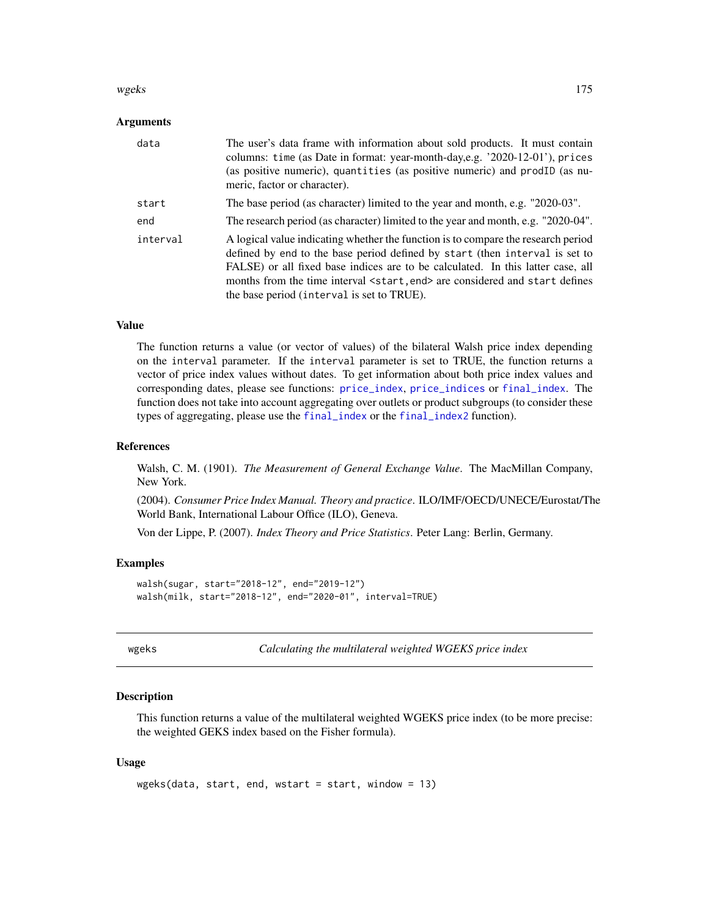#### wgeks and the state of the state of the state of the state of the state of the state of the state of the state of the state of the state of the state of the state of the state of the state of the state of the state of the

## Arguments

| data     | The user's data frame with information about sold products. It must contain<br>columns: time (as Date in format: year-month-day,e.g. '2020-12-01'), prices<br>(as positive numeric), quantities (as positive numeric) and prodID (as nu-<br>meric, factor or character).                                                                                                                      |
|----------|-----------------------------------------------------------------------------------------------------------------------------------------------------------------------------------------------------------------------------------------------------------------------------------------------------------------------------------------------------------------------------------------------|
| start    | The base period (as character) limited to the year and month, e.g. "2020-03".                                                                                                                                                                                                                                                                                                                 |
| end      | The research period (as character) limited to the year and month, e.g. "2020-04".                                                                                                                                                                                                                                                                                                             |
| interval | A logical value indicating whether the function is to compare the research period<br>defined by end to the base period defined by start (then interval is set to<br>FALSE) or all fixed base indices are to be calculated. In this latter case, all<br>months from the time interval <start, end=""> are considered and start defines<br/>the base period (interval is set to TRUE).</start,> |

# Value

The function returns a value (or vector of values) of the bilateral Walsh price index depending on the interval parameter. If the interval parameter is set to TRUE, the function returns a vector of price index values without dates. To get information about both price index values and corresponding dates, please see functions: [price\\_index](#page-153-0), [price\\_indices](#page-154-0) or [final\\_index](#page-72-0). The function does not take into account aggregating over outlets or product subgroups (to consider these types of aggregating, please use the [final\\_index](#page-72-0) or the [final\\_index2](#page-74-0) function).

# References

Walsh, C. M. (1901). *The Measurement of General Exchange Value*. The MacMillan Company, New York.

(2004). *Consumer Price Index Manual. Theory and practice*. ILO/IMF/OECD/UNECE/Eurostat/The World Bank, International Labour Office (ILO), Geneva.

Von der Lippe, P. (2007). *Index Theory and Price Statistics*. Peter Lang: Berlin, Germany.

#### Examples

walsh(sugar, start="2018-12", end="2019-12") walsh(milk, start="2018-12", end="2020-01", interval=TRUE)

<span id="page-174-0"></span>wgeks *Calculating the multilateral weighted WGEKS price index*

## **Description**

This function returns a value of the multilateral weighted WGEKS price index (to be more precise: the weighted GEKS index based on the Fisher formula).

```
wgeks(data, start, end, wstart = start, window = 13)
```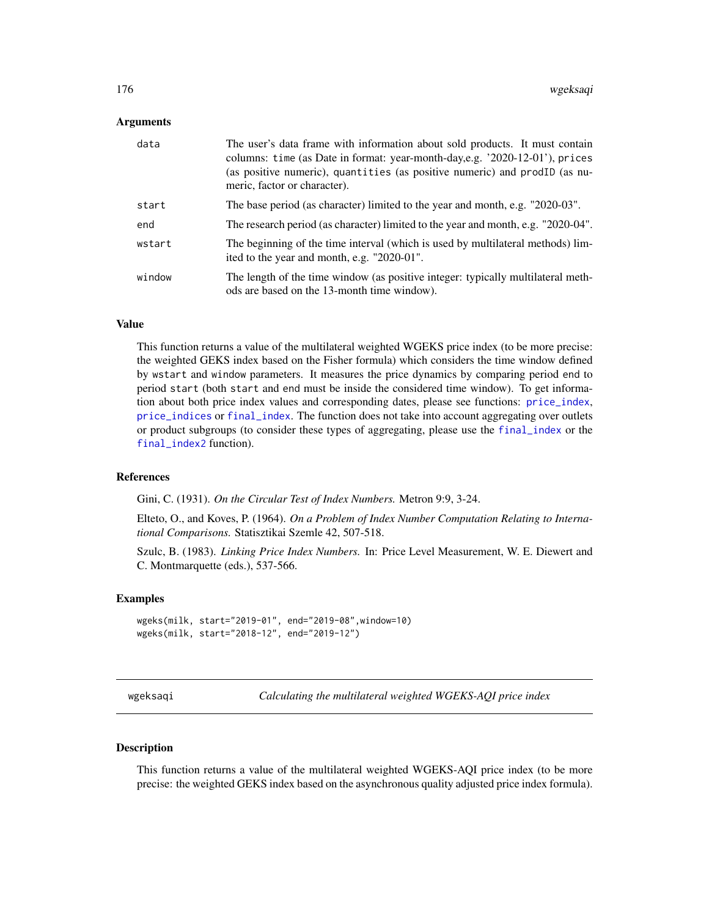## Arguments

| data   | The user's data frame with information about sold products. It must contain<br>columns: time (as Date in format: year-month-day, e.g. '2020-12-01'), prices<br>(as positive numeric), quantities (as positive numeric) and prodID (as nu-<br>meric, factor or character). |
|--------|---------------------------------------------------------------------------------------------------------------------------------------------------------------------------------------------------------------------------------------------------------------------------|
| start  | The base period (as character) limited to the year and month, e.g. "2020-03".                                                                                                                                                                                             |
| end    | The research period (as character) limited to the year and month, e.g. "2020-04".                                                                                                                                                                                         |
| wstart | The beginning of the time interval (which is used by multilateral methods) lim-<br>ited to the year and month, e.g. "2020-01".                                                                                                                                            |
| window | The length of the time window (as positive integer: typically multilateral meth-<br>ods are based on the 13-month time window).                                                                                                                                           |

## Value

This function returns a value of the multilateral weighted WGEKS price index (to be more precise: the weighted GEKS index based on the Fisher formula) which considers the time window defined by wstart and window parameters. It measures the price dynamics by comparing period end to period start (both start and end must be inside the considered time window). To get information about both price index values and corresponding dates, please see functions: [price\\_index](#page-153-0), [price\\_indices](#page-154-0) or [final\\_index](#page-72-0). The function does not take into account aggregating over outlets or product subgroups (to consider these types of aggregating, please use the [final\\_index](#page-72-0) or the [final\\_index2](#page-74-0) function).

#### References

Gini, C. (1931). *On the Circular Test of Index Numbers.* Metron 9:9, 3-24.

Elteto, O., and Koves, P. (1964). *On a Problem of Index Number Computation Relating to International Comparisons.* Statisztikai Szemle 42, 507-518.

Szulc, B. (1983). *Linking Price Index Numbers.* In: Price Level Measurement, W. E. Diewert and C. Montmarquette (eds.), 537-566.

#### Examples

wgeks(milk, start="2019-01", end="2019-08",window=10) wgeks(milk, start="2018-12", end="2019-12")

<span id="page-175-0"></span>wgeksaqi *Calculating the multilateral weighted WGEKS-AQI price index*

#### Description

This function returns a value of the multilateral weighted WGEKS-AQI price index (to be more precise: the weighted GEKS index based on the asynchronous quality adjusted price index formula).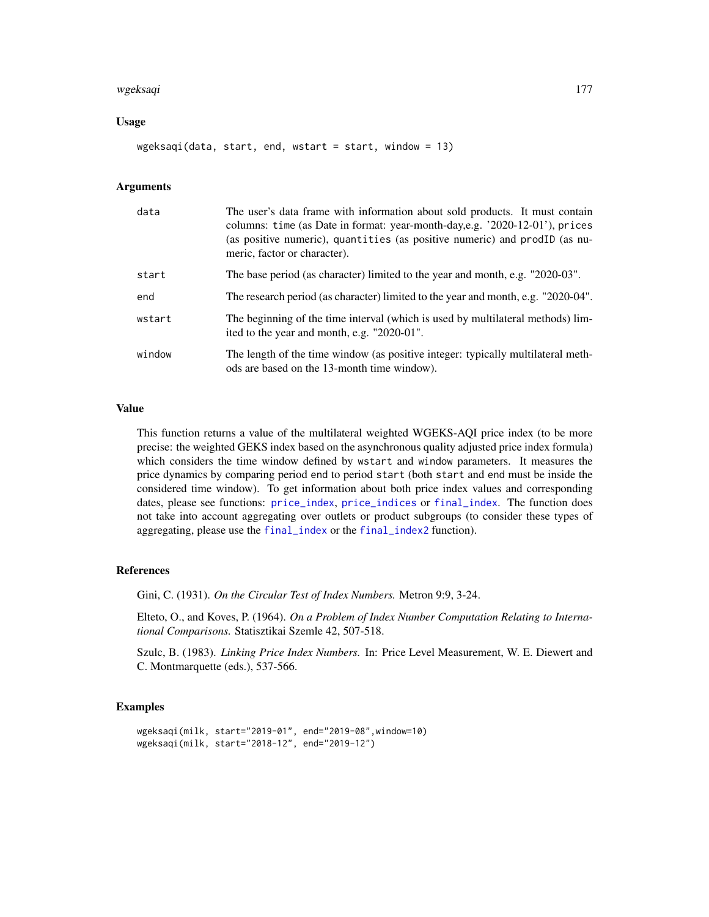#### wgeksaqi 177

#### Usage

wgeksaqi(data, start, end, wstart = start, window = 13)

#### Arguments

| data   | The user's data frame with information about sold products. It must contain<br>columns: time (as Date in format: year-month-day,e.g. '2020-12-01'), prices<br>(as positive numeric), quantities (as positive numeric) and prodID (as nu-<br>meric, factor or character). |
|--------|--------------------------------------------------------------------------------------------------------------------------------------------------------------------------------------------------------------------------------------------------------------------------|
| start  | The base period (as character) limited to the year and month, e.g. "2020-03".                                                                                                                                                                                            |
| end    | The research period (as character) limited to the year and month, e.g. "2020-04".                                                                                                                                                                                        |
| wstart | The beginning of the time interval (which is used by multilateral methods) lim-<br>ited to the year and month, e.g. "2020-01".                                                                                                                                           |
| window | The length of the time window (as positive integer: typically multilateral meth-<br>ods are based on the 13-month time window).                                                                                                                                          |

#### Value

This function returns a value of the multilateral weighted WGEKS-AQI price index (to be more precise: the weighted GEKS index based on the asynchronous quality adjusted price index formula) which considers the time window defined by wstart and window parameters. It measures the price dynamics by comparing period end to period start (both start and end must be inside the considered time window). To get information about both price index values and corresponding dates, please see functions: [price\\_index](#page-153-0), [price\\_indices](#page-154-0) or [final\\_index](#page-72-0). The function does not take into account aggregating over outlets or product subgroups (to consider these types of aggregating, please use the [final\\_index](#page-72-0) or the [final\\_index2](#page-74-0) function).

## References

Gini, C. (1931). *On the Circular Test of Index Numbers.* Metron 9:9, 3-24.

Elteto, O., and Koves, P. (1964). *On a Problem of Index Number Computation Relating to International Comparisons.* Statisztikai Szemle 42, 507-518.

Szulc, B. (1983). *Linking Price Index Numbers.* In: Price Level Measurement, W. E. Diewert and C. Montmarquette (eds.), 537-566.

```
wgeksaqi(milk, start="2019-01", end="2019-08",window=10)
wgeksaqi(milk, start="2018-12", end="2019-12")
```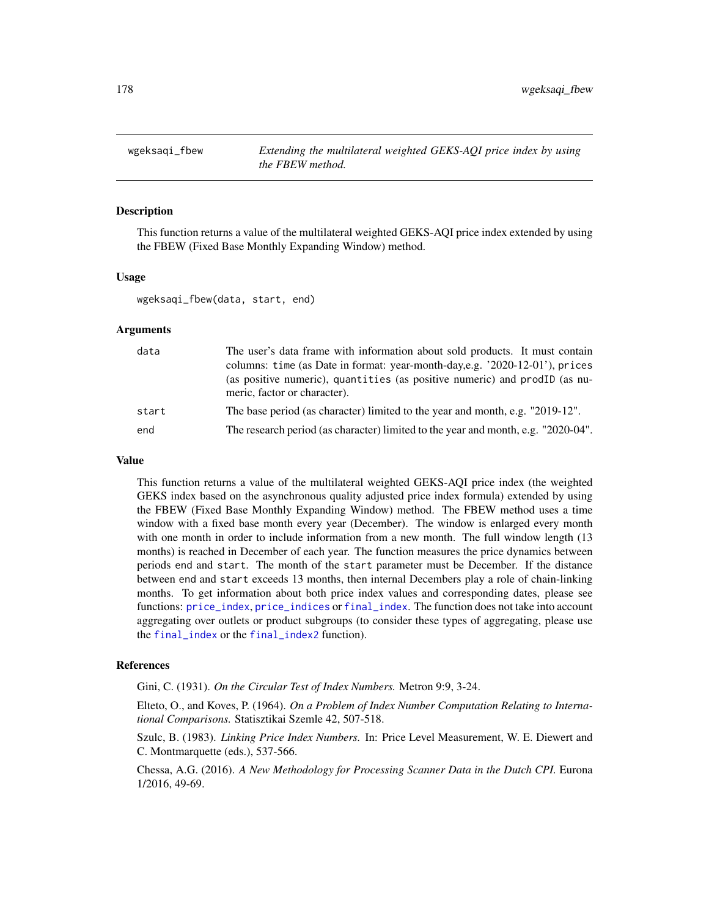<span id="page-177-0"></span>

This function returns a value of the multilateral weighted GEKS-AQI price index extended by using the FBEW (Fixed Base Monthly Expanding Window) method.

#### Usage

wgeksaqi\_fbew(data, start, end)

## Arguments

| data  | The user's data frame with information about sold products. It must contain                                |
|-------|------------------------------------------------------------------------------------------------------------|
|       | columns: time (as Date in format: year-month-day, e.g. '2020-12-01'), prices                               |
|       | (as positive numeric), quantities (as positive numeric) and prodID (as nu-<br>meric, factor or character). |
| start | The base period (as character) limited to the year and month, e.g. "2019-12".                              |
| end   | The research period (as character) limited to the year and month, e.g. "2020-04".                          |

#### Value

This function returns a value of the multilateral weighted GEKS-AQI price index (the weighted GEKS index based on the asynchronous quality adjusted price index formula) extended by using the FBEW (Fixed Base Monthly Expanding Window) method. The FBEW method uses a time window with a fixed base month every year (December). The window is enlarged every month with one month in order to include information from a new month. The full window length (13 months) is reached in December of each year. The function measures the price dynamics between periods end and start. The month of the start parameter must be December. If the distance between end and start exceeds 13 months, then internal Decembers play a role of chain-linking months. To get information about both price index values and corresponding dates, please see functions: [price\\_index](#page-153-0), [price\\_indices](#page-154-0) or [final\\_index](#page-72-0). The function does not take into account aggregating over outlets or product subgroups (to consider these types of aggregating, please use the [final\\_index](#page-72-0) or the [final\\_index2](#page-74-0) function).

#### References

Gini, C. (1931). *On the Circular Test of Index Numbers.* Metron 9:9, 3-24.

Elteto, O., and Koves, P. (1964). *On a Problem of Index Number Computation Relating to International Comparisons.* Statisztikai Szemle 42, 507-518.

Szulc, B. (1983). *Linking Price Index Numbers.* In: Price Level Measurement, W. E. Diewert and C. Montmarquette (eds.), 537-566.

Chessa, A.G. (2016). *A New Methodology for Processing Scanner Data in the Dutch CPI.* Eurona 1/2016, 49-69.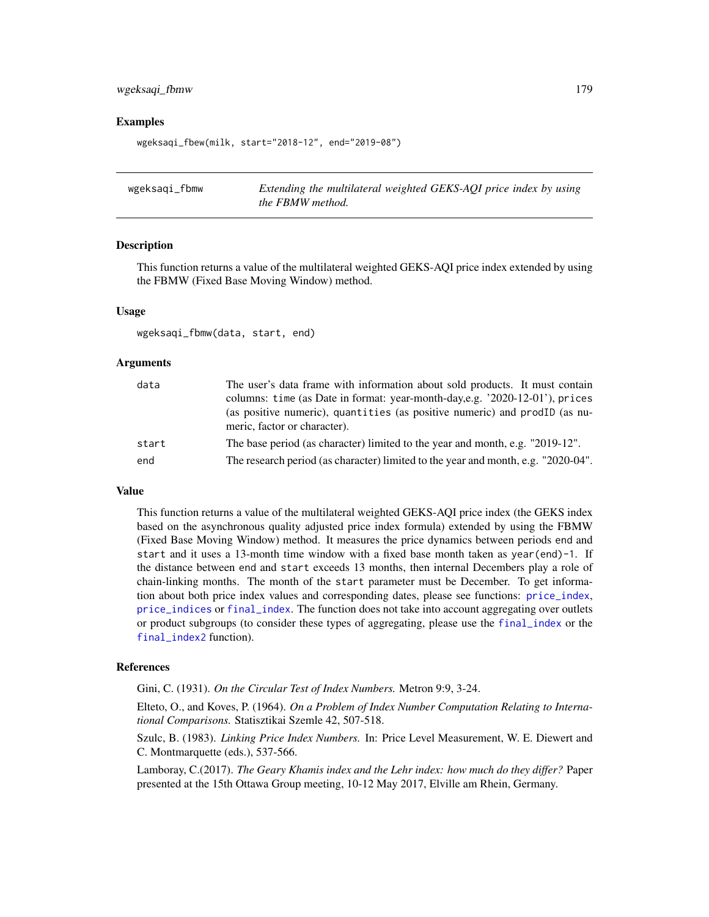## wgeksaqi\_fbmw 179

#### Examples

wgeksaqi\_fbew(milk, start="2018-12", end="2019-08")

<span id="page-178-0"></span>

| wgeksaqi_fbmw | Extending the multilateral weighted GEKS-AQI price index by using |
|---------------|-------------------------------------------------------------------|
|               | the FBMW method.                                                  |

#### Description

This function returns a value of the multilateral weighted GEKS-AQI price index extended by using the FBMW (Fixed Base Moving Window) method.

## Usage

wgeksaqi\_fbmw(data, start, end)

#### Arguments

| data  | The user's data frame with information about sold products. It must contain<br>columns: time (as Date in format: year-month-day, e.g. '2020-12-01'), prices<br>(as positive numeric), quantities (as positive numeric) and prodID (as nu-<br>meric, factor or character). |
|-------|---------------------------------------------------------------------------------------------------------------------------------------------------------------------------------------------------------------------------------------------------------------------------|
| start | The base period (as character) limited to the year and month, e.g. "2019-12".                                                                                                                                                                                             |
| end   | The research period (as character) limited to the year and month, e.g. "2020-04".                                                                                                                                                                                         |

#### Value

This function returns a value of the multilateral weighted GEKS-AQI price index (the GEKS index based on the asynchronous quality adjusted price index formula) extended by using the FBMW (Fixed Base Moving Window) method. It measures the price dynamics between periods end and start and it uses a 13-month time window with a fixed base month taken as year(end)-1. If the distance between end and start exceeds 13 months, then internal Decembers play a role of chain-linking months. The month of the start parameter must be December. To get information about both price index values and corresponding dates, please see functions: [price\\_index](#page-153-0), [price\\_indices](#page-154-0) or [final\\_index](#page-72-0). The function does not take into account aggregating over outlets or product subgroups (to consider these types of aggregating, please use the [final\\_index](#page-72-0) or the [final\\_index2](#page-74-0) function).

## References

Gini, C. (1931). *On the Circular Test of Index Numbers.* Metron 9:9, 3-24.

Elteto, O., and Koves, P. (1964). *On a Problem of Index Number Computation Relating to International Comparisons.* Statisztikai Szemle 42, 507-518.

Szulc, B. (1983). *Linking Price Index Numbers.* In: Price Level Measurement, W. E. Diewert and C. Montmarquette (eds.), 537-566.

Lamboray, C.(2017). *The Geary Khamis index and the Lehr index: how much do they differ?* Paper presented at the 15th Ottawa Group meeting, 10-12 May 2017, Elville am Rhein, Germany.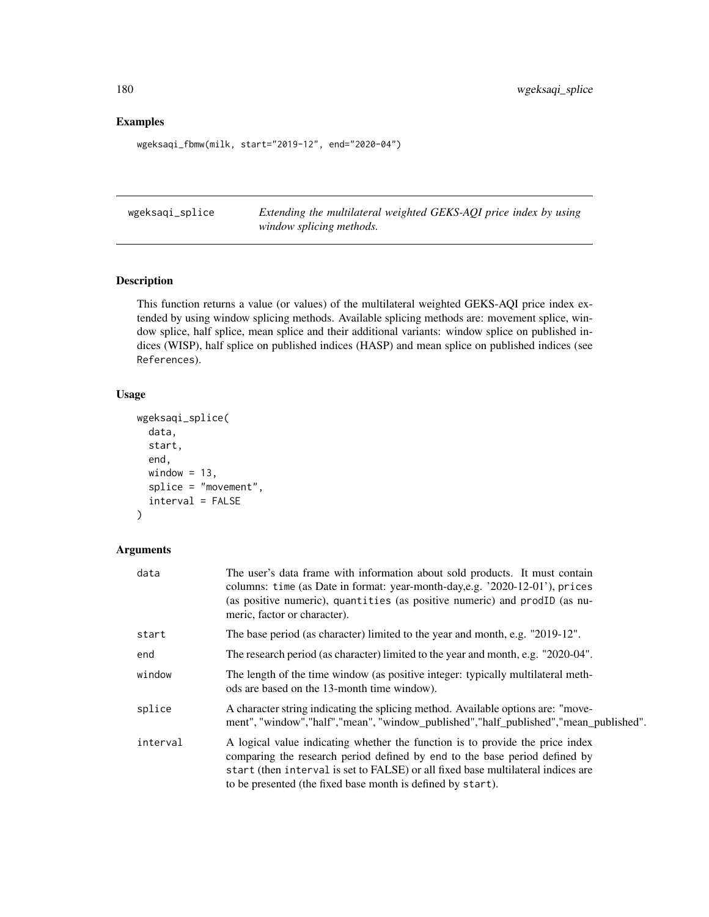# Examples

wgeksaqi\_fbmw(milk, start="2019-12", end="2020-04")

<span id="page-179-0"></span>wgeksaqi\_splice *Extending the multilateral weighted GEKS-AQI price index by using window splicing methods.*

# Description

This function returns a value (or values) of the multilateral weighted GEKS-AQI price index extended by using window splicing methods. Available splicing methods are: movement splice, window splice, half splice, mean splice and their additional variants: window splice on published indices (WISP), half splice on published indices (HASP) and mean splice on published indices (see References).

# Usage

```
wgeksaqi_splice(
  data,
  start,
  end,
  window = 13,
  splice = "movement",
  interval = FALSE
\mathcal{E}
```

| data     | The user's data frame with information about sold products. It must contain<br>columns: time (as Date in format: year-month-day, e.g. '2020-12-01'), prices<br>(as positive numeric), quantities (as positive numeric) and prodID (as nu-<br>meric, factor or character).                                      |
|----------|----------------------------------------------------------------------------------------------------------------------------------------------------------------------------------------------------------------------------------------------------------------------------------------------------------------|
| start    | The base period (as character) limited to the year and month, e.g. "2019-12".                                                                                                                                                                                                                                  |
| end      | The research period (as character) limited to the year and month, e.g. "2020-04".                                                                                                                                                                                                                              |
| window   | The length of the time window (as positive integer: typically multilateral meth-<br>ods are based on the 13-month time window).                                                                                                                                                                                |
| splice   | A character string indicating the splicing method. Available options are: "move-<br>ment", "window", "half", "mean", "window_published", "half_published", "mean_published".                                                                                                                                   |
| interval | A logical value indicating whether the function is to provide the price index<br>comparing the research period defined by end to the base period defined by<br>start (then interval is set to FALSE) or all fixed base multilateral indices are<br>to be presented (the fixed base month is defined by start). |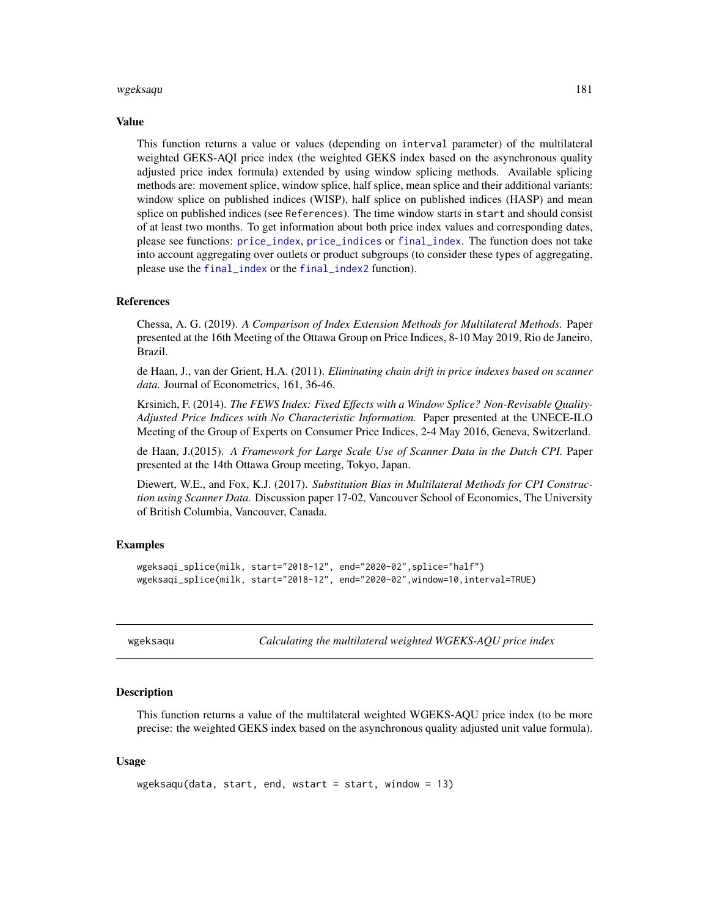#### <span id="page-180-0"></span>wgeksaqu 181

#### Value

This function returns a value or values (depending on interval parameter) of the multilateral weighted GEKS-AQI price index (the weighted GEKS index based on the asynchronous quality adjusted price index formula) extended by using window splicing methods. Available splicing methods are: movement splice, window splice, half splice, mean splice and their additional variants: window splice on published indices (WISP), half splice on published indices (HASP) and mean splice on published indices (see References). The time window starts in start and should consist of at least two months. To get information about both price index values and corresponding dates, please see functions: [price\\_index](#page-153-0), [price\\_indices](#page-154-0) or [final\\_index](#page-72-0). The function does not take into account aggregating over outlets or product subgroups (to consider these types of aggregating, please use the [final\\_index](#page-72-0) or the [final\\_index2](#page-74-0) function).

#### References

Chessa, A. G. (2019). *A Comparison of Index Extension Methods for Multilateral Methods.* Paper presented at the 16th Meeting of the Ottawa Group on Price Indices, 8-10 May 2019, Rio de Janeiro, Brazil.

de Haan, J., van der Grient, H.A. (2011). *Eliminating chain drift in price indexes based on scanner data.* Journal of Econometrics, 161, 36-46.

Krsinich, F. (2014). *The FEWS Index: Fixed Effects with a Window Splice? Non-Revisable Quality-Adjusted Price Indices with No Characteristic Information.* Paper presented at the UNECE-ILO Meeting of the Group of Experts on Consumer Price Indices, 2-4 May 2016, Geneva, Switzerland.

de Haan, J.(2015). *A Framework for Large Scale Use of Scanner Data in the Dutch CPI.* Paper presented at the 14th Ottawa Group meeting, Tokyo, Japan.

Diewert, W.E., and Fox, K.J. (2017). *Substitution Bias in Multilateral Methods for CPI Construction using Scanner Data.* Discussion paper 17-02, Vancouver School of Economics, The University of British Columbia, Vancouver, Canada.

# Examples

```
wgeksaqi_splice(milk, start="2018-12", end="2020-02",splice="half")
wgeksaqi_splice(milk, start="2018-12", end="2020-02",window=10,interval=TRUE)
```
wgeksaqu *Calculating the multilateral weighted WGEKS-AQU price index*

#### Description

This function returns a value of the multilateral weighted WGEKS-AQU price index (to be more precise: the weighted GEKS index based on the asynchronous quality adjusted unit value formula).

#### Usage

```
wgeksaqu(data, start, end, wstart = start, window = 13)
```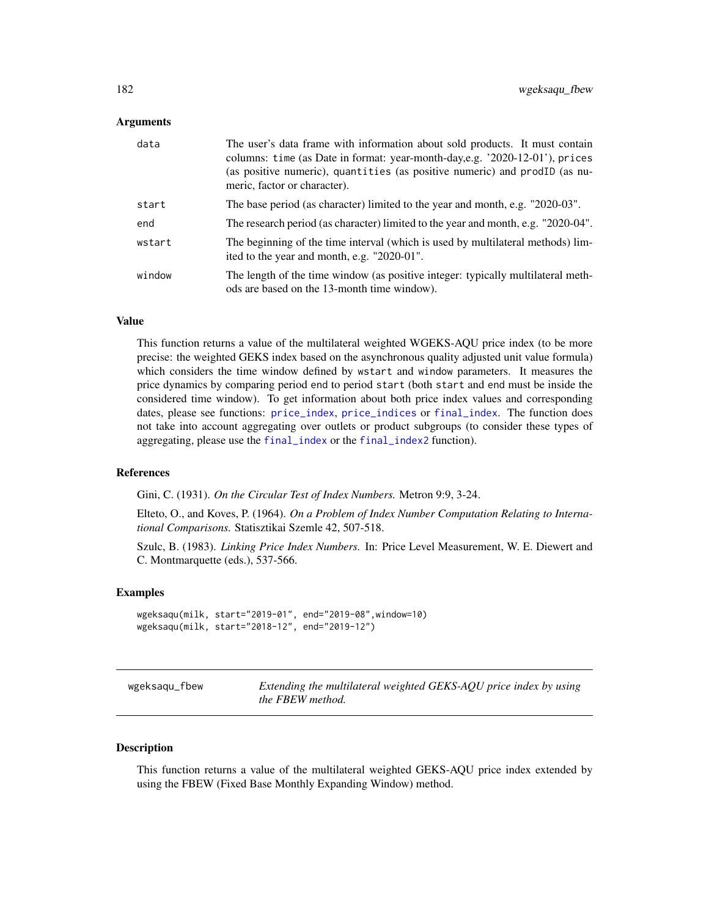#### <span id="page-181-0"></span>Arguments

| data   | The user's data frame with information about sold products. It must contain<br>columns: time (as Date in format: year-month-day, e.g. '2020-12-01'), prices<br>(as positive numeric), quantities (as positive numeric) and prodID (as nu-<br>meric, factor or character). |
|--------|---------------------------------------------------------------------------------------------------------------------------------------------------------------------------------------------------------------------------------------------------------------------------|
| start  | The base period (as character) limited to the year and month, e.g. "2020-03".                                                                                                                                                                                             |
| end    | The research period (as character) limited to the year and month, e.g. "2020-04".                                                                                                                                                                                         |
| wstart | The beginning of the time interval (which is used by multilateral methods) lim-<br>ited to the year and month, e.g. "2020-01".                                                                                                                                            |
| window | The length of the time window (as positive integer: typically multilateral meth-<br>ods are based on the 13-month time window).                                                                                                                                           |

#### Value

This function returns a value of the multilateral weighted WGEKS-AQU price index (to be more precise: the weighted GEKS index based on the asynchronous quality adjusted unit value formula) which considers the time window defined by wstart and window parameters. It measures the price dynamics by comparing period end to period start (both start and end must be inside the considered time window). To get information about both price index values and corresponding dates, please see functions: [price\\_index](#page-153-0), [price\\_indices](#page-154-0) or [final\\_index](#page-72-0). The function does not take into account aggregating over outlets or product subgroups (to consider these types of aggregating, please use the [final\\_index](#page-72-0) or the [final\\_index2](#page-74-0) function).

#### References

Gini, C. (1931). *On the Circular Test of Index Numbers.* Metron 9:9, 3-24.

Elteto, O., and Koves, P. (1964). *On a Problem of Index Number Computation Relating to International Comparisons.* Statisztikai Szemle 42, 507-518.

Szulc, B. (1983). *Linking Price Index Numbers.* In: Price Level Measurement, W. E. Diewert and C. Montmarquette (eds.), 537-566.

#### Examples

```
wgeksaqu(milk, start="2019-01", end="2019-08",window=10)
wgeksaqu(milk, start="2018-12", end="2019-12")
```

| wgeksaqu_fbew | Extending the multilateral weighted GEKS-AQU price index by using |
|---------------|-------------------------------------------------------------------|
|               | the FBEW method.                                                  |

#### Description

This function returns a value of the multilateral weighted GEKS-AQU price index extended by using the FBEW (Fixed Base Monthly Expanding Window) method.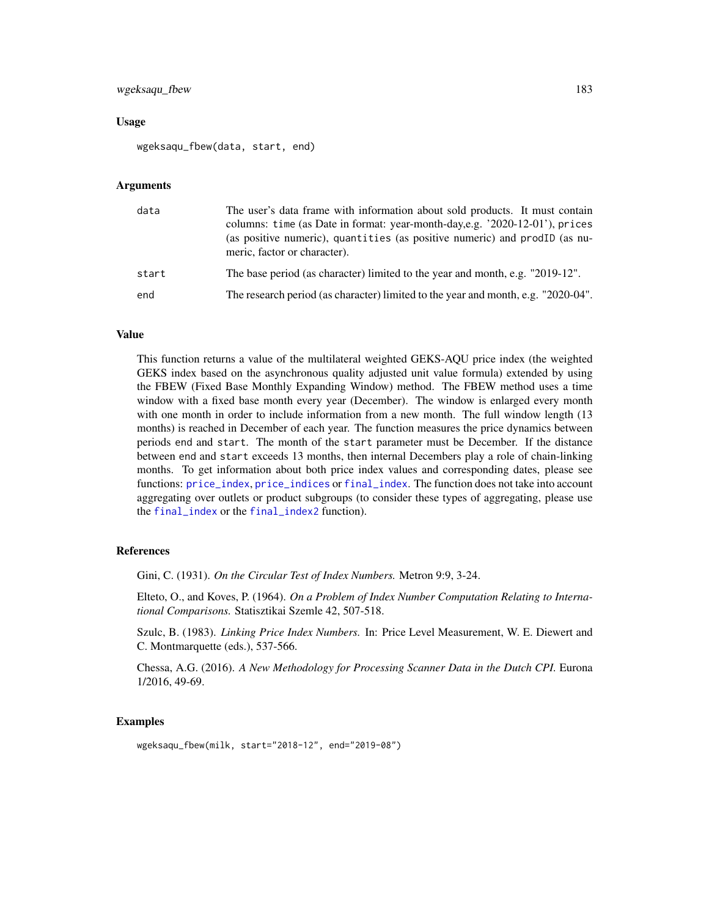#### wgeksaqu\_fbew 183

#### Usage

wgeksaqu\_fbew(data, start, end)

#### Arguments

| data  | The user's data frame with information about sold products. It must contain<br>columns: time (as Date in format: year-month-day, e.g. '2020-12-01'), prices<br>(as positive numeric), quantities (as positive numeric) and prodID (as nu-<br>meric, factor or character). |
|-------|---------------------------------------------------------------------------------------------------------------------------------------------------------------------------------------------------------------------------------------------------------------------------|
| start | The base period (as character) limited to the year and month, e.g. "2019-12".                                                                                                                                                                                             |
| end   | The research period (as character) limited to the year and month, e.g. "2020-04".                                                                                                                                                                                         |

# Value

This function returns a value of the multilateral weighted GEKS-AQU price index (the weighted GEKS index based on the asynchronous quality adjusted unit value formula) extended by using the FBEW (Fixed Base Monthly Expanding Window) method. The FBEW method uses a time window with a fixed base month every year (December). The window is enlarged every month with one month in order to include information from a new month. The full window length (13 months) is reached in December of each year. The function measures the price dynamics between periods end and start. The month of the start parameter must be December. If the distance between end and start exceeds 13 months, then internal Decembers play a role of chain-linking months. To get information about both price index values and corresponding dates, please see functions: [price\\_index](#page-153-0), [price\\_indices](#page-154-0) or [final\\_index](#page-72-0). The function does not take into account aggregating over outlets or product subgroups (to consider these types of aggregating, please use the [final\\_index](#page-72-0) or the [final\\_index2](#page-74-0) function).

#### References

Gini, C. (1931). *On the Circular Test of Index Numbers.* Metron 9:9, 3-24.

Elteto, O., and Koves, P. (1964). *On a Problem of Index Number Computation Relating to International Comparisons.* Statisztikai Szemle 42, 507-518.

Szulc, B. (1983). *Linking Price Index Numbers.* In: Price Level Measurement, W. E. Diewert and C. Montmarquette (eds.), 537-566.

Chessa, A.G. (2016). *A New Methodology for Processing Scanner Data in the Dutch CPI.* Eurona 1/2016, 49-69.

#### Examples

wgeksaqu\_fbew(milk, start="2018-12", end="2019-08")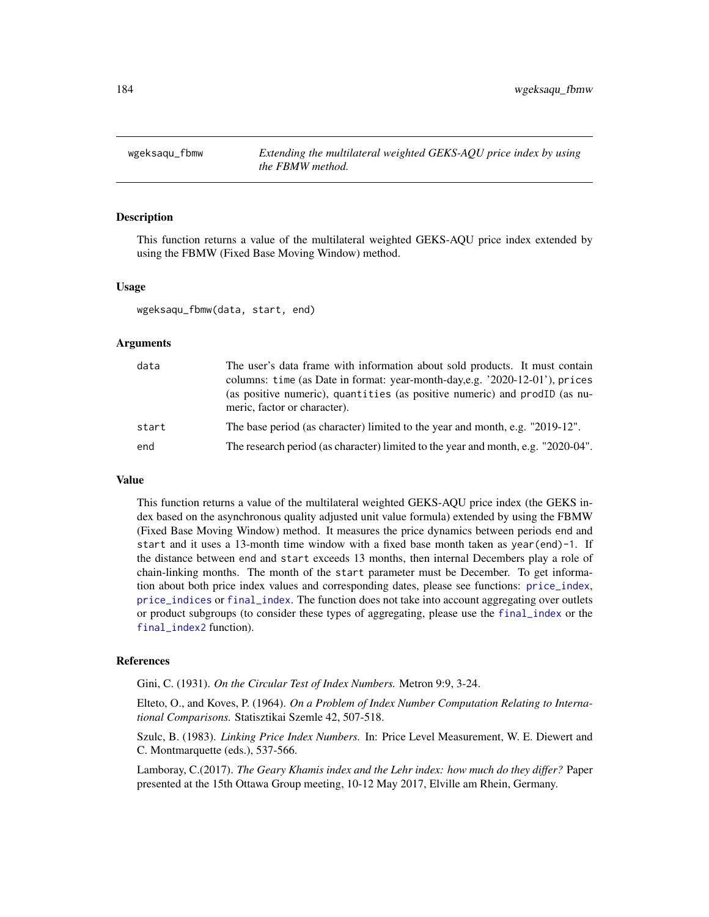<span id="page-183-0"></span>

# Description

This function returns a value of the multilateral weighted GEKS-AQU price index extended by using the FBMW (Fixed Base Moving Window) method.

#### Usage

wgeksaqu\_fbmw(data, start, end)

#### Arguments

| data  | The user's data frame with information about sold products. It must contain<br>columns: time (as Date in format: year-month-day, e.g. '2020-12-01'), prices<br>(as positive numeric), quantities (as positive numeric) and prodID (as nu-<br>meric, factor or character). |
|-------|---------------------------------------------------------------------------------------------------------------------------------------------------------------------------------------------------------------------------------------------------------------------------|
| start | The base period (as character) limited to the year and month, e.g. "2019-12".                                                                                                                                                                                             |
| end   | The research period (as character) limited to the year and month, e.g. "2020-04".                                                                                                                                                                                         |

#### Value

This function returns a value of the multilateral weighted GEKS-AQU price index (the GEKS index based on the asynchronous quality adjusted unit value formula) extended by using the FBMW (Fixed Base Moving Window) method. It measures the price dynamics between periods end and start and it uses a 13-month time window with a fixed base month taken as year(end)-1. If the distance between end and start exceeds 13 months, then internal Decembers play a role of chain-linking months. The month of the start parameter must be December. To get information about both price index values and corresponding dates, please see functions: [price\\_index](#page-153-0), [price\\_indices](#page-154-0) or [final\\_index](#page-72-0). The function does not take into account aggregating over outlets or product subgroups (to consider these types of aggregating, please use the [final\\_index](#page-72-0) or the [final\\_index2](#page-74-0) function).

#### References

Gini, C. (1931). *On the Circular Test of Index Numbers.* Metron 9:9, 3-24.

Elteto, O., and Koves, P. (1964). *On a Problem of Index Number Computation Relating to International Comparisons.* Statisztikai Szemle 42, 507-518.

Szulc, B. (1983). *Linking Price Index Numbers.* In: Price Level Measurement, W. E. Diewert and C. Montmarquette (eds.), 537-566.

Lamboray, C.(2017). *The Geary Khamis index and the Lehr index: how much do they differ?* Paper presented at the 15th Ottawa Group meeting, 10-12 May 2017, Elville am Rhein, Germany.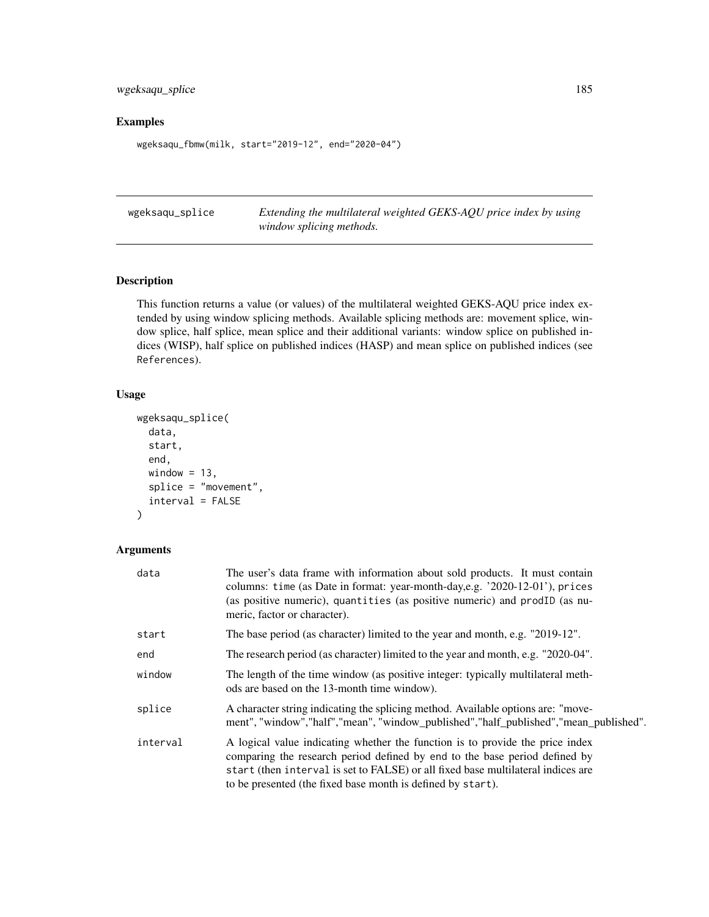<span id="page-184-0"></span>wgeksaqu\_splice 185

# Examples

wgeksaqu\_fbmw(milk, start="2019-12", end="2020-04")

wgeksaqu\_splice *Extending the multilateral weighted GEKS-AQU price index by using window splicing methods.*

# Description

This function returns a value (or values) of the multilateral weighted GEKS-AQU price index extended by using window splicing methods. Available splicing methods are: movement splice, window splice, half splice, mean splice and their additional variants: window splice on published indices (WISP), half splice on published indices (HASP) and mean splice on published indices (see References).

# Usage

```
wgeksaqu_splice(
  data,
  start,
  end,
  window = 13,
  splice = "movement",
  interval = FALSE
\mathcal{E}
```
# Arguments

| data     | The user's data frame with information about sold products. It must contain<br>columns: time (as Date in format: year-month-day, e.g. '2020-12-01'), prices<br>(as positive numeric), quantities (as positive numeric) and prodID (as nu-<br>meric, factor or character).                                      |
|----------|----------------------------------------------------------------------------------------------------------------------------------------------------------------------------------------------------------------------------------------------------------------------------------------------------------------|
| start    | The base period (as character) limited to the year and month, e.g. "2019-12".                                                                                                                                                                                                                                  |
| end      | The research period (as character) limited to the year and month, e.g. "2020-04".                                                                                                                                                                                                                              |
| window   | The length of the time window (as positive integer: typically multilateral meth-<br>ods are based on the 13-month time window).                                                                                                                                                                                |
| splice   | A character string indicating the splicing method. Available options are: "move-<br>ment", "window", "half", "mean", "window_published", "half_published", "mean_published".                                                                                                                                   |
| interval | A logical value indicating whether the function is to provide the price index<br>comparing the research period defined by end to the base period defined by<br>start (then interval is set to FALSE) or all fixed base multilateral indices are<br>to be presented (the fixed base month is defined by start). |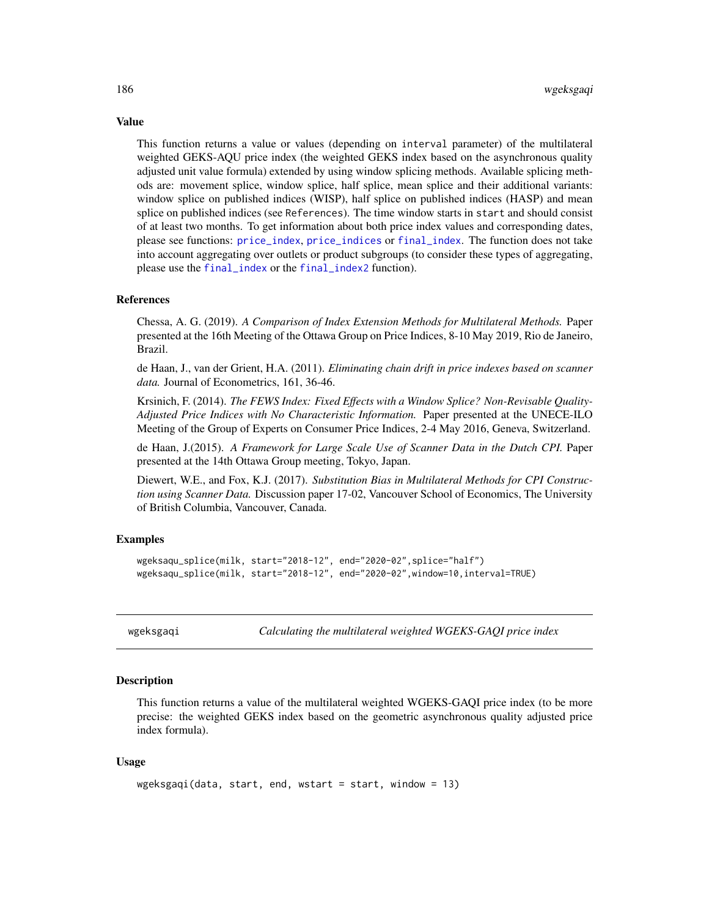This function returns a value or values (depending on interval parameter) of the multilateral weighted GEKS-AQU price index (the weighted GEKS index based on the asynchronous quality adjusted unit value formula) extended by using window splicing methods. Available splicing methods are: movement splice, window splice, half splice, mean splice and their additional variants: window splice on published indices (WISP), half splice on published indices (HASP) and mean splice on published indices (see References). The time window starts in start and should consist of at least two months. To get information about both price index values and corresponding dates, please see functions: [price\\_index](#page-153-0), [price\\_indices](#page-154-0) or [final\\_index](#page-72-0). The function does not take into account aggregating over outlets or product subgroups (to consider these types of aggregating, please use the [final\\_index](#page-72-0) or the [final\\_index2](#page-74-0) function).

#### References

Chessa, A. G. (2019). *A Comparison of Index Extension Methods for Multilateral Methods.* Paper presented at the 16th Meeting of the Ottawa Group on Price Indices, 8-10 May 2019, Rio de Janeiro, Brazil.

de Haan, J., van der Grient, H.A. (2011). *Eliminating chain drift in price indexes based on scanner data.* Journal of Econometrics, 161, 36-46.

Krsinich, F. (2014). *The FEWS Index: Fixed Effects with a Window Splice? Non-Revisable Quality-Adjusted Price Indices with No Characteristic Information.* Paper presented at the UNECE-ILO Meeting of the Group of Experts on Consumer Price Indices, 2-4 May 2016, Geneva, Switzerland.

de Haan, J.(2015). *A Framework for Large Scale Use of Scanner Data in the Dutch CPI.* Paper presented at the 14th Ottawa Group meeting, Tokyo, Japan.

Diewert, W.E., and Fox, K.J. (2017). *Substitution Bias in Multilateral Methods for CPI Construction using Scanner Data.* Discussion paper 17-02, Vancouver School of Economics, The University of British Columbia, Vancouver, Canada.

### Examples

```
wgeksaqu_splice(milk, start="2018-12", end="2020-02",splice="half")
wgeksaqu_splice(milk, start="2018-12", end="2020-02",window=10,interval=TRUE)
```
wgeksgaqi *Calculating the multilateral weighted WGEKS-GAQI price index*

#### Description

This function returns a value of the multilateral weighted WGEKS-GAQI price index (to be more precise: the weighted GEKS index based on the geometric asynchronous quality adjusted price index formula).

#### Usage

```
wgeksgaqi(data, start, end, wstart = start, window = 13)
```
# <span id="page-185-0"></span>Value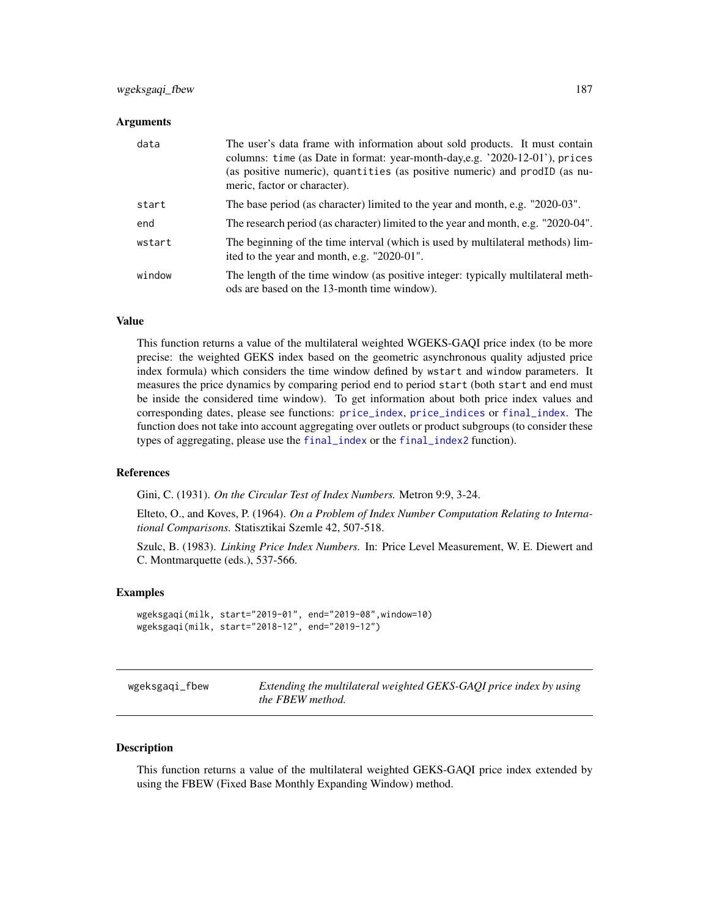# <span id="page-186-0"></span>wgeksgaqi\_fbew 187

#### **Arguments**

| data   | The user's data frame with information about sold products. It must contain<br>columns: time (as Date in format: year-month-day, e.g. '2020-12-01'), prices<br>(as positive numeric), quantities (as positive numeric) and prodID (as nu-<br>meric, factor or character). |
|--------|---------------------------------------------------------------------------------------------------------------------------------------------------------------------------------------------------------------------------------------------------------------------------|
| start  | The base period (as character) limited to the year and month, e.g. "2020-03".                                                                                                                                                                                             |
| end    | The research period (as character) limited to the year and month, e.g. "2020-04".                                                                                                                                                                                         |
| wstart | The beginning of the time interval (which is used by multilateral methods) lim-<br>ited to the year and month, e.g. "2020-01".                                                                                                                                            |
| window | The length of the time window (as positive integer: typically multilateral meth-<br>ods are based on the 13-month time window).                                                                                                                                           |

#### Value

This function returns a value of the multilateral weighted WGEKS-GAQI price index (to be more precise: the weighted GEKS index based on the geometric asynchronous quality adjusted price index formula) which considers the time window defined by wstart and window parameters. It measures the price dynamics by comparing period end to period start (both start and end must be inside the considered time window). To get information about both price index values and corresponding dates, please see functions: [price\\_index](#page-153-0), [price\\_indices](#page-154-0) or [final\\_index](#page-72-0). The function does not take into account aggregating over outlets or product subgroups (to consider these types of aggregating, please use the [final\\_index](#page-72-0) or the [final\\_index2](#page-74-0) function).

#### References

Gini, C. (1931). *On the Circular Test of Index Numbers.* Metron 9:9, 3-24.

Elteto, O., and Koves, P. (1964). *On a Problem of Index Number Computation Relating to International Comparisons.* Statisztikai Szemle 42, 507-518.

Szulc, B. (1983). *Linking Price Index Numbers.* In: Price Level Measurement, W. E. Diewert and C. Montmarquette (eds.), 537-566.

#### Examples

```
wgeksgaqi(milk, start="2019-01", end="2019-08",window=10)
wgeksgaqi(milk, start="2018-12", end="2019-12")
```

| wgeksgaqi_fbew | Extending the multilateral weighted GEKS-GAQI price index by using |
|----------------|--------------------------------------------------------------------|
|                | <i>the FBEW method.</i>                                            |

#### Description

This function returns a value of the multilateral weighted GEKS-GAQI price index extended by using the FBEW (Fixed Base Monthly Expanding Window) method.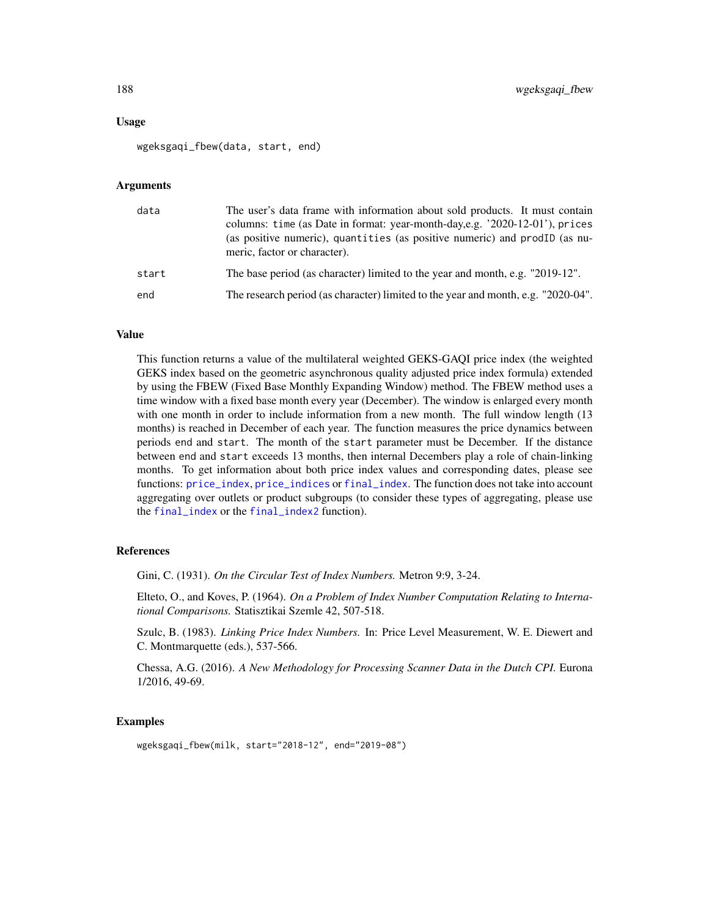#### Usage

wgeksgaqi\_fbew(data, start, end)

#### Arguments

| data  | The user's data frame with information about sold products. It must contain<br>columns: time (as Date in format: year-month-day, e.g. '2020-12-01'), prices<br>(as positive numeric), quantities (as positive numeric) and prodID (as nu-<br>meric, factor or character). |
|-------|---------------------------------------------------------------------------------------------------------------------------------------------------------------------------------------------------------------------------------------------------------------------------|
| start | The base period (as character) limited to the year and month, e.g. "2019-12".                                                                                                                                                                                             |
| end   | The research period (as character) limited to the year and month, e.g. "2020-04".                                                                                                                                                                                         |

#### Value

This function returns a value of the multilateral weighted GEKS-GAQI price index (the weighted GEKS index based on the geometric asynchronous quality adjusted price index formula) extended by using the FBEW (Fixed Base Monthly Expanding Window) method. The FBEW method uses a time window with a fixed base month every year (December). The window is enlarged every month with one month in order to include information from a new month. The full window length (13 months) is reached in December of each year. The function measures the price dynamics between periods end and start. The month of the start parameter must be December. If the distance between end and start exceeds 13 months, then internal Decembers play a role of chain-linking months. To get information about both price index values and corresponding dates, please see functions: [price\\_index](#page-153-0), [price\\_indices](#page-154-0) or [final\\_index](#page-72-0). The function does not take into account aggregating over outlets or product subgroups (to consider these types of aggregating, please use the [final\\_index](#page-72-0) or the [final\\_index2](#page-74-0) function).

#### References

Gini, C. (1931). *On the Circular Test of Index Numbers.* Metron 9:9, 3-24.

Elteto, O., and Koves, P. (1964). *On a Problem of Index Number Computation Relating to International Comparisons.* Statisztikai Szemle 42, 507-518.

Szulc, B. (1983). *Linking Price Index Numbers.* In: Price Level Measurement, W. E. Diewert and C. Montmarquette (eds.), 537-566.

Chessa, A.G. (2016). *A New Methodology for Processing Scanner Data in the Dutch CPI.* Eurona 1/2016, 49-69.

#### Examples

wgeksgaqi\_fbew(milk, start="2018-12", end="2019-08")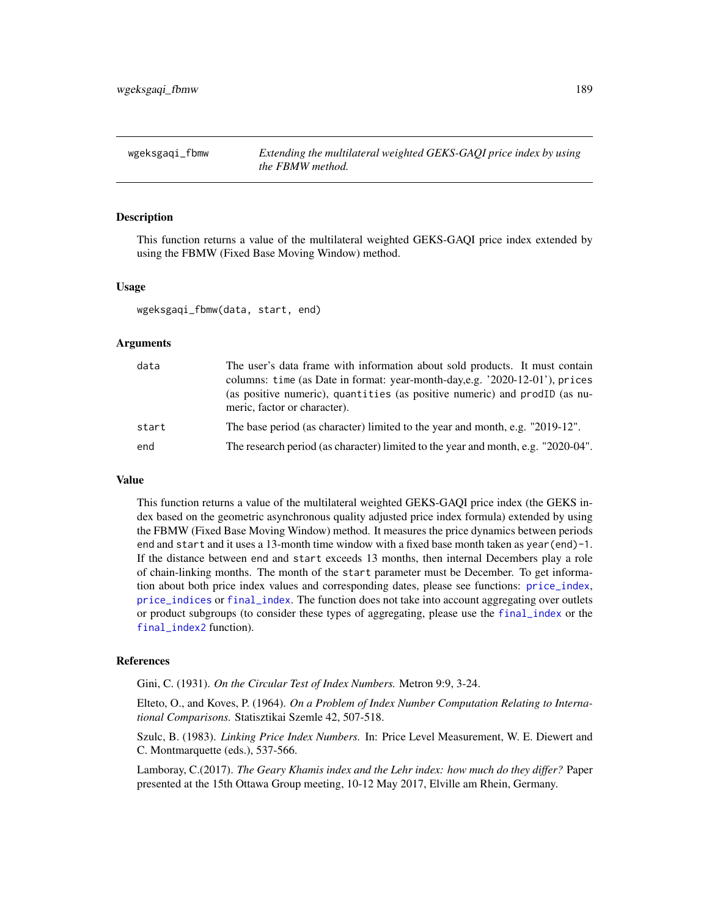<span id="page-188-0"></span>

### Description

This function returns a value of the multilateral weighted GEKS-GAQI price index extended by using the FBMW (Fixed Base Moving Window) method.

#### Usage

wgeksgaqi\_fbmw(data, start, end)

#### Arguments

| data  | The user's data frame with information about sold products. It must contain<br>columns: time (as Date in format: year-month-day, e.g. '2020-12-01'), prices<br>(as positive numeric), quantities (as positive numeric) and prodID (as nu-<br>meric, factor or character). |
|-------|---------------------------------------------------------------------------------------------------------------------------------------------------------------------------------------------------------------------------------------------------------------------------|
| start | The base period (as character) limited to the year and month, e.g. "2019-12".                                                                                                                                                                                             |
| end   | The research period (as character) limited to the year and month, e.g. "2020-04".                                                                                                                                                                                         |

#### Value

This function returns a value of the multilateral weighted GEKS-GAQI price index (the GEKS index based on the geometric asynchronous quality adjusted price index formula) extended by using the FBMW (Fixed Base Moving Window) method. It measures the price dynamics between periods end and start and it uses a 13-month time window with a fixed base month taken as year(end)-1. If the distance between end and start exceeds 13 months, then internal Decembers play a role of chain-linking months. The month of the start parameter must be December. To get information about both price index values and corresponding dates, please see functions: [price\\_index](#page-153-0), [price\\_indices](#page-154-0) or [final\\_index](#page-72-0). The function does not take into account aggregating over outlets or product subgroups (to consider these types of aggregating, please use the [final\\_index](#page-72-0) or the [final\\_index2](#page-74-0) function).

#### References

Gini, C. (1931). *On the Circular Test of Index Numbers.* Metron 9:9, 3-24.

Elteto, O., and Koves, P. (1964). *On a Problem of Index Number Computation Relating to International Comparisons.* Statisztikai Szemle 42, 507-518.

Szulc, B. (1983). *Linking Price Index Numbers.* In: Price Level Measurement, W. E. Diewert and C. Montmarquette (eds.), 537-566.

Lamboray, C.(2017). *The Geary Khamis index and the Lehr index: how much do they differ?* Paper presented at the 15th Ottawa Group meeting, 10-12 May 2017, Elville am Rhein, Germany.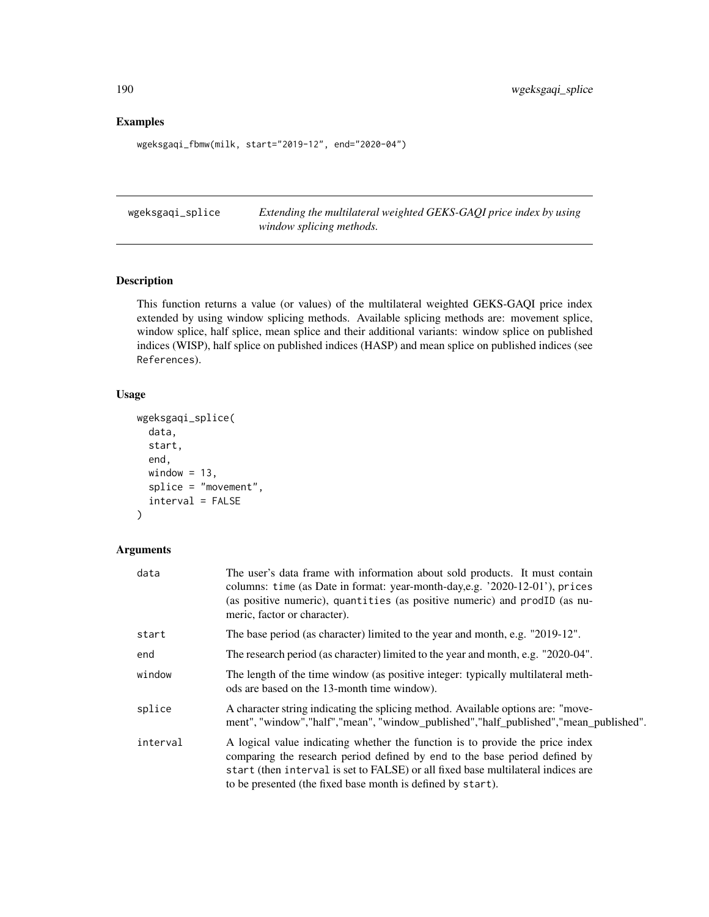# <span id="page-189-0"></span>Examples

wgeksgaqi\_fbmw(milk, start="2019-12", end="2020-04")

wgeksgaqi\_splice *Extending the multilateral weighted GEKS-GAQI price index by using window splicing methods.*

# Description

This function returns a value (or values) of the multilateral weighted GEKS-GAQI price index extended by using window splicing methods. Available splicing methods are: movement splice, window splice, half splice, mean splice and their additional variants: window splice on published indices (WISP), half splice on published indices (HASP) and mean splice on published indices (see References).

# Usage

```
wgeksgaqi_splice(
  data,
  start,
  end,
  window = 13,
  splice = "movement",
  interval = FALSE
\mathcal{E}
```
# Arguments

| data     | The user's data frame with information about sold products. It must contain<br>columns: time (as Date in format: year-month-day, e.g. '2020-12-01'), prices<br>(as positive numeric), quantities (as positive numeric) and prodID (as nu-<br>meric, factor or character).                                      |
|----------|----------------------------------------------------------------------------------------------------------------------------------------------------------------------------------------------------------------------------------------------------------------------------------------------------------------|
| start    | The base period (as character) limited to the year and month, e.g. "2019-12".                                                                                                                                                                                                                                  |
| end      | The research period (as character) limited to the year and month, e.g. "2020-04".                                                                                                                                                                                                                              |
| window   | The length of the time window (as positive integer: typically multilateral meth-<br>ods are based on the 13-month time window).                                                                                                                                                                                |
| splice   | A character string indicating the splicing method. Available options are: "move-<br>ment", "window", "half", "mean", "window_published", "half_published", "mean_published".                                                                                                                                   |
| interval | A logical value indicating whether the function is to provide the price index<br>comparing the research period defined by end to the base period defined by<br>start (then interval is set to FALSE) or all fixed base multilateral indices are<br>to be presented (the fixed base month is defined by start). |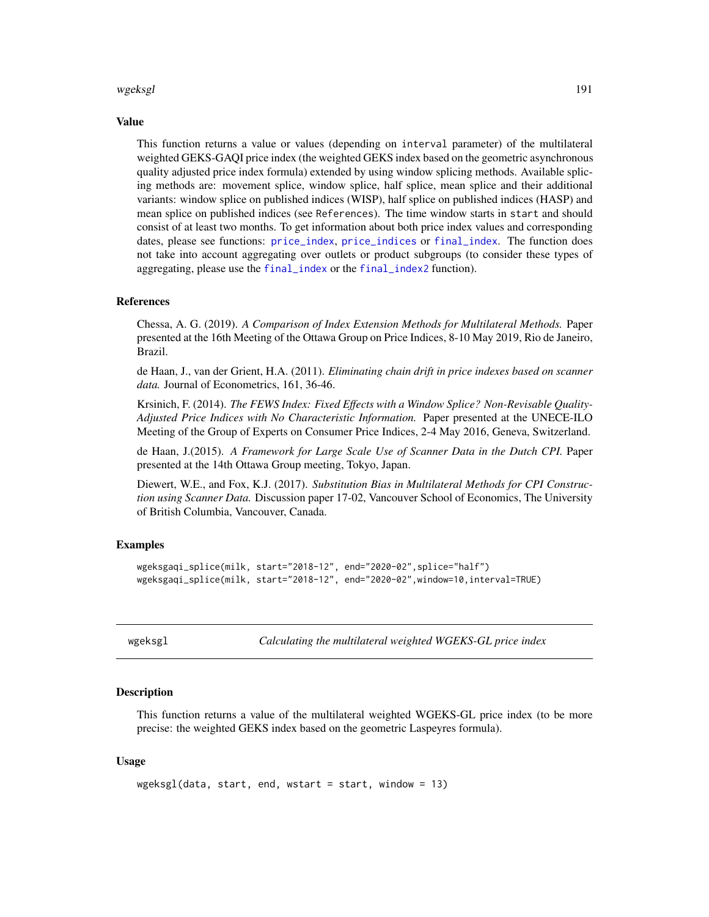#### <span id="page-190-0"></span>wgeksgl 191

#### Value

This function returns a value or values (depending on interval parameter) of the multilateral weighted GEKS-GAQI price index (the weighted GEKS index based on the geometric asynchronous quality adjusted price index formula) extended by using window splicing methods. Available splicing methods are: movement splice, window splice, half splice, mean splice and their additional variants: window splice on published indices (WISP), half splice on published indices (HASP) and mean splice on published indices (see References). The time window starts in start and should consist of at least two months. To get information about both price index values and corresponding dates, please see functions: [price\\_index](#page-153-0), [price\\_indices](#page-154-0) or [final\\_index](#page-72-0). The function does not take into account aggregating over outlets or product subgroups (to consider these types of aggregating, please use the [final\\_index](#page-72-0) or the [final\\_index2](#page-74-0) function).

#### References

Chessa, A. G. (2019). *A Comparison of Index Extension Methods for Multilateral Methods.* Paper presented at the 16th Meeting of the Ottawa Group on Price Indices, 8-10 May 2019, Rio de Janeiro, Brazil.

de Haan, J., van der Grient, H.A. (2011). *Eliminating chain drift in price indexes based on scanner data.* Journal of Econometrics, 161, 36-46.

Krsinich, F. (2014). *The FEWS Index: Fixed Effects with a Window Splice? Non-Revisable Quality-Adjusted Price Indices with No Characteristic Information.* Paper presented at the UNECE-ILO Meeting of the Group of Experts on Consumer Price Indices, 2-4 May 2016, Geneva, Switzerland.

de Haan, J.(2015). *A Framework for Large Scale Use of Scanner Data in the Dutch CPI.* Paper presented at the 14th Ottawa Group meeting, Tokyo, Japan.

Diewert, W.E., and Fox, K.J. (2017). *Substitution Bias in Multilateral Methods for CPI Construction using Scanner Data.* Discussion paper 17-02, Vancouver School of Economics, The University of British Columbia, Vancouver, Canada.

# Examples

```
wgeksgaqi_splice(milk, start="2018-12", end="2020-02",splice="half")
wgeksgaqi_splice(milk, start="2018-12", end="2020-02",window=10,interval=TRUE)
```
wgeksgl *Calculating the multilateral weighted WGEKS-GL price index*

#### Description

This function returns a value of the multilateral weighted WGEKS-GL price index (to be more precise: the weighted GEKS index based on the geometric Laspeyres formula).

#### Usage

```
wgeksgl(data, start, end, wstart = start, window = 13)
```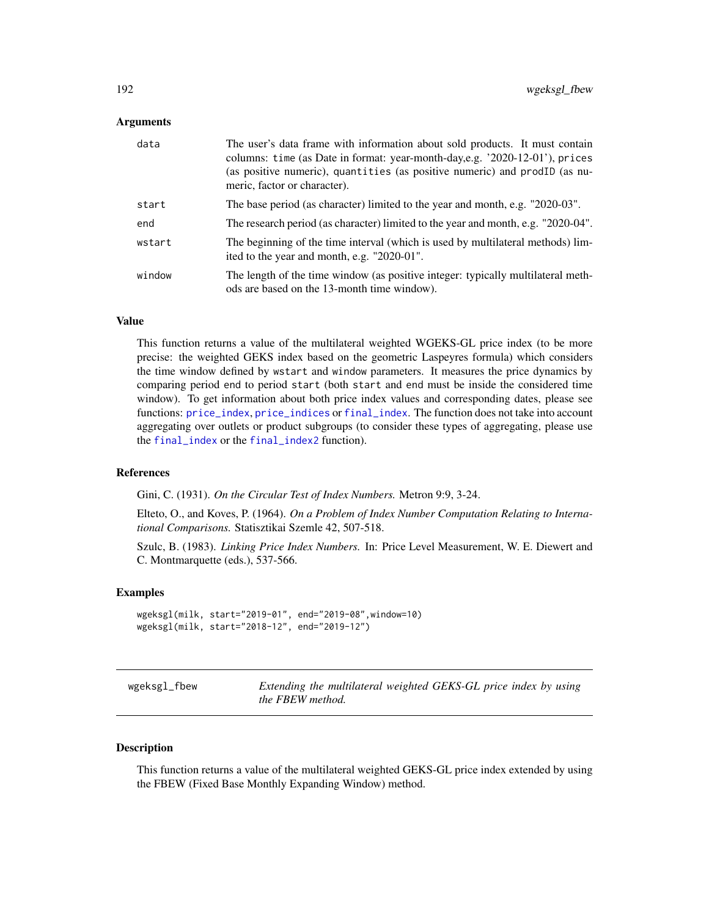### <span id="page-191-0"></span>Arguments

| data   | The user's data frame with information about sold products. It must contain<br>columns: time (as Date in format: year-month-day, e.g. '2020-12-01'), prices<br>(as positive numeric), quantities (as positive numeric) and prodID (as nu-<br>meric, factor or character). |
|--------|---------------------------------------------------------------------------------------------------------------------------------------------------------------------------------------------------------------------------------------------------------------------------|
| start  | The base period (as character) limited to the year and month, e.g. "2020-03".                                                                                                                                                                                             |
| end    | The research period (as character) limited to the year and month, e.g. "2020-04".                                                                                                                                                                                         |
| wstart | The beginning of the time interval (which is used by multilateral methods) lim-<br>ited to the year and month, e.g. "2020-01".                                                                                                                                            |
| window | The length of the time window (as positive integer: typically multilateral meth-<br>ods are based on the 13-month time window).                                                                                                                                           |

#### Value

This function returns a value of the multilateral weighted WGEKS-GL price index (to be more precise: the weighted GEKS index based on the geometric Laspeyres formula) which considers the time window defined by wstart and window parameters. It measures the price dynamics by comparing period end to period start (both start and end must be inside the considered time window). To get information about both price index values and corresponding dates, please see functions: [price\\_index](#page-153-0), [price\\_indices](#page-154-0) or [final\\_index](#page-72-0). The function does not take into account aggregating over outlets or product subgroups (to consider these types of aggregating, please use the [final\\_index](#page-72-0) or the [final\\_index2](#page-74-0) function).

#### References

Gini, C. (1931). *On the Circular Test of Index Numbers.* Metron 9:9, 3-24.

Elteto, O., and Koves, P. (1964). *On a Problem of Index Number Computation Relating to International Comparisons.* Statisztikai Szemle 42, 507-518.

Szulc, B. (1983). *Linking Price Index Numbers.* In: Price Level Measurement, W. E. Diewert and C. Montmarquette (eds.), 537-566.

#### Examples

```
wgeksgl(milk, start="2019-01", end="2019-08",window=10)
wgeksgl(milk, start="2018-12", end="2019-12")
```

| wgeksgl_fbew | Extending the multilateral weighted GEKS-GL price index by using |  |  |  |
|--------------|------------------------------------------------------------------|--|--|--|
|              | <i>the FBEW method.</i>                                          |  |  |  |

#### Description

This function returns a value of the multilateral weighted GEKS-GL price index extended by using the FBEW (Fixed Base Monthly Expanding Window) method.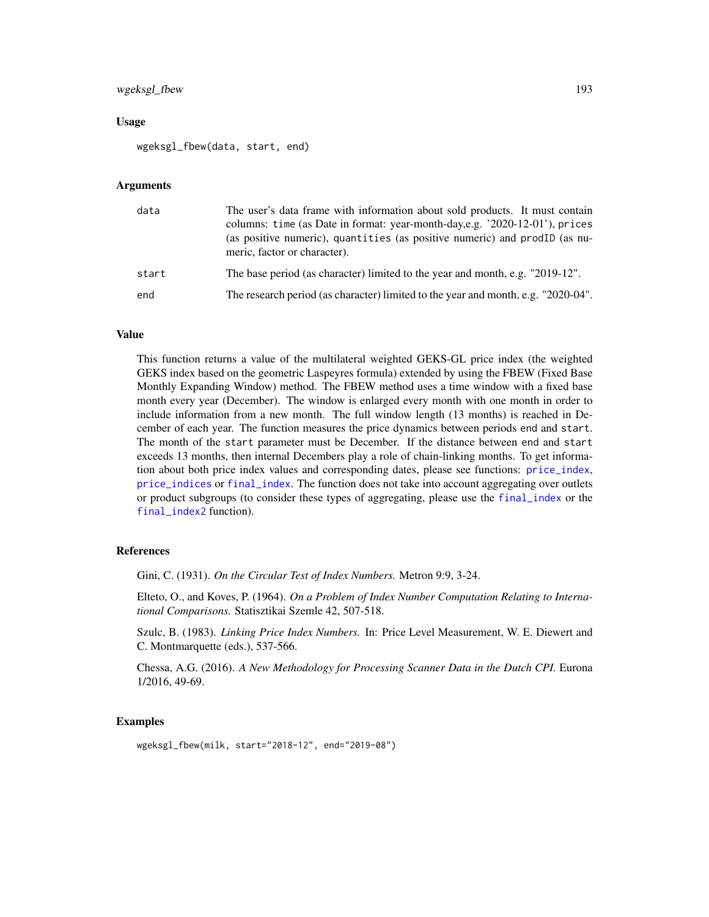#### wgeksgl\_fbew 193

#### Usage

wgeksgl\_fbew(data, start, end)

#### Arguments

| data  | The user's data frame with information about sold products. It must contain<br>columns: time (as Date in format: year-month-day, e.g. '2020-12-01'), prices<br>(as positive numeric), quantities (as positive numeric) and prodID (as nu-<br>meric, factor or character). |
|-------|---------------------------------------------------------------------------------------------------------------------------------------------------------------------------------------------------------------------------------------------------------------------------|
| start | The base period (as character) limited to the year and month, e.g. "2019-12".                                                                                                                                                                                             |
| end   | The research period (as character) limited to the year and month, e.g. "2020-04".                                                                                                                                                                                         |

# Value

This function returns a value of the multilateral weighted GEKS-GL price index (the weighted GEKS index based on the geometric Laspeyres formula) extended by using the FBEW (Fixed Base Monthly Expanding Window) method. The FBEW method uses a time window with a fixed base month every year (December). The window is enlarged every month with one month in order to include information from a new month. The full window length (13 months) is reached in December of each year. The function measures the price dynamics between periods end and start. The month of the start parameter must be December. If the distance between end and start exceeds 13 months, then internal Decembers play a role of chain-linking months. To get information about both price index values and corresponding dates, please see functions: [price\\_index](#page-153-0), [price\\_indices](#page-154-0) or [final\\_index](#page-72-0). The function does not take into account aggregating over outlets or product subgroups (to consider these types of aggregating, please use the [final\\_index](#page-72-0) or the [final\\_index2](#page-74-0) function).

#### References

Gini, C. (1931). *On the Circular Test of Index Numbers.* Metron 9:9, 3-24.

Elteto, O., and Koves, P. (1964). *On a Problem of Index Number Computation Relating to International Comparisons.* Statisztikai Szemle 42, 507-518.

Szulc, B. (1983). *Linking Price Index Numbers.* In: Price Level Measurement, W. E. Diewert and C. Montmarquette (eds.), 537-566.

Chessa, A.G. (2016). *A New Methodology for Processing Scanner Data in the Dutch CPI.* Eurona 1/2016, 49-69.

#### Examples

wgeksgl\_fbew(milk, start="2018-12", end="2019-08")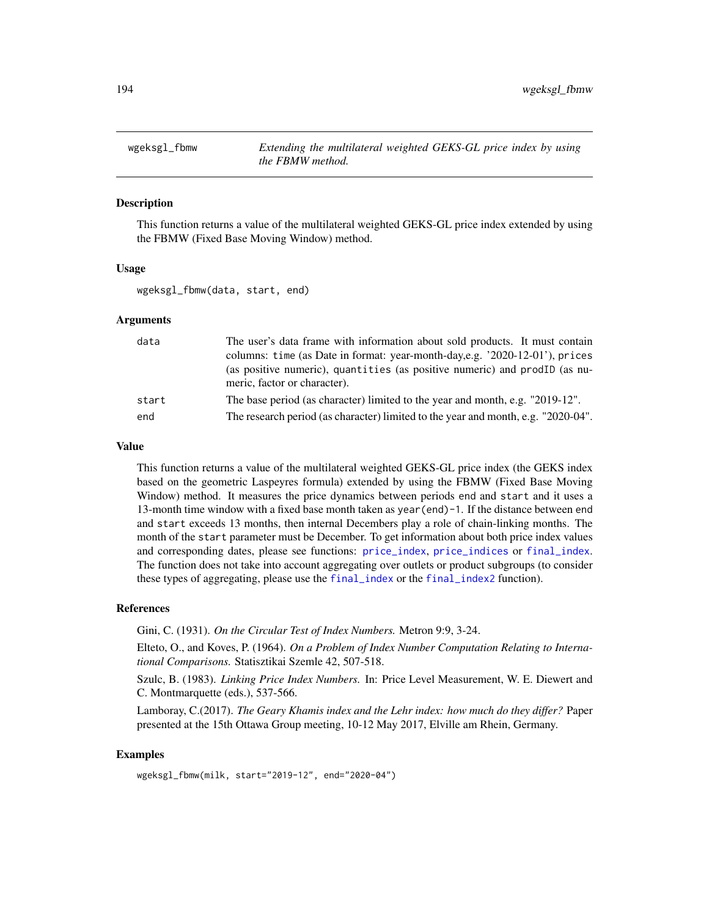<span id="page-193-0"></span>

# **Description**

This function returns a value of the multilateral weighted GEKS-GL price index extended by using the FBMW (Fixed Base Moving Window) method.

#### Usage

wgeksgl\_fbmw(data, start, end)

#### Arguments

| data  | The user's data frame with information about sold products. It must contain       |
|-------|-----------------------------------------------------------------------------------|
|       | columns: time (as Date in format: year-month-day,e.g. '2020-12-01'), prices       |
|       | (as positive numeric), quantities (as positive numeric) and prodID (as nu-        |
|       | meric, factor or character).                                                      |
| start | The base period (as character) limited to the year and month, e.g. "2019-12".     |
| end   | The research period (as character) limited to the year and month, e.g. "2020-04". |

#### Value

This function returns a value of the multilateral weighted GEKS-GL price index (the GEKS index based on the geometric Laspeyres formula) extended by using the FBMW (Fixed Base Moving Window) method. It measures the price dynamics between periods end and start and it uses a 13-month time window with a fixed base month taken as year(end)-1. If the distance between end and start exceeds 13 months, then internal Decembers play a role of chain-linking months. The month of the start parameter must be December. To get information about both price index values and corresponding dates, please see functions: [price\\_index](#page-153-0), [price\\_indices](#page-154-0) or [final\\_index](#page-72-0). The function does not take into account aggregating over outlets or product subgroups (to consider these types of aggregating, please use the [final\\_index](#page-72-0) or the [final\\_index2](#page-74-0) function).

#### References

Gini, C. (1931). *On the Circular Test of Index Numbers.* Metron 9:9, 3-24.

Elteto, O., and Koves, P. (1964). *On a Problem of Index Number Computation Relating to International Comparisons.* Statisztikai Szemle 42, 507-518.

Szulc, B. (1983). *Linking Price Index Numbers.* In: Price Level Measurement, W. E. Diewert and C. Montmarquette (eds.), 537-566.

Lamboray, C.(2017). *The Geary Khamis index and the Lehr index: how much do they differ?* Paper presented at the 15th Ottawa Group meeting, 10-12 May 2017, Elville am Rhein, Germany.

#### Examples

```
wgeksgl_fbmw(milk, start="2019-12", end="2020-04")
```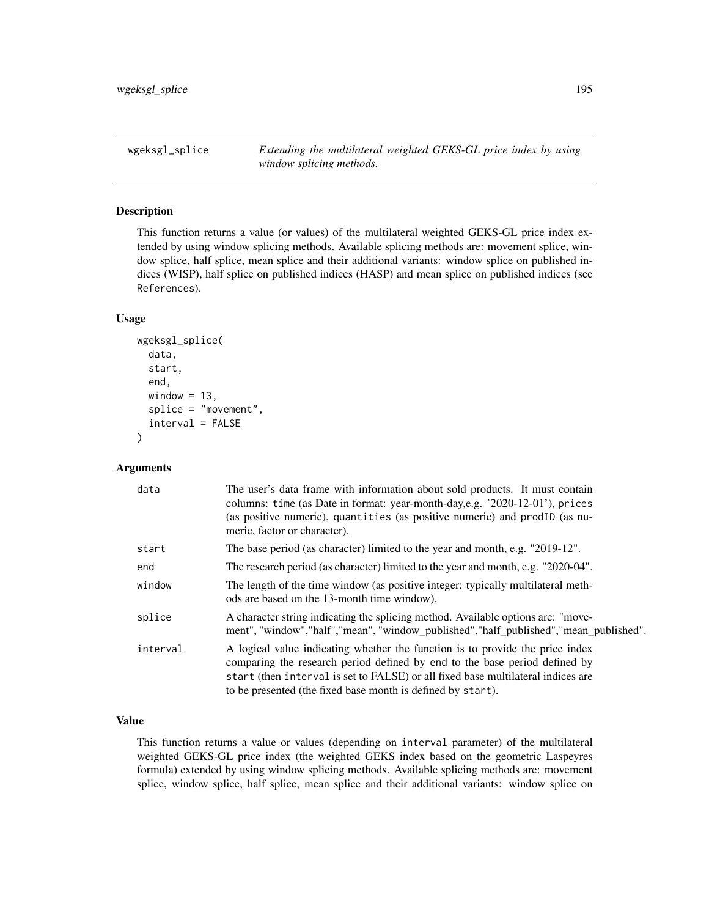<span id="page-194-0"></span>wgeksgl\_splice *Extending the multilateral weighted GEKS-GL price index by using window splicing methods.*

# Description

This function returns a value (or values) of the multilateral weighted GEKS-GL price index extended by using window splicing methods. Available splicing methods are: movement splice, window splice, half splice, mean splice and their additional variants: window splice on published indices (WISP), half splice on published indices (HASP) and mean splice on published indices (see References).

# Usage

```
wgeksgl_splice(
  data,
  start,
  end,
  window = 13,
  splice = "movement",
  interval = FALSE
)
```
# Arguments

| data     | The user's data frame with information about sold products. It must contain<br>columns: time (as Date in format: year-month-day, e.g. '2020-12-01'), prices<br>(as positive numeric), quantities (as positive numeric) and prodID (as nu-<br>meric, factor or character).                                      |
|----------|----------------------------------------------------------------------------------------------------------------------------------------------------------------------------------------------------------------------------------------------------------------------------------------------------------------|
| start    | The base period (as character) limited to the year and month, e.g. "2019-12".                                                                                                                                                                                                                                  |
| end      | The research period (as character) limited to the year and month, e.g. "2020-04".                                                                                                                                                                                                                              |
| window   | The length of the time window (as positive integer: typically multilateral meth-<br>ods are based on the 13-month time window).                                                                                                                                                                                |
| splice   | A character string indicating the splicing method. Available options are: "move-<br>ment", "window", "half", "mean", "window_published", "half_published", "mean_published".                                                                                                                                   |
| interval | A logical value indicating whether the function is to provide the price index<br>comparing the research period defined by end to the base period defined by<br>start (then interval is set to FALSE) or all fixed base multilateral indices are<br>to be presented (the fixed base month is defined by start). |

# Value

This function returns a value or values (depending on interval parameter) of the multilateral weighted GEKS-GL price index (the weighted GEKS index based on the geometric Laspeyres formula) extended by using window splicing methods. Available splicing methods are: movement splice, window splice, half splice, mean splice and their additional variants: window splice on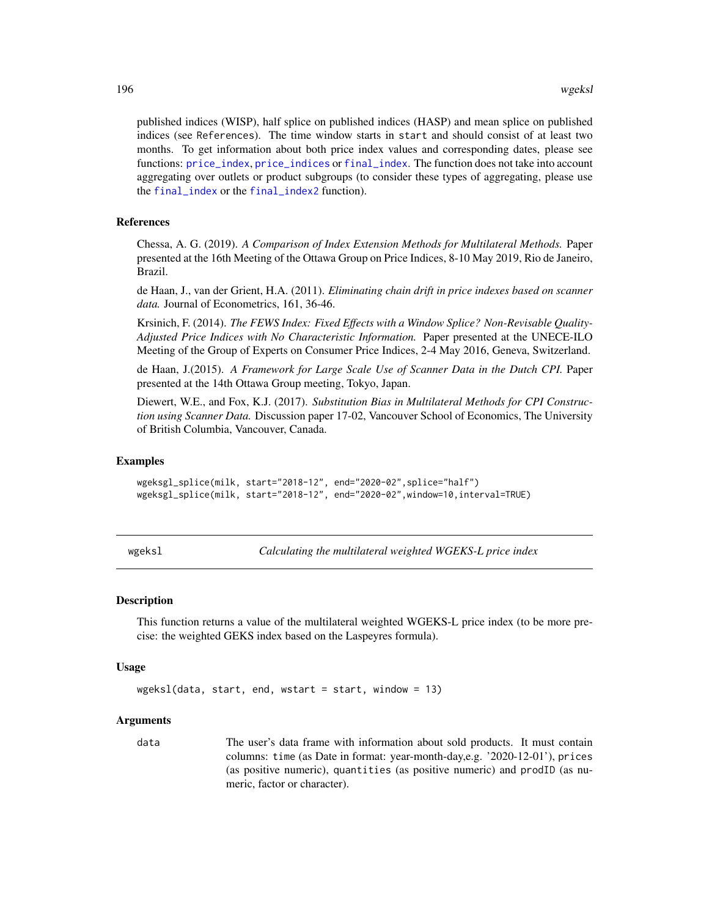published indices (WISP), half splice on published indices (HASP) and mean splice on published indices (see References). The time window starts in start and should consist of at least two months. To get information about both price index values and corresponding dates, please see functions: [price\\_index](#page-153-0), [price\\_indices](#page-154-0) or [final\\_index](#page-72-0). The function does not take into account aggregating over outlets or product subgroups (to consider these types of aggregating, please use the [final\\_index](#page-72-0) or the [final\\_index2](#page-74-0) function).

# References

Chessa, A. G. (2019). *A Comparison of Index Extension Methods for Multilateral Methods.* Paper presented at the 16th Meeting of the Ottawa Group on Price Indices, 8-10 May 2019, Rio de Janeiro, Brazil.

de Haan, J., van der Grient, H.A. (2011). *Eliminating chain drift in price indexes based on scanner data.* Journal of Econometrics, 161, 36-46.

Krsinich, F. (2014). *The FEWS Index: Fixed Effects with a Window Splice? Non-Revisable Quality-Adjusted Price Indices with No Characteristic Information.* Paper presented at the UNECE-ILO Meeting of the Group of Experts on Consumer Price Indices, 2-4 May 2016, Geneva, Switzerland.

de Haan, J.(2015). *A Framework for Large Scale Use of Scanner Data in the Dutch CPI.* Paper presented at the 14th Ottawa Group meeting, Tokyo, Japan.

Diewert, W.E., and Fox, K.J. (2017). *Substitution Bias in Multilateral Methods for CPI Construction using Scanner Data.* Discussion paper 17-02, Vancouver School of Economics, The University of British Columbia, Vancouver, Canada.

#### Examples

wgeksgl\_splice(milk, start="2018-12", end="2020-02",splice="half") wgeksgl\_splice(milk, start="2018-12", end="2020-02",window=10,interval=TRUE)

wgeksl *Calculating the multilateral weighted WGEKS-L price index*

#### Description

This function returns a value of the multilateral weighted WGEKS-L price index (to be more precise: the weighted GEKS index based on the Laspeyres formula).

#### Usage

wgeksl(data, start, end, wstart = start, window = 13)

#### Arguments

data The user's data frame with information about sold products. It must contain columns: time (as Date in format: year-month-day,e.g. '2020-12-01'), prices (as positive numeric), quantities (as positive numeric) and prodID (as numeric, factor or character).

<span id="page-195-0"></span>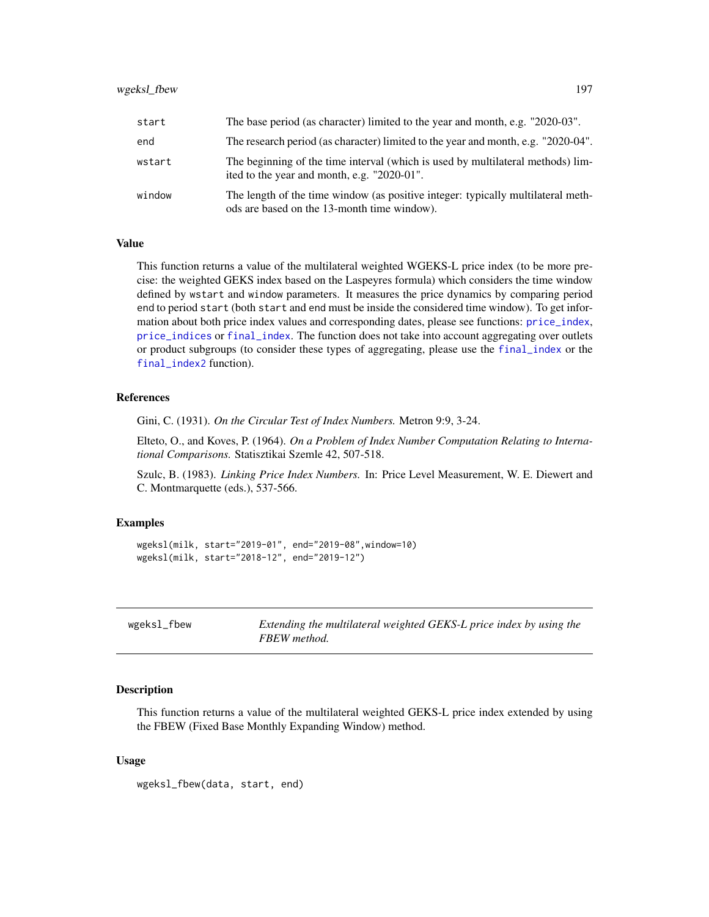<span id="page-196-0"></span>

| start  | The base period (as character) limited to the year and month, e.g. "2020-03".                                                   |
|--------|---------------------------------------------------------------------------------------------------------------------------------|
| end    | The research period (as character) limited to the year and month, e.g. "2020-04".                                               |
| wstart | The beginning of the time interval (which is used by multilateral methods) lim-<br>ited to the year and month, e.g. "2020-01".  |
| window | The length of the time window (as positive integer: typically multilateral meth-<br>ods are based on the 13-month time window). |

#### Value

This function returns a value of the multilateral weighted WGEKS-L price index (to be more precise: the weighted GEKS index based on the Laspeyres formula) which considers the time window defined by wstart and window parameters. It measures the price dynamics by comparing period end to period start (both start and end must be inside the considered time window). To get information about both price index values and corresponding dates, please see functions: [price\\_index](#page-153-0), [price\\_indices](#page-154-0) or [final\\_index](#page-72-0). The function does not take into account aggregating over outlets or product subgroups (to consider these types of aggregating, please use the [final\\_index](#page-72-0) or the [final\\_index2](#page-74-0) function).

# References

Gini, C. (1931). *On the Circular Test of Index Numbers.* Metron 9:9, 3-24.

Elteto, O., and Koves, P. (1964). *On a Problem of Index Number Computation Relating to International Comparisons.* Statisztikai Szemle 42, 507-518.

Szulc, B. (1983). *Linking Price Index Numbers.* In: Price Level Measurement, W. E. Diewert and C. Montmarquette (eds.), 537-566.

# Examples

```
wgeksl(milk, start="2019-01", end="2019-08",window=10)
wgeksl(milk, start="2018-12", end="2019-12")
```

| wgeksl_fbew | Extending the multilateral weighted GEKS-L price index by using the |
|-------------|---------------------------------------------------------------------|
|             | FBEW method.                                                        |

# Description

This function returns a value of the multilateral weighted GEKS-L price index extended by using the FBEW (Fixed Base Monthly Expanding Window) method.

#### Usage

wgeksl\_fbew(data, start, end)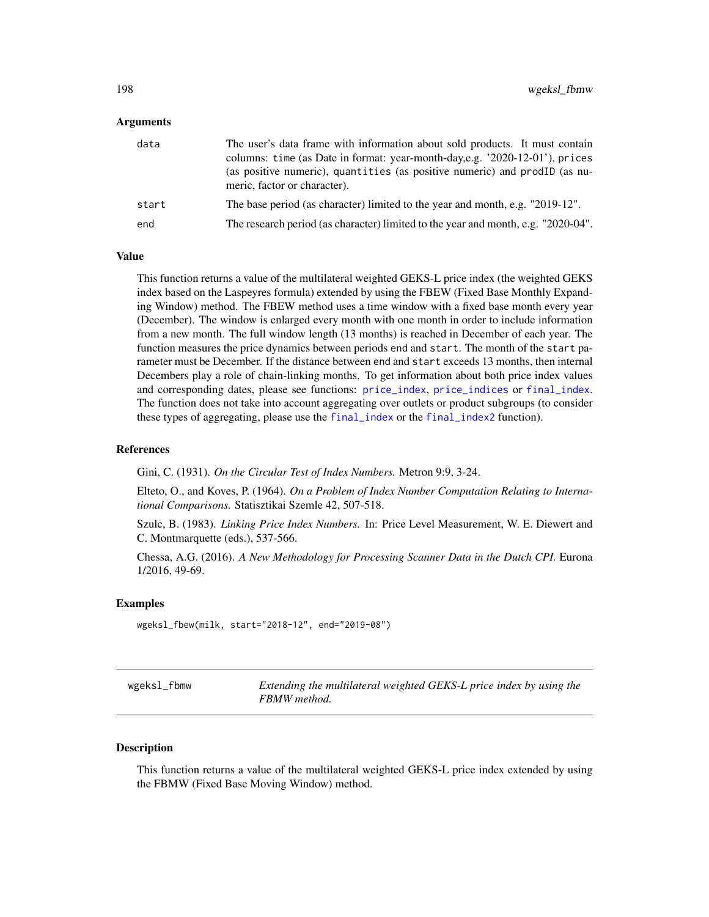#### <span id="page-197-0"></span>Arguments

| data  | The user's data frame with information about sold products. It must contain                                |
|-------|------------------------------------------------------------------------------------------------------------|
|       | columns: time (as Date in format: year-month-day, e.g. '2020-12-01'), prices                               |
|       | (as positive numeric), quantities (as positive numeric) and prodID (as nu-<br>meric, factor or character). |
| start | The base period (as character) limited to the year and month, e.g. "2019-12".                              |
| end   | The research period (as character) limited to the year and month, e.g. "2020-04".                          |

#### Value

This function returns a value of the multilateral weighted GEKS-L price index (the weighted GEKS index based on the Laspeyres formula) extended by using the FBEW (Fixed Base Monthly Expanding Window) method. The FBEW method uses a time window with a fixed base month every year (December). The window is enlarged every month with one month in order to include information from a new month. The full window length (13 months) is reached in December of each year. The function measures the price dynamics between periods end and start. The month of the start parameter must be December. If the distance between end and start exceeds 13 months, then internal Decembers play a role of chain-linking months. To get information about both price index values and corresponding dates, please see functions: [price\\_index](#page-153-0), [price\\_indices](#page-154-0) or [final\\_index](#page-72-0). The function does not take into account aggregating over outlets or product subgroups (to consider these types of aggregating, please use the [final\\_index](#page-72-0) or the [final\\_index2](#page-74-0) function).

#### References

Gini, C. (1931). *On the Circular Test of Index Numbers.* Metron 9:9, 3-24.

Elteto, O., and Koves, P. (1964). *On a Problem of Index Number Computation Relating to International Comparisons.* Statisztikai Szemle 42, 507-518.

Szulc, B. (1983). *Linking Price Index Numbers.* In: Price Level Measurement, W. E. Diewert and C. Montmarquette (eds.), 537-566.

Chessa, A.G. (2016). *A New Methodology for Processing Scanner Data in the Dutch CPI.* Eurona 1/2016, 49-69.

# Examples

```
wgeksl_fbew(milk, start="2018-12", end="2019-08")
```

| wgeksl_fbmw | Extending the multilateral weighted GEKS-L price index by using the |
|-------------|---------------------------------------------------------------------|
|             | FBMW method.                                                        |

#### Description

This function returns a value of the multilateral weighted GEKS-L price index extended by using the FBMW (Fixed Base Moving Window) method.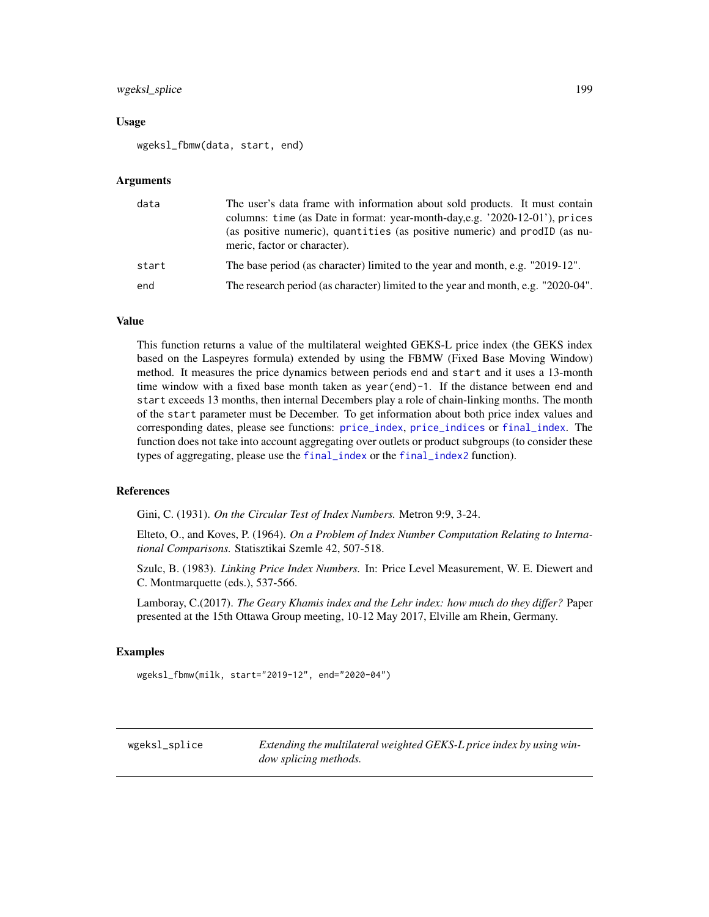# <span id="page-198-0"></span>wgeksl\_splice 199

#### Usage

wgeksl\_fbmw(data, start, end)

#### Arguments

| data  | The user's data frame with information about sold products. It must contain<br>columns: time (as Date in format: year-month-day, e.g. '2020-12-01'), prices<br>(as positive numeric), quantities (as positive numeric) and prodID (as nu- |
|-------|-------------------------------------------------------------------------------------------------------------------------------------------------------------------------------------------------------------------------------------------|
|       | meric, factor or character).                                                                                                                                                                                                              |
| start | The base period (as character) limited to the year and month, e.g. "2019-12".                                                                                                                                                             |
| end   | The research period (as character) limited to the year and month, e.g. "2020-04".                                                                                                                                                         |

#### Value

This function returns a value of the multilateral weighted GEKS-L price index (the GEKS index based on the Laspeyres formula) extended by using the FBMW (Fixed Base Moving Window) method. It measures the price dynamics between periods end and start and it uses a 13-month time window with a fixed base month taken as year(end)-1. If the distance between end and start exceeds 13 months, then internal Decembers play a role of chain-linking months. The month of the start parameter must be December. To get information about both price index values and corresponding dates, please see functions: [price\\_index](#page-153-0), [price\\_indices](#page-154-0) or [final\\_index](#page-72-0). The function does not take into account aggregating over outlets or product subgroups (to consider these types of aggregating, please use the [final\\_index](#page-72-0) or the [final\\_index2](#page-74-0) function).

#### References

Gini, C. (1931). *On the Circular Test of Index Numbers.* Metron 9:9, 3-24.

Elteto, O., and Koves, P. (1964). *On a Problem of Index Number Computation Relating to International Comparisons.* Statisztikai Szemle 42, 507-518.

Szulc, B. (1983). *Linking Price Index Numbers.* In: Price Level Measurement, W. E. Diewert and C. Montmarquette (eds.), 537-566.

Lamboray, C.(2017). *The Geary Khamis index and the Lehr index: how much do they differ?* Paper presented at the 15th Ottawa Group meeting, 10-12 May 2017, Elville am Rhein, Germany.

#### Examples

wgeksl\_fbmw(milk, start="2019-12", end="2020-04")

wgeksl\_splice *Extending the multilateral weighted GEKS-L price index by using window splicing methods.*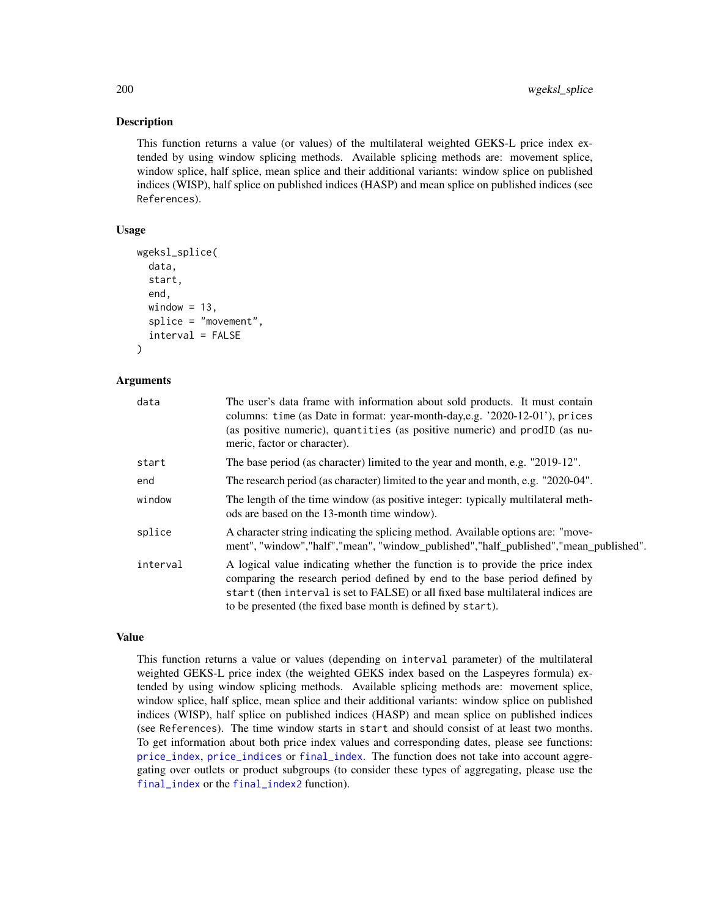#### <span id="page-199-0"></span>Description

This function returns a value (or values) of the multilateral weighted GEKS-L price index extended by using window splicing methods. Available splicing methods are: movement splice, window splice, half splice, mean splice and their additional variants: window splice on published indices (WISP), half splice on published indices (HASP) and mean splice on published indices (see References).

# Usage

```
wgeksl_splice(
  data,
  start,
  end,
  window = 13,
  splice = "movement",
  interval = FALSE
)
```
#### Arguments

| data     | The user's data frame with information about sold products. It must contain<br>columns: time (as Date in format: year-month-day, e.g. '2020-12-01'), prices<br>(as positive numeric), quantities (as positive numeric) and prodID (as nu-<br>meric, factor or character).                                      |
|----------|----------------------------------------------------------------------------------------------------------------------------------------------------------------------------------------------------------------------------------------------------------------------------------------------------------------|
| start    | The base period (as character) limited to the year and month, e.g. "2019-12".                                                                                                                                                                                                                                  |
| end      | The research period (as character) limited to the year and month, e.g. "2020-04".                                                                                                                                                                                                                              |
| window   | The length of the time window (as positive integer: typically multilateral meth-<br>ods are based on the 13-month time window).                                                                                                                                                                                |
| splice   | A character string indicating the splicing method. Available options are: "move-<br>ment", "window", "half", "mean", "window_published", "half_published", "mean_published".                                                                                                                                   |
| interval | A logical value indicating whether the function is to provide the price index<br>comparing the research period defined by end to the base period defined by<br>start (then interval is set to FALSE) or all fixed base multilateral indices are<br>to be presented (the fixed base month is defined by start). |

# Value

This function returns a value or values (depending on interval parameter) of the multilateral weighted GEKS-L price index (the weighted GEKS index based on the Laspeyres formula) extended by using window splicing methods. Available splicing methods are: movement splice, window splice, half splice, mean splice and their additional variants: window splice on published indices (WISP), half splice on published indices (HASP) and mean splice on published indices (see References). The time window starts in start and should consist of at least two months. To get information about both price index values and corresponding dates, please see functions: [price\\_index](#page-153-0), [price\\_indices](#page-154-0) or [final\\_index](#page-72-0). The function does not take into account aggregating over outlets or product subgroups (to consider these types of aggregating, please use the [final\\_index](#page-72-0) or the [final\\_index2](#page-74-0) function).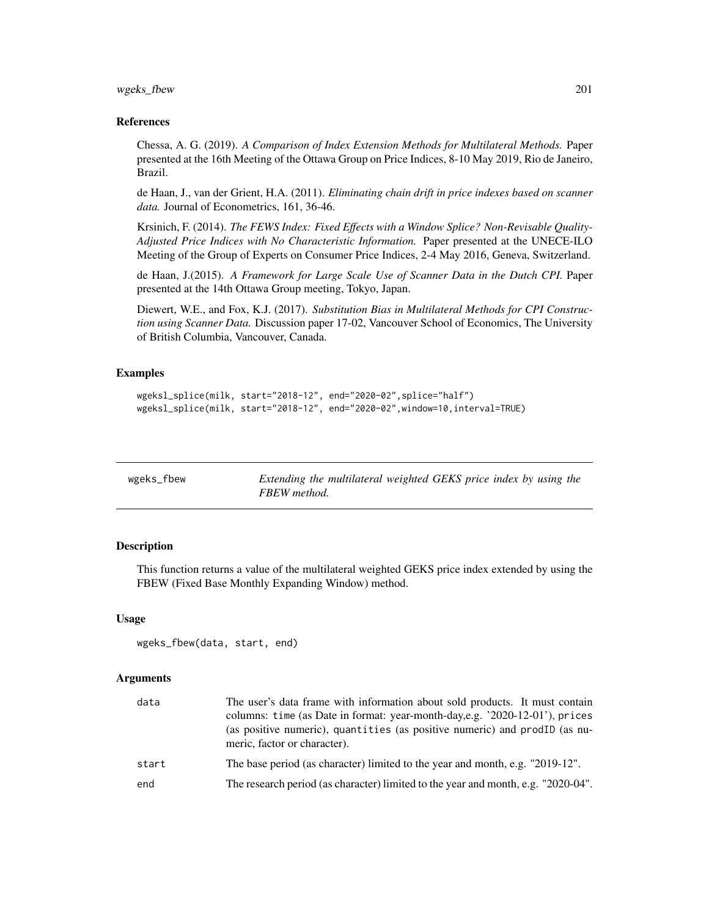# <span id="page-200-0"></span>wgeks\_fbew 201

#### References

Chessa, A. G. (2019). *A Comparison of Index Extension Methods for Multilateral Methods.* Paper presented at the 16th Meeting of the Ottawa Group on Price Indices, 8-10 May 2019, Rio de Janeiro, Brazil.

de Haan, J., van der Grient, H.A. (2011). *Eliminating chain drift in price indexes based on scanner data.* Journal of Econometrics, 161, 36-46.

Krsinich, F. (2014). *The FEWS Index: Fixed Effects with a Window Splice? Non-Revisable Quality-Adjusted Price Indices with No Characteristic Information.* Paper presented at the UNECE-ILO Meeting of the Group of Experts on Consumer Price Indices, 2-4 May 2016, Geneva, Switzerland.

de Haan, J.(2015). *A Framework for Large Scale Use of Scanner Data in the Dutch CPI.* Paper presented at the 14th Ottawa Group meeting, Tokyo, Japan.

Diewert, W.E., and Fox, K.J. (2017). *Substitution Bias in Multilateral Methods for CPI Construction using Scanner Data.* Discussion paper 17-02, Vancouver School of Economics, The University of British Columbia, Vancouver, Canada.

#### Examples

```
wgeksl_splice(milk, start="2018-12", end="2020-02",splice="half")
wgeksl_splice(milk, start="2018-12", end="2020-02",window=10,interval=TRUE)
```

| wgeks_fbew | Extending the multilateral weighted GEKS price index by using the |
|------------|-------------------------------------------------------------------|
|            | FBEW method.                                                      |

# Description

This function returns a value of the multilateral weighted GEKS price index extended by using the FBEW (Fixed Base Monthly Expanding Window) method.

#### Usage

```
wgeks_fbew(data, start, end)
```
#### Arguments

| data  | The user's data frame with information about sold products. It must contain                                                                                                                |
|-------|--------------------------------------------------------------------------------------------------------------------------------------------------------------------------------------------|
|       | columns: time (as Date in format: year-month-day, e.g. '2020-12-01'), prices<br>(as positive numeric), quantities (as positive numeric) and prodID (as nu-<br>meric, factor or character). |
| start | The base period (as character) limited to the year and month, e.g. "2019-12".                                                                                                              |
| end   | The research period (as character) limited to the year and month, e.g. "2020-04".                                                                                                          |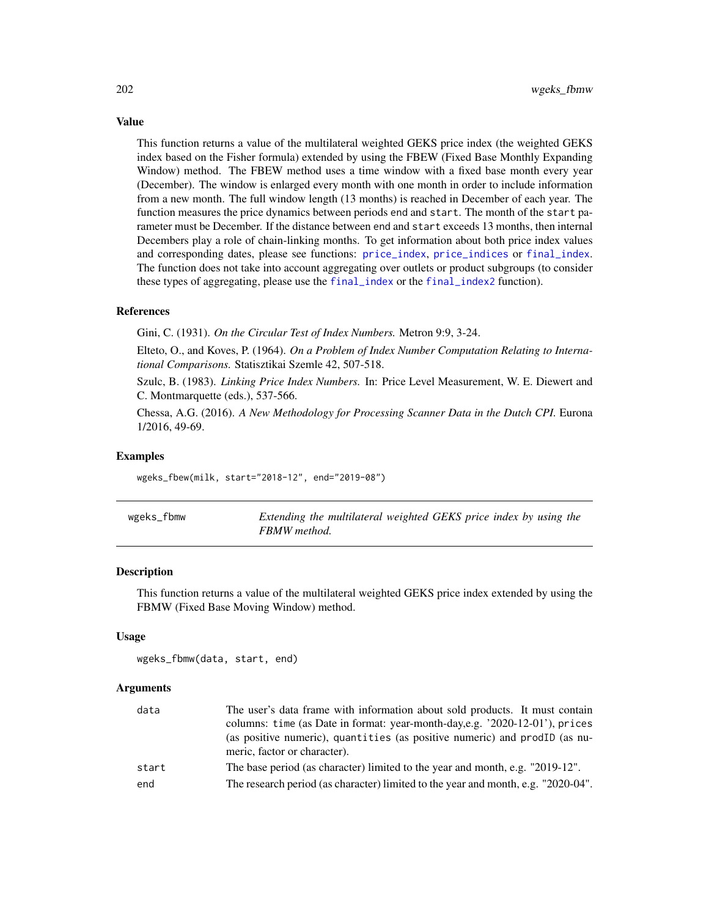This function returns a value of the multilateral weighted GEKS price index (the weighted GEKS index based on the Fisher formula) extended by using the FBEW (Fixed Base Monthly Expanding Window) method. The FBEW method uses a time window with a fixed base month every year (December). The window is enlarged every month with one month in order to include information from a new month. The full window length (13 months) is reached in December of each year. The function measures the price dynamics between periods end and start. The month of the start parameter must be December. If the distance between end and start exceeds 13 months, then internal Decembers play a role of chain-linking months. To get information about both price index values and corresponding dates, please see functions: [price\\_index](#page-153-0), [price\\_indices](#page-154-0) or [final\\_index](#page-72-0). The function does not take into account aggregating over outlets or product subgroups (to consider these types of aggregating, please use the [final\\_index](#page-72-0) or the [final\\_index2](#page-74-0) function).

#### References

Gini, C. (1931). *On the Circular Test of Index Numbers.* Metron 9:9, 3-24.

Elteto, O., and Koves, P. (1964). *On a Problem of Index Number Computation Relating to International Comparisons.* Statisztikai Szemle 42, 507-518.

Szulc, B. (1983). *Linking Price Index Numbers.* In: Price Level Measurement, W. E. Diewert and C. Montmarquette (eds.), 537-566.

Chessa, A.G. (2016). *A New Methodology for Processing Scanner Data in the Dutch CPI.* Eurona 1/2016, 49-69.

# Examples

wgeks\_fbew(milk, start="2018-12", end="2019-08")

| wgeks_fbmw | Extending the multilateral weighted GEKS price index by using the |
|------------|-------------------------------------------------------------------|
|            | FBMW method.                                                      |

# Description

This function returns a value of the multilateral weighted GEKS price index extended by using the FBMW (Fixed Base Moving Window) method.

#### Usage

```
wgeks_fbmw(data, start, end)
```
#### Arguments

| data  | The user's data frame with information about sold products. It must contain                                |
|-------|------------------------------------------------------------------------------------------------------------|
|       | columns: time (as Date in format: year-month-day, e.g. '2020-12-01'), prices                               |
|       | (as positive numeric), quantities (as positive numeric) and prodID (as nu-<br>meric, factor or character). |
| start | The base period (as character) limited to the year and month, e.g. "2019-12".                              |
| end   | The research period (as character) limited to the year and month, e.g. "2020-04".                          |

<span id="page-201-0"></span>

# Value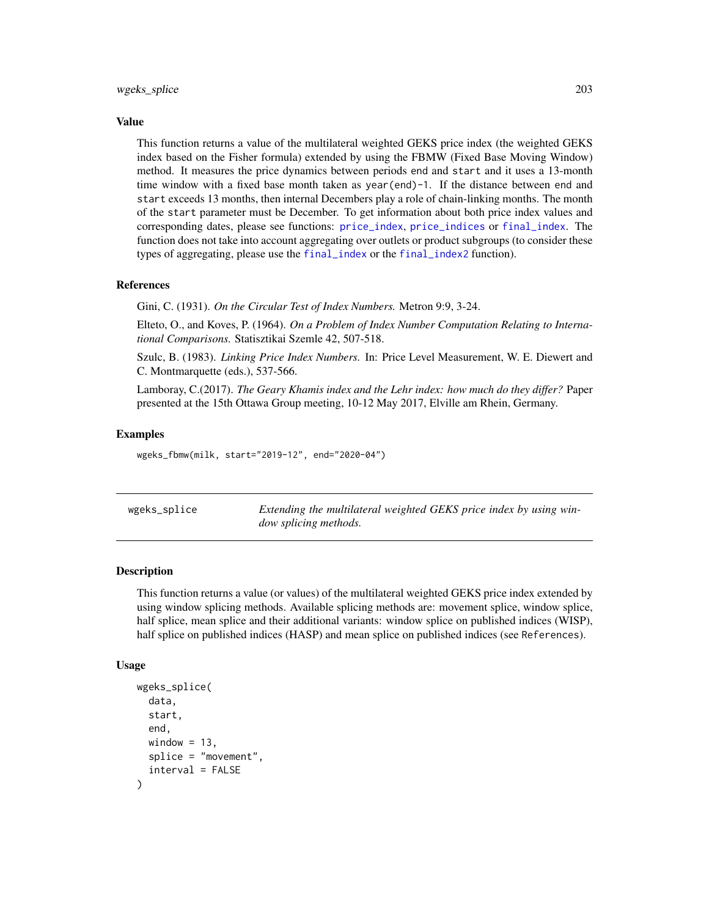#### <span id="page-202-0"></span>Value

This function returns a value of the multilateral weighted GEKS price index (the weighted GEKS index based on the Fisher formula) extended by using the FBMW (Fixed Base Moving Window) method. It measures the price dynamics between periods end and start and it uses a 13-month time window with a fixed base month taken as year(end)-1. If the distance between end and start exceeds 13 months, then internal Decembers play a role of chain-linking months. The month of the start parameter must be December. To get information about both price index values and corresponding dates, please see functions: [price\\_index](#page-153-0), [price\\_indices](#page-154-0) or [final\\_index](#page-72-0). The function does not take into account aggregating over outlets or product subgroups (to consider these types of aggregating, please use the [final\\_index](#page-72-0) or the [final\\_index2](#page-74-0) function).

# References

Gini, C. (1931). *On the Circular Test of Index Numbers.* Metron 9:9, 3-24.

Elteto, O., and Koves, P. (1964). *On a Problem of Index Number Computation Relating to International Comparisons.* Statisztikai Szemle 42, 507-518.

Szulc, B. (1983). *Linking Price Index Numbers.* In: Price Level Measurement, W. E. Diewert and C. Montmarquette (eds.), 537-566.

Lamboray, C.(2017). *The Geary Khamis index and the Lehr index: how much do they differ?* Paper presented at the 15th Ottawa Group meeting, 10-12 May 2017, Elville am Rhein, Germany.

# Examples

wgeks\_fbmw(milk, start="2019-12", end="2020-04")

| wgeks_splice | Extending the multilateral weighted GEKS price index by using win- |
|--------------|--------------------------------------------------------------------|
|              | <i>dow splicing methods.</i>                                       |

#### Description

This function returns a value (or values) of the multilateral weighted GEKS price index extended by using window splicing methods. Available splicing methods are: movement splice, window splice, half splice, mean splice and their additional variants: window splice on published indices (WISP), half splice on published indices (HASP) and mean splice on published indices (see References).

#### Usage

```
wgeks_splice(
  data,
  start,
  end,
  window = 13,
  splice = "movement",
  interval = FALSE
)
```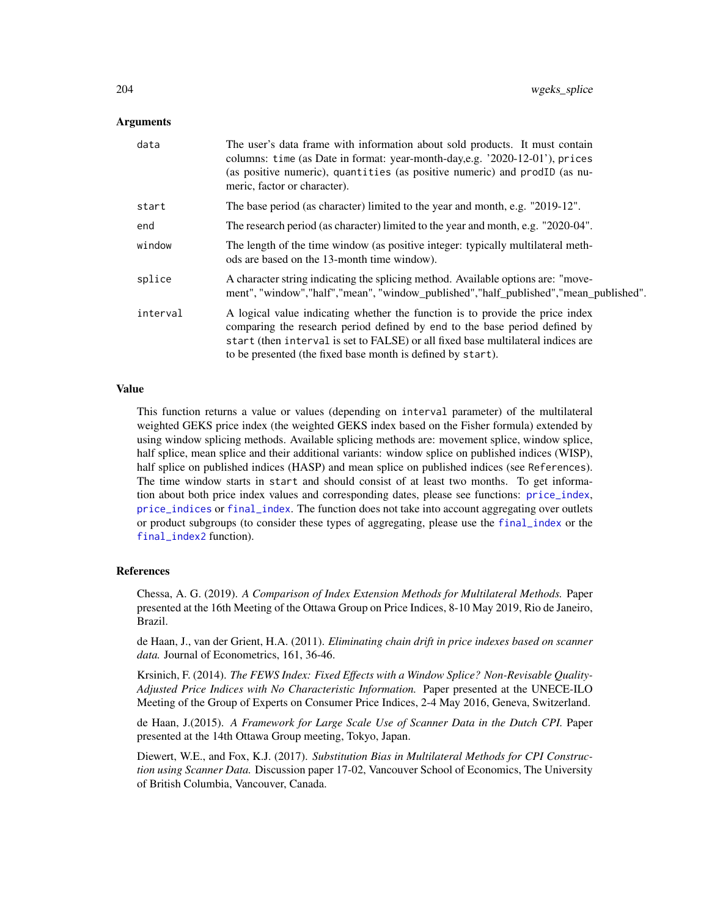#### Arguments

| data     | The user's data frame with information about sold products. It must contain<br>columns: time (as Date in format: year-month-day, e.g. '2020-12-01'), prices<br>(as positive numeric), quantities (as positive numeric) and prodID (as nu-<br>meric, factor or character).                                      |
|----------|----------------------------------------------------------------------------------------------------------------------------------------------------------------------------------------------------------------------------------------------------------------------------------------------------------------|
| start    | The base period (as character) limited to the year and month, e.g. "2019-12".                                                                                                                                                                                                                                  |
| end      | The research period (as character) limited to the year and month, e.g. "2020-04".                                                                                                                                                                                                                              |
| window   | The length of the time window (as positive integer: typically multilateral meth-<br>ods are based on the 13-month time window).                                                                                                                                                                                |
| splice   | A character string indicating the splicing method. Available options are: "move-<br>ment", "window", "half", "mean", "window_published", "half_published", "mean_published".                                                                                                                                   |
| interval | A logical value indicating whether the function is to provide the price index<br>comparing the research period defined by end to the base period defined by<br>start (then interval is set to FALSE) or all fixed base multilateral indices are<br>to be presented (the fixed base month is defined by start). |

# Value

This function returns a value or values (depending on interval parameter) of the multilateral weighted GEKS price index (the weighted GEKS index based on the Fisher formula) extended by using window splicing methods. Available splicing methods are: movement splice, window splice, half splice, mean splice and their additional variants: window splice on published indices (WISP), half splice on published indices (HASP) and mean splice on published indices (see References). The time window starts in start and should consist of at least two months. To get information about both price index values and corresponding dates, please see functions: [price\\_index](#page-153-0), [price\\_indices](#page-154-0) or [final\\_index](#page-72-0). The function does not take into account aggregating over outlets or product subgroups (to consider these types of aggregating, please use the [final\\_index](#page-72-0) or the [final\\_index2](#page-74-0) function).

#### References

Chessa, A. G. (2019). *A Comparison of Index Extension Methods for Multilateral Methods.* Paper presented at the 16th Meeting of the Ottawa Group on Price Indices, 8-10 May 2019, Rio de Janeiro, Brazil.

de Haan, J., van der Grient, H.A. (2011). *Eliminating chain drift in price indexes based on scanner data.* Journal of Econometrics, 161, 36-46.

Krsinich, F. (2014). *The FEWS Index: Fixed Effects with a Window Splice? Non-Revisable Quality-Adjusted Price Indices with No Characteristic Information.* Paper presented at the UNECE-ILO Meeting of the Group of Experts on Consumer Price Indices, 2-4 May 2016, Geneva, Switzerland.

de Haan, J.(2015). *A Framework for Large Scale Use of Scanner Data in the Dutch CPI.* Paper presented at the 14th Ottawa Group meeting, Tokyo, Japan.

Diewert, W.E., and Fox, K.J. (2017). *Substitution Bias in Multilateral Methods for CPI Construction using Scanner Data.* Discussion paper 17-02, Vancouver School of Economics, The University of British Columbia, Vancouver, Canada.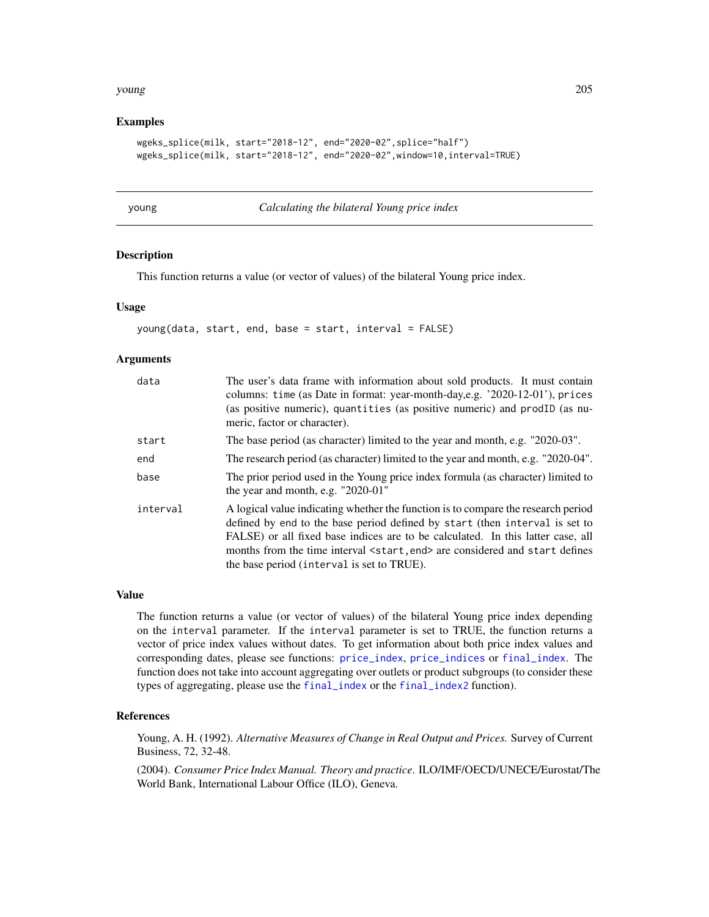#### <span id="page-204-0"></span>young 205

#### Examples

```
wgeks_splice(milk, start="2018-12", end="2020-02",splice="half")
wgeks_splice(milk, start="2018-12", end="2020-02",window=10,interval=TRUE)
```
young *Calculating the bilateral Young price index*

# **Description**

This function returns a value (or vector of values) of the bilateral Young price index.

# Usage

young(data, start, end, base = start, interval = FALSE)

#### Arguments

| data     | The user's data frame with information about sold products. It must contain<br>columns: time (as Date in format: year-month-day, e.g. '2020-12-01'), prices<br>(as positive numeric), quantities (as positive numeric) and prodID (as nu-<br>meric, factor or character).                                                                                                                     |
|----------|-----------------------------------------------------------------------------------------------------------------------------------------------------------------------------------------------------------------------------------------------------------------------------------------------------------------------------------------------------------------------------------------------|
| start    | The base period (as character) limited to the year and month, e.g. "2020-03".                                                                                                                                                                                                                                                                                                                 |
| end      | The research period (as character) limited to the year and month, e.g. "2020-04".                                                                                                                                                                                                                                                                                                             |
| base     | The prior period used in the Young price index formula (as character) limited to<br>the year and month, e.g. "2020-01"                                                                                                                                                                                                                                                                        |
| interval | A logical value indicating whether the function is to compare the research period<br>defined by end to the base period defined by start (then interval is set to<br>FALSE) or all fixed base indices are to be calculated. In this latter case, all<br>months from the time interval <start, end=""> are considered and start defines<br/>the base period (interval is set to TRUE).</start,> |

#### Value

The function returns a value (or vector of values) of the bilateral Young price index depending on the interval parameter. If the interval parameter is set to TRUE, the function returns a vector of price index values without dates. To get information about both price index values and corresponding dates, please see functions: [price\\_index](#page-153-0), [price\\_indices](#page-154-0) or [final\\_index](#page-72-0). The function does not take into account aggregating over outlets or product subgroups (to consider these types of aggregating, please use the [final\\_index](#page-72-0) or the [final\\_index2](#page-74-0) function).

# References

Young, A. H. (1992). *Alternative Measures of Change in Real Output and Prices.* Survey of Current Business, 72, 32-48.

(2004). *Consumer Price Index Manual. Theory and practice*. ILO/IMF/OECD/UNECE/Eurostat/The World Bank, International Labour Office (ILO), Geneva.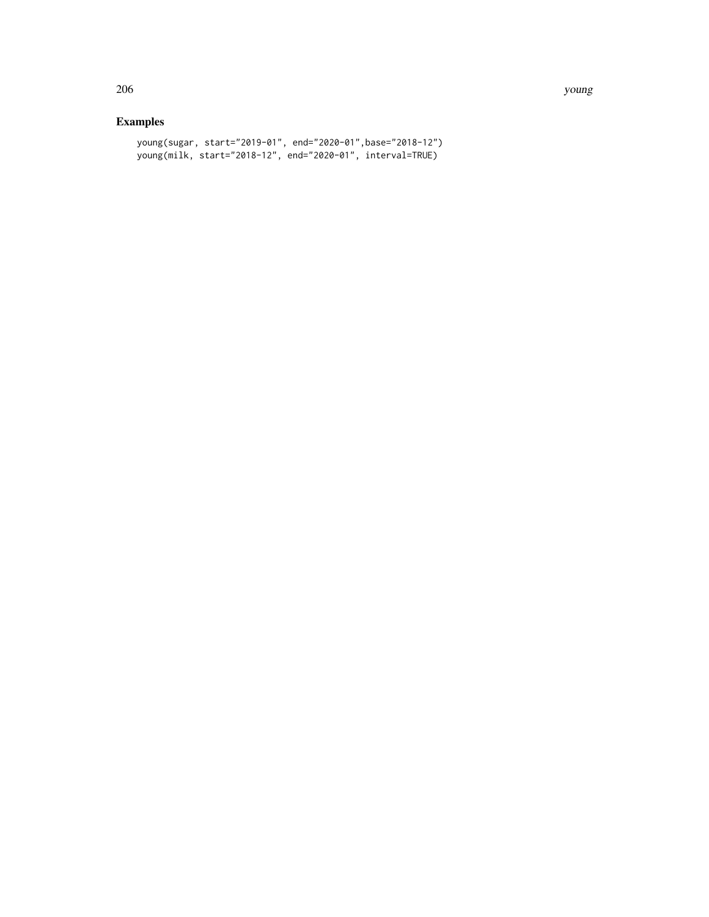206 young

# Examples

young(sugar, start="2019-01", end="2020-01",base="2018-12") young(milk, start="2018-12", end="2020-01", interval=TRUE)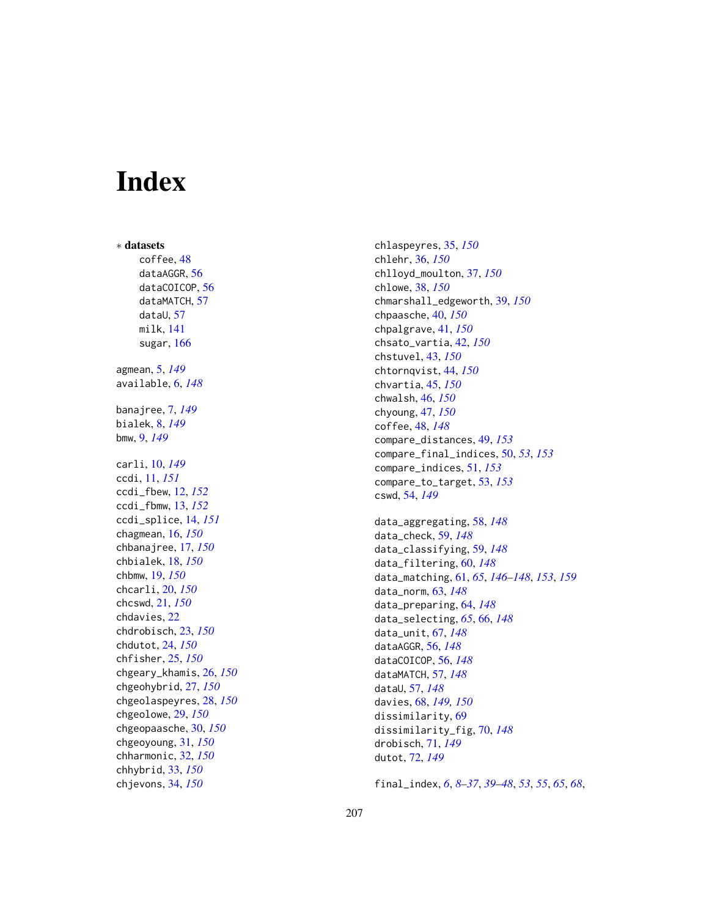# **Index**

∗ datasets coffee , [48](#page-47-0) dataAGGR, [56](#page-55-0) dataCOICOP , [56](#page-55-0) dataMATCH , [57](#page-56-0) dataU , [57](#page-56-0) milk , [141](#page-140-0) sugar , [166](#page-165-0) agmean , [5](#page-4-0) , *[149](#page-148-0)* available , [6](#page-5-0) , *[148](#page-147-0)* banajree , [7](#page-6-0) , *[149](#page-148-0)* bialek , [8](#page-7-0) , *[149](#page-148-0)* bmw , [9](#page-8-0) , *[149](#page-148-0)* carli , [10](#page-9-0) , *[149](#page-148-0)* ccdi , [11](#page-10-0) , *[151](#page-150-0)* ccdi\_fbew , [12](#page-11-0) , *[152](#page-151-0)* ccdi\_fbmw , [13](#page-12-0) , *[152](#page-151-0)* ccdi\_splice , [14](#page-13-0) , *[151](#page-150-0)* chagmean , [16](#page-15-0) , *[150](#page-149-0)* chbanajree , [17](#page-16-0) , *[150](#page-149-0)* chbialek , [18](#page-17-0) , *[150](#page-149-0)* chbmw , [19](#page-18-0) , *[150](#page-149-0)* chcarli , [20](#page-19-0) , *[150](#page-149-0)* chcswd , [21](#page-20-0) , *[150](#page-149-0)* chdavies , [22](#page-21-0) chdrobisch , [23](#page-22-0) , *[150](#page-149-0)* chdutot , [24](#page-23-0) , *[150](#page-149-0)* chfisher , [25](#page-24-0) , *[150](#page-149-0)* chgeary\_khamis , [26](#page-25-0) , *[150](#page-149-0)* chgeohybrid , [27](#page-26-0) , *[150](#page-149-0)* chgeolaspeyres , [28](#page-27-0) , *[150](#page-149-0)* chgeolowe , [29](#page-28-0) , *[150](#page-149-0)* chgeopaasche , [30](#page-29-0) , *[150](#page-149-0)* chgeoyoung , [31](#page-30-0) , *[150](#page-149-0)* chharmonic , [32](#page-31-0) , *[150](#page-149-0)* chhybrid , [33](#page-32-0) , *[150](#page-149-0)* chjevons , [34](#page-33-0) , *[150](#page-149-0)*

chlaspeyres , [35](#page-34-0) , *[150](#page-149-0)* chlehr , [36](#page-35-0) , *[150](#page-149-0)* chlloyd\_moulton , [37](#page-36-0) , *[150](#page-149-0)* chlowe , [38](#page-37-0) , *[150](#page-149-0)* chmarshall\_edgeworth , [39](#page-38-0) , *[150](#page-149-0)* chpaasche , [40](#page-39-0) , *[150](#page-149-0)* chpalgrave , [41](#page-40-0) , *[150](#page-149-0)* chsato\_vartia , [42](#page-41-0) , *[150](#page-149-0)* chstuvel , [43](#page-42-0) , *[150](#page-149-0)* chtornqvist , [44](#page-43-0) , *[150](#page-149-0)* chvartia , [45](#page-44-0) , *[150](#page-149-0)* chwalsh , [46](#page-45-0) , *[150](#page-149-0)* chyoung , [47](#page-46-0) , *[150](#page-149-0)* coffee , [48](#page-47-0) , *[148](#page-147-0)* compare\_distances , [49](#page-48-0) , *[153](#page-152-0)* compare\_final\_indices , [50](#page-49-0) , *[53](#page-52-0)* , *[153](#page-152-0)* compare\_indices , [51](#page-50-0) , *[153](#page-152-0)* compare\_to\_target , [53](#page-52-0) , *[153](#page-152-0)* cswd , [54](#page-53-0) , *[149](#page-148-0)* data\_aggregating , [58](#page-57-0) , *[148](#page-147-0)* data\_check , [59](#page-58-0) , *[148](#page-147-0)* data\_classifying , [59](#page-58-0) , *[148](#page-147-0)* data\_filtering , [60](#page-59-0) , *[148](#page-147-0)* data\_matching , [61](#page-60-0) , *[65](#page-64-0)* , *[146](#page-145-0)[–148](#page-147-0)* , *[153](#page-152-0)* , *[159](#page-158-0)* data\_norm , [63](#page-62-0) , *[148](#page-147-0)* data\_preparing , [64](#page-63-0) , *[148](#page-147-0)* data\_selecting , *[65](#page-64-0)* , [66](#page-65-0) , *[148](#page-147-0)* data\_unit , [67](#page-66-0) , *[148](#page-147-0)* dataAGGR , [56](#page-55-0) , *[148](#page-147-0)* dataCOICOP , [56](#page-55-0) , *[148](#page-147-0)* dataMATCH , [57](#page-56-0) , *[148](#page-147-0)* dataU , [57](#page-56-0) , *[148](#page-147-0)* davies , [68](#page-67-0) , *[149](#page-148-0) , [150](#page-149-0)* dissimilarity, <mark>[69](#page-68-0)</mark> dissimilarity\_fig , [70](#page-69-0) , *[148](#page-147-0)* drobisch , [71](#page-70-0) , *[149](#page-148-0)* dutot , [72](#page-71-0) , *[149](#page-148-0)*

final\_index , *[6](#page-5-0)* , *[8](#page-7-0) [–37](#page-36-0)* , *[39](#page-38-0) [–48](#page-47-0)* , *[53](#page-52-0)* , *[55](#page-54-0)* , *[65](#page-64-0)* , *[68](#page-67-0)* ,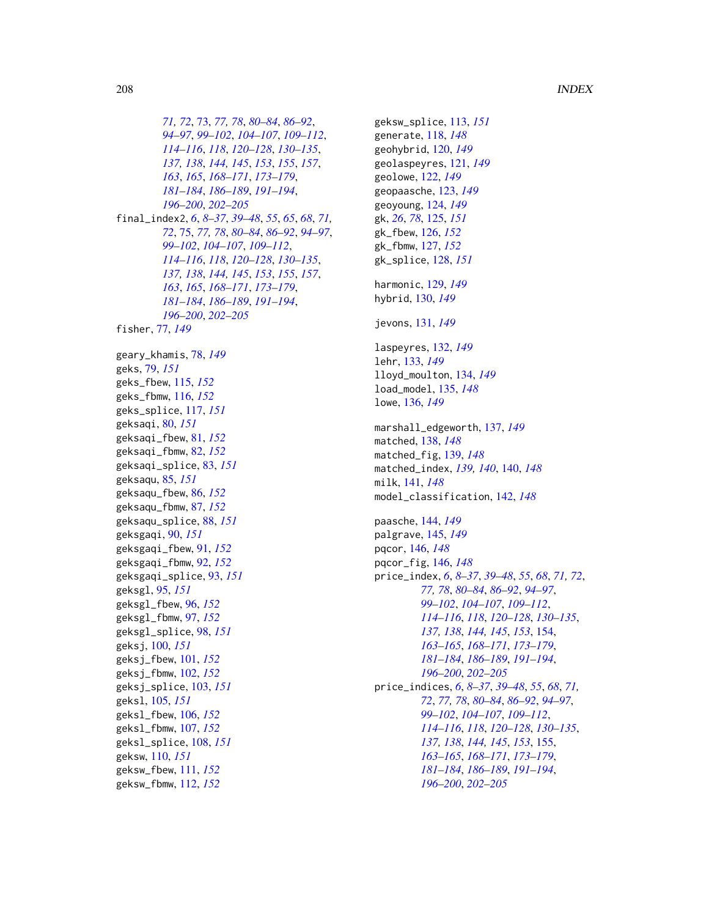#### 208 **INDEX**

*[71,](#page-70-0) [72](#page-71-0)*, [73,](#page-72-1) *[77,](#page-76-0) [78](#page-77-0)*, *[80–](#page-79-0)[84](#page-83-0)*, *[86–](#page-85-0)[92](#page-91-0)*, *[94](#page-93-0)[–97](#page-96-0)*, *[99](#page-98-0)[–102](#page-101-0)*, *[104–](#page-103-0)[107](#page-106-0)*, *[109–](#page-108-0)[112](#page-111-0)*, *[114](#page-113-0)[–116](#page-115-0)*, *[118](#page-117-0)*, *[120–](#page-119-0)[128](#page-127-0)*, *[130–](#page-129-0)[135](#page-134-0)*, *[137,](#page-136-0) [138](#page-137-0)*, *[144,](#page-143-0) [145](#page-144-0)*, *[153](#page-152-0)*, *[155](#page-154-1)*, *[157](#page-156-0)*, *[163](#page-162-0)*, *[165](#page-164-0)*, *[168–](#page-167-0)[171](#page-170-0)*, *[173–](#page-172-0)[179](#page-178-0)*, *[181](#page-180-0)[–184](#page-183-0)*, *[186–](#page-185-0)[189](#page-188-0)*, *[191–](#page-190-0)[194](#page-193-0)*, *[196](#page-195-0)[–200](#page-199-0)*, *[202–](#page-201-0)[205](#page-204-0)* final\_index2, *[6](#page-5-0)*, *[8](#page-7-0)[–37](#page-36-0)*, *[39–](#page-38-0)[48](#page-47-0)*, *[55](#page-54-0)*, *[65](#page-64-0)*, *[68](#page-67-0)*, *[71,](#page-70-0) [72](#page-71-0)*, [75,](#page-74-1) *[77,](#page-76-0) [78](#page-77-0)*, *[80–](#page-79-0)[84](#page-83-0)*, *[86–](#page-85-0)[92](#page-91-0)*, *[94–](#page-93-0)[97](#page-96-0)*, *[99](#page-98-0)[–102](#page-101-0)*, *[104](#page-103-0)[–107](#page-106-0)*, *[109–](#page-108-0)[112](#page-111-0)*, *[114](#page-113-0)[–116](#page-115-0)*, *[118](#page-117-0)*, *[120–](#page-119-0)[128](#page-127-0)*, *[130–](#page-129-0)[135](#page-134-0)*, *[137,](#page-136-0) [138](#page-137-0)*, *[144,](#page-143-0) [145](#page-144-0)*, *[153](#page-152-0)*, *[155](#page-154-1)*, *[157](#page-156-0)*, *[163](#page-162-0)*, *[165](#page-164-0)*, *[168–](#page-167-0)[171](#page-170-0)*, *[173–](#page-172-0)[179](#page-178-0)*, *[181](#page-180-0)[–184](#page-183-0)*, *[186–](#page-185-0)[189](#page-188-0)*, *[191–](#page-190-0)[194](#page-193-0)*, *[196](#page-195-0)[–200](#page-199-0)*, *[202–](#page-201-0)[205](#page-204-0)* fisher, [77,](#page-76-0) *[149](#page-148-0)* geary\_khamis, [78,](#page-77-0) *[149](#page-148-0)* geks, [79,](#page-78-0) *[151](#page-150-0)* geks\_fbew, [115,](#page-114-0) *[152](#page-151-0)* geks\_fbmw, [116,](#page-115-0) *[152](#page-151-0)* geks\_splice, [117,](#page-116-0) *[151](#page-150-0)* geksaqi, [80,](#page-79-0) *[151](#page-150-0)* geksaqi\_fbew, [81,](#page-80-0) *[152](#page-151-0)* geksaqi\_fbmw, [82,](#page-81-0) *[152](#page-151-0)* geksaqi\_splice, [83,](#page-82-0) *[151](#page-150-0)* geksaqu, [85,](#page-84-0) *[151](#page-150-0)* geksaqu\_fbew, [86,](#page-85-0) *[152](#page-151-0)* geksaqu\_fbmw, [87,](#page-86-0) *[152](#page-151-0)* geksaqu\_splice, [88,](#page-87-0) *[151](#page-150-0)* geksgaqi, [90,](#page-89-0) *[151](#page-150-0)* geksgaqi\_fbew, [91,](#page-90-0) *[152](#page-151-0)* geksgaqi\_fbmw, [92,](#page-91-0) *[152](#page-151-0)* geksgaqi\_splice, [93,](#page-92-0) *[151](#page-150-0)* geksgl, [95,](#page-94-0) *[151](#page-150-0)* geksgl\_fbew, [96,](#page-95-0) *[152](#page-151-0)* geksgl\_fbmw, [97,](#page-96-0) *[152](#page-151-0)* geksgl\_splice, [98,](#page-97-0) *[151](#page-150-0)* geksj, [100,](#page-99-0) *[151](#page-150-0)* geksj\_fbew, [101,](#page-100-0) *[152](#page-151-0)* geksj\_fbmw, [102,](#page-101-0) *[152](#page-151-0)* geksj\_splice, [103,](#page-102-0) *[151](#page-150-0)* geksl, [105,](#page-104-0) *[151](#page-150-0)* geksl\_fbew, [106,](#page-105-0) *[152](#page-151-0)* geksl\_fbmw, [107,](#page-106-0) *[152](#page-151-0)* geksl\_splice, [108,](#page-107-0) *[151](#page-150-0)* geksw, [110,](#page-109-0) *[151](#page-150-0)* geksw\_fbew, [111,](#page-110-0) *[152](#page-151-0)* geksw\_fbmw, [112,](#page-111-0) *[152](#page-151-0)*

geksw\_splice, [113,](#page-112-0) *[151](#page-150-0)* generate, [118,](#page-117-0) *[148](#page-147-0)* geohybrid, [120,](#page-119-0) *[149](#page-148-0)* geolaspeyres, [121,](#page-120-0) *[149](#page-148-0)* geolowe, [122,](#page-121-0) *[149](#page-148-0)* geopaasche, [123,](#page-122-0) *[149](#page-148-0)* geoyoung, [124,](#page-123-0) *[149](#page-148-0)* gk, *[26](#page-25-0)*, *[78](#page-77-0)*, [125,](#page-124-0) *[151](#page-150-0)* gk\_fbew, [126,](#page-125-0) *[152](#page-151-0)* gk\_fbmw, [127,](#page-126-0) *[152](#page-151-0)* gk\_splice, [128,](#page-127-0) *[151](#page-150-0)* harmonic, [129,](#page-128-0) *[149](#page-148-0)* hybrid, [130,](#page-129-0) *[149](#page-148-0)* jevons, [131,](#page-130-0) *[149](#page-148-0)* laspeyres, [132,](#page-131-0) *[149](#page-148-0)* lehr, [133,](#page-132-0) *[149](#page-148-0)* lloyd\_moulton, [134,](#page-133-0) *[149](#page-148-0)* load\_model, [135,](#page-134-0) *[148](#page-147-0)* lowe, [136,](#page-135-0) *[149](#page-148-0)* marshall\_edgeworth, [137,](#page-136-0) *[149](#page-148-0)* matched, [138,](#page-137-0) *[148](#page-147-0)* matched\_fig, [139,](#page-138-0) *[148](#page-147-0)* matched\_index, *[139,](#page-138-0) [140](#page-139-0)*, [140,](#page-139-0) *[148](#page-147-0)* milk, [141,](#page-140-0) *[148](#page-147-0)* model\_classification, [142,](#page-141-0) *[148](#page-147-0)* paasche, [144,](#page-143-0) *[149](#page-148-0)* palgrave, [145,](#page-144-0) *[149](#page-148-0)* pqcor, [146,](#page-145-0) *[148](#page-147-0)* pqcor\_fig, [146,](#page-145-0) *[148](#page-147-0)* price\_index, *[6](#page-5-0)*, *[8](#page-7-0)[–37](#page-36-0)*, *[39](#page-38-0)[–48](#page-47-0)*, *[55](#page-54-0)*, *[68](#page-67-0)*, *[71,](#page-70-0) [72](#page-71-0)*, *[77,](#page-76-0) [78](#page-77-0)*, *[80](#page-79-0)[–84](#page-83-0)*, *[86](#page-85-0)[–92](#page-91-0)*, *[94](#page-93-0)[–97](#page-96-0)*, *[99](#page-98-0)[–102](#page-101-0)*, *[104](#page-103-0)[–107](#page-106-0)*, *[109](#page-108-0)[–112](#page-111-0)*, *[114](#page-113-0)[–116](#page-115-0)*, *[118](#page-117-0)*, *[120](#page-119-0)[–128](#page-127-0)*, *[130](#page-129-0)[–135](#page-134-0)*, *[137,](#page-136-0) [138](#page-137-0)*, *[144,](#page-143-0) [145](#page-144-0)*, *[153](#page-152-0)*, [154,](#page-153-1) *[163](#page-162-0)[–165](#page-164-0)*, *[168](#page-167-0)[–171](#page-170-0)*, *[173](#page-172-0)[–179](#page-178-0)*, *[181](#page-180-0)[–184](#page-183-0)*, *[186](#page-185-0)[–189](#page-188-0)*, *[191](#page-190-0)[–194](#page-193-0)*, *[196](#page-195-0)[–200](#page-199-0)*, *[202](#page-201-0)[–205](#page-204-0)* price\_indices, *[6](#page-5-0)*, *[8](#page-7-0)[–37](#page-36-0)*, *[39](#page-38-0)[–48](#page-47-0)*, *[55](#page-54-0)*, *[68](#page-67-0)*, *[71,](#page-70-0) [72](#page-71-0)*, *[77,](#page-76-0) [78](#page-77-0)*, *[80](#page-79-0)[–84](#page-83-0)*, *[86](#page-85-0)[–92](#page-91-0)*, *[94](#page-93-0)[–97](#page-96-0)*, *[99](#page-98-0)[–102](#page-101-0)*, *[104](#page-103-0)[–107](#page-106-0)*, *[109](#page-108-0)[–112](#page-111-0)*, *[114](#page-113-0)[–116](#page-115-0)*, *[118](#page-117-0)*, *[120](#page-119-0)[–128](#page-127-0)*, *[130](#page-129-0)[–135](#page-134-0)*, *[137,](#page-136-0) [138](#page-137-0)*, *[144,](#page-143-0) [145](#page-144-0)*, *[153](#page-152-0)*, [155,](#page-154-1) *[163](#page-162-0)[–165](#page-164-0)*, *[168](#page-167-0)[–171](#page-170-0)*, *[173](#page-172-0)[–179](#page-178-0)*, *[181](#page-180-0)[–184](#page-183-0)*, *[186](#page-185-0)[–189](#page-188-0)*, *[191](#page-190-0)[–194](#page-193-0)*, *[196](#page-195-0)[–200](#page-199-0)*, *[202](#page-201-0)[–205](#page-204-0)*